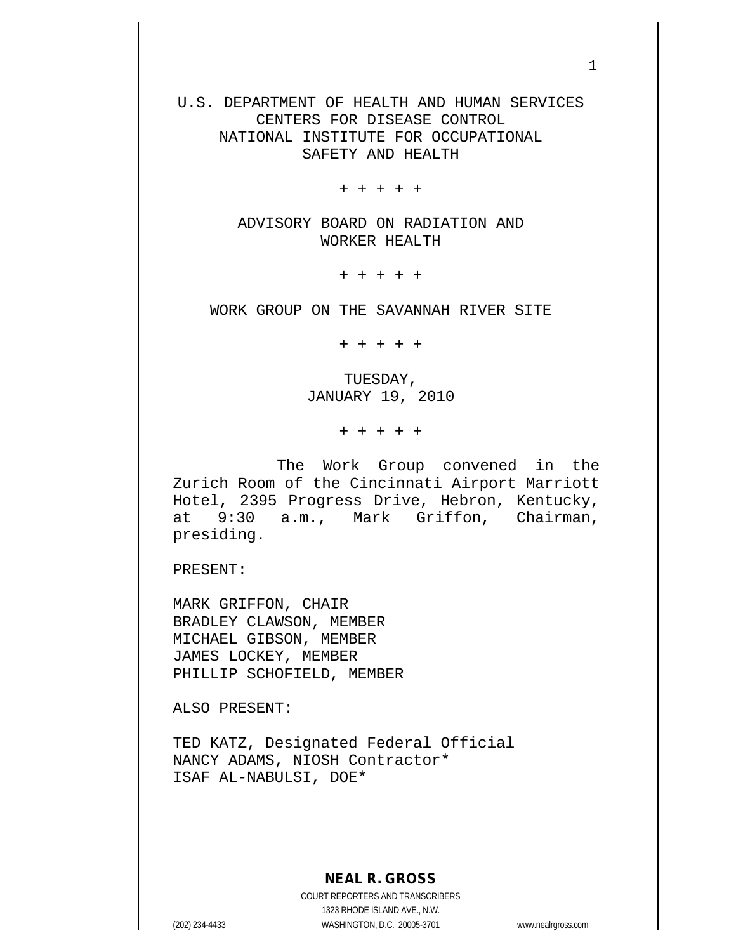U.S. DEPARTMENT OF HEALTH AND HUMAN SERVICES CENTERS FOR DISEASE CONTROL NATIONAL INSTITUTE FOR OCCUPATIONAL SAFETY AND HEALTH

+ + + + +

ADVISORY BOARD ON RADIATION AND WORKER HEALTH

+ + + + +

WORK GROUP ON THE SAVANNAH RIVER SITE

+ + + + +

TUESDAY, JANUARY 19, 2010

+ + + + +

The Work Group convened in the Zurich Room of the Cincinnati Airport Marriott Hotel, 2395 Progress Drive, Hebron, Kentucky, at 9:30 a.m., Mark Griffon, Chairman, presiding.

PRESENT:

MARK GRIFFON, CHAIR BRADLEY CLAWSON, MEMBER MICHAEL GIBSON, MEMBER JAMES LOCKEY, MEMBER PHILLIP SCHOFIELD, MEMBER

ALSO PRESENT:

TED KATZ, Designated Federal Official NANCY ADAMS, NIOSH Contractor\* ISAF AL-NABULSI, DOE\*

## **NEAL R. GROSS**

COURT REPORTERS AND TRANSCRIBERS 1323 RHODE ISLAND AVE., N.W. (202) 234-4433 WASHINGTON, D.C. 20005-3701 www.nealrgross.com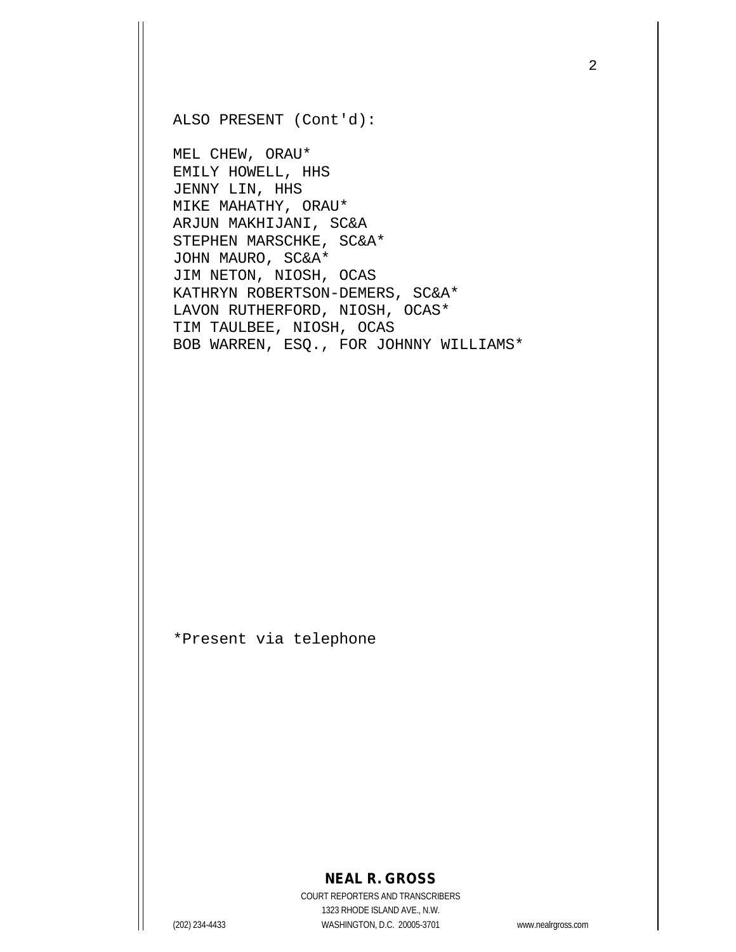ALSO PRESENT (Cont'd):

MEL CHEW, ORAU\* EMILY HOWELL, HHS JENNY LIN, HHS MIKE MAHATHY, ORAU\* ARJUN MAKHIJANI, SC&A STEPHEN MARSCHKE, SC&A\* JOHN MAURO, SC&A\* JIM NETON, NIOSH, OCAS KATHRYN ROBERTSON-DEMERS, SC&A\* LAVON RUTHERFORD, NIOSH, OCAS\* TIM TAULBEE, NIOSH, OCAS BOB WARREN, ESQ., FOR JOHNNY WILLIAMS\*

\*Present via telephone

## **NEAL R. GROSS**

COURT REPORTERS AND TRANSCRIBERS 1323 RHODE ISLAND AVE., N.W. (202) 234-4433 WASHINGTON, D.C. 20005-3701 www.nealrgross.com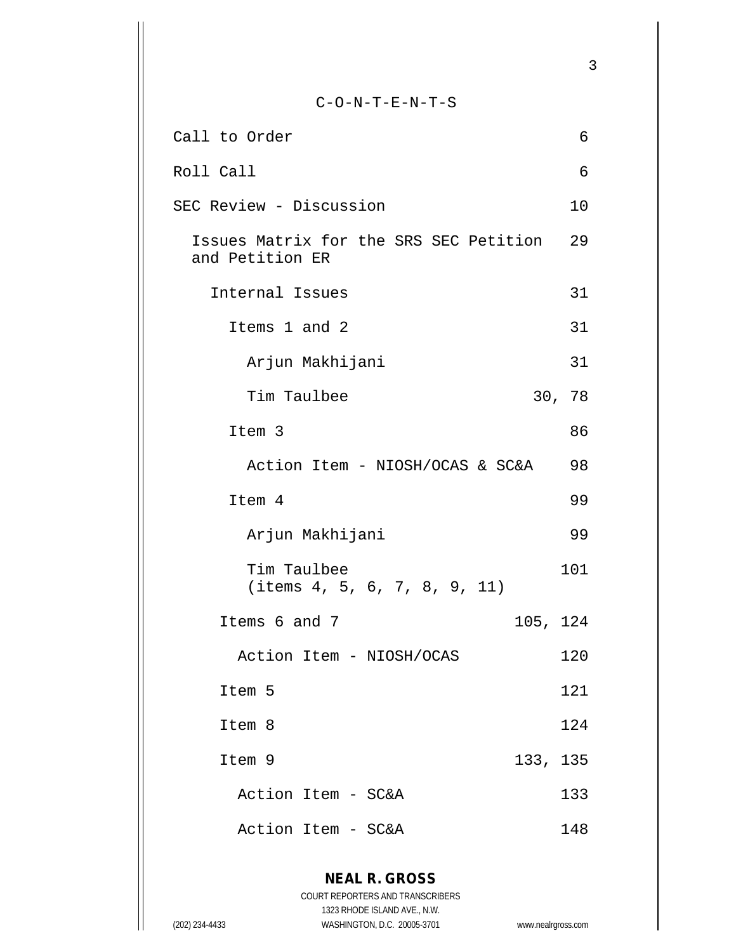C-O-N-T-E-N-T-S Call to Order 6 Roll Call 6 SEC Review - Discussion 10 Issues Matrix for the SRS SEC Petition 29 and Petition ER Internal Issues 31 Items 1 and 2 31 Arjun Makhijani 31 Tim Taulbee 30, 78 Item 3 86 Action Item - NIOSH/OCAS & SC&A 98 Item 4 99 Arjun Makhijani 99 Tim Taulbee 101 (items 4, 5, 6, 7, 8, 9, 11) Items 6 and 7 105, 124 Action Item - NIOSH/OCAS 120 Item 5 121 Item 8 124 Item 9 133, 135 Action Item - SC&A 133 Action Item - SC&A 148

**NEAL R. GROSS** COURT REPORTERS AND TRANSCRIBERS 1323 RHODE ISLAND AVE., N.W. (202) 234-4433 WASHINGTON, D.C. 20005-3701 www.nealrgross.com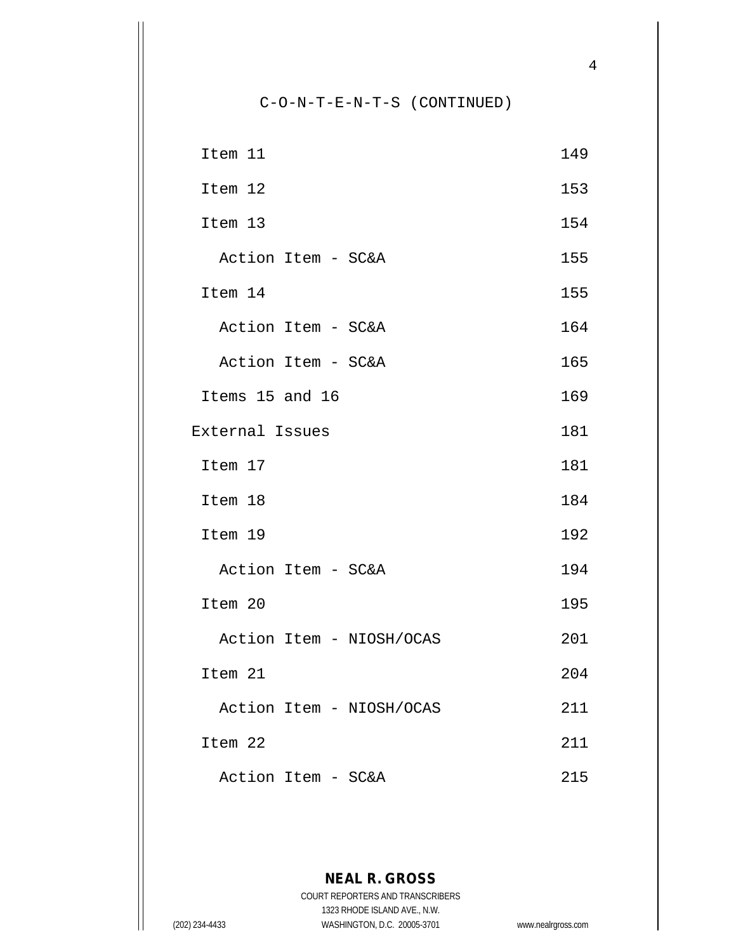C-O-N-T-E-N-T-S (CONTINUED)

| Item 11                  | 149 |
|--------------------------|-----|
| Item 12                  | 153 |
| Item 13                  | 154 |
| Action Item - SC&A       | 155 |
| Item 14                  | 155 |
| Action Item - SC&A       | 164 |
| Action Item - SC&A       | 165 |
| Items 15 and 16          | 169 |
| External Issues          | 181 |
| Item 17                  | 181 |
| Item 18                  | 184 |
| Item 19                  | 192 |
| Action Item - SC&A       | 194 |
| Item 20                  | 195 |
| Action Item - NIOSH/OCAS | 201 |
| Item 21                  | 204 |
| Action Item - NIOSH/OCAS | 211 |
| Item 22                  | 211 |
| Action Item - SC&A       | 215 |

**NEAL R. GROSS** COURT REPORTERS AND TRANSCRIBERS 1323 RHODE ISLAND AVE., N.W. (202) 234-4433 WASHINGTON, D.C. 20005-3701 www.nealrgross.com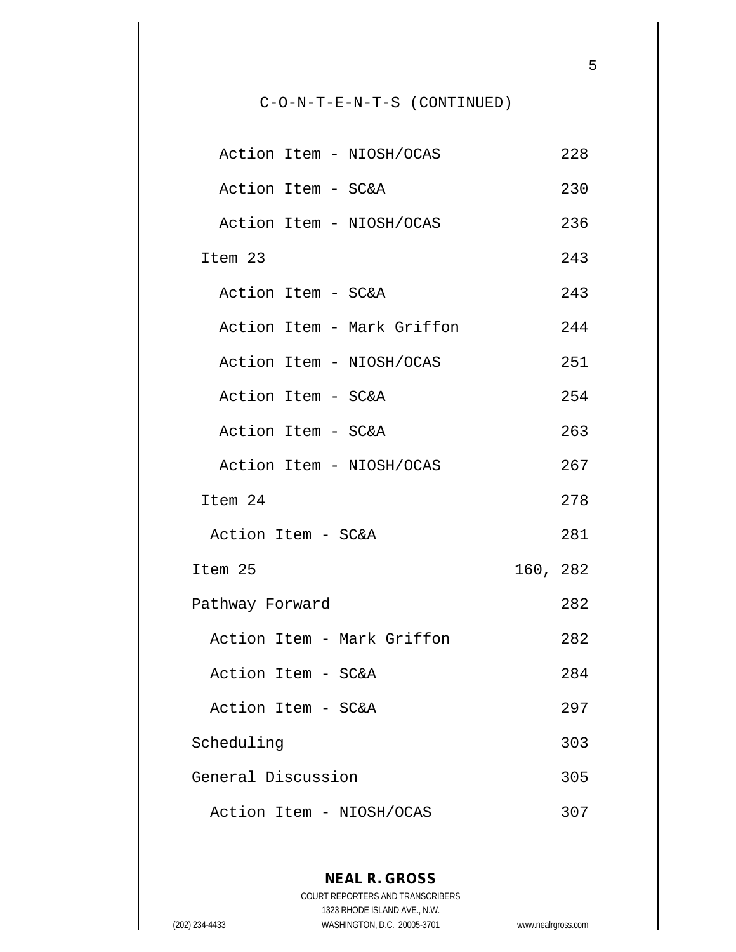C-O-N-T-E-N-T-S (CONTINUED)

| Action Item - NIOSH/OCAS   |          | 228 |
|----------------------------|----------|-----|
| Action Item - SC&A         |          | 230 |
| Action Item - NIOSH/OCAS   |          | 236 |
| Item 23                    |          | 243 |
| Action Item - SC&A         |          | 243 |
| Action Item - Mark Griffon |          | 244 |
| Action Item - NIOSH/OCAS   |          | 251 |
| Action Item - SC&A         |          | 254 |
| Action Item - SC&A         |          | 263 |
| Action Item - NIOSH/OCAS   |          | 267 |
| Item 24                    |          | 278 |
| Action Item - SC&A         |          | 281 |
| Item 25                    | 160, 282 |     |
| Pathway Forward            |          | 282 |
| Action Item - Mark Griffon |          | 282 |
| Action Item - SC&A         |          | 284 |
| Action Item - SC&A         |          | 297 |
| Scheduling                 |          | 303 |
| General Discussion         |          | 305 |
| Action Item - NIOSH/OCAS   |          | 307 |

**NEAL R. GROSS** COURT REPORTERS AND TRANSCRIBERS 1323 RHODE ISLAND AVE., N.W. (202) 234-4433 WASHINGTON, D.C. 20005-3701 www.nealrgross.com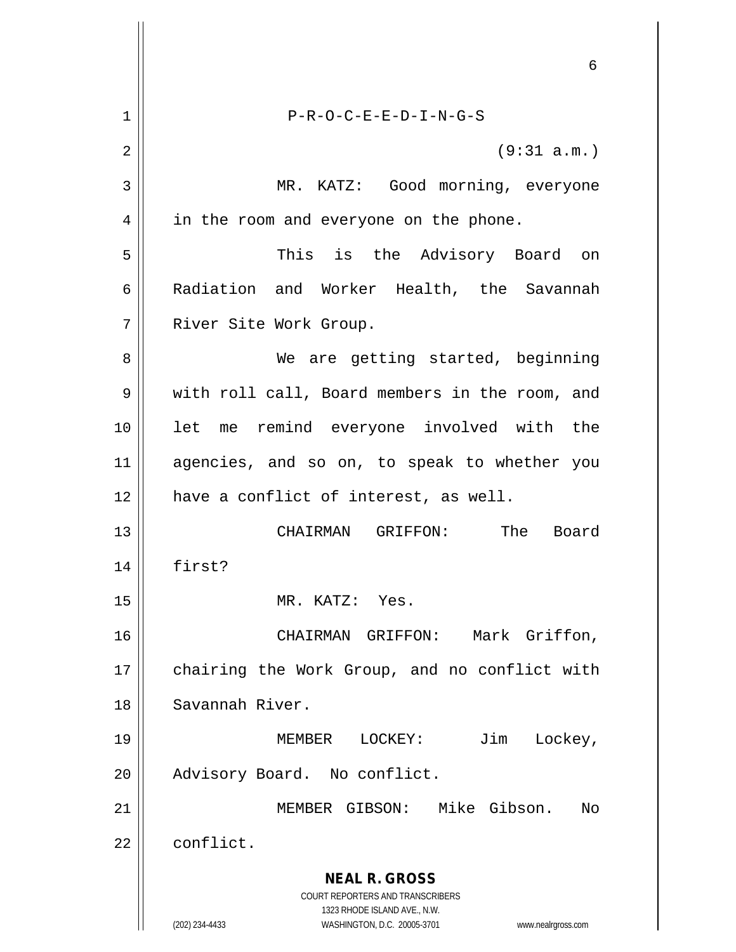|    | 6                                                                                                   |
|----|-----------------------------------------------------------------------------------------------------|
| 1  | $P-R-O-C-E-E-D-I-N-G-S$                                                                             |
| 2  | (9:31 a.m.)                                                                                         |
| 3  | MR. KATZ: Good morning, everyone                                                                    |
| 4  | in the room and everyone on the phone.                                                              |
| 5  | This is the Advisory Board on                                                                       |
| 6  | Radiation and Worker Health, the Savannah                                                           |
| 7  | River Site Work Group.                                                                              |
| 8  | We are getting started, beginning                                                                   |
| 9  | with roll call, Board members in the room, and                                                      |
| 10 | let me remind everyone involved with the                                                            |
| 11 | agencies, and so on, to speak to whether you                                                        |
| 12 | have a conflict of interest, as well.                                                               |
| 13 | CHAIRMAN GRIFFON: The Board                                                                         |
| 14 | first?                                                                                              |
| 15 | MR. KATZ: Yes.                                                                                      |
| 16 | CHAIRMAN GRIFFON: Mark Griffon,                                                                     |
| 17 | chairing the Work Group, and no conflict with                                                       |
| 18 | Savannah River.                                                                                     |
| 19 | Jim<br>MEMBER<br>LOCKEY:<br>Lockey,                                                                 |
| 20 | Advisory Board. No conflict.                                                                        |
| 21 | MEMBER GIBSON: Mike Gibson.<br>No                                                                   |
| 22 | conflict.                                                                                           |
|    | <b>NEAL R. GROSS</b><br>COURT REPORTERS AND TRANSCRIBERS                                            |
|    | 1323 RHODE ISLAND AVE., N.W.<br>(202) 234-4433<br>WASHINGTON, D.C. 20005-3701<br>www.nealrgross.com |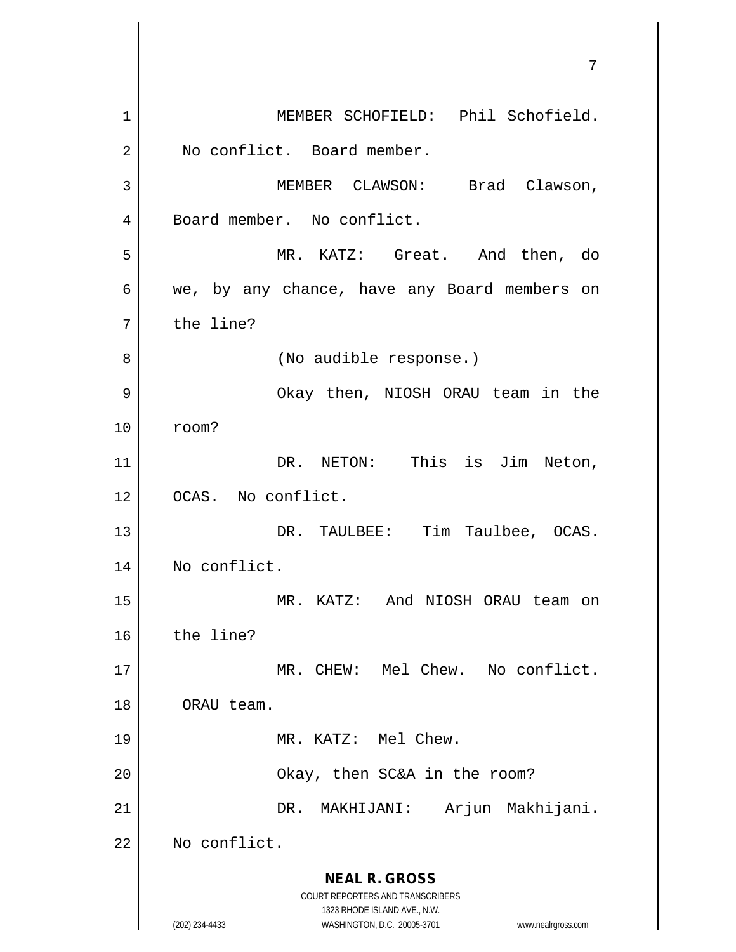**NEAL R. GROSS** COURT REPORTERS AND TRANSCRIBERS 1323 RHODE ISLAND AVE., N.W. (202) 234-4433 WASHINGTON, D.C. 20005-3701 www.nealrgross.com 1 || MEMBER SCHOFIELD: Phil Schofield. 2 || No conflict. Board member. 3 MEMBER CLAWSON: Brad Clawson, 4 | Board member. No conflict. 5 MR. KATZ: Great. And then, do  $6 \parallel$  we, by any chance, have any Board members on 7 | the line? 8 | (No audible response.) 9 Okay then, NIOSH ORAU team in the 10 room? 11 || DR. NETON: This is Jim Neton, 12 OCAS. No conflict. 13 || DR. TAULBEE: Tim Taulbee, OCAS. 14 | No conflict. 15 MR. KATZ: And NIOSH ORAU team on 16 the line? 17 MR. CHEW: Mel Chew. No conflict. 18 ORAU team. 19 || MR. KATZ: Mel Chew. 20 | Chay, then SC&A in the room? 21 DR. MAKHIJANI: Arjun Makhijani. 22 | No conflict.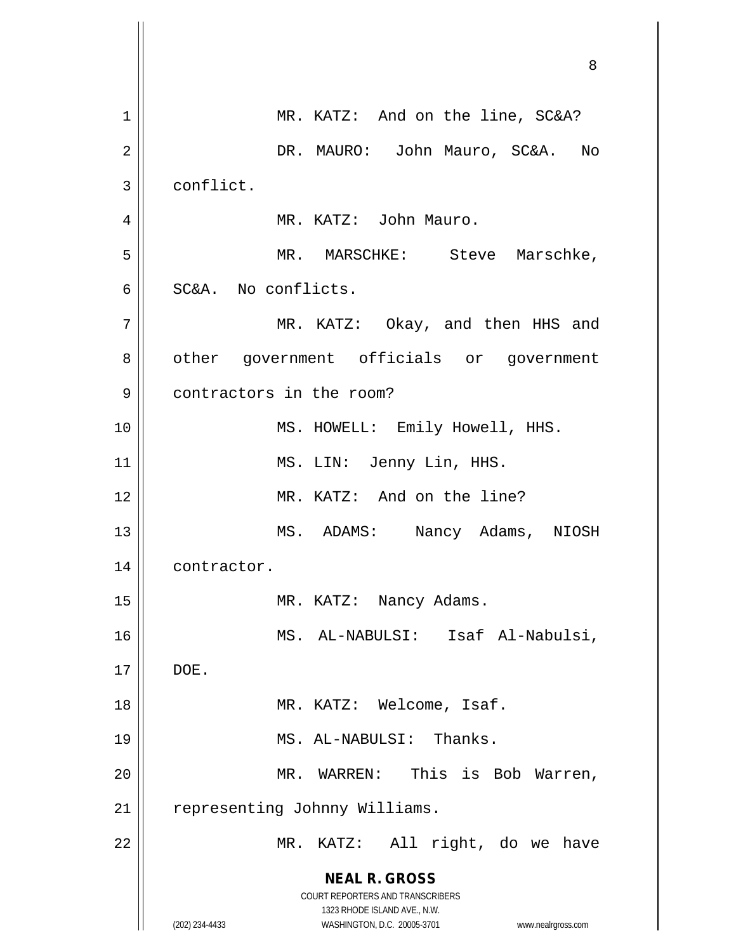**NEAL R. GROSS** COURT REPORTERS AND TRANSCRIBERS 1323 RHODE ISLAND AVE., N.W. (202) 234-4433 WASHINGTON, D.C. 20005-3701 www.nealrgross.com 8 1 || MR. KATZ: And on the line, SC&A? 2 DR. MAURO: John Mauro, SC&A. No 3 | conflict. 4 MR. KATZ: John Mauro. 5 MR. MARSCHKE: Steve Marschke, 6 SC&A. No conflicts. 7 || MR. KATZ: Okay, and then HHS and 8 | other government officials or government 9 contractors in the room? 10 || MS. HOWELL: Emily Howell, HHS. 11 || MS. LIN: Jenny Lin, HHS. 12 MR. KATZ: And on the line? 13 || MS. ADAMS: Nancy Adams, NIOSH 14 | contractor. 15 || MR. KATZ: Nancy Adams. 16 MS. AL-NABULSI: Isaf Al-Nabulsi,  $17 \parallel$  DOE. 18 || MR. KATZ: Welcome, Isaf. 19 || MS. AL-NABULSI: Thanks. 20 MR. WARREN: This is Bob Warren, 21 | representing Johnny Williams. 22 || MR. KATZ: All right, do we have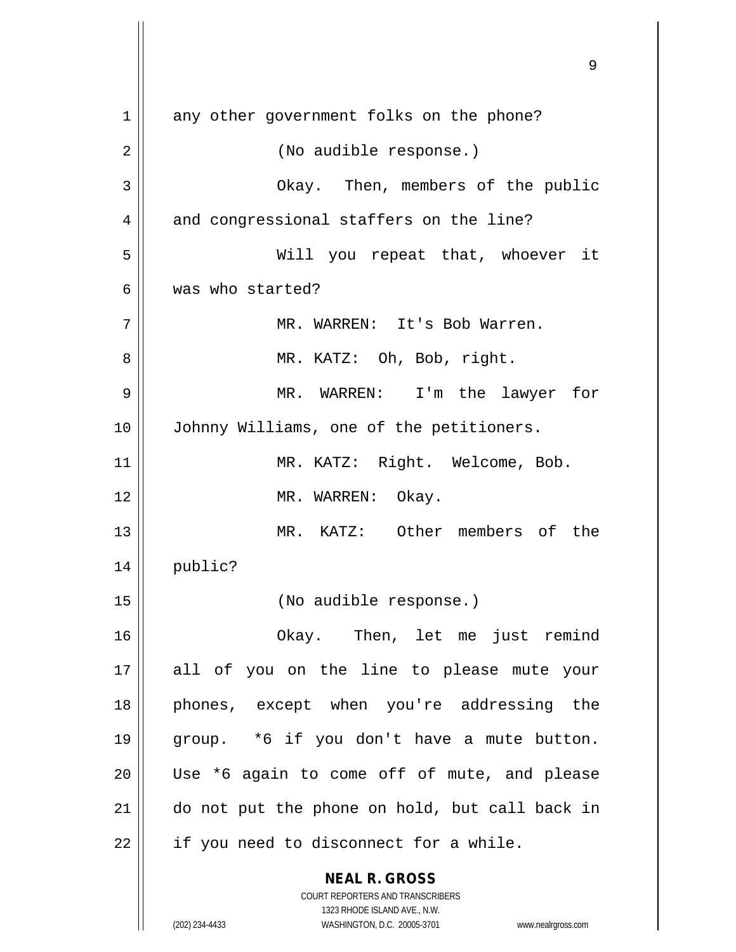**NEAL R. GROSS** COURT REPORTERS AND TRANSCRIBERS 1 any other government folks on the phone? 2 | (No audible response.) 3 || Chay. Then, members of the public 4 and congressional staffers on the line? 5 Will you repeat that, whoever it 6 Was who started? 7 MR. WARREN: It's Bob Warren. 8 || MR. KATZ: Oh, Bob, right. 9 MR. WARREN: I'm the lawyer for 10 || Johnny Williams, one of the petitioners. 11 | MR. KATZ: Right. Welcome, Bob. 12 || MR. WARREN: Okay. 13 MR. KATZ: Other members of the 14 public? 15 (No audible response.) 16 Okay. Then, let me just remind 17 all of you on the line to please mute your 18 phones, except when you're addressing the 19 group. \*6 if you don't have a mute button. 20 Use \*6 again to come off of mute, and please 21 do not put the phone on hold, but call back in  $22$  | if you need to disconnect for a while.

1323 RHODE ISLAND AVE., N.W.

(202) 234-4433 WASHINGTON, D.C. 20005-3701 www.nealrgross.com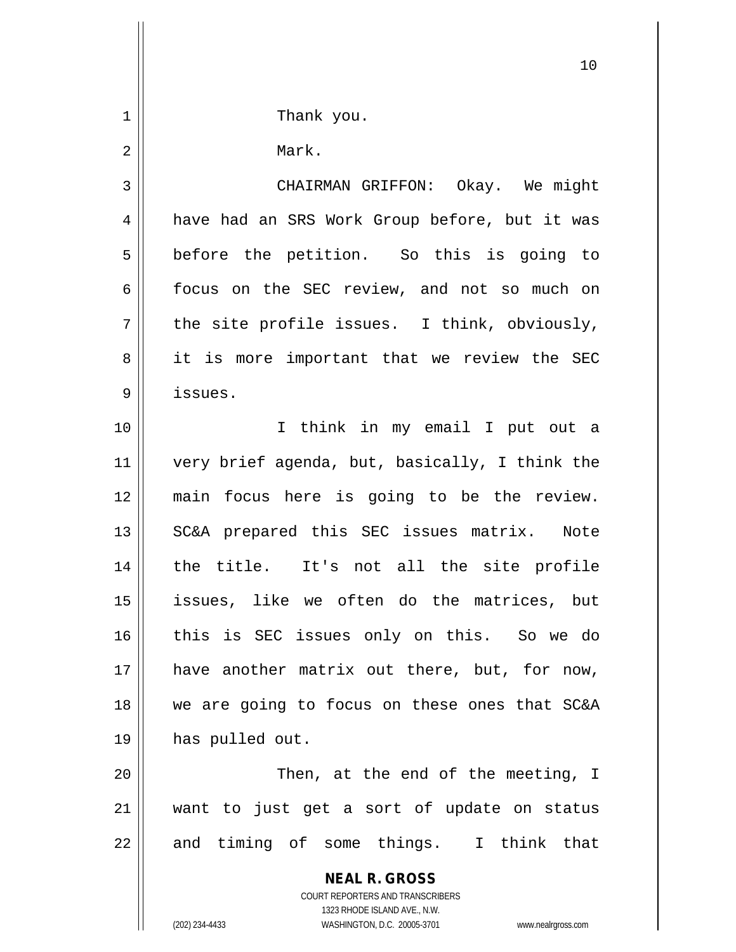**NEAL R. GROSS** COURT REPORTERS AND TRANSCRIBERS 10 1 || Thank you. 2 | Mark. 3 | CHAIRMAN GRIFFON: Okay. We might 4 | have had an SRS Work Group before, but it was 5 | before the petition. So this is going to 6 | focus on the SEC review, and not so much on  $7 \parallel$  the site profile issues. I think, obviously, 8 || it is more important that we review the SEC 9 issues. 10 I think in my email I put out a 11 very brief agenda, but, basically, I think the 12 main focus here is going to be the review. 13 || SC&A prepared this SEC issues matrix. Note 14 the title. It's not all the site profile 15 issues, like we often do the matrices, but 16 this is SEC issues only on this. So we do 17 have another matrix out there, but, for now, 18 we are going to focus on these ones that SC&A 19 has pulled out. 20 || Then, at the end of the meeting, I 21 want to just get a sort of update on status  $22$  || and timing of some things. I think that

1323 RHODE ISLAND AVE., N.W.

(202) 234-4433 WASHINGTON, D.C. 20005-3701 www.nealrgross.com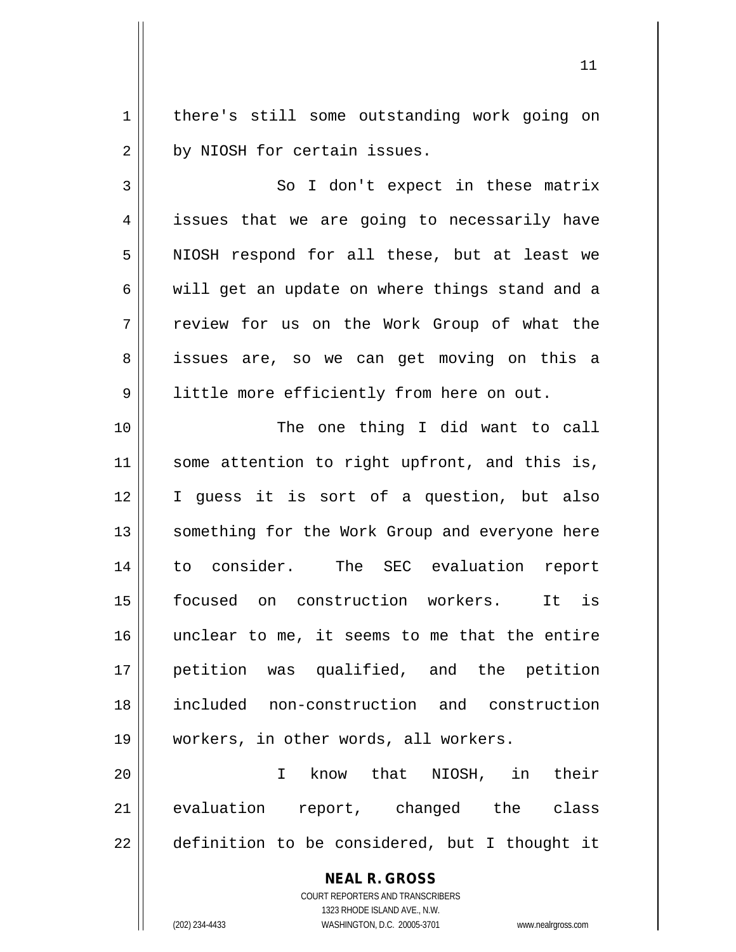1 | there's still some outstanding work going on  $2 \parallel$  by NIOSH for certain issues.

11

3 | So I don't expect in these matrix 4 || issues that we are going to necessarily have 5 || NIOSH respond for all these, but at least we  $6 \parallel$  will get an update on where things stand and a 7 || review for us on the Work Group of what the 8 || issues are, so we can get moving on this a 9 | little more efficiently from here on out.

 The one thing I did want to call 11 || some attention to right upfront, and this is, I guess it is sort of a question, but also 13 || something for the Work Group and everyone here to consider. The SEC evaluation report focused on construction workers. It is unclear to me, it seems to me that the entire petition was qualified, and the petition included non-construction and construction workers, in other words, all workers.

20 I know that NIOSH, in their 21 evaluation report, changed the class  $22 \parallel$  definition to be considered, but I thought it

## **NEAL R. GROSS**

COURT REPORTERS AND TRANSCRIBERS 1323 RHODE ISLAND AVE., N.W. (202) 234-4433 WASHINGTON, D.C. 20005-3701 www.nealrgross.com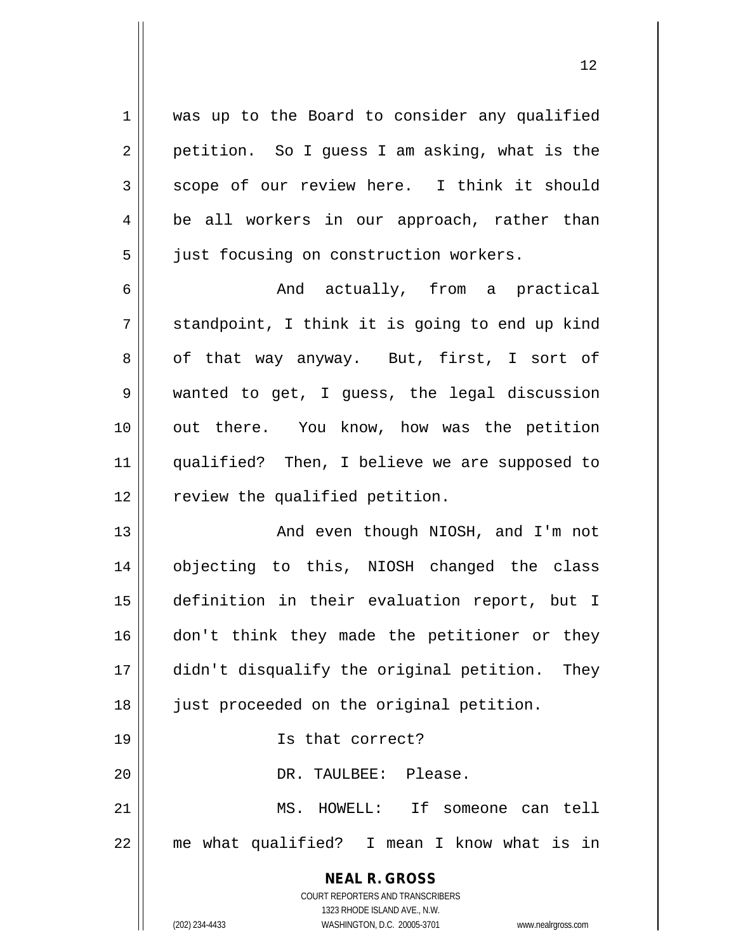1 || was up to the Board to consider any qualified  $2 \parallel$  petition. So I guess I am asking, what is the  $3 \parallel$  scope of our review here. I think it should  $4 \parallel$  be all workers in our approach, rather than 5 | just focusing on construction workers.

6 And actually, from a practical  $7 \parallel$  standpoint, I think it is going to end up kind  $8 \parallel$  of that way anyway. But, first, I sort of 9 wanted to get, I guess, the legal discussion 10 || out there. You know, how was the petition 11 qualified? Then, I believe we are supposed to  $12$  | review the qualified petition.

 And even though NIOSH, and I'm not objecting to this, NIOSH changed the class definition in their evaluation report, but I 16 || don't think they made the petitioner or they didn't disqualify the original petition. They 18 || just proceeded on the original petition.

19 Is that correct?

20 DR. TAULBEE: Please.

21 MS. HOWELL: If someone can tell 22 me what qualified? I mean I know what is in

> **NEAL R. GROSS** COURT REPORTERS AND TRANSCRIBERS 1323 RHODE ISLAND AVE., N.W. (202) 234-4433 WASHINGTON, D.C. 20005-3701 www.nealrgross.com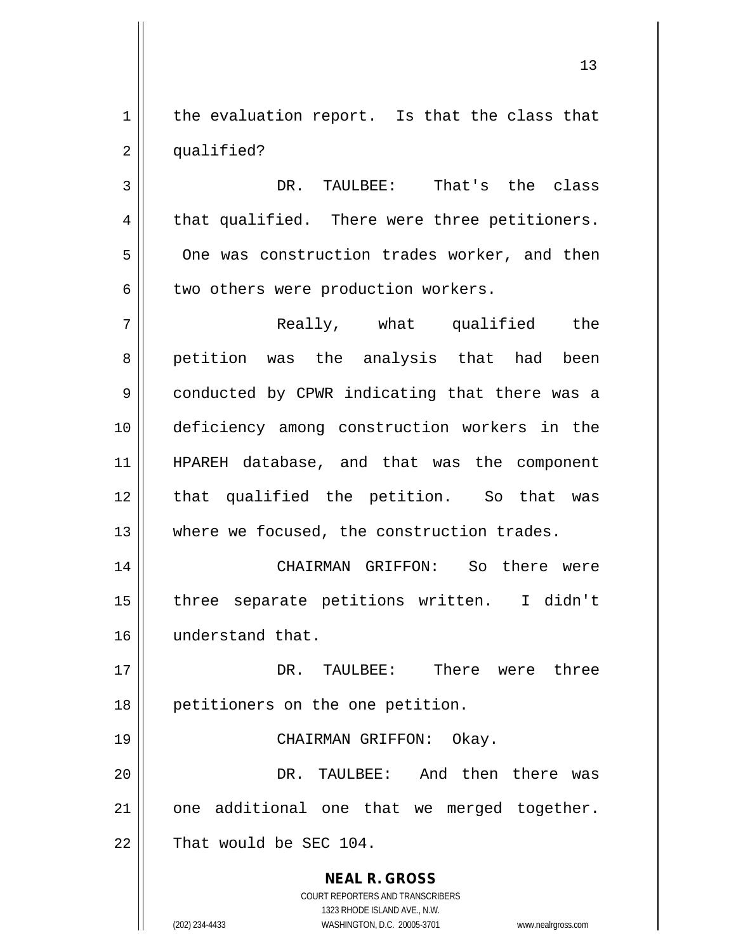$1$  the evaluation report. Is that the class that 2 | qualified?

3 DR. TAULBEE: That's the class  $4 \parallel$  that qualified. There were three petitioners. 5 One was construction trades worker, and then  $6 \parallel$  two others were production workers.

7 Really, what qualified the 8 || petition was the analysis that had been 9 || conducted by CPWR indicating that there was a 10 deficiency among construction workers in the 11 HPAREH database, and that was the component 12 || that qualified the petition. So that was 13 Where we focused, the construction trades.

14 CHAIRMAN GRIFFON: So there were 15 three separate petitions written. I didn't 16 understand that.

17 DR. TAULBEE: There were three 18 || petitioners on the one petition.

19 CHAIRMAN GRIFFON: Okay.

20 DR. TAULBEE: And then there was  $21$  | one additional one that we merged together.  $22$  | That would be SEC 104.

> **NEAL R. GROSS** COURT REPORTERS AND TRANSCRIBERS 1323 RHODE ISLAND AVE., N.W. (202) 234-4433 WASHINGTON, D.C. 20005-3701 www.nealrgross.com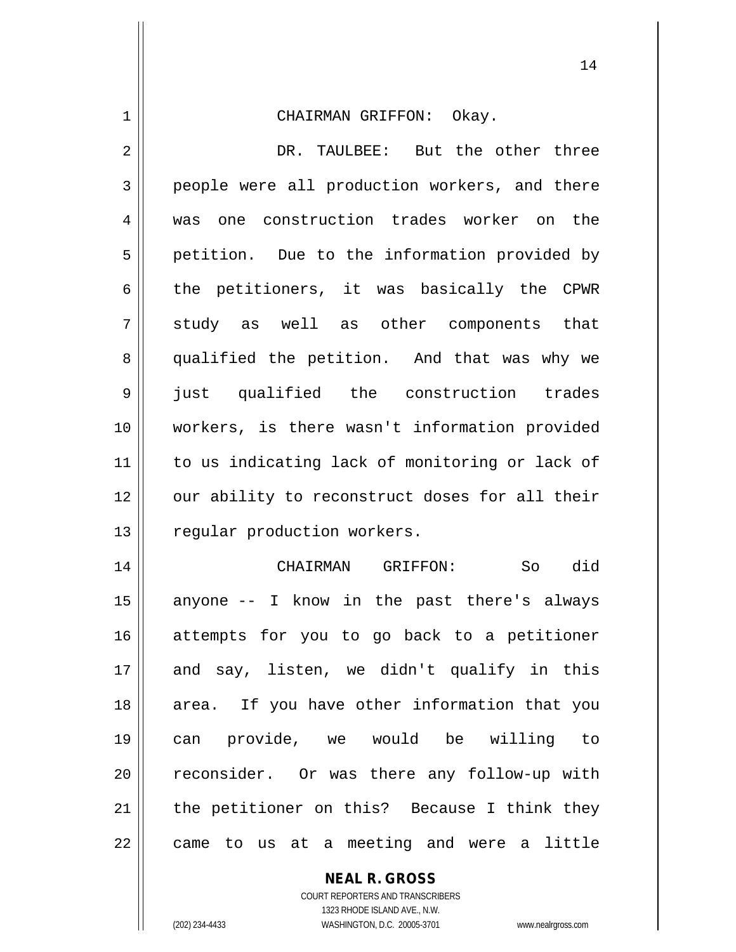| 1  | CHAIRMAN GRIFFON: Okay.                        |
|----|------------------------------------------------|
| 2  | DR. TAULBEE: But the other three               |
| 3  | people were all production workers, and there  |
| 4  | was one construction trades worker on the      |
| 5  | petition. Due to the information provided by   |
| 6  | the petitioners, it was basically the CPWR     |
| 7  | study as well as other components that         |
| 8  | qualified the petition. And that was why we    |
| 9  | just qualified the construction trades         |
| 10 | workers, is there wasn't information provided  |
| 11 | to us indicating lack of monitoring or lack of |
| 12 | our ability to reconstruct doses for all their |
| 13 | regular production workers.                    |
| 14 | did<br>CHAIRMAN GRIFFON:<br>So                 |
| 15 | anyone -- I know in the past there's always    |
| 16 | attempts for you to go back to a petitioner    |
| 17 | and say, listen, we didn't qualify in this     |
| 18 | area. If you have other information that you   |
| 19 | can provide, we would be willing to            |
| 20 | reconsider. Or was there any follow-up with    |
| 21 | the petitioner on this? Because I think they   |
| 22 | came to us at a meeting and were a little      |

**NEAL R. GROSS**

COURT REPORTERS AND TRANSCRIBERS 1323 RHODE ISLAND AVE., N.W. (202) 234-4433 WASHINGTON, D.C. 20005-3701 www.nealrgross.com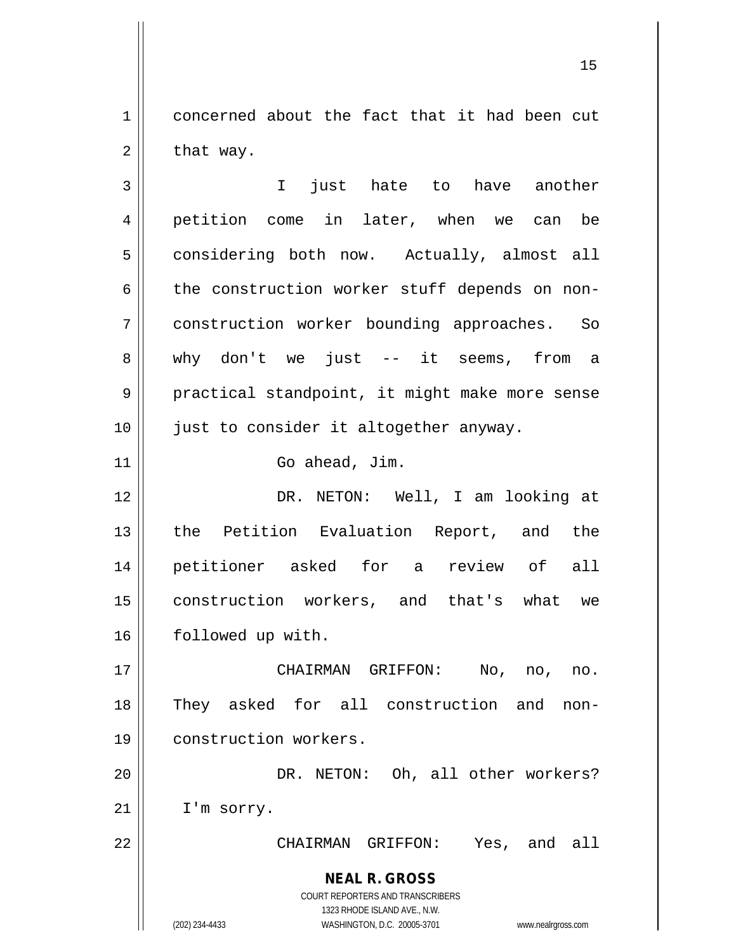1 concerned about the fact that it had been cut  $2 \parallel$  that way.

**NEAL R. GROSS** COURT REPORTERS AND TRANSCRIBERS 1323 RHODE ISLAND AVE., N.W. (202) 234-4433 WASHINGTON, D.C. 20005-3701 www.nealrgross.com 3 I just hate to have another 4 petition come in later, when we can be 5 | considering both now. Actually, almost all  $6 \parallel$  the construction worker stuff depends on non-7 construction worker bounding approaches. So 8 why don't we just -- it seems, from a 9 | practical standpoint, it might make more sense 10 || just to consider it altogether anyway. 11 || Go ahead, Jim. 12 DR. NETON: Well, I am looking at 13 || the Petition Evaluation Report, and the 14 petitioner asked for a review of all 15 construction workers, and that's what we 16 | followed up with. 17 CHAIRMAN GRIFFON: No, no, no. 18 They asked for all construction and non-19 | construction workers. 20 || DR. NETON: Oh, all other workers? 21 | I'm sorry. 22 CHAIRMAN GRIFFON: Yes, and all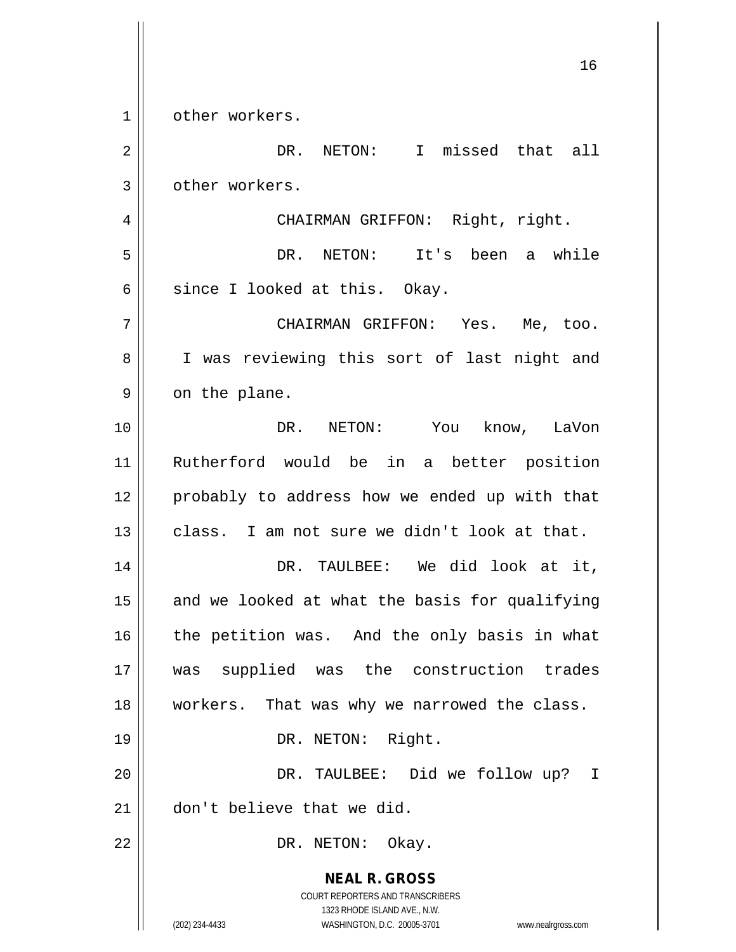**NEAL R. GROSS** COURT REPORTERS AND TRANSCRIBERS 1323 RHODE ISLAND AVE., N.W. (202) 234-4433 WASHINGTON, D.C. 20005-3701 www.nealrgross.com 1 | other workers. 2 DR. NETON: I missed that all 3 | other workers. 4 CHAIRMAN GRIFFON: Right, right. 5 DR. NETON: It's been a while 6  $\parallel$  since I looked at this. Okay. 7 CHAIRMAN GRIFFON: Yes. Me, too. 8 || I was reviewing this sort of last night and  $9 \parallel$  on the plane. 10 DR. NETON: You know, LaVon 11 Rutherford would be in a better position 12 || probably to address how we ended up with that  $13$   $\parallel$  class. I am not sure we didn't look at that. 14 DR. TAULBEE: We did look at it,  $15$  and we looked at what the basis for qualifying 16 || the petition was. And the only basis in what 17 was supplied was the construction trades 18 || workers. That was why we narrowed the class. 19 || DR. NETON: Right. 20 DR. TAULBEE: Did we follow up? I 21 don't believe that we did. 22 | DR. NETON: Okay.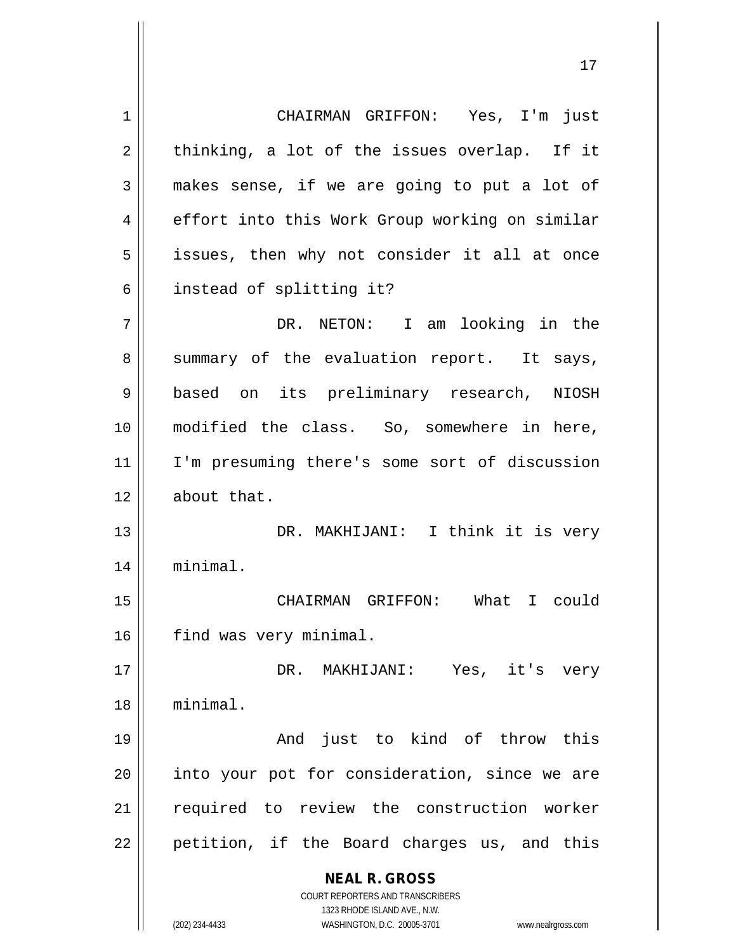**NEAL R. GROSS** COURT REPORTERS AND TRANSCRIBERS 1323 RHODE ISLAND AVE., N.W. 1 || CHAIRMAN GRIFFON: Yes, I'm just  $2 \parallel$  thinking, a lot of the issues overlap. If it  $3 \parallel$  makes sense, if we are going to put a lot of 4 effort into this Work Group working on similar 5 || issues, then why not consider it all at once 6 | instead of splitting it? 7 DR. NETON: I am looking in the  $8 \parallel$  summary of the evaluation report. It says, 9 || based on its preliminary research, NIOSH 10 modified the class. So, somewhere in here, 11 I'm presuming there's some sort of discussion 12 | about that. 13 DR. MAKHIJANI: I think it is very 14 minimal. 15 CHAIRMAN GRIFFON: What I could 16 | find was very minimal. 17 DR. MAKHIJANI: Yes, it's very 18 minimal. 19 And just to kind of throw this  $20$  || into your pot for consideration, since we are 21 || required to review the construction worker 22 || petition, if the Board charges us, and this

(202) 234-4433 WASHINGTON, D.C. 20005-3701 www.nealrgross.com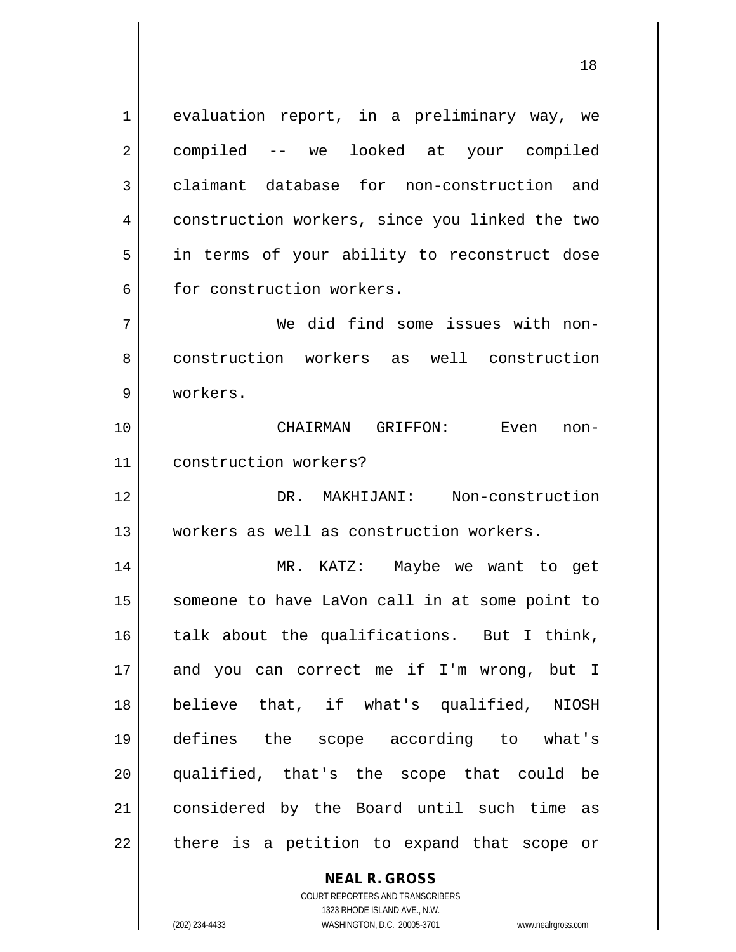1 evaluation report, in a preliminary way, we 2 compiled -- we looked at your compiled 3 claimant database for non-construction and 4 construction workers, since you linked the two 5 || in terms of your ability to reconstruct dose 6 || for construction workers.

7 We did find some issues with non-8 || construction workers as well construction 9 workers.

10 CHAIRMAN GRIFFON: Even non-11 construction workers?

12 DR. MAKHIJANI: Non-construction 13 workers as well as construction workers.

 MR. KATZ: Maybe we want to get 15 || someone to have LaVon call in at some point to | talk about the qualifications. But I think, 17 || and you can correct me if I'm wrong, but I believe that, if what's qualified, NIOSH defines the scope according to what's qualified, that's the scope that could be considered by the Board until such time as || there is a petition to expand that scope or

## **NEAL R. GROSS**

COURT REPORTERS AND TRANSCRIBERS 1323 RHODE ISLAND AVE., N.W. (202) 234-4433 WASHINGTON, D.C. 20005-3701 www.nealrgross.com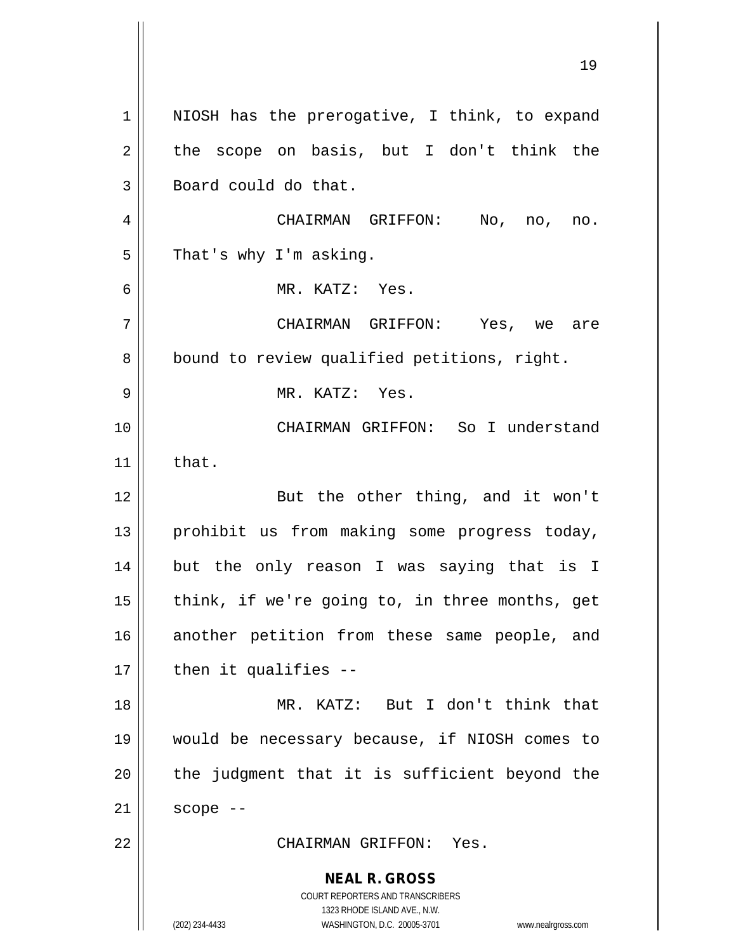**NEAL R. GROSS** COURT REPORTERS AND TRANSCRIBERS 1323 RHODE ISLAND AVE., N.W. (202) 234-4433 WASHINGTON, D.C. 20005-3701 www.nealrgross.com 1 || NIOSH has the prerogative, I think, to expand  $2 \parallel$  the scope on basis, but I don't think the 3 | Board could do that. 4 CHAIRMAN GRIFFON: No, no, no.  $5 \parallel$  That's why I'm asking. 6 MR. KATZ: Yes. 7 CHAIRMAN GRIFFON: Yes, we are 8 | bound to review qualified petitions, right. 9 MR. KATZ: Yes. 10 CHAIRMAN GRIFFON: So I understand 11  $\parallel$  that. 12 || But the other thing, and it won't 13 || prohibit us from making some progress today, 14 but the only reason I was saying that is I  $15$  || think, if we're going to, in three months, get 16 another petition from these same people, and  $17$  | then it qualifies --18 MR. KATZ: But I don't think that 19 would be necessary because, if NIOSH comes to  $20$  || the judgment that it is sufficient beyond the  $21$  scope  $-$ 22 CHAIRMAN GRIFFON: Yes.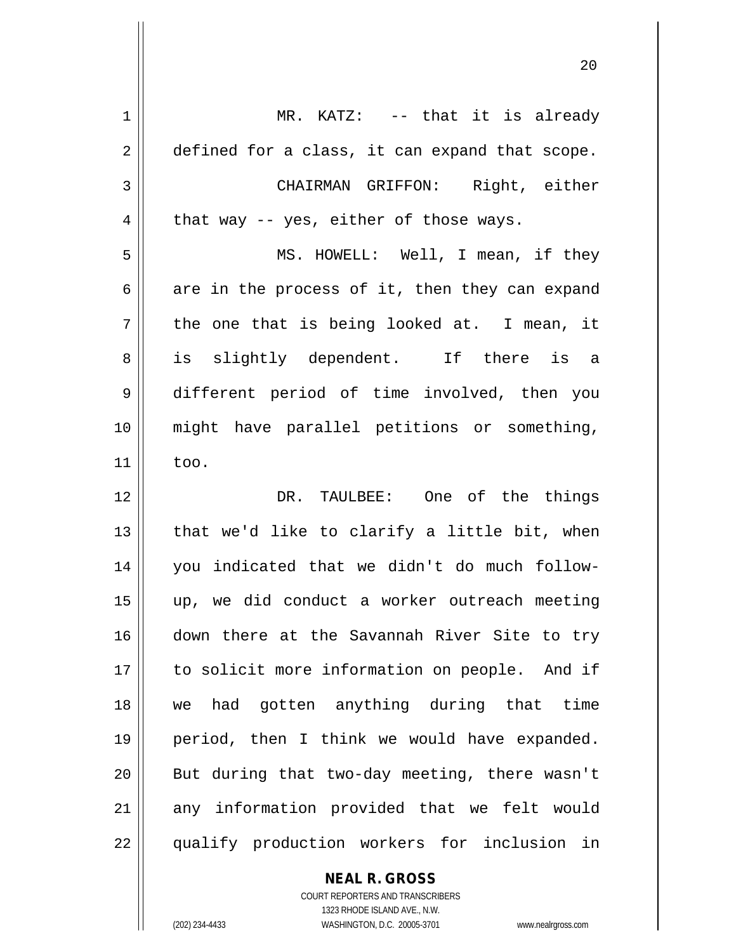| 1  | MR. KATZ: -- that it is already                |
|----|------------------------------------------------|
| 2  | defined for a class, it can expand that scope. |
| 3  | CHAIRMAN GRIFFON: Right, either                |
| 4  | that way -- yes, either of those ways.         |
| 5  | MS. HOWELL: Well, I mean, if they              |
| 6  | are in the process of it, then they can expand |
| 7  | the one that is being looked at. I mean, it    |
| 8  | is slightly dependent. If there is a           |
| 9  | different period of time involved, then you    |
| 10 | might have parallel petitions or something,    |
| 11 | too.                                           |
| 12 | DR. TAULBEE: One of the things                 |
| 13 | that we'd like to clarify a little bit, when   |
| 14 | you indicated that we didn't do much follow-   |
| 15 | up, we did conduct a worker outreach meeting   |
| 16 | down there at the Savannah River Site to try   |
| 17 | to solicit more information on people. And if  |
| 18 | we had gotten anything during that time        |
| 19 | period, then I think we would have expanded.   |
| 20 | But during that two-day meeting, there wasn't  |
| 21 | any information provided that we felt would    |
| 22 | qualify production workers for inclusion in    |

**NEAL R. GROSS**

COURT REPORTERS AND TRANSCRIBERS 1323 RHODE ISLAND AVE., N.W. (202) 234-4433 WASHINGTON, D.C. 20005-3701 www.nealrgross.com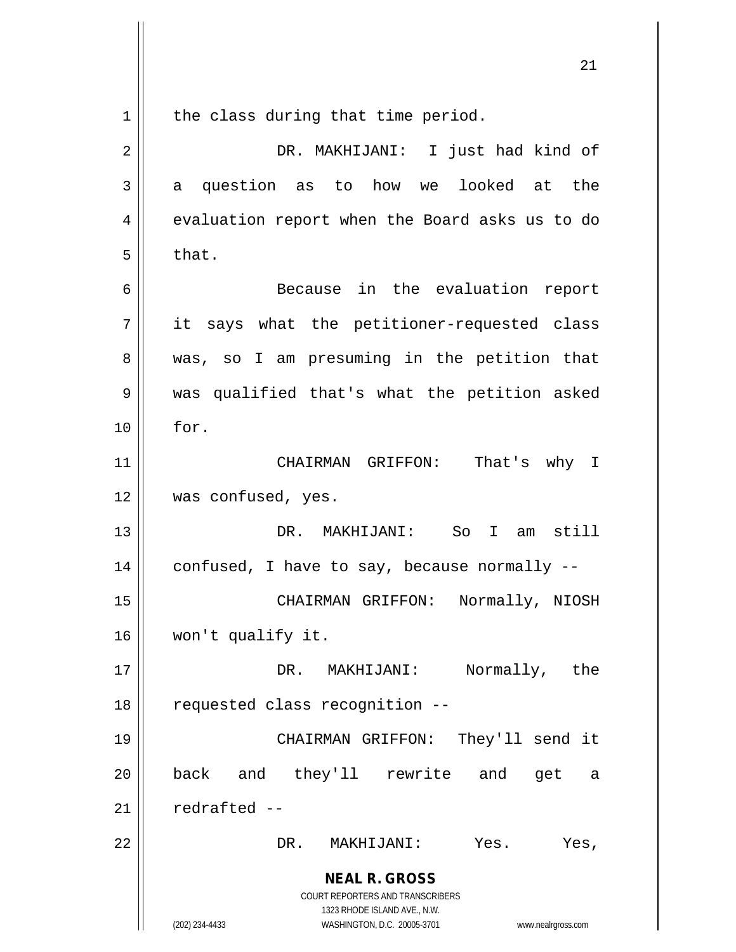**NEAL R. GROSS** COURT REPORTERS AND TRANSCRIBERS 1323 RHODE ISLAND AVE., N.W. (202) 234-4433 WASHINGTON, D.C. 20005-3701 www.nealrgross.com  $1$  the class during that time period. 2 DR. MAKHIJANI: I just had kind of  $3 \parallel$  a question as to how we looked at the 4 | evaluation report when the Board asks us to do  $5 \parallel$  that. 6 Because in the evaluation report  $7$  || it says what the petitioner-requested class 8 was, so I am presuming in the petition that 9 was qualified that's what the petition asked  $10 \parallel$  for. 11 CHAIRMAN GRIFFON: That's why I 12 || was confused, yes. 13 DR. MAKHIJANI: So I am still 14  $\vert$  confused, I have to say, because normally --15 CHAIRMAN GRIFFON: Normally, NIOSH 16 won't qualify it. 17 DR. MAKHIJANI: Normally, the 18 || requested class recognition --19 CHAIRMAN GRIFFON: They'll send it 20 back and they'll rewrite and get a  $21$  redrafted  $-$ 22 DR. MAKHIJANI: Yes. Yes,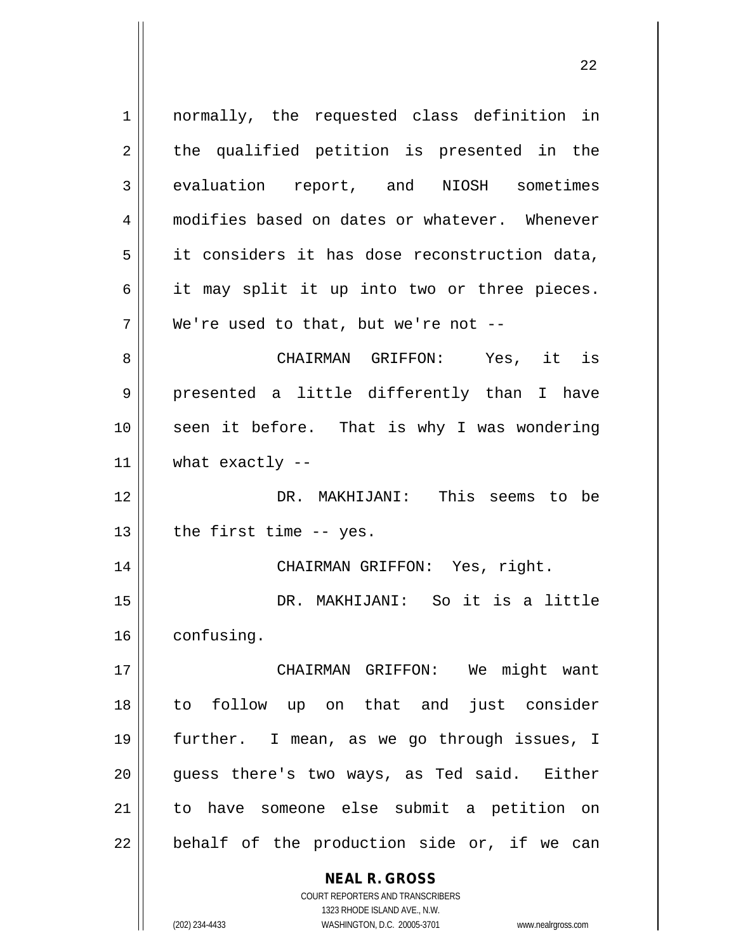| $\mathbf 1$ | normally, the requested class definition in                         |
|-------------|---------------------------------------------------------------------|
| 2           | the qualified petition is presented in the                          |
| 3           | evaluation report, and NIOSH sometimes                              |
| 4           | modifies based on dates or whatever. Whenever                       |
| 5           | it considers it has dose reconstruction data,                       |
| 6           | it may split it up into two or three pieces.                        |
| 7           | We're used to that, but we're not $-$ -                             |
| 8           | CHAIRMAN GRIFFON: Yes, it is                                        |
| 9           | presented a little differently than I have                          |
| 10          | seen it before. That is why I was wondering                         |
| 11          | what exactly $--$                                                   |
| 12          | DR. MAKHIJANI: This seems to be                                     |
| 13          | the first time -- yes.                                              |
| 14          | CHAIRMAN GRIFFON: Yes, right.                                       |
| 15          | DR. MAKHIJANI: So it is a little                                    |
| 16          | confusing.                                                          |
| 17          | CHAIRMAN GRIFFON: We might want                                     |
| 18          | just consider<br>follow up on that and<br>to                        |
| 19          | further. I mean, as we go through issues, I                         |
| 20          | guess there's two ways, as Ted said. Either                         |
| 21          | to have someone else submit a petition on                           |
| 22          | behalf of the production side or, if we can                         |
|             | <b>NEAL R. GROSS</b>                                                |
|             | <b>COURT REPORTERS AND TRANSCRIBERS</b>                             |
|             | 1323 RHODE ISLAND AVE., N.W.                                        |
|             | (202) 234-4433<br>WASHINGTON, D.C. 20005-3701<br>www.nealrgross.com |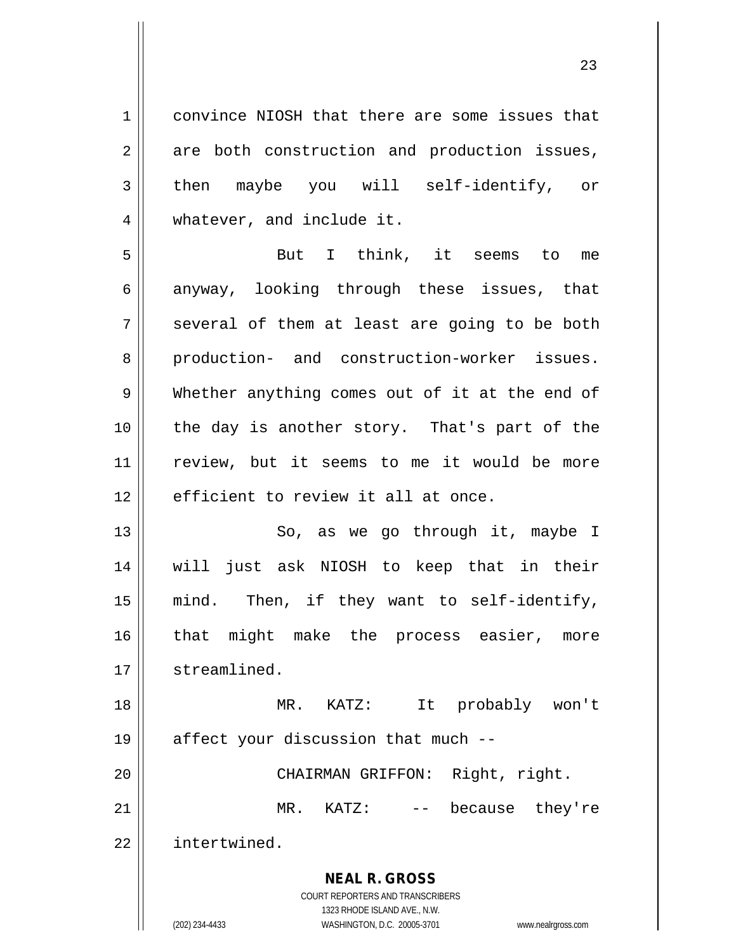**NEAL R. GROSS** COURT REPORTERS AND TRANSCRIBERS 1323 RHODE ISLAND AVE., N.W. 1 convince NIOSH that there are some issues that  $2 \parallel$  are both construction and production issues, 3 then maybe you will self-identify, or 4 | whatever, and include it. 5 But I think, it seems to me 6 anyway, looking through these issues, that  $7 \parallel$  several of them at least are going to be both 8 production- and construction-worker issues. 9 Whether anything comes out of it at the end of 10 the day is another story. That's part of the 11 review, but it seems to me it would be more  $12$   $\parallel$  efficient to review it all at once. 13 || So, as we go through it, maybe I 14 will just ask NIOSH to keep that in their 15 mind. Then, if they want to self-identify, 16 || that might make the process easier, more 17 | streamlined. 18 MR. KATZ: It probably won't 19  $\parallel$  affect your discussion that much --20 CHAIRMAN GRIFFON: Right, right. 21 || MR. KATZ: -- because they're 22 intertwined.

(202) 234-4433 WASHINGTON, D.C. 20005-3701 www.nealrgross.com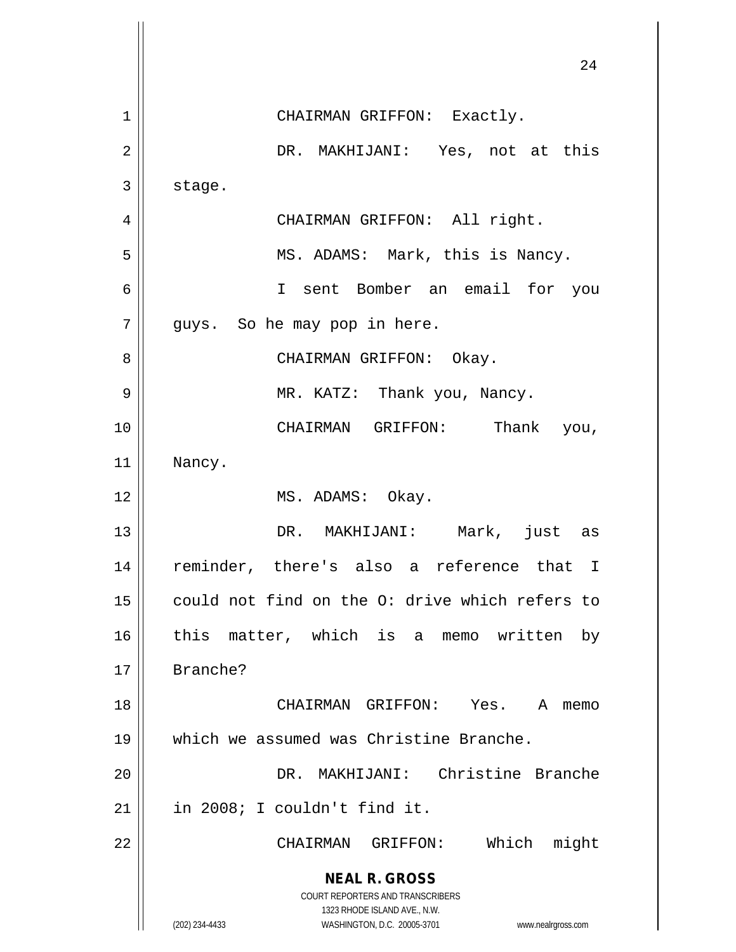|    | 24                                                                                                  |
|----|-----------------------------------------------------------------------------------------------------|
| 1  | CHAIRMAN GRIFFON: Exactly.                                                                          |
| 2  | DR. MAKHIJANI: Yes, not at this                                                                     |
| 3  | stage.                                                                                              |
| 4  | CHAIRMAN GRIFFON: All right.                                                                        |
| 5  | MS. ADAMS: Mark, this is Nancy.                                                                     |
| 6  | I sent Bomber an email for you                                                                      |
| 7  | guys. So he may pop in here.                                                                        |
| 8  | CHAIRMAN GRIFFON: Okay.                                                                             |
| 9  | MR. KATZ: Thank you, Nancy.                                                                         |
| 10 | CHAIRMAN GRIFFON: Thank you,                                                                        |
| 11 | Nancy.                                                                                              |
| 12 | MS. ADAMS: Okay.                                                                                    |
| 13 | DR. MAKHIJANI: Mark, just as                                                                        |
| 14 | reminder, there's also a reference that<br>I                                                        |
| 15 | could not find on the O: drive which refers to                                                      |
| 16 | this matter, which is a memo written<br>by                                                          |
| 17 | Branche?                                                                                            |
| 18 | CHAIRMAN GRIFFON: Yes.<br>A<br>memo                                                                 |
| 19 | which we assumed was Christine Branche.                                                             |
| 20 | DR. MAKHIJANI: Christine Branche                                                                    |
| 21 | in 2008; I couldn't find it.                                                                        |
| 22 | Which<br>might<br>CHAIRMAN GRIFFON:                                                                 |
|    | <b>NEAL R. GROSS</b>                                                                                |
|    | <b>COURT REPORTERS AND TRANSCRIBERS</b>                                                             |
|    | 1323 RHODE ISLAND AVE., N.W.<br>(202) 234-4433<br>WASHINGTON, D.C. 20005-3701<br>www.nealrgross.com |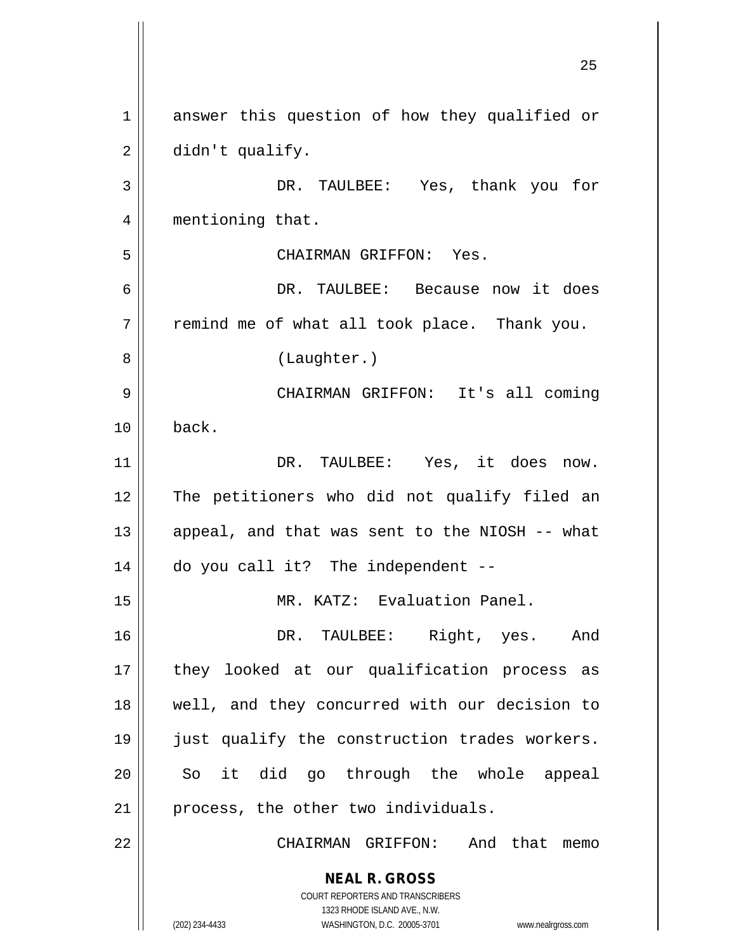**NEAL R. GROSS** COURT REPORTERS AND TRANSCRIBERS 1323 RHODE ISLAND AVE., N.W. (202) 234-4433 WASHINGTON, D.C. 20005-3701 www.nealrgross.com 25 1 answer this question of how they qualified or  $2 \parallel$  didn't qualify. 3 DR. TAULBEE: Yes, thank you for 4 || mentioning that. 5 CHAIRMAN GRIFFON: Yes. 6 DR. TAULBEE: Because now it does  $7$   $\parallel$  remind me of what all took place. Thank you. 8 || (Laughter.) 9 CHAIRMAN GRIFFON: It's all coming  $10 \parallel$  back. 11 DR. TAULBEE: Yes, it does now. 12 || The petitioners who did not qualify filed an 13  $\parallel$  appeal, and that was sent to the NIOSH -- what 14 do you call it? The independent -- 15 MR. KATZ: Evaluation Panel. 16 DR. TAULBEE: Right, yes. And 17 || they looked at our qualification process as 18 well, and they concurred with our decision to 19 just qualify the construction trades workers. 20 || So it did go through the whole appeal  $21$  | process, the other two individuals. 22 || CHAIRMAN GRIFFON: And that memo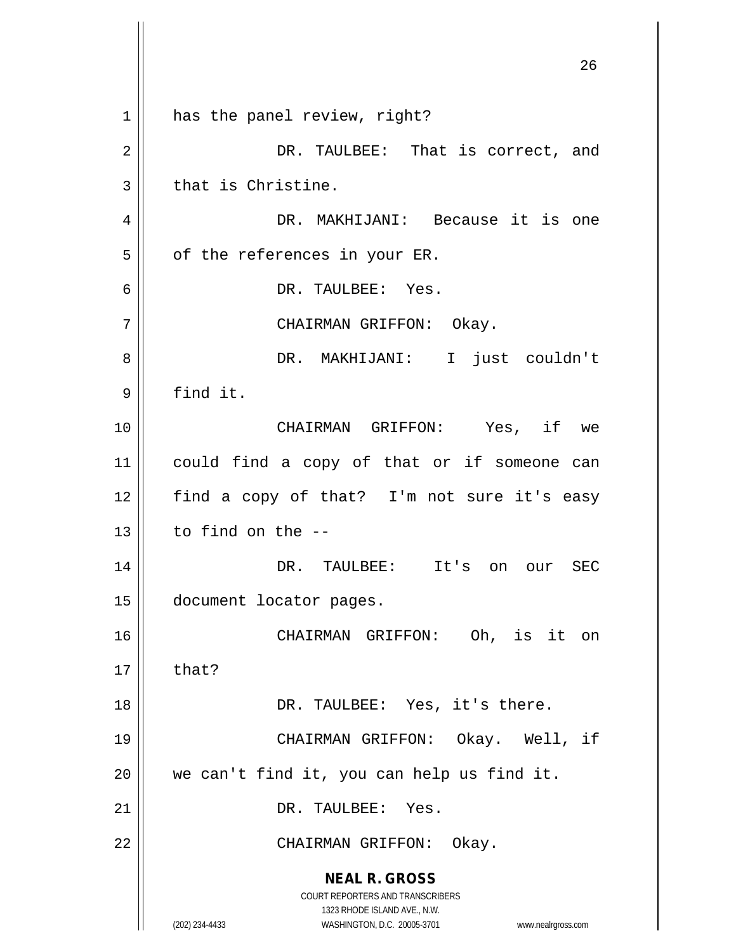|    | 26                                                                                                  |
|----|-----------------------------------------------------------------------------------------------------|
| 1  | has the panel review, right?                                                                        |
| 2  | DR. TAULBEE: That is correct, and                                                                   |
| 3  | that is Christine.                                                                                  |
| 4  | DR. MAKHIJANI: Because it is one                                                                    |
| 5  | of the references in your ER.                                                                       |
| 6  | DR. TAULBEE: Yes.                                                                                   |
| 7  | CHAIRMAN GRIFFON: Okay.                                                                             |
| 8  | DR. MAKHIJANI: I just couldn't                                                                      |
| 9  | find it.                                                                                            |
| 10 | CHAIRMAN GRIFFON: Yes, if we                                                                        |
| 11 | could find a copy of that or if someone can                                                         |
| 12 | find a copy of that? I'm not sure it's easy                                                         |
| 13 | to find on the --                                                                                   |
| 14 | DR. TAULBEE:<br>It's on<br>SEC<br>our                                                               |
| 15 | document locator pages.                                                                             |
| 16 | Oh, is it on<br>CHAIRMAN GRIFFON:                                                                   |
| 17 | that?                                                                                               |
| 18 | DR. TAULBEE: Yes, it's there.                                                                       |
| 19 | CHAIRMAN GRIFFON: Okay. Well, if                                                                    |
| 20 | we can't find it, you can help us find it.                                                          |
| 21 | DR. TAULBEE: Yes.                                                                                   |
| 22 | CHAIRMAN GRIFFON: Okay.                                                                             |
|    | <b>NEAL R. GROSS</b><br>COURT REPORTERS AND TRANSCRIBERS                                            |
|    | 1323 RHODE ISLAND AVE., N.W.<br>(202) 234-4433<br>WASHINGTON, D.C. 20005-3701<br>www.nealrgross.com |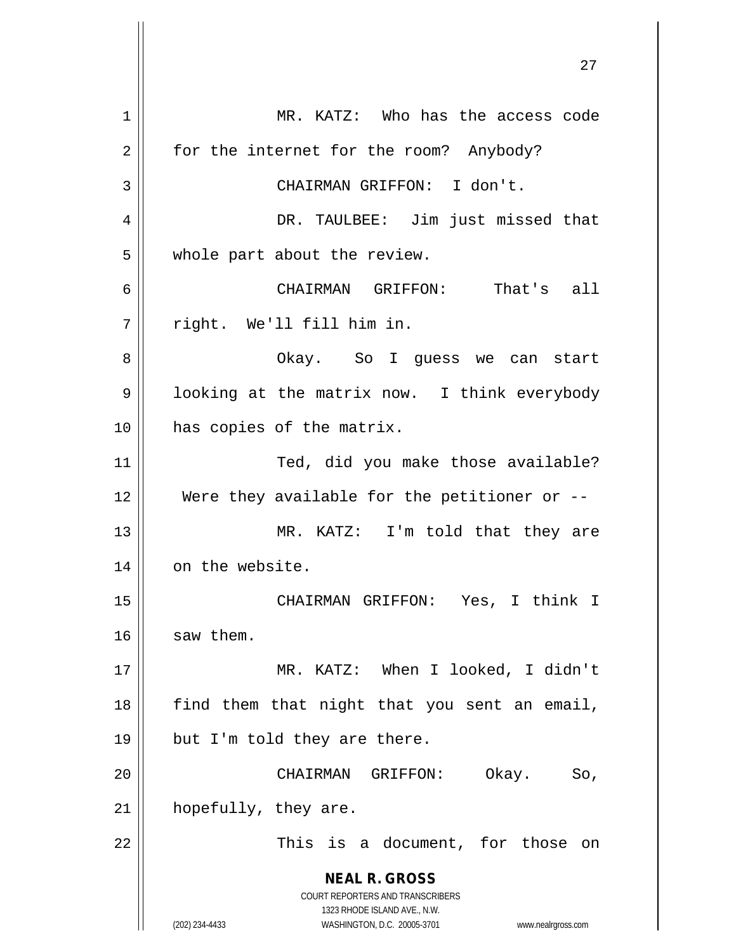**NEAL R. GROSS** COURT REPORTERS AND TRANSCRIBERS 1323 RHODE ISLAND AVE., N.W. (202) 234-4433 WASHINGTON, D.C. 20005-3701 www.nealrgross.com 1 | MR. KATZ: Who has the access code 2 | for the internet for the room? Anybody? 3 || CHAIRMAN GRIFFON: I don't. 4 DR. TAULBEE: Jim just missed that 5 | whole part about the review. 6 CHAIRMAN GRIFFON: That's all 7 right. We'll fill him in. 8 Okay. So I guess we can start 9 | looking at the matrix now. I think everybody 10 || has copies of the matrix. 11 || Ted, did you make those available? 12  $\parallel$  Were they available for the petitioner or  $-$ 13 || MR. KATZ: I'm told that they are 14 | on the website. 15 CHAIRMAN GRIFFON: Yes, I think I  $16$  saw them. 17 || MR. KATZ: When I looked, I didn't  $18$  find them that night that you sent an email, 19  $\parallel$  but I'm told they are there. 20 CHAIRMAN GRIFFON: Okay. So,  $21$  | hopefully, they are. 22 || This is a document, for those on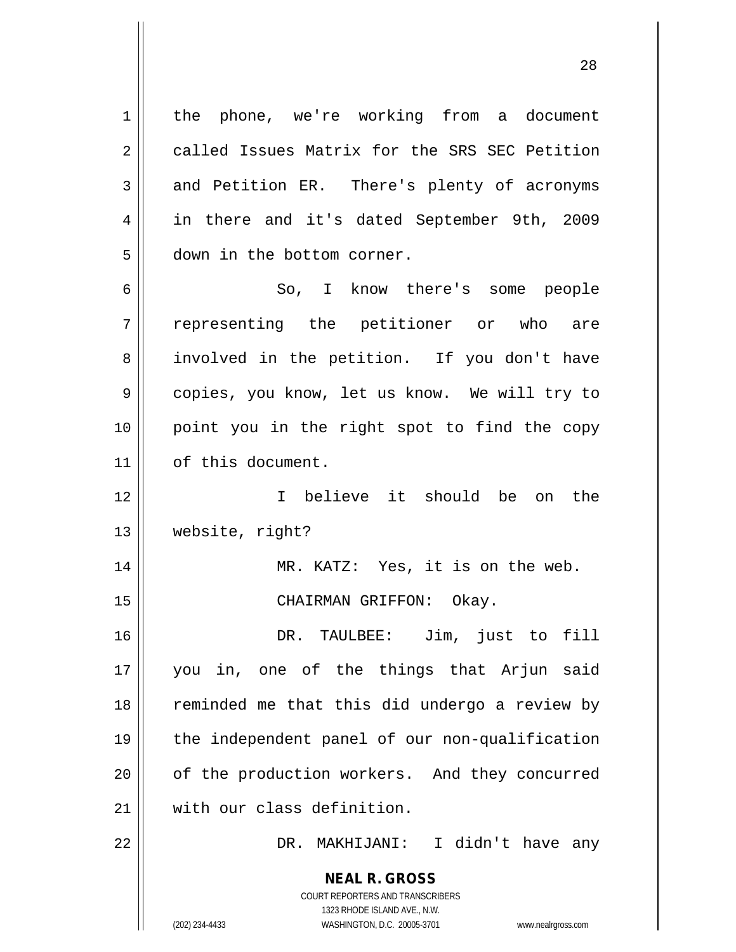**NEAL R. GROSS** COURT REPORTERS AND TRANSCRIBERS 1 || the phone, we're working from a document 2 called Issues Matrix for the SRS SEC Petition 3 and Petition ER. There's plenty of acronyms 4 in there and it's dated September 9th, 2009 5 | down in the bottom corner. 6 So, I know there's some people 7 representing the petitioner or who are 8 || involved in the petition. If you don't have 9 || copies, you know, let us know. We will try to 10 point you in the right spot to find the copy 11 | of this document. 12 I believe it should be on the 13 website, right? 14 || MR. KATZ: Yes, it is on the web. 15 || CHAIRMAN GRIFFON: Okay. 16 DR. TAULBEE: Jim, just to fill 17 you in, one of the things that Arjun said 18 || reminded me that this did undergo a review by 19 the independent panel of our non-qualification 20 | of the production workers. And they concurred 21 with our class definition. 22 DR. MAKHIJANI: I didn't have any

1323 RHODE ISLAND AVE., N.W.

(202) 234-4433 WASHINGTON, D.C. 20005-3701 www.nealrgross.com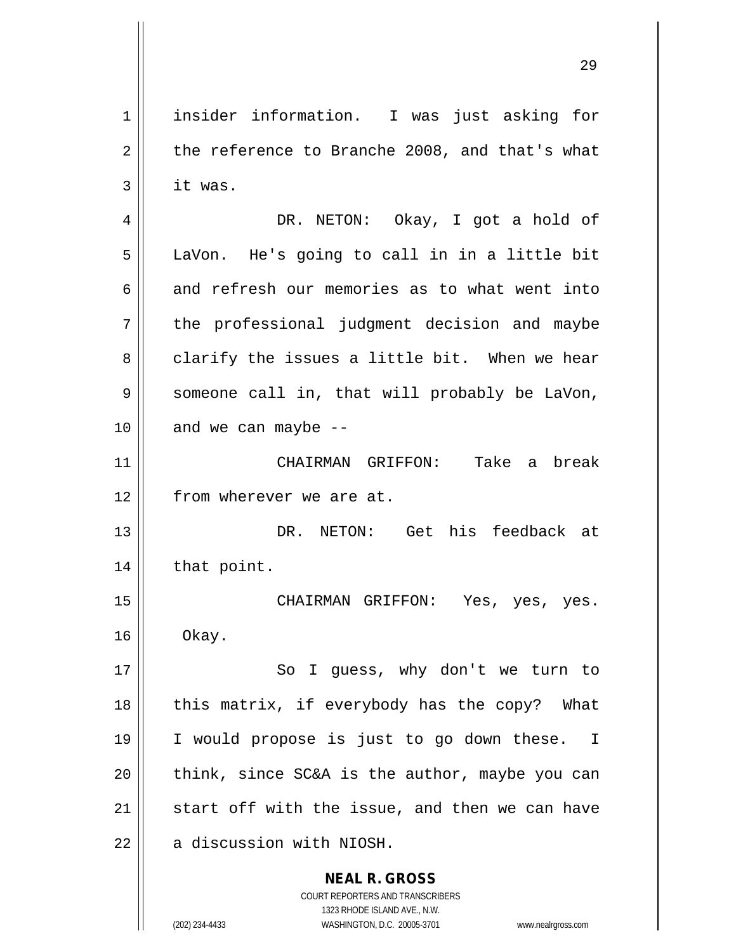1 insider information. I was just asking for  $2 \parallel$  the reference to Branche 2008, and that's what  $3 \parallel$  it was. 4 DR. NETON: Okay, I got a hold of 5 || LaVon. He's going to call in in a little bit  $6 \parallel$  and refresh our memories as to what went into 7 the professional judgment decision and maybe  $8 \parallel$  clarify the issues a little bit. When we hear 9 || someone call in, that will probably be LaVon,  $10$  | and we can maybe  $-$ 11 CHAIRMAN GRIFFON: Take a break 12 | from wherever we are at. 13 DR. NETON: Get his feedback at  $14$  | that point. 15 CHAIRMAN GRIFFON: Yes, yes, yes.  $16 \parallel$  Okay. 17 || So I guess, why don't we turn to 18  $\parallel$  this matrix, if everybody has the copy? What 19 I would propose is just to go down these. I  $20$  || think, since SC&A is the author, maybe you can 21  $\parallel$  start off with the issue, and then we can have  $22$  | a discussion with NIOSH.

> COURT REPORTERS AND TRANSCRIBERS 1323 RHODE ISLAND AVE., N.W. (202) 234-4433 WASHINGTON, D.C. 20005-3701 www.nealrgross.com

**NEAL R. GROSS**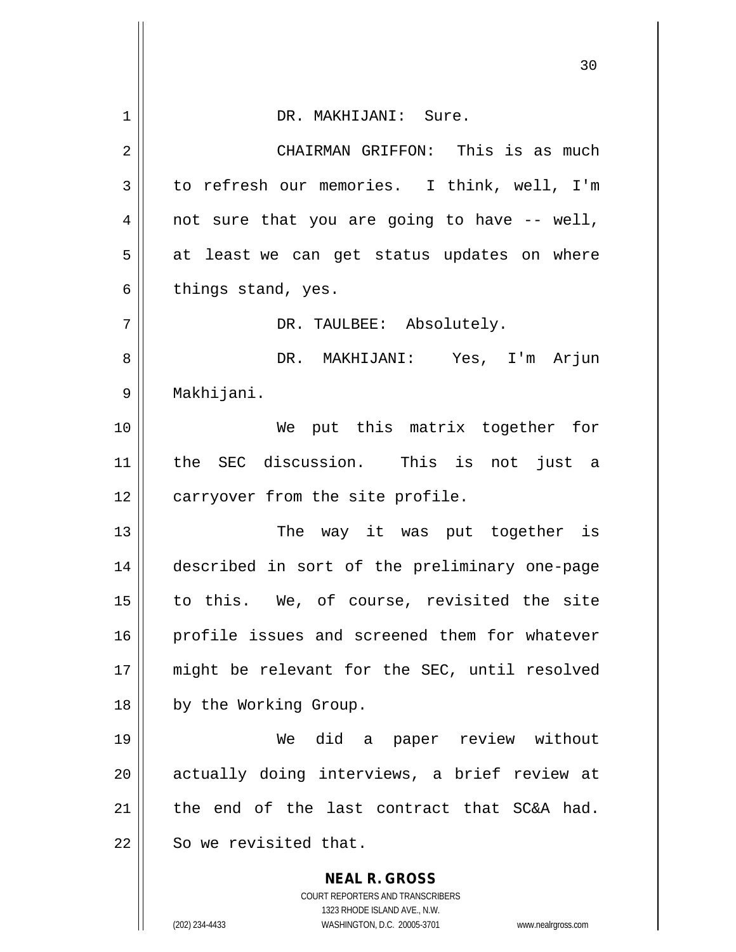|    | 30                                                                  |
|----|---------------------------------------------------------------------|
| 1  | DR. MAKHIJANI: Sure.                                                |
| 2  | CHAIRMAN GRIFFON: This is as much                                   |
| 3  | to refresh our memories. I think, well, I'm                         |
| 4  | not sure that you are going to have -- well,                        |
| 5  | at least we can get status updates on where                         |
| 6  | things stand, yes.                                                  |
| 7  | DR. TAULBEE: Absolutely.                                            |
| 8  | DR. MAKHIJANI: Yes, I'm Arjun                                       |
| 9  | Makhijani.                                                          |
| 10 | We put this matrix together for                                     |
| 11 | the SEC discussion. This is not just a                              |
| 12 | carryover from the site profile.                                    |
| 13 | The way it was put together is                                      |
| 14 | described in sort of the preliminary one-page                       |
| 15 | to this. We, of course, revisited the site                          |
| 16 | profile issues and screened them for whatever                       |
| 17 | might be relevant for the SEC, until resolved                       |
| 18 | by the Working Group.                                               |
| 19 | We did a paper review without                                       |
| 20 | actually doing interviews, a brief review at                        |
| 21 | the end of the last contract that SC&A had.                         |
| 22 | So we revisited that.                                               |
|    | <b>NEAL R. GROSS</b>                                                |
|    | COURT REPORTERS AND TRANSCRIBERS<br>1323 RHODE ISLAND AVE., N.W.    |
|    | (202) 234-4433<br>WASHINGTON, D.C. 20005-3701<br>www.nealrgross.com |

 $\overline{\phantom{a}}$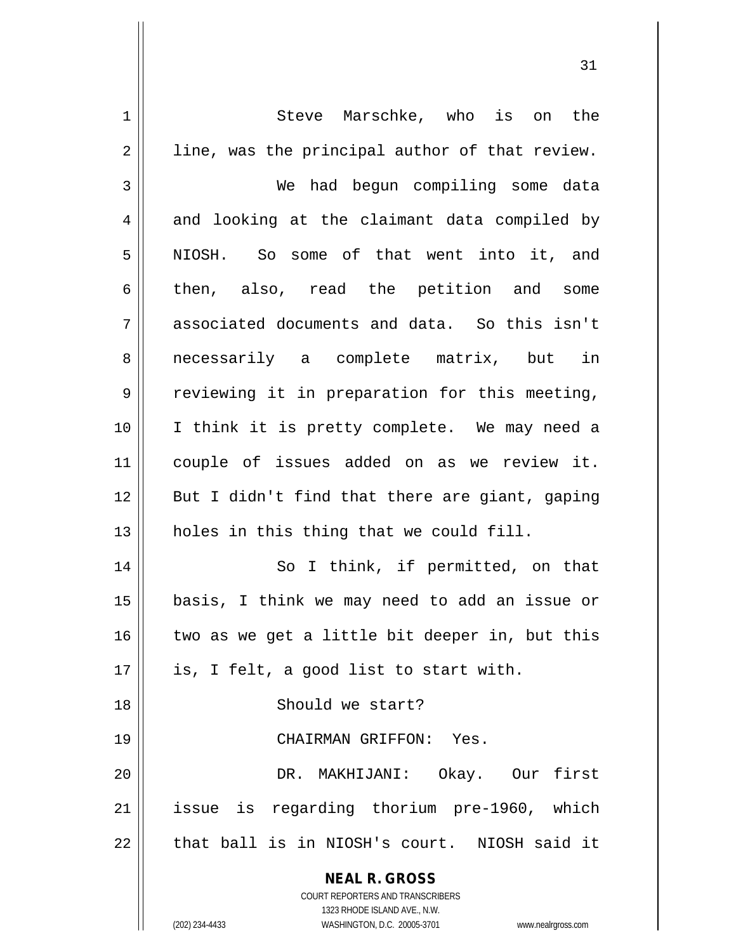| $\mathbf 1$    | Steve Marschke, who is on the                                                                       |
|----------------|-----------------------------------------------------------------------------------------------------|
| $\overline{2}$ | line, was the principal author of that review.                                                      |
| $\mathfrak{Z}$ | We had begun compiling some data                                                                    |
| 4              | and looking at the claimant data compiled by                                                        |
| 5              | NIOSH. So some of that went into it, and                                                            |
| 6              | then, also, read the petition and some                                                              |
| 7              | associated documents and data. So this isn't                                                        |
| 8              | necessarily a complete matrix, but in                                                               |
| 9              | reviewing it in preparation for this meeting,                                                       |
| 10             | I think it is pretty complete. We may need a                                                        |
| 11             | couple of issues added on as we review it.                                                          |
| 12             | But I didn't find that there are giant, gaping                                                      |
| 13             | holes in this thing that we could fill.                                                             |
| 14             | So I think, if permitted, on that                                                                   |
| 15             | basis, I think we may need to add an issue or                                                       |
| 16             | two as we get a little bit deeper in, but this                                                      |
| 17             | is, I felt, a good list to start with.                                                              |
| 18             | Should we start?                                                                                    |
| 19             | CHAIRMAN GRIFFON: Yes.                                                                              |
| 20             | DR. MAKHIJANI: Okay. Our first                                                                      |
| 21             | issue is regarding thorium pre-1960, which                                                          |
| 22             | that ball is in NIOSH's court. NIOSH said it                                                        |
|                | <b>NEAL R. GROSS</b>                                                                                |
|                | COURT REPORTERS AND TRANSCRIBERS                                                                    |
|                | 1323 RHODE ISLAND AVE., N.W.<br>(202) 234-4433<br>WASHINGTON, D.C. 20005-3701<br>www.nealrgross.com |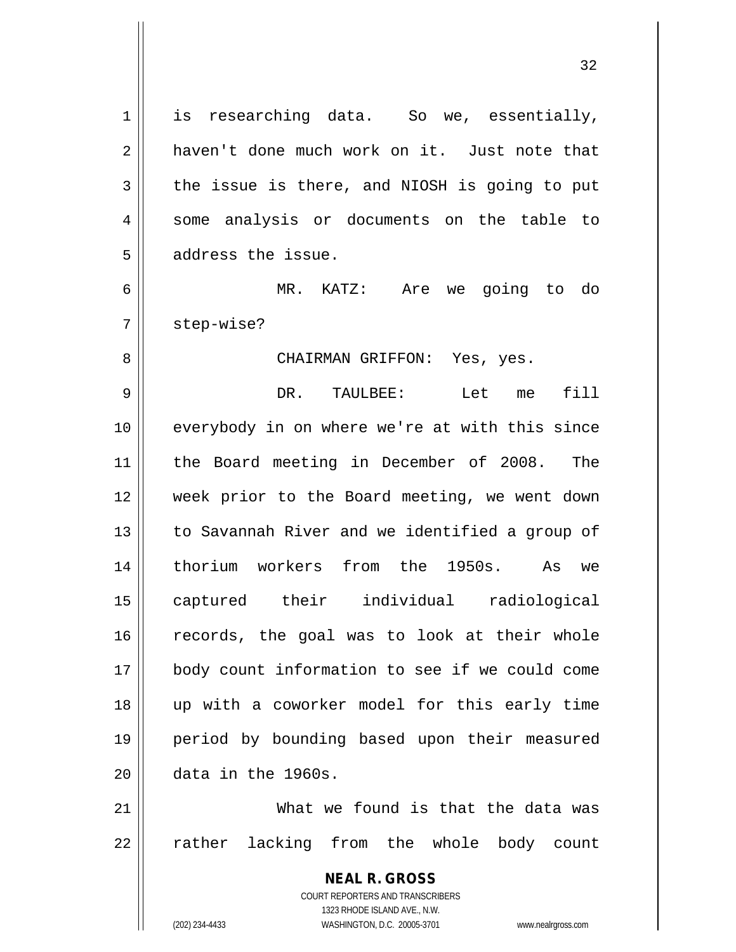**NEAL R. GROSS** COURT REPORTERS AND TRANSCRIBERS  $1 \parallel$  is researching data. So we, essentially, 2 | haven't done much work on it. Just note that  $3 \parallel$  the issue is there, and NIOSH is going to put 4 || some analysis or documents on the table to 5 address the issue. 6 MR. KATZ: Are we going to do 7 | step-wise? 8 CHAIRMAN GRIFFON: Yes, yes. 9 DR. TAULBEE: Let me fill 10 || everybody in on where we're at with this since 11 the Board meeting in December of 2008. The 12 week prior to the Board meeting, we went down 13 || to Savannah River and we identified a group of 14 thorium workers from the 1950s. As we 15 captured their individual radiological 16 || records, the goal was to look at their whole 17 body count information to see if we could come 18 up with a coworker model for this early time 19 period by bounding based upon their measured  $20$   $\parallel$  data in the 1960s. 21 What we found is that the data was 22 || rather lacking from the whole body count

1323 RHODE ISLAND AVE., N.W.

(202) 234-4433 WASHINGTON, D.C. 20005-3701 www.nealrgross.com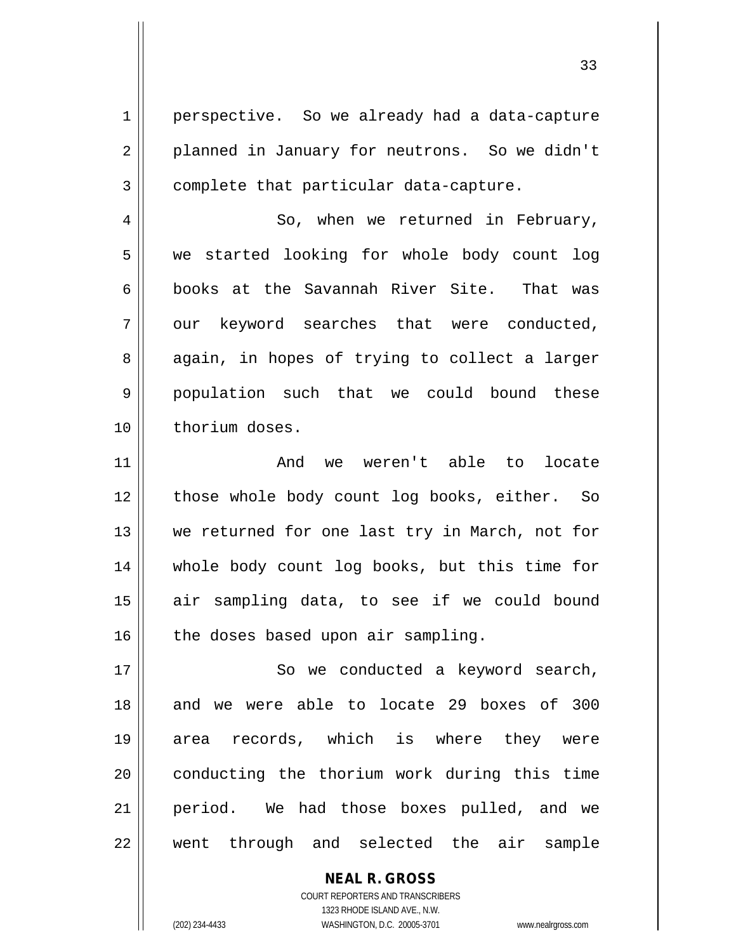1 | perspective. So we already had a data-capture 2 || planned in January for neutrons. So we didn't  $3 \parallel$  complete that particular data-capture.

4 So, when we returned in February, 5 we started looking for whole body count log 6 books at the Savannah River Site. That was  $7 \parallel$  our keyword searches that were conducted, 8 || again, in hopes of trying to collect a larger 9 population such that we could bound these 10 thorium doses.

11 || The Movie weren't able to locate 12 || those whole body count log books, either. So 13 || we returned for one last try in March, not for 14 whole body count log books, but this time for 15 || air sampling data, to see if we could bound  $16$  | the doses based upon air sampling.

17 || So we conducted a keyword search, 18 and we were able to locate 29 boxes of 300 19 area records, which is where they were 20 || conducting the thorium work during this time 21 period. We had those boxes pulled, and we 22 went through and selected the air sample

> COURT REPORTERS AND TRANSCRIBERS 1323 RHODE ISLAND AVE., N.W. (202) 234-4433 WASHINGTON, D.C. 20005-3701 www.nealrgross.com

**NEAL R. GROSS**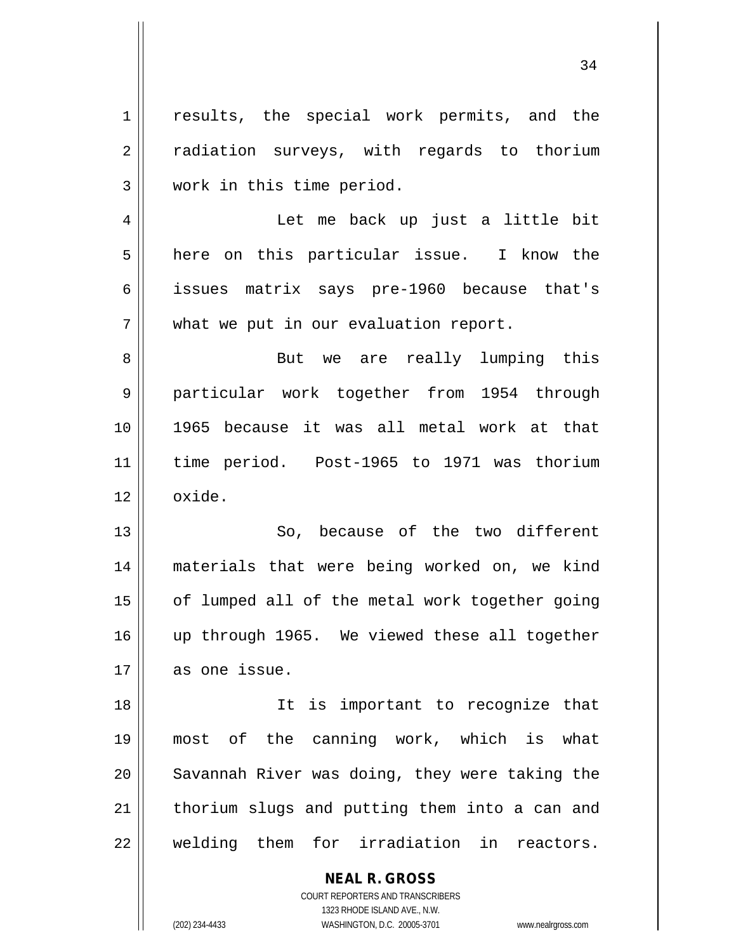1 || results, the special work permits, and the 2 || radiation surveys, with regards to thorium 3 work in this time period. 4 Let me back up just a little bit  $5 \parallel$  here on this particular issue. I know the 6 issues matrix says pre-1960 because that's  $7$  | what we put in our evaluation report. 8 But we are really lumping this 9 particular work together from 1954 through 10 1965 because it was all metal work at that 11 time period. Post-1965 to 1971 was thorium  $12 \parallel \quad$  oxide. 13 || So, because of the two different 14 materials that were being worked on, we kind 15 | of lumped all of the metal work together going 16 || up through 1965. We viewed these all together 17 as one issue. 18 || It is important to recognize that 19 most of the canning work, which is what 20 || Savannah River was doing, they were taking the  $21$  | thorium slugs and putting them into a can and 22 welding them for irradiation in reactors.

> COURT REPORTERS AND TRANSCRIBERS 1323 RHODE ISLAND AVE., N.W. (202) 234-4433 WASHINGTON, D.C. 20005-3701 www.nealrgross.com

**NEAL R. GROSS**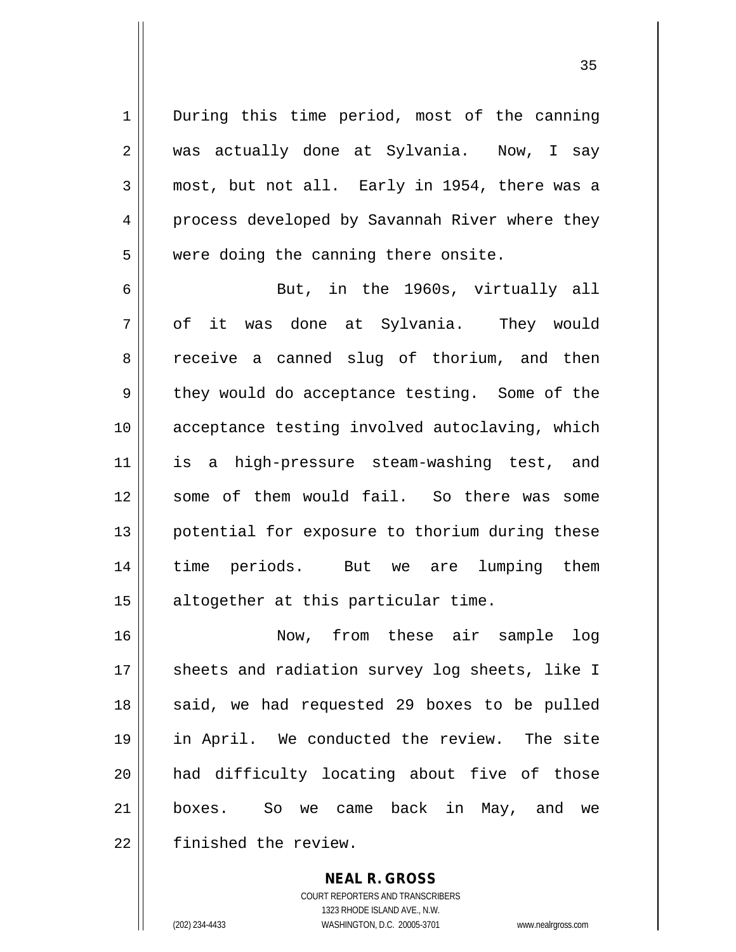1 | During this time period, most of the canning 2 was actually done at Sylvania. Now, I say 3 most, but not all. Early in 1954, there was a 4 process developed by Savannah River where they 5 | were doing the canning there onsite.

6 But, in the 1960s, virtually all 7 of it was done at Sylvania. They would 8 || receive a canned slug of thorium, and then  $9 \parallel$  they would do acceptance testing. Some of the 10 || acceptance testing involved autoclaving, which 11 is a high-pressure steam-washing test, and 12 || some of them would fail. So there was some 13 || potential for exposure to thorium during these 14 time periods. But we are lumping them 15 || altogether at this particular time.

 Now, from these air sample log 17 || sheets and radiation survey log sheets, like I said, we had requested 29 boxes to be pulled in April. We conducted the review. The site had difficulty locating about five of those boxes. So we came back in May, and we 22 | finished the review.

> **NEAL R. GROSS** COURT REPORTERS AND TRANSCRIBERS 1323 RHODE ISLAND AVE., N.W. (202) 234-4433 WASHINGTON, D.C. 20005-3701 www.nealrgross.com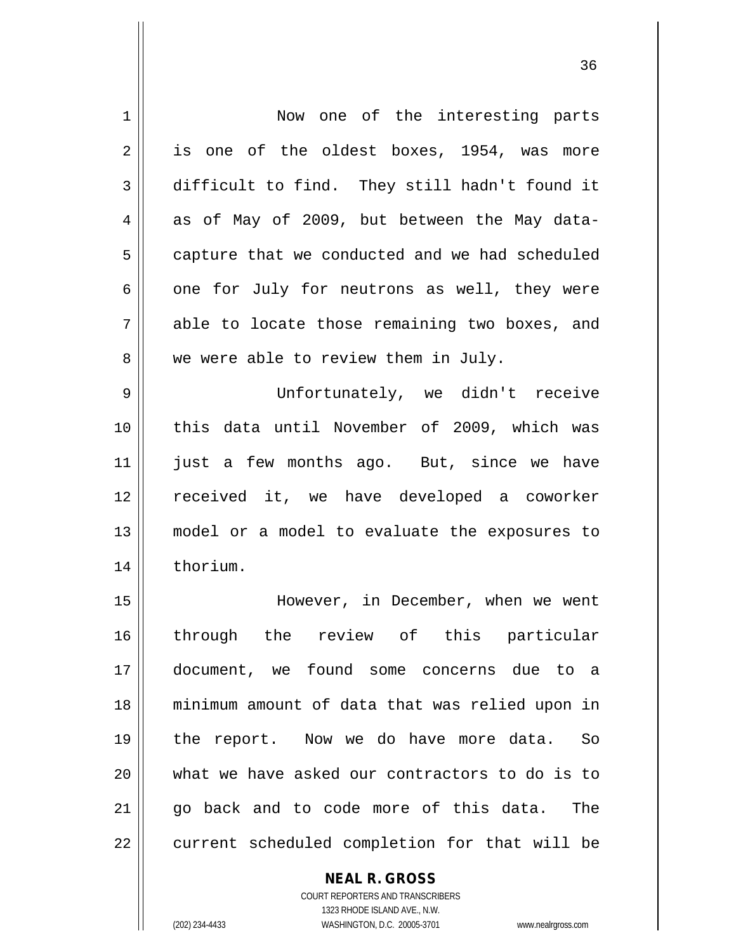| 1  | Now one of the interesting parts               |
|----|------------------------------------------------|
| 2  | is one of the oldest boxes, 1954, was more     |
| 3  | difficult to find. They still hadn't found it  |
| 4  | as of May of 2009, but between the May data-   |
| 5  | capture that we conducted and we had scheduled |
| 6  | one for July for neutrons as well, they were   |
| 7  | able to locate those remaining two boxes, and  |
| 8  | we were able to review them in July.           |
| 9  | Unfortunately, we didn't receive               |
| 10 | this data until November of 2009, which was    |
| 11 | just a few months ago. But, since we have      |
| 12 | received it, we have developed a coworker      |
| 13 | model or a model to evaluate the exposures to  |
| 14 | thorium.                                       |
| 15 | However, in December, when we went             |
| 16 | through the review of this particular          |
| 17 | document, we found some concerns due to a      |
| 18 | minimum amount of data that was relied upon in |
| 19 | the report. Now we do have more data. So       |
| 20 | what we have asked our contractors to do is to |
| 21 | go back and to code more of this data.<br>The  |
| 22 | current scheduled completion for that will be  |
|    | <b>NEAL R. GROSS</b>                           |

 $\mathsf{II}$ 

COURT REPORTERS AND TRANSCRIBERS 1323 RHODE ISLAND AVE., N.W. (202) 234-4433 WASHINGTON, D.C. 20005-3701 www.nealrgross.com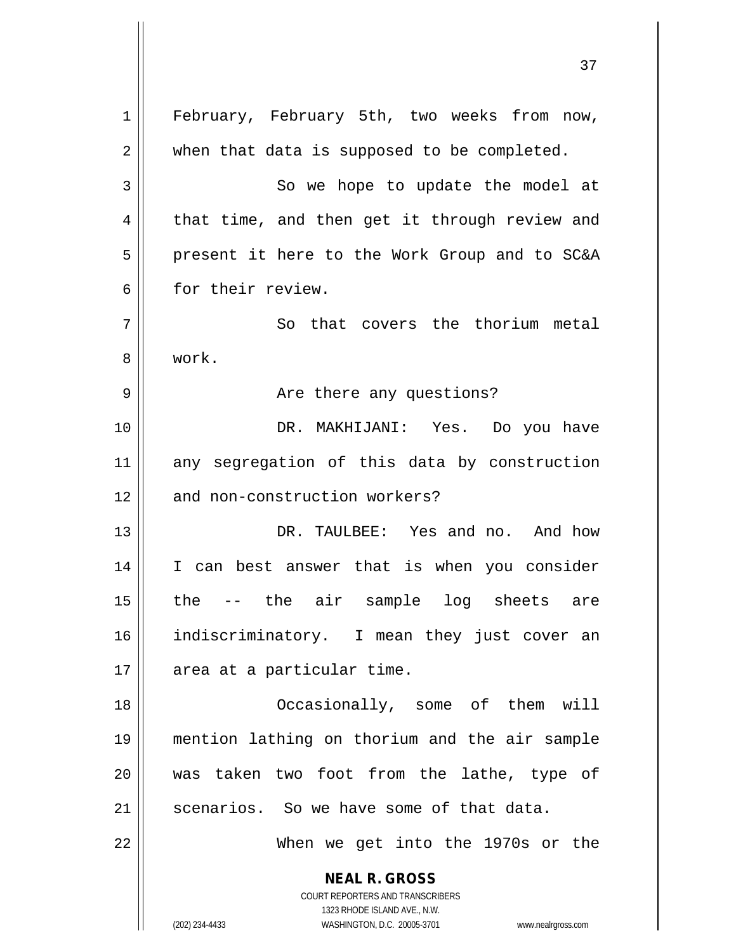**NEAL R. GROSS** COURT REPORTERS AND TRANSCRIBERS 1323 RHODE ISLAND AVE., N.W. (202) 234-4433 WASHINGTON, D.C. 20005-3701 www.nealrgross.com 1 || February, February 5th, two weeks from now,  $2 \parallel$  when that data is supposed to be completed. 3 || So we hope to update the model at  $4 \parallel$  that time, and then get it through review and 5 || present it here to the Work Group and to SC&A 6 for their review. 7 || So that covers the thorium metal 8 work. 9 Are there any questions? 10 || DR. MAKHIJANI: Yes. Do you have 11 any segregation of this data by construction 12 || and non-construction workers? 13 DR. TAULBEE: Yes and no. And how 14 I can best answer that is when you consider 15 the -- the air sample log sheets are 16 indiscriminatory. I mean they just cover an 17 | area at a particular time. 18 || Cocasionally, some of them will 19 mention lathing on thorium and the air sample 20 was taken two foot from the lathe, type of 21  $\parallel$  scenarios. So we have some of that data. 22 When we get into the 1970s or the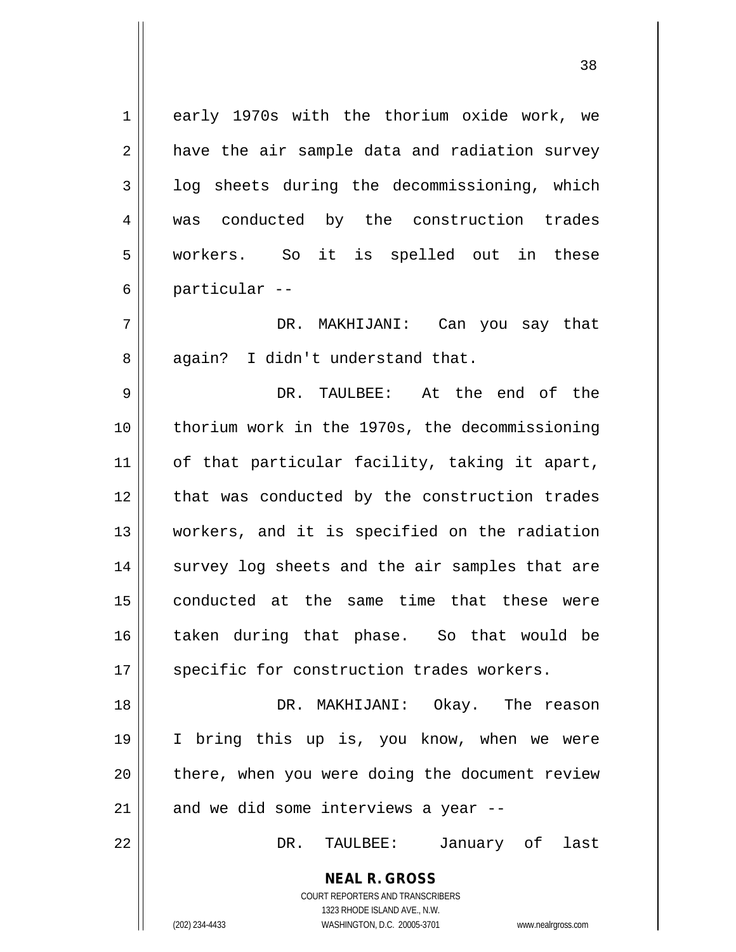| $\mathbf 1$ | early 1970s with the thorium oxide work, we                         |
|-------------|---------------------------------------------------------------------|
| 2           | have the air sample data and radiation survey                       |
| 3           | log sheets during the decommissioning, which                        |
| 4           | was conducted by the construction trades                            |
| 5           | workers. So it is spelled out in these                              |
| 6           | particular --                                                       |
| 7           | DR. MAKHIJANI: Can you say that                                     |
| 8           | again? I didn't understand that.                                    |
| 9           | DR. TAULBEE: At the end of the                                      |
| 10          | thorium work in the 1970s, the decommissioning                      |
| 11          | of that particular facility, taking it apart,                       |
| 12          | that was conducted by the construction trades                       |
| 13          | workers, and it is specified on the radiation                       |
| 14          | survey log sheets and the air samples that are                      |
| 15          | conducted at the same time that these were                          |
| 16          | taken during that phase. So that would be                           |
| 17          | specific for construction trades workers.                           |
| 18          | DR. MAKHIJANI: Okay. The reason                                     |
| 19          | I bring this up is, you know, when we were                          |
| 20          | there, when you were doing the document review                      |
| 21          | and we did some interviews a year --                                |
| 22          | January of last<br>DR.<br>TAULBEE:                                  |
|             | <b>NEAL R. GROSS</b>                                                |
|             | COURT REPORTERS AND TRANSCRIBERS                                    |
|             | 1323 RHODE ISLAND AVE., N.W.                                        |
|             | (202) 234-4433<br>WASHINGTON, D.C. 20005-3701<br>www.nealrgross.com |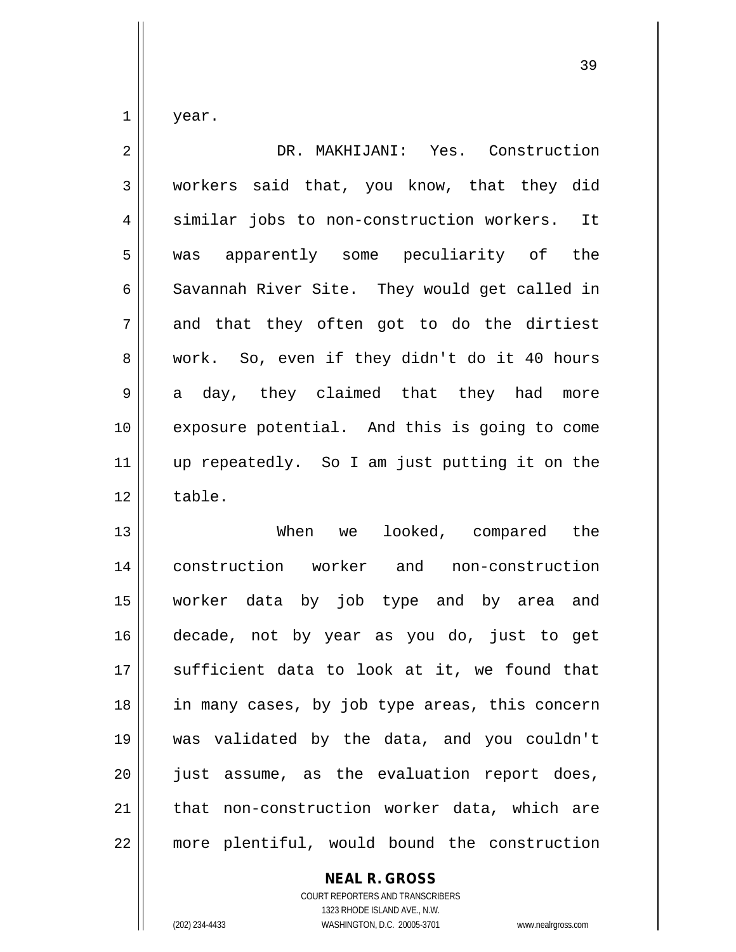year.

| $\overline{2}$ | DR. MAKHIJANI: Yes. Construction              |
|----------------|-----------------------------------------------|
| 3              | workers said that, you know, that they did    |
| 4              | similar jobs to non-construction workers. It  |
| 5              | was apparently some peculiarity of the        |
| 6              | Savannah River Site. They would get called in |
| 7              | and that they often got to do the dirtiest    |
| 8              | work. So, even if they didn't do it 40 hours  |
| 9              | a day, they claimed that they had<br>more     |
| 10             | exposure potential. And this is going to come |
| 11             | up repeatedly. So I am just putting it on the |
| 12             | table.                                        |
| 13             | When we looked, compared the                  |
| 14             | construction worker and non-construction      |
| 15             | worker data by job type and by area and       |
| 16             | decade, not by year as you do, just to get    |
|                |                                               |

 $\parallel$  sufficient data to look at it, we found that | in many cases, by job type areas, this concern was validated by the data, and you couldn't || just assume, as the evaluation report does, | that non-construction worker data, which are 22 | more plentiful, would bound the construction

## **NEAL R. GROSS**

COURT REPORTERS AND TRANSCRIBERS 1323 RHODE ISLAND AVE., N.W. (202) 234-4433 WASHINGTON, D.C. 20005-3701 www.nealrgross.com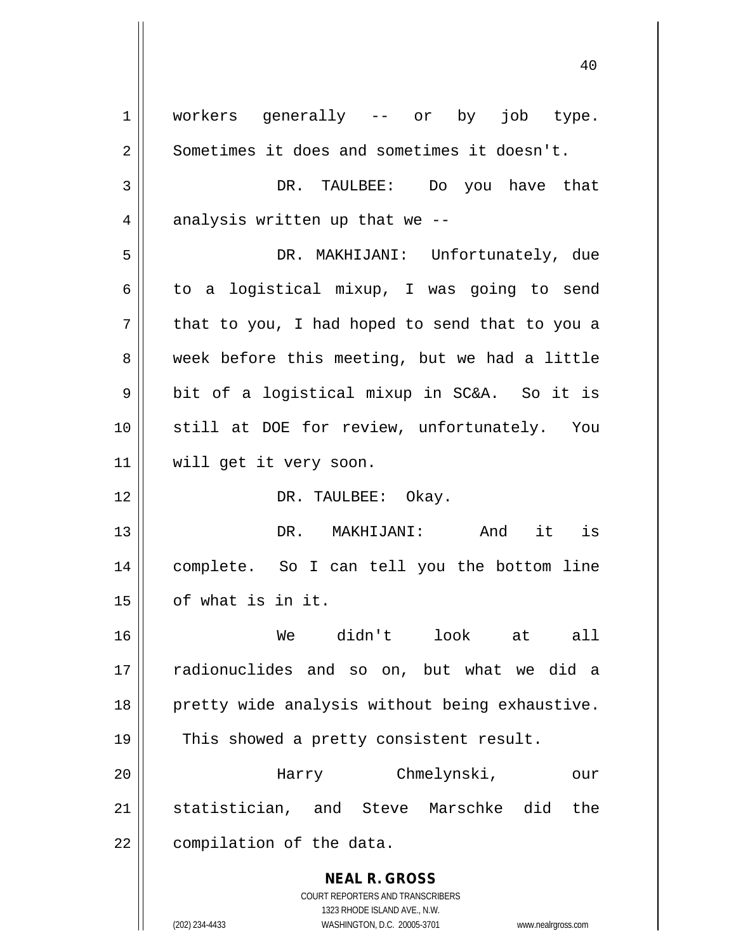**NEAL R. GROSS** COURT REPORTERS AND TRANSCRIBERS 1323 RHODE ISLAND AVE., N.W. (202) 234-4433 WASHINGTON, D.C. 20005-3701 www.nealrgross.com 1 || workers generally -- or by job type. 2 | Sometimes it does and sometimes it doesn't. 3 DR. TAULBEE: Do you have that  $4$  || analysis written up that we --5 DR. MAKHIJANI: Unfortunately, due  $6 \parallel$  to a logistical mixup, I was going to send  $7 ||$  that to you, I had hoped to send that to you a 8 week before this meeting, but we had a little 9 || bit of a logistical mixup in SC&A. So it is 10 || still at DOE for review, unfortunately. You 11 will get it very soon. 12 || DR. TAULBEE: Okay. 13 DR. MAKHIJANI: And it is 14 complete. So I can tell you the bottom line 15 of what is in it. 16 We didn't look at all 17 radionuclides and so on, but what we did a 18 || pretty wide analysis without being exhaustive. 19 || This showed a pretty consistent result. 20 Harry Chmelynski, our 21 Statistician, and Steve Marschke did the  $22$  | compilation of the data.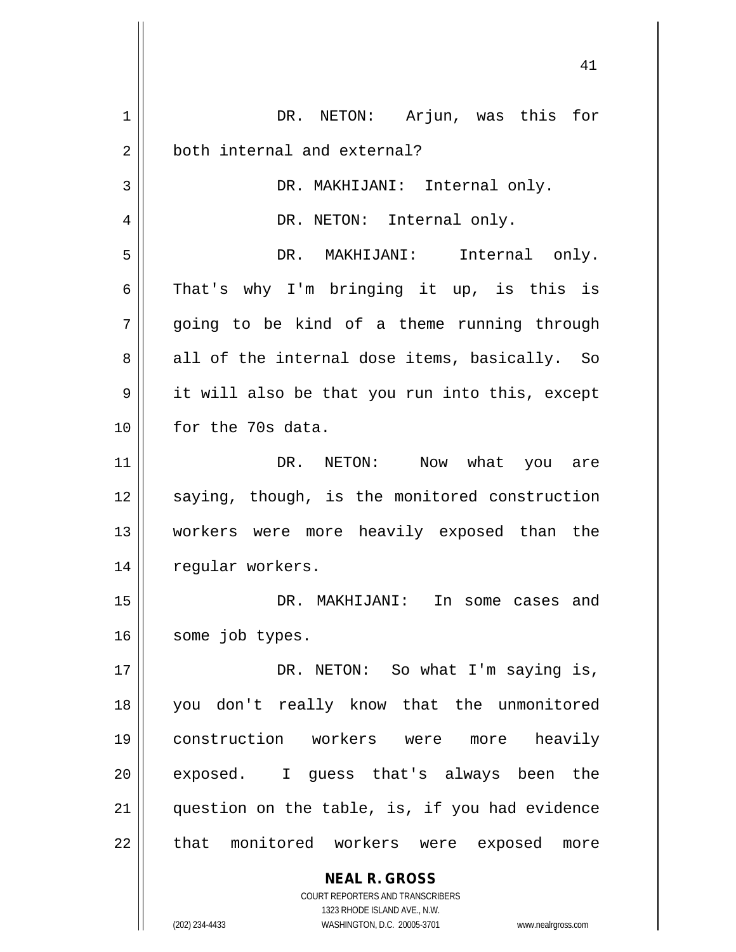| 1  | DR. NETON: Arjun, was this for                                      |
|----|---------------------------------------------------------------------|
| 2  | both internal and external?                                         |
| 3  | DR. MAKHIJANI: Internal only.                                       |
| 4  | DR. NETON: Internal only.                                           |
| 5  | DR. MAKHIJANI: Internal only.                                       |
| 6  | That's why I'm bringing it up, is this is                           |
| 7  | going to be kind of a theme running through                         |
| 8  | all of the internal dose items, basically. So                       |
| 9  | it will also be that you run into this, except                      |
| 10 | for the 70s data.                                                   |
| 11 | DR. NETON: Now what you are                                         |
| 12 | saying, though, is the monitored construction                       |
| 13 | workers were more heavily exposed than the                          |
| 14 | regular workers.                                                    |
| 15 | DR. MAKHIJANI:<br>In some cases and                                 |
| 16 | some job types.                                                     |
| 17 | DR. NETON: So what I'm saying is,                                   |
| 18 | you don't really know that the unmonitored                          |
| 19 | construction workers were<br>heavily<br>more                        |
| 20 | I guess that's always been the<br>exposed.                          |
| 21 | question on the table, is, if you had evidence                      |
| 22 | that monitored workers were exposed<br>more                         |
|    |                                                                     |
|    | <b>NEAL R. GROSS</b><br>COURT REPORTERS AND TRANSCRIBERS            |
|    | 1323 RHODE ISLAND AVE., N.W.                                        |
|    | (202) 234-4433<br>WASHINGTON, D.C. 20005-3701<br>www.nealrgross.com |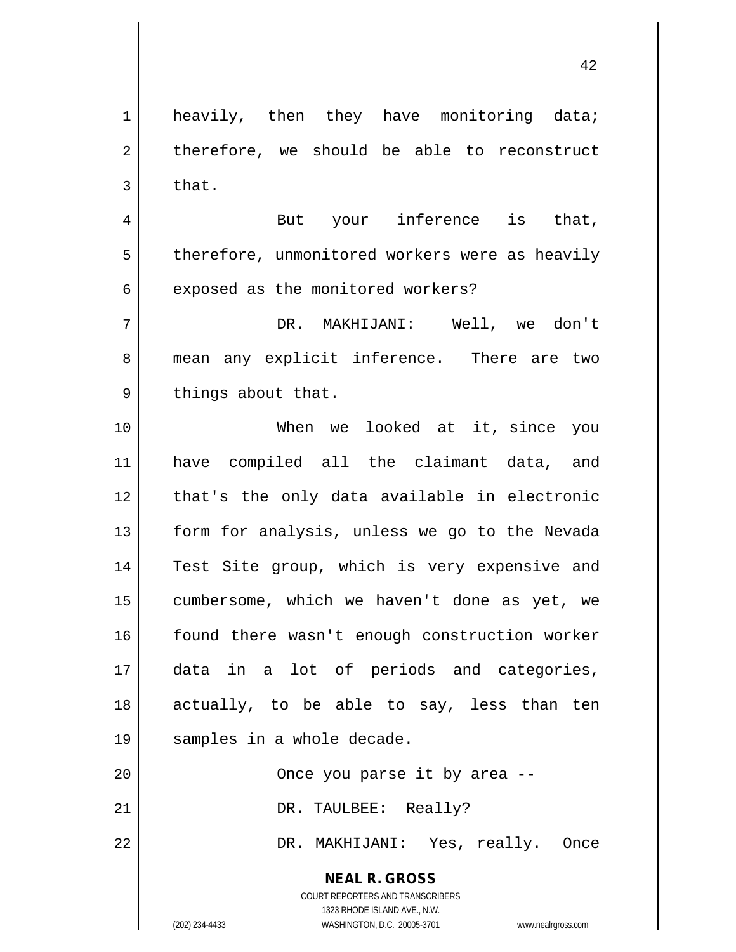42

 $2 \parallel$  therefore, we should be able to reconstruct  $3 \parallel$  that. 4 || But your inference is that,  $5$  | therefore, unmonitored workers were as heavily  $6 \parallel$  exposed as the monitored workers? 7 DR. MAKHIJANI: Well, we don't 8 || mean any explicit inference. There are two  $9 \parallel$  things about that. 10 When we looked at it, since you 11 have compiled all the claimant data, and 12 || that's the only data available in electronic 13 || form for analysis, unless we go to the Nevada 14 || Test Site group, which is very expensive and 15 cumbersome, which we haven't done as yet, we 16 found there wasn't enough construction worker 17 data in a lot of periods and categories, 18 actually, to be able to say, less than ten

1 || heavily, then they have monitoring data;

20 Once you parse it by area -- 21 || DR. TAULBEE: Really? 22 DR. MAKHIJANI: Yes, really. Once

> **NEAL R. GROSS** COURT REPORTERS AND TRANSCRIBERS

> > 1323 RHODE ISLAND AVE., N.W.

19 || samples in a whole decade.

(202) 234-4433 WASHINGTON, D.C. 20005-3701 www.nealrgross.com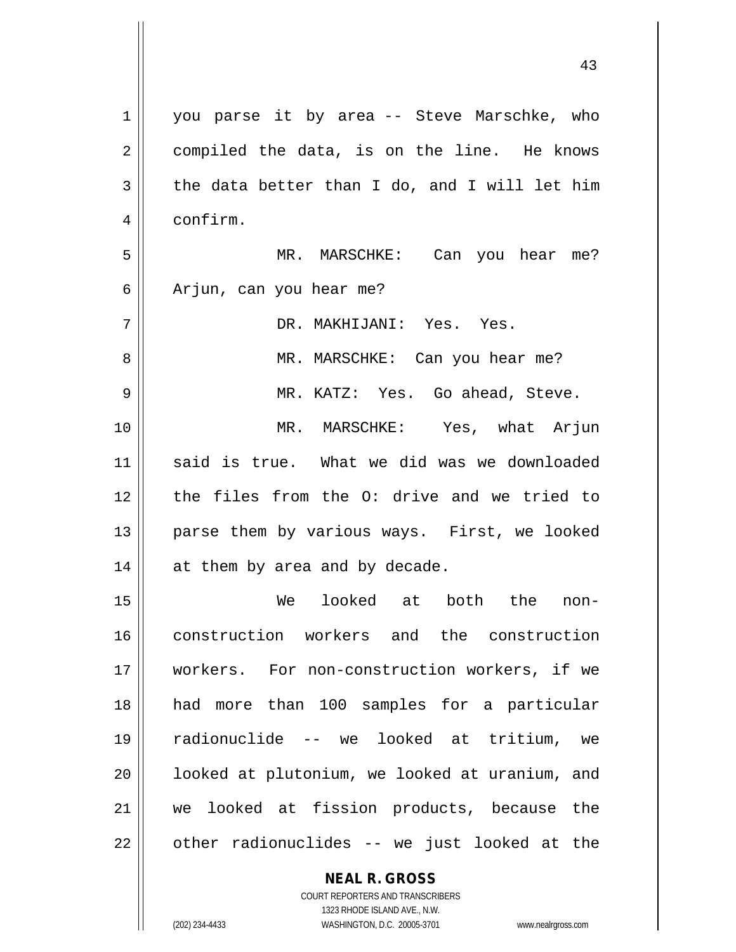| 1  | you parse it by area -- Steve Marschke, who              |
|----|----------------------------------------------------------|
| 2  | compiled the data, is on the line. He knows              |
| 3  | the data better than I do, and I will let him            |
| 4  | confirm.                                                 |
| 5  | MR. MARSCHKE: Can you hear me?                           |
| 6  | Arjun, can you hear me?                                  |
| 7  | DR. MAKHIJANI: Yes. Yes.                                 |
| 8  | MR. MARSCHKE: Can you hear me?                           |
| 9  | MR. KATZ: Yes. Go ahead, Steve.                          |
| 10 | MR. MARSCHKE: Yes, what Arjun                            |
| 11 | said is true. What we did was we downloaded              |
| 12 | the files from the O: drive and we tried to              |
| 13 | parse them by various ways. First, we looked             |
| 14 | at them by area and by decade.                           |
| 15 | looked at both the<br>We<br>non-                         |
| 16 | construction workers and the construction                |
| 17 | workers. For non-construction workers, if we             |
| 18 | had more than 100 samples for a particular               |
| 19 | radionuclide -- we looked at tritium, we                 |
| 20 | looked at plutonium, we looked at uranium, and           |
| 21 | we looked at fission products, because the               |
| 22 | other radionuclides -- we just looked at the             |
|    | <b>NEAL R. GROSS</b><br>COURT REPORTERS AND TRANSCRIBERS |

 $\prod$ 

1323 RHODE ISLAND AVE., N.W. (202) 234-4433 WASHINGTON, D.C. 20005-3701 www.nealrgross.com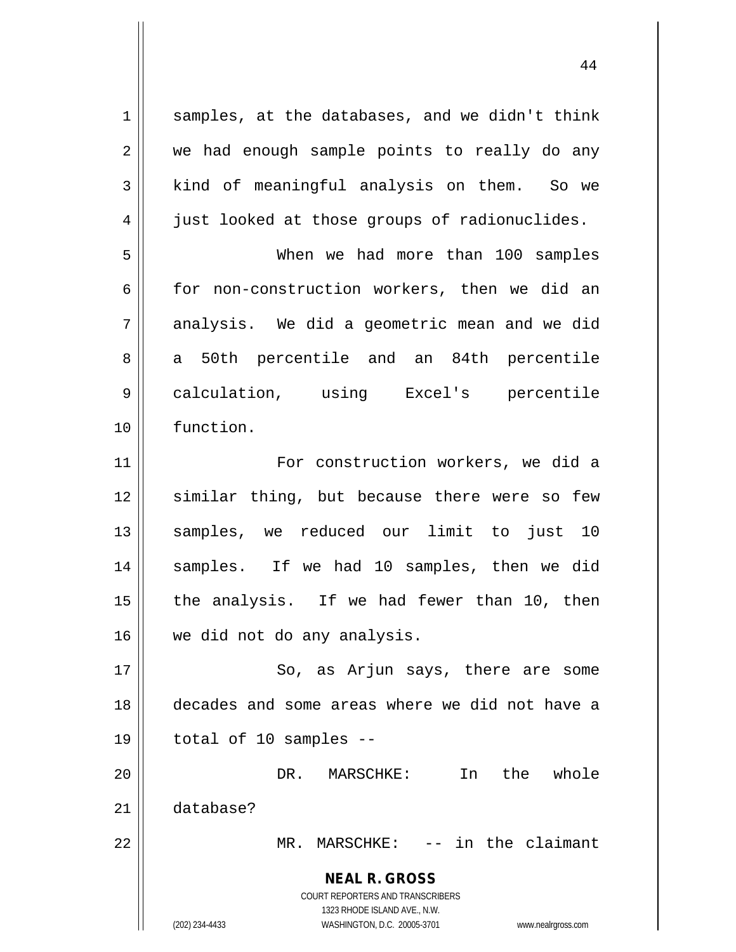**NEAL R. GROSS** COURT REPORTERS AND TRANSCRIBERS 1323 RHODE ISLAND AVE., N.W. (202) 234-4433 WASHINGTON, D.C. 20005-3701 www.nealrgross.com  $1 \parallel$  samples, at the databases, and we didn't think 2 || we had enough sample points to really do any  $3 \parallel$  kind of meaningful analysis on them. So we  $4 \parallel$  just looked at those groups of radionuclides. 5 When we had more than 100 samples  $6 \parallel$  for non-construction workers, then we did an  $7 \parallel$  analysis. We did a geometric mean and we did 8 a 50th percentile and an 84th percentile 9 calculation, using Excel's percentile 10 function. 11 || For construction workers, we did a 12 || similar thing, but because there were so few 13 samples, we reduced our limit to just 10 14 || samples. If we had 10 samples, then we did  $15$  || the analysis. If we had fewer than 10, then 16 || we did not do any analysis. 17 || So, as Arjun says, there are some 18 decades and some areas where we did not have a  $19 \parallel$  total of 10 samples --20 DR. MARSCHKE: In the whole 21 database? 22 MR. MARSCHKE: -- in the claimant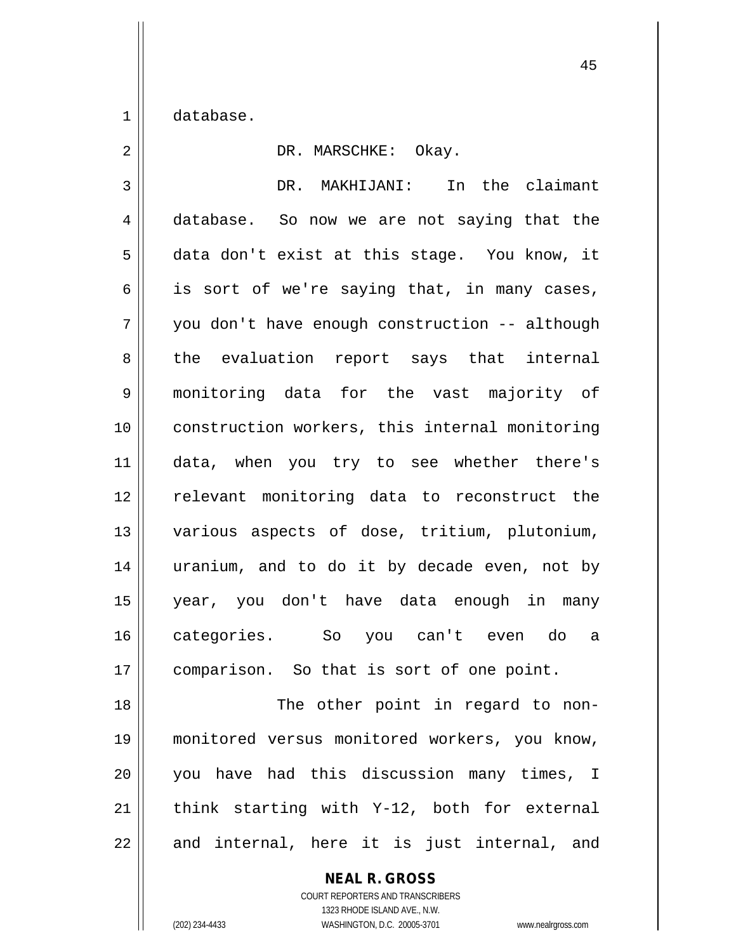1 database.

| $\overline{2}$ | DR. MARSCHKE: Okay.                            |
|----------------|------------------------------------------------|
| 3              | DR. MAKHIJANI: In the claimant                 |
| $\overline{4}$ | database. So now we are not saying that the    |
| 5              | data don't exist at this stage. You know, it   |
| 6              | is sort of we're saying that, in many cases,   |
| 7              | you don't have enough construction -- although |
| 8              | the evaluation report says that internal       |
| 9              | monitoring data for the vast majority of       |
| 10             | construction workers, this internal monitoring |
| 11             | data, when you try to see whether there's      |
| 12             | relevant monitoring data to reconstruct the    |
| 13             | various aspects of dose, tritium, plutonium,   |
| 14             | uranium, and to do it by decade even, not by   |
| 15             | year, you don't have data enough in many       |
| 16             | categories.<br>So you can't even do<br>a       |
| 17             | comparison. So that is sort of one point.      |
| 18             | The other point in regard to non-              |
| 19             | monitored versus monitored workers, you know,  |

20 || you have had this discussion many times, I  $\parallel$  think starting with Y-12, both for external and internal, here it is just internal, and

## **NEAL R. GROSS**

COURT REPORTERS AND TRANSCRIBERS 1323 RHODE ISLAND AVE., N.W. (202) 234-4433 WASHINGTON, D.C. 20005-3701 www.nealrgross.com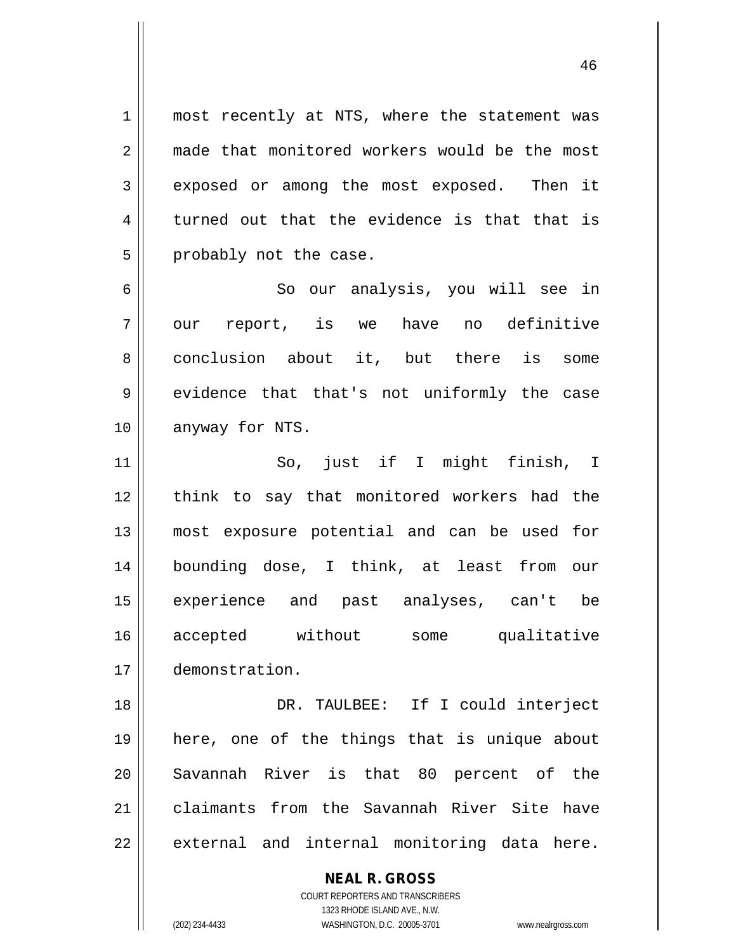1 || most recently at NTS, where the statement was 2 made that monitored workers would be the most 3 exposed or among the most exposed. Then it  $4 \parallel$  turned out that the evidence is that that is  $5$  | probably not the case.

46

6 || So our analysis, you will see in 7 || our report, is we have no definitive 8 conclusion about it, but there is some 9 evidence that that's not uniformly the case 10 || anyway for NTS.

 So, just if I might finish, I 12 || think to say that monitored workers had the most exposure potential and can be used for bounding dose, I think, at least from our experience and past analyses, can't be accepted without some qualitative demonstration.

18 DR. TAULBEE: If I could interject 19 here, one of the things that is unique about 20 || Savannah River is that 80 percent of the 21 claimants from the Savannah River Site have  $22$  || external and internal monitoring data here.

> COURT REPORTERS AND TRANSCRIBERS 1323 RHODE ISLAND AVE., N.W. (202) 234-4433 WASHINGTON, D.C. 20005-3701 www.nealrgross.com

**NEAL R. GROSS**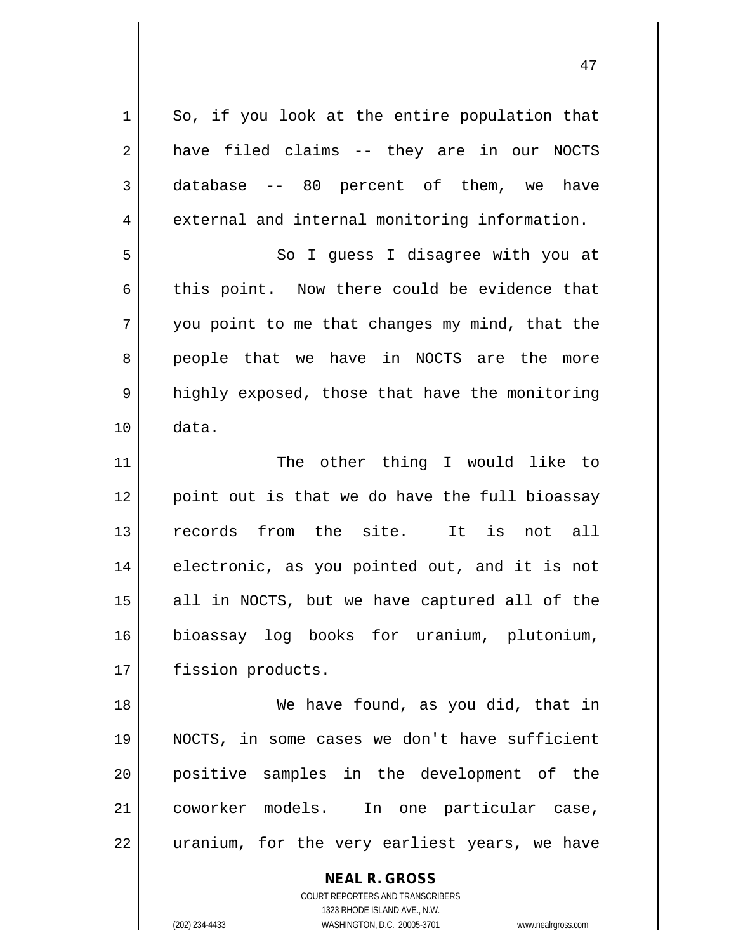$1 \parallel$  So, if you look at the entire population that  $2 \parallel$  have filed claims -- they are in our NOCTS  $3 \parallel$  database -- 80 percent of them, we have 4 external and internal monitoring information. 5 || So I guess I disagree with you at 6 this point. Now there could be evidence that  $7 \parallel$  you point to me that changes my mind, that the 8 people that we have in NOCTS are the more 9 || highly exposed, those that have the monitoring 10 data. 11 || The other thing I would like to 12 || point out is that we do have the full bioassay 13 records from the site. It is not all 14 || electronic, as you pointed out, and it is not  $15$  all in NOCTS, but we have captured all of the 16 bioassay log books for uranium, plutonium, 17 | fission products. 18 We have found, as you did, that in 19 NOCTS, in some cases we don't have sufficient 20 positive samples in the development of the 21 coworker models. In one particular case,  $22$  || uranium, for the very earliest years, we have

> **NEAL R. GROSS** COURT REPORTERS AND TRANSCRIBERS 1323 RHODE ISLAND AVE., N.W.

(202) 234-4433 WASHINGTON, D.C. 20005-3701 www.nealrgross.com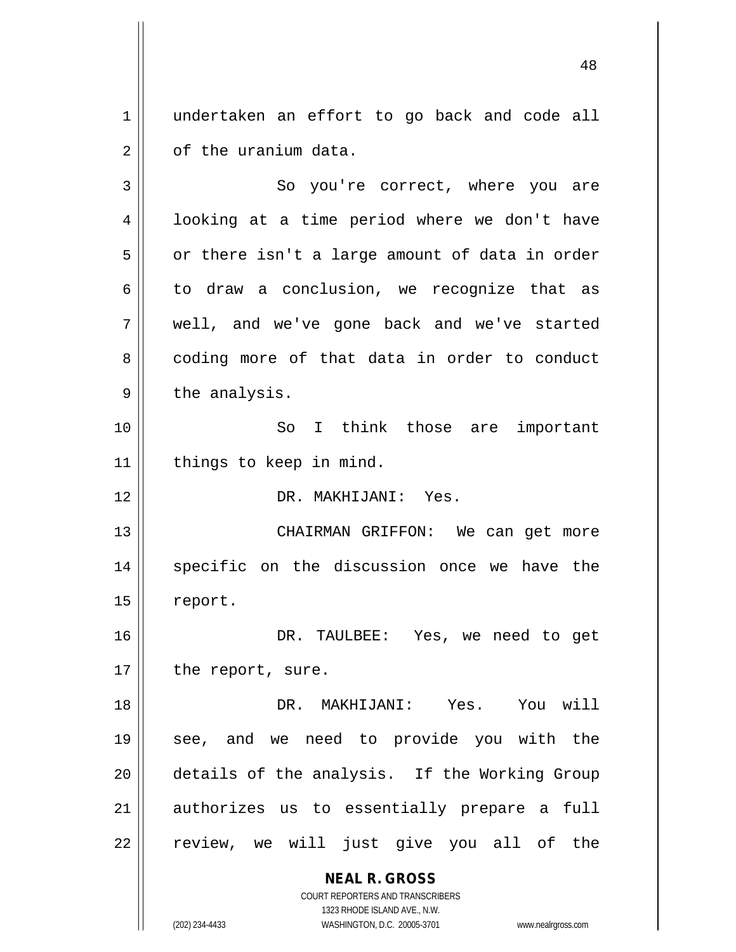1 || undertaken an effort to go back and code all 2 | cf the uranium data.

3 So you're correct, where you are 4 || looking at a time period where we don't have  $5 \parallel$  or there isn't a large amount of data in order  $6 \parallel$  to draw a conclusion, we recognize that as 7 well, and we've gone back and we've started 8 coding more of that data in order to conduct  $9 \parallel$  the analysis. 10 || So I think those are important 11 | things to keep in mind. 12 DR. MAKHIJANI: Yes. 13 || CHAIRMAN GRIFFON: We can get more 14 || specific on the discussion once we have the 15 | report. 16 DR. TAULBEE: Yes, we need to get 17 || the report, sure. 18 DR. MAKHIJANI: Yes. You will 19 see, and we need to provide you with the 20 details of the analysis. If the Working Group 21 || authorizes us to essentially prepare a full  $22$  || review, we will just give you all of the

**NEAL R. GROSS**

COURT REPORTERS AND TRANSCRIBERS 1323 RHODE ISLAND AVE., N.W.

(202) 234-4433 WASHINGTON, D.C. 20005-3701 www.nealrgross.com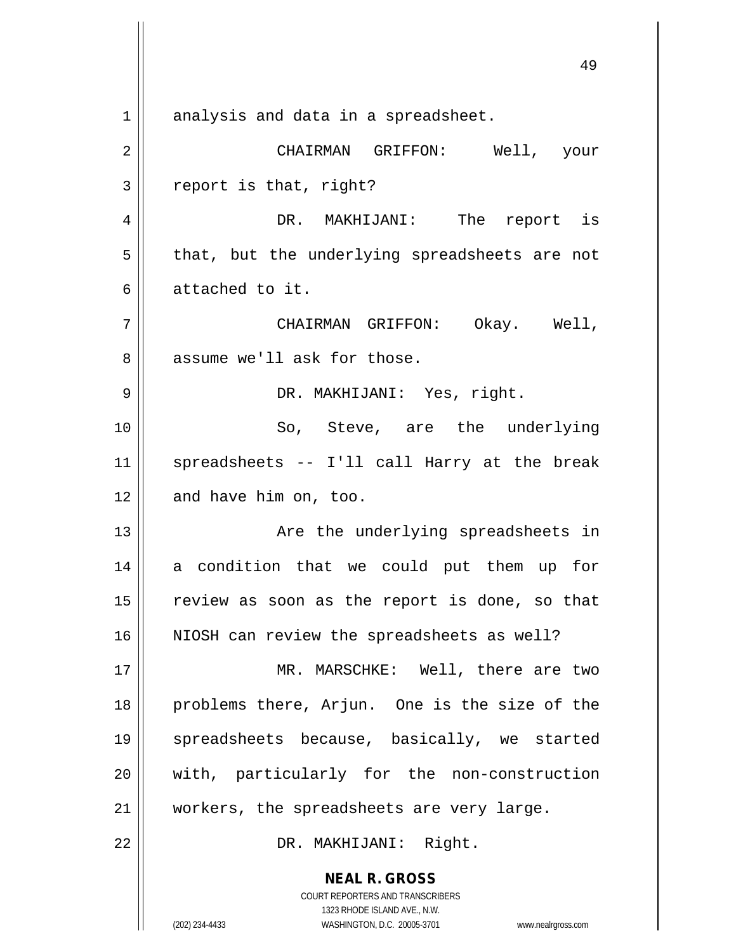**NEAL R. GROSS** COURT REPORTERS AND TRANSCRIBERS 49  $1$  analysis and data in a spreadsheet. 2 CHAIRMAN GRIFFON: Well, your  $3 \parallel$  report is that, right? 4 DR. MAKHIJANI: The report is  $5 \parallel$  that, but the underlying spreadsheets are not 6 attached to it. 7 CHAIRMAN GRIFFON: Okay. Well, 8 assume we'll ask for those. 9 DR. MAKHIJANI: Yes, right. 10 || So, Steve, are the underlying 11 spreadsheets -- I'll call Harry at the break 12 and have him on, too. 13 Are the underlying spreadsheets in 14 a condition that we could put them up for  $15$  review as soon as the report is done, so that 16 || NIOSH can review the spreadsheets as well? 17 || MR. MARSCHKE: Well, there are two 18 || problems there, Arjun. One is the size of the 19 spreadsheets because, basically, we started 20 || with, particularly for the non-construction 21 || workers, the spreadsheets are very large. 22 || DR. MAKHIJANI: Right.

1323 RHODE ISLAND AVE., N.W.

(202) 234-4433 WASHINGTON, D.C. 20005-3701 www.nealrgross.com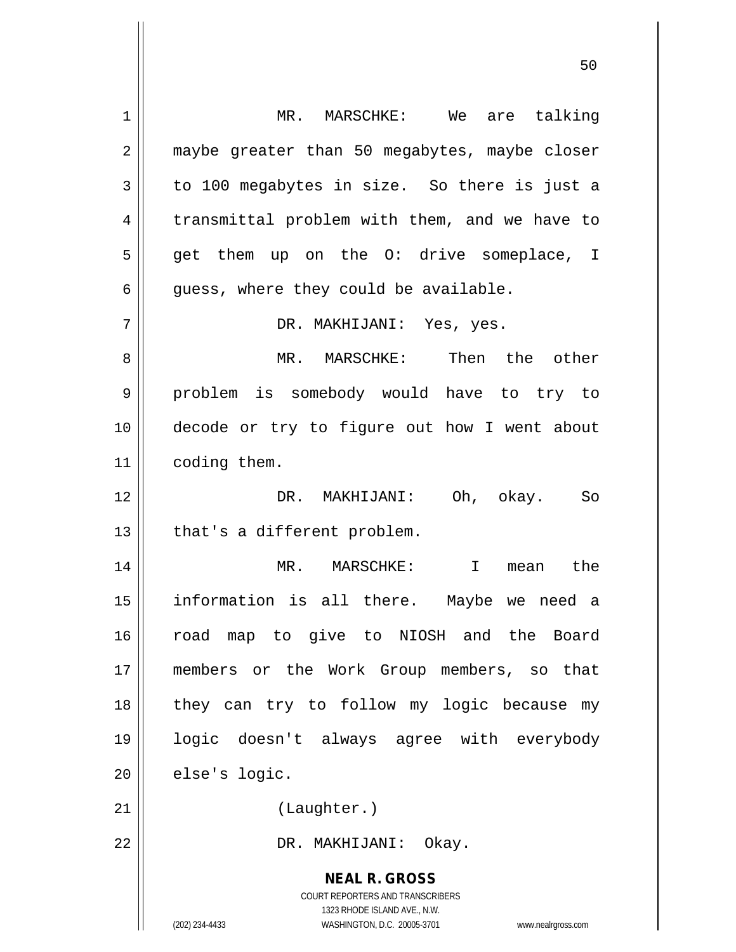**NEAL R. GROSS** COURT REPORTERS AND TRANSCRIBERS 1323 RHODE ISLAND AVE., N.W. 1 MR. MARSCHKE: We are talking 2 | maybe greater than 50 megabytes, maybe closer  $3 \parallel$  to 100 megabytes in size. So there is just a 4 | transmittal problem with them, and we have to 5 || get them up on the O: drive someplace, I  $6 \parallel$  quess, where they could be available. 7 DR. MAKHIJANI: Yes, yes. 8 MR. MARSCHKE: Then the other 9 || problem is somebody would have to try to 10 decode or try to figure out how I went about 11 | coding them. 12 DR. MAKHIJANI: Oh, okay. So  $13 \parallel$  that's a different problem. 14 MR. MARSCHKE: I mean the 15 information is all there. Maybe we need a 16 road map to give to NIOSH and the Board 17 members or the Work Group members, so that 18 || they can try to follow my logic because my 19 logic doesn't always agree with everybody  $20$  | else's logic. 21 || (Laughter.) 22 || DR. MAKHIJANI: Okay.

(202) 234-4433 WASHINGTON, D.C. 20005-3701 www.nealrgross.com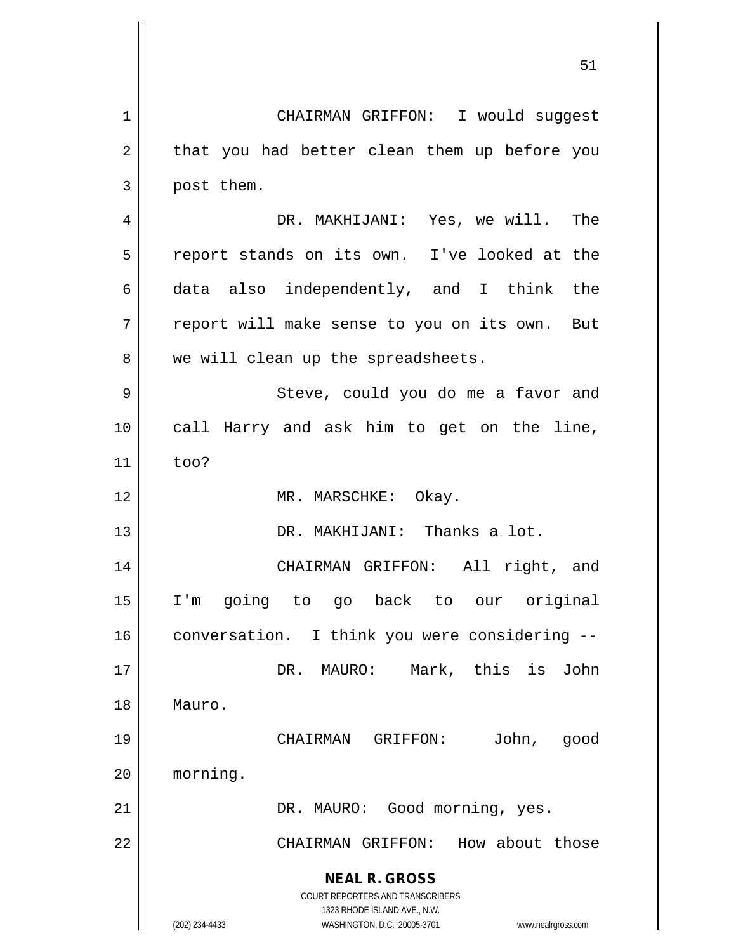| $\mathbf 1$ | CHAIRMAN GRIFFON: I would suggest                                                                   |
|-------------|-----------------------------------------------------------------------------------------------------|
| 2           | that you had better clean them up before you                                                        |
| 3           | post them.                                                                                          |
| 4           | DR. MAKHIJANI: Yes, we will. The                                                                    |
| 5           | report stands on its own. I've looked at the                                                        |
| 6           | data also independently, and I think the                                                            |
| 7           | report will make sense to you on its own. But                                                       |
| 8           | we will clean up the spreadsheets.                                                                  |
| 9           | Steve, could you do me a favor and                                                                  |
| 10          | call Harry and ask him to get on the line,                                                          |
| 11          | too?                                                                                                |
| 12          | MR. MARSCHKE: Okay.                                                                                 |
| 13          | DR. MAKHIJANI: Thanks a lot.                                                                        |
| 14          | CHAIRMAN GRIFFON: All right, and                                                                    |
| 15          | going to go back to our original<br>$I'$ m                                                          |
| 16          | conversation. I think you were considering --                                                       |
| 17          | Mark, this is John<br>DR. MAURO:                                                                    |
| 18          | Mauro.                                                                                              |
| 19          | John,<br>CHAIRMAN GRIFFON:<br>good                                                                  |
| 20          | morning.                                                                                            |
| 21          | DR. MAURO: Good morning, yes.                                                                       |
| 22          | CHAIRMAN GRIFFON: How about those                                                                   |
|             | <b>NEAL R. GROSS</b>                                                                                |
|             | COURT REPORTERS AND TRANSCRIBERS                                                                    |
|             | 1323 RHODE ISLAND AVE., N.W.<br>WASHINGTON, D.C. 20005-3701<br>(202) 234-4433<br>www.nealrgross.com |
|             |                                                                                                     |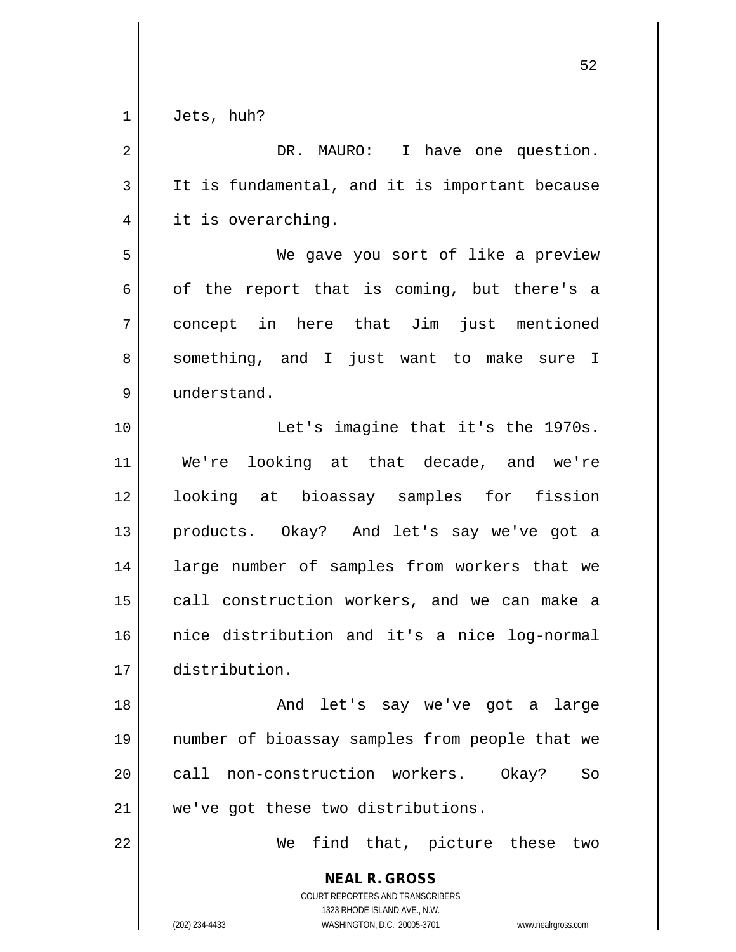| $1 \parallel$ | Jets, | huh? |
|---------------|-------|------|
|---------------|-------|------|

 $\overline{\phantom{a}}$ 

| $\mathbf 2$    | DR. MAURO: I have one question.                                                                                                                                 |
|----------------|-----------------------------------------------------------------------------------------------------------------------------------------------------------------|
| $\mathfrak{Z}$ | It is fundamental, and it is important because                                                                                                                  |
| 4              | it is overarching.                                                                                                                                              |
| 5              | We gave you sort of like a preview                                                                                                                              |
| 6              | of the report that is coming, but there's a                                                                                                                     |
| 7              | concept in here that Jim just mentioned                                                                                                                         |
| 8              | something, and I just want to make sure I                                                                                                                       |
| 9              | understand.                                                                                                                                                     |
| 10             | Let's imagine that it's the 1970s.                                                                                                                              |
| 11             | We're looking at that decade, and we're                                                                                                                         |
| 12             | looking at bioassay samples for fission                                                                                                                         |
| 13             | products. Okay? And let's say we've got a                                                                                                                       |
| 14             | large number of samples from workers that we                                                                                                                    |
| 15             | call construction workers, and we can make a                                                                                                                    |
| 16             | nice distribution and it's a nice log-normal                                                                                                                    |
| 17             | distribution.                                                                                                                                                   |
| 18             | And let's say we've got a large                                                                                                                                 |
| 19             | number of bioassay samples from people that we                                                                                                                  |
| 20             | call non-construction workers. Okay?<br>So                                                                                                                      |
| 21             | we've got these two distributions.                                                                                                                              |
| 22             | We find that, picture these two                                                                                                                                 |
|                | <b>NEAL R. GROSS</b><br>COURT REPORTERS AND TRANSCRIBERS<br>1323 RHODE ISLAND AVE., N.W.<br>(202) 234-4433<br>WASHINGTON, D.C. 20005-3701<br>www.nealrgross.com |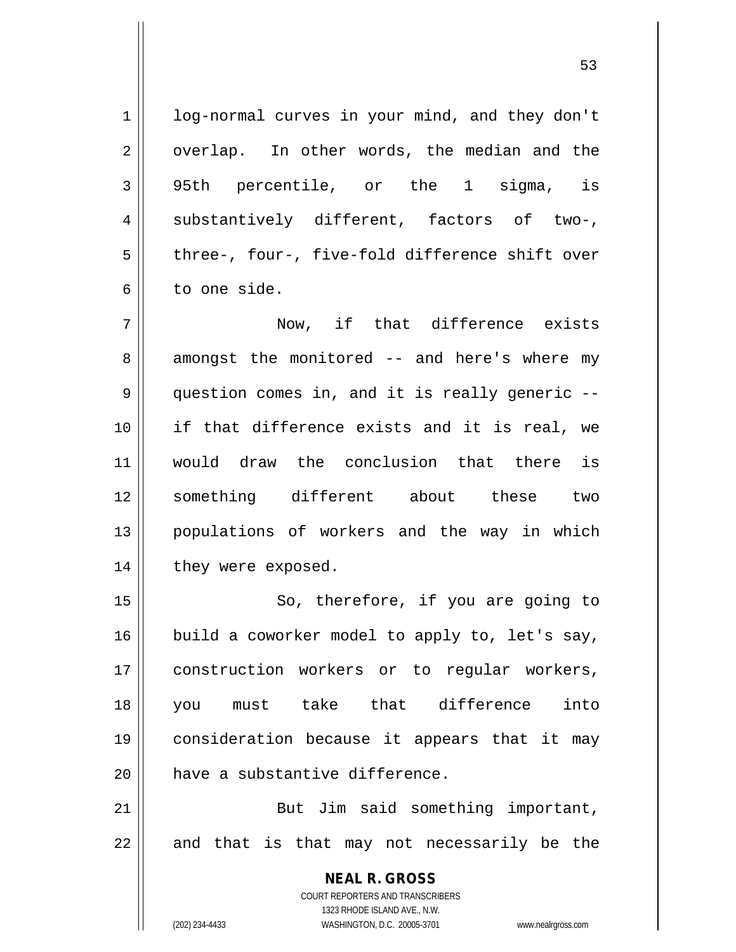53

**NEAL R. GROSS** COURT REPORTERS AND TRANSCRIBERS 1323 RHODE ISLAND AVE., N.W. 1 | log-normal curves in your mind, and they don't 2 || overlap. In other words, the median and the 3 95th percentile, or the 1 sigma, is 4 || substantively different, factors of two-,  $5 \parallel$  three-, four-, five-fold difference shift over 6 || to one side. 7 Now, if that difference exists 8 || amongst the monitored -- and here's where my 9 question comes in, and it is really generic --10 if that difference exists and it is real, we 11 would draw the conclusion that there is 12 something different about these two 13 populations of workers and the way in which 14 | they were exposed. 15 || So, therefore, if you are going to  $16$  build a coworker model to apply to, let's say, 17 construction workers or to regular workers, 18 you must take that difference into 19 consideration because it appears that it may  $20$  | have a substantive difference. 21 || But Jim said something important,  $22$  || and that is that may not necessarily be the

(202) 234-4433 WASHINGTON, D.C. 20005-3701 www.nealrgross.com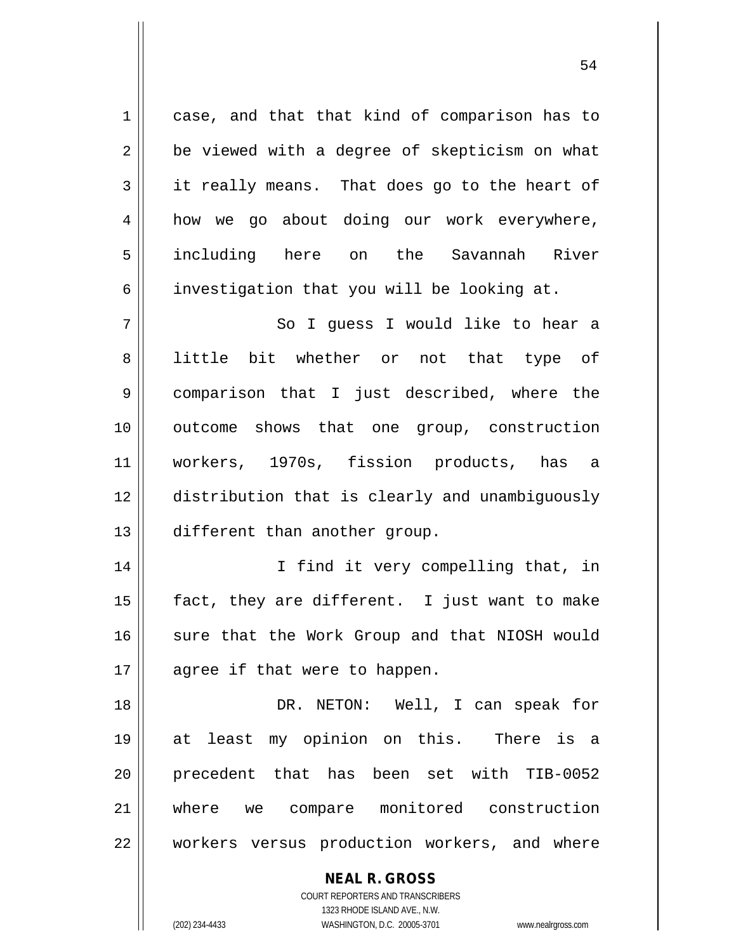**NEAL R. GROSS** 1 case, and that that kind of comparison has to  $2 \parallel$  be viewed with a degree of skepticism on what  $3 \parallel$  it really means. That does go to the heart of 4 how we go about doing our work everywhere, 5 || including here on the Savannah River 6 | investigation that you will be looking at. 7 || So I quess I would like to hear a 8 || little bit whether or not that type of 9 comparison that I just described, where the 10 outcome shows that one group, construction 11 workers, 1970s, fission products, has a 12 distribution that is clearly and unambiguously 13 different than another group. 14 || I find it very compelling that, in 15  $\parallel$  fact, they are different. I just want to make 16 || sure that the Work Group and that NIOSH would  $17 \parallel$  agree if that were to happen. 18 DR. NETON: Well, I can speak for 19 at least my opinion on this. There is a 20 precedent that has been set with TIB-0052 21 where we compare monitored construction 22 workers versus production workers, and where

> COURT REPORTERS AND TRANSCRIBERS 1323 RHODE ISLAND AVE., N.W.

(202) 234-4433 WASHINGTON, D.C. 20005-3701 www.nealrgross.com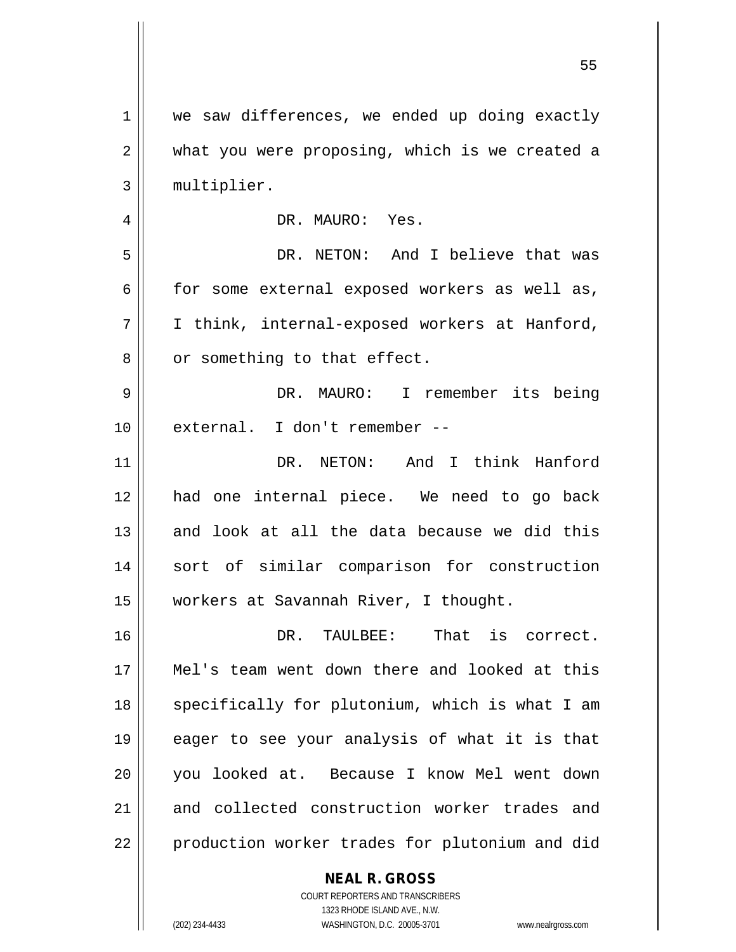| 1  | we saw differences, we ended up doing exactly  |
|----|------------------------------------------------|
| 2  | what you were proposing, which is we created a |
| 3  | multiplier.                                    |
| 4  | DR. MAURO: Yes.                                |
| 5  | DR. NETON: And I believe that was              |
| 6  | for some external exposed workers as well as,  |
| 7  | I think, internal-exposed workers at Hanford,  |
| 8  | or something to that effect.                   |
| 9  | DR. MAURO: I remember its being                |
| 10 | external. I don't remember --                  |
| 11 | DR. NETON: And I think Hanford                 |
| 12 | had one internal piece. We need to go back     |
| 13 | and look at all the data because we did this   |
| 14 | sort of similar comparison for construction    |
| 15 | workers at Savannah River, I thought.          |
| 16 | DR. TAULBEE:<br>That is correct.               |
| 17 | Mel's team went down there and looked at this  |
| 18 | specifically for plutonium, which is what I am |
| 19 | eager to see your analysis of what it is that  |
| 20 | you looked at. Because I know Mel went down    |
| 21 | and collected construction worker trades and   |
| 22 | production worker trades for plutonium and did |
|    | <b>NEAL R. GROSS</b>                           |
|    | COURT REPORTERS AND TRANSCRIBERS               |

 $\prod$ 

1323 RHODE ISLAND AVE., N.W.

(202) 234-4433 WASHINGTON, D.C. 20005-3701 www.nealrgross.com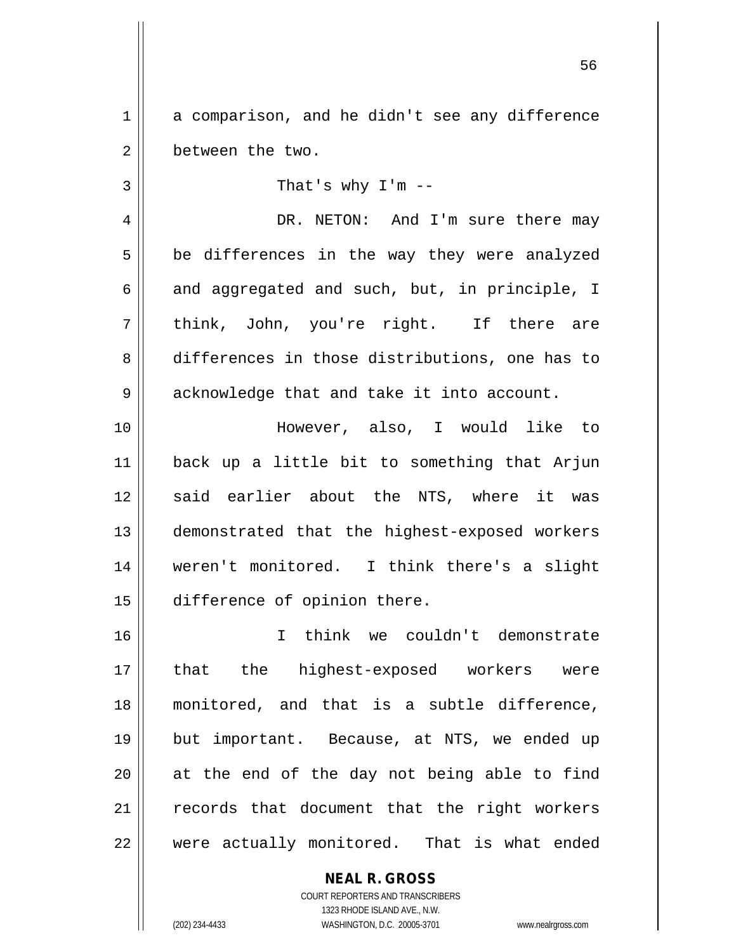1 a comparison, and he didn't see any difference 2 | between the two.

 $3 \parallel$  That's why I'm  $-$ 

4 | DR. NETON: And I'm sure there may  $5 \parallel$  be differences in the way they were analyzed  $6 \parallel$  and aggregated and such, but, in principle, I 7 think, John, you're right. If there are 8 differences in those distributions, one has to 9 | acknowledge that and take it into account.

 However, also, I would like to back up a little bit to something that Arjun 12 said earlier about the NTS, where it was demonstrated that the highest-exposed workers weren't monitored. I think there's a slight difference of opinion there.

 I think we couldn't demonstrate 17 || that the highest-exposed workers were monitored, and that is a subtle difference, but important. Because, at NTS, we ended up || at the end of the day not being able to find records that document that the right workers  $\parallel$  were actually monitored. That is what ended

> **NEAL R. GROSS** COURT REPORTERS AND TRANSCRIBERS 1323 RHODE ISLAND AVE., N.W. (202) 234-4433 WASHINGTON, D.C. 20005-3701 www.nealrgross.com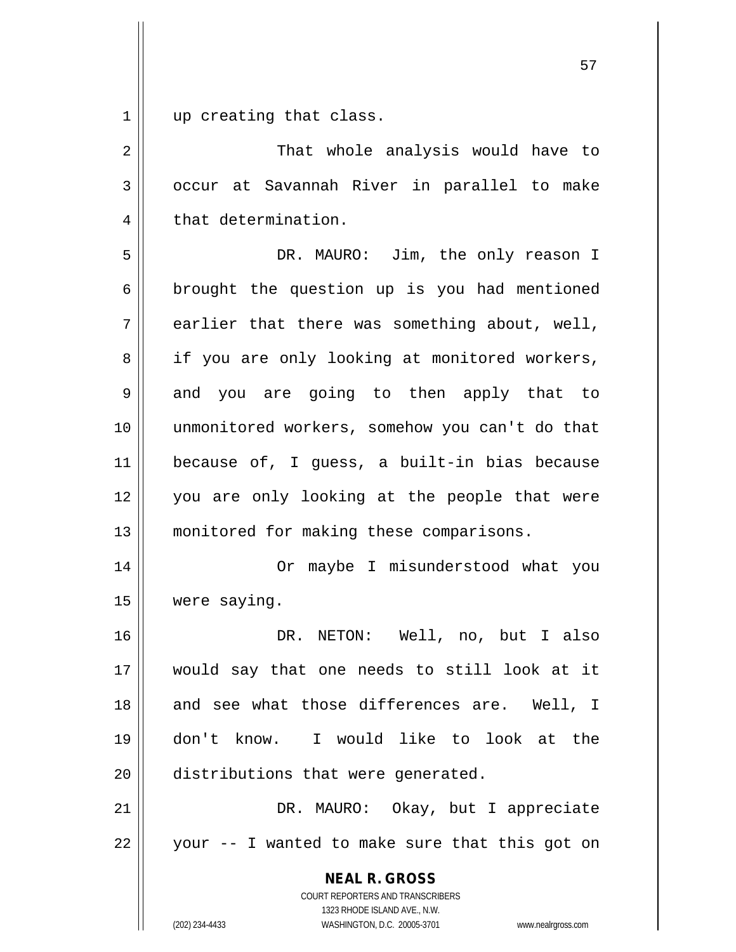$1 \parallel$  up creating that class.

| $\overline{2}$ | That whole analysis would have to                                                                                                                                      |
|----------------|------------------------------------------------------------------------------------------------------------------------------------------------------------------------|
| 3              | occur at Savannah River in parallel to make                                                                                                                            |
| 4              | that determination.                                                                                                                                                    |
| 5              | DR. MAURO: Jim, the only reason I                                                                                                                                      |
| 6              | brought the question up is you had mentioned                                                                                                                           |
| 7              | earlier that there was something about, well,                                                                                                                          |
| 8              | if you are only looking at monitored workers,                                                                                                                          |
| 9              | and you are going to then apply that to                                                                                                                                |
| 10             | unmonitored workers, somehow you can't do that                                                                                                                         |
| 11             | because of, I guess, a built-in bias because                                                                                                                           |
| 12             | you are only looking at the people that were                                                                                                                           |
| 13             | monitored for making these comparisons.                                                                                                                                |
| 14             | Or maybe I misunderstood what you                                                                                                                                      |
| 15             | were saying.                                                                                                                                                           |
| 16             | DR. NETON: Well, no, but I also                                                                                                                                        |
| 17             | would say that one needs to still look at it                                                                                                                           |
| 18             | and see what those differences are. Well, I                                                                                                                            |
| 19             | don't know. I would like to look at the                                                                                                                                |
| 20             | distributions that were generated.                                                                                                                                     |
| 21             | DR. MAURO: Okay, but I appreciate                                                                                                                                      |
| 22             | your -- I wanted to make sure that this got on                                                                                                                         |
|                | <b>NEAL R. GROSS</b><br><b>COURT REPORTERS AND TRANSCRIBERS</b><br>1323 RHODE ISLAND AVE., N.W.<br>WASHINGTON, D.C. 20005-3701<br>(202) 234-4433<br>www.nealrgross.com |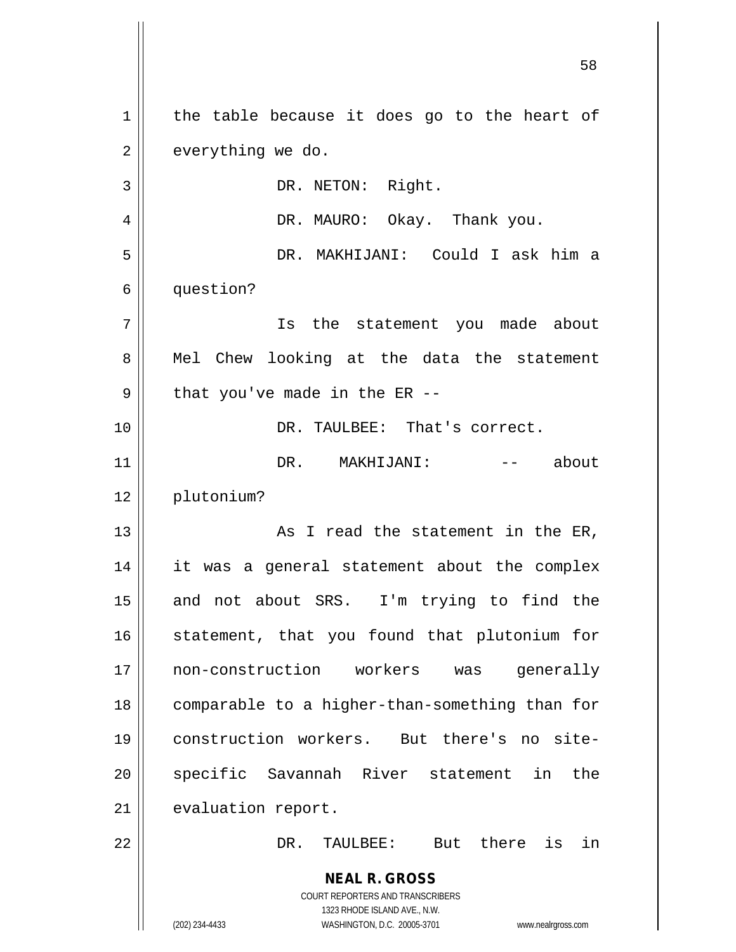**NEAL R. GROSS** COURT REPORTERS AND TRANSCRIBERS 1323 RHODE ISLAND AVE., N.W. (202) 234-4433 WASHINGTON, D.C. 20005-3701 www.nealrgross.com  $1 \parallel$  the table because it does go to the heart of  $2 \parallel$  everything we do. 3 || DR. NETON: Right. 4 DR. MAURO: Okay. Thank you. 5 DR. MAKHIJANI: Could I ask him a 6 | question? 7 Is the statement you made about 8 || Mel Chew looking at the data the statement  $9 \parallel$  that you've made in the ER --10 DR. TAULBEE: That's correct. 11 DR. MAKHIJANI: -- about 12 plutonium? 13 || As I read the statement in the ER, 14 it was a general statement about the complex 15 || and not about SRS. I'm trying to find the 16 || statement, that you found that plutonium for 17 non-construction workers was generally 18 comparable to a higher-than-something than for 19 construction workers. But there's no site-20 || specific Savannah River statement in the 21 | evaluation report. 22 DR. TAULBEE: But there is in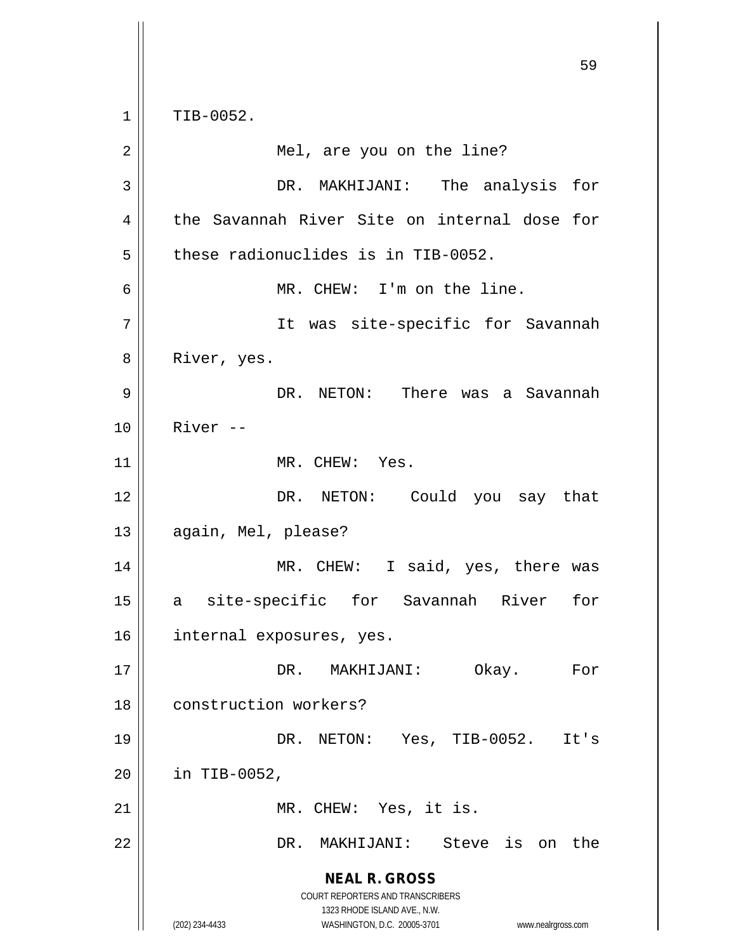**NEAL R. GROSS** COURT REPORTERS AND TRANSCRIBERS 1323 RHODE ISLAND AVE., N.W. (202) 234-4433 WASHINGTON, D.C. 20005-3701 www.nealrgross.com 59  $1 \parallel$  TIB-0052. 2 || Mel, are you on the line? 3 DR. MAKHIJANI: The analysis for 4 the Savannah River Site on internal dose for  $5$   $\parallel$  these radionuclides is in TIB-0052. 6 MR. CHEW: I'm on the line. 7 || It was site-specific for Savannah 8 | River, yes. 9 DR. NETON: There was a Savannah 10 River -- 11 || MR. CHEW: Yes. 12 DR. NETON: Could you say that 13 | again, Mel, please? 14 || MR. CHEW: I said, yes, there was 15 a site-specific for Savannah River for 16 internal exposures, yes. 17 DR. MAKHIJANI: Okay. For 18 || construction workers? 19 DR. NETON: Yes, TIB-0052. It's  $20$  | in TIB-0052, 21 || MR. CHEW: Yes, it is. 22 DR. MAKHIJANI: Steve is on the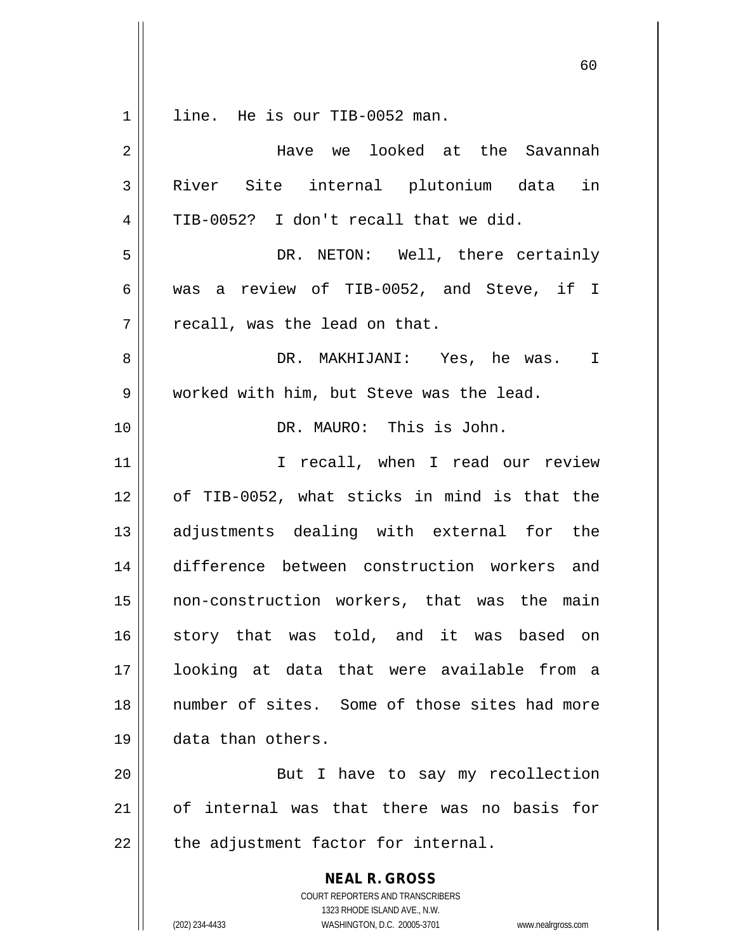$1 \parallel$  line. He is our TIB-0052 man.

| $\overline{2}$ | Have we looked at the Savannah                                                                      |
|----------------|-----------------------------------------------------------------------------------------------------|
| 3              | River Site internal plutonium data in                                                               |
| 4              | TIB-0052? I don't recall that we did.                                                               |
| 5              | DR. NETON: Well, there certainly                                                                    |
| 6              | was a review of TIB-0052, and Steve, if I                                                           |
| 7              | recall, was the lead on that.                                                                       |
| 8              | DR. MAKHIJANI: Yes, he was. I                                                                       |
| 9              | worked with him, but Steve was the lead.                                                            |
| 10             | DR. MAURO: This is John.                                                                            |
| 11             | I recall, when I read our review                                                                    |
| 12             | of TIB-0052, what sticks in mind is that the                                                        |
| 13             | adjustments dealing with external for the                                                           |
| 14             | difference between construction workers and                                                         |
| 15             | non-construction workers, that was the main                                                         |
| 16             | story that was told, and it was based on                                                            |
| 17             | looking at data that were available from a                                                          |
| 18             | number of sites. Some of those sites had more                                                       |
| 19             | data than others.                                                                                   |
| 20             | But I have to say my recollection                                                                   |
| 21             | of internal was that there was no basis for                                                         |
| 22             | the adjustment factor for internal.                                                                 |
|                |                                                                                                     |
|                | <b>NEAL R. GROSS</b><br>COURT REPORTERS AND TRANSCRIBERS                                            |
|                | 1323 RHODE ISLAND AVE., N.W.<br>(202) 234-4433<br>WASHINGTON, D.C. 20005-3701<br>www.nealrgross.com |
|                |                                                                                                     |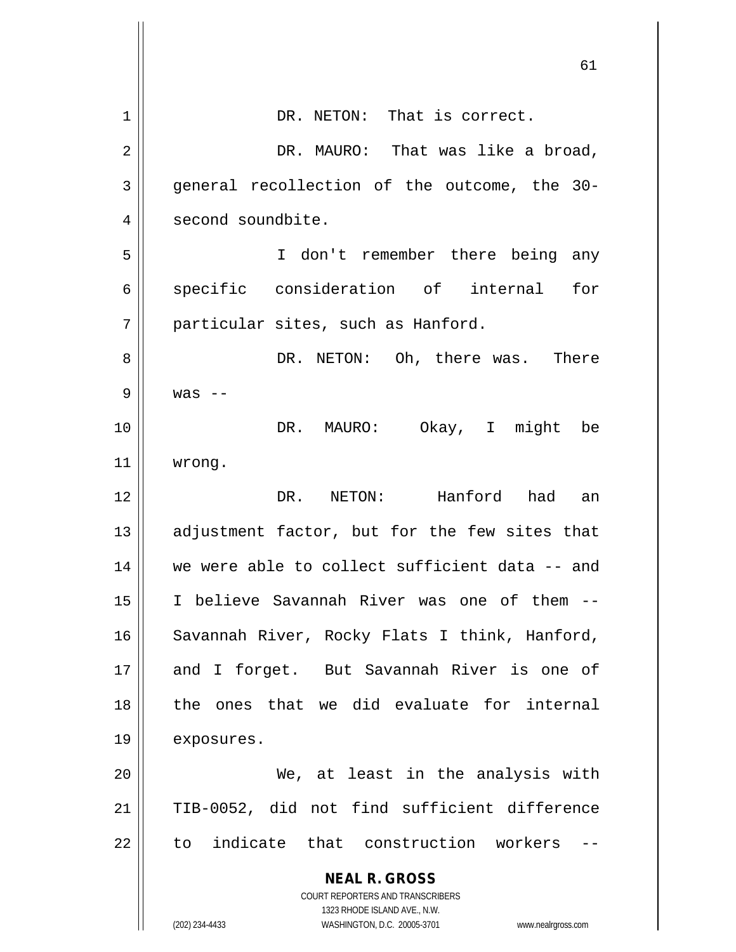|    | 61                                                                                                  |
|----|-----------------------------------------------------------------------------------------------------|
| 1  | DR. NETON: That is correct.                                                                         |
|    |                                                                                                     |
| 2  | DR. MAURO: That was like a broad,                                                                   |
| 3  | general recollection of the outcome, the 30-                                                        |
| 4  | second soundbite.                                                                                   |
| 5  | I don't remember there being any                                                                    |
| 6  | specific consideration of internal<br>for                                                           |
| 7  | particular sites, such as Hanford.                                                                  |
| 8  | DR. NETON: Oh, there was. There                                                                     |
| 9  | $was$ --                                                                                            |
| 10 | DR. MAURO:<br>Okay, I might<br>be                                                                   |
| 11 | wrong.                                                                                              |
| 12 | NETON: Hanford had<br>DR.<br>an                                                                     |
| 13 | adjustment factor, but for the few sites that                                                       |
| 14 | we were able to collect sufficient data -- and                                                      |
| 15 | I believe Savannah River was one of them --                                                         |
| 16 | Savannah River, Rocky Flats I think, Hanford,                                                       |
| 17 | and I forget. But Savannah River is one of                                                          |
| 18 | the ones that we did evaluate for internal                                                          |
| 19 | exposures.                                                                                          |
| 20 | We, at least in the analysis with                                                                   |
| 21 | TIB-0052, did not find sufficient difference                                                        |
| 22 | to indicate that construction workers                                                               |
|    | <b>NEAL R. GROSS</b>                                                                                |
|    | <b>COURT REPORTERS AND TRANSCRIBERS</b>                                                             |
|    | 1323 RHODE ISLAND AVE., N.W.<br>(202) 234-4433<br>WASHINGTON, D.C. 20005-3701<br>www.nealrgross.com |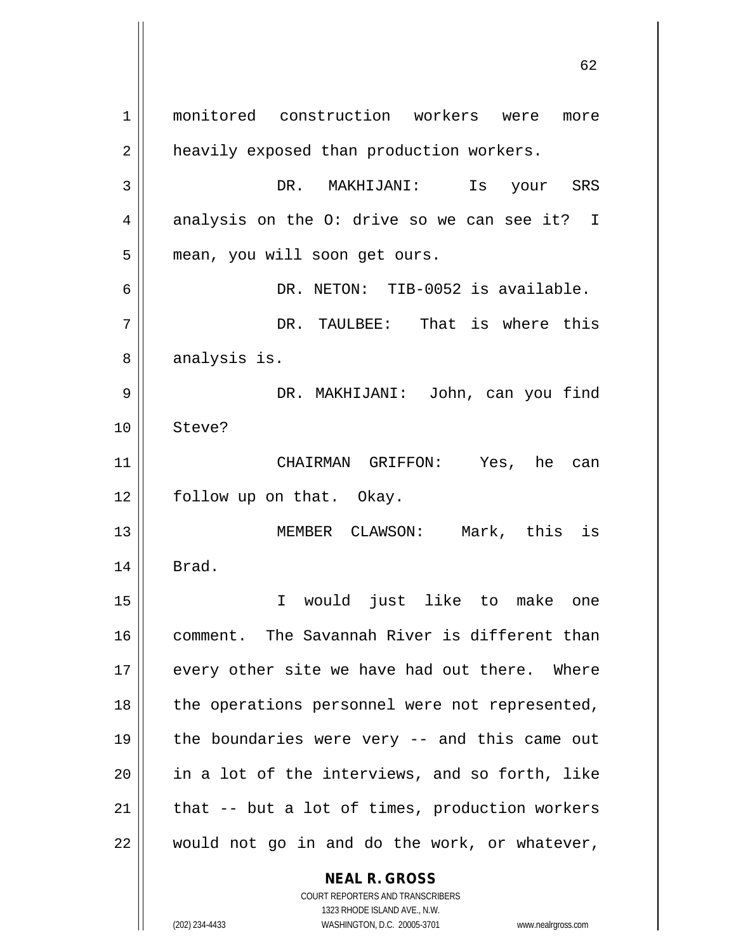**NEAL R. GROSS** 1 monitored construction workers were more 2 | heavily exposed than production workers. 3 DR. MAKHIJANI: Is your SRS  $4 \parallel$  analysis on the O: drive so we can see it? I 5 | mean, you will soon get ours. 6 DR. NETON: TIB-0052 is available. 7 DR. TAULBEE: That is where this 8 | analysis is. 9 DR. MAKHIJANI: John, can you find 10 Steve? 11 CHAIRMAN GRIFFON: Yes, he can 12 || follow up on that. Okay. 13 MEMBER CLAWSON: Mark, this is  $14$  | Brad. 15 I would just like to make one 16 || comment. The Savannah River is different than  $17$  || every other site we have had out there. Where 18 || the operations personnel were not represented, 19  $\parallel$  the boundaries were very -- and this came out  $20$  || in a lot of the interviews, and so forth, like 21  $\parallel$  that -- but a lot of times, production workers  $22$  || would not go in and do the work, or whatever,

1323 RHODE ISLAND AVE., N.W. (202) 234-4433 WASHINGTON, D.C. 20005-3701 www.nealrgross.com

COURT REPORTERS AND TRANSCRIBERS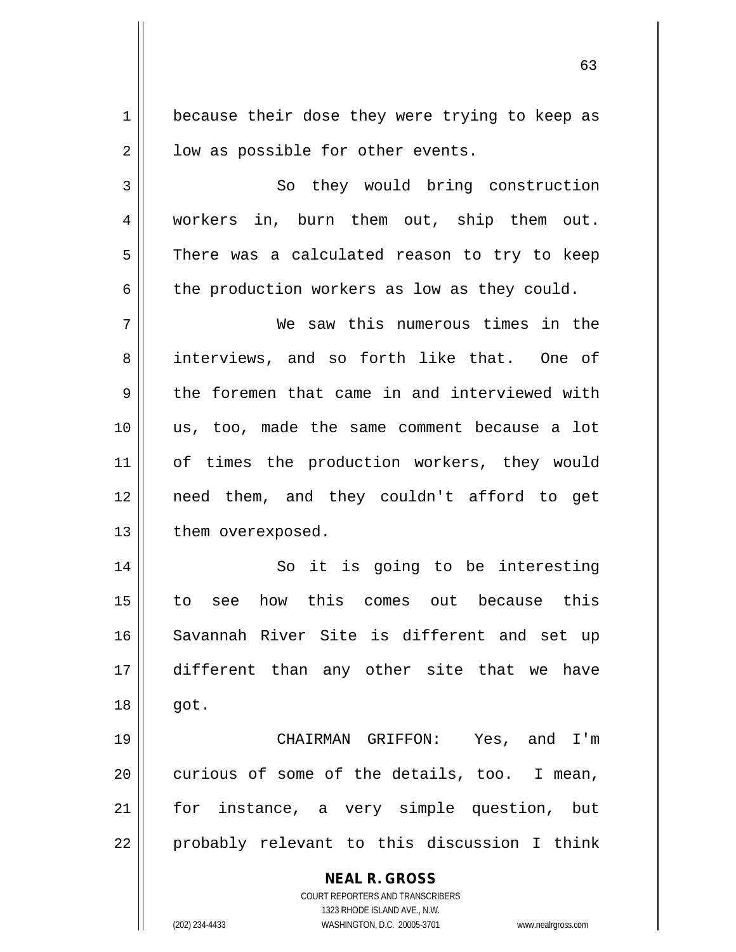1 || because their dose they were trying to keep as  $2 \parallel$  low as possible for other events.

3 || So they would bring construction 4 workers in, burn them out, ship them out. 5 There was a calculated reason to try to keep  $6 \parallel$  the production workers as low as they could.

7 We saw this numerous times in the 8 interviews, and so forth like that. One of 9 the foremen that came in and interviewed with 10 us, too, made the same comment because a lot 11 || of times the production workers, they would 12 need them, and they couldn't afford to get 13 | them overexposed.

14 || So it is going to be interesting 15 to see how this comes out because this 16 Savannah River Site is different and set up 17 different than any other site that we have 18 got.

19 CHAIRMAN GRIFFON: Yes, and I'm  $20$  | curious of some of the details, too. I mean, 21 || for instance, a very simple question, but  $22 \parallel$  probably relevant to this discussion I think

**NEAL R. GROSS**

COURT REPORTERS AND TRANSCRIBERS 1323 RHODE ISLAND AVE., N.W. (202) 234-4433 WASHINGTON, D.C. 20005-3701 www.nealrgross.com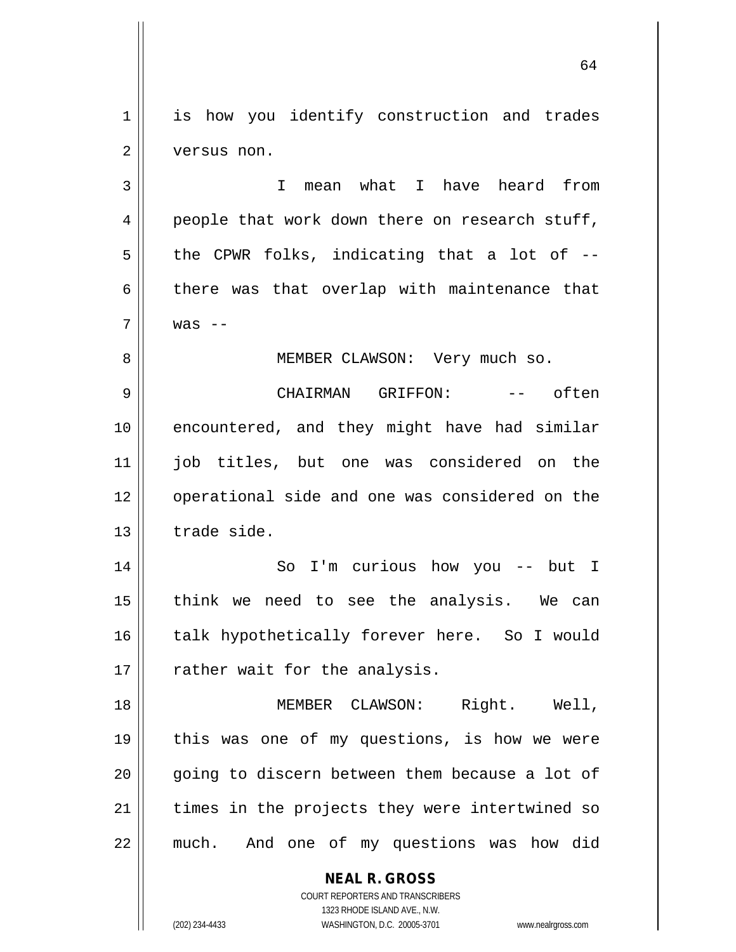1 || is how you identify construction and trades 2 | versus non.

3 || T mean what I have heard from 4 || people that work down there on research stuff,  $5 \parallel$  the CPWR folks, indicating that a lot of -- $6 \parallel$  there was that overlap with maintenance that  $7 \parallel$  was  $-$ 

8 || MEMBER CLAWSON: Very much so.

9 CHAIRMAN GRIFFON: -- often 10 || encountered, and they might have had similar 11 || iob titles, but one was considered on the 12 || operational side and one was considered on the  $13$   $\parallel$  trade side.

14 So I'm curious how you -- but I 15 || think we need to see the analysis. We can 16 || talk hypothetically forever here. So I would  $17$  | rather wait for the analysis.

18 MEMBER CLAWSON: Right. Well, 19 || this was one of my questions, is how we were  $20$  || going to discern between them because a lot of  $21$  times in the projects they were intertwined so 22 || much. And one of my questions was how did

**NEAL R. GROSS**

COURT REPORTERS AND TRANSCRIBERS 1323 RHODE ISLAND AVE., N.W. (202) 234-4433 WASHINGTON, D.C. 20005-3701 www.nealrgross.com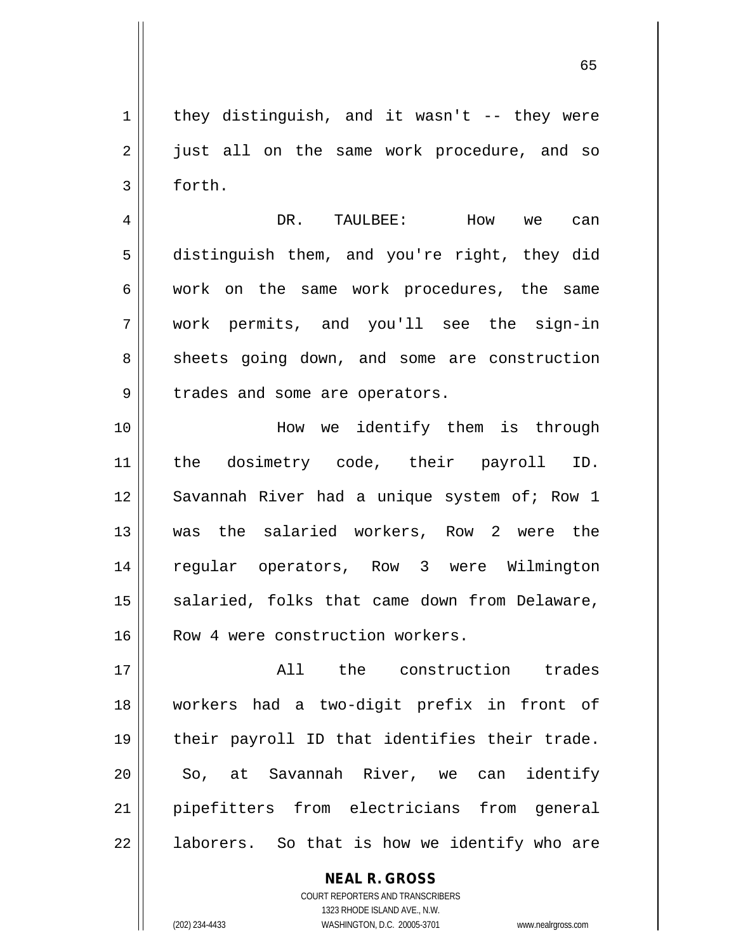65

 $1 \parallel$  they distinguish, and it wasn't -- they were 2 || just all on the same work procedure, and so  $3 \parallel$  forth.

4 DR. TAULBEE: How we can 5 distinguish them, and you're right, they did 6 work on the same work procedures, the same 7 work permits, and you'll see the sign-in 8 Sheets going down, and some are construction 9 | trades and some are operators.

10 || How we identify them is through 11 the dosimetry code, their payroll ID. 12 || Savannah River had a unique system of; Row 1 13 was the salaried workers, Row 2 were the 14 regular operators, Row 3 were Wilmington  $15$  salaried, folks that came down from Delaware, 16 || Row 4 were construction workers.

17 || The construction trades 18 workers had a two-digit prefix in front of 19 || their payroll ID that identifies their trade. 20 || So, at Savannah River, we can identify 21 pipefitters from electricians from general  $22$  ||  $\alpha$  laborers. So that is how we identify who are

> COURT REPORTERS AND TRANSCRIBERS 1323 RHODE ISLAND AVE., N.W. (202) 234-4433 WASHINGTON, D.C. 20005-3701 www.nealrgross.com

**NEAL R. GROSS**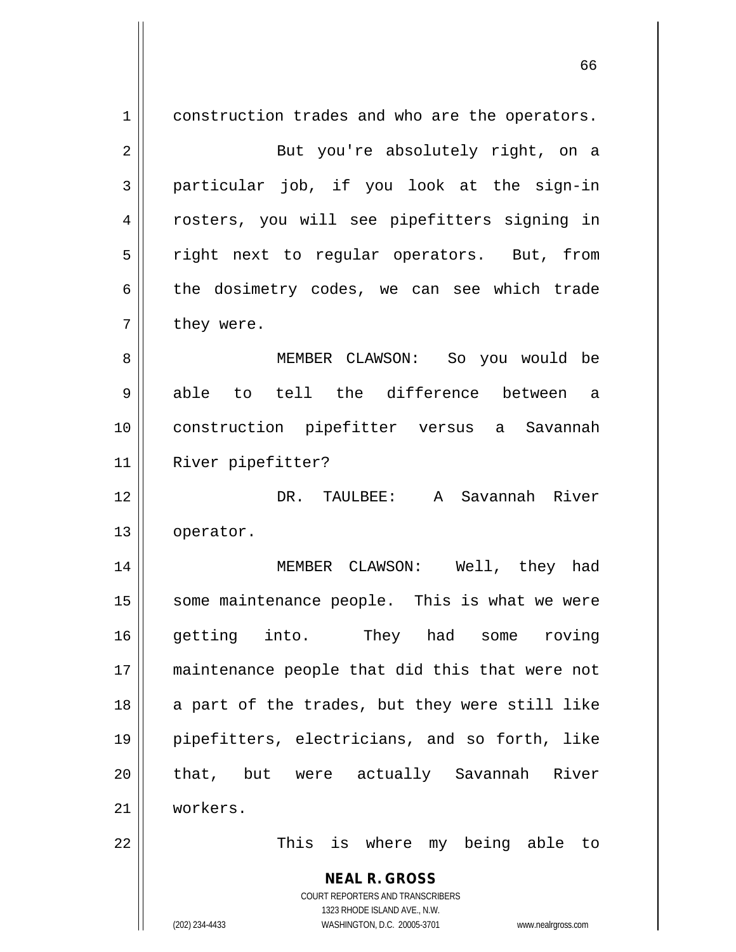**NEAL R. GROSS** COURT REPORTERS AND TRANSCRIBERS 1323 RHODE ISLAND AVE., N.W. (202) 234-4433 WASHINGTON, D.C. 20005-3701 www.nealrgross.com 1 construction trades and who are the operators. 2 || But you're absolutely right, on a  $3 \parallel$  particular job, if you look at the sign-in 4 || rosters, you will see pipefitters signing in 5 || right next to regular operators. But, from 6 the dosimetry codes, we can see which trade  $7 \parallel$  they were. 8 MEMBER CLAWSON: So you would be 9 able to tell the difference between a 10 construction pipefitter versus a Savannah 11 | River pipefitter? 12 DR. TAULBEE: A Savannah River 13 | operator. 14 MEMBER CLAWSON: Well, they had 15 || some maintenance people. This is what we were 16 getting into. They had some roving 17 maintenance people that did this that were not  $18$  a part of the trades, but they were still like 19 pipefitters, electricians, and so forth, like 20 || that, but were actually Savannah River 21 workers. 22 || This is where my being able to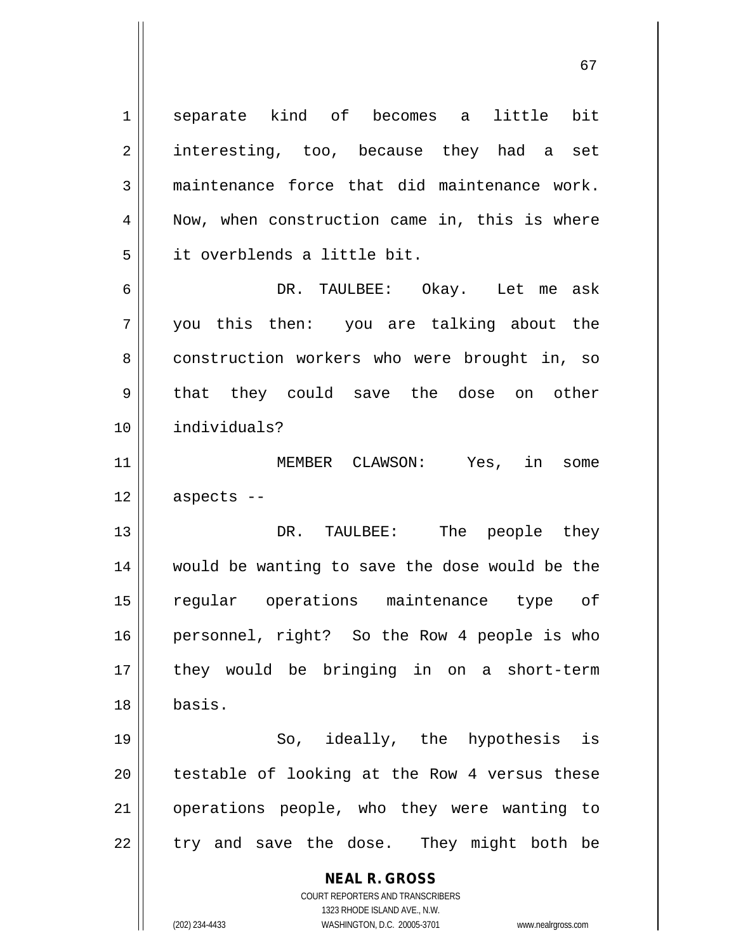**NEAL R. GROSS** COURT REPORTERS AND TRANSCRIBERS 1 Separate kind of becomes a little bit 2 || interesting, too, because they had a set  $3 \parallel$  maintenance force that did maintenance work.  $4 \parallel$  Now, when construction came in, this is where 5 it overblends a little bit. 6 DR. TAULBEE: Okay. Let me ask 7 you this then: you are talking about the 8 construction workers who were brought in, so 9 that they could save the dose on other 10 individuals? 11 || MEMBER CLAWSON: Yes, in some  $12 \parallel$  aspects --13 DR. TAULBEE: The people they 14 would be wanting to save the dose would be the 15 regular operations maintenance type of 16 personnel, right? So the Row 4 people is who 17 they would be bringing in on a short-term 18 basis. 19 So, ideally, the hypothesis is  $20$  | testable of looking at the Row 4 versus these 21 || operations people, who they were wanting to  $22$  || try and save the dose. They might both be

1323 RHODE ISLAND AVE., N.W.

(202) 234-4433 WASHINGTON, D.C. 20005-3701 www.nealrgross.com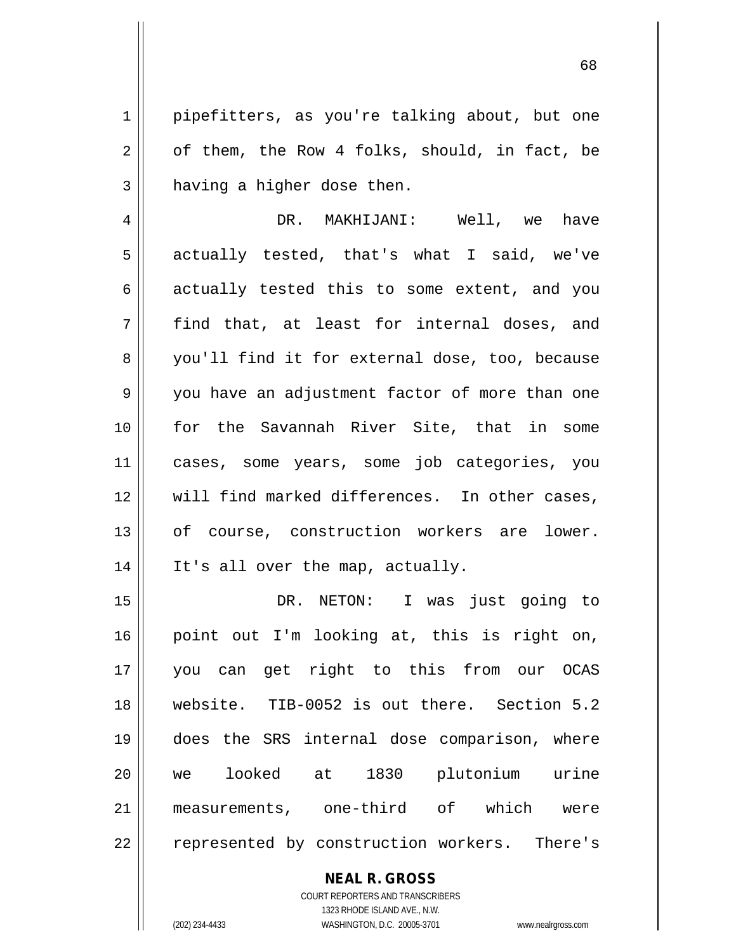1 pipefitters, as you're talking about, but one  $2 \parallel$  of them, the Row 4 folks, should, in fact, be  $3$  | having a higher dose then.

4 DR. MAKHIJANI: Well, we have  $5 \parallel$  actually tested, that's what I said, we've  $6 \parallel$  actually tested this to some extent, and you  $7 \parallel$  find that, at least for internal doses, and 8 you'll find it for external dose, too, because 9 you have an adjustment factor of more than one 10 for the Savannah River Site, that in some 11 cases, some years, some job categories, you 12 Will find marked differences. In other cases, 13 || of course, construction workers are lower. 14 || It's all over the map, actually.

 DR. NETON: I was just going to point out I'm looking at, this is right on, you can get right to this from our OCAS website. TIB-0052 is out there. Section 5.2 does the SRS internal dose comparison, where we looked at 1830 plutonium urine measurements, one-third of which were 22 || represented by construction workers. There's

> **NEAL R. GROSS** COURT REPORTERS AND TRANSCRIBERS

1323 RHODE ISLAND AVE., N.W. (202) 234-4433 WASHINGTON, D.C. 20005-3701 www.nealrgross.com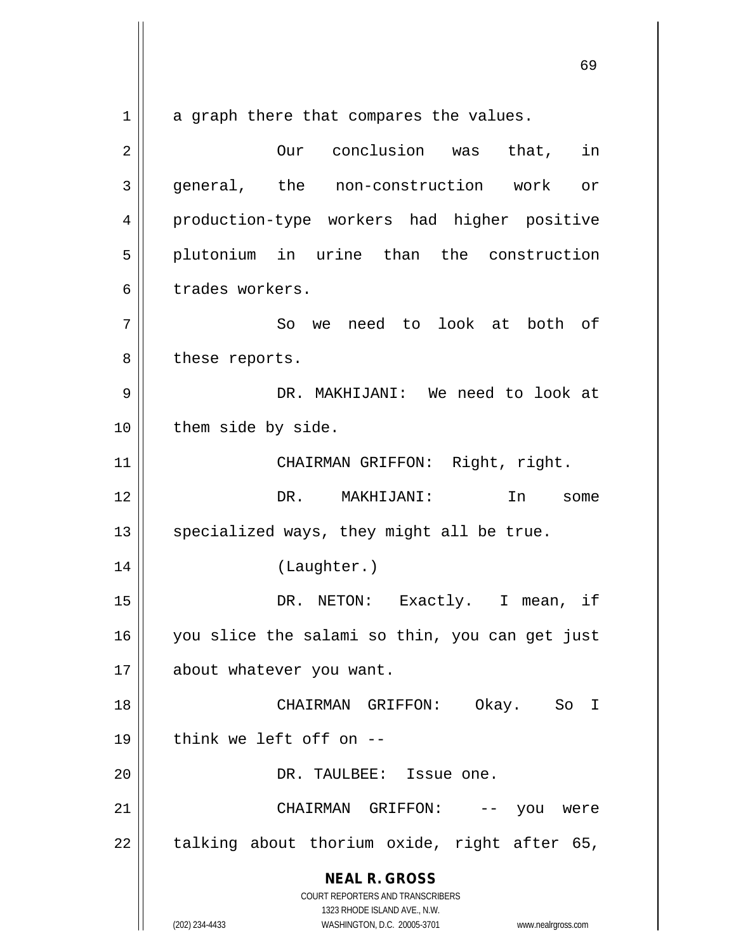**NEAL R. GROSS** COURT REPORTERS AND TRANSCRIBERS 1323 RHODE ISLAND AVE., N.W.  $1 \parallel$  a graph there that compares the values. 2 || **Our** conclusion was that, in 3 general, the non-construction work or 4 production-type workers had higher positive 5 plutonium in urine than the construction 6 trades workers. 7 || So we need to look at both of 8 || these reports. 9 DR. MAKHIJANI: We need to look at 10 | them side by side. 11 | CHAIRMAN GRIFFON: Right, right. 12 DR. MAKHIJANI: In some 13  $\parallel$  specialized ways, they might all be true. 14 (Laughter.) 15 || DR. NETON: Exactly. I mean, if 16 you slice the salami so thin, you can get just 17 || about whatever you want. 18 CHAIRMAN GRIFFON: Okay. So I  $19$  || think we left off on  $-$ 20 || DR. TAULBEE: Issue one. 21 CHAIRMAN GRIFFON: -- you were  $22$  || talking about thorium oxide, right after 65,

(202) 234-4433 WASHINGTON, D.C. 20005-3701 www.nealrgross.com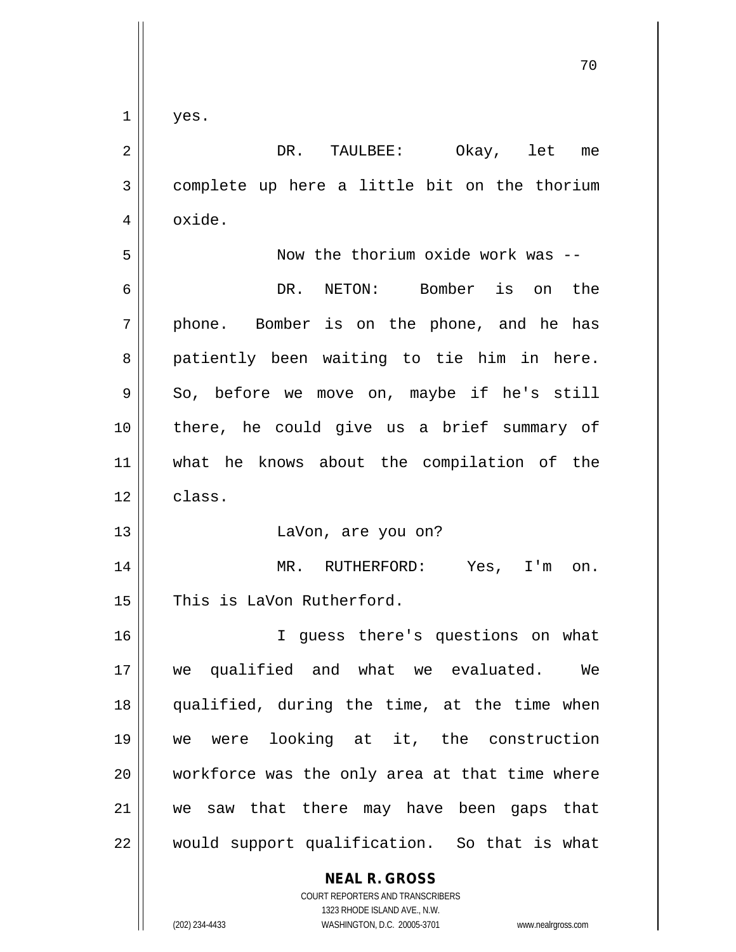$1 \parallel$  yes.

| $\overline{2}$ | Okay, let me<br>DR. TAULBEE:                   |
|----------------|------------------------------------------------|
| $\mathfrak{Z}$ | complete up here a little bit on the thorium   |
| 4              | oxide.                                         |
| 5              | Now the thorium oxide work was --              |
| 6              | NETON: Bomber is on the<br>DR.                 |
| 7              | phone. Bomber is on the phone, and he has      |
| 8              | patiently been waiting to tie him in here.     |
| 9              | So, before we move on, maybe if he's still     |
| 10             | there, he could give us a brief summary of     |
| 11             | what he knows about the compilation of the     |
| 12             | class.                                         |
| 13             | LaVon, are you on?                             |
| 14             | MR.<br>RUTHERFORD: Yes, I'm on.                |
| 15             | This is LaVon Rutherford.                      |
| 16             | I guess there's questions on what              |
| 17             | we qualified and what we evaluated. We         |
| 18             | qualified, during the time, at the time when   |
| 19             | we were looking at it, the construction        |
| 20             | workforce was the only area at that time where |
| 21             | we saw that there may have been gaps that      |
| 22             | would support qualification. So that is what   |
|                | <b>NEAL R. GROSS</b>                           |

COURT REPORTERS AND TRANSCRIBERS 1323 RHODE ISLAND AVE., N.W. (202) 234-4433 WASHINGTON, D.C. 20005-3701 www.nealrgross.com

 $\mathsf{I}$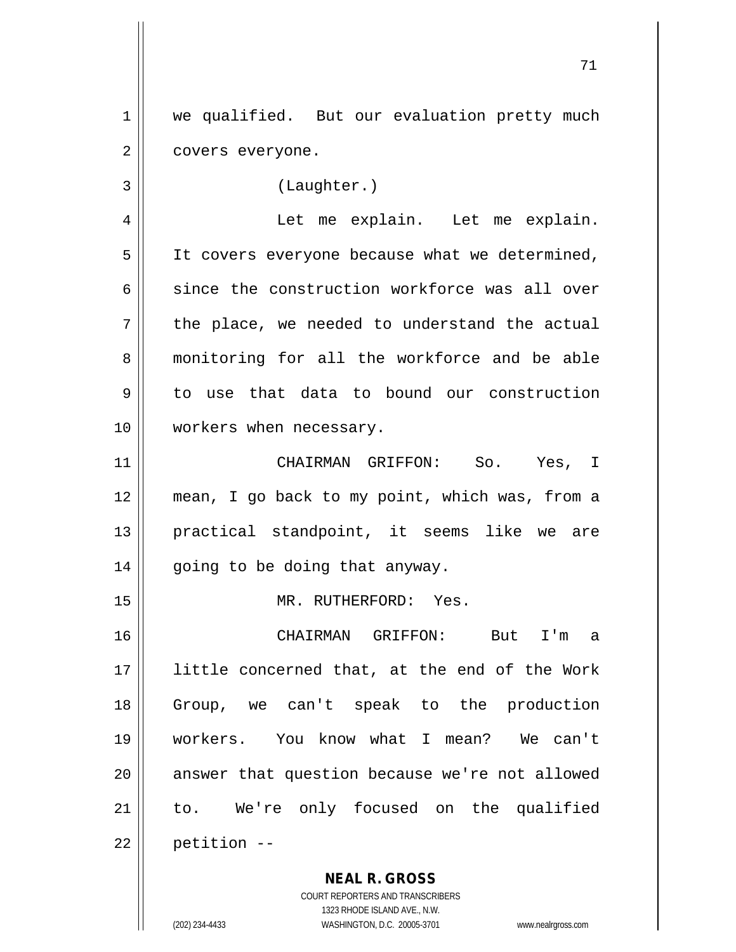1 | we qualified. But our evaluation pretty much 2 | covers everyone.

3 (Laughter.)

4 || Let me explain. Let me explain.  $5 \parallel$  It covers everyone because what we determined, 6 since the construction workforce was all over  $7 \parallel$  the place, we needed to understand the actual 8 monitoring for all the workforce and be able 9 to use that data to bound our construction 10 workers when necessary.

 CHAIRMAN GRIFFON: So. Yes, I mean, I go back to my point, which was, from a practical standpoint, it seems like we are | going to be doing that anyway.

15 || MR. RUTHERFORD: Yes.

 CHAIRMAN GRIFFON: But I'm a little concerned that, at the end of the Work Group, we can't speak to the production workers. You know what I mean? We can't 20 || answer that question because we're not allowed 21 || to. We're only focused on the qualified | petition  $-$ 

> **NEAL R. GROSS** COURT REPORTERS AND TRANSCRIBERS 1323 RHODE ISLAND AVE., N.W.

(202) 234-4433 WASHINGTON, D.C. 20005-3701 www.nealrgross.com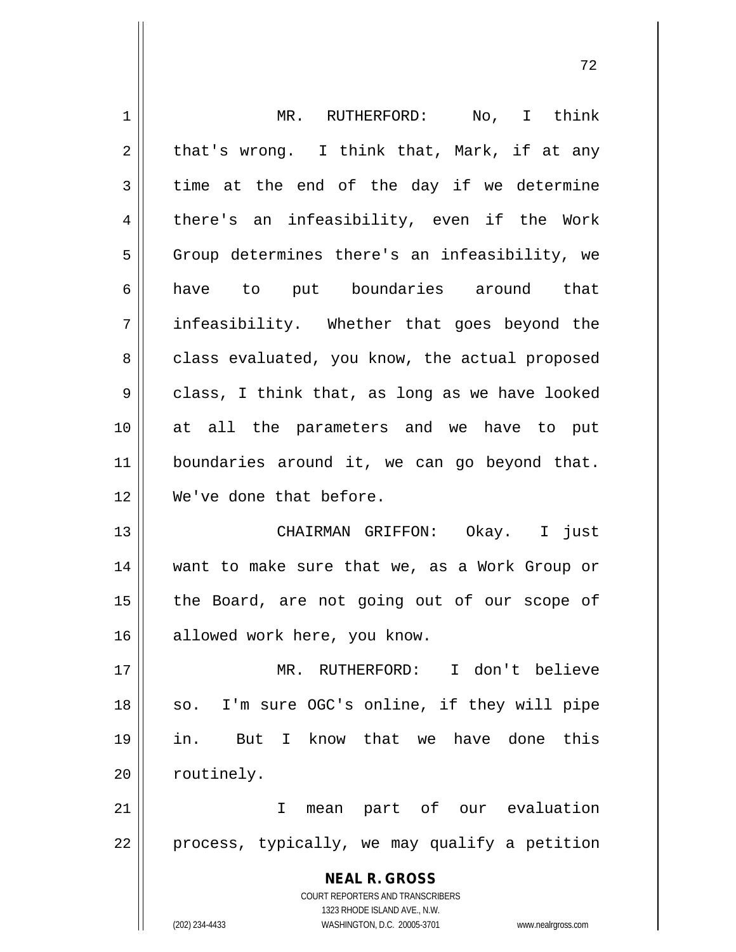| 1  | MR. RUTHERFORD: No, I think                                         |
|----|---------------------------------------------------------------------|
| 2  | that's wrong. I think that, Mark, if at any                         |
| 3  | time at the end of the day if we determine                          |
| 4  | there's an infeasibility, even if the Work                          |
| 5  | Group determines there's an infeasibility, we                       |
| 6  | have to put boundaries around that                                  |
| 7  | infeasibility. Whether that goes beyond the                         |
| 8  | class evaluated, you know, the actual proposed                      |
| 9  | class, I think that, as long as we have looked                      |
| 10 | at all the parameters and we have to put                            |
| 11 | boundaries around it, we can go beyond that.                        |
| 12 | We've done that before.                                             |
| 13 | CHAIRMAN GRIFFON: Okay. I just                                      |
| 14 | want to make sure that we, as a Work Group or                       |
| 15 | the Board, are not going out of our scope of                        |
| 16 | allowed work here, you know.                                        |
| 17 | I don't believe<br>MR. RUTHERFORD:                                  |
| 18 | I'm sure OGC's online, if they will pipe<br>SO.                     |
| 19 | But I know that we have done<br>this<br>in.                         |
| 20 | routinely.                                                          |
| 21 | mean part of our evaluation<br>T.                                   |
| 22 | process, typically, we may qualify a petition                       |
|    |                                                                     |
|    | <b>NEAL R. GROSS</b><br><b>COURT REPORTERS AND TRANSCRIBERS</b>     |
|    | 1323 RHODE ISLAND AVE., N.W.                                        |
|    | WASHINGTON, D.C. 20005-3701<br>(202) 234-4433<br>www.nealrgross.com |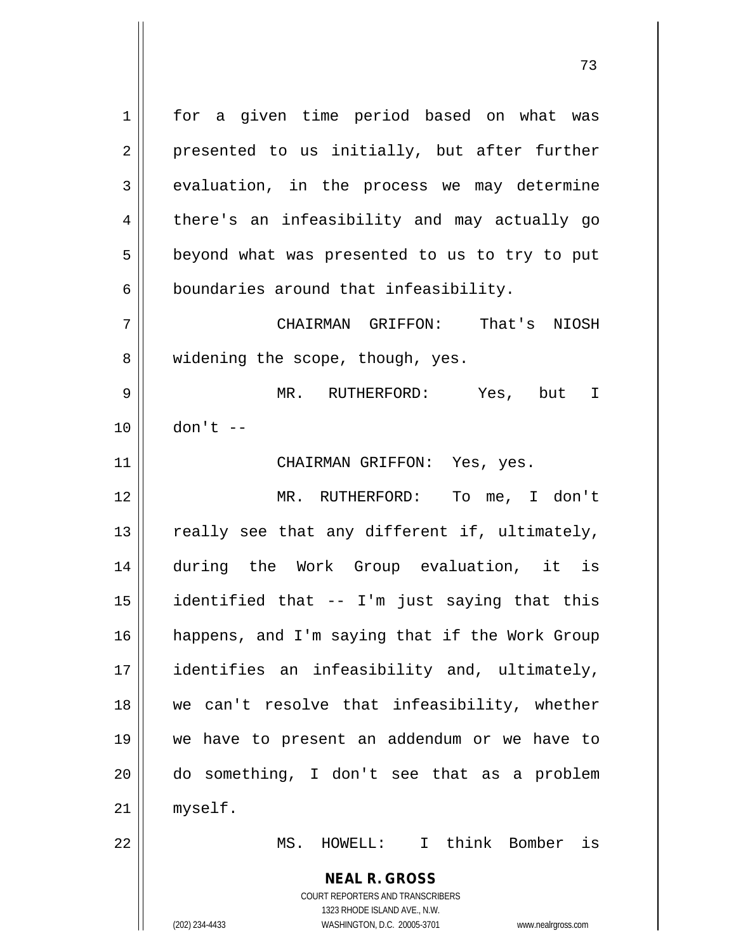**NEAL R. GROSS** COURT REPORTERS AND TRANSCRIBERS 1 || for a given time period based on what was 2 || presented to us initially, but after further 3 evaluation, in the process we may determine 4 || there's an infeasibility and may actually go  $5 \parallel$  beyond what was presented to us to try to put  $6 \parallel$  boundaries around that infeasibility. 7 CHAIRMAN GRIFFON: That's NIOSH 8 || widening the scope, though, yes. 9 MR. RUTHERFORD: Yes, but I 10 don't -- 11 | CHAIRMAN GRIFFON: Yes, yes. 12 MR. RUTHERFORD: To me, I don't 13  $\parallel$  really see that any different if, ultimately, 14 during the Work Group evaluation, it is 15 identified that -- I'm just saying that this 16 || happens, and I'm saying that if the Work Group 17 identifies an infeasibility and, ultimately, 18 we can't resolve that infeasibility, whether 19 we have to present an addendum or we have to 20 do something, I don't see that as a problem 21 myself. 22 MS. HOWELL: I think Bomber is

1323 RHODE ISLAND AVE., N.W.

(202) 234-4433 WASHINGTON, D.C. 20005-3701 www.nealrgross.com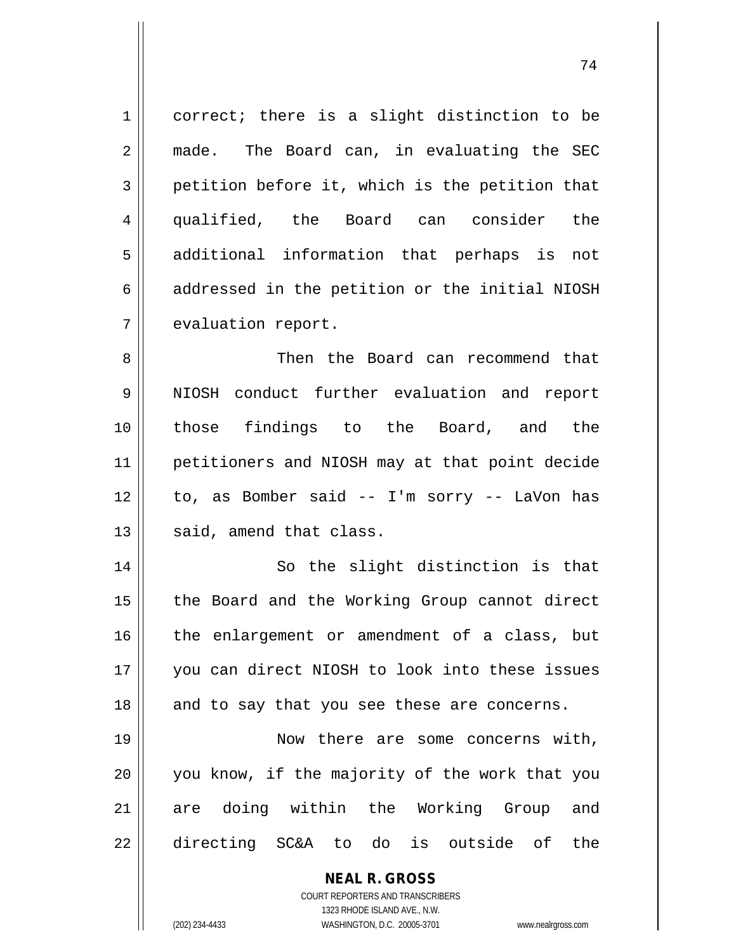1 correct; there is a slight distinction to be 2 || made. The Board can, in evaluating the SEC  $3 \parallel$  petition before it, which is the petition that 4 qualified, the Board can consider the 5 || additional information that perhaps is not  $6 \parallel$  addressed in the petition or the initial NIOSH 7 | evaluation report.

 Then the Board can recommend that 9 || NIOSH conduct further evaluation and report those findings to the Board, and the petitioners and NIOSH may at that point decide to, as Bomber said -- I'm sorry -- LaVon has || said, amend that class.

14 || So the slight distinction is that 15 || the Board and the Working Group cannot direct 16 the enlargement or amendment of a class, but 17 you can direct NIOSH to look into these issues 18 || and to say that you see these are concerns.

19 || Now there are some concerns with, 20 || you know, if the majority of the work that you 21 are doing within the Working Group and 22 directing SC&A to do is outside of the

> **NEAL R. GROSS** COURT REPORTERS AND TRANSCRIBERS 1323 RHODE ISLAND AVE., N.W.

(202) 234-4433 WASHINGTON, D.C. 20005-3701 www.nealrgross.com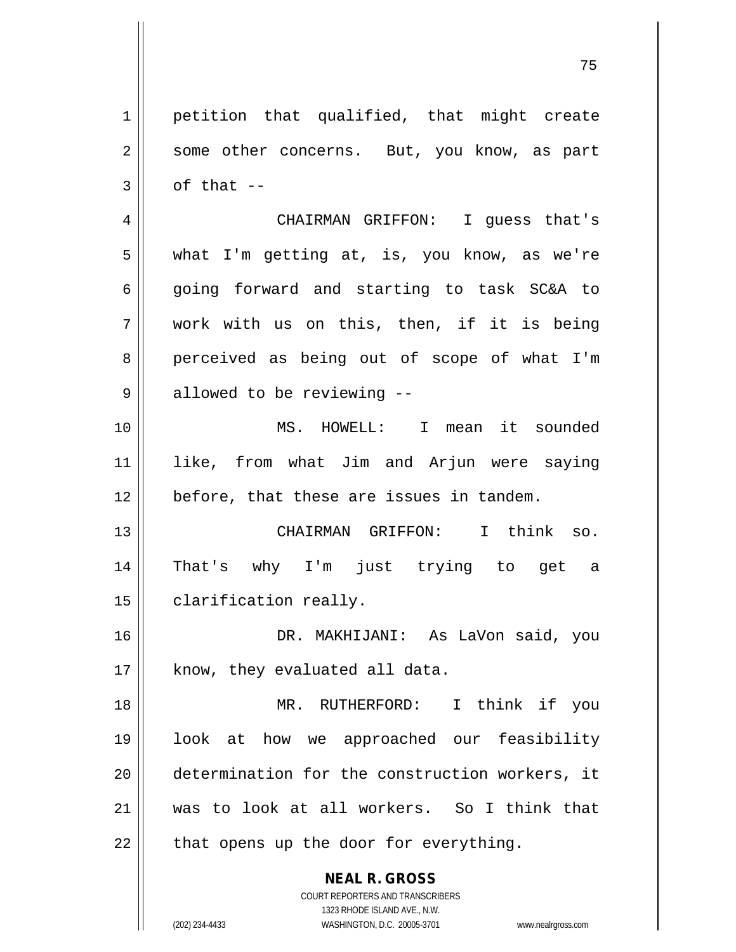CHAIRMAN GRIFFON: I guess that's what I'm getting at, is, you know, as we're 6 || going forward and starting to task SC&A to  $7 \parallel$  work with us on this, then, if it is being 8 perceived as being out of scope of what I'm | allowed to be reviewing  $-$  MS. HOWELL: I mean it sounded like, from what Jim and Arjun were saying 12 || before, that these are issues in tandem. CHAIRMAN GRIFFON: I think so. That's why I'm just trying to get a 15 | clarification really. DR. MAKHIJANI: As LaVon said, you | know, they evaluated all data. MR. RUTHERFORD: I think if you look at how we approached our feasibility

1 || petition that qualified, that might create

2 || some other concerns. But, you know, as part

21 was to look at all workers. So I think that  $22$  || that opens up the door for everything.

20 determination for the construction workers, it

**NEAL R. GROSS** COURT REPORTERS AND TRANSCRIBERS

 $3 \parallel$  of that --

1323 RHODE ISLAND AVE., N.W. (202) 234-4433 WASHINGTON, D.C. 20005-3701 www.nealrgross.com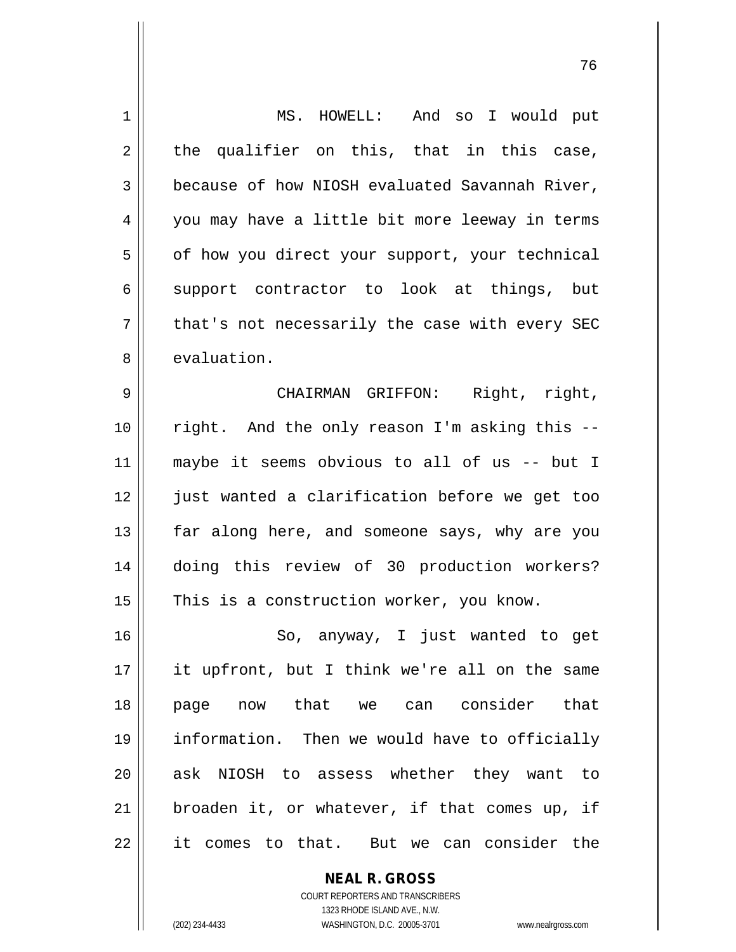| 1  | MS. HOWELL: And so I would put                 |
|----|------------------------------------------------|
| 2  | the qualifier on this, that in this case,      |
| 3  | because of how NIOSH evaluated Savannah River, |
| 4  | you may have a little bit more leeway in terms |
| 5  | of how you direct your support, your technical |
| 6  | support contractor to look at things, but      |
| 7  | that's not necessarily the case with every SEC |
| 8  | evaluation.                                    |
| 9  | Right, right,<br>CHAIRMAN GRIFFON:             |
| 10 | right. And the only reason I'm asking this --  |
| 11 | maybe it seems obvious to all of us -- but I   |
| 12 | just wanted a clarification before we get too  |
| 13 | far along here, and someone says, why are you  |
| 14 | doing this review of 30 production workers?    |
| 15 | This is a construction worker, you know.       |
| 16 | So, anyway, I just wanted to get               |
| 17 | it upfront, but I think we're all on the same  |
| 18 | page now that we can consider that             |
| 19 | information. Then we would have to officially  |
| 20 | ask NIOSH to assess whether they want to       |
| 21 | broaden it, or whatever, if that comes up, if  |
| 22 | it comes to that. But we can consider the      |
|    |                                                |

COURT REPORTERS AND TRANSCRIBERS 1323 RHODE ISLAND AVE., N.W. (202) 234-4433 WASHINGTON, D.C. 20005-3701 www.nealrgross.com

 $\mathsf{II}$ 

**NEAL R. GROSS**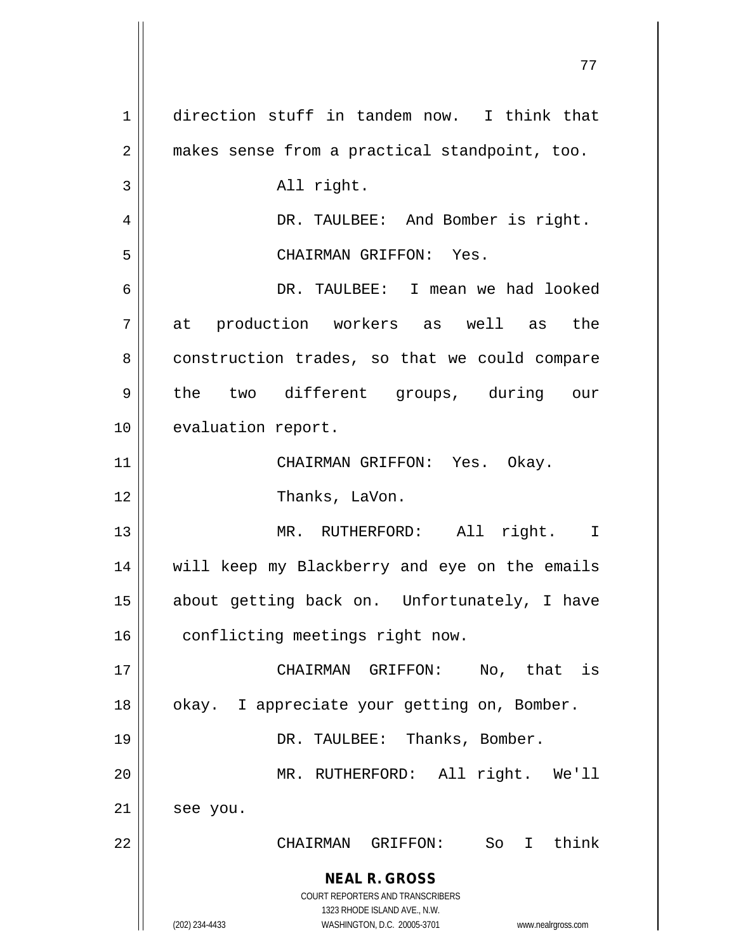**NEAL R. GROSS** COURT REPORTERS AND TRANSCRIBERS 1323 RHODE ISLAND AVE., N.W. (202) 234-4433 WASHINGTON, D.C. 20005-3701 www.nealrgross.com 1 direction stuff in tandem now. I think that 2 || makes sense from a practical standpoint, too. 3 || All right. 4 DR. TAULBEE: And Bomber is right. 5 CHAIRMAN GRIFFON: Yes. 6 DR. TAULBEE: I mean we had looked 7 at production workers as well as the 8 | construction trades, so that we could compare 9 || the two different groups, during our 10 | evaluation report. 11 CHAIRMAN GRIFFON: Yes. Okay. 12 || Thanks, LaVon. 13 || MR. RUTHERFORD: All right. I 14 || will keep my Blackberry and eye on the emails 15 about getting back on. Unfortunately, I have 16 | conflicting meetings right now. 17 CHAIRMAN GRIFFON: No, that is 18 | | okay. I appreciate your getting on, Bomber. 19 DR. TAULBEE: Thanks, Bomber. 20 MR. RUTHERFORD: All right. We'll 21 | see you. 22 CHAIRMAN GRIFFON: So I think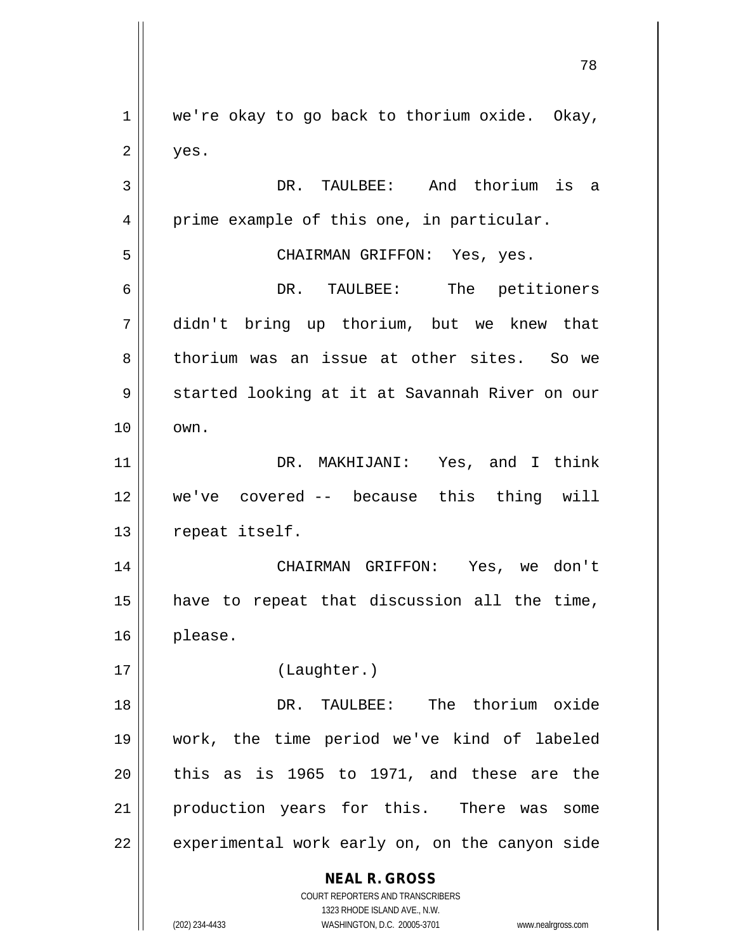**NEAL R. GROSS** COURT REPORTERS AND TRANSCRIBERS 1323 RHODE ISLAND AVE., N.W.  $1 \parallel$  we're okay to go back to thorium oxide. Okay,  $2 \parallel$  yes. 3 DR. TAULBEE: And thorium is a 4 | prime example of this one, in particular. 5 CHAIRMAN GRIFFON: Yes, yes. 6 DR. TAULBEE: The petitioners 7 didn't bring up thorium, but we knew that 8 thorium was an issue at other sites. So we 9 || started looking at it at Savannah River on our  $10 \parallel \quad \text{own}.$ 11 DR. MAKHIJANI: Yes, and I think 12 we've covered -- because this thing will 13 || repeat itself. 14 CHAIRMAN GRIFFON: Yes, we don't 15 have to repeat that discussion all the time, 16 please. 17 (Laughter.) 18 DR. TAULBEE: The thorium oxide 19 work, the time period we've kind of labeled  $20$  this as is 1965 to 1971, and these are the 21 || production years for this. There was some  $22$  | experimental work early on, on the canyon side

(202) 234-4433 WASHINGTON, D.C. 20005-3701 www.nealrgross.com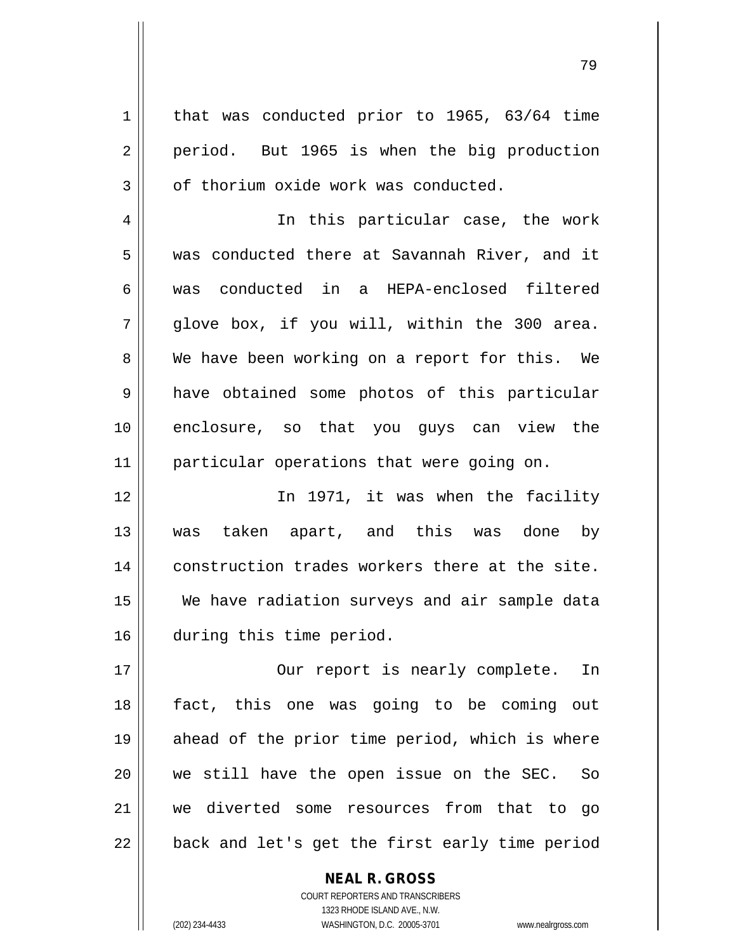$1 \parallel$  that was conducted prior to 1965, 63/64 time 2 || period. But 1965 is when the big production  $3 \parallel$  of thorium oxide work was conducted. 4 || In this particular case, the work 5 was conducted there at Savannah River, and it 6 was conducted in a HEPA-enclosed filtered  $7 \parallel$  glove box, if you will, within the 300 area. 8 We have been working on a report for this. We 9 a have obtained some photos of this particular 10 enclosure, so that you guys can view the 11 || particular operations that were going on. 12 In 1971, it was when the facility

 was taken apart, and this was done by 14 || construction trades workers there at the site. We have radiation surveys and air sample data during this time period.

17 || Our report is nearly complete. In fact, this one was going to be coming out ahead of the prior time period, which is where we still have the open issue on the SEC. So we diverted some resources from that to go  $\vert$  back and let's get the first early time period

> COURT REPORTERS AND TRANSCRIBERS 1323 RHODE ISLAND AVE., N.W. (202) 234-4433 WASHINGTON, D.C. 20005-3701 www.nealrgross.com

**NEAL R. GROSS**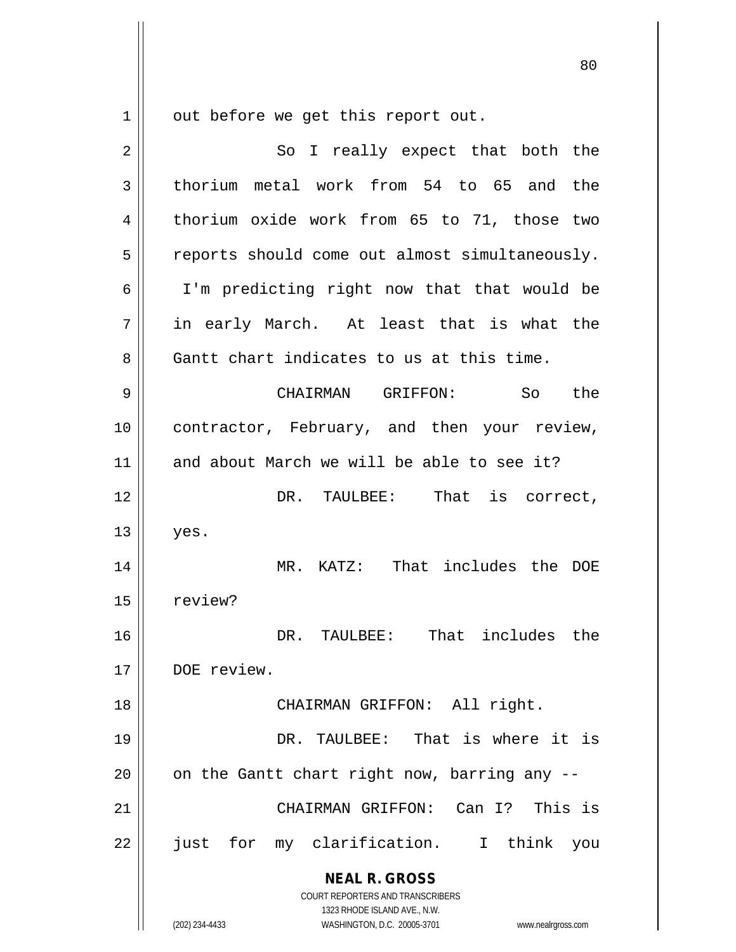out before we get this report out.

| $\overline{2}$ | So I really expect that both the                                                                                                                                |
|----------------|-----------------------------------------------------------------------------------------------------------------------------------------------------------------|
|                |                                                                                                                                                                 |
| 3              | thorium metal work from 54 to 65 and the                                                                                                                        |
| 4              | thorium oxide work from 65 to 71, those two                                                                                                                     |
| 5              | reports should come out almost simultaneously.                                                                                                                  |
| 6              | I'm predicting right now that that would be                                                                                                                     |
| 7              | in early March. At least that is what the                                                                                                                       |
| 8              | Gantt chart indicates to us at this time.                                                                                                                       |
| 9              | CHAIRMAN GRIFFON: So<br>the                                                                                                                                     |
| 10             | contractor, February, and then your review,                                                                                                                     |
| 11             | and about March we will be able to see it?                                                                                                                      |
| 12             | That is correct,<br>DR. TAULBEE:                                                                                                                                |
| 13             | yes.                                                                                                                                                            |
| 14             | MR. KATZ: That includes the DOE                                                                                                                                 |
| 15             | review?                                                                                                                                                         |
| 16             | That includes the<br>DR. TAULBEE:                                                                                                                               |
| 17             | DOE review.                                                                                                                                                     |
| 18             | CHAIRMAN GRIFFON: All right.                                                                                                                                    |
| 19             | DR. TAULBEE: That is where it is                                                                                                                                |
| 20             | on the Gantt chart right now, barring any --                                                                                                                    |
| 21             | CHAIRMAN GRIFFON: Can I? This is                                                                                                                                |
| 22             | just for my clarification. I think you                                                                                                                          |
|                | <b>NEAL R. GROSS</b><br>COURT REPORTERS AND TRANSCRIBERS<br>1323 RHODE ISLAND AVE., N.W.<br>(202) 234-4433<br>WASHINGTON, D.C. 20005-3701<br>www.nealrgross.com |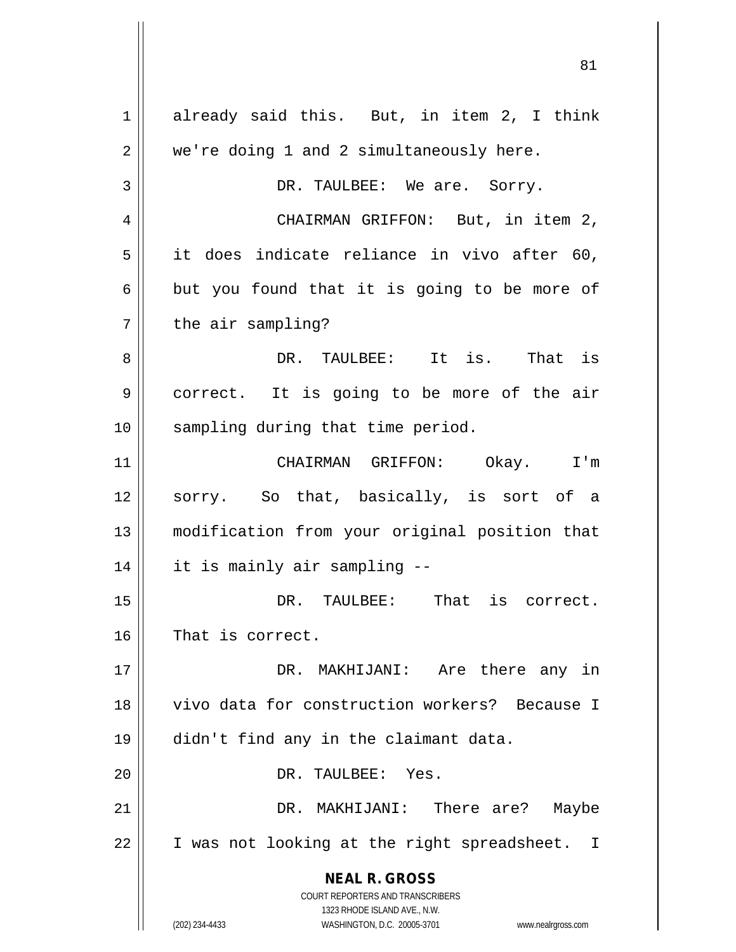**NEAL R. GROSS** COURT REPORTERS AND TRANSCRIBERS 1323 RHODE ISLAND AVE., N.W. (202) 234-4433 WASHINGTON, D.C. 20005-3701 www.nealrgross.com 1 already said this. But, in item 2, I think 2 | we're doing 1 and 2 simultaneously here. 3 DR. TAULBEE: We are. Sorry. 4 | CHAIRMAN GRIFFON: But, in item 2,  $5 \parallel$  it does indicate reliance in vivo after 60,  $6 \parallel$  but you found that it is going to be more of  $7 \parallel$  the air sampling? 8 DR. TAULBEE: It is. That is 9 | correct. It is going to be more of the air 10 || sampling during that time period. 11 CHAIRMAN GRIFFON: Okay. I'm 12 || sorry. So that, basically, is sort of a 13 modification from your original position that 14 it is mainly air sampling -- 15 DR. TAULBEE: That is correct. 16 || That is correct. 17 DR. MAKHIJANI: Are there any in 18 vivo data for construction workers? Because I 19 didn't find any in the claimant data. 20 DR. TAULBEE: Yes. 21 DR. MAKHIJANI: There are? Maybe  $22 \parallel$  I was not looking at the right spreadsheet. I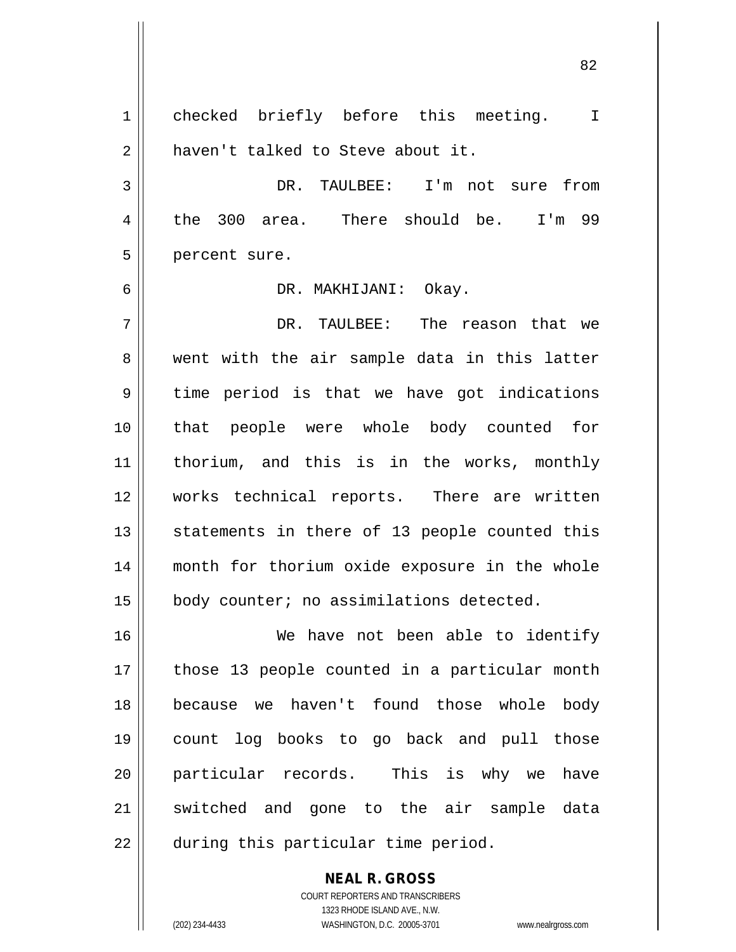1 checked briefly before this meeting. I 2 | haven't talked to Steve about it. 3 DR. TAULBEE: I'm not sure from 4 the 300 area. There should be. I'm 99 5 || percent sure. 6 DR. MAKHIJANI: Okay. 7 DR. TAULBEE: The reason that we 8 went with the air sample data in this latter  $9 \parallel$  time period is that we have got indications 10 that people were whole body counted for 11 thorium, and this is in the works, monthly 12 works technical reports. There are written  $13$  statements in there of 13 people counted this 14 month for thorium oxide exposure in the whole 15 | body counter; no assimilations detected. 16 We have not been able to identify 17 || those 13 people counted in a particular month 18 because we haven't found those whole body 19 count log books to go back and pull those 20 particular records. This is why we have 21 || switched and gone to the air sample data 22 | during this particular time period.

> COURT REPORTERS AND TRANSCRIBERS 1323 RHODE ISLAND AVE., N.W. (202) 234-4433 WASHINGTON, D.C. 20005-3701 www.nealrgross.com

**NEAL R. GROSS**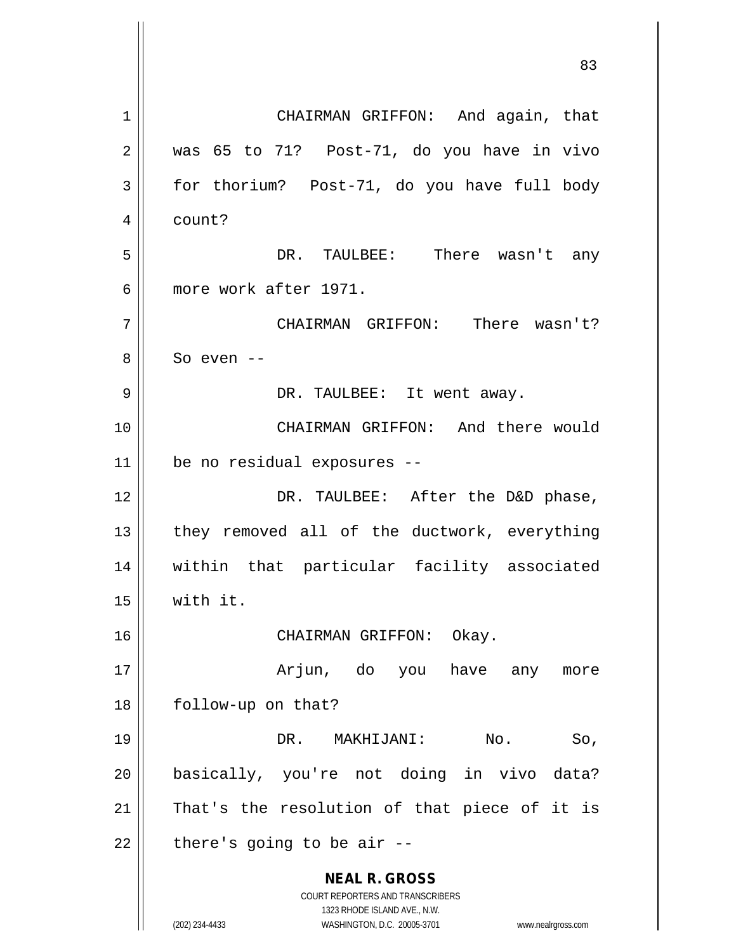**NEAL R. GROSS** COURT REPORTERS AND TRANSCRIBERS 1323 RHODE ISLAND AVE., N.W. (202) 234-4433 WASHINGTON, D.C. 20005-3701 www.nealrgross.com 83 1 || CHAIRMAN GRIFFON: And again, that  $2 \parallel$  was 65 to 71? Post-71, do you have in vivo  $3 \parallel$  for thorium? Post-71, do you have full body 4 | count? 5 DR. TAULBEE: There wasn't any 6 more work after 1971. 7 CHAIRMAN GRIFFON: There wasn't? 8 || So even --9 DR. TAULBEE: It went away. 10 CHAIRMAN GRIFFON: And there would 11 be no residual exposures -- 12 DR. TAULBEE: After the D&D phase,  $13$  || they removed all of the ductwork, everything 14 within that particular facility associated 15 with it. 16 || CHAIRMAN GRIFFON: Okay. 17 Arjun, do you have any more 18 | follow-up on that? 19 || DR. MAKHIJANI: No. So, 20 basically, you're not doing in vivo data?  $21$  That's the resolution of that piece of it is  $22$  | there's going to be air --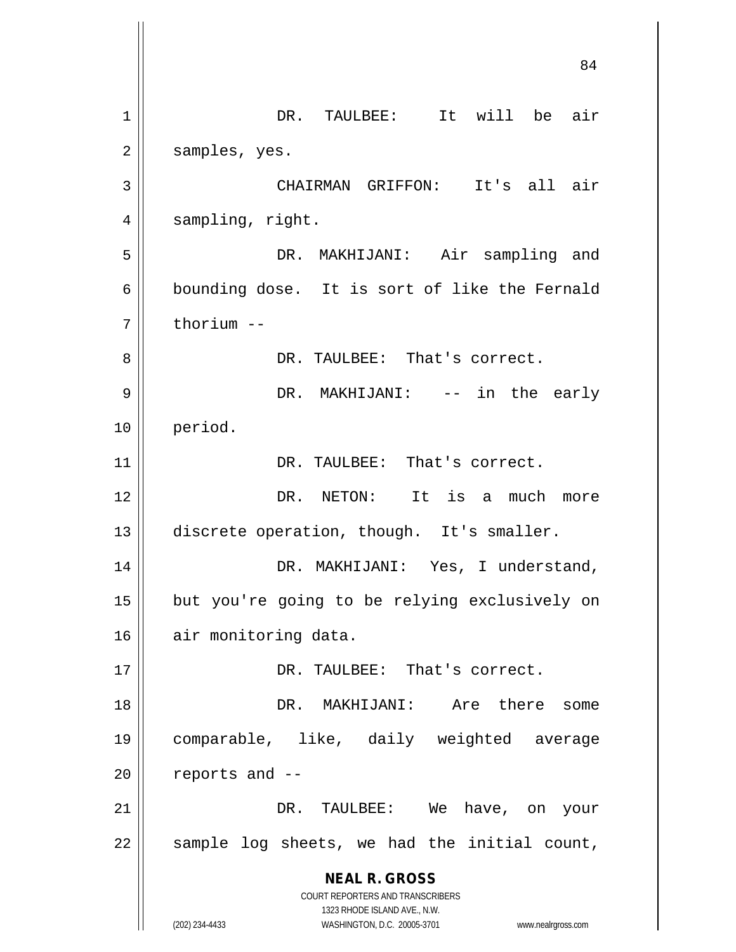**NEAL R. GROSS** COURT REPORTERS AND TRANSCRIBERS 1323 RHODE ISLAND AVE., N.W. (202) 234-4433 WASHINGTON, D.C. 20005-3701 www.nealrgross.com 84 1 || DR. TAULBEE: It will be air  $2 \parallel$  samples, yes. 3 CHAIRMAN GRIFFON: It's all air 4 || sampling, right. 5 DR. MAKHIJANI: Air sampling and 6 bounding dose. It is sort of like the Fernald  $7$   $\parallel$  thorium  $-$ 8 DR. TAULBEE: That's correct. 9 DR. MAKHIJANI: -- in the early 10 period. 11 || DR. TAULBEE: That's correct. 12 DR. NETON: It is a much more 13 discrete operation, though. It's smaller. 14 || DR. MAKHIJANI: Yes, I understand, 15 || but you're going to be relying exclusively on 16 air monitoring data. 17 DR. TAULBEE: That's correct. 18 DR. MAKHIJANI: Are there some 19 comparable, like, daily weighted average  $20$  | reports and  $-$ 21 DR. TAULBEE: We have, on your  $22$  sample log sheets, we had the initial count,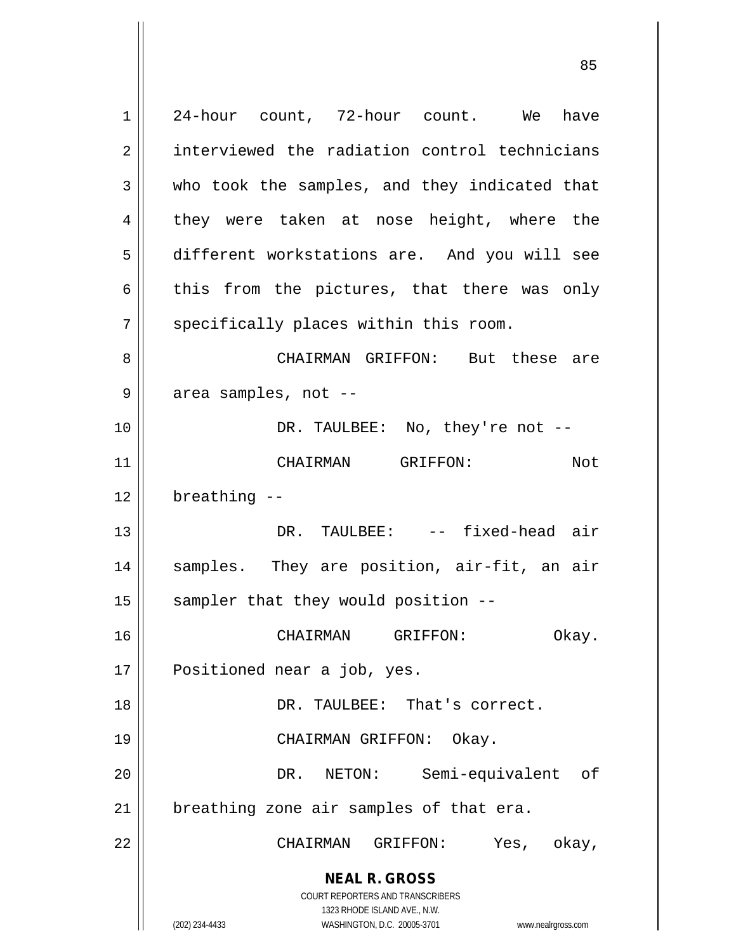**NEAL R. GROSS** COURT REPORTERS AND TRANSCRIBERS 1323 RHODE ISLAND AVE., N.W. (202) 234-4433 WASHINGTON, D.C. 20005-3701 www.nealrgross.com 1 24-hour count, 72-hour count. We have 2 | interviewed the radiation control technicians  $3 \parallel$  who took the samples, and they indicated that 4 || they were taken at nose height, where the 5 different workstations are. And you will see  $6 \parallel$  this from the pictures, that there was only  $7$   $\parallel$  specifically places within this room. 8 CHAIRMAN GRIFFON: But these are  $9 \parallel$  area samples, not --10 DR. TAULBEE: No, they're not -- 11 CHAIRMAN GRIFFON: Not  $12$  | breathing  $-$ 13 DR. TAULBEE: -- fixed-head air 14 || samples. They are position, air-fit, an air  $15$  sampler that they would position  $-$ -16 CHAIRMAN GRIFFON: Okay. 17 || Positioned near a job, yes. 18 DR. TAULBEE: That's correct. 19 CHAIRMAN GRIFFON: Okay. 20 DR. NETON: Semi-equivalent of  $21$  | breathing zone air samples of that era. 22 CHAIRMAN GRIFFON: Yes, okay,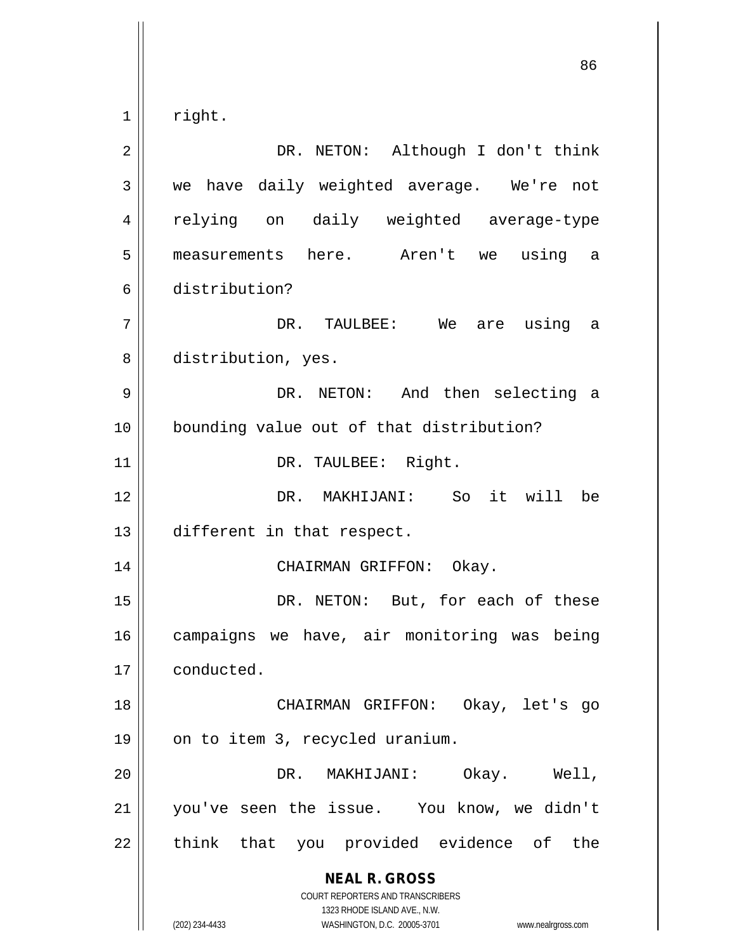$1 \parallel$  right.

**NEAL R. GROSS** COURT REPORTERS AND TRANSCRIBERS 1323 RHODE ISLAND AVE., N.W. (202) 234-4433 WASHINGTON, D.C. 20005-3701 www.nealrgross.com 2 DR. NETON: Although I don't think 3 we have daily weighted average. We're not 4 relying on daily weighted average-type 5 measurements here. Aren't we using a 6 distribution? 7 DR. TAULBEE: We are using a 8 distribution, yes. 9 DR. NETON: And then selecting a 10 bounding value out of that distribution? 11 || DR. TAULBEE: Right. 12 DR. MAKHIJANI: So it will be 13 different in that respect. 14 CHAIRMAN GRIFFON: Okay. 15 || DR. NETON: But, for each of these 16 campaigns we have, air monitoring was being 17 conducted. 18 CHAIRMAN GRIFFON: Okay, let's go  $19 \parallel$  on to item 3, recycled uranium. 20 DR. MAKHIJANI: Okay. Well, 21 you've seen the issue. You know, we didn't  $22$  || think that you provided evidence of the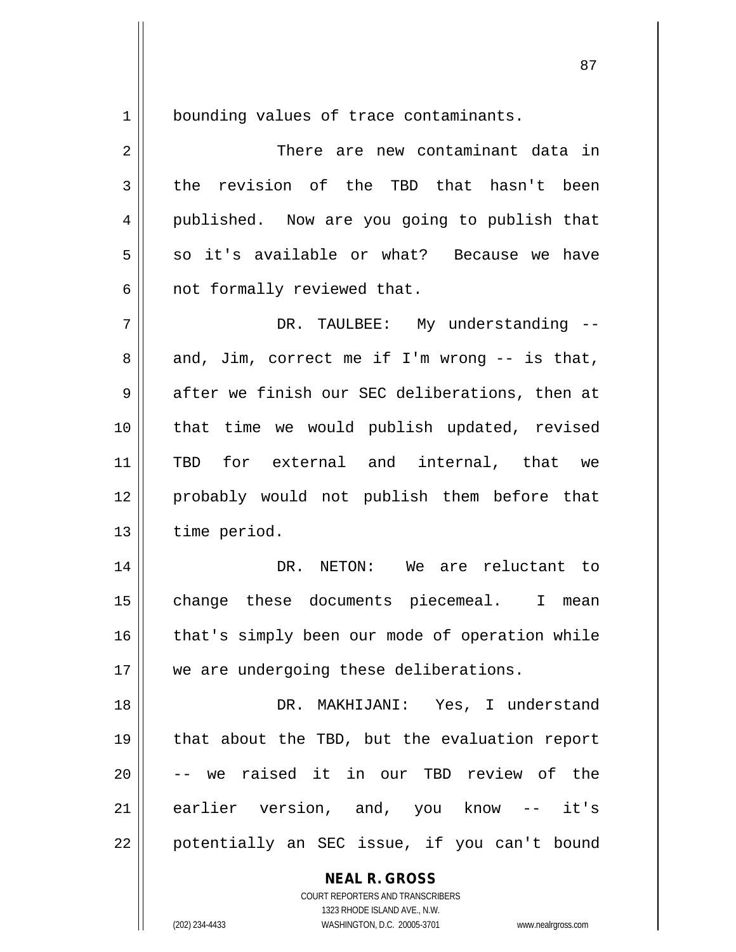1 | bounding values of trace contaminants.

2 There are new contaminant data in  $3 \parallel$  the revision of the TBD that hasn't been 4 || published. Now are you going to publish that 5 so it's available or what? Because we have  $6 \parallel$  not formally reviewed that. 7 DR. TAULBEE: My understanding --  $8 \parallel$  and, Jim, correct me if I'm wrong -- is that, 9 after we finish our SEC deliberations, then at 10 || that time we would publish updated, revised 11 TBD for external and internal, that we 12 probably would not publish them before that 13 | time period. 14 DR. NETON: We are reluctant to 15 || change these documents piecemeal. I mean 16 || that's simply been our mode of operation while 17 || we are undergoing these deliberations. 18 DR. MAKHIJANI: Yes, I understand 19 that about the TBD, but the evaluation report  $20$   $\parallel$  -- we raised it in our TBD review of the 21 earlier version, and, you know -- it's 22 || potentially an SEC issue, if you can't bound

> **NEAL R. GROSS** COURT REPORTERS AND TRANSCRIBERS

1323 RHODE ISLAND AVE., N.W. (202) 234-4433 WASHINGTON, D.C. 20005-3701 www.nealrgross.com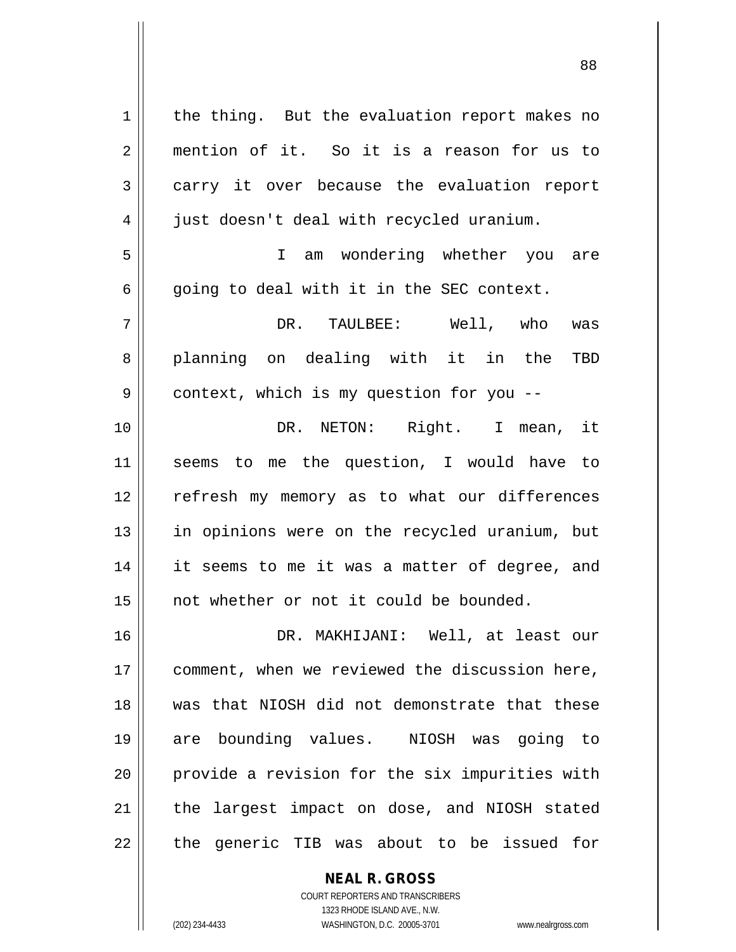| $\mathbf 1$    | the thing. But the evaluation report makes no  |
|----------------|------------------------------------------------|
| $\overline{2}$ | mention of it. So it is a reason for us to     |
| 3              | carry it over because the evaluation report    |
| 4              | just doesn't deal with recycled uranium.       |
| 5              | am wondering whether you are<br>$\mathbf{I}$   |
| 6              | going to deal with it in the SEC context.      |
| 7              | DR. TAULBEE: Well, who<br>was                  |
| 8              | planning on dealing with it in the<br>TBD      |
| 9              | context, which is my question for you --       |
| 10             | DR. NETON: Right. I mean, it                   |
| 11             | seems to me the question, I would have to      |
| 12             | refresh my memory as to what our differences   |
| 13             | in opinions were on the recycled uranium, but  |
| 14             | it seems to me it was a matter of degree, and  |
| 15             | not whether or not it could be bounded.        |
| 16             | MAKHIJANI: Well, at least our<br>DR.           |
| 17             | comment, when we reviewed the discussion here, |
| 18             | was that NIOSH did not demonstrate that these  |
| 19             | are bounding values. NIOSH was going to        |
| 20             | provide a revision for the six impurities with |
| 21             | the largest impact on dose, and NIOSH stated   |
| 22             | the generic TIB was about to be issued for     |

COURT REPORTERS AND TRANSCRIBERS 1323 RHODE ISLAND AVE., N.W. (202) 234-4433 WASHINGTON, D.C. 20005-3701 www.nealrgross.com

 $\mathbf{I}$ 

**NEAL R. GROSS**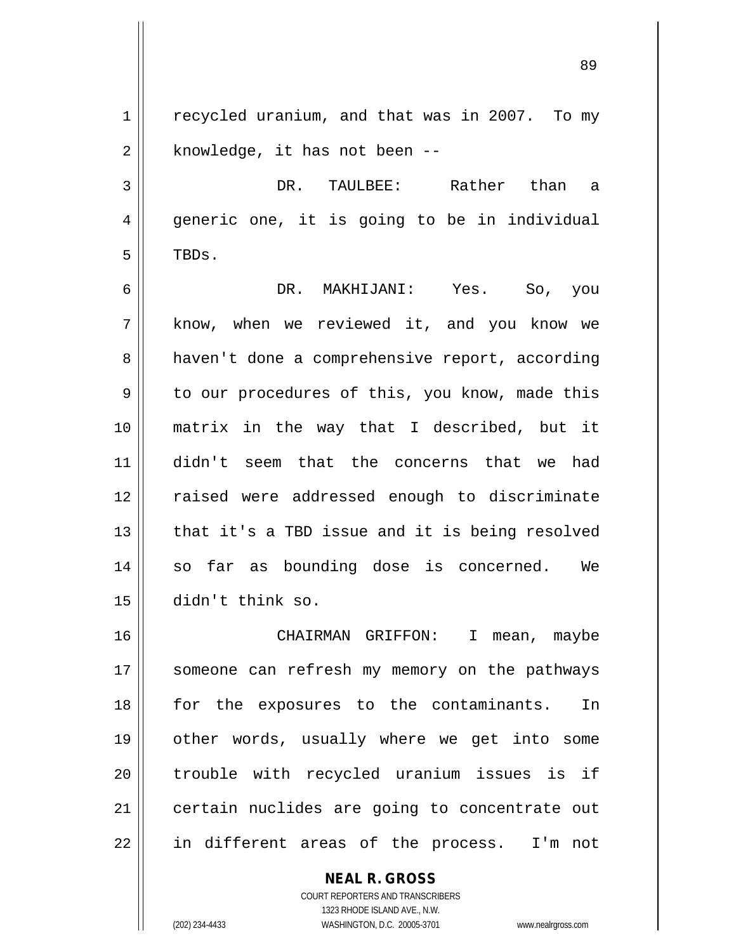89

1 | recycled uranium, and that was in 2007. To my  $2 \parallel$  knowledge, it has not been  $-$ 

3 DR. TAULBEE: Rather than a 4 || generic one, it is going to be in individual  $5$  | TBDs.

6 DR. MAKHIJANI: Yes. So, you 7 know, when we reviewed it, and you know we 8 | haven't done a comprehensive report, according  $9 \parallel$  to our procedures of this, you know, made this 10 matrix in the way that I described, but it 11 didn't seem that the concerns that we had 12 || raised were addressed enough to discriminate 13 || that it's a TBD issue and it is being resolved 14 || so far as bounding dose is concerned. We 15 didn't think so.

16 CHAIRMAN GRIFFON: I mean, maybe 17 || someone can refresh my memory on the pathways 18 for the exposures to the contaminants. In 19 other words, usually where we get into some 20 || trouble with recycled uranium issues is if 21 | certain nuclides are going to concentrate out 22 || in different areas of the process. I'm not

> **NEAL R. GROSS** COURT REPORTERS AND TRANSCRIBERS 1323 RHODE ISLAND AVE., N.W.

(202) 234-4433 WASHINGTON, D.C. 20005-3701 www.nealrgross.com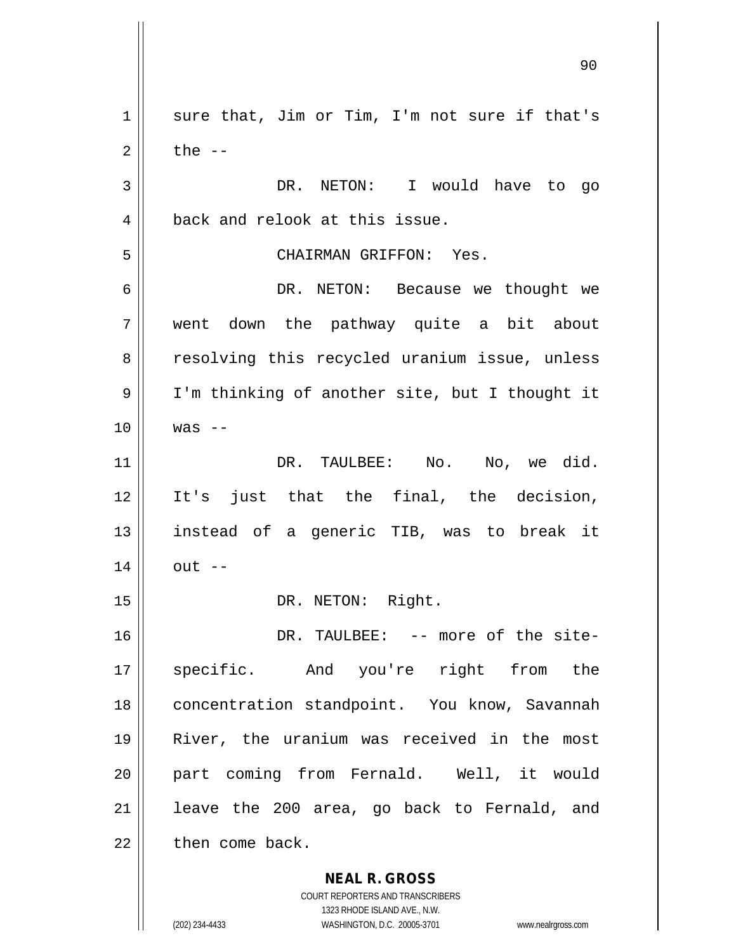**NEAL R. GROSS**  $1 \parallel$  sure that, Jim or Tim, I'm not sure if that's  $2 \parallel$  the  $-$ 3 DR. NETON: I would have to go 4 || back and relook at this issue. 5 CHAIRMAN GRIFFON: Yes. 6 DR. NETON: Because we thought we 7 went down the pathway quite a bit about 8 || resolving this recycled uranium issue, unless 9 | I'm thinking of another site, but I thought it  $10 \parallel$  was  $-$ 11 || DR. TAULBEE: No. No, we did. 12 It's just that the final, the decision, 13 instead of a generic TIB, was to break it  $14 \parallel$  out  $-$ 15 || DR. NETON: Right. 16 || DR. TAULBEE: -- more of the site-17 || specific. And you're right from the 18 | concentration standpoint. You know, Savannah 19 River, the uranium was received in the most 20 part coming from Fernald. Well, it would  $21$  | leave the 200 area, go back to Fernald, and  $22$   $\parallel$  then come back.

> COURT REPORTERS AND TRANSCRIBERS 1323 RHODE ISLAND AVE., N.W.

(202) 234-4433 WASHINGTON, D.C. 20005-3701 www.nealrgross.com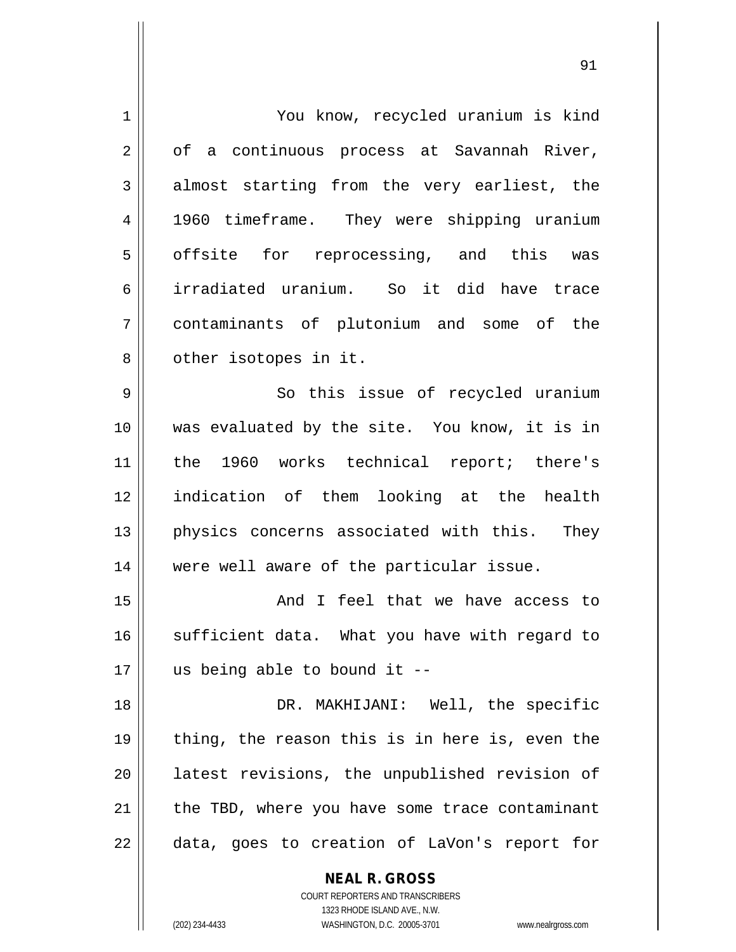| 1  | You know, recycled uranium is kind                                                   |
|----|--------------------------------------------------------------------------------------|
| 2  | of a continuous process at Savannah River,                                           |
| 3  | almost starting from the very earliest, the                                          |
| 4  | 1960 timeframe. They were shipping uranium                                           |
| 5  | offsite for reprocessing, and this was                                               |
| 6  | irradiated uranium. So it did have trace                                             |
| 7  | contaminants of plutonium and some of the                                            |
| 8  | other isotopes in it.                                                                |
| 9  | So this issue of recycled uranium                                                    |
| 10 | was evaluated by the site. You know, it is in                                        |
| 11 | the 1960 works technical report; there's                                             |
| 12 | indication of them looking at the health                                             |
| 13 | physics concerns associated with this.<br>They                                       |
| 14 | were well aware of the particular issue.                                             |
| 15 | And I feel that we have access to                                                    |
| 16 | sufficient data. What you have with regard to                                        |
| 17 | us being able to bound it --                                                         |
| 18 | DR. MAKHIJANI: Well, the specific                                                    |
| 19 | thing, the reason this is in here is, even the                                       |
| 20 | latest revisions, the unpublished revision of                                        |
| 21 | the TBD, where you have some trace contaminant                                       |
| 22 | data, goes to creation of LaVon's report for                                         |
|    | <b>NEAL R. GROSS</b><br>COURT REPORTERS AND TRANSCRIBERS<br>1323 RHODE ISLAND AVE NW |

1323 RHODE ISLAND AVE., N.W.

 $\prod_{i=1}^{n}$ 

 $\mathsf{I}$ 

(202) 234-4433 WASHINGTON, D.C. 20005-3701 www.nealrgross.com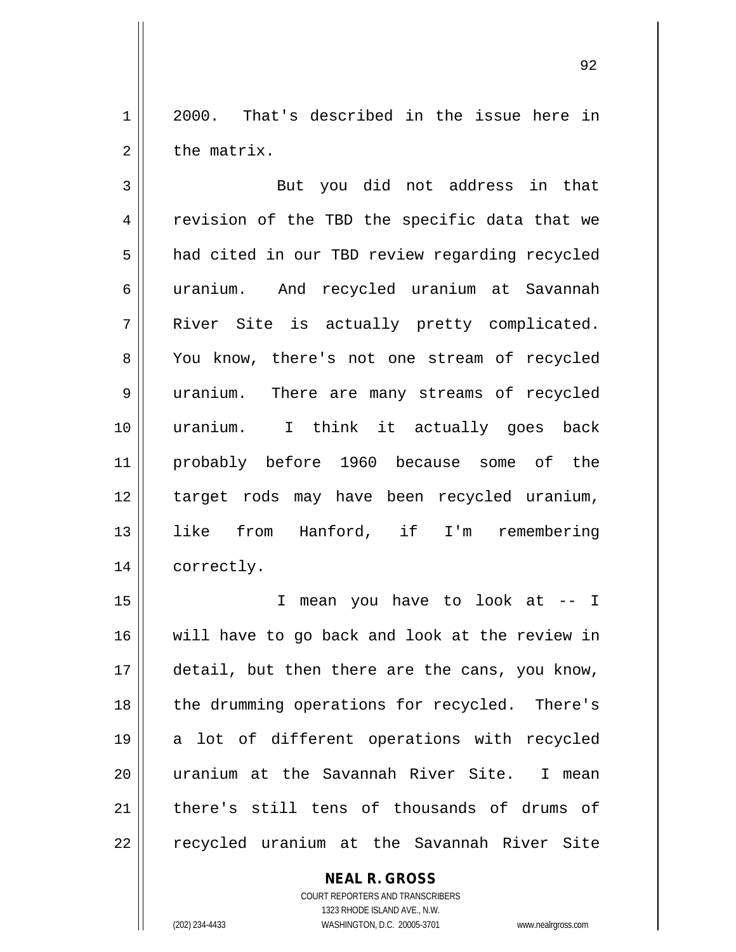1 2000. That's described in the issue here in  $2 \parallel$  the matrix.

3 || But you did not address in that 4 || revision of the TBD the specific data that we 5 | had cited in our TBD review regarding recycled 6 uranium. And recycled uranium at Savannah 7 || River Site is actually pretty complicated. 8 || You know, there's not one stream of recycled 9 uranium. There are many streams of recycled 10 uranium. I think it actually goes back 11 probably before 1960 because some of the 12 target rods may have been recycled uranium, 13 like from Hanford, if I'm remembering 14 correctly.

15 I mean you have to look at -- I 16 will have to go back and look at the review in 17 || detail, but then there are the cans, you know, 18 || the drumming operations for recycled. There's 19 a lot of different operations with recycled 20 || uranium at the Savannah River Site. I mean 21 there's still tens of thousands of drums of 22 || recycled uranium at the Savannah River Site

## **NEAL R. GROSS**

COURT REPORTERS AND TRANSCRIBERS 1323 RHODE ISLAND AVE., N.W. (202) 234-4433 WASHINGTON, D.C. 20005-3701 www.nealrgross.com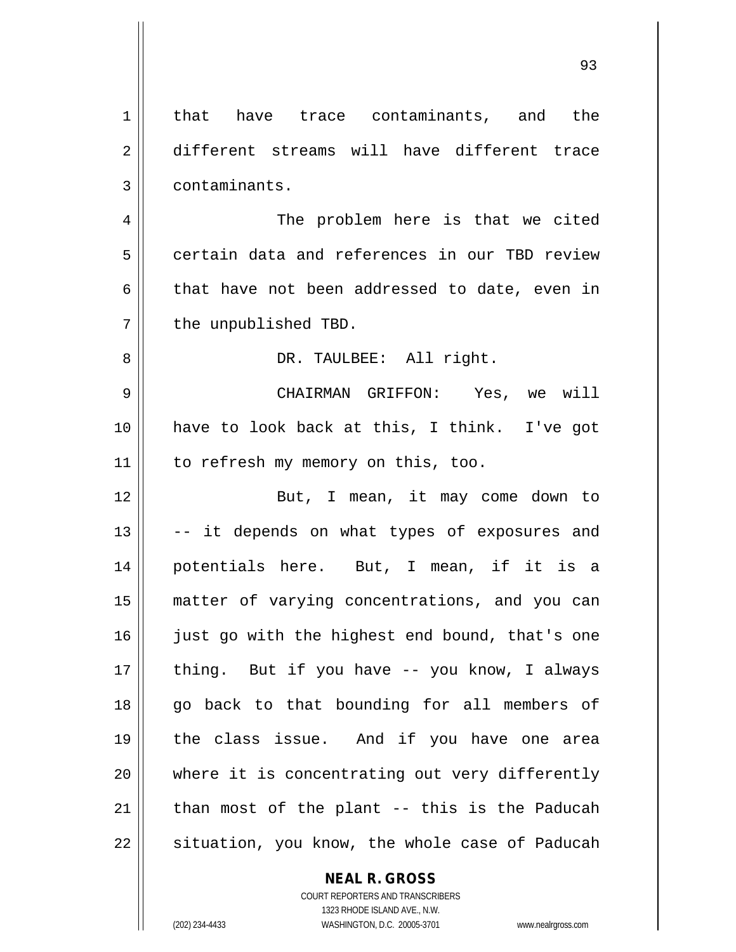| $\mathbf 1$    | that have trace contaminants, and the          |
|----------------|------------------------------------------------|
| $\overline{2}$ | different streams will have different trace    |
| 3              | contaminants.                                  |
| 4              | The problem here is that we cited              |
| 5              | certain data and references in our TBD review  |
| 6              | that have not been addressed to date, even in  |
| 7              | the unpublished TBD.                           |
| 8              | DR. TAULBEE: All right.                        |
| 9              | CHAIRMAN GRIFFON: Yes, we will                 |
| 10             | have to look back at this, I think. I've got   |
| 11             | to refresh my memory on this, too.             |
| 12             | But, I mean, it may come down to               |
| 13             | -- it depends on what types of exposures and   |
| 14             | potentials here. But, I mean, if it is a       |
| 15             | matter of varying concentrations, and you can  |
| 16             | just go with the highest end bound, that's one |
| 17             | thing. But if you have -- you know, I always   |
| 18             | go back to that bounding for all members of    |
| 19             | the class issue. And if you have one area      |
| 20             | where it is concentrating out very differently |
| 21             | than most of the plant -- this is the Paducah  |
| 22             | situation, you know, the whole case of Paducah |

**NEAL R. GROSS** COURT REPORTERS AND TRANSCRIBERS

1323 RHODE ISLAND AVE., N.W. (202) 234-4433 WASHINGTON, D.C. 20005-3701 www.nealrgross.com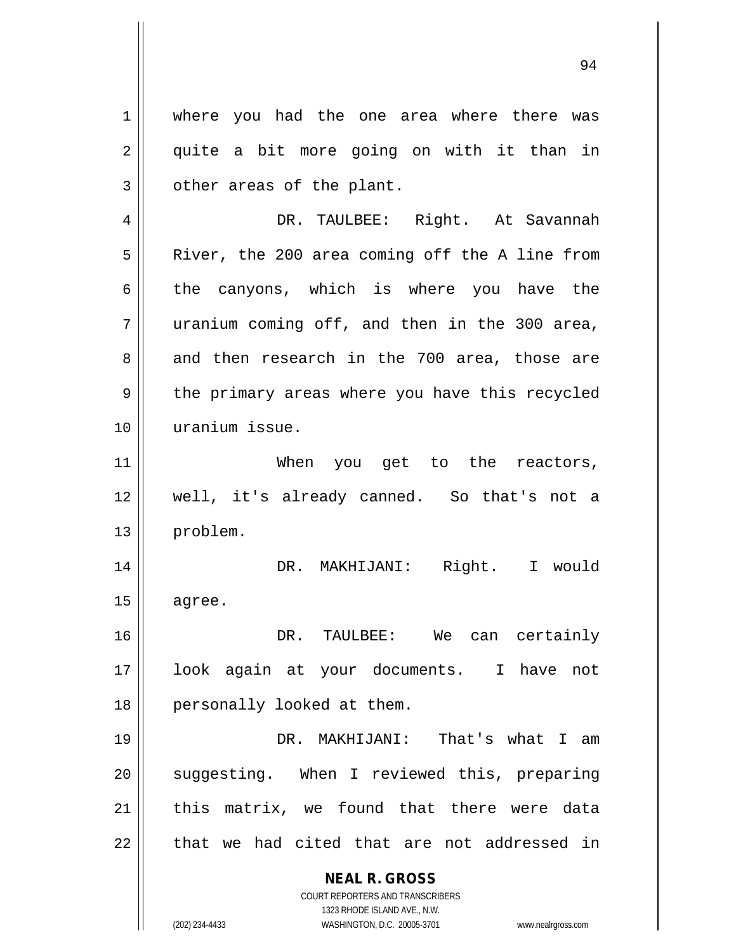1 where you had the one area where there was 2 || quite a bit more going on with it than in  $3 \parallel$  other areas of the plant. 4 DR. TAULBEE: Right. At Savannah 5 | River, the 200 area coming off the A line from  $6 \parallel$  the canyons, which is where you have the  $7$  || uranium coming off, and then in the 300 area, 8 and then research in the 700 area, those are  $9 \parallel$  the primary areas where you have this recycled 10 uranium issue. 11 || When you get to the reactors, 12 well, it's already canned. So that's not a 13 problem. 14 DR. MAKHIJANI: Right. I would  $15$  agree. 16 DR. TAULBEE: We can certainly 17 look again at your documents. I have not 18 || personally looked at them. 19 DR. MAKHIJANI: That's what I am 20 || suggesting. When I reviewed this, preparing

 $21$  || this matrix, we found that there were data  $22$   $\parallel$  that we had cited that are not addressed in

> **NEAL R. GROSS** COURT REPORTERS AND TRANSCRIBERS

> > 1323 RHODE ISLAND AVE., N.W.

(202) 234-4433 WASHINGTON, D.C. 20005-3701 www.nealrgross.com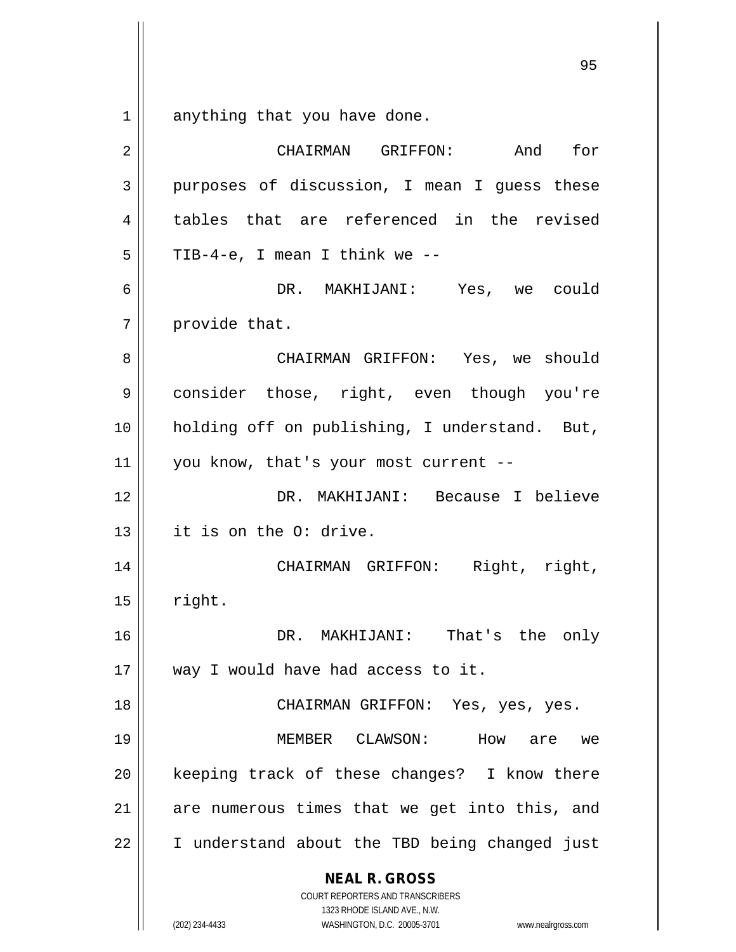$1 \parallel$  anything that you have done.

| 2  | And<br>for<br>CHAIRMAN GRIFFON:                                                                                                                                        |
|----|------------------------------------------------------------------------------------------------------------------------------------------------------------------------|
| 3  | purposes of discussion, I mean I guess these                                                                                                                           |
| 4  | tables that are referenced in the revised                                                                                                                              |
| 5  | TIB-4-e, I mean I think we --                                                                                                                                          |
| 6  | DR. MAKHIJANI: Yes, we could                                                                                                                                           |
| 7  | provide that.                                                                                                                                                          |
| 8  | CHAIRMAN GRIFFON: Yes, we should                                                                                                                                       |
| 9  | consider those, right, even though you're                                                                                                                              |
| 10 | holding off on publishing, I understand. But,                                                                                                                          |
| 11 | you know, that's your most current --                                                                                                                                  |
| 12 | DR. MAKHIJANI: Because I believe                                                                                                                                       |
| 13 | it is on the O: drive.                                                                                                                                                 |
| 14 | CHAIRMAN GRIFFON: Right, right,                                                                                                                                        |
| 15 | right.                                                                                                                                                                 |
| 16 | DR. MAKHIJANI: That's the only                                                                                                                                         |
| 17 | way I would have had access to it.                                                                                                                                     |
| 18 | CHAIRMAN GRIFFON: Yes, yes, yes.                                                                                                                                       |
| 19 | MEMBER CLAWSON:<br>How are we                                                                                                                                          |
| 20 | keeping track of these changes? I know there                                                                                                                           |
| 21 | are numerous times that we get into this, and                                                                                                                          |
| 22 | I understand about the TBD being changed just                                                                                                                          |
|    | <b>NEAL R. GROSS</b><br><b>COURT REPORTERS AND TRANSCRIBERS</b><br>1323 RHODE ISLAND AVE., N.W.<br>(202) 234-4433<br>WASHINGTON, D.C. 20005-3701<br>www.nealrgross.com |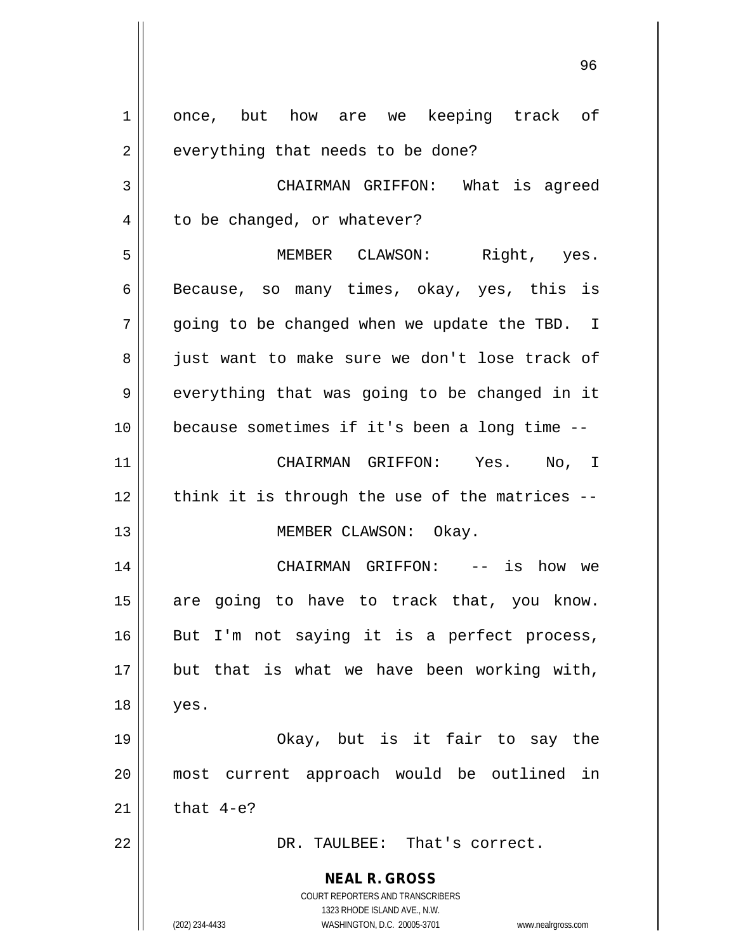**NEAL R. GROSS** COURT REPORTERS AND TRANSCRIBERS 1323 RHODE ISLAND AVE., N.W. (202) 234-4433 WASHINGTON, D.C. 20005-3701 www.nealrgross.com 1 once, but how are we keeping track of  $2 \parallel$  everything that needs to be done? 3 | CHAIRMAN GRIFFON: What is agreed 4 | to be changed, or whatever? 5 MEMBER CLAWSON: Right, yes. 6 Because, so many times, okay, yes, this is  $7 \parallel$  going to be changed when we update the TBD. I 8 just want to make sure we don't lose track of  $9 \parallel$  everything that was going to be changed in it 10 because sometimes if it's been a long time -- 11 CHAIRMAN GRIFFON: Yes. No, I  $12$  | think it is through the use of the matrices  $-$ 13 || MEMBER CLAWSON: Okay. 14 CHAIRMAN GRIFFON: -- is how we  $15$  are going to have to track that, you know.  $16$  But I'm not saying it is a perfect process,  $17$  || but that is what we have been working with, 18 yes. 19 Okay, but is it fair to say the 20 most current approach would be outlined in 21  $\parallel$  that 4-e? 22 DR. TAULBEE: That's correct.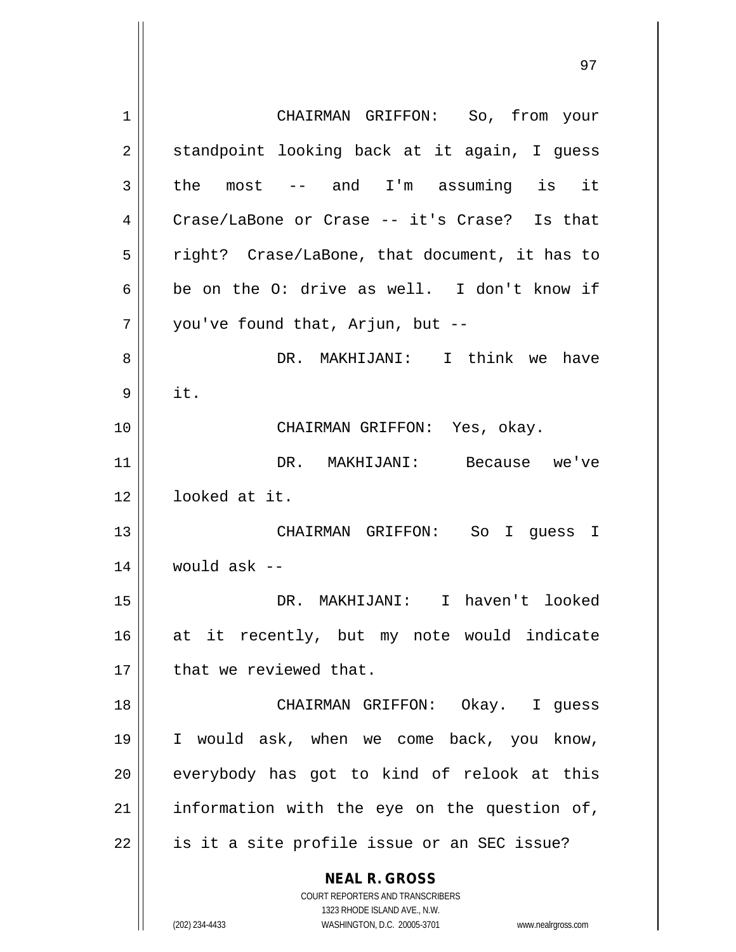**NEAL R. GROSS** COURT REPORTERS AND TRANSCRIBERS 1323 RHODE ISLAND AVE., N.W. 1 || CHAIRMAN GRIFFON: So, from your  $2 \parallel$  standpoint looking back at it again, I guess  $3 \parallel$  the most -- and I'm assuming is it 4 Crase/LaBone or Crase -- it's Crase? Is that  $5 \parallel$  right? Crase/LaBone, that document, it has to 6 || be on the O: drive as well. I don't know if  $7$  | vou've found that, Arjun, but --8 DR. MAKHIJANI: I think we have  $9 \parallel \text{it.}$ 10 CHAIRMAN GRIFFON: Yes, okay. 11 DR. MAKHIJANI: Because we've 12 looked at it. 13 CHAIRMAN GRIFFON: So I guess I  $14$  | would ask --15 DR. MAKHIJANI: I haven't looked 16 at it recently, but my note would indicate 17 | that we reviewed that. 18 CHAIRMAN GRIFFON: Okay. I guess 19 I would ask, when we come back, you know, 20 everybody has got to kind of relook at this  $21$  information with the eye on the question of,  $22$  | is it a site profile issue or an SEC issue?

(202) 234-4433 WASHINGTON, D.C. 20005-3701 www.nealrgross.com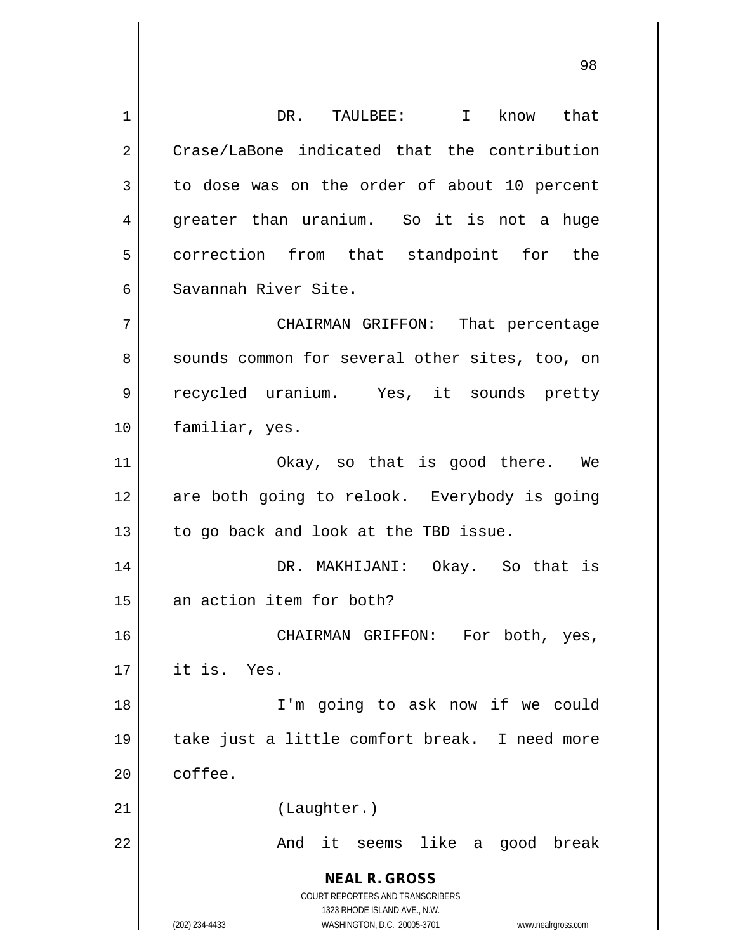**NEAL R. GROSS** COURT REPORTERS AND TRANSCRIBERS 1323 RHODE ISLAND AVE., N.W. (202) 234-4433 WASHINGTON, D.C. 20005-3701 www.nealrgross.com 1 DR. TAULBEE: I know that 2 Crase/LaBone indicated that the contribution  $3 \parallel$  to dose was on the order of about 10 percent 4 greater than uranium. So it is not a huge 5 | correction from that standpoint for the 6 Savannah River Site. 7 CHAIRMAN GRIFFON: That percentage 8 || sounds common for several other sites, too, on 9 || recycled uranium. Yes, it sounds pretty 10 || familiar, yes. 11 || Okay, so that is good there. We 12 || are both going to relook. Everybody is going  $13$  | to go back and look at the TBD issue. 14 DR. MAKHIJANI: Okay. So that is 15 || an action item for both? 16 CHAIRMAN GRIFFON: For both, yes,  $17$  | it is. Yes. 18 I'm going to ask now if we could 19 take just a little comfort break. I need more 20 coffee. 21 || (Laughter.) 22 And it seems like a good break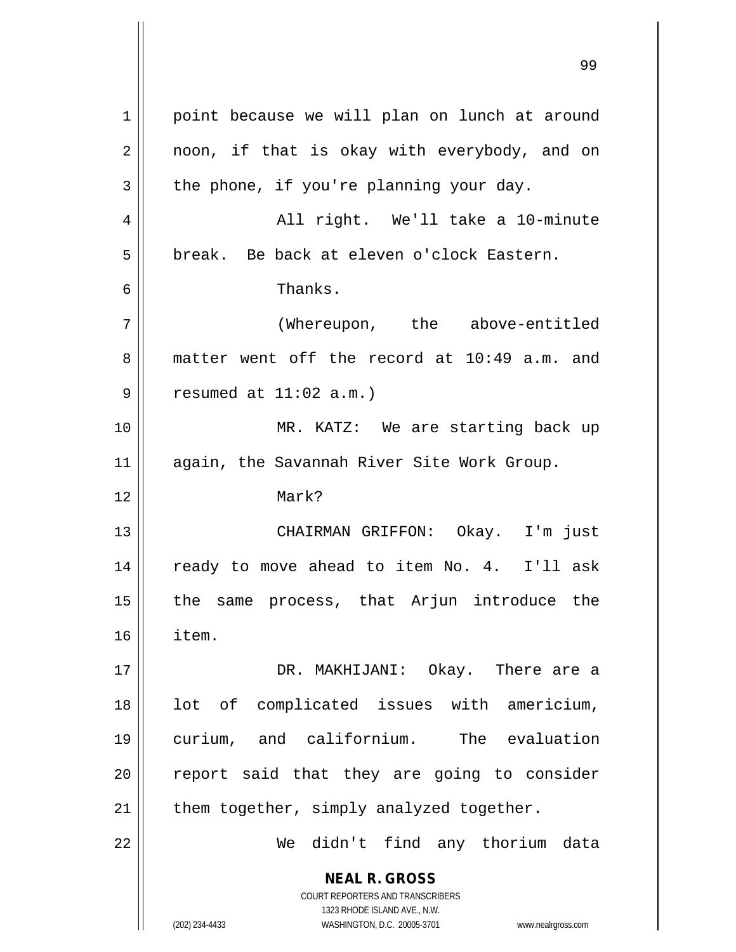**NEAL R. GROSS** COURT REPORTERS AND TRANSCRIBERS 1323 RHODE ISLAND AVE., N.W. (202) 234-4433 WASHINGTON, D.C. 20005-3701 www.nealrgross.com 1 | point because we will plan on lunch at around 2 || noon, if that is okay with everybody, and on  $3 \parallel$  the phone, if you're planning your day. 4 All right. We'll take a 10-minute 5 | break. Be back at eleven o'clock Eastern. 6 Thanks. 7 (Whereupon, the above-entitled 8 matter went off the record at 10:49 a.m. and  $9 \parallel$  resumed at  $11:02$  a.m.) 10 || MR. KATZ: We are starting back up 11 || again, the Savannah River Site Work Group. 12 Mark? 13 CHAIRMAN GRIFFON: Okay. I'm just 14 || ready to move ahead to item No. 4. I'll ask 15 || the same process, that Arjun introduce the 16 item. 17 DR. MAKHIJANI: Okay. There are a 18 || lot of complicated issues with americium, 19 curium, and californium. The evaluation  $20$  report said that they are going to consider 21  $\parallel$  them together, simply analyzed together. 22 We didn't find any thorium data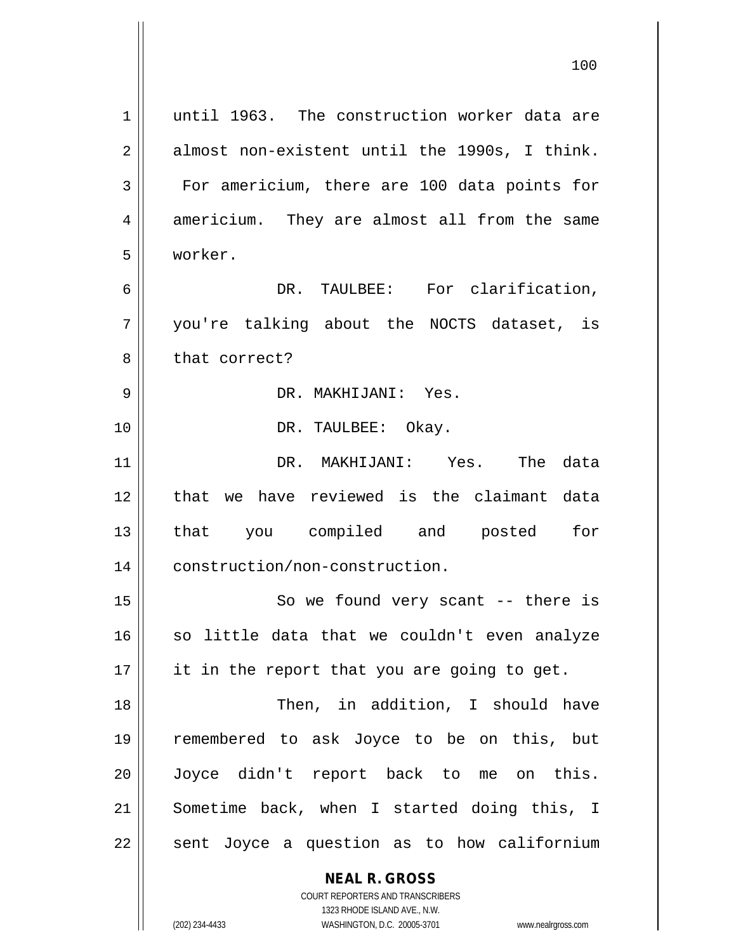| 1              | until 1963. The construction worker data are             |
|----------------|----------------------------------------------------------|
| $\overline{2}$ | almost non-existent until the 1990s, I think.            |
| 3              | For americium, there are 100 data points for             |
| 4              | americium. They are almost all from the same             |
| 5              | worker.                                                  |
| 6              | DR. TAULBEE: For clarification,                          |
| 7              | you're talking about the NOCTS dataset, is               |
| 8              | that correct?                                            |
| 9              | DR. MAKHIJANI: Yes.                                      |
| 10             | DR. TAULBEE: Okay.                                       |
| 11             | DR. MAKHIJANI: Yes. The data                             |
| 12             | that we have reviewed is the claimant data               |
| 13             | that you compiled and posted for                         |
| 14             | construction/non-construction.                           |
| 15             | So we found very scant $--$ there is                     |
| 16             | so little data that we couldn't even analyze             |
| 17             | it in the report that you are going to get.              |
| 18             | Then, in addition, I should have                         |
| 19             | remembered to ask Joyce to be on this, but               |
| 20             | Joyce didn't report back to me on this.                  |
| 21             | Sometime back, when I started doing this, I              |
| 22             | sent Joyce a question as to how californium              |
|                |                                                          |
|                | <b>NEAL R. GROSS</b><br>COURT REPORTERS AND TRANSCRIBERS |

1323 RHODE ISLAND AVE., N.W.

 $\prod$ 

(202) 234-4433 WASHINGTON, D.C. 20005-3701 www.nealrgross.com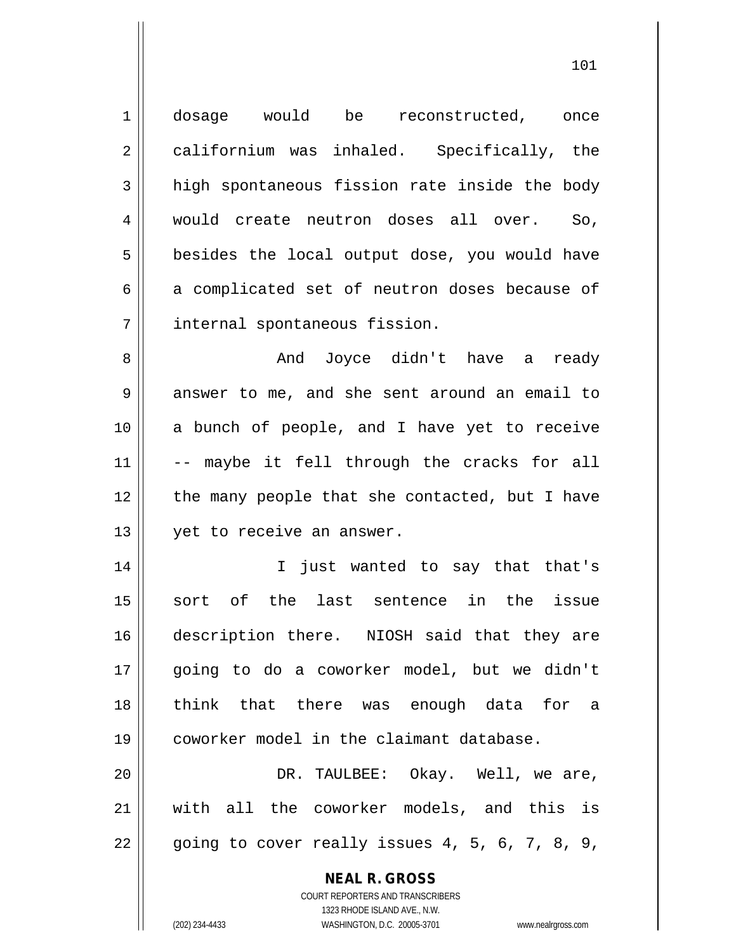| $\mathbf 1$    | dosage would be reconstructed, once                                 |
|----------------|---------------------------------------------------------------------|
|                |                                                                     |
| $\overline{2}$ | californium was inhaled. Specifically, the                          |
| 3              | high spontaneous fission rate inside the body                       |
| $\overline{4}$ | would create neutron doses all over. So,                            |
| 5              | besides the local output dose, you would have                       |
| 6              | a complicated set of neutron doses because of                       |
| 7              | internal spontaneous fission.                                       |
| 8              | Joyce didn't have a ready<br>And                                    |
| 9              | answer to me, and she sent around an email to                       |
| 10             | a bunch of people, and I have yet to receive                        |
| 11             | -- maybe it fell through the cracks for all                         |
| 12             | the many people that she contacted, but I have                      |
| 13             | yet to receive an answer.                                           |
| 14             | I just wanted to say that that's                                    |
| 15             | sort of the last sentence in the issue                              |
| 16             | description there. NIOSH said that they are                         |
| 17             | going to do a coworker model, but we didn't                         |
| 18             | think that there was enough data for a                              |
| 19             | coworker model in the claimant database.                            |
| 20             | DR. TAULBEE: Okay. Well, we are,                                    |
| 21             | with all the coworker models, and this is                           |
| 22             | going to cover really issues 4, 5, 6, 7, 8, 9,                      |
|                | <b>NEAL R. GROSS</b>                                                |
|                | COURT REPORTERS AND TRANSCRIBERS                                    |
|                | 1323 RHODE ISLAND AVE., N.W.                                        |
|                | (202) 234-4433<br>WASHINGTON, D.C. 20005-3701<br>www.nealrgross.com |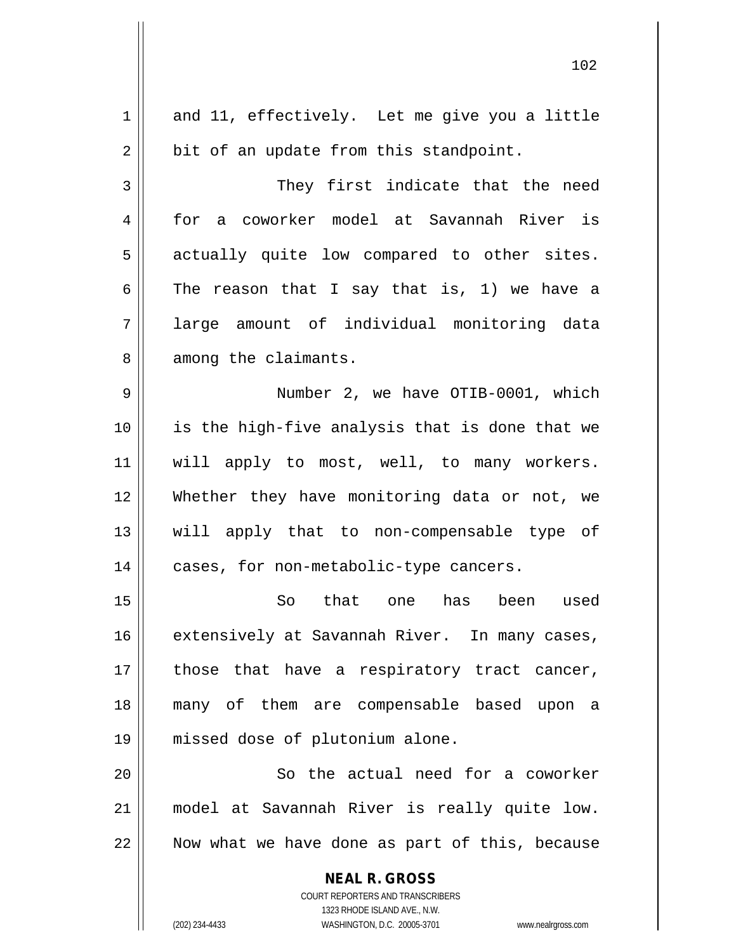| 1  | and 11, effectively. Let me give you a little                       |
|----|---------------------------------------------------------------------|
| 2  | bit of an update from this standpoint.                              |
| 3  | They first indicate that the need                                   |
| 4  | for a coworker model at Savannah River is                           |
| 5  | actually quite low compared to other sites.                         |
| 6  | The reason that I say that is, 1) we have a                         |
| 7  | large amount of individual monitoring data                          |
| 8  | among the claimants.                                                |
| 9  | Number 2, we have OTIB-0001, which                                  |
| 10 | is the high-five analysis that is done that we                      |
| 11 | will apply to most, well, to many workers.                          |
| 12 | Whether they have monitoring data or not, we                        |
| 13 | will apply that to non-compensable type of                          |
| 14 | cases, for non-metabolic-type cancers.                              |
| 15 | So that one<br>has been used                                        |
| 16 | extensively at Savannah River. In many cases,                       |
| 17 | those that have a respiratory tract cancer,                         |
| 18 | many of them are compensable based upon a                           |
| 19 | missed dose of plutonium alone.                                     |
| 20 | So the actual need for a coworker                                   |
| 21 | model at Savannah River is really quite low.                        |
| 22 | Now what we have done as part of this, because                      |
|    |                                                                     |
|    | <b>NEAL R. GROSS</b><br>COURT REPORTERS AND TRANSCRIBERS            |
|    | 1323 RHODE ISLAND AVE., N.W.                                        |
|    | (202) 234-4433<br>WASHINGTON, D.C. 20005-3701<br>www.nealrgross.com |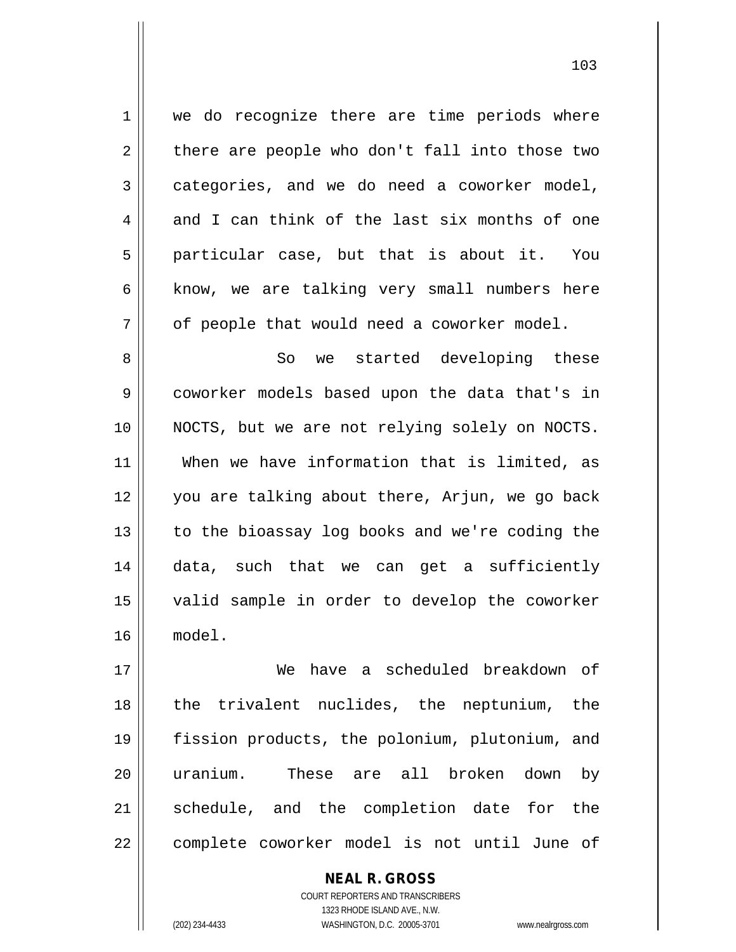1 || we do recognize there are time periods where  $2 \parallel$  there are people who don't fall into those two  $3 \parallel$  categories, and we do need a coworker model,  $4 \parallel$  and I can think of the last six months of one  $5 \parallel$  particular case, but that is about it. You  $6 \parallel$  know, we are talking very small numbers here  $7 \parallel$  of people that would need a coworker model.

 So we started developing these coworker models based upon the data that's in NOCTS, but we are not relying solely on NOCTS. When we have information that is limited, as you are talking about there, Arjun, we go back 13 || to the bioassay log books and we're coding the data, such that we can get a sufficiently valid sample in order to develop the coworker 16 model.

17 We have a scheduled breakdown of 18 || the trivalent nuclides, the neptunium, the 19 fission products, the polonium, plutonium, and 20 || uranium. These are all broken down by 21 || schedule, and the completion date for the 22 | complete coworker model is not until June of

> COURT REPORTERS AND TRANSCRIBERS 1323 RHODE ISLAND AVE., N.W. (202) 234-4433 WASHINGTON, D.C. 20005-3701 www.nealrgross.com

**NEAL R. GROSS**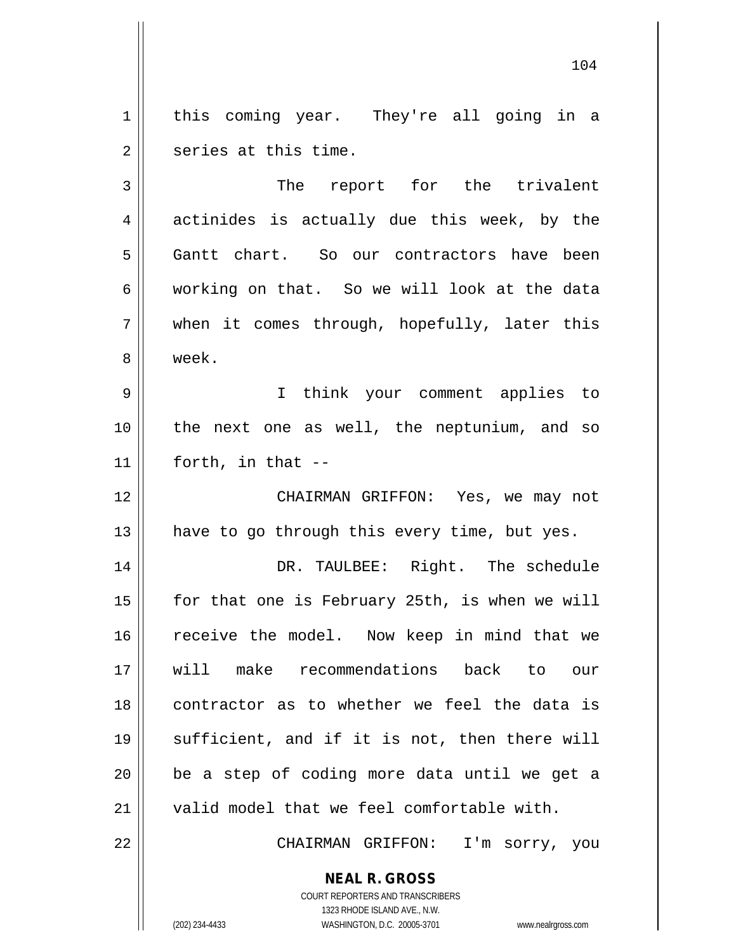1 || this coming year. They're all going in a 2 || series at this time.

3 || The report for the trivalent  $4 \parallel$  actinides is actually due this week, by the 5 Gantt chart. So our contractors have been 6 || working on that. So we will look at the data 7 when it comes through, hopefully, later this 8 week.

9 I think your comment applies to 10 the next one as well, the neptunium, and so  $11$  | forth, in that  $-$ 

12 CHAIRMAN GRIFFON: Yes, we may not 13  $\parallel$  have to go through this every time, but yes.

 DR. TAULBEE: Right. The schedule  $\parallel$  for that one is February 25th, is when we will 16 || receive the model. Now keep in mind that we will make recommendations back to our contractor as to whether we feel the data is sufficient, and if it is not, then there will | be a step of coding more data until we get a 21 || valid model that we feel comfortable with.

22 CHAIRMAN GRIFFON: I'm sorry, you

**NEAL R. GROSS** COURT REPORTERS AND TRANSCRIBERS

1323 RHODE ISLAND AVE., N.W.

(202) 234-4433 WASHINGTON, D.C. 20005-3701 www.nealrgross.com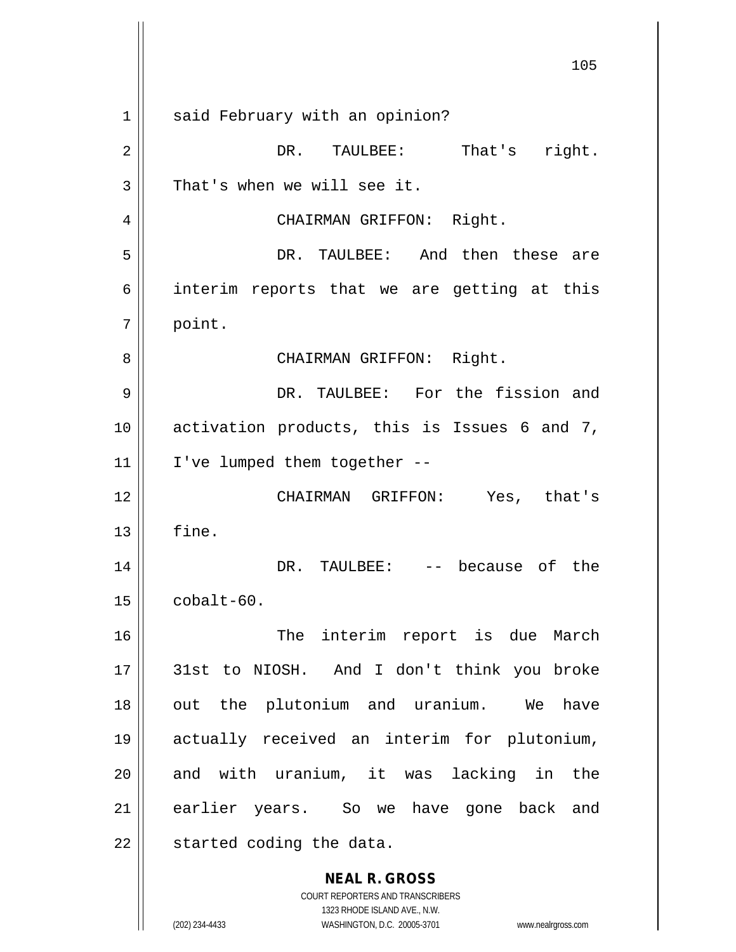**NEAL R. GROSS** COURT REPORTERS AND TRANSCRIBERS 105 1 || said February with an opinion? 2 | DR. TAULBEE: That's right.  $3 \parallel$  That's when we will see it. 4 || CHAIRMAN GRIFFON: Right. 5 DR. TAULBEE: And then these are  $6 \parallel$  interim reports that we are getting at this 7 | point. 8 CHAIRMAN GRIFFON: Right. 9 DR. TAULBEE: For the fission and 10 activation products, this is Issues 6 and 7,  $11$  | I've lumped them together --12 CHAIRMAN GRIFFON: Yes, that's  $13$   $\parallel$  fine. 14 DR. TAULBEE: -- because of the 15 cobalt-60. 16 || The interim report is due March 17 31st to NIOSH. And I don't think you broke 18 || out the plutonium and uranium. We have 19 actually received an interim for plutonium, 20 || and with uranium, it was lacking in the 21 earlier years. So we have gone back and  $22$  | started coding the data.

1323 RHODE ISLAND AVE., N.W.

(202) 234-4433 WASHINGTON, D.C. 20005-3701 www.nealrgross.com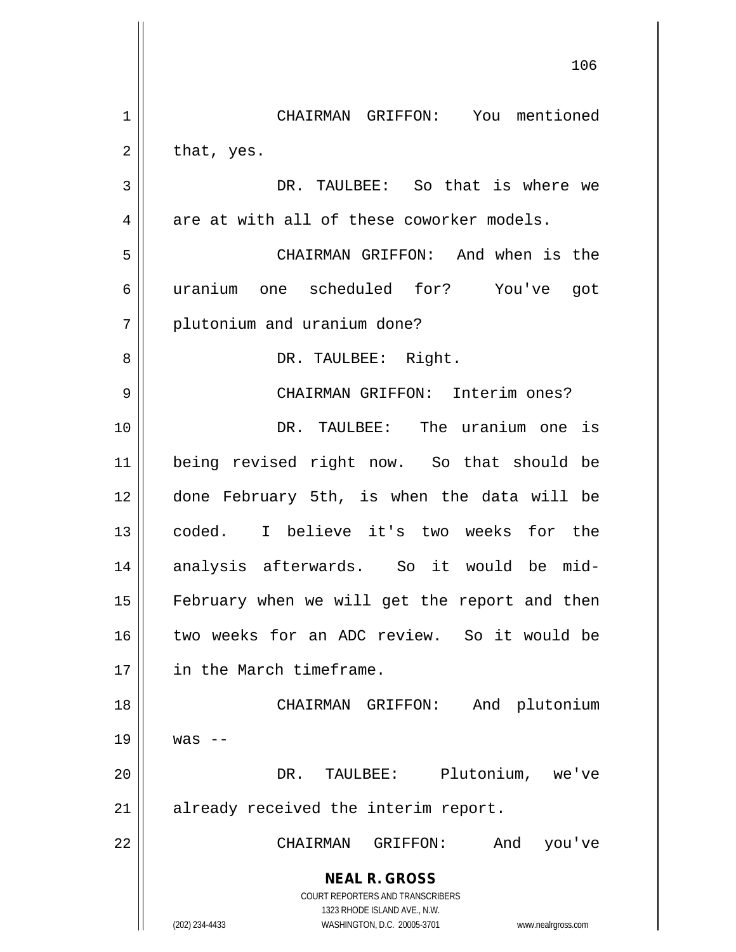**NEAL R. GROSS** COURT REPORTERS AND TRANSCRIBERS 1323 RHODE ISLAND AVE., N.W. (202) 234-4433 WASHINGTON, D.C. 20005-3701 www.nealrgross.com 1 || CHAIRMAN GRIFFON: You mentioned  $2 \parallel$  that, yes. 3 DR. TAULBEE: So that is where we  $4 \parallel$  are at with all of these coworker models. 5 CHAIRMAN GRIFFON: And when is the 6 uranium one scheduled for? You've got 7 | plutonium and uranium done? 8 DR. TAULBEE: Right. 9 CHAIRMAN GRIFFON: Interim ones? 10 || TR. TAULBEE: The uranium one is 11 being revised right now. So that should be 12 done February 5th, is when the data will be 13 coded. I believe it's two weeks for the 14 analysis afterwards. So it would be mid-15 || February when we will get the report and then 16 II two weeks for an ADC review. So it would be 17 in the March timeframe. 18 || CHAIRMAN GRIFFON: And plutonium  $19 \parallel$  was  $-$ 20 DR. TAULBEE: Plutonium, we've 21 || already received the interim report. 22 CHAIRMAN GRIFFON: And you've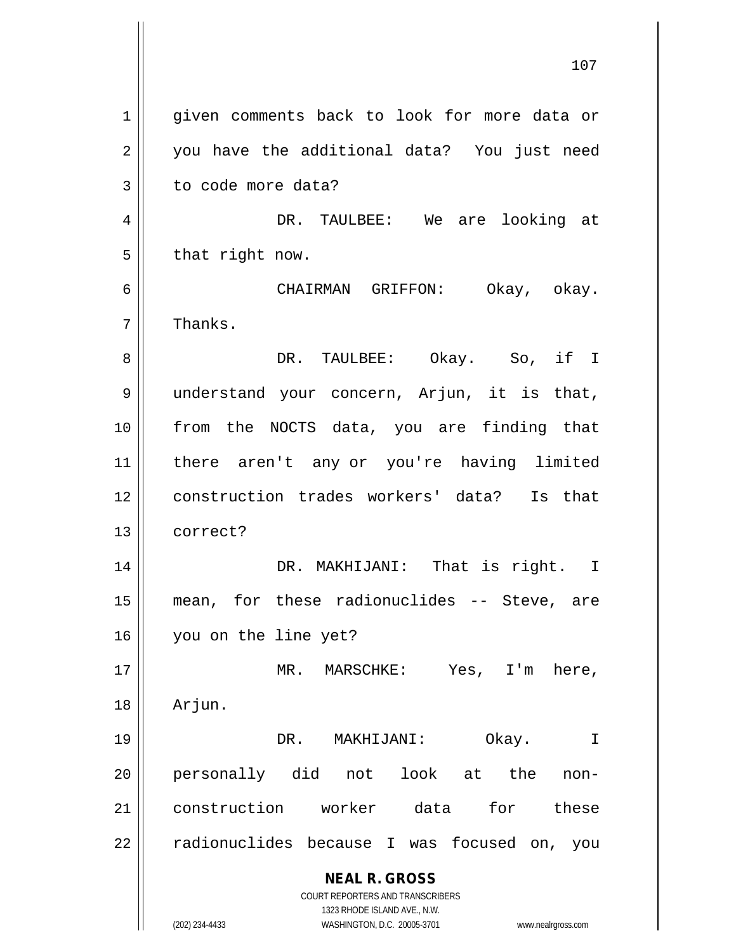**NEAL R. GROSS** COURT REPORTERS AND TRANSCRIBERS 1323 RHODE ISLAND AVE., N.W. (202) 234-4433 WASHINGTON, D.C. 20005-3701 www.nealrgross.com 1 || given comments back to look for more data or 2 || you have the additional data? You just need 3 | to code more data? 4 DR. TAULBEE: We are looking at  $5 \parallel$  that right now. 6 CHAIRMAN GRIFFON: Okay, okay.  $7 \parallel$  Thanks. 8 DR. TAULBEE: Okay. So, if I 9 || understand your concern, Arjun, it is that, 10 from the NOCTS data, you are finding that 11 there aren't any or you're having limited 12 construction trades workers' data? Is that 13 correct? 14 DR. MAKHIJANI: That is right. I 15 mean, for these radionuclides -- Steve, are 16 you on the line yet? 17 || MR. MARSCHKE: Yes, I'm here, 18 Arjun. 19 DR. MAKHIJANI: Okay. I 20 personally did not look at the non-21 construction worker data for these 22 || radionuclides because I was focused on, you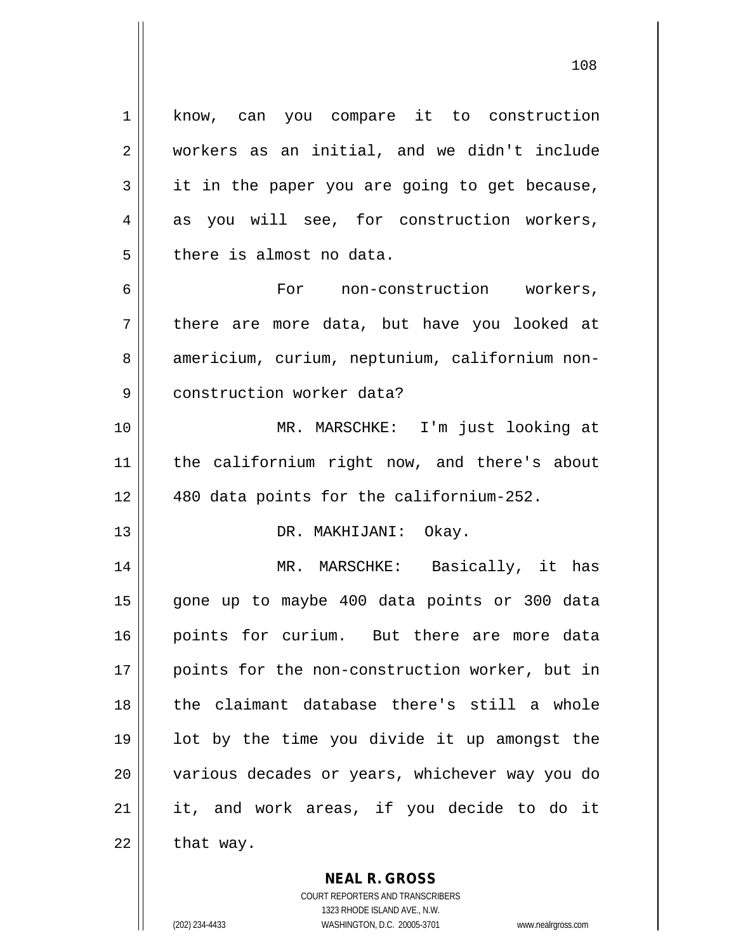1 || know, can you compare it to construction 2 workers as an initial, and we didn't include  $3 \parallel$  it in the paper you are going to get because,  $4 \parallel$  as you will see, for construction workers,  $5$  || there is almost no data. 6 For non-construction workers, 7 there are more data, but have you looked at 8 | americium, curium, neptunium, californium non-9 | construction worker data? 10 MR. MARSCHKE: I'm just looking at 11 the californium right now, and there's about 12 || 480 data points for the californium-252. 13 || DR. MAKHIJANI: Okay. 14 MR. MARSCHKE: Basically, it has 15 gone up to maybe 400 data points or 300 data 16 points for curium. But there are more data

 points for the non-construction worker, but in the claimant database there's still a whole lot by the time you divide it up amongst the 20 || various decades or years, whichever way you do it, and work areas, if you decide to do it | that way.

> **NEAL R. GROSS** COURT REPORTERS AND TRANSCRIBERS

> > 1323 RHODE ISLAND AVE., N.W.

(202) 234-4433 WASHINGTON, D.C. 20005-3701 www.nealrgross.com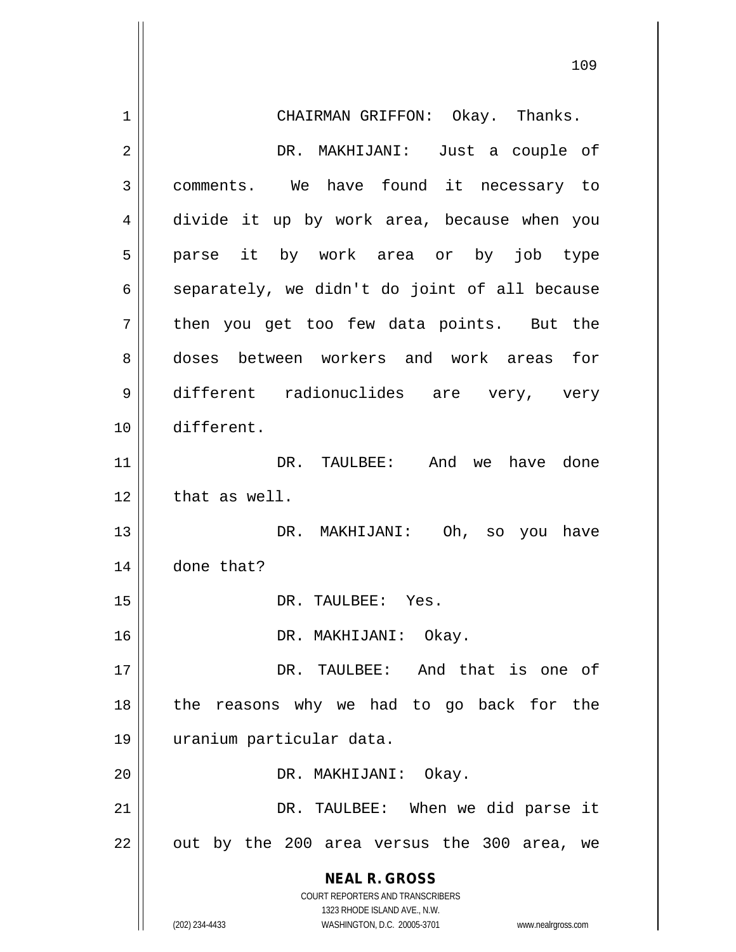| 1  | CHAIRMAN GRIFFON: Okay. Thanks.                                         |
|----|-------------------------------------------------------------------------|
| 2  | DR. MAKHIJANI: Just a couple of                                         |
| 3  | comments. We have found it necessary to                                 |
| 4  | divide it up by work area, because when you                             |
| 5  | parse it by work area or by job type                                    |
| 6  | separately, we didn't do joint of all because                           |
| 7  | then you get too few data points. But the                               |
| 8  | doses between workers and work areas for                                |
| 9  | different radionuclides are very, very                                  |
| 10 | different.                                                              |
| 11 | DR. TAULBEE: And we have done                                           |
| 12 | that as well.                                                           |
| 13 | DR. MAKHIJANI: Oh, so you have                                          |
| 14 | done that?                                                              |
| 15 | DR. TAULBEE: Yes.                                                       |
| 16 | DR. MAKHIJANI: Okay.                                                    |
| 17 | DR. TAULBEE: And that is one of                                         |
| 18 | the reasons why we had to go back for the                               |
| 19 | uranium particular data.                                                |
| 20 | DR. MAKHIJANI: Okay.                                                    |
| 21 | DR. TAULBEE: When we did parse it                                       |
| 22 | out by the 200 area versus the 300 area, we                             |
|    | <b>NEAL R. GROSS</b>                                                    |
|    | <b>COURT REPORTERS AND TRANSCRIBERS</b><br>1323 RHODE ISLAND AVE., N.W. |
|    | (202) 234-4433<br>WASHINGTON, D.C. 20005-3701<br>www.nealrgross.com     |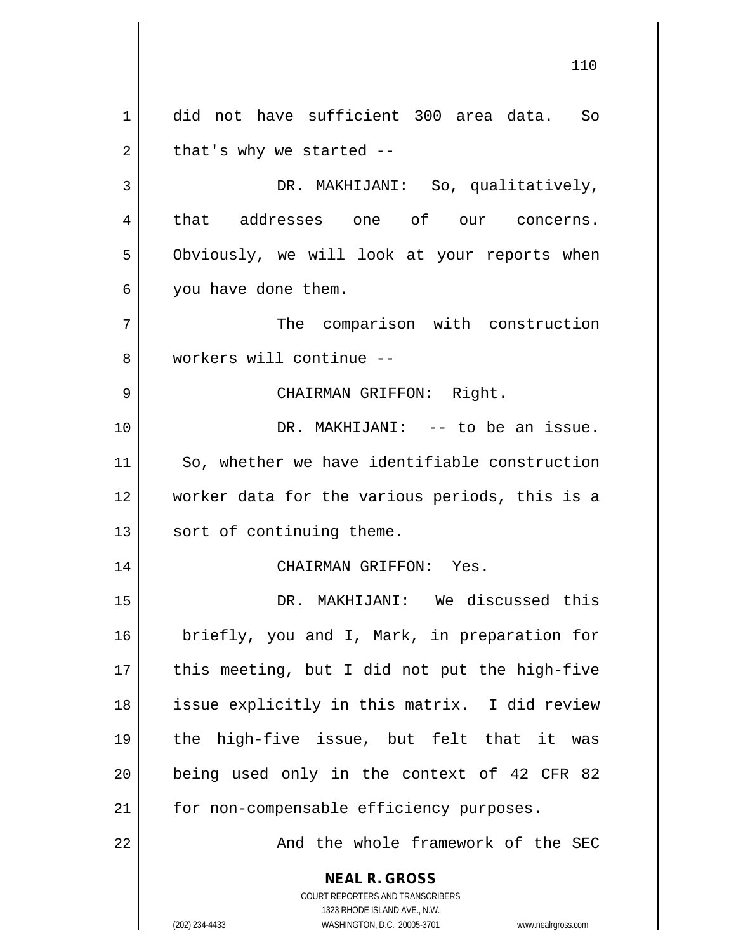**NEAL R. GROSS** COURT REPORTERS AND TRANSCRIBERS 1323 RHODE ISLAND AVE., N.W. (202) 234-4433 WASHINGTON, D.C. 20005-3701 www.nealrgross.com 1 did not have sufficient 300 area data. So  $2 \parallel$  that's why we started --3 DR. MAKHIJANI: So, qualitatively, 4 || that addresses one of our concerns. 5 | Obviously, we will look at your reports when 6 | you have done them. 7 The comparison with construction 8 workers will continue -- 9 CHAIRMAN GRIFFON: Right. 10 || DR. MAKHIJANI: -- to be an issue. 11 || So, whether we have identifiable construction 12 worker data for the various periods, this is a 13 || sort of continuing theme. 14 CHAIRMAN GRIFFON: Yes. 15 DR. MAKHIJANI: We discussed this 16 || briefly, you and I, Mark, in preparation for  $17$  || this meeting, but I did not put the high-five 18 || issue explicitly in this matrix. I did review 19 the high-five issue, but felt that it was  $20$  | being used only in the context of 42 CFR 82 21 | for non-compensable efficiency purposes. 22 And the whole framework of the SEC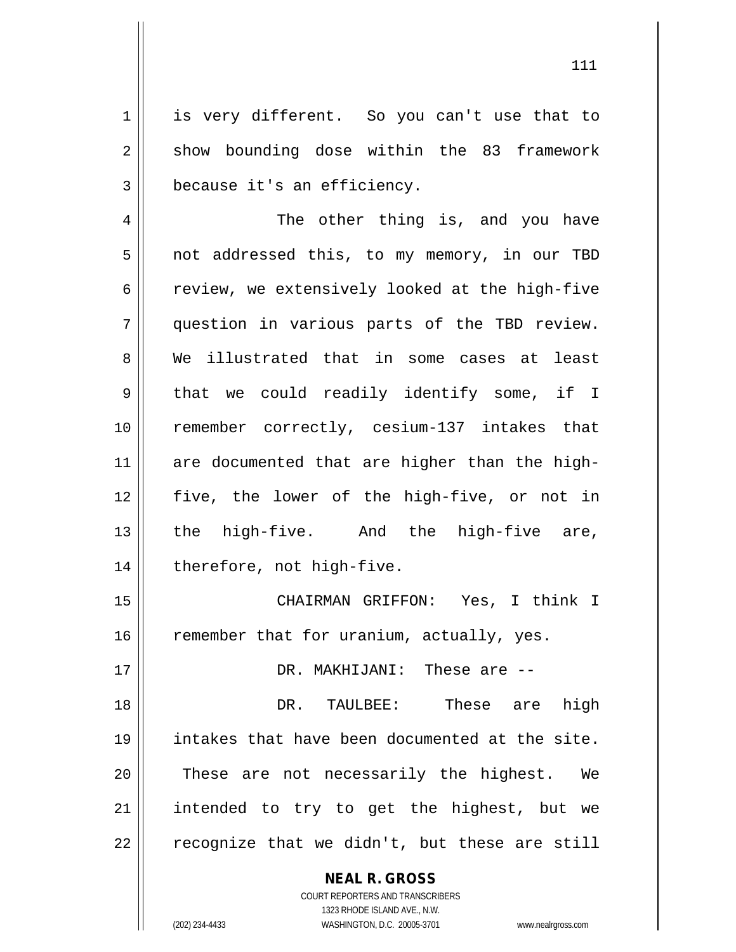1 || is very different. So you can't use that to 2 || show bounding dose within the 83 framework 3 | because it's an efficiency.

4 || The other thing is, and you have 5 || not addressed this, to my memory, in our TBD  $6 \parallel$  review, we extensively looked at the high-five 7 question in various parts of the TBD review. 8 We illustrated that in some cases at least  $9 \parallel$  that we could readily identify some, if I 10 remember correctly, cesium-137 intakes that 11 are documented that are higher than the high-12 five, the lower of the high-five, or not in 13 || the high-five. And the high-five are,  $14$  | therefore, not high-five.

15 CHAIRMAN GRIFFON: Yes, I think I  $16$  remember that for uranium, actually, yes.

17 DR. MAKHIJANI: These are --

18 DR. TAULBEE: These are high 19 intakes that have been documented at the site. 20 || These are not necessarily the highest. We 21 || intended to try to get the highest, but we  $22$  | recognize that we didn't, but these are still

**NEAL R. GROSS**

COURT REPORTERS AND TRANSCRIBERS 1323 RHODE ISLAND AVE., N.W. (202) 234-4433 WASHINGTON, D.C. 20005-3701 www.nealrgross.com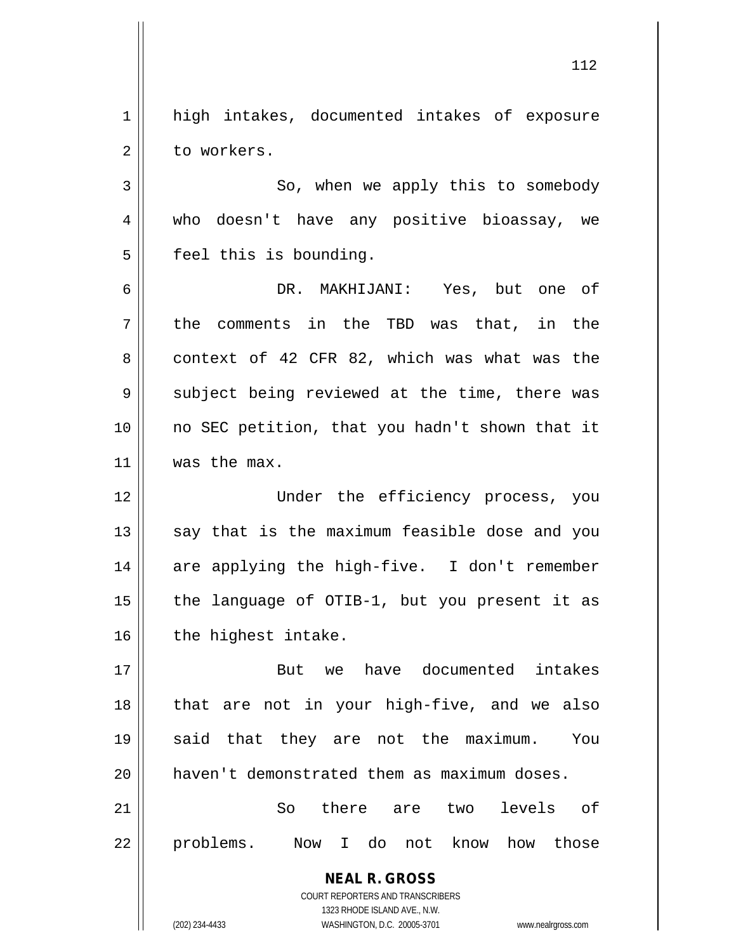1 high intakes, documented intakes of exposure 2 l to workers.

3 So, when we apply this to somebody 4 who doesn't have any positive bioassay, we  $5$  | feel this is bounding.

6 DR. MAKHIJANI: Yes, but one of  $7 \parallel$  the comments in the TBD was that, in the  $8 \parallel$  context of 42 CFR 82, which was what was the 9 Subject being reviewed at the time, there was 10 no SEC petition, that you hadn't shown that it 11 | was the max.

 Under the efficiency process, you say that is the maximum feasible dose and you 14 || are applying the high-five. I don't remember  $\parallel$  the language of OTIB-1, but you present it as | the highest intake.

 But we have documented intakes || that are not in your high-five, and we also said that they are not the maximum. You haven't demonstrated them as maximum doses.

21 So there are two levels of 22 || problems. Now I do not know how those

> **NEAL R. GROSS** COURT REPORTERS AND TRANSCRIBERS 1323 RHODE ISLAND AVE., N.W.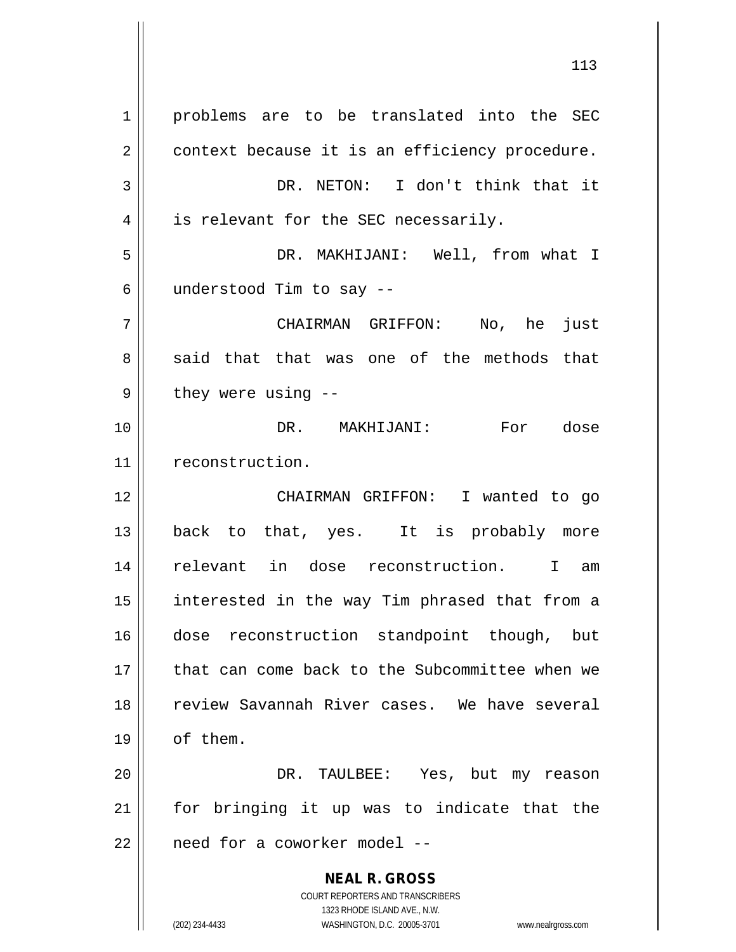**NEAL R. GROSS** COURT REPORTERS AND TRANSCRIBERS 1323 RHODE ISLAND AVE., N.W. 1 | problems are to be translated into the SEC 2 | context because it is an efficiency procedure. 3 DR. NETON: I don't think that it  $4 \parallel$  is relevant for the SEC necessarily. 5 DR. MAKHIJANI: Well, from what I  $6 \parallel$  understood Tim to say --7 CHAIRMAN GRIFFON: No, he just  $8 \parallel$  said that that was one of the methods that  $9 \parallel$  they were using --10 DR. MAKHIJANI: For dose 11 | reconstruction. 12 CHAIRMAN GRIFFON: I wanted to go 13 back to that, yes. It is probably more 14 relevant in dose reconstruction. I am 15 interested in the way Tim phrased that from a 16 dose reconstruction standpoint though, but 17 that can come back to the Subcommittee when we 18 review Savannah River cases. We have several 19 | of them. 20 DR. TAULBEE: Yes, but my reason 21 for bringing it up was to indicate that the  $22$  | need for a coworker model --

(202) 234-4433 WASHINGTON, D.C. 20005-3701 www.nealrgross.com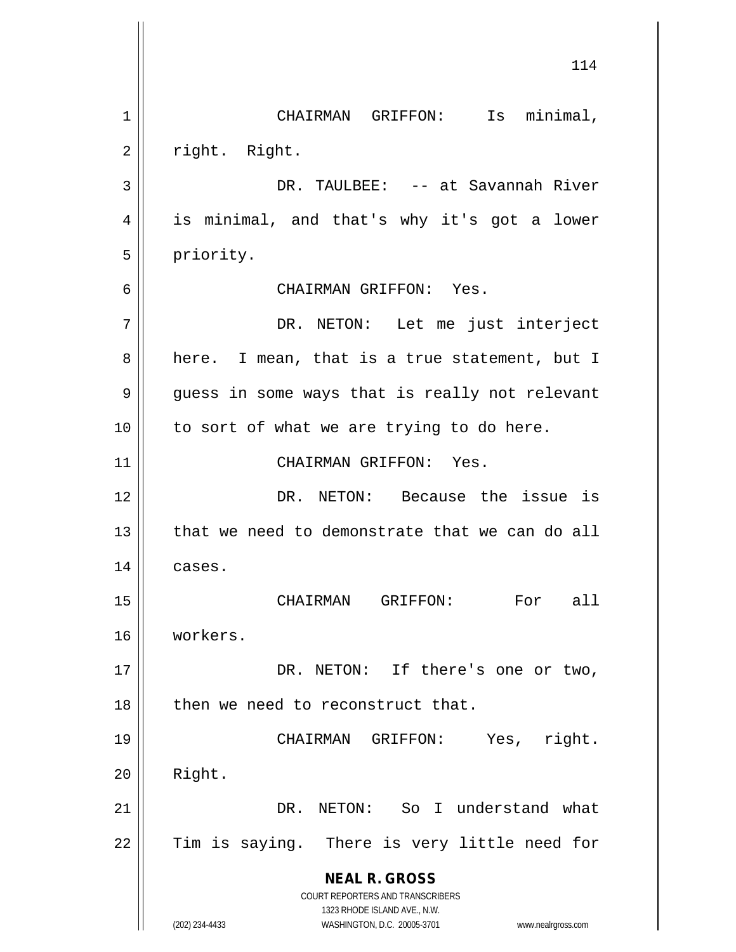**NEAL R. GROSS** COURT REPORTERS AND TRANSCRIBERS 1323 RHODE ISLAND AVE., N.W. (202) 234-4433 WASHINGTON, D.C. 20005-3701 www.nealrgross.com 114 1 || CHAIRMAN GRIFFON: Is minimal, 2 | right. Right. 3 DR. TAULBEE: -- at Savannah River 4 || is minimal, and that's why it's got a lower 5 | priority. 6 CHAIRMAN GRIFFON: Yes. 7 DR. NETON: Let me just interject  $8 \parallel$  here. I mean, that is a true statement, but I 9 guess in some ways that is really not relevant  $10$  || to sort of what we are trying to do here. 11 || CHAIRMAN GRIFFON: Yes. 12 DR. NETON: Because the issue is 13 || that we need to demonstrate that we can do all 14 cases. 15 CHAIRMAN GRIFFON: For all 16 workers. 17 || DR. NETON: If there's one or two, 18 || then we need to reconstruct that. 19 CHAIRMAN GRIFFON: Yes, right.  $20$  | Right. 21 DR. NETON: So I understand what  $22$  Tim is saying. There is very little need for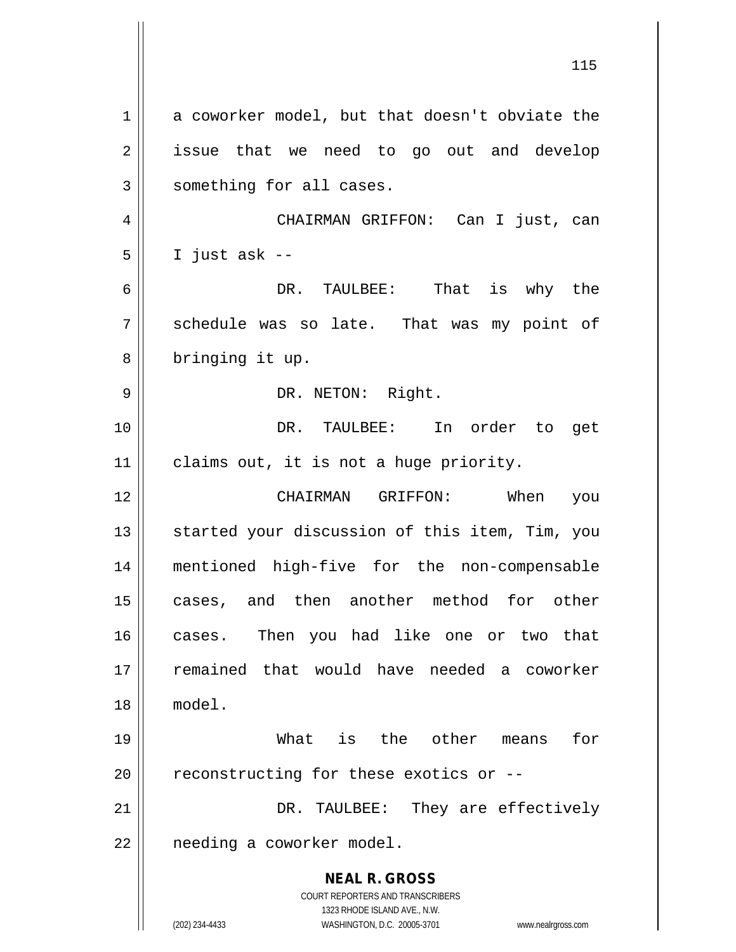**NEAL R. GROSS** COURT REPORTERS AND TRANSCRIBERS 1323 RHODE ISLAND AVE., N.W. (202) 234-4433 WASHINGTON, D.C. 20005-3701 www.nealrgross.com  $1 \parallel$  a coworker model, but that doesn't obviate the 2 || issue that we need to go out and develop  $3$  something for all cases. 4 CHAIRMAN GRIFFON: Can I just, can  $5 \parallel$  I just ask --6 DR. TAULBEE: That is why the 7 Schedule was so late. That was my point of 8 || bringing it up. 9 || DR. NETON: Right. 10 DR. TAULBEE: In order to get 11 | claims out, it is not a huge priority. 12 CHAIRMAN GRIFFON: When you 13 || started your discussion of this item, Tim, you 14 mentioned high-five for the non-compensable 15 cases, and then another method for other 16 cases. Then you had like one or two that 17 remained that would have needed a coworker 18 model. 19 What is the other means for  $20$  | reconstructing for these exotics or  $-$ -21 DR. TAULBEE: They are effectively  $22$  | needing a coworker model.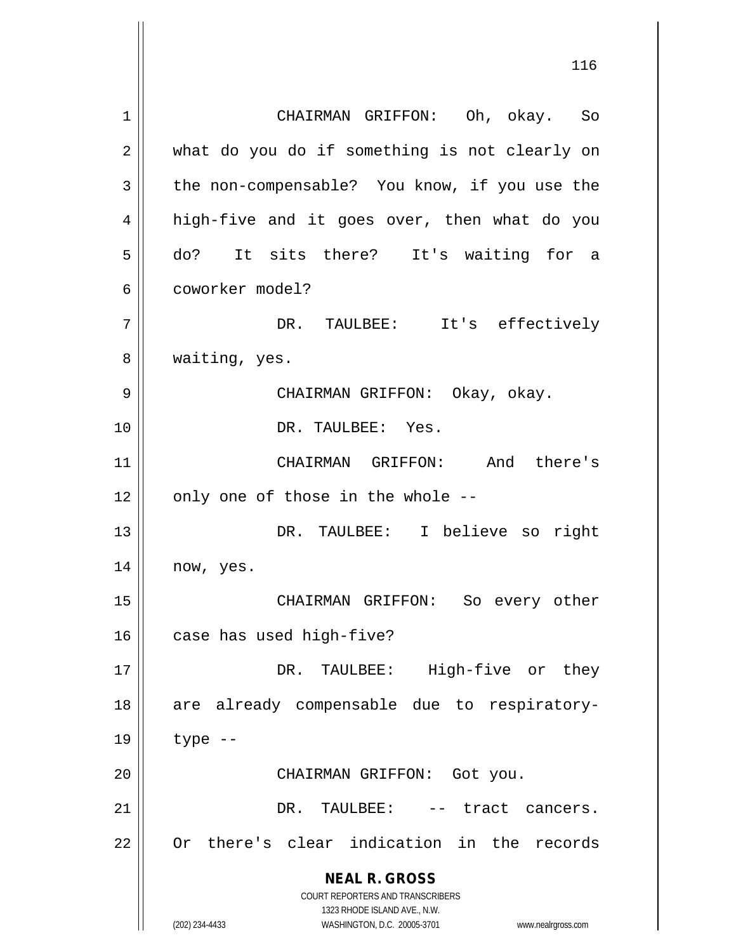**NEAL R. GROSS** COURT REPORTERS AND TRANSCRIBERS 1323 RHODE ISLAND AVE., N.W. (202) 234-4433 WASHINGTON, D.C. 20005-3701 www.nealrgross.com 1 CHAIRMAN GRIFFON: Oh, okay. So 2 || what do you do if something is not clearly on 3 || the non-compensable? You know, if you use the 4 || high-five and it goes over, then what do you 5 || do? It sits there? It's waiting for a 6 coworker model? 7 DR. TAULBEE: It's effectively 8 || waiting, yes. 9 CHAIRMAN GRIFFON: Okay, okay. 10 DR. TAULBEE: Yes. 11 CHAIRMAN GRIFFON: And there's  $12$  | only one of those in the whole --13 DR. TAULBEE: I believe so right 14 | now, yes. 15 CHAIRMAN GRIFFON: So every other  $16$  | case has used high-five? 17 || DR. TAULBEE: High-five or they 18 are already compensable due to respiratory-19 type -- 20 || CHAIRMAN GRIFFON: Got you. 21 DR. TAULBEE: -- tract cancers. 22 || Or there's clear indication in the records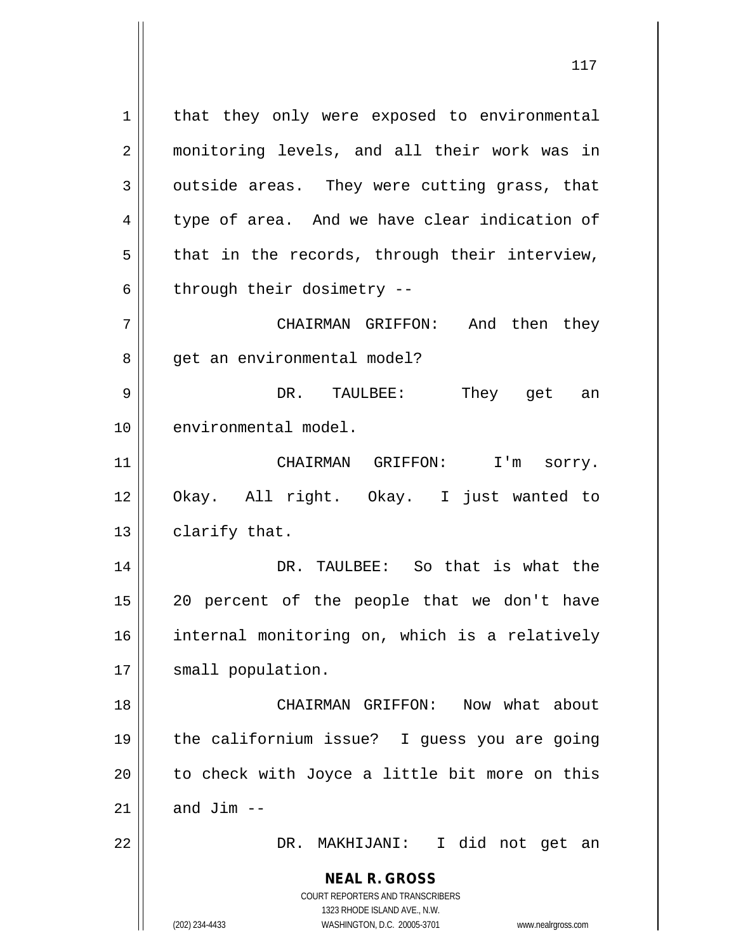1 | that they only were exposed to environmental 2 monitoring levels, and all their work was in  $3 \parallel$  outside areas. They were cutting grass, that  $4 \parallel$  type of area. And we have clear indication of  $5 \parallel$  that in the records, through their interview,  $6$  || through their dosimetry --7 CHAIRMAN GRIFFON: And then they

9 DR. TAULBEE: They get an 10 || environmental model.

8 || qet an environmental model?

11 CHAIRMAN GRIFFON: I'm sorry. 12 Okay. All right. Okay. I just wanted to  $13$  | clarify that.

 DR. TAULBEE: So that is what the || 20 percent of the people that we don't have internal monitoring on, which is a relatively 17 || small population.

 CHAIRMAN GRIFFON: Now what about the californium issue? I guess you are going || to check with Joyce a little bit more on this  $\parallel$  and Jim --

22 DR. MAKHIJANI: I did not get an

**NEAL R. GROSS** COURT REPORTERS AND TRANSCRIBERS

1323 RHODE ISLAND AVE., N.W.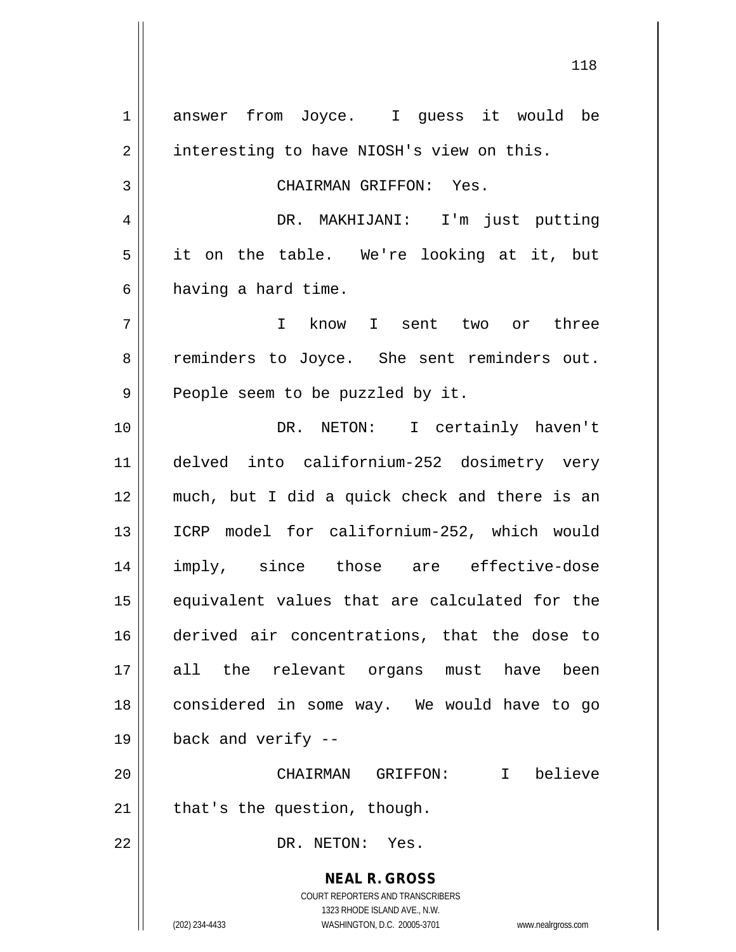**NEAL R. GROSS** COURT REPORTERS AND TRANSCRIBERS 1323 RHODE ISLAND AVE., N.W. (202) 234-4433 WASHINGTON, D.C. 20005-3701 www.nealrgross.com 1 answer from Joyce. I guess it would be 2 | interesting to have NIOSH's view on this. 3 CHAIRMAN GRIFFON: Yes. 4 DR. MAKHIJANI: I'm just putting  $5 \parallel$  it on the table. We're looking at it, but  $6 \parallel$  having a hard time. 7 I know I sent two or three 8 Teminders to Joyce. She sent reminders out.  $9 \parallel$  People seem to be puzzled by it. 10 DR. NETON: I certainly haven't 11 delved into californium-252 dosimetry very 12 much, but I did a quick check and there is an 13 || ICRP model for californium-252, which would 14 imply, since those are effective-dose 15 equivalent values that are calculated for the 16 derived air concentrations, that the dose to 17 all the relevant organs must have been 18 considered in some way. We would have to go  $19 \parallel$  back and verify --20 CHAIRMAN GRIFFON: I believe  $21$  | that's the question, though. 22 || DR. NETON: Yes.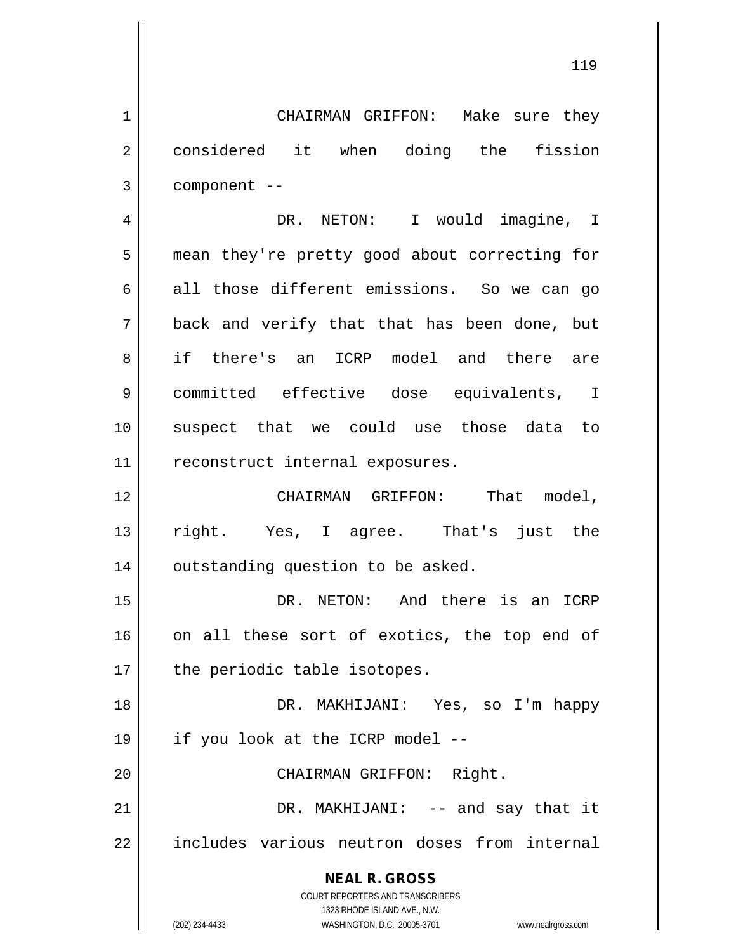1 CHAIRMAN GRIFFON: Make sure they 2 || considered it when doing the fission  $3 \parallel$  component --

4 DR. NETON: I would imagine, I 5 | mean they're pretty good about correcting for  $6 \parallel$  all those different emissions. So we can go  $7 \parallel$  back and verify that that has been done, but 8 || if there's an ICRP model and there are 9 committed effective dose equivalents, I 10 suspect that we could use those data to 11 | reconstruct internal exposures.

12 | CHAIRMAN GRIFFON: That model, 13 right. Yes, I agree. That's just the  $14$  | outstanding question to be asked.

15 || DR. NETON: And there is an ICRP 16 || on all these sort of exotics, the top end of  $17$  | the periodic table isotopes.

18 DR. MAKHIJANI: Yes, so I'm happy 19 if you look at the ICRP model --

20 || CHAIRMAN GRIFFON: Right.

21 || DR. MAKHIJANI: -- and say that it 22 || includes various neutron doses from internal

> **NEAL R. GROSS** COURT REPORTERS AND TRANSCRIBERS

> > 1323 RHODE ISLAND AVE., N.W.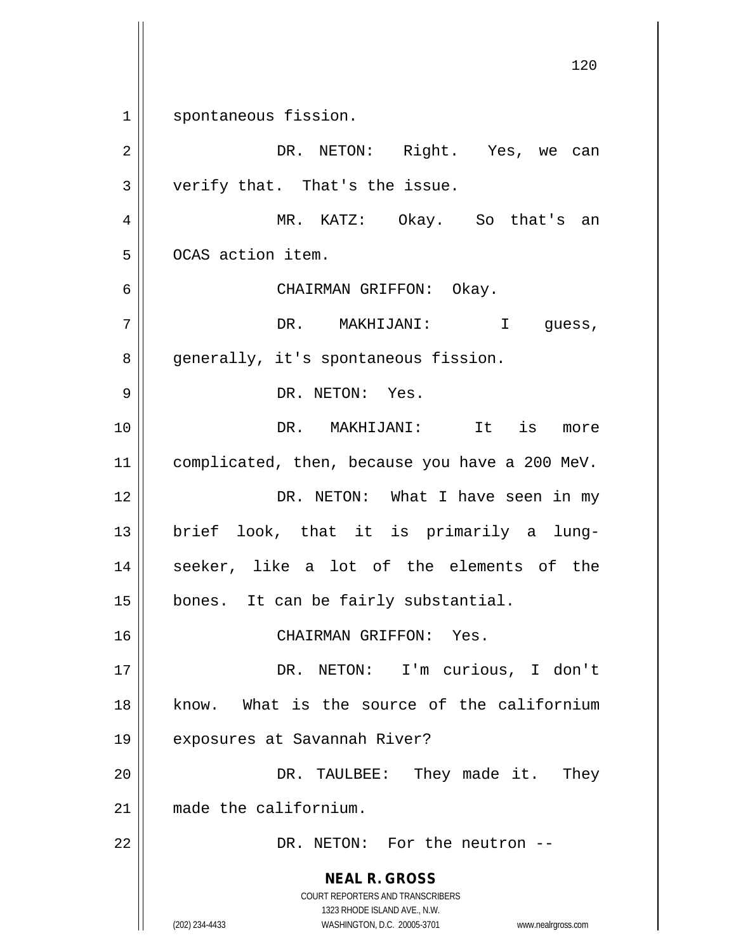**NEAL R. GROSS** COURT REPORTERS AND TRANSCRIBERS 1323 RHODE ISLAND AVE., N.W. (202) 234-4433 WASHINGTON, D.C. 20005-3701 www.nealrgross.com 120 1 || spontaneous fission. 2 DR. NETON: Right. Yes, we can  $3 \parallel$  verify that. That's the issue. 4 MR. KATZ: Okay. So that's an 5 | OCAS action item. 6 CHAIRMAN GRIFFON: Okay. 7 DR. MAKHIJANI: I guess, 8 || generally, it's spontaneous fission. 9 || DR. NETON: Yes. 10 DR. MAKHIJANI: It is more 11 | complicated, then, because you have a 200 MeV. 12 DR. NETON: What I have seen in my 13 brief look, that it is primarily a lung-14 || seeker, like a lot of the elements of the 15 | bones. It can be fairly substantial. 16 CHAIRMAN GRIFFON: Yes. 17 || DR. NETON: I'm curious, I don't 18 know. What is the source of the californium 19 || exposures at Savannah River? 20 DR. TAULBEE: They made it. They 21 made the californium. 22 DR. NETON: For the neutron --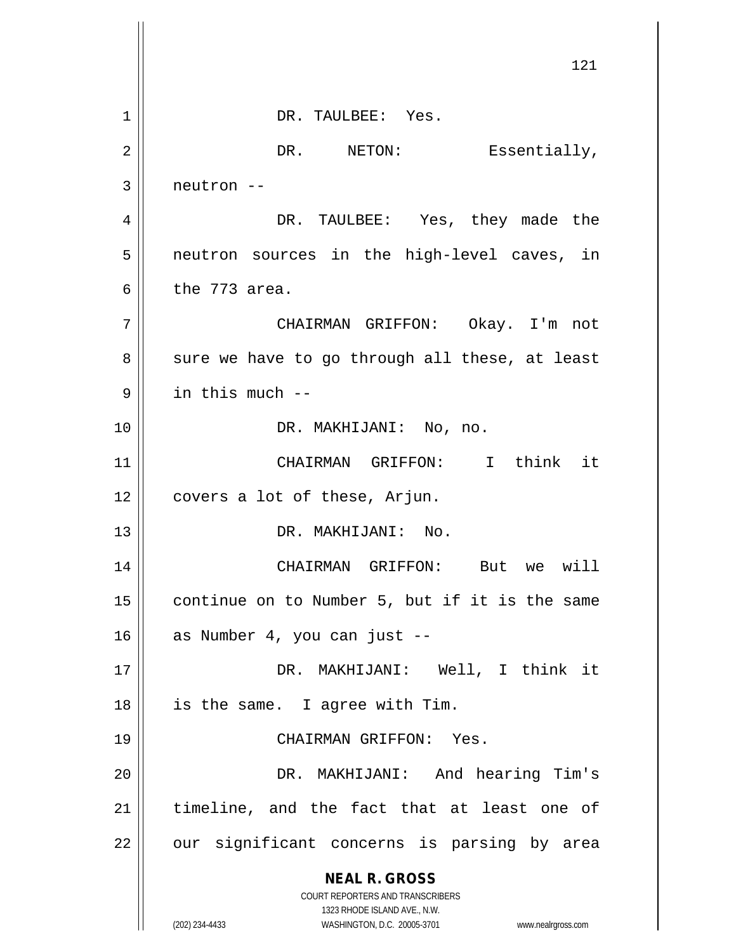**NEAL R. GROSS** COURT REPORTERS AND TRANSCRIBERS 1323 RHODE ISLAND AVE., N.W. (202) 234-4433 WASHINGTON, D.C. 20005-3701 www.nealrgross.com 121 1 || DR. TAULBEE: Yes. 2 | DR. NETON: Essentially,  $3 \parallel$  neutron  $-$ 4 DR. TAULBEE: Yes, they made the 5 || neutron sources in the high-level caves, in 6  $\parallel$  the 773 area. 7 CHAIRMAN GRIFFON: Okay. I'm not  $8 \parallel$  sure we have to go through all these, at least  $9$  | in this much --10 || DR. MAKHIJANI: No, no. 11 CHAIRMAN GRIFFON: I think it 12 || covers a lot of these, Arjun. 13 DR. MAKHIJANI: No. 14 CHAIRMAN GRIFFON: But we will  $15$  continue on to Number 5, but if it is the same  $16$  as Number 4, you can just  $-$ 17 DR. MAKHIJANI: Well, I think it 18 || is the same. I agree with Tim. 19 CHAIRMAN GRIFFON: Yes. 20 DR. MAKHIJANI: And hearing Tim's 21 || timeline, and the fact that at least one of  $22$  || our significant concerns is parsing by area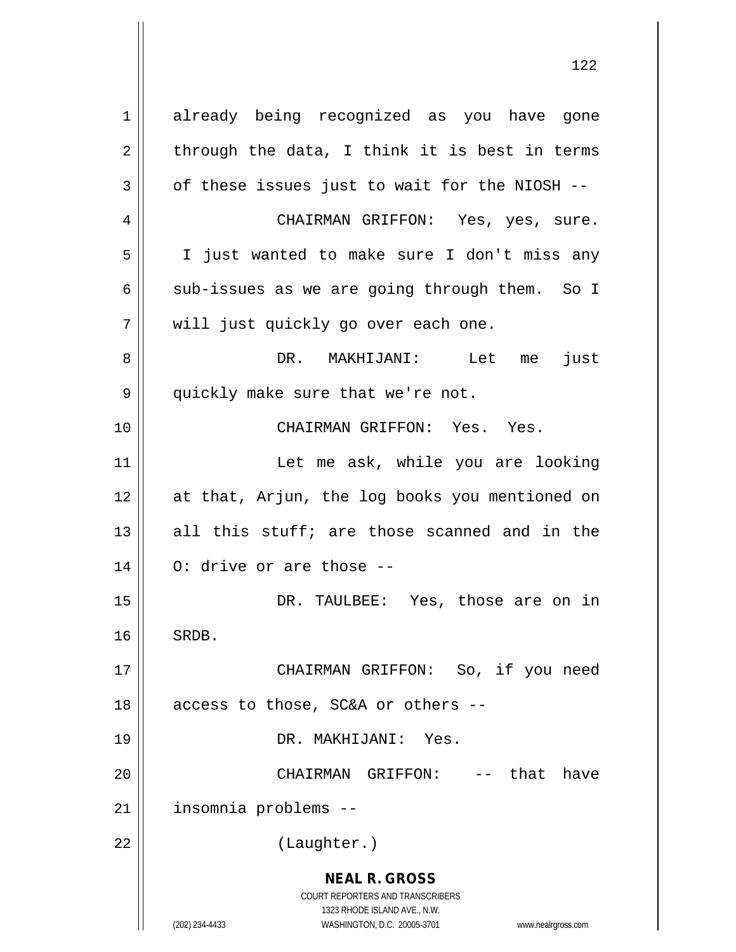**NEAL R. GROSS** COURT REPORTERS AND TRANSCRIBERS 1323 RHODE ISLAND AVE., N.W. (202) 234-4433 WASHINGTON, D.C. 20005-3701 www.nealrgross.com 1 already being recognized as you have gone  $2 \parallel$  through the data, I think it is best in terms  $3 \parallel$  of these issues just to wait for the NIOSH --4 CHAIRMAN GRIFFON: Yes, yes, sure. 5 I just wanted to make sure I don't miss any 6  $\parallel$  sub-issues as we are going through them. So I 7 || will just quickly go over each one. 8 DR. MAKHIJANI: Let me just 9 || quickly make sure that we're not. 10 CHAIRMAN GRIFFON: Yes. Yes. 11 || The Let me ask, while you are looking 12 at that, Arjun, the log books you mentioned on 13  $\parallel$  all this stuff; are those scanned and in the  $14 \parallel$  0: drive or are those --15 DR. TAULBEE: Yes, those are on in 16 || SRDB. 17 CHAIRMAN GRIFFON: So, if you need 18  $\parallel$  access to those, SC&A or others --19 DR. MAKHIJANI: Yes. 20 || CHAIRMAN GRIFFON: -- that have 21 | insomnia problems --22 | (Laughter.)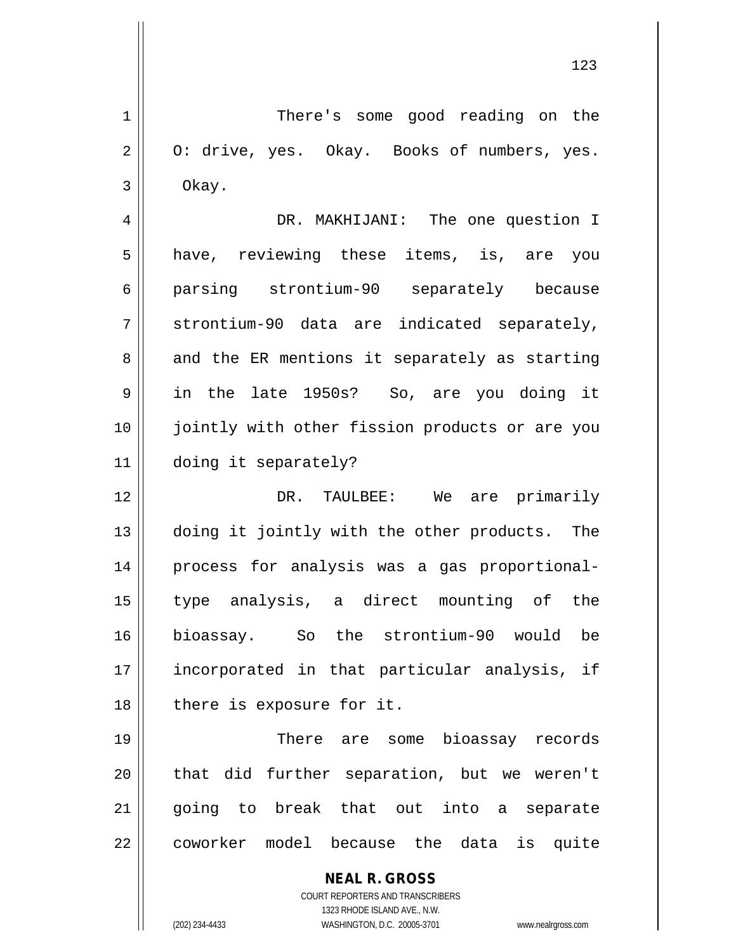1 | There's some good reading on the  $2 \parallel$  0: drive, yes. Okay. Books of numbers, yes.  $3 \parallel$  Okay.

 DR. MAKHIJANI: The one question I 5 || have, reviewing these items, is, are you parsing strontium-90 separately because  $7 \parallel$  strontium-90 data are indicated separately,  $8 \parallel$  and the ER mentions it separately as starting in the late 1950s? So, are you doing it jointly with other fission products or are you doing it separately?

 DR. TAULBEE: We are primarily doing it jointly with the other products. The 14 || process for analysis was a gas proportional- type analysis, a direct mounting of the bioassay. So the strontium-90 would be incorporated in that particular analysis, if 18 || there is exposure for it.

19 There are some bioassay records 20 || that did further separation, but we weren't 21 || going to break that out into a separate 22 || coworker model because the data is quite

> **NEAL R. GROSS** COURT REPORTERS AND TRANSCRIBERS

> > 1323 RHODE ISLAND AVE., N.W.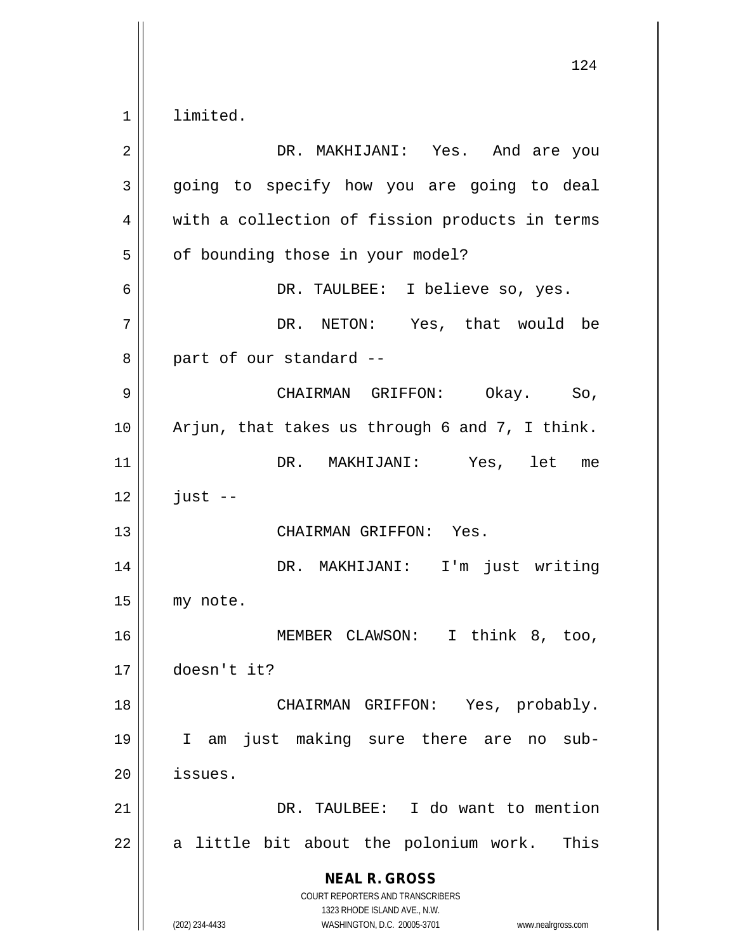| $\overline{2}$ | DR. MAKHIJANI: Yes. And are you                                                                                                                                 |
|----------------|-----------------------------------------------------------------------------------------------------------------------------------------------------------------|
| 3              | going to specify how you are going to deal                                                                                                                      |
| 4              | with a collection of fission products in terms                                                                                                                  |
| 5              | of bounding those in your model?                                                                                                                                |
| 6              | DR. TAULBEE: I believe so, yes.                                                                                                                                 |
| 7              | DR. NETON: Yes, that would be                                                                                                                                   |
| 8              | part of our standard --                                                                                                                                         |
| 9              | CHAIRMAN GRIFFON: Okay. So,                                                                                                                                     |
| 10             | Arjun, that takes us through 6 and 7, I think.                                                                                                                  |
| 11             | DR. MAKHIJANI: Yes, let me                                                                                                                                      |
| 12             | $just --$                                                                                                                                                       |
| 13             | CHAIRMAN GRIFFON: Yes.                                                                                                                                          |
| 14             | DR. MAKHIJANI: I'm just writing                                                                                                                                 |
| 15             | my note.                                                                                                                                                        |
| 16             | MEMBER CLAWSON: I think 8, too,                                                                                                                                 |
| 17             | doesn't it?                                                                                                                                                     |
| 18             | CHAIRMAN GRIFFON: Yes, probably.                                                                                                                                |
| 19             | I am just making sure there are no<br>$sub-$                                                                                                                    |
| 20             | issues.                                                                                                                                                         |
| 21             | DR. TAULBEE: I do want to mention                                                                                                                               |
| 22             | a little bit about the polonium work.<br>This                                                                                                                   |
|                | <b>NEAL R. GROSS</b><br>COURT REPORTERS AND TRANSCRIBERS<br>1323 RHODE ISLAND AVE., N.W.<br>WASHINGTON, D.C. 20005-3701<br>(202) 234-4433<br>www.nealrgross.com |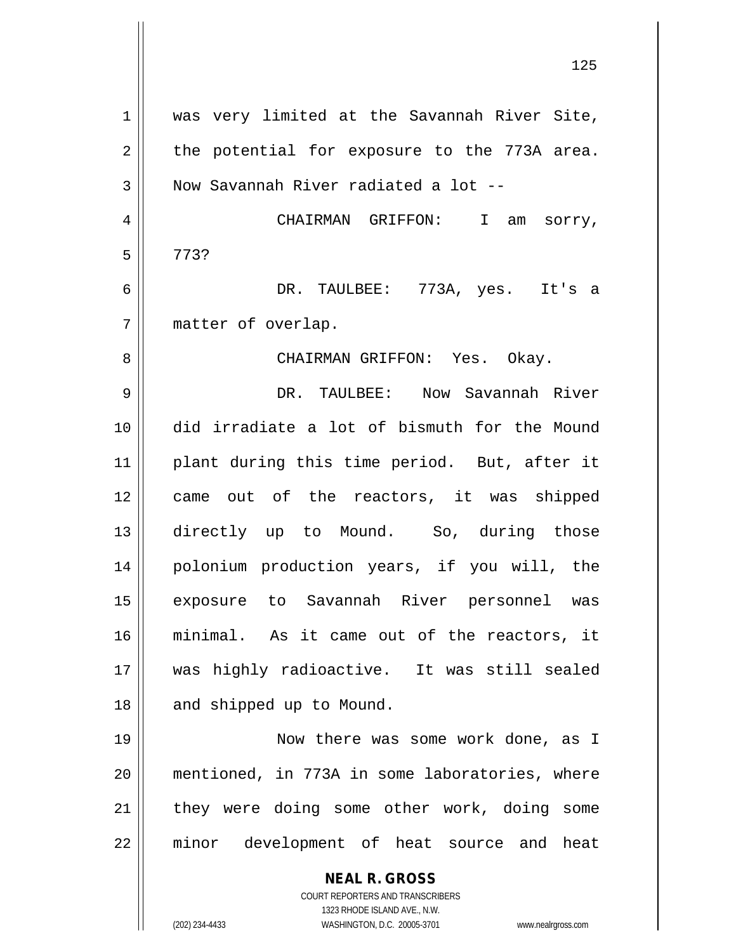| $1\,$          | was very limited at the Savannah River Site,                                  |
|----------------|-------------------------------------------------------------------------------|
| $\overline{2}$ | the potential for exposure to the 773A area.                                  |
| 3              | Now Savannah River radiated a lot --                                          |
| $\overline{4}$ | CHAIRMAN GRIFFON: I<br>am sorry,                                              |
| 5              | 773?                                                                          |
| 6              | DR. TAULBEE: 773A, yes. It's a                                                |
| 7              | matter of overlap.                                                            |
| 8              | CHAIRMAN GRIFFON: Yes. Okay.                                                  |
| 9              | DR. TAULBEE: Now Savannah River                                               |
| 10             | did irradiate a lot of bismuth for the Mound                                  |
| 11             | plant during this time period. But, after it                                  |
| 12             | came out of the reactors, it was shipped                                      |
| 13             | directly up to Mound. So, during those                                        |
| 14             | polonium production years, if you will, the                                   |
| 15             | exposure to Savannah River personnel was                                      |
| 16             | minimal. As it came out of the reactors, it                                   |
| 17             | was highly radioactive. It was still sealed                                   |
| 18             | and shipped up to Mound.                                                      |
| 19             | Now there was some work done, as I                                            |
| 20             | mentioned, in 773A in some laboratories, where                                |
| 21             | they were doing some other work, doing some                                   |
| 22             | minor development of heat source and heat                                     |
|                | <b>NEAL R. GROSS</b>                                                          |
|                | COURT REPORTERS AND TRANSCRIBERS                                              |
|                | 1323 RHODE ISLAND AVE., N.W.<br>(202) 234-4433<br>WASHINGTON, D.C. 20005-3701 |
|                | www.nealrgross.com                                                            |

 $\mathbf{I}$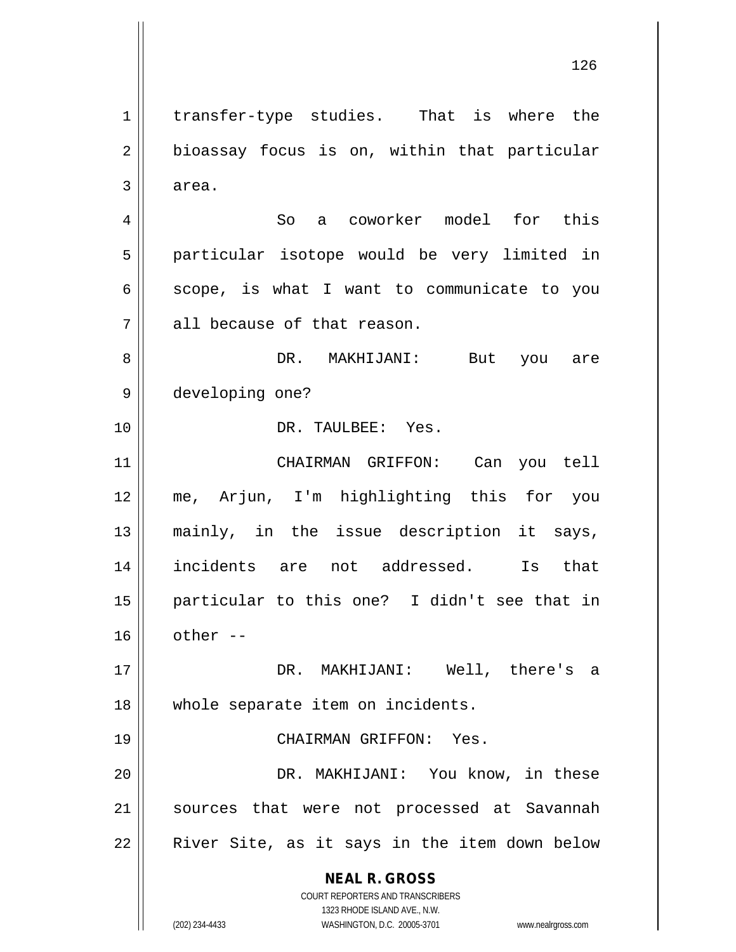**NEAL R. GROSS** COURT REPORTERS AND TRANSCRIBERS 1323 RHODE ISLAND AVE., N.W. (202) 234-4433 WASHINGTON, D.C. 20005-3701 www.nealrgross.com 1 | transfer-type studies. That is where the  $2 \parallel$  bioassay focus is on, within that particular  $3 \parallel$  area. 4 || So a coworker model for this 5 || particular isotope would be very limited in  $6 \parallel$  scope, is what I want to communicate to you  $7$  || all because of that reason. 8 DR. MAKHIJANI: But you are 9 developing one? 10 DR. TAULBEE: Yes. 11 CHAIRMAN GRIFFON: Can you tell 12 me, Arjun, I'm highlighting this for you 13 mainly, in the issue description it says, 14 incidents are not addressed. Is that 15 particular to this one? I didn't see that in  $16$   $\parallel$  other --17 DR. MAKHIJANI: Well, there's a 18 || whole separate item on incidents. 19 CHAIRMAN GRIFFON: Yes. 20 DR. MAKHIJANI: You know, in these 21 || sources that were not processed at Savannah 22 || River Site, as it says in the item down below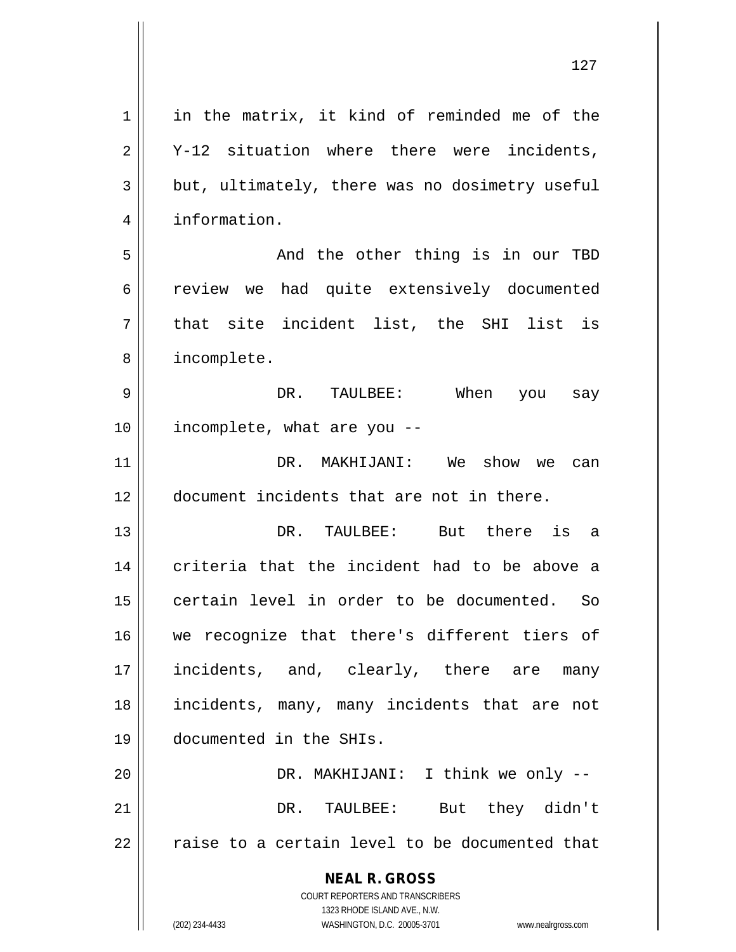| $\mathbf 1$    | in the matrix, it kind of reminded me of the                        |
|----------------|---------------------------------------------------------------------|
| $\overline{2}$ | Y-12 situation where there were incidents,                          |
| 3              | but, ultimately, there was no dosimetry useful                      |
| $\overline{4}$ | information.                                                        |
| 5              | And the other thing is in our TBD                                   |
| 6              | review we had quite extensively documented                          |
| 7              | that site incident list, the SHI list is                            |
| 8              | incomplete.                                                         |
| 9              | DR. TAULBEE: When you say                                           |
| 10             | incomplete, what are you --                                         |
| 11             | DR. MAKHIJANI: We show we can                                       |
| 12             | document incidents that are not in there.                           |
| 13             | DR. TAULBEE: But there is a                                         |
| 14             | criteria that the incident had to be above a                        |
| 15             | certain level in order to be documented. So                         |
|                |                                                                     |
| 16             | we recognize that there's different tiers of                        |
| 17             | incidents, and, clearly, there are many                             |
| 18             | incidents, many, many incidents that are not                        |
| 19             | documented in the SHIs.                                             |
| 20             | DR. MAKHIJANI: I think we only --                                   |
| 21             | DR. TAULBEE: But they didn't                                        |
| 22             | raise to a certain level to be documented that                      |
|                | <b>NEAL R. GROSS</b>                                                |
|                | COURT REPORTERS AND TRANSCRIBERS                                    |
|                | 1323 RHODE ISLAND AVE., N.W.                                        |
|                | (202) 234-4433<br>WASHINGTON, D.C. 20005-3701<br>www.nealrgross.com |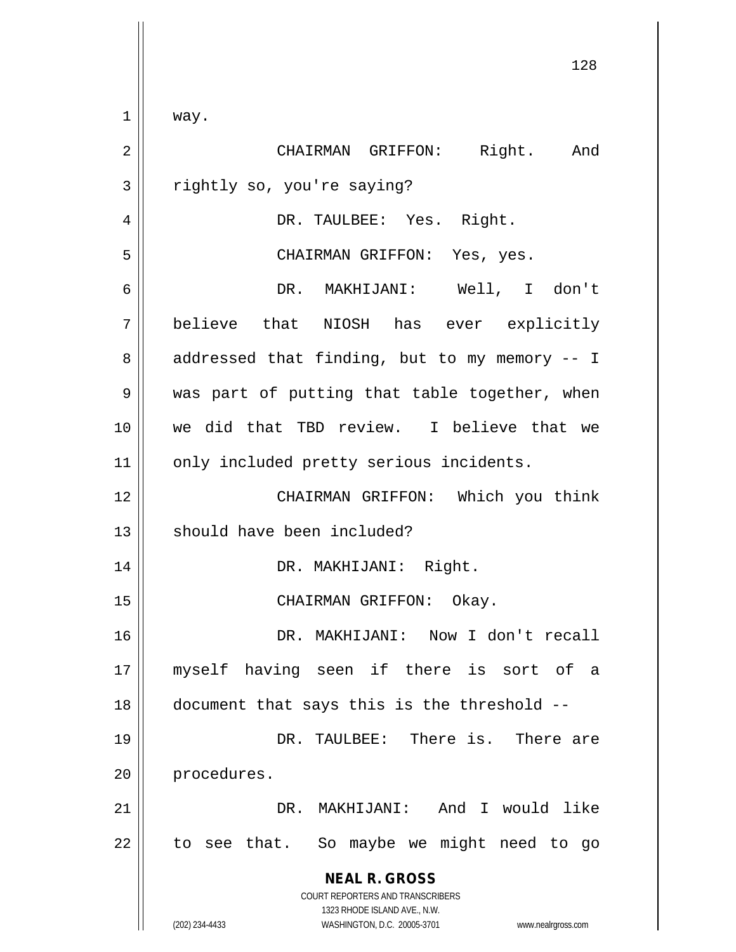**NEAL R. GROSS** COURT REPORTERS AND TRANSCRIBERS 1323 RHODE ISLAND AVE., N.W. 128  $1 \parallel$  way. 2 CHAIRMAN GRIFFON: Right. And 3 || rightly so, you're saying? 4 DR. TAULBEE: Yes. Right. 5 CHAIRMAN GRIFFON: Yes, yes. 6 DR. MAKHIJANI: Well, I don't 7 believe that NIOSH has ever explicitly  $8 \parallel$  addressed that finding, but to my memory  $-1$ 9 We was part of putting that table together, when 10 we did that TBD review. I believe that we 11 | only included pretty serious incidents. 12 CHAIRMAN GRIFFON: Which you think 13 || should have been included? 14 DR. MAKHIJANI: Right. 15 || CHAIRMAN GRIFFON: Okay. 16 DR. MAKHIJANI: Now I don't recall 17 myself having seen if there is sort of a  $18$   $\vert$  document that says this is the threshold --19 DR. TAULBEE: There is. There are 20 | procedures. 21 DR. MAKHIJANI: And I would like  $22$  || to see that. So maybe we might need to go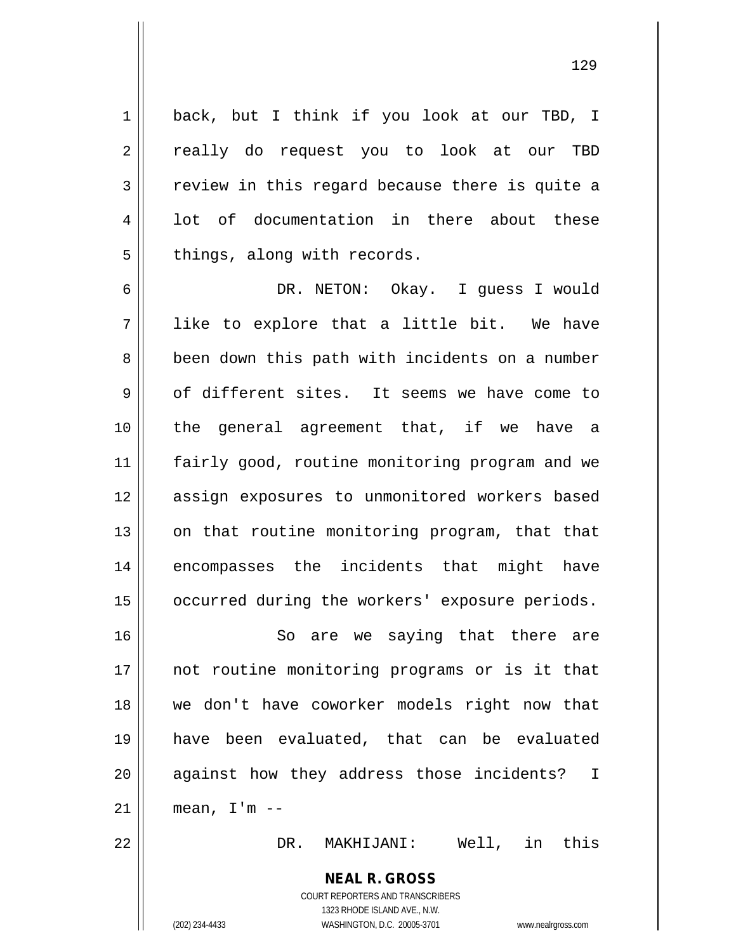1 | back, but I think if you look at our TBD, I 2 || really do request you to look at our TBD  $3 \parallel$  review in this regard because there is quite a 4 || lot of documentation in there about these  $5$  || things, along with records.

6 DR. NETON: Okay. I guess I would  $7 \parallel$  like to explore that a little bit. We have 8 | been down this path with incidents on a number  $9 \parallel$  of different sites. It seems we have come to 10 the general agreement that, if we have a 11 || fairly good, routine monitoring program and we 12 || assign exposures to unmonitored workers based 13 || on that routine monitoring program, that that 14 encompasses the incidents that might have 15 | occurred during the workers' exposure periods.

16 || So are we saying that there are 17 || not routine monitoring programs or is it that 18 we don't have coworker models right now that 19 have been evaluated, that can be evaluated 20 || against how they address those incidents? I  $21$  mean, I'm  $-$ 

22 DR. MAKHIJANI: Well, in this

**NEAL R. GROSS** COURT REPORTERS AND TRANSCRIBERS 1323 RHODE ISLAND AVE., N.W. (202) 234-4433 WASHINGTON, D.C. 20005-3701 www.nealrgross.com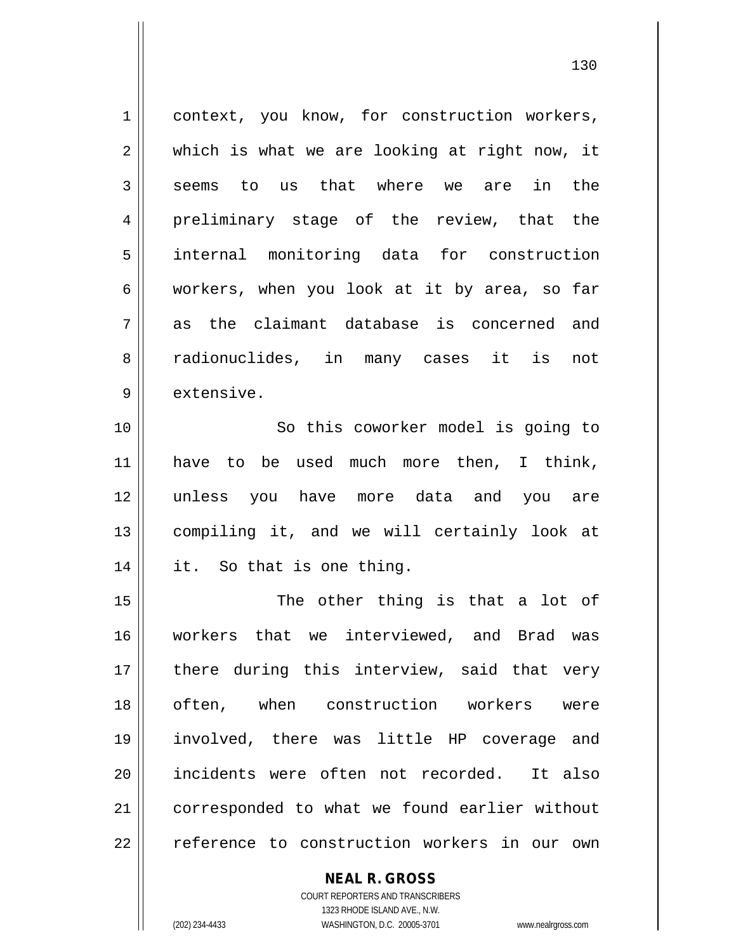1 || context, you know, for construction workers, 2 || which is what we are looking at right now, it  $3 \parallel$  seems to us that where we are in the 4 preliminary stage of the review, that the 5 internal monitoring data for construction 6 workers, when you look at it by area, so far  $7\parallel$  as the claimant database is concerned and 8 radionuclides, in many cases it is not 9 ll extensive. 10 || So this coworker model is going to 11 || have to be used much more then, I think, 12 unless you have more data and you are 13 compiling it, and we will certainly look at 14 it. So that is one thing. 15 || The other thing is that a lot of 16 workers that we interviewed, and Brad was 17 || there during this interview, said that very 18 || often, when construction workers were

19 involved, there was little HP coverage and 20 incidents were often not recorded. It also 21 | corresponded to what we found earlier without 22 || reference to construction workers in our own

> COURT REPORTERS AND TRANSCRIBERS 1323 RHODE ISLAND AVE., N.W. (202) 234-4433 WASHINGTON, D.C. 20005-3701 www.nealrgross.com

**NEAL R. GROSS**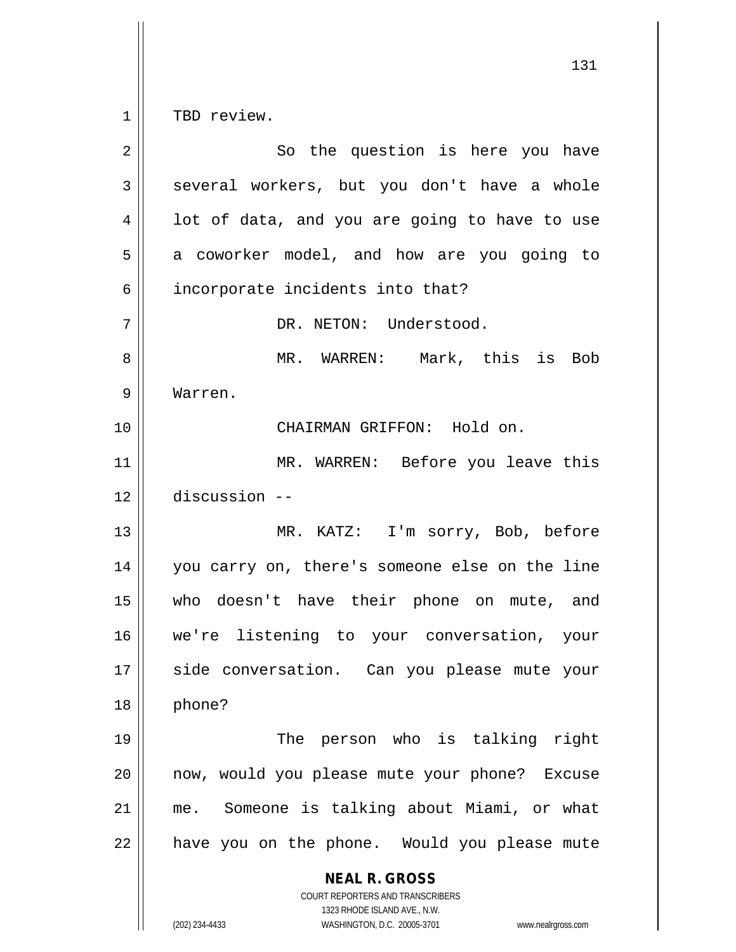$1 \parallel$  TBD review.

| $\overline{2}$ | So the question is here you have                                                                                                                                       |
|----------------|------------------------------------------------------------------------------------------------------------------------------------------------------------------------|
| 3              | several workers, but you don't have a whole                                                                                                                            |
| 4              | lot of data, and you are going to have to use                                                                                                                          |
| 5              | a coworker model, and how are you going to                                                                                                                             |
| 6              | incorporate incidents into that?                                                                                                                                       |
| 7              | DR. NETON: Understood.                                                                                                                                                 |
| 8              | MR. WARREN: Mark, this is Bob                                                                                                                                          |
| 9              | Warren.                                                                                                                                                                |
| 10             | CHAIRMAN GRIFFON: Hold on.                                                                                                                                             |
| 11             | MR. WARREN: Before you leave this                                                                                                                                      |
| 12             | discussion --                                                                                                                                                          |
| 13             | MR. KATZ: I'm sorry, Bob, before                                                                                                                                       |
| 14             | you carry on, there's someone else on the line                                                                                                                         |
| 15             | who doesn't have their phone on mute, and                                                                                                                              |
| 16             | we're listening to your conversation, your                                                                                                                             |
| 17             | side conversation. Can you please mute your                                                                                                                            |
| 18             | phone?                                                                                                                                                                 |
| 19             | The person who is talking right                                                                                                                                        |
| 20             | now, would you please mute your phone? Excuse                                                                                                                          |
| 21             | me. Someone is talking about Miami, or what                                                                                                                            |
| 22             | have you on the phone. Would you please mute                                                                                                                           |
|                | <b>NEAL R. GROSS</b><br><b>COURT REPORTERS AND TRANSCRIBERS</b><br>1323 RHODE ISLAND AVE., N.W.<br>(202) 234-4433<br>WASHINGTON, D.C. 20005-3701<br>www.nealrgross.com |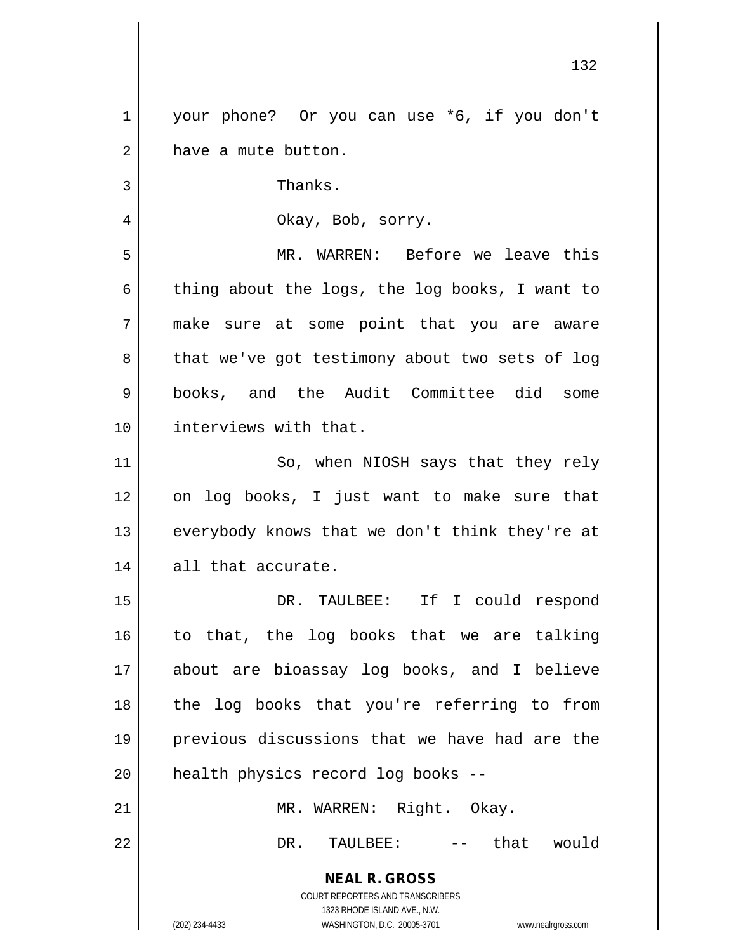1 | your phone? Or you can use \*6, if you don't 2 | have a mute button. 3 | Thanks. 4 Okay, Bob, sorry.

 MR. WARREN: Before we leave this  $6 \parallel$  thing about the logs, the log books, I want to make sure at some point that you are aware  $8 \parallel$  that we've got testimony about two sets of log books, and the Audit Committee did some interviews with that.

11 || So, when NIOSH says that they rely 12 on log books, I just want to make sure that 13  $\parallel$  everybody knows that we don't think they're at 14 || all that accurate.

 DR. TAULBEE: If I could respond to that, the log books that we are talking about are bioassay log books, and I believe || the log books that you're referring to from previous discussions that we have had are the 20 || health physics record log books --

21 || MR. WARREN: Right. Okay. 22 DR. TAULBEE: -- that would

> **NEAL R. GROSS** COURT REPORTERS AND TRANSCRIBERS

> > 1323 RHODE ISLAND AVE., N.W.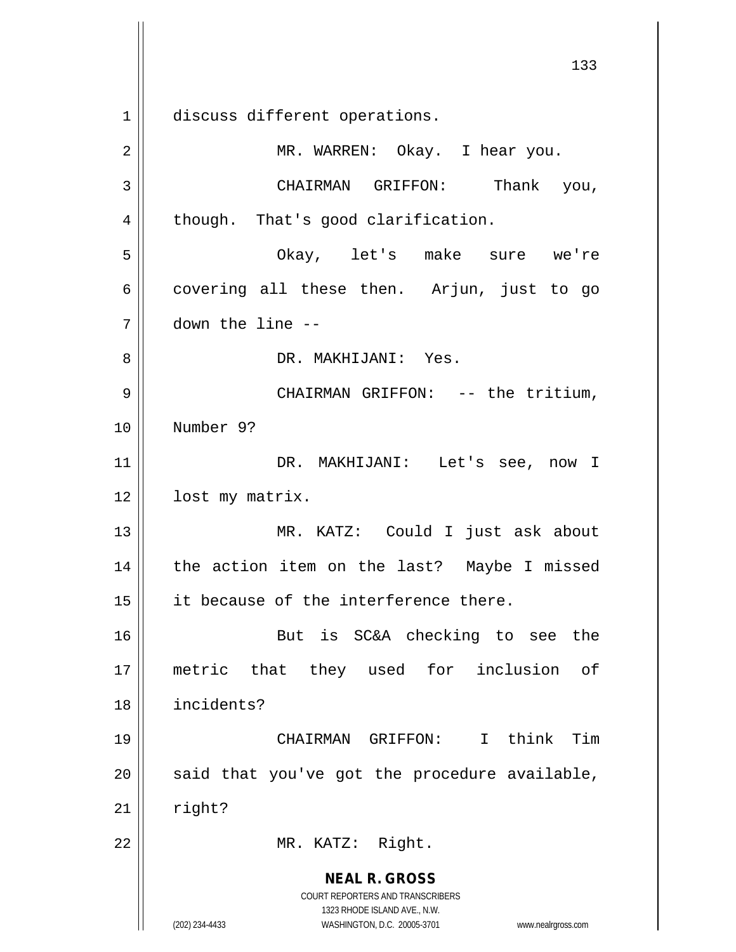**NEAL R. GROSS** COURT REPORTERS AND TRANSCRIBERS 1323 RHODE ISLAND AVE., N.W. (202) 234-4433 WASHINGTON, D.C. 20005-3701 www.nealrgross.com 133 1 discuss different operations. 2 MR. WARREN: Okay. I hear you. 3 CHAIRMAN GRIFFON: Thank you,  $4 \parallel$  though. That's good clarification. 5 Okay, let's make sure we're  $6 \parallel$  covering all these then. Arjun, just to go 7 down the line -- 8 DR. MAKHIJANI: Yes. 9 CHAIRMAN GRIFFON: -- the tritium, 10 Number 9? 11 DR. MAKHIJANI: Let's see, now I 12 | lost my matrix. 13 MR. KATZ: Could I just ask about 14 || the action item on the last? Maybe I missed 15 || it because of the interference there. 16 || But is SC&A checking to see the 17 metric that they used for inclusion of 18 incidents? 19 CHAIRMAN GRIFFON: I think Tim  $20$  || said that you've got the procedure available,  $21$   $\parallel$  right? 22 || MR. KATZ: Right.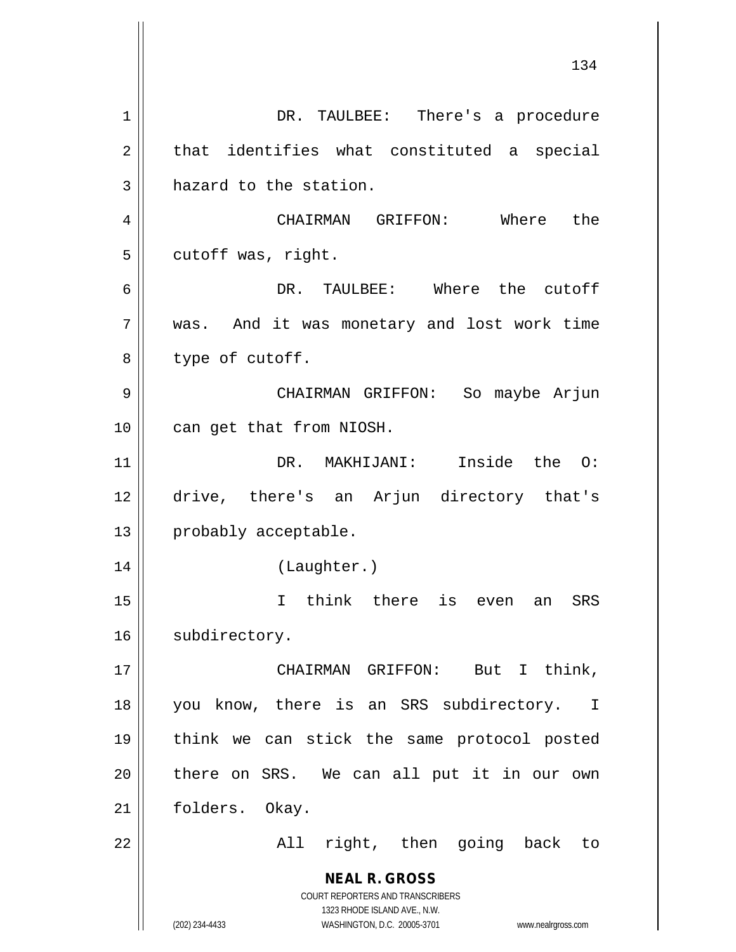**NEAL R. GROSS** COURT REPORTERS AND TRANSCRIBERS 1323 RHODE ISLAND AVE., N.W. (202) 234-4433 WASHINGTON, D.C. 20005-3701 www.nealrgross.com 1 | DR. TAULBEE: There's a procedure  $2 \parallel$  that identifies what constituted a special  $3$  hazard to the station. 4 CHAIRMAN GRIFFON: Where the  $5 \parallel$  cutoff was, right. 6 DR. TAULBEE: Where the cutoff 7 || was. And it was monetary and lost work time  $8 \parallel$  type of cutoff. 9 CHAIRMAN GRIFFON: So maybe Arjun 10 || can get that from NIOSH. 11 DR. MAKHIJANI: Inside the O: 12 drive, there's an Arjun directory that's 13 | probably acceptable. 14 (Laughter.) 15 I think there is even an SRS 16 | subdirectory. 17 CHAIRMAN GRIFFON: But I think, 18 || you know, there is an SRS subdirectory. I 19 think we can stick the same protocol posted  $20$  || there on SRS. We can all put it in our own 21 | folders. Okay. 22 || The Rall right, then going back to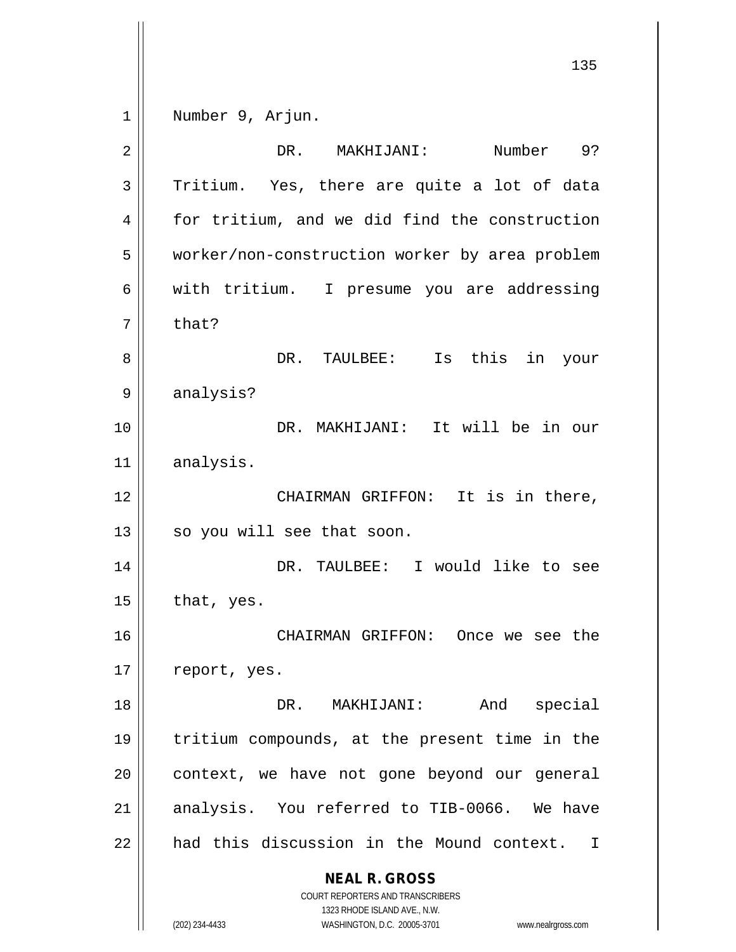1 | Number 9, Arjun.

| $\overline{2}$ | Number<br>DR.<br>MAKHIJANI:<br>9?                                                                                                                                      |
|----------------|------------------------------------------------------------------------------------------------------------------------------------------------------------------------|
| 3              | Tritium. Yes, there are quite a lot of data                                                                                                                            |
| 4              | for tritium, and we did find the construction                                                                                                                          |
| 5              | worker/non-construction worker by area problem                                                                                                                         |
| 6              | with tritium.<br>I presume you are addressing                                                                                                                          |
| 7              | that?                                                                                                                                                                  |
| 8              | this in<br>DR. TAULBEE:<br>Is<br>your                                                                                                                                  |
| 9              | analysis?                                                                                                                                                              |
| 10             | DR. MAKHIJANI: It will be in our                                                                                                                                       |
| 11             | analysis.                                                                                                                                                              |
| 12             | It is in there,<br>CHAIRMAN GRIFFON:                                                                                                                                   |
| 13             | so you will see that soon.                                                                                                                                             |
| 14             | DR. TAULBEE: I would like to see                                                                                                                                       |
| 15             | that, yes.                                                                                                                                                             |
| 16             | CHAIRMAN GRIFFON:<br>Once we see the                                                                                                                                   |
| 17             | report, yes.                                                                                                                                                           |
| 18             | And<br>special<br>DR. MAKHIJANI:                                                                                                                                       |
| 19             | tritium compounds, at the present time in the                                                                                                                          |
| 20             |                                                                                                                                                                        |
|                | context, we have not gone beyond our general                                                                                                                           |
| 21             | analysis. You referred to TIB-0066. We have                                                                                                                            |
| 22             | had this discussion in the Mound context. I                                                                                                                            |
|                | <b>NEAL R. GROSS</b><br><b>COURT REPORTERS AND TRANSCRIBERS</b><br>1323 RHODE ISLAND AVE., N.W.<br>WASHINGTON, D.C. 20005-3701<br>(202) 234-4433<br>www.nealrgross.com |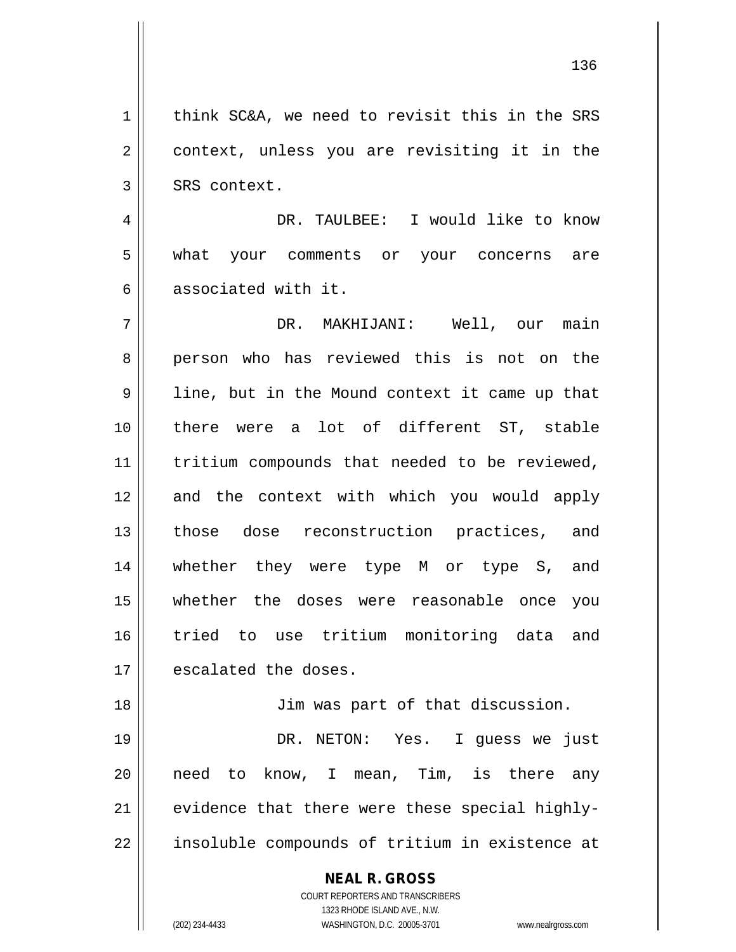1 | think SC&A, we need to revisit this in the SRS 2 || context, unless you are revisiting it in the  $3 \parallel$  SRS context.

4 DR. TAULBEE: I would like to know 5 || what your comments or your concerns are 6 || associated with it.

7 DR. MAKHIJANI: Well, our main 8 person who has reviewed this is not on the 9 || line, but in the Mound context it came up that 10 there were a lot of different ST, stable 11 || tritium compounds that needed to be reviewed, 12 and the context with which you would apply 13 || those dose reconstruction practices, and 14 whether they were type M or type S, and 15 whether the doses were reasonable once you 16 tried to use tritium monitoring data and 17 | escalated the doses.

18 || Jim was part of that discussion.

19 DR. NETON: Yes. I guess we just 20 || need to know, I mean, Tim, is there any  $21$  || evidence that there were these special highly-22 || insoluble compounds of tritium in existence at

> **NEAL R. GROSS** COURT REPORTERS AND TRANSCRIBERS

> > 1323 RHODE ISLAND AVE., N.W.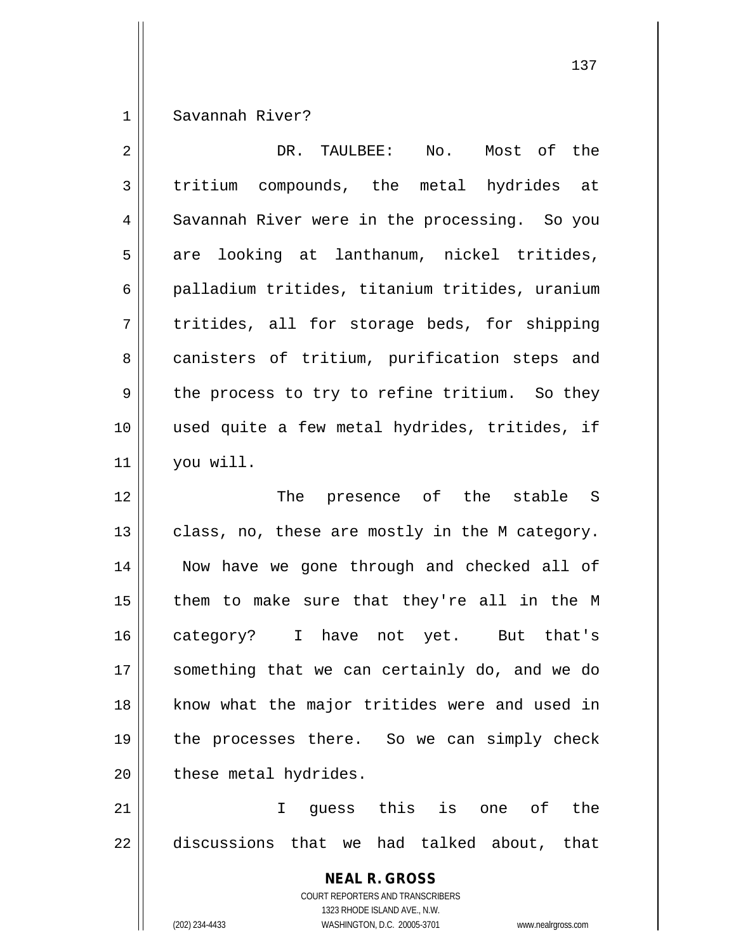1 Savannah River?

| $\overline{2}$ | DR. TAULBEE: No. Most of the                                                                                                                                    |
|----------------|-----------------------------------------------------------------------------------------------------------------------------------------------------------------|
| 3              | tritium compounds, the metal hydrides at                                                                                                                        |
| 4              | Savannah River were in the processing. So you                                                                                                                   |
| 5              | looking at lanthanum, nickel tritides,<br>are                                                                                                                   |
| 6              | palladium tritides, titanium tritides, uranium                                                                                                                  |
| 7              | tritides, all for storage beds, for shipping                                                                                                                    |
| 8              | canisters of tritium, purification steps and                                                                                                                    |
| 9              | the process to try to refine tritium. So they                                                                                                                   |
| 10             | used quite a few metal hydrides, tritides, if                                                                                                                   |
| 11             | you will.                                                                                                                                                       |
| 12             | The presence of the stable S                                                                                                                                    |
| 13             | class, no, these are mostly in the M category.                                                                                                                  |
| 14             | Now have we gone through and checked all of                                                                                                                     |
| 15             | them to make sure that they're all in the M                                                                                                                     |
| 16             | category? I have not yet. But that's                                                                                                                            |
| 17             | something that we can certainly do, and we do                                                                                                                   |
| 18             | know what the major tritides were and used in                                                                                                                   |
| 19             | the processes there. So we can simply check                                                                                                                     |
| 20             | these metal hydrides.                                                                                                                                           |
| 21             | quess this is one of the<br>$\mathbf{I}$                                                                                                                        |
| 22             | discussions that we had talked about, that                                                                                                                      |
|                | <b>NEAL R. GROSS</b><br>COURT REPORTERS AND TRANSCRIBERS<br>1323 RHODE ISLAND AVE., N.W.<br>WASHINGTON, D.C. 20005-3701<br>(202) 234-4433<br>www.nealrgross.com |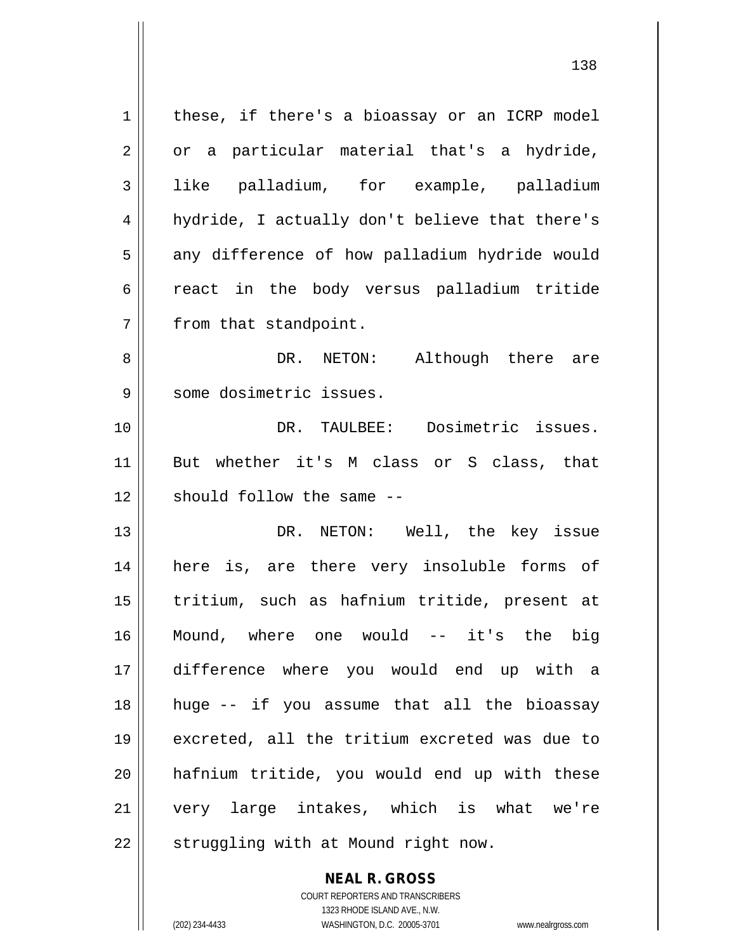| 1  | these, if there's a bioassay or an ICRP model  |
|----|------------------------------------------------|
| 2  | or a particular material that's a hydride,     |
| 3  | like palladium, for example, palladium         |
| 4  | hydride, I actually don't believe that there's |
| 5  | any difference of how palladium hydride would  |
| 6  | react in the body versus palladium tritide     |
| 7  | from that standpoint.                          |
| 8  | DR. NETON: Although there are                  |
| 9  | some dosimetric issues.                        |
| 10 | DR. TAULBEE: Dosimetric issues.                |
| 11 | But whether it's M class or S class, that      |
| 12 | should follow the same --                      |
| 13 | DR. NETON: Well, the key issue                 |
| 14 | here is, are there very insoluble forms of     |
| 15 | tritium, such as hafnium tritide, present at   |
| 16 | Mound, where one would -- it's the big         |
| 17 | difference where you would end up with a       |
| 18 | huge -- if you assume that all the bioassay    |
| 19 | excreted, all the tritium excreted was due to  |
|    |                                                |
| 20 | hafnium tritide, you would end up with these   |
| 21 | very large intakes, which is what we're        |
| 22 | struggling with at Mound right now.            |

**NEAL R. GROSS** COURT REPORTERS AND TRANSCRIBERS

1323 RHODE ISLAND AVE., N.W.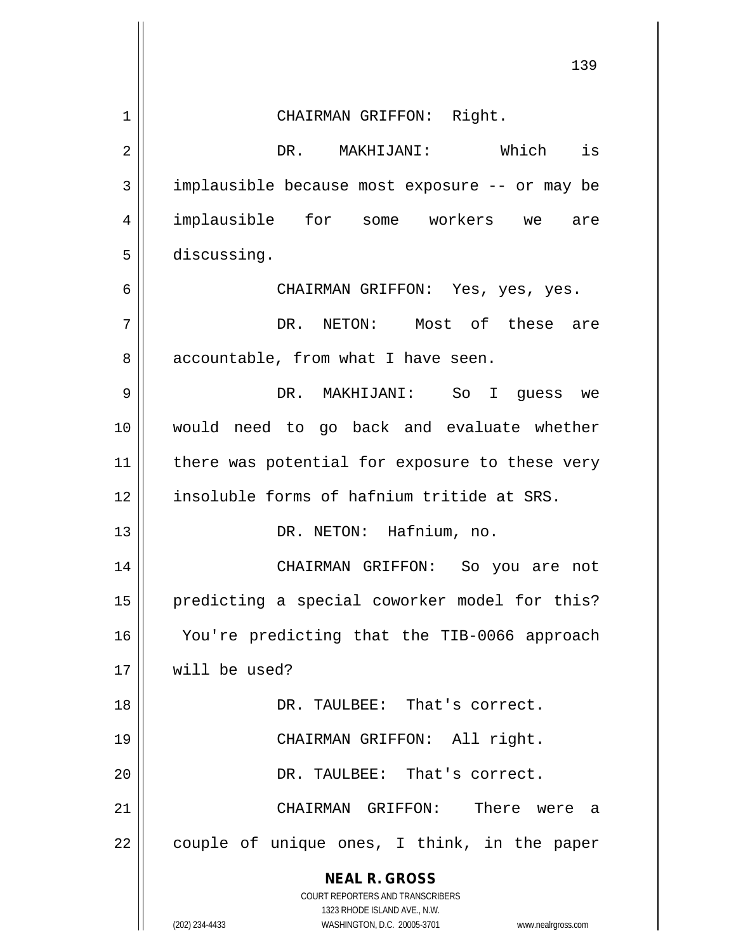|    | 139                                                                                                 |
|----|-----------------------------------------------------------------------------------------------------|
| 1  | CHAIRMAN GRIFFON: Right.                                                                            |
| 2  | DR. MAKHIJANI: Which is                                                                             |
| 3  | implausible because most exposure -- or may be                                                      |
| 4  | implausible for some workers we are                                                                 |
| 5  | discussing.                                                                                         |
| 6  | CHAIRMAN GRIFFON: Yes, yes, yes.                                                                    |
| 7  | DR. NETON: Most of these are                                                                        |
| 8  | accountable, from what I have seen.                                                                 |
| 9  | DR. MAKHIJANI: So I guess we                                                                        |
| 10 | would need to go back and evaluate whether                                                          |
| 11 | there was potential for exposure to these very                                                      |
| 12 | insoluble forms of hafnium tritide at SRS.                                                          |
| 13 | DR. NETON: Hafnium, no.                                                                             |
| 14 | CHAIRMAN GRIFFON: So you are not                                                                    |
| 15 | predicting a special coworker model for this?                                                       |
| 16 | You're predicting that the TIB-0066 approach                                                        |
| 17 | will be used?                                                                                       |
| 18 | DR. TAULBEE: That's correct.                                                                        |
| 19 | CHAIRMAN GRIFFON: All right.                                                                        |
| 20 | DR. TAULBEE: That's correct.                                                                        |
| 21 | There were a<br>CHAIRMAN GRIFFON:                                                                   |
| 22 | couple of unique ones, I think, in the paper                                                        |
|    | <b>NEAL R. GROSS</b>                                                                                |
|    | COURT REPORTERS AND TRANSCRIBERS                                                                    |
|    | 1323 RHODE ISLAND AVE., N.W.<br>(202) 234-4433<br>WASHINGTON, D.C. 20005-3701<br>www.nealrgross.com |

 $\overline{\phantom{a}}$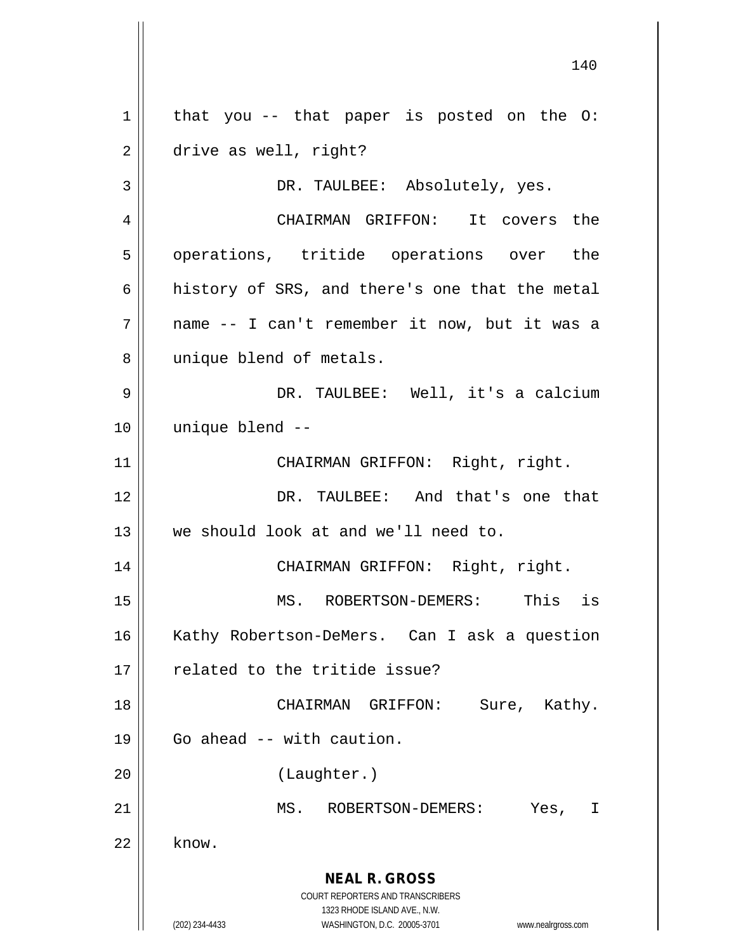**NEAL R. GROSS** COURT REPORTERS AND TRANSCRIBERS 1323 RHODE ISLAND AVE., N.W. (202) 234-4433 WASHINGTON, D.C. 20005-3701 www.nealrgross.com  $1 \parallel$  that you -- that paper is posted on the O: 2 drive as well, right? 3 DR. TAULBEE: Absolutely, yes. 4 CHAIRMAN GRIFFON: It covers the 5 || operations, tritide operations over the 6  $\parallel$  history of SRS, and there's one that the metal 7 name -- I can't remember it now, but it was a 8 || unique blend of metals. 9 DR. TAULBEE: Well, it's a calcium 10 unique blend -- 11 || CHAIRMAN GRIFFON: Right, right. 12 DR. TAULBEE: And that's one that 13 we should look at and we'll need to. 14 || CHAIRMAN GRIFFON: Right, right. 15 || MS. ROBERTSON-DEMERS: This is 16 || Kathy Robertson-DeMers. Can I ask a question 17 || related to the tritide issue? 18 CHAIRMAN GRIFFON: Sure, Kathy.  $19 \parallel$  Go ahead -- with caution. 20 (Laughter.) 21 MS. ROBERTSON-DEMERS: Yes, I  $22$  know.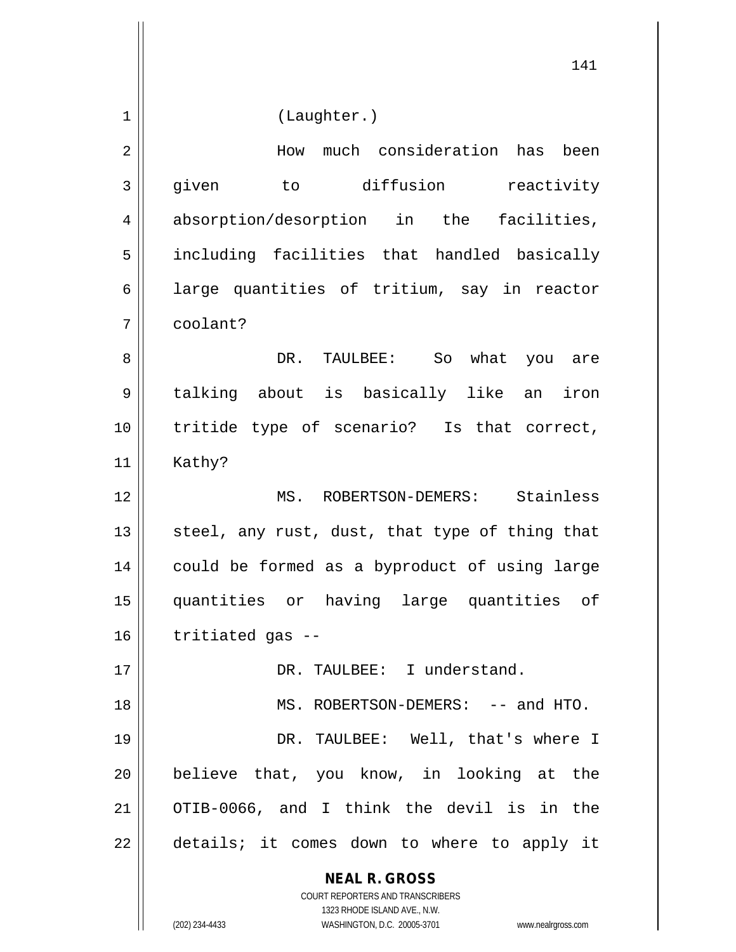**NEAL R. GROSS** COURT REPORTERS AND TRANSCRIBERS 1323 RHODE ISLAND AVE., N.W. (202) 234-4433 WASHINGTON, D.C. 20005-3701 www.nealrgross.com 1 | (Laughter.) 2 How much consideration has been 3 given to diffusion reactivity 4 absorption/desorption in the facilities, 5 || including facilities that handled basically  $6 \parallel$  large quantities of tritium, say in reactor 7 coolant? 8 DR. TAULBEE: So what you are 9 talking about is basically like an iron 10 tritide type of scenario? Is that correct,  $11$  Kathy? 12 MS. ROBERTSON-DEMERS: Stainless 13  $\parallel$  steel, any rust, dust, that type of thing that 14 || could be formed as a byproduct of using large 15 quantities or having large quantities of  $16$  || tritiated gas --17 DR. TAULBEE: I understand. 18 || MS. ROBERTSON-DEMERS: -- and HTO. 19 DR. TAULBEE: Well, that's where I 20 believe that, you know, in looking at the 21 OTIB-0066, and I think the devil is in the 22 || details; it comes down to where to apply it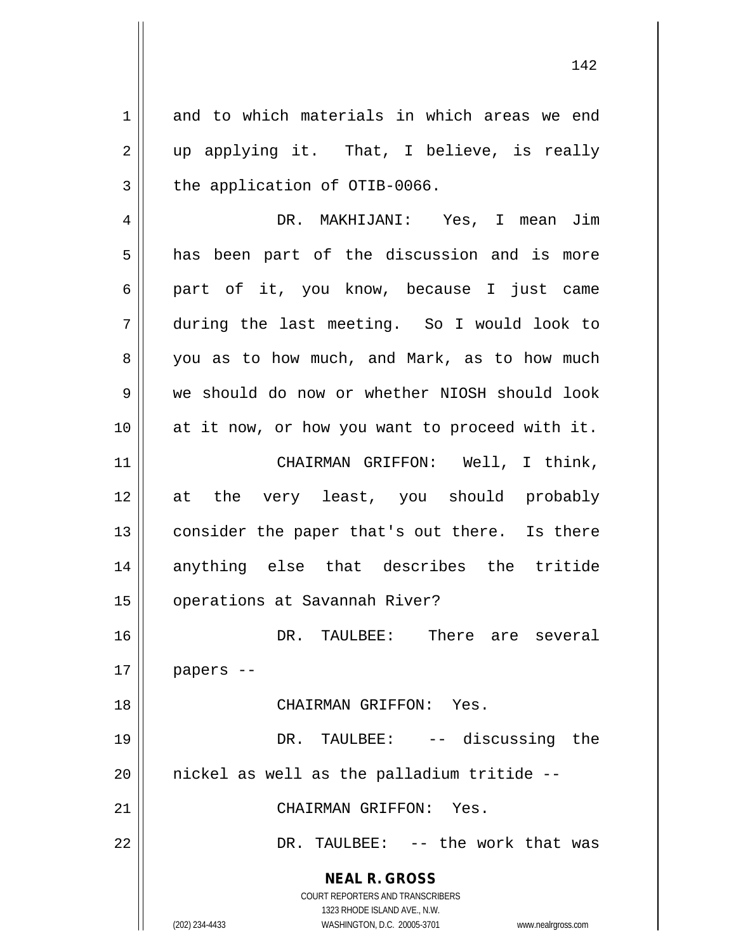**NEAL R. GROSS** COURT REPORTERS AND TRANSCRIBERS 1323 RHODE ISLAND AVE., N.W. 1 and to which materials in which areas we end  $2 \parallel$  up applying it. That, I believe, is really  $3$  the application of OTIB-0066. 4 DR. MAKHIJANI: Yes, I mean Jim  $5 \parallel$  has been part of the discussion and is more 6 part of it, you know, because I just came 7 during the last meeting. So I would look to 8 you as to how much, and Mark, as to how much 9 we should do now or whether NIOSH should look 10 at it now, or how you want to proceed with it. 11 || CHAIRMAN GRIFFON: Well, I think, 12 at the very least, you should probably 13 || consider the paper that's out there. Is there 14 anything else that describes the tritide 15 | operations at Savannah River? 16 DR. TAULBEE: There are several  $17$  | papers --18 CHAIRMAN GRIFFON: Yes. 19 DR. TAULBEE: -- discussing the  $20$  || nickel as well as the palladium tritide  $-$ -21 CHAIRMAN GRIFFON: Yes. 22 || DR. TAULBEE: -- the work that was

(202) 234-4433 WASHINGTON, D.C. 20005-3701 www.nealrgross.com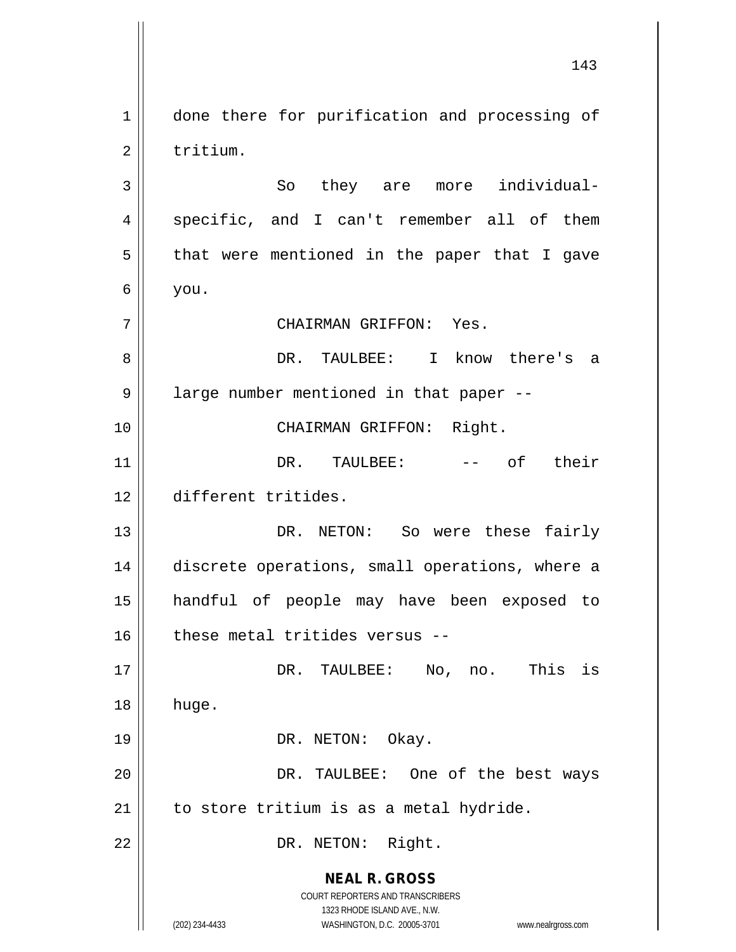**NEAL R. GROSS** COURT REPORTERS AND TRANSCRIBERS 1323 RHODE ISLAND AVE., N.W. (202) 234-4433 WASHINGTON, D.C. 20005-3701 www.nealrgross.com 1 | done there for purification and processing of 2 l tritium. 3 || So they are more individual-4 || specific, and I can't remember all of them  $5 \parallel$  that were mentioned in the paper that I gave  $6 \mid$  you. 7 CHAIRMAN GRIFFON: Yes. 8 DR. TAULBEE: I know there's a 9 | large number mentioned in that paper --10 || CHAIRMAN GRIFFON: Right. 11 DR. TAULBEE: -- of their 12 different tritides. 13 DR. NETON: So were these fairly 14 discrete operations, small operations, where a 15 handful of people may have been exposed to  $16$  these metal tritides versus --17 DR. TAULBEE: No, no. This is 18 huge. 19 || DR. NETON: Okay. 20 DR. TAULBEE: One of the best ways  $21$  | to store tritium is as a metal hydride. 22 || DR. NETON: Right.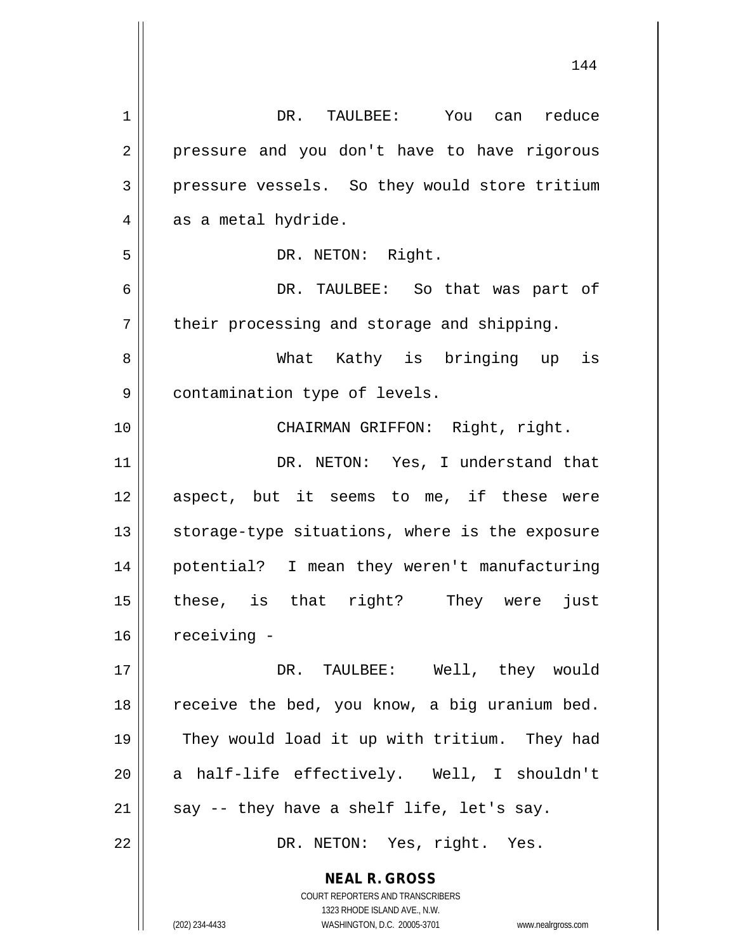| $\mathbf 1$ | DR. TAULBEE: You can reduce                                         |
|-------------|---------------------------------------------------------------------|
| 2           | pressure and you don't have to have rigorous                        |
| 3           | pressure vessels. So they would store tritium                       |
| 4           | as a metal hydride.                                                 |
| 5           | DR. NETON: Right.                                                   |
| 6           | DR. TAULBEE: So that was part of                                    |
| 7           | their processing and storage and shipping.                          |
| 8           | What Kathy is bringing up is                                        |
| 9           | contamination type of levels.                                       |
| 10          | CHAIRMAN GRIFFON: Right, right.                                     |
| 11          | DR. NETON: Yes, I understand that                                   |
| 12          | aspect, but it seems to me, if these were                           |
| 13          | storage-type situations, where is the exposure                      |
| 14          | potential? I mean they weren't manufacturing                        |
| 15          | these, is that right? They were just                                |
| 16          | receiving -                                                         |
| 17          | DR. TAULBEE: Well, they would                                       |
| 18          | receive the bed, you know, a big uranium bed.                       |
| 19          | They would load it up with tritium. They had                        |
| 20          | a half-life effectively. Well, I shouldn't                          |
| 21          | say -- they have a shelf life, let's say.                           |
| 22          | DR. NETON: Yes, right. Yes.                                         |
|             |                                                                     |
|             | <b>NEAL R. GROSS</b><br>COURT REPORTERS AND TRANSCRIBERS            |
|             | 1323 RHODE ISLAND AVE., N.W.                                        |
|             | (202) 234-4433<br>WASHINGTON, D.C. 20005-3701<br>www.nealrgross.com |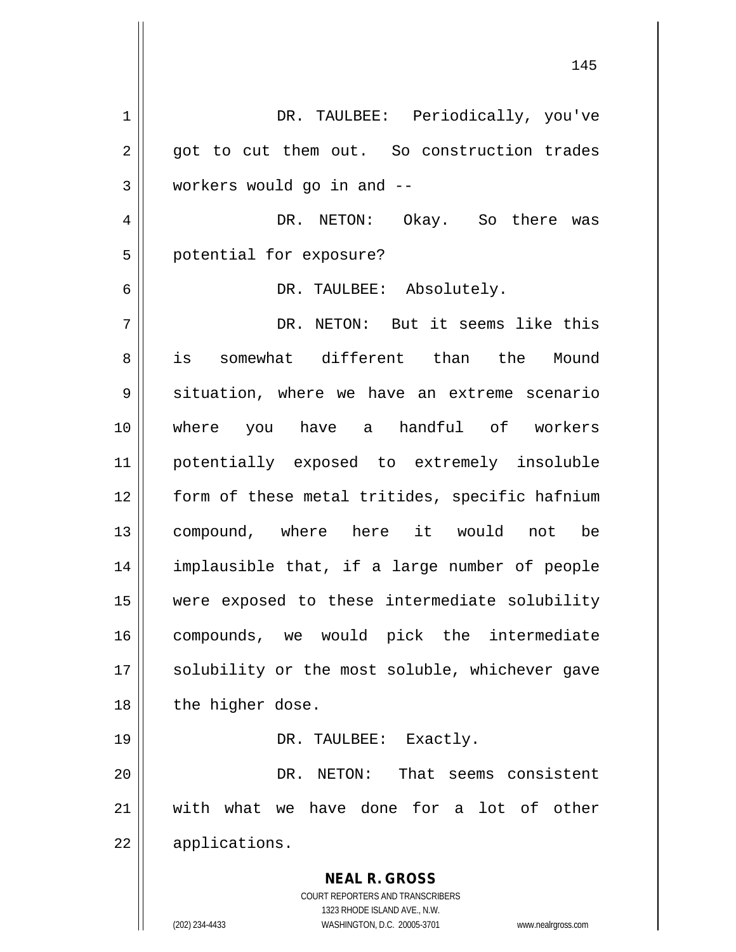**NEAL R. GROSS** COURT REPORTERS AND TRANSCRIBERS 1323 RHODE ISLAND AVE., N.W. (202) 234-4433 WASHINGTON, D.C. 20005-3701 www.nealrgross.com 1 | DR. TAULBEE: Periodically, you've 2 || got to cut them out. So construction trades 3 workers would go in and -- 4 DR. NETON: Okay. So there was 5 | potential for exposure? 6 DR. TAULBEE: Absolutely. 7 DR. NETON: But it seems like this 8 is somewhat different than the Mound 9 || situation, where we have an extreme scenario 10 where you have a handful of workers 11 potentially exposed to extremely insoluble 12 | form of these metal tritides, specific hafnium 13 compound, where here it would not be 14 implausible that, if a large number of people 15 were exposed to these intermediate solubility 16 compounds, we would pick the intermediate 17 || solubility or the most soluble, whichever gave  $18$  | the higher dose. 19 || DR. TAULBEE: Exactly. 20 DR. NETON: That seems consistent 21 with what we have done for a lot of other 22 applications.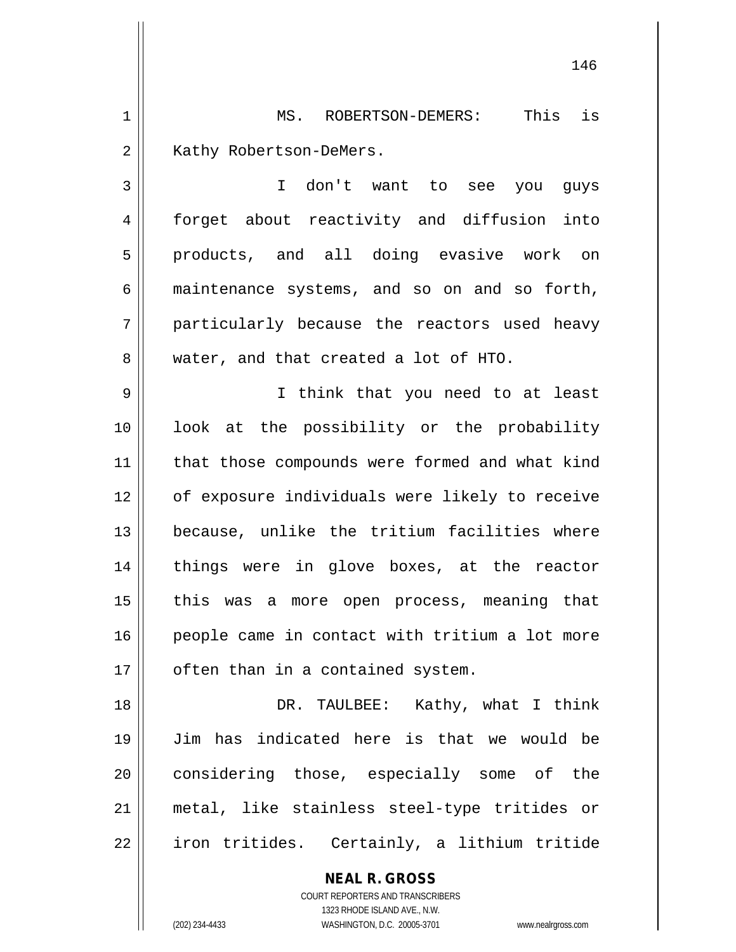1 MS. ROBERTSON-DEMERS: This is 2 | Kathy Robertson-DeMers.

3 I don't want to see you guys 4 forget about reactivity and diffusion into 5 || products, and all doing evasive work on  $6 \parallel$  maintenance systems, and so on and so forth, 7 particularly because the reactors used heavy 8 water, and that created a lot of HTO.

9 I think that you need to at least 10 look at the possibility or the probability 11 || that those compounds were formed and what kind 12 || of exposure individuals were likely to receive 13 because, unlike the tritium facilities where 14 || things were in glove boxes, at the reactor 15 || this was a more open process, meaning that 16 || people came in contact with tritium a lot more  $17$  | often than in a contained system.

18 DR. TAULBEE: Kathy, what I think 19 Jim has indicated here is that we would be 20 || considering those, especially some of the 21 metal, like stainless steel-type tritides or 22 | iron tritides. Certainly, a lithium tritide

> **NEAL R. GROSS** COURT REPORTERS AND TRANSCRIBERS 1323 RHODE ISLAND AVE., N.W. (202) 234-4433 WASHINGTON, D.C. 20005-3701 www.nealrgross.com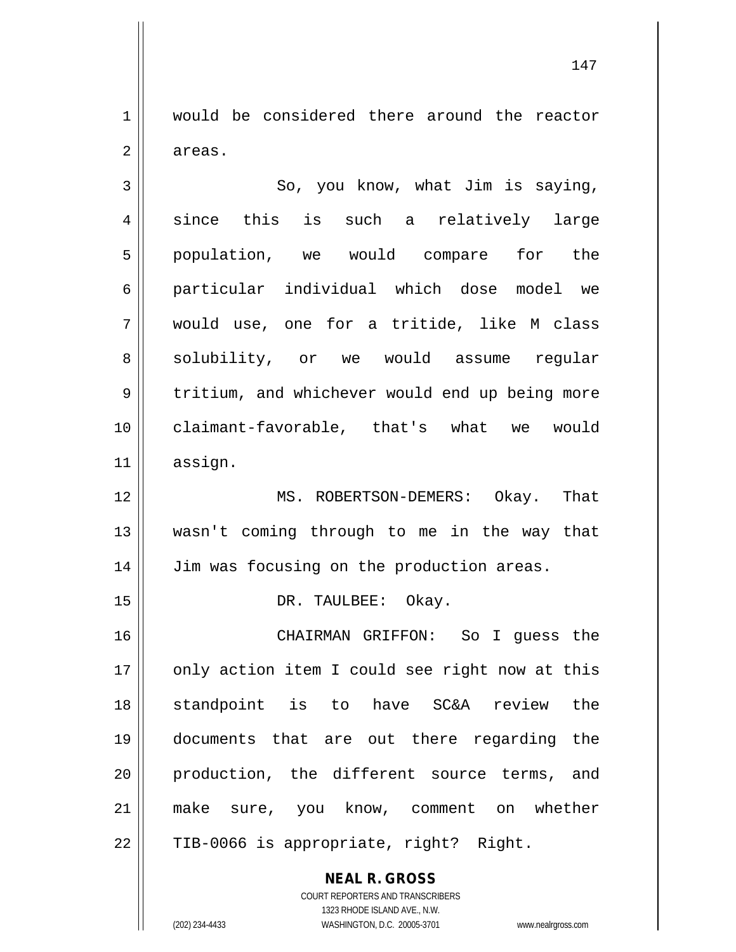1 would be considered there around the reactor  $2 \parallel$  areas.

 $3 \parallel$  So, you know, what Jim is saying,  $4 \parallel$  since this is such a relatively large 5 population, we would compare for the 6 particular individual which dose model we 7 would use, one for a tritide, like M class 8 || solubility, or we would assume reqular 9 || tritium, and whichever would end up being more 10 claimant-favorable, that's what we would 11 assign.

12 || MS. ROBERTSON-DEMERS: Okay. That 13 wasn't coming through to me in the way that 14 | Jim was focusing on the production areas.

15 || DR. TAULBEE: Okay.

 CHAIRMAN GRIFFON: So I guess the 17 || only action item I could see right now at this standpoint is to have SC&A review the documents that are out there regarding the production, the different source terms, and 21 || make sure, you know, comment on whether || TIB-0066 is appropriate, right? Right.

> **NEAL R. GROSS** COURT REPORTERS AND TRANSCRIBERS 1323 RHODE ISLAND AVE., N.W. (202) 234-4433 WASHINGTON, D.C. 20005-3701 www.nealrgross.com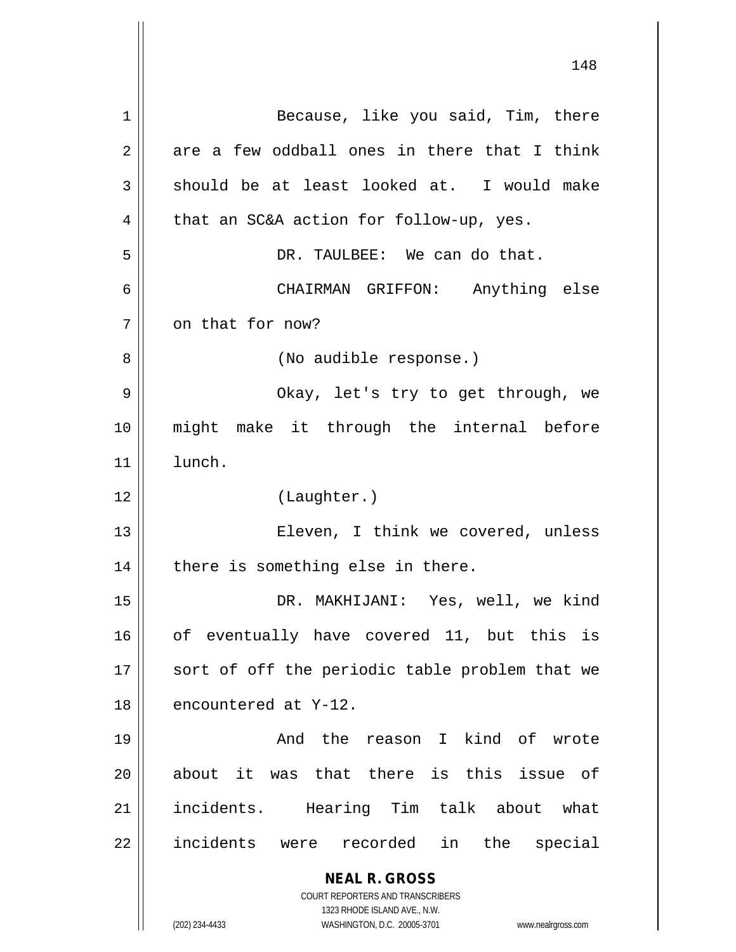**NEAL R. GROSS** COURT REPORTERS AND TRANSCRIBERS 1323 RHODE ISLAND AVE., N.W. (202) 234-4433 WASHINGTON, D.C. 20005-3701 www.nealrgross.com 1 || Because, like you said, Tim, there  $2 \parallel$  are a few oddball ones in there that I think  $3 \parallel$  should be at least looked at. I would make  $4 \parallel$  that an SC&A action for follow-up, yes. 5 DR. TAULBEE: We can do that. 6 CHAIRMAN GRIFFON: Anything else  $7 \parallel$  on that for now? 8 | (No audible response.) 9 Okay, let's try to get through, we 10 might make it through the internal before 11 lunch. 12 (Laughter.) 13 Eleven, I think we covered, unless  $14$  | there is something else in there. 15 DR. MAKHIJANI: Yes, well, we kind 16 || of eventually have covered 11, but this is 17 || sort of off the periodic table problem that we 18 encountered at Y-12. 19 And the reason I kind of wrote  $20$  about it was that there is this issue of 21 || incidents. Hearing Tim talk about what 22 || incidents were recorded in the special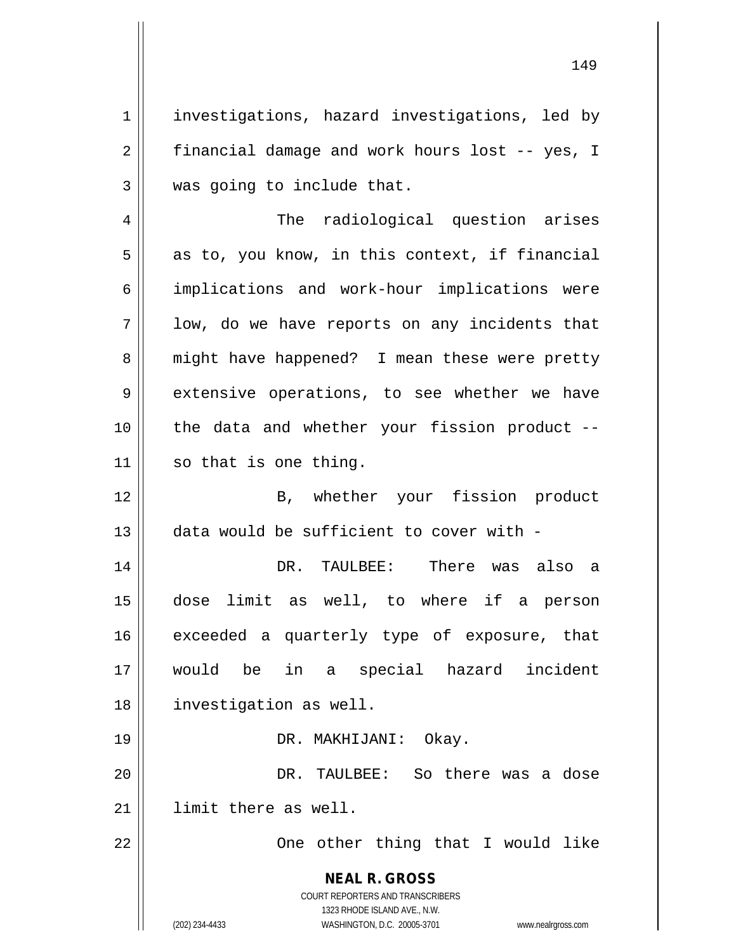1 | investigations, hazard investigations, led by  $2 \parallel$  financial damage and work hours lost -- yes, I  $3$  || was going to include that.

4 || The radiological question arises  $5 \parallel$  as to, you know, in this context, if financial 6 | implications and work-hour implications were  $7 \parallel$  low, do we have reports on any incidents that 8 || might have happened? I mean these were pretty  $9 \parallel$  extensive operations, to see whether we have  $10$  | the data and whether your fission product  $11$  so that is one thing.

12 B, whether your fission product 13 data would be sufficient to cover with -

 DR. TAULBEE: There was also a dose limit as well, to where if a person 16 exceeded a quarterly type of exposure, that would be in a special hazard incident investigation as well.

19 || DR. MAKHIJANI: Okay.

20 DR. TAULBEE: So there was a dose 21 | limit there as well.

22 || One other thing that I would like

**NEAL R. GROSS** COURT REPORTERS AND TRANSCRIBERS

1323 RHODE ISLAND AVE., N.W.

(202) 234-4433 WASHINGTON, D.C. 20005-3701 www.nealrgross.com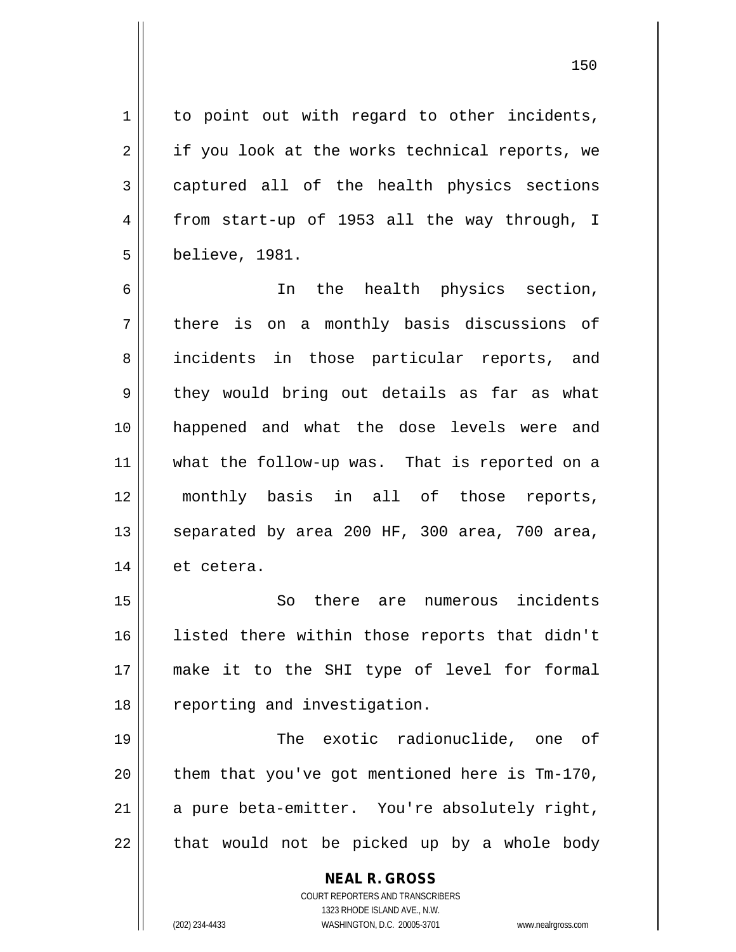1 || to point out with regard to other incidents,  $2 \parallel$  if you look at the works technical reports, we  $3 \parallel$  captured all of the health physics sections 4 from start-up of 1953 all the way through, I 5 believe, 1981.

6 || In the health physics section,  $7 \parallel$  there is on a monthly basis discussions of 8 || incidents in those particular reports, and  $9 \parallel$  they would bring out details as far as what 10 happened and what the dose levels were and 11 what the follow-up was. That is reported on a 12 monthly basis in all of those reports, 13  $\parallel$  separated by area 200 HF, 300 area, 700 area, 14 | et cetera.

15 So there are numerous incidents 16 || listed there within those reports that didn't 17 make it to the SHI type of level for formal 18 || reporting and investigation.

 The exotic radionuclide, one of  $\parallel$  them that you've got mentioned here is Tm-170,  $\parallel$  a pure beta-emitter. You're absolutely right, || that would not be picked up by a whole body

> **NEAL R. GROSS** COURT REPORTERS AND TRANSCRIBERS 1323 RHODE ISLAND AVE., N.W. (202) 234-4433 WASHINGTON, D.C. 20005-3701 www.nealrgross.com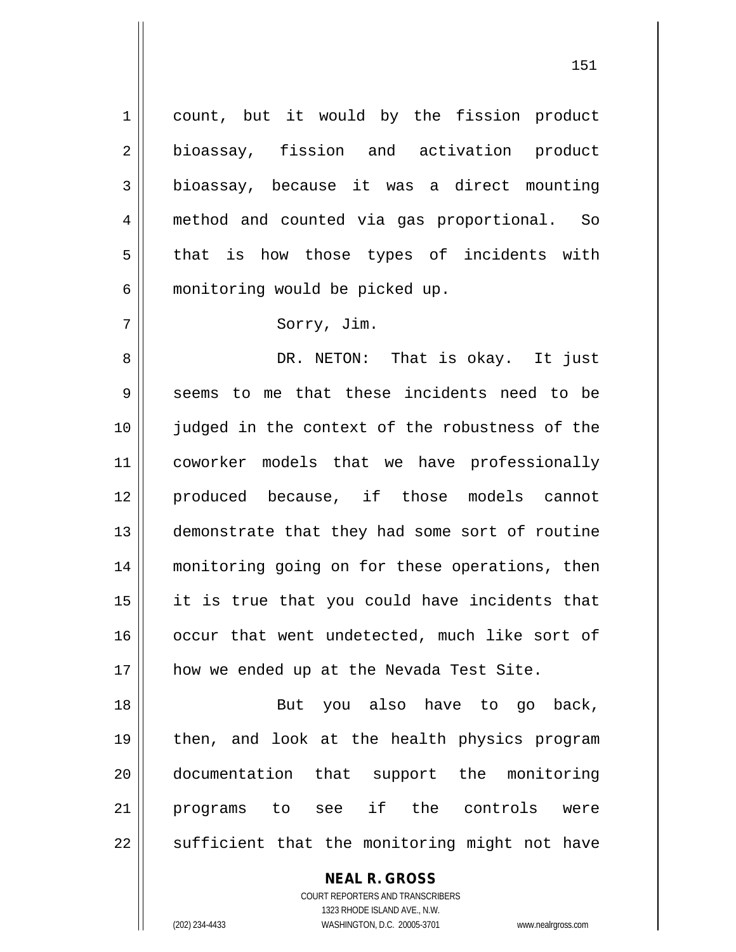1 | count, but it would by the fission product 2 bioassay, fission and activation product 3 bioassay, because it was a direct mounting 4 method and counted via gas proportional. So  $5 \parallel$  that is how those types of incidents with 6 | monitoring would be picked up.

## 7 || Sorry, Jim.

8 DR. NETON: That is okay. It just  $9 \parallel$  seems to me that these incidents need to be 10 || judged in the context of the robustness of the 11 coworker models that we have professionally 12 || produced because, if those models cannot 13 || demonstrate that they had some sort of routine 14 || monitoring going on for these operations, then  $15$  || it is true that you could have incidents that 16 || occur that went undetected, much like sort of 17 || how we ended up at the Nevada Test Site.

18 || But you also have to go back, then, and look at the health physics program documentation that support the monitoring programs to see if the controls were  $\parallel$  sufficient that the monitoring might not have

> **NEAL R. GROSS** COURT REPORTERS AND TRANSCRIBERS 1323 RHODE ISLAND AVE., N.W.

(202) 234-4433 WASHINGTON, D.C. 20005-3701 www.nealrgross.com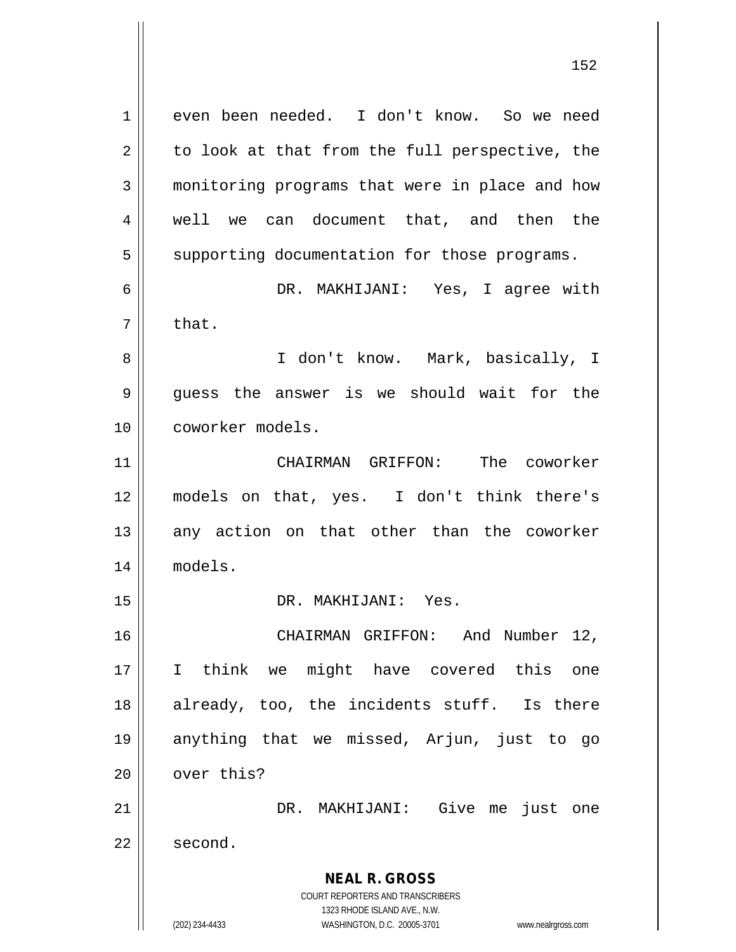**NEAL R. GROSS** COURT REPORTERS AND TRANSCRIBERS 1323 RHODE ISLAND AVE., N.W. (202) 234-4433 WASHINGTON, D.C. 20005-3701 www.nealrgross.com 1 even been needed. I don't know. So we need  $2 \parallel$  to look at that from the full perspective, the 3 monitoring programs that were in place and how 4 || well we can document that, and then the 5 | supporting documentation for those programs. 6 DR. MAKHIJANI: Yes, I agree with  $7 \parallel$  that. 8 || I don't know. Mark, basically, I  $9 \parallel$  quess the answer is we should wait for the 10 coworker models. 11 CHAIRMAN GRIFFON: The coworker 12 models on that, yes. I don't think there's  $13$  any action on that other than the coworker 14 models. 15 DR. MAKHIJANI: Yes. 16 CHAIRMAN GRIFFON: And Number 12, 17 I think we might have covered this one 18 || already, too, the incidents stuff. Is there 19 anything that we missed, Arjun, just to go  $20$   $\parallel$  over this? 21 DR. MAKHIJANI: Give me just one  $22 \parallel$  second.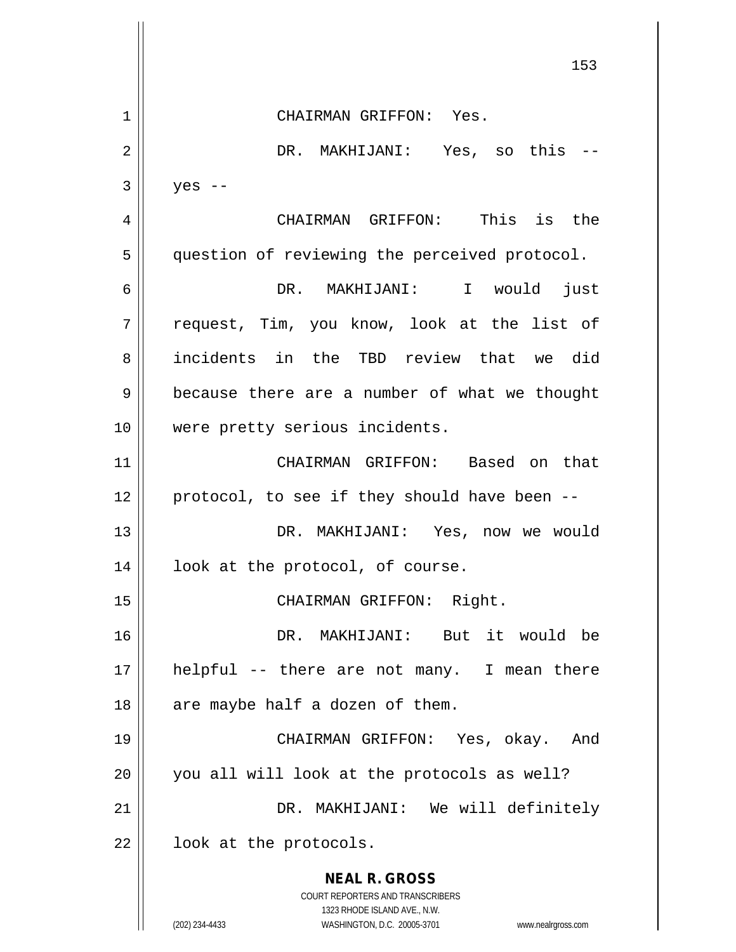**NEAL R. GROSS** COURT REPORTERS AND TRANSCRIBERS 1323 RHODE ISLAND AVE., N.W. (202) 234-4433 WASHINGTON, D.C. 20005-3701 www.nealrgross.com 153 1 CHAIRMAN GRIFFON: Yes. 2 DR. MAKHIJANI: Yes, so this --  $3 \parallel$  yes --4 CHAIRMAN GRIFFON: This is the 5 | question of reviewing the perceived protocol. 6 DR. MAKHIJANI: I would just 7 request, Tim, you know, look at the list of 8 incidents in the TBD review that we did 9 | because there are a number of what we thought 10 || were pretty serious incidents. 11 CHAIRMAN GRIFFON: Based on that  $12$  | protocol, to see if they should have been  $-$ 13 DR. MAKHIJANI: Yes, now we would 14 || look at the protocol, of course. 15 || CHAIRMAN GRIFFON: Right. 16 DR. MAKHIJANI: But it would be 17 helpful -- there are not many. I mean there  $18$  || are maybe half a dozen of them. 19 CHAIRMAN GRIFFON: Yes, okay. And 20 || you all will look at the protocols as well? 21 DR. MAKHIJANI: We will definitely  $22$  |  $\bullet$  look at the protocols.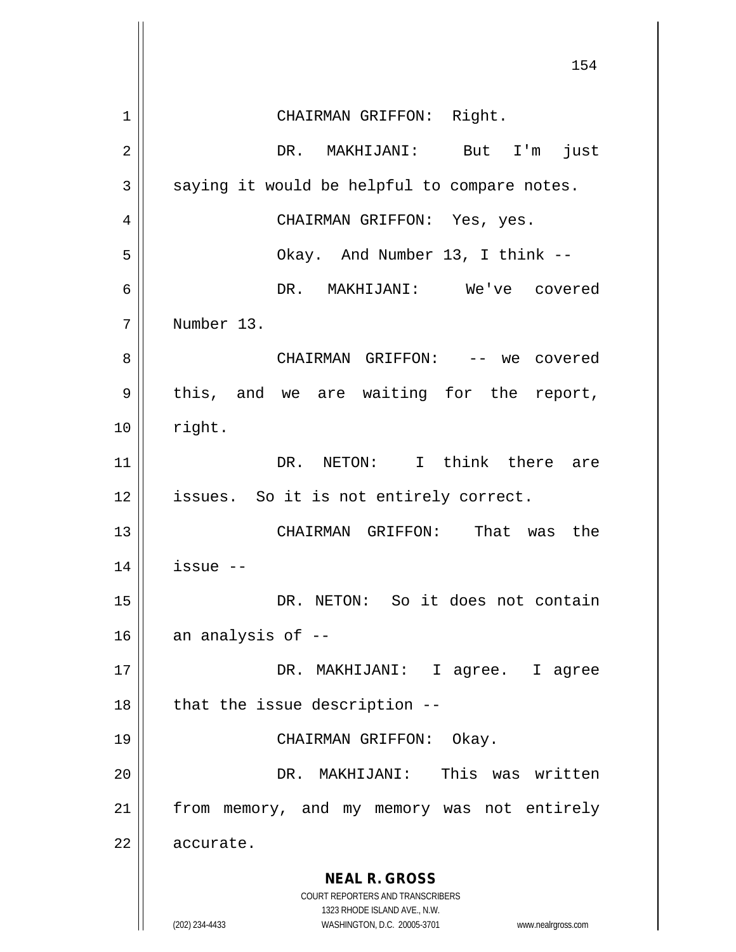**NEAL R. GROSS** COURT REPORTERS AND TRANSCRIBERS 1323 RHODE ISLAND AVE., N.W. (202) 234-4433 WASHINGTON, D.C. 20005-3701 www.nealrgross.com 154 1 || CHAIRMAN GRIFFON: Right. 2 DR. MAKHIJANI: But I'm just  $3 \parallel$  saying it would be helpful to compare notes. 4 CHAIRMAN GRIFFON: Yes, yes. 5 Okay. And Number 13, I think -- 6 DR. MAKHIJANI: We've covered 7 Number 13. 8 CHAIRMAN GRIFFON: -- we covered  $9 \parallel$  this, and we are waiting for the report,  $10 \parallel$  right. 11 DR. NETON: I think there are 12 || issues. So it is not entirely correct. 13 CHAIRMAN GRIFFON: That was the  $14$  | issue  $-$ 15 || DR. NETON: So it does not contain  $16$  | an analysis of  $-$ 17 DR. MAKHIJANI: I agree. I agree  $18$  || that the issue description  $-$ -19 CHAIRMAN GRIFFON: Okay. 20 DR. MAKHIJANI: This was written 21 || from memory, and my memory was not entirely 22 accurate.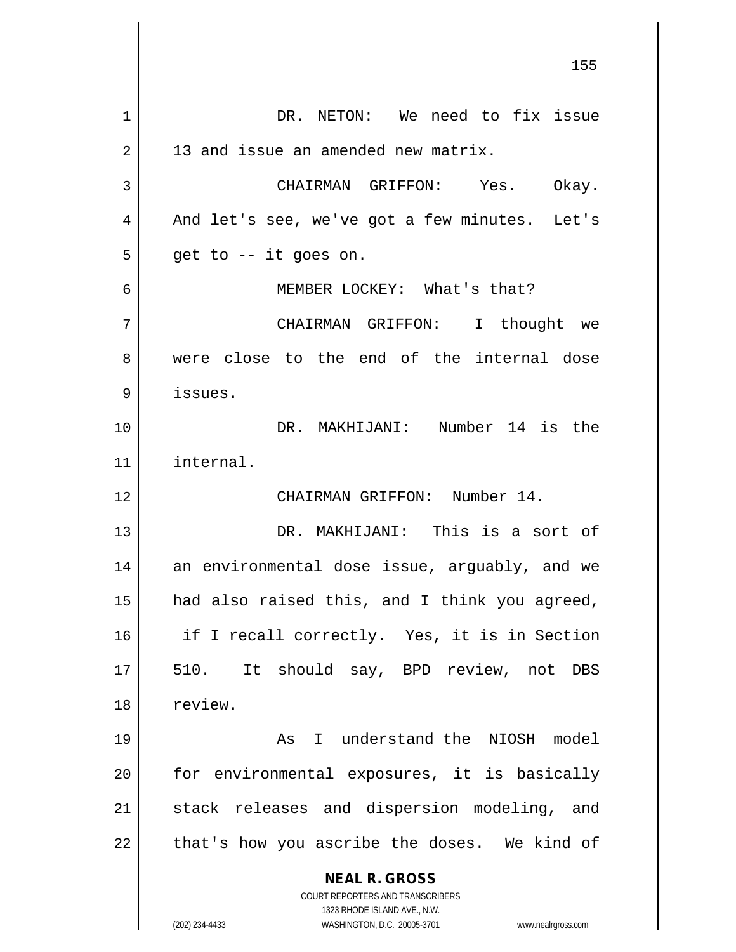**NEAL R. GROSS** COURT REPORTERS AND TRANSCRIBERS 1323 RHODE ISLAND AVE., N.W. (202) 234-4433 WASHINGTON, D.C. 20005-3701 www.nealrgross.com 1 || DR. NETON: We need to fix issue  $2 \parallel$  13 and issue an amended new matrix. 3 CHAIRMAN GRIFFON: Yes. Okay.  $4 \parallel$  And let's see, we've got a few minutes. Let's  $5 \parallel$  get to -- it goes on. 6 MEMBER LOCKEY: What's that? 7 CHAIRMAN GRIFFON: I thought we 8 were close to the end of the internal dose 9 issues. 10 DR. MAKHIJANI: Number 14 is the 11 internal. 12 CHAIRMAN GRIFFON: Number 14. 13 DR. MAKHIJANI: This is a sort of 14 || an environmental dose issue, arguably, and we 15 || had also raised this, and I think you agreed, 16 if I recall correctly. Yes, it is in Section 17 || 510. It should say, BPD review, not DBS 18 | review. 19 || The Manus Ressert and the NIOSH model  $20$  || for environmental exposures, it is basically 21 || stack releases and dispersion modeling, and  $22$  | that's how you ascribe the doses. We kind of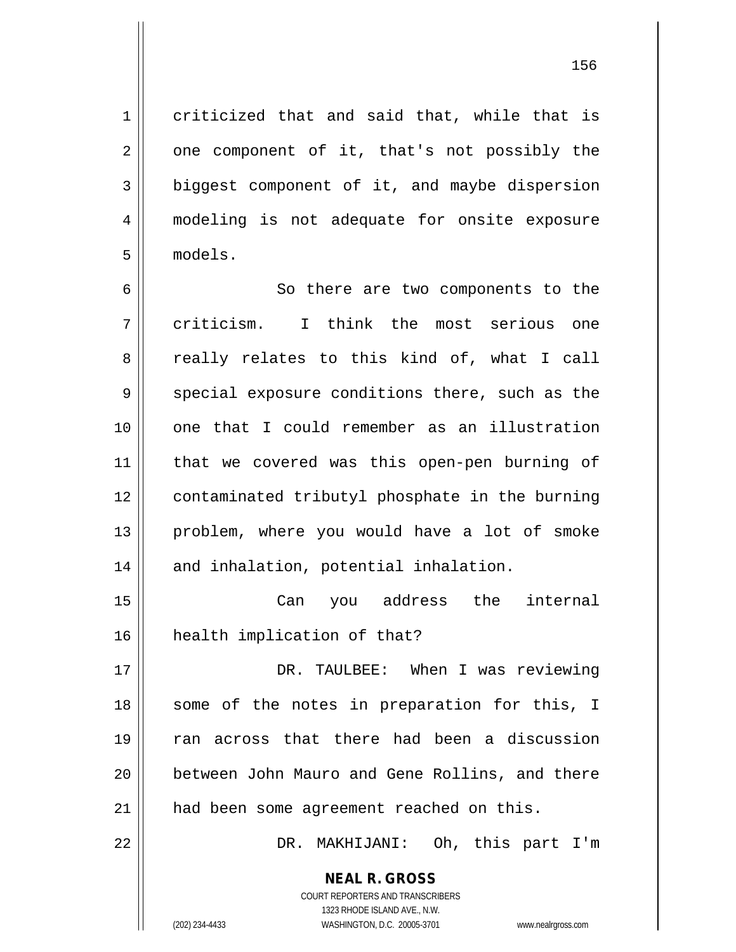1 criticized that and said that, while that is  $2 \parallel$  one component of it, that's not possibly the 3 biggest component of it, and maybe dispersion 4 modeling is not adequate for onsite exposure 5 models.

6 || So there are two components to the 7 criticism. I think the most serious one 8 || really relates to this kind of, what I call  $9 \parallel$  special exposure conditions there, such as the 10 one that I could remember as an illustration 11 || that we covered was this open-pen burning of 12 contaminated tributyl phosphate in the burning 13 || problem, where you would have a lot of smoke 14 || and inhalation, potential inhalation.

15 Can you address the internal 16 health implication of that?

17 DR. TAULBEE: When I was reviewing 18 || some of the notes in preparation for this, I 19 || ran across that there had been a discussion 20 || between John Mauro and Gene Rollins, and there 21 || had been some agreement reached on this.

22 DR. MAKHIJANI: Oh, this part I'm

**NEAL R. GROSS** COURT REPORTERS AND TRANSCRIBERS 1323 RHODE ISLAND AVE., N.W.

(202) 234-4433 WASHINGTON, D.C. 20005-3701 www.nealrgross.com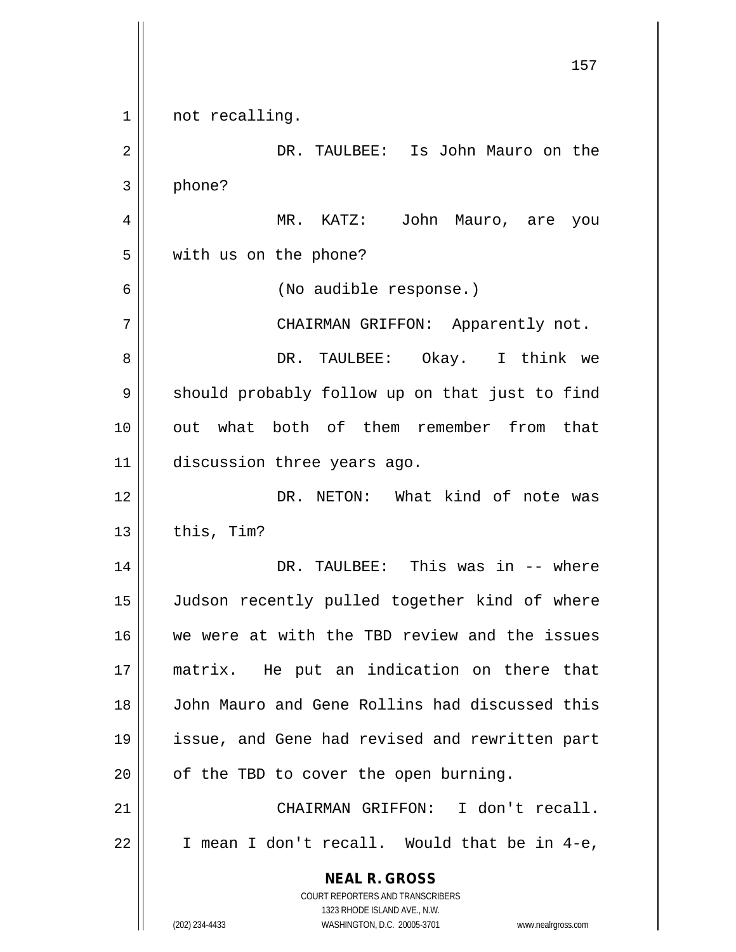**NEAL R. GROSS** COURT REPORTERS AND TRANSCRIBERS 1323 RHODE ISLAND AVE., N.W. (202) 234-4433 WASHINGTON, D.C. 20005-3701 www.nealrgross.com 1 || not recalling. 2 DR. TAULBEE: Is John Mauro on the 3 phone? 4 MR. KATZ: John Mauro, are you 5 | with us on the phone? 6 (No audible response.) 7 CHAIRMAN GRIFFON: Apparently not. 8 DR. TAULBEE: Okay. I think we 9 || should probably follow up on that just to find 10 out what both of them remember from that 11 discussion three years ago. 12 DR. NETON: What kind of note was  $13$  | this, Tim? 14 DR. TAULBEE: This was in -- where 15 || Judson recently pulled together kind of where 16 We were at with the TBD review and the issues 17 matrix. He put an indication on there that 18 John Mauro and Gene Rollins had discussed this 19 issue, and Gene had revised and rewritten part  $20$  | of the TBD to cover the open burning. 21 || CHAIRMAN GRIFFON: I don't recall.  $22$  | I mean I don't recall. Would that be in 4-e,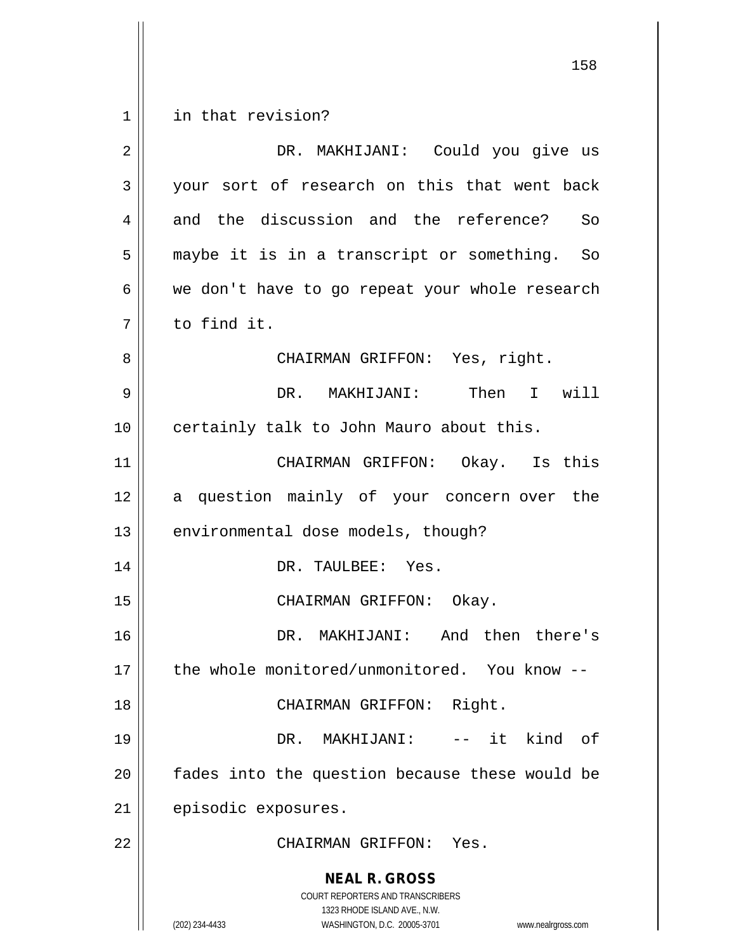1 | in that revision?

| $\overline{2}$ | DR. MAKHIJANI: Could you give us                                                                                                                                |
|----------------|-----------------------------------------------------------------------------------------------------------------------------------------------------------------|
| 3              | your sort of research on this that went back                                                                                                                    |
| 4              | and the discussion and the reference? So                                                                                                                        |
| 5              | maybe it is in a transcript or something. So                                                                                                                    |
| 6              | we don't have to go repeat your whole research                                                                                                                  |
| 7              | to find it.                                                                                                                                                     |
| 8              | CHAIRMAN GRIFFON: Yes, right.                                                                                                                                   |
| 9              | DR. MAKHIJANI: Then I will                                                                                                                                      |
| 10             | certainly talk to John Mauro about this.                                                                                                                        |
| 11             | CHAIRMAN GRIFFON: Okay. Is this                                                                                                                                 |
| 12             | a question mainly of your concern over the                                                                                                                      |
| 13             | environmental dose models, though?                                                                                                                              |
| 14             | DR. TAULBEE: Yes.                                                                                                                                               |
| 15             | CHAIRMAN GRIFFON: Okay.                                                                                                                                         |
| 16             | DR. MAKHIJANI: And then there's                                                                                                                                 |
| 17             | the whole monitored/unmonitored. You know --                                                                                                                    |
| 18             | CHAIRMAN GRIFFON: Right.                                                                                                                                        |
| 19             | -- it kind of<br>DR. MAKHIJANI:                                                                                                                                 |
| 20             | fades into the question because these would be                                                                                                                  |
| 21             | episodic exposures.                                                                                                                                             |
| 22             | CHAIRMAN GRIFFON: Yes.                                                                                                                                          |
|                | <b>NEAL R. GROSS</b><br>COURT REPORTERS AND TRANSCRIBERS<br>1323 RHODE ISLAND AVE., N.W.<br>(202) 234-4433<br>WASHINGTON, D.C. 20005-3701<br>www.nealrgross.com |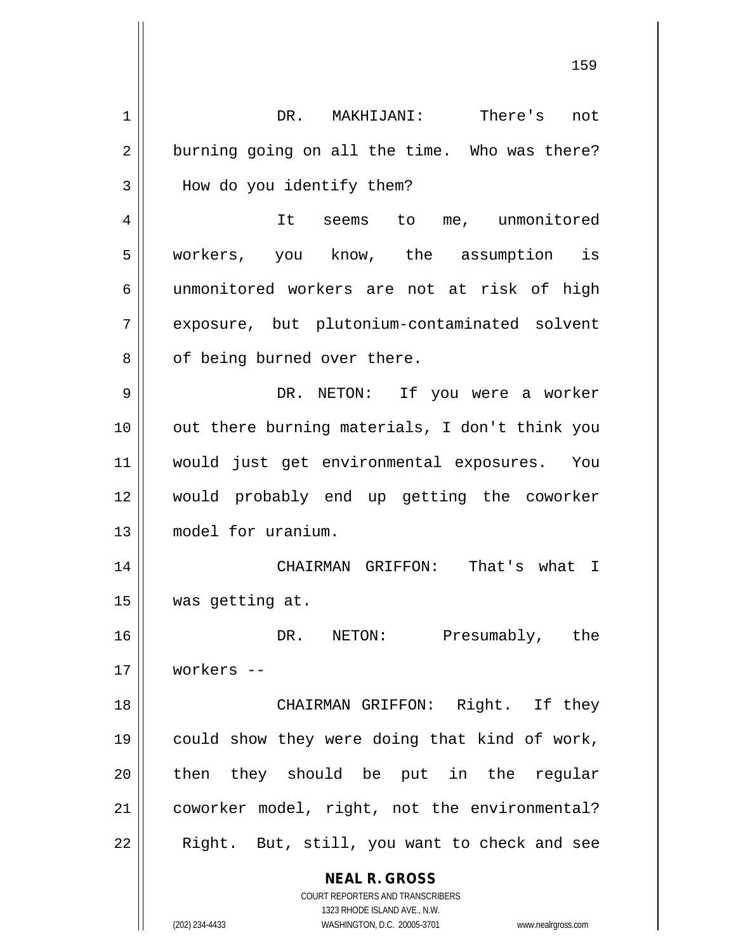**NEAL R. GROSS** COURT REPORTERS AND TRANSCRIBERS 1323 RHODE ISLAND AVE., N.W. 1 DR. MAKHIJANI: There's not  $2 \parallel$  burning going on all the time. Who was there? 3 | How do you identify them? 4 | It seems to me, unmonitored 5 workers, you know, the assumption is 6 unmonitored workers are not at risk of high 7 exposure, but plutonium-contaminated solvent 8 || of being burned over there. 9 DR. NETON: If you were a worker 10 || out there burning materials, I don't think you 11 would just get environmental exposures. You 12 would probably end up getting the coworker 13 model for uranium. 14 CHAIRMAN GRIFFON: That's what I 15 was getting at. 16 DR. NETON: Presumably, the 17 workers -- 18 CHAIRMAN GRIFFON: Right. If they 19 could show they were doing that kind of work, 20 then they should be put in the reqular 21 | coworker model, right, not the environmental?  $22$  || Right. But, still, you want to check and see

(202) 234-4433 WASHINGTON, D.C. 20005-3701 www.nealrgross.com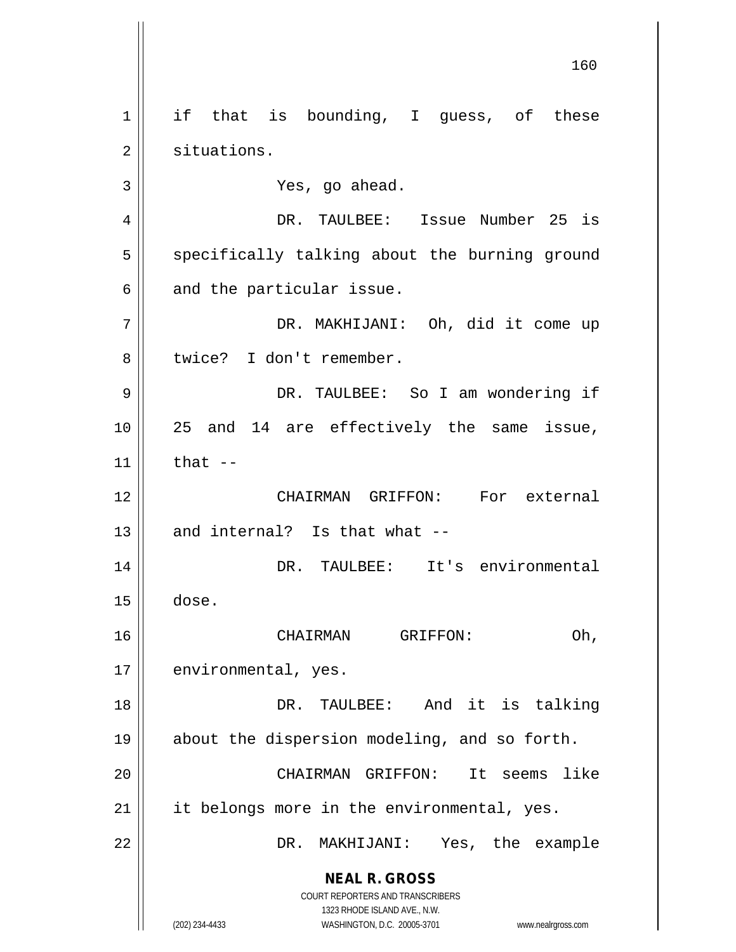**NEAL R. GROSS** COURT REPORTERS AND TRANSCRIBERS 1323 RHODE ISLAND AVE., N.W. (202) 234-4433 WASHINGTON, D.C. 20005-3701 www.nealrgross.com  $1 \parallel$  if that is bounding, I guess, of these 2 | situations. 3 Yes, go ahead. 4 DR. TAULBEE: Issue Number 25 is 5 || specifically talking about the burning ground  $6 \parallel$  and the particular issue. 7 DR. MAKHIJANI: Oh, did it come up 8 || twice? I don't remember. 9 DR. TAULBEE: So I am wondering if 10 25 and 14 are effectively the same issue,  $11$  that  $-$ 12 CHAIRMAN GRIFFON: For external  $13$  | and internal? Is that what  $-$ 14 DR. TAULBEE: It's environmental  $15$   $\vert$  dose. 16 || CHAIRMAN GRIFFON: Oh, 17 | environmental, yes. 18 DR. TAULBEE: And it is talking 19 about the dispersion modeling, and so forth. 20 CHAIRMAN GRIFFON: It seems like  $21$  | it belongs more in the environmental, yes. 22 DR. MAKHIJANI: Yes, the example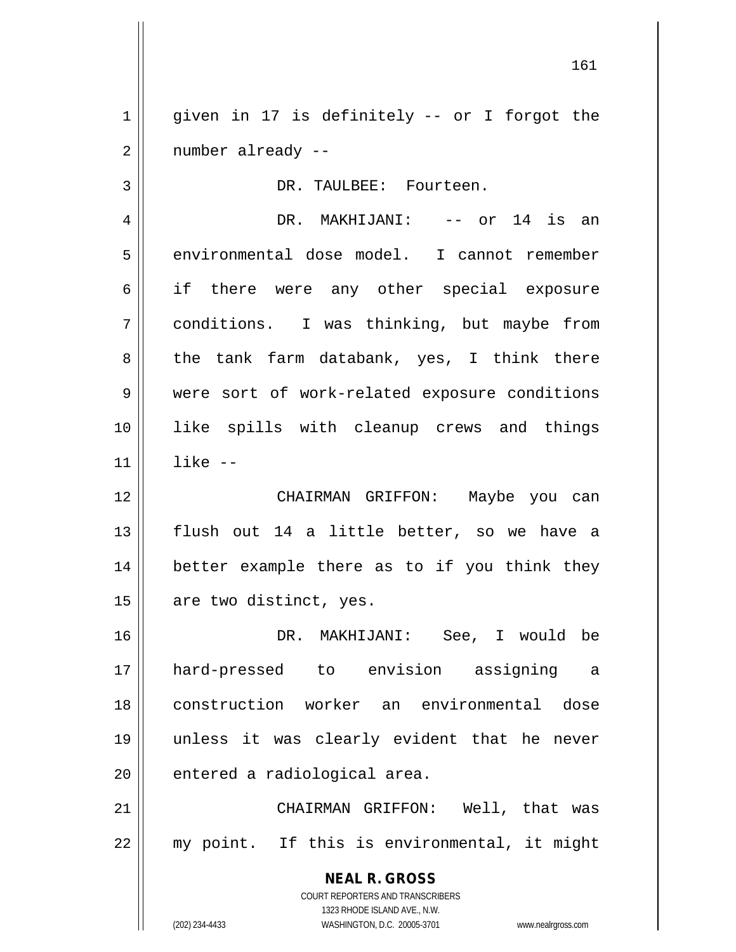1 || given in 17 is definitely -- or I forgot the 2 | number already --

3 | DR. TAULBEE: Fourteen.

4 DR. MAKHIJANI: -- or 14 is an 5 | environmental dose model. I cannot remember 6 if there were any other special exposure 7 conditions. I was thinking, but maybe from  $8 \parallel$  the tank farm databank, yes, I think there 9 || were sort of work-related exposure conditions 10 like spills with cleanup crews and things 11 like --

 CHAIRMAN GRIFFON: Maybe you can flush out 14 a little better, so we have a better example there as to if you think they are two distinct, yes.

 DR. MAKHIJANI: See, I would be hard-pressed to envision assigning a construction worker an environmental dose unless it was clearly evident that he never | entered a radiological area.

21 CHAIRMAN GRIFFON: Well, that was  $22$  || my point. If this is environmental, it might

> **NEAL R. GROSS** COURT REPORTERS AND TRANSCRIBERS 1323 RHODE ISLAND AVE., N.W. (202) 234-4433 WASHINGTON, D.C. 20005-3701 www.nealrgross.com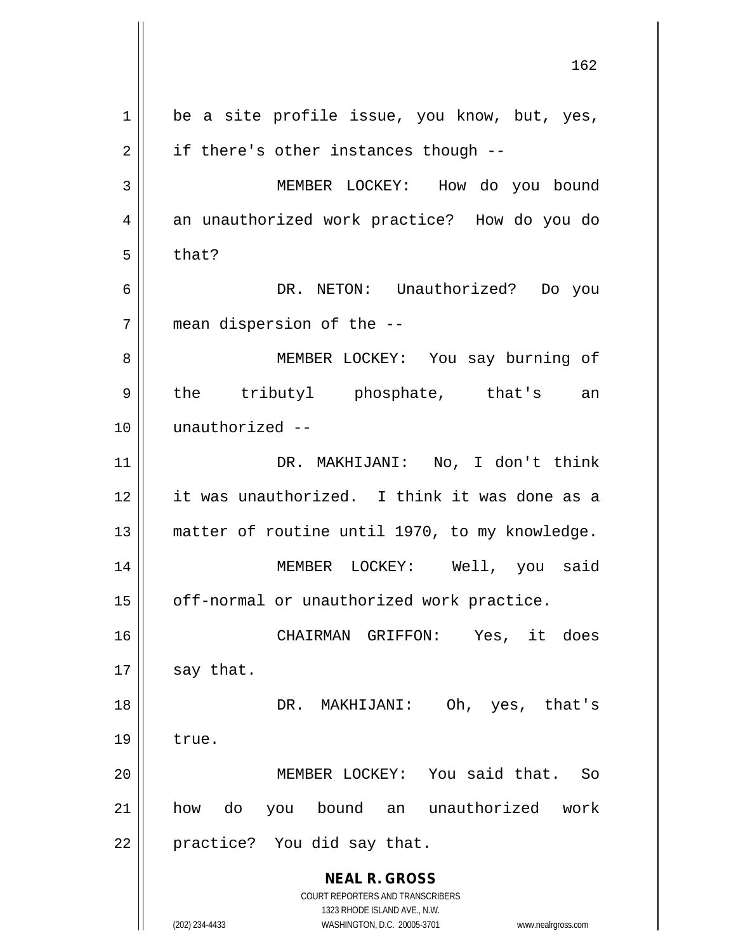**NEAL R. GROSS** COURT REPORTERS AND TRANSCRIBERS 1323 RHODE ISLAND AVE., N.W. (202) 234-4433 WASHINGTON, D.C. 20005-3701 www.nealrgross.com  $1 \parallel$  be a site profile issue, you know, but, yes,  $2 \parallel$  if there's other instances though --3 | MEMBER LOCKEY: How do you bound 4 || an unauthorized work practice? How do you do  $5 \parallel$  that? 6 DR. NETON: Unauthorized? Do you 7 mean dispersion of the -- 8 || MEMBER LOCKEY: You say burning of 9 || the tributyl phosphate, that's an 10 unauthorized -- 11 DR. MAKHIJANI: No, I don't think 12 it was unauthorized. I think it was done as a 13 || matter of routine until 1970, to my knowledge. 14 MEMBER LOCKEY: Well, you said 15 | off-normal or unauthorized work practice. 16 CHAIRMAN GRIFFON: Yes, it does  $17$  say that. 18 DR. MAKHIJANI: Oh, yes, that's  $19$  | true. 20 MEMBER LOCKEY: You said that. So 21 how do you bound an unauthorized work 22 || practice? You did say that.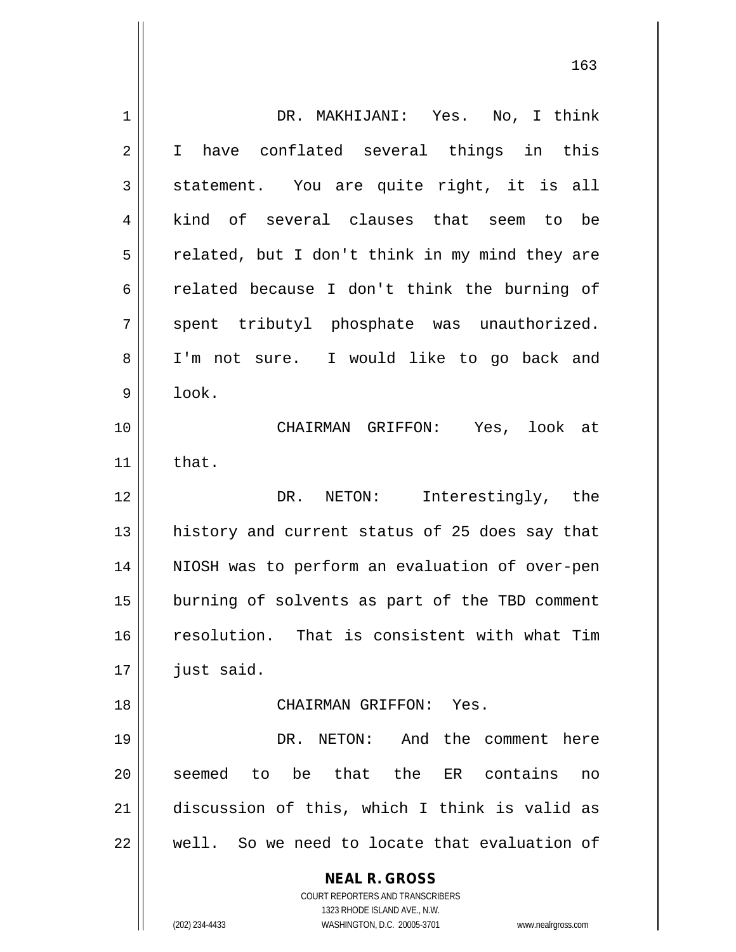| 1              | DR. MAKHIJANI: Yes. No, I think                                     |
|----------------|---------------------------------------------------------------------|
| $\overline{2}$ | I have conflated several things in this                             |
| 3              | statement. You are quite right, it is all                           |
| 4              | kind of several clauses that seem to be                             |
| 5              | related, but I don't think in my mind they are                      |
| 6              | related because I don't think the burning of                        |
| 7              | spent tributyl phosphate was unauthorized.                          |
| 8              | I'm not sure. I would like to go back and                           |
| 9              | look.                                                               |
| 10             | CHAIRMAN GRIFFON: Yes, look at                                      |
| 11             | that.                                                               |
| 12             | DR. NETON: Interestingly, the                                       |
| 13             | history and current status of 25 does say that                      |
| 14             | NIOSH was to perform an evaluation of over-pen                      |
| 15             | burning of solvents as part of the TBD comment                      |
| 16             | resolution. That is consistent with what Tim                        |
| 17             | just said.                                                          |
| 18             | CHAIRMAN GRIFFON: Yes.                                              |
| 19             | DR. NETON: And the comment here                                     |
| 20             | seemed to be that the<br>ER contains<br>no                          |
| 21             | discussion of this, which I think is valid as                       |
| 22             | well. So we need to locate that evaluation of                       |
|                |                                                                     |
|                | <b>NEAL R. GROSS</b><br>COURT REPORTERS AND TRANSCRIBERS            |
|                | 1323 RHODE ISLAND AVE., N.W.                                        |
|                | WASHINGTON, D.C. 20005-3701<br>(202) 234-4433<br>www.nealrgross.com |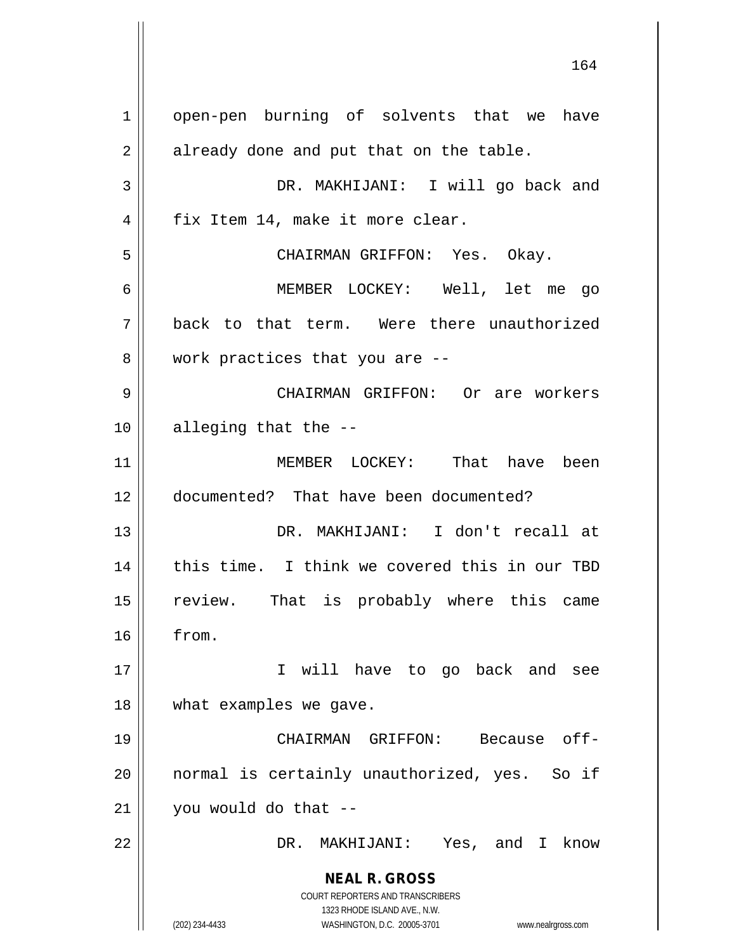**NEAL R. GROSS** COURT REPORTERS AND TRANSCRIBERS 1323 RHODE ISLAND AVE., N.W. (202) 234-4433 WASHINGTON, D.C. 20005-3701 www.nealrgross.com 1 || open-pen burning of solvents that we have  $2 \parallel$  already done and put that on the table. 3 DR. MAKHIJANI: I will go back and  $4 \parallel$  fix Item 14, make it more clear. 5 CHAIRMAN GRIFFON: Yes. Okay. 6 MEMBER LOCKEY: Well, let me go 7 back to that term. Were there unauthorized 8 | work practices that you are --9 CHAIRMAN GRIFFON: Or are workers 10 || alleging that the --11 MEMBER LOCKEY: That have been 12 documented? That have been documented? 13 DR. MAKHIJANI: I don't recall at 14 || this time. I think we covered this in our TBD 15 review. That is probably where this came 16 from. 17 || T will have to go back and see 18 || what examples we gave. 19 CHAIRMAN GRIFFON: Because off-20 || normal is certainly unauthorized, yes. So if  $21$  | you would do that --22 DR. MAKHIJANI: Yes, and I know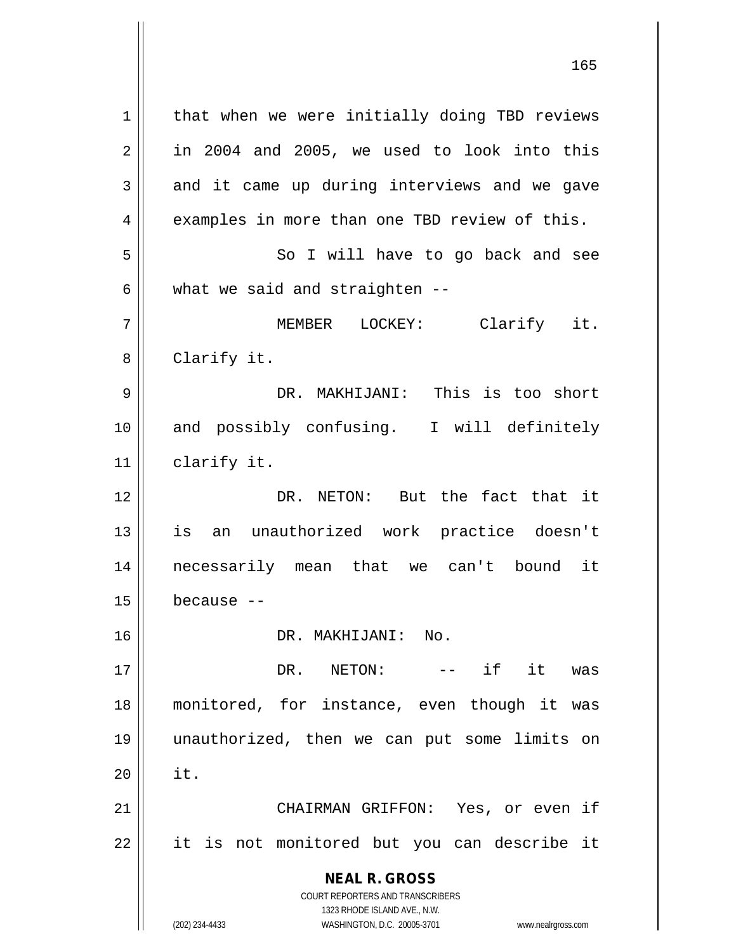**NEAL R. GROSS** COURT REPORTERS AND TRANSCRIBERS 1323 RHODE ISLAND AVE., N.W. (202) 234-4433 WASHINGTON, D.C. 20005-3701 www.nealrgross.com 1 | that when we were initially doing TBD reviews  $2 \parallel$  in 2004 and 2005, we used to look into this  $3 \parallel$  and it came up during interviews and we gave  $4 \parallel$  examples in more than one TBD review of this. 5 || So I will have to go back and see  $6 \parallel$  what we said and straighten --7 MEMBER LOCKEY: Clarify it. 8 | Clarify it. 9 DR. MAKHIJANI: This is too short 10 and possibly confusing. I will definitely 11 | clarify it. 12 DR. NETON: But the fact that it 13 is an unauthorized work practice doesn't 14 necessarily mean that we can't bound it  $15$  because  $-$ 16 DR. MAKHIJANI: No. 17 DR. NETON: -- if it was 18 monitored, for instance, even though it was 19 unauthorized, then we can put some limits on  $20$   $\parallel$  it. 21 CHAIRMAN GRIFFON: Yes, or even if 22 || it is not monitored but you can describe it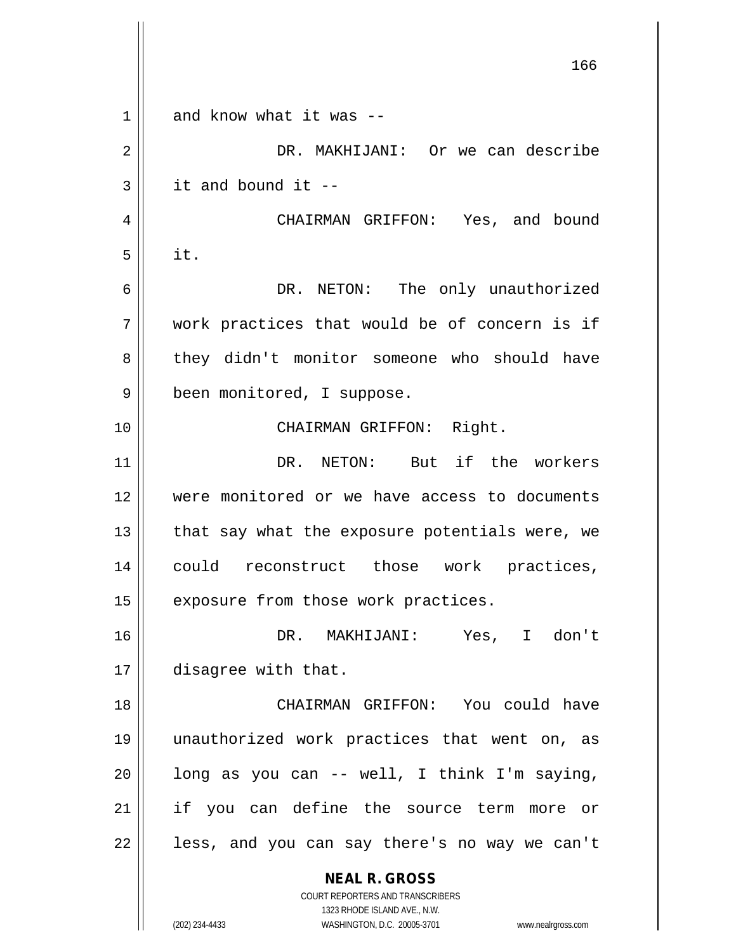**NEAL R. GROSS** COURT REPORTERS AND TRANSCRIBERS 1323 RHODE ISLAND AVE., N.W. (202) 234-4433 WASHINGTON, D.C. 20005-3701 www.nealrgross.com 166  $1 \parallel$  and know what it was --2 DR. MAKHIJANI: Or we can describe  $3 \parallel$  it and bound it --4 | CHAIRMAN GRIFFON: Yes, and bound  $5 \parallel$  it. 6 DR. NETON: The only unauthorized  $7$   $\parallel$  work practices that would be of concern is if 8 || they didn't monitor someone who should have 9 | been monitored, I suppose. 10 || CHAIRMAN GRIFFON: Right. 11 DR. NETON: But if the workers 12 were monitored or we have access to documents 13  $\parallel$  that say what the exposure potentials were, we 14 || could reconstruct those work practices,  $15$  exposure from those work practices. 16 DR. MAKHIJANI: Yes, I don't 17 disagree with that. 18 CHAIRMAN GRIFFON: You could have 19 unauthorized work practices that went on, as  $20$  | long as you can -- well, I think I'm saying, 21 if you can define the source term more or  $22$  || less, and you can say there's no way we can't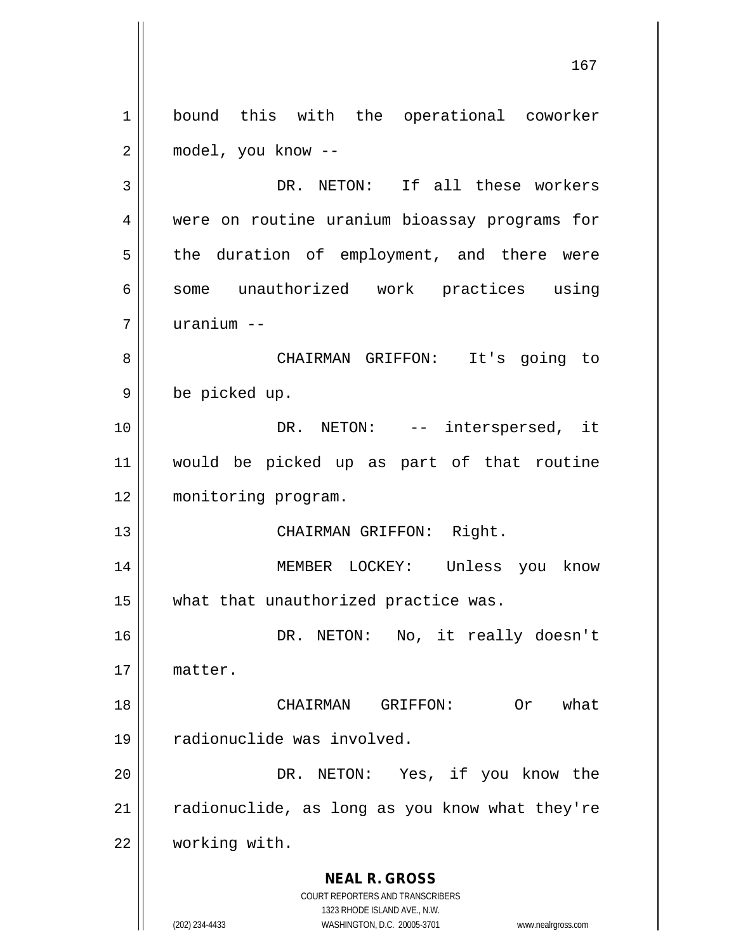**NEAL R. GROSS** COURT REPORTERS AND TRANSCRIBERS 1323 RHODE ISLAND AVE., N.W. 1 | bound this with the operational coworker 2 model, you know -- 3 DR. NETON: If all these workers 4 were on routine uranium bioassay programs for 5 || the duration of employment, and there were 6 || some unauthorized work practices using 7 uranium -- 8 CHAIRMAN GRIFFON: It's going to 9 be picked up. 10 DR. NETON: -- interspersed, it 11 would be picked up as part of that routine 12 | monitoring program. 13 || CHAIRMAN GRIFFON: Right. 14 MEMBER LOCKEY: Unless you know 15 || what that unauthorized practice was. 16 DR. NETON: No, it really doesn't 17 matter. 18 CHAIRMAN GRIFFON: Or what 19 || radionuclide was involved. 20 || DR. NETON: Yes, if you know the  $21$  | radionuclide, as long as you know what they're 22 working with.

(202) 234-4433 WASHINGTON, D.C. 20005-3701 www.nealrgross.com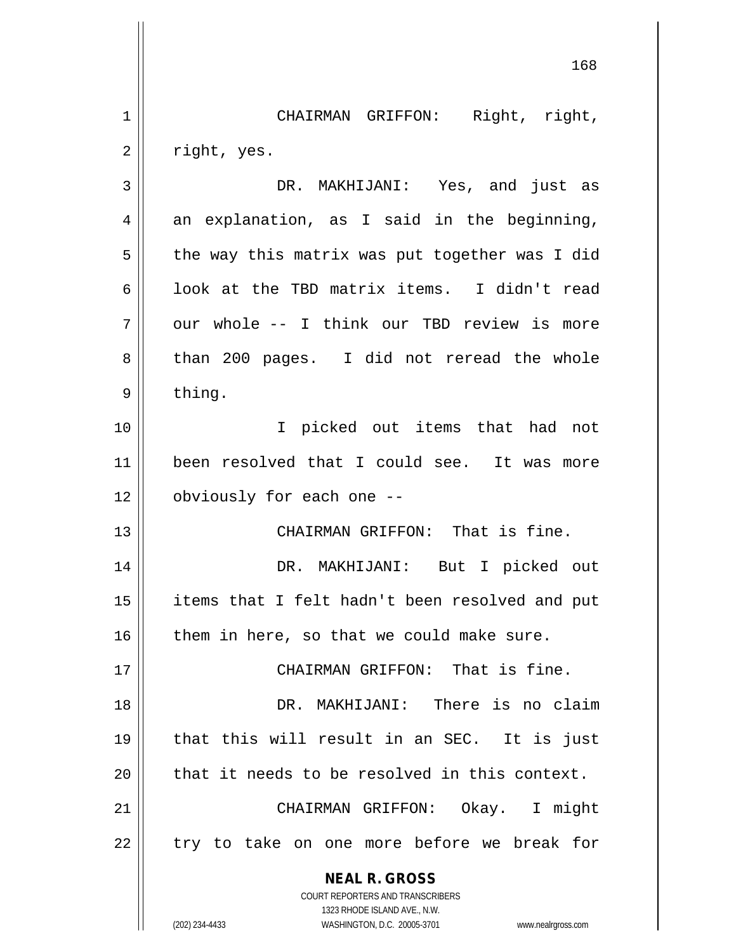**NEAL R. GROSS** COURT REPORTERS AND TRANSCRIBERS 1323 RHODE ISLAND AVE., N.W. (202) 234-4433 WASHINGTON, D.C. 20005-3701 www.nealrgross.com 168 1 || CHAIRMAN GRIFFON: Right, right,  $2 \parallel$  right, yes. 3 DR. MAKHIJANI: Yes, and just as  $4 \parallel$  an explanation, as I said in the beginning,  $5 \parallel$  the way this matrix was put together was I did 6  $\parallel$  100k at the TBD matrix items. I didn't read 7 || our whole -- I think our TBD review is more 8 than 200 pages. I did not reread the whole  $9 \parallel$  thing. 10 I picked out items that had not 11 been resolved that I could see. It was more 12 | obviously for each one --13 || CHAIRMAN GRIFFON: That is fine. 14 DR. MAKHIJANI: But I picked out 15 || items that I felt hadn't been resolved and put  $16$  | them in here, so that we could make sure. 17 CHAIRMAN GRIFFON: That is fine. 18 DR. MAKHIJANI: There is no claim 19 that this will result in an SEC. It is just  $20$  || that it needs to be resolved in this context. 21 CHAIRMAN GRIFFON: Okay. I might  $22$  || try to take on one more before we break for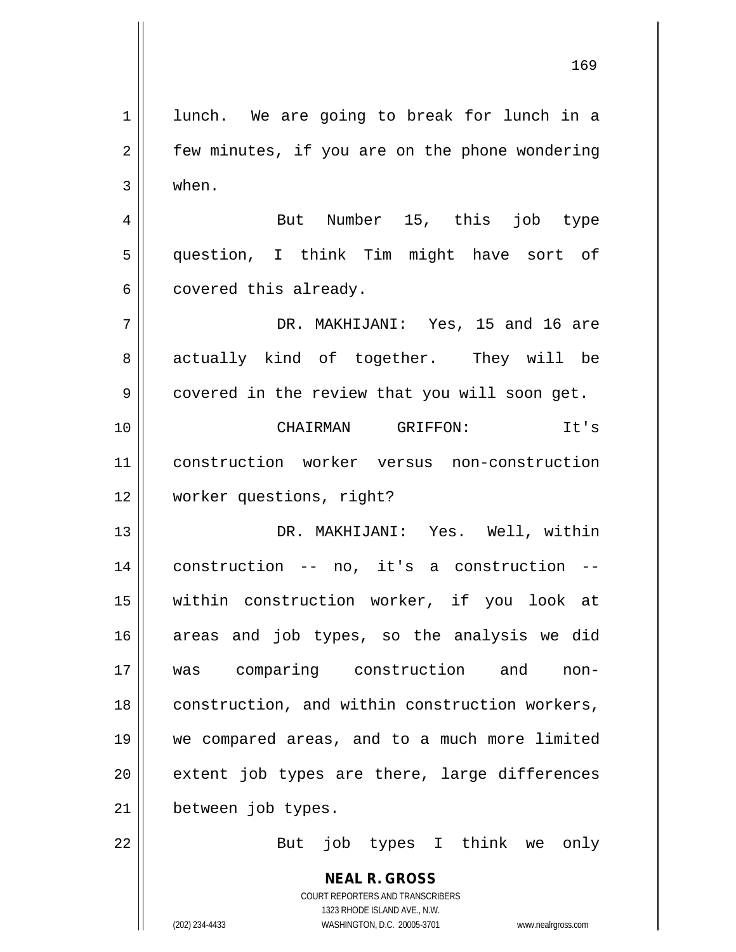**NEAL R. GROSS** COURT REPORTERS AND TRANSCRIBERS 1 || lunch. We are going to break for lunch in a  $2 \parallel$  few minutes, if you are on the phone wondering  $3 \parallel$  when. 4 || But Number 15, this job type 5 question, I think Tim might have sort of  $6 \parallel$  covered this already. 7 DR. MAKHIJANI: Yes, 15 and 16 are 8 actually kind of together. They will be 9 | covered in the review that you will soon get. 10 CHAIRMAN GRIFFON: It's 11 construction worker versus non-construction 12 worker questions, right? 13 DR. MAKHIJANI: Yes. Well, within 14 construction -- no, it's a construction -- 15 within construction worker, if you look at 16 areas and job types, so the analysis we did 17 was comparing construction and non-18 | construction, and within construction workers, 19 we compared areas, and to a much more limited  $20$  || extent job types are there, large differences 21 | between job types. 22 || But job types I think we only

1323 RHODE ISLAND AVE., N.W.

(202) 234-4433 WASHINGTON, D.C. 20005-3701 www.nealrgross.com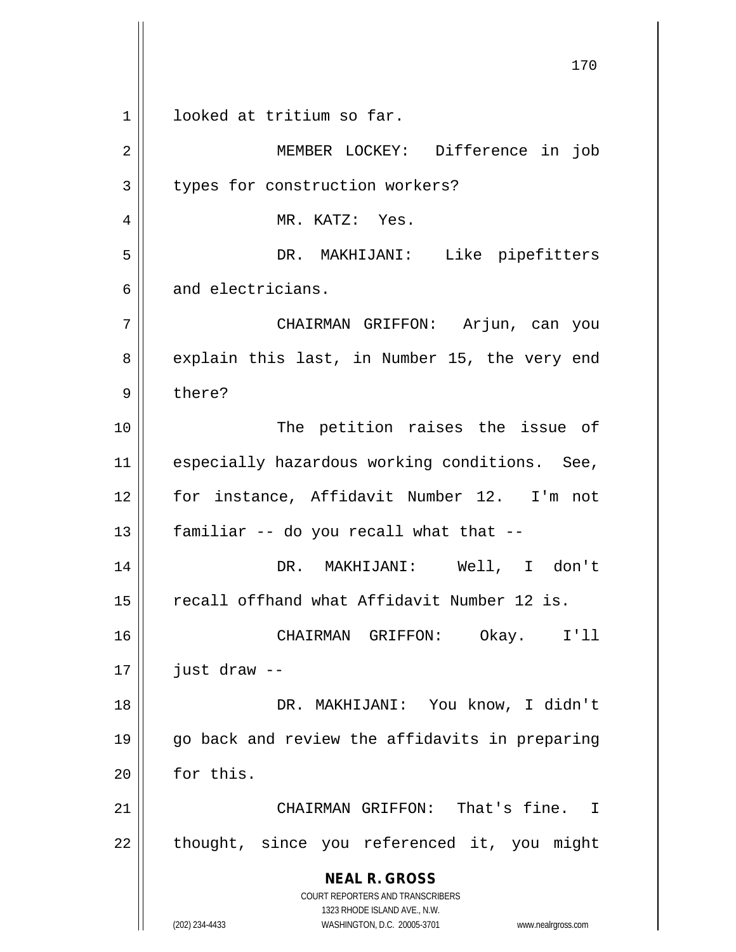**NEAL R. GROSS** COURT REPORTERS AND TRANSCRIBERS 1323 RHODE ISLAND AVE., N.W. (202) 234-4433 WASHINGTON, D.C. 20005-3701 www.nealrgross.com 1 | looked at tritium so far. 2 MEMBER LOCKEY: Difference in job 3 U types for construction workers? 4 MR. KATZ: Yes. 5 DR. MAKHIJANI: Like pipefitters 6 and electricians. 7 CHAIRMAN GRIFFON: Arjun, can you 8 explain this last, in Number 15, the very end 9 bere? 10 || The petition raises the issue of 11 || especially hazardous working conditions. See, 12 for instance, Affidavit Number 12. I'm not  $13$  | familiar -- do you recall what that --14 DR. MAKHIJANI: Well, I don't 15 | recall offhand what Affidavit Number 12 is. 16 CHAIRMAN GRIFFON: Okay. I'll  $17$  | just draw --18 DR. MAKHIJANI: You know, I didn't 19 go back and review the affidavits in preparing  $20$   $\parallel$  for this. 21 || CHAIRMAN GRIFFON: That's fine. I  $22$  || thought, since you referenced it, you might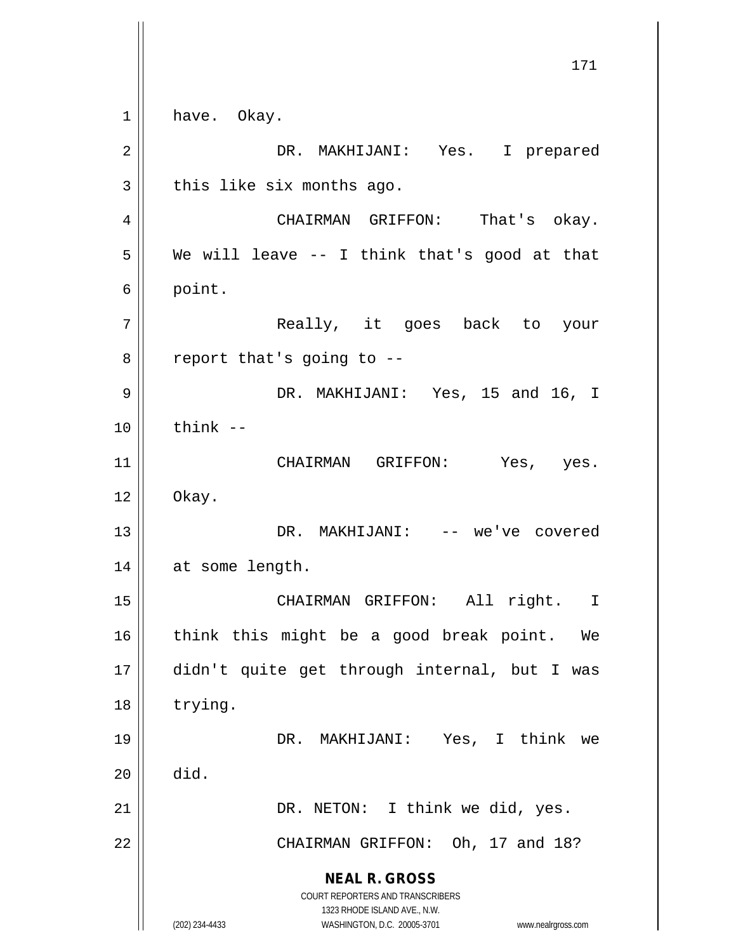**NEAL R. GROSS** COURT REPORTERS AND TRANSCRIBERS 1323 RHODE ISLAND AVE., N.W. (202) 234-4433 WASHINGTON, D.C. 20005-3701 www.nealrgross.com 171 1 have. Okay. 2 DR. MAKHIJANI: Yes. I prepared  $3 \parallel$  this like six months ago. 4 CHAIRMAN GRIFFON: That's okay.  $5 \parallel$  We will leave -- I think that's good at that 6 point. 7 || Really, it goes back to your  $8 \parallel$  report that's going to --9 DR. MAKHIJANI: Yes, 15 and 16, I  $10 \parallel$  think  $-$ 11 || CHAIRMAN GRIFFON: Yes, yes.  $12 \parallel$  Okay. 13 DR. MAKHIJANI: -- we've covered 14 || at some length. 15 || CHAIRMAN GRIFFON: All right. I 16 || think this might be a good break point. We 17 didn't quite get through internal, but I was 18 | trying. 19 DR. MAKHIJANI: Yes, I think we  $20$   $\parallel$  did. 21 | DR. NETON: I think we did, yes. 22 | CHAIRMAN GRIFFON: Oh, 17 and 18?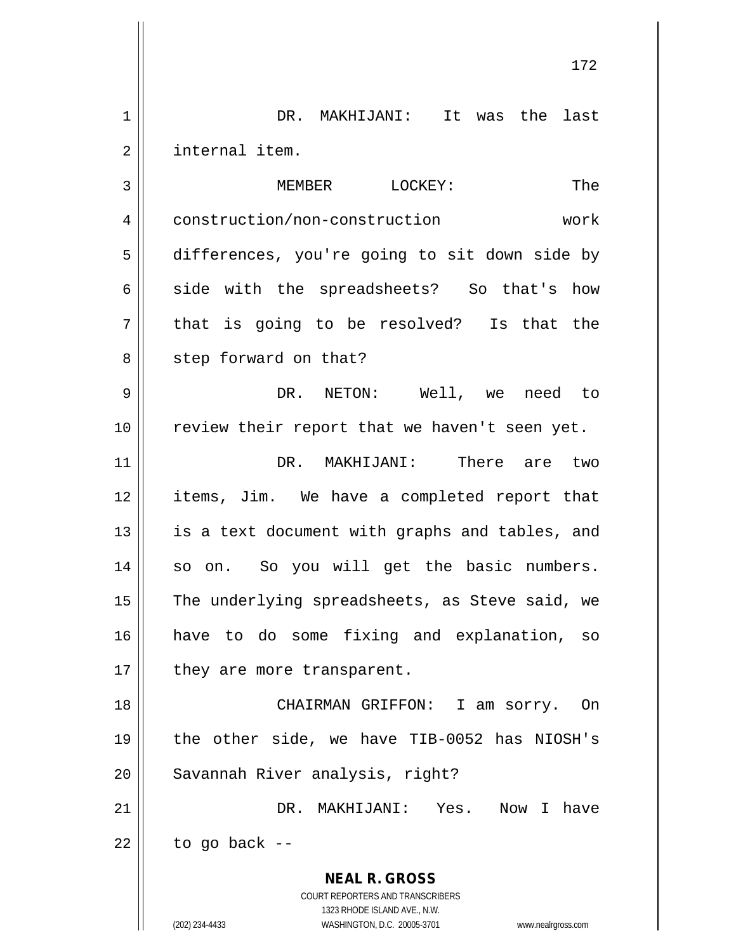| 1              | DR. MAKHIJANI: It was the last                                                                      |
|----------------|-----------------------------------------------------------------------------------------------------|
| $\overline{2}$ | internal item.                                                                                      |
| 3              | MEMBER LOCKEY:<br>The                                                                               |
| 4              | construction/non-construction<br>work                                                               |
| 5              | differences, you're going to sit down side by                                                       |
| 6              | side with the spreadsheets? So that's how                                                           |
| 7              | that is going to be resolved? Is that the                                                           |
| 8              | step forward on that?                                                                               |
| 9              | DR. NETON: Well, we<br>need to                                                                      |
| 10             | review their report that we haven't seen yet.                                                       |
| 11             | DR. MAKHIJANI:<br>There are two                                                                     |
| 12             | items, Jim. We have a completed report that                                                         |
| 13             | is a text document with graphs and tables, and                                                      |
| 14             | so on. So you will get the basic numbers.                                                           |
| 15             | The underlying spreadsheets, as Steve said, we                                                      |
| 16             | have to do some fixing and explanation, so                                                          |
| 17             | they are more transparent.                                                                          |
| 18             | CHAIRMAN GRIFFON:<br>I am sorry.<br>On                                                              |
| 19             | the other side, we have TIB-0052 has NIOSH's                                                        |
| 20             | Savannah River analysis, right?                                                                     |
| 21             | DR. MAKHIJANI: Yes. Now I have                                                                      |
| 22             | to go back --                                                                                       |
|                | <b>NEAL R. GROSS</b>                                                                                |
|                | COURT REPORTERS AND TRANSCRIBERS                                                                    |
|                | 1323 RHODE ISLAND AVE., N.W.<br>WASHINGTON, D.C. 20005-3701<br>(202) 234-4433<br>www.nealrgross.com |
|                |                                                                                                     |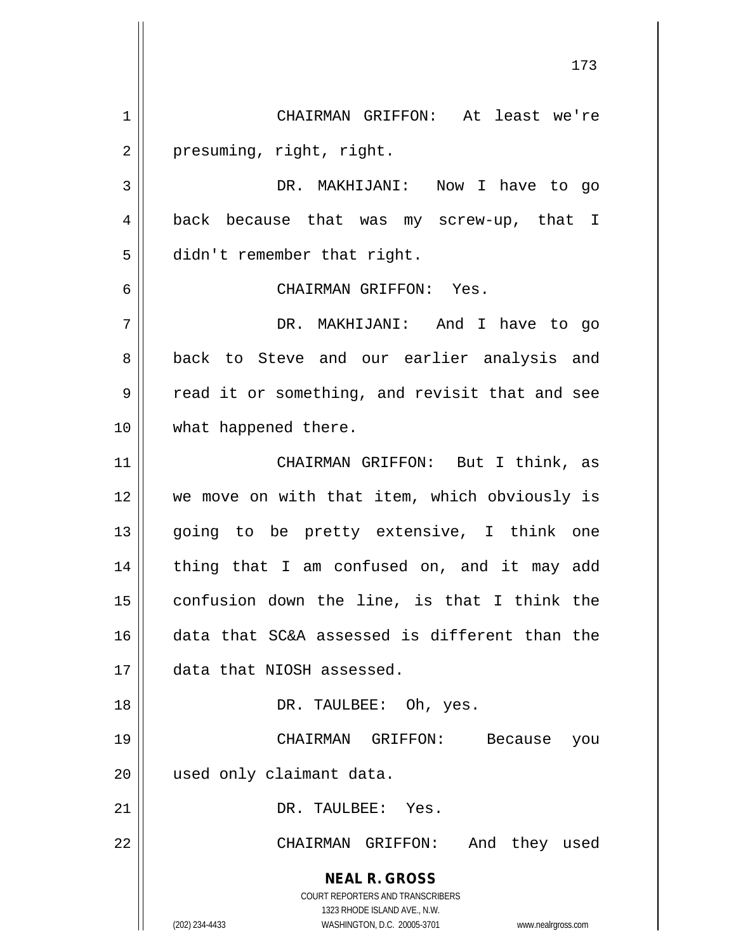**NEAL R. GROSS** COURT REPORTERS AND TRANSCRIBERS 1323 RHODE ISLAND AVE., N.W. (202) 234-4433 WASHINGTON, D.C. 20005-3701 www.nealrgross.com 173 1 CHAIRMAN GRIFFON: At least we're 2 | presuming, right, right. 3 DR. MAKHIJANI: Now I have to go 4 back because that was my screw-up, that I 5 | didn't remember that right. 6 CHAIRMAN GRIFFON: Yes. 7 DR. MAKHIJANI: And I have to go 8 back to Steve and our earlier analysis and  $9 \parallel$  read it or something, and revisit that and see 10 || what happened there. 11 CHAIRMAN GRIFFON: But I think, as 12 || we move on with that item, which obviously is 13 || going to be pretty extensive, I think one 14 || thing that I am confused on, and it may add 15  $\parallel$  confusion down the line, is that I think the 16 data that SC&A assessed is different than the 17 data that NIOSH assessed. 18 DR. TAULBEE: Oh, yes. 19 CHAIRMAN GRIFFON: Because you 20 used only claimant data. 21 || DR. TAULBEE: Yes. 22 CHAIRMAN GRIFFON: And they used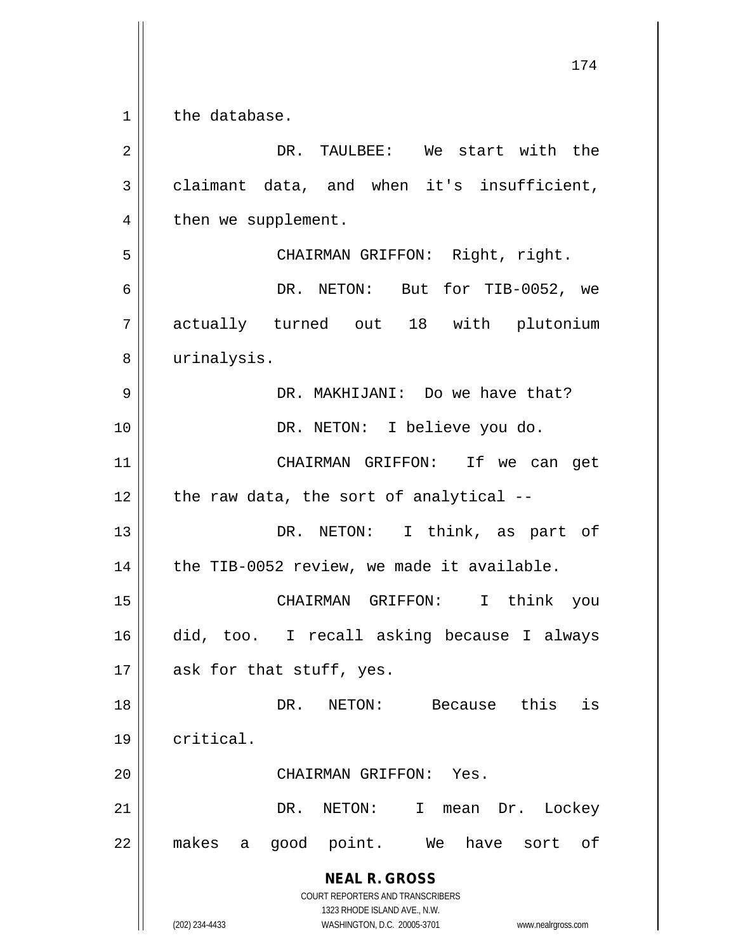**NEAL R. GROSS** COURT REPORTERS AND TRANSCRIBERS 1323 RHODE ISLAND AVE., N.W. (202) 234-4433 WASHINGTON, D.C. 20005-3701 www.nealrgross.com 1 | the database. 2 DR. TAULBEE: We start with the  $3 \parallel$  claimant data, and when it's insufficient, 4 | then we supplement. 5 CHAIRMAN GRIFFON: Right, right. 6 DR. NETON: But for TIB-0052, we 7 actually turned out 18 with plutonium 8 | urinalysis. 9 DR. MAKHIJANI: Do we have that? 10 || DR. NETON: I believe you do. 11 CHAIRMAN GRIFFON: If we can get  $12$  | the raw data, the sort of analytical --13 || DR. NETON: I think, as part of  $14$  | the TIB-0052 review, we made it available. 15 CHAIRMAN GRIFFON: I think you 16 did, too. I recall asking because I always  $17$  || ask for that stuff, yes. 18 DR. NETON: Because this is 19 critical. 20 CHAIRMAN GRIFFON: Yes. 21 DR. NETON: I mean Dr. Lockey 22 || makes a good point. We have sort of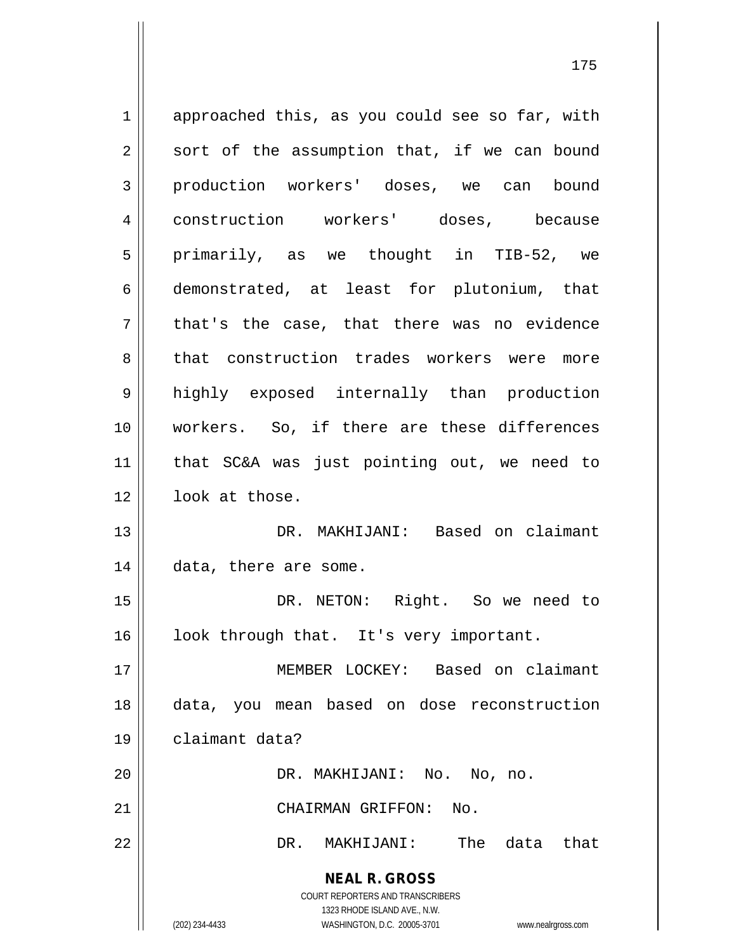**NEAL R. GROSS** COURT REPORTERS AND TRANSCRIBERS 1323 RHODE ISLAND AVE., N.W. (202) 234-4433 WASHINGTON, D.C. 20005-3701 www.nealrgross.com 1 || approached this, as you could see so far, with  $2 \parallel$  sort of the assumption that, if we can bound 3 production workers' doses, we can bound 4 | construction workers' doses, because  $5$  primarily, as we thought in TIB-52, we 6 demonstrated, at least for plutonium, that  $7 \parallel$  that's the case, that there was no evidence 8 that construction trades workers were more 9 highly exposed internally than production 10 workers. So, if there are these differences 11 that SC&A was just pointing out, we need to 12 | look at those. 13 DR. MAKHIJANI: Based on claimant 14 | data, there are some. 15 || DR. NETON: Right. So we need to  $16$  | look through that. It's very important. 17 MEMBER LOCKEY: Based on claimant 18 data, you mean based on dose reconstruction 19 claimant data? 20 DR. MAKHIJANI: No. No, no. 21 CHAIRMAN GRIFFON: No. 22 DR. MAKHIJANI: The data that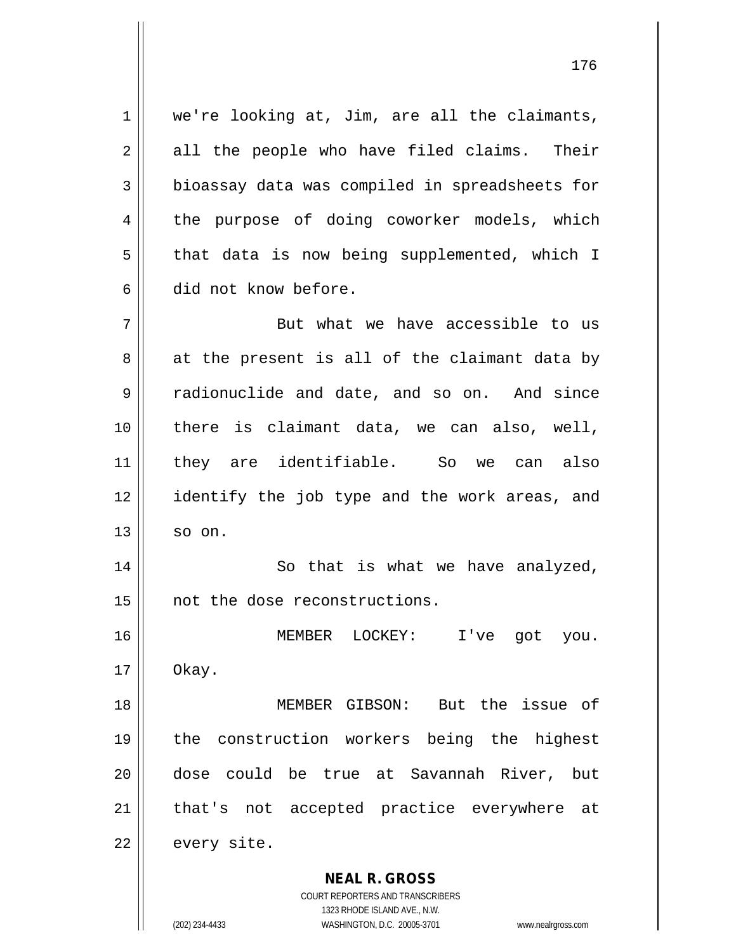$1 \parallel$  we're looking at, Jim, are all the claimants,  $2 \parallel$  all the people who have filed claims. Their 3 bioassay data was compiled in spreadsheets for 4 the purpose of doing coworker models, which  $5 \parallel$  that data is now being supplemented, which I 6 did not know before.

 $7 \parallel$  But what we have accessible to us  $8 \parallel$  at the present is all of the claimant data by 9 radionuclide and date, and so on. And since 10 there is claimant data, we can also, well, 11 they are identifiable. So we can also 12 || identify the job type and the work areas, and  $13 \parallel$  so on.

14 || So that is what we have analyzed, 15 | not the dose reconstructions.

16 MEMBER LOCKEY: I've got you.  $17 \parallel$  Okay.

 MEMBER GIBSON: But the issue of the construction workers being the highest dose could be true at Savannah River, but 21 || that's not accepted practice everywhere at | every site.

> **NEAL R. GROSS** COURT REPORTERS AND TRANSCRIBERS

> > 1323 RHODE ISLAND AVE., N.W.

(202) 234-4433 WASHINGTON, D.C. 20005-3701 www.nealrgross.com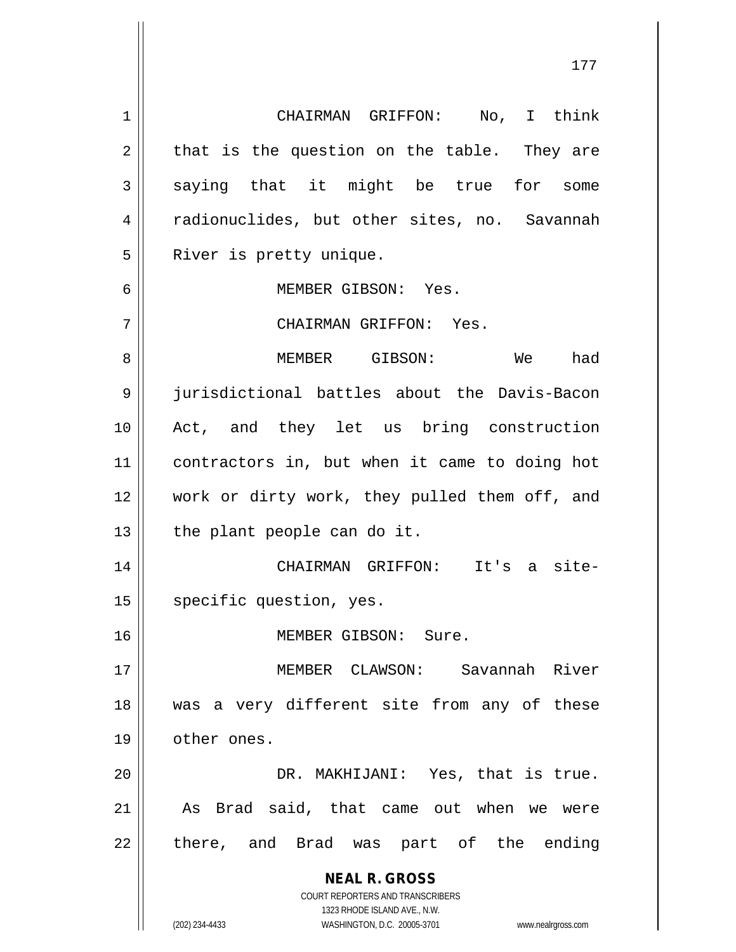**NEAL R. GROSS** COURT REPORTERS AND TRANSCRIBERS 1323 RHODE ISLAND AVE., N.W. (202) 234-4433 WASHINGTON, D.C. 20005-3701 www.nealrgross.com 1 CHAIRMAN GRIFFON: No, I think  $2 \parallel$  that is the question on the table. They are  $3 \parallel$  saying that it might be true for some 4 | radionuclides, but other sites, no. Savannah 5 | River is pretty unique. 6 MEMBER GIBSON: Yes. 7 CHAIRMAN GRIFFON: Yes. 8 MEMBER GIBSON: We had 9 jurisdictional battles about the Davis-Bacon 10 Act, and they let us bring construction 11 contractors in, but when it came to doing hot 12 work or dirty work, they pulled them off, and  $13$  | the plant people can do it. 14 CHAIRMAN GRIFFON: It's a site-15 | specific question, yes. 16 MEMBER GIBSON: Sure. 17 MEMBER CLAWSON: Savannah River 18 was a very different site from any of these 19 | other ones. 20 DR. MAKHIJANI: Yes, that is true. 21 || As Brad said, that came out when we were  $22 \parallel$  there, and Brad was part of the ending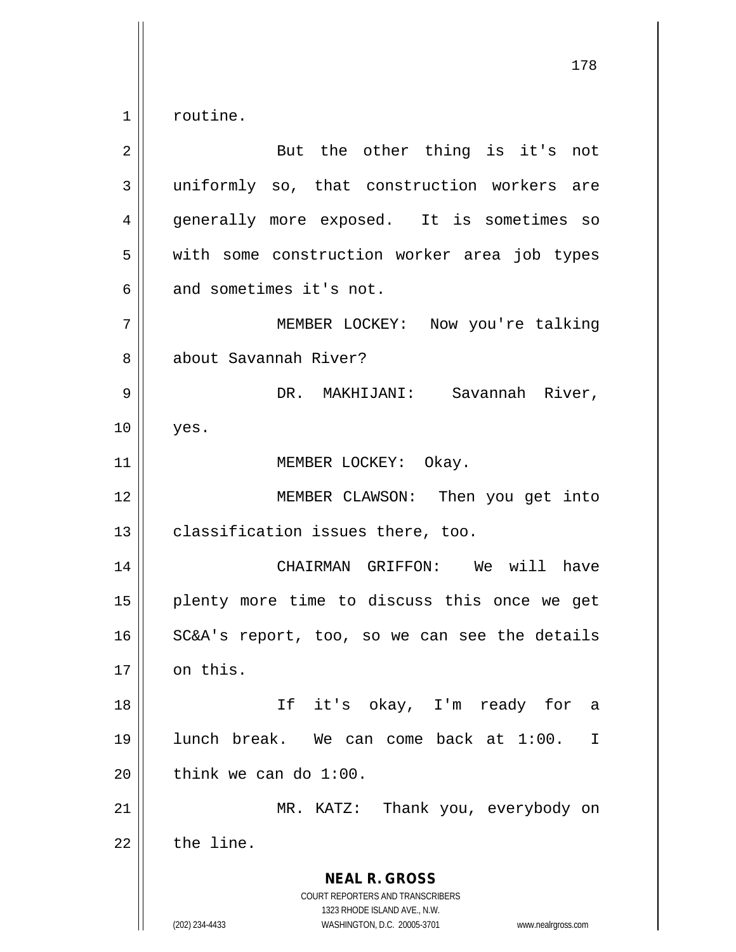$1 \parallel$  routine.

| 2  | But the other thing is it's not                                                                                                                                 |
|----|-----------------------------------------------------------------------------------------------------------------------------------------------------------------|
| 3  | uniformly so, that construction workers are                                                                                                                     |
| 4  | generally more exposed. It is sometimes so                                                                                                                      |
| 5  | with some construction worker area job types                                                                                                                    |
| 6  | and sometimes it's not.                                                                                                                                         |
| 7  | MEMBER LOCKEY: Now you're talking                                                                                                                               |
| 8  | about Savannah River?                                                                                                                                           |
| 9  | DR. MAKHIJANI: Savannah River,                                                                                                                                  |
| 10 | yes.                                                                                                                                                            |
| 11 | MEMBER LOCKEY: Okay.                                                                                                                                            |
| 12 | MEMBER CLAWSON: Then you get into                                                                                                                               |
| 13 | classification issues there, too.                                                                                                                               |
| 14 | CHAIRMAN GRIFFON: We will<br>have                                                                                                                               |
| 15 | plenty more time to discuss this once we get                                                                                                                    |
| 16 | SC&A's report, too, so we can see the details                                                                                                                   |
| 17 | on this.                                                                                                                                                        |
| 18 | If it's okay, I'm ready for<br>a                                                                                                                                |
| 19 | lunch break. We can come back at 1:00.<br>T                                                                                                                     |
| 20 | think we can do $1:00$ .                                                                                                                                        |
| 21 | MR. KATZ: Thank you, everybody on                                                                                                                               |
| 22 | the line.                                                                                                                                                       |
|    | <b>NEAL R. GROSS</b><br>COURT REPORTERS AND TRANSCRIBERS<br>1323 RHODE ISLAND AVE., N.W.<br>(202) 234-4433<br>WASHINGTON, D.C. 20005-3701<br>www.nealrgross.com |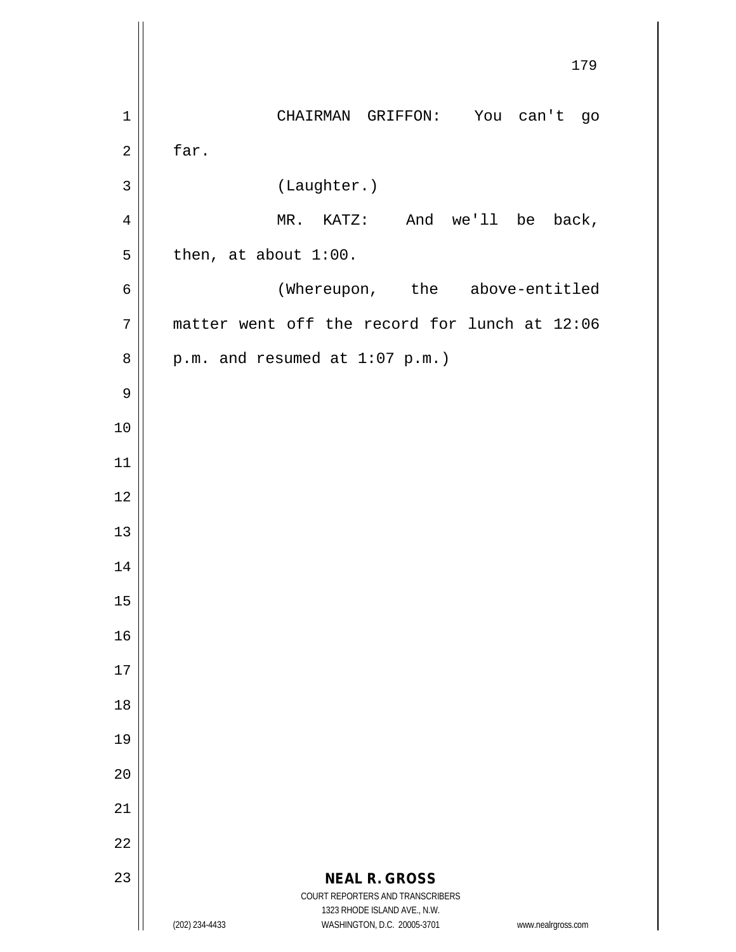|                | 179                                                                                                 |
|----------------|-----------------------------------------------------------------------------------------------------|
| $\mathbf{1}$   | You can't go<br>CHAIRMAN GRIFFON:                                                                   |
| $\overline{2}$ | far.                                                                                                |
| $\mathbf{3}$   | (Laughter.)                                                                                         |
| $\overline{4}$ | And we'll be back,<br>$MR.$ KATZ:                                                                   |
| 5              | then, at about 1:00.                                                                                |
| $\epsilon$     | (Whereupon, the above-entitled                                                                      |
| 7              | matter went off the record for lunch at 12:06                                                       |
| $\,8\,$        | $p.m.$ and resumed at $1:07$ $p.m.$ )                                                               |
| $\mathsf 9$    |                                                                                                     |
| 10             |                                                                                                     |
| 11             |                                                                                                     |
| 12             |                                                                                                     |
| 13             |                                                                                                     |
| 14             |                                                                                                     |
| 15             |                                                                                                     |
| 16             |                                                                                                     |
| 17             |                                                                                                     |
| 18             |                                                                                                     |
| 19             |                                                                                                     |
| 20             |                                                                                                     |
| 21             |                                                                                                     |
| 22             |                                                                                                     |
| 23             | <b>NEAL R. GROSS</b><br>COURT REPORTERS AND TRANSCRIBERS                                            |
|                | 1323 RHODE ISLAND AVE., N.W.<br>(202) 234-4433<br>WASHINGTON, D.C. 20005-3701<br>www.nealrgross.com |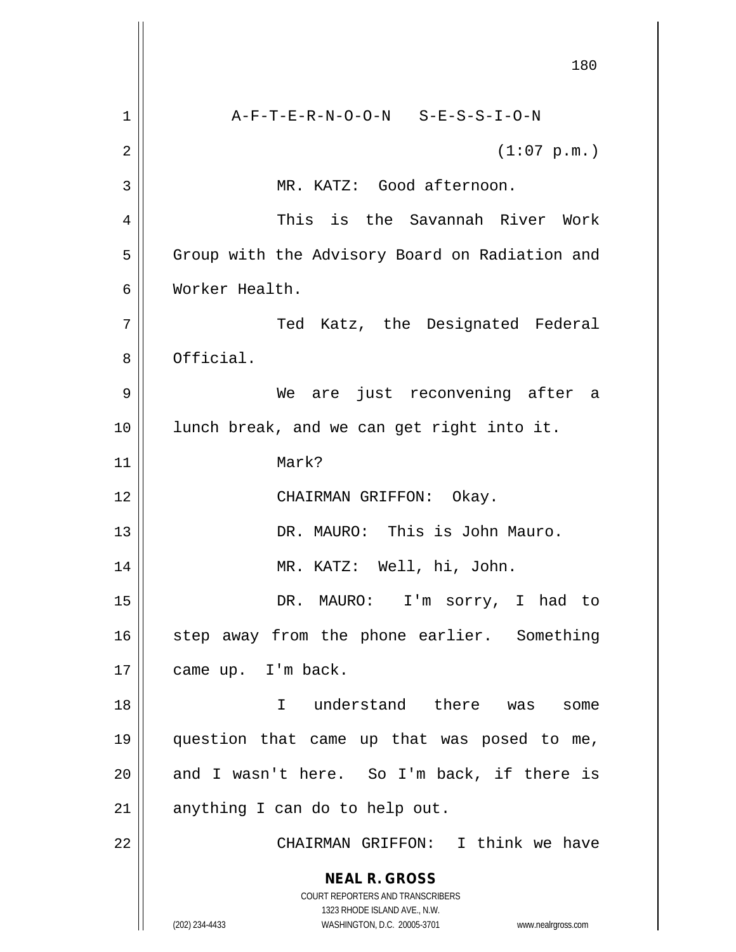**NEAL R. GROSS** COURT REPORTERS AND TRANSCRIBERS 1323 RHODE ISLAND AVE., N.W. (202) 234-4433 WASHINGTON, D.C. 20005-3701 www.nealrgross.com 180 1 A-F-T-E-R-N-O-O-N S-E-S-S-I-O-N  $2 \parallel$  (1:07 p.m.) 3 || MR. KATZ: Good afternoon. 4 This is the Savannah River Work 5 | Group with the Advisory Board on Radiation and 6 Worker Health. 7 Ted Katz, the Designated Federal 8 **b** Official. 9 We are just reconvening after a 10 || lunch break, and we can get right into it. 11 Mark? 12 || CHAIRMAN GRIFFON: Okay. 13 DR. MAURO: This is John Mauro. 14 MR. KATZ: Well, hi, John. 15 DR. MAURO: I'm sorry, I had to 16 || step away from the phone earlier. Something 17 | came up. I'm back. 18 I understand there was some 19 question that came up that was posed to me,  $20$  || and I wasn't here. So I'm back, if there is  $21$  anything I can do to help out. 22 CHAIRMAN GRIFFON: I think we have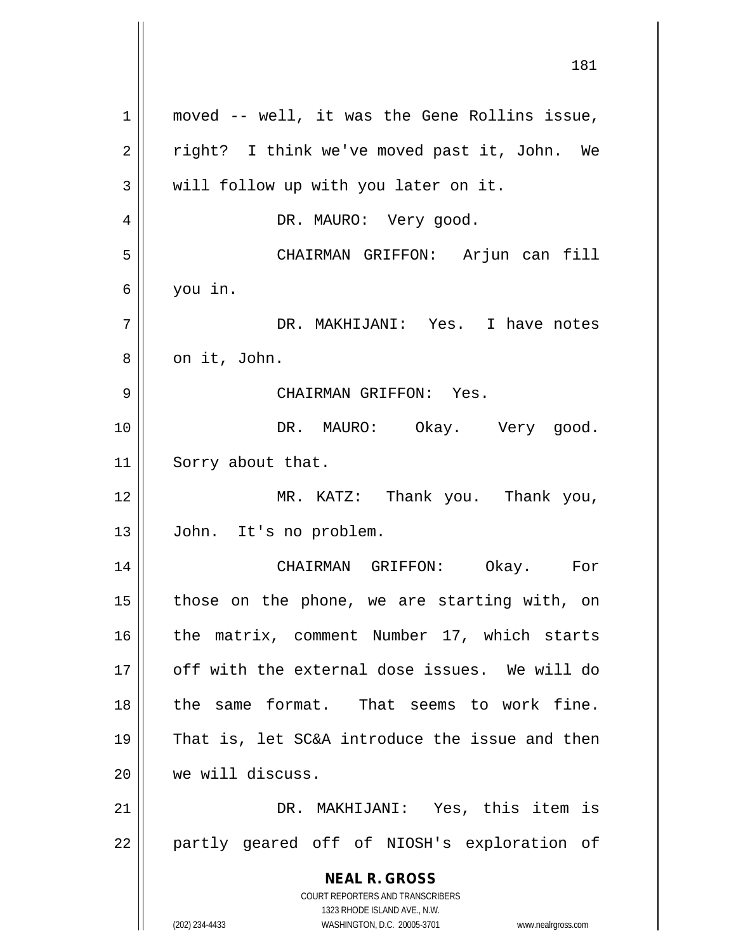|    | ᅩᆼᅩ                                                                           |
|----|-------------------------------------------------------------------------------|
| 1  | moved -- well, it was the Gene Rollins issue,                                 |
| 2  | right? I think we've moved past it, John. We                                  |
| 3  | will follow up with you later on it.                                          |
| 4  | DR. MAURO: Very good.                                                         |
| 5  | CHAIRMAN GRIFFON: Arjun can fill                                              |
| 6  | you in.                                                                       |
| 7  | DR. MAKHIJANI: Yes. I have notes                                              |
| 8  | on it, John.                                                                  |
| 9  | CHAIRMAN GRIFFON: Yes.                                                        |
| 10 | DR. MAURO: Okay. Very good.                                                   |
| 11 | Sorry about that.                                                             |
| 12 | MR. KATZ: Thank you. Thank you,                                               |
| 13 | John. It's no problem.                                                        |
| 14 | CHAIRMAN GRIFFON: Okay. For                                                   |
| 15 | those on the phone, we are starting with, on                                  |
| 16 | the matrix, comment Number 17, which starts                                   |
| 17 | off with the external dose issues. We will do                                 |
| 18 | the same format. That seems to work fine.                                     |
| 19 | That is, let SC&A introduce the issue and then                                |
| 20 | we will discuss.                                                              |
| 21 | DR. MAKHIJANI: Yes, this item is                                              |
| 22 | partly geared off of NIOSH's exploration of                                   |
|    | <b>NEAL R. GROSS</b><br>COURT REPORTERS AND TRANSCRIBERS                      |
|    | 1323 RHODE ISLAND AVE., N.W.<br>(202) 234-4433<br>WASHINGTON, D.C. 20005-3701 |
|    | www.nealrgross.com                                                            |

 $\mathsf{I}$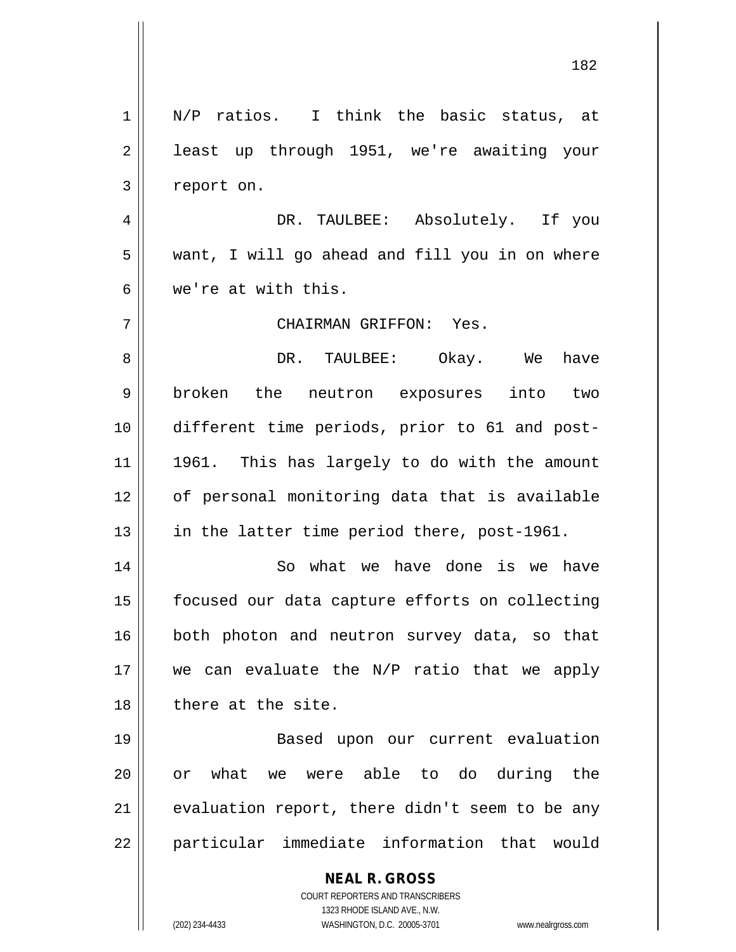| $\mathbf 1$ | N/P ratios. I think the basic status, at                                                            |
|-------------|-----------------------------------------------------------------------------------------------------|
| 2           | least up through 1951, we're awaiting your                                                          |
| 3           | report on.                                                                                          |
| 4           | DR. TAULBEE: Absolutely. If you                                                                     |
| 5           | want, I will go ahead and fill you in on where                                                      |
| 6           | we're at with this.                                                                                 |
| 7           | CHAIRMAN GRIFFON: Yes.                                                                              |
| 8           | DR. TAULBEE: Okay. We have                                                                          |
| 9           | broken the neutron exposures into two                                                               |
| 10          | different time periods, prior to 61 and post-                                                       |
| 11          | 1961. This has largely to do with the amount                                                        |
| 12          | of personal monitoring data that is available                                                       |
| 13          | in the latter time period there, post-1961.                                                         |
| 14          | So what we have done is we have                                                                     |
| 15          | focused our data capture efforts on collecting                                                      |
| 16          | both photon and neutron survey data, so that                                                        |
| 17          | we can evaluate the N/P ratio that we apply                                                         |
| 18          | there at the site.                                                                                  |
| 19          | Based upon our current evaluation                                                                   |
| 20          | or what we were able to do during the                                                               |
| 21          | evaluation report, there didn't seem to be any                                                      |
| 22          | particular immediate information that would                                                         |
|             |                                                                                                     |
|             | <b>NEAL R. GROSS</b><br>COURT REPORTERS AND TRANSCRIBERS                                            |
|             | 1323 RHODE ISLAND AVE., N.W.<br>(202) 234-4433<br>WASHINGTON, D.C. 20005-3701<br>www.nealrgross.com |
|             |                                                                                                     |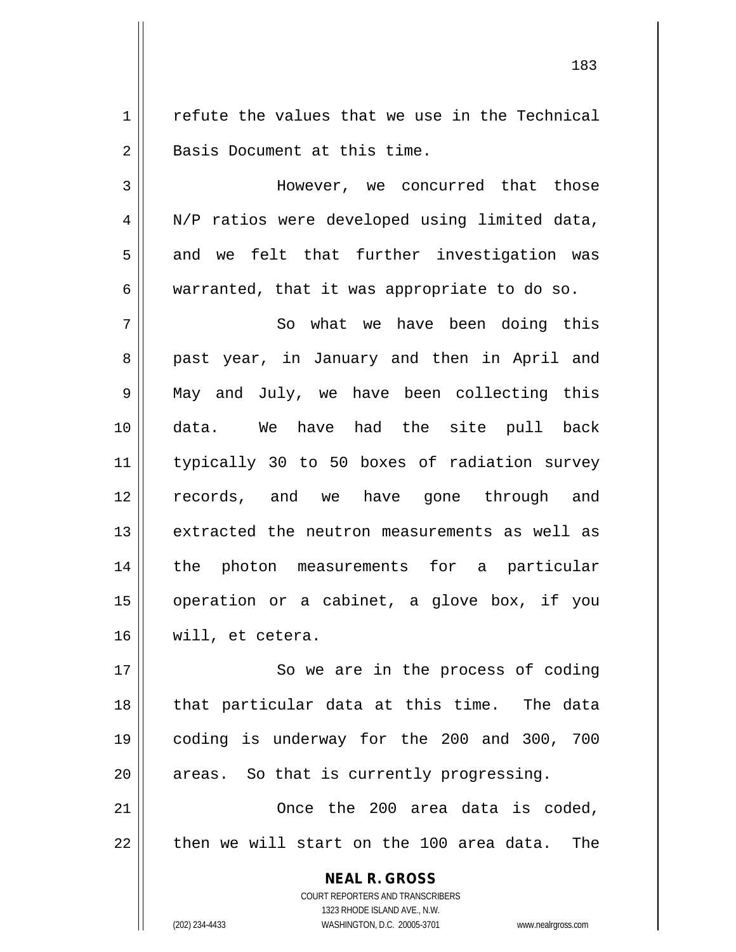$1 \parallel$  refute the values that we use in the Technical 2 || Basis Document at this time.

3 However, we concurred that those 4 | N/P ratios were developed using limited data,  $5 \parallel$  and we felt that further investigation was  $6 \parallel$  warranted, that it was appropriate to do so.

 So what we have been doing this 8 || past year, in January and then in April and May and July, we have been collecting this data. We have had the site pull back typically 30 to 50 boxes of radiation survey records, and we have gone through and extracted the neutron measurements as well as the photon measurements for a particular operation or a cabinet, a glove box, if you will, et cetera.

17 || So we are in the process of coding 18 || that particular data at this time. The data 19 coding is underway for the 200 and 300, 700  $20$  | areas. So that is currently progressing.

21 Once the 200 area data is coded,  $22$   $\parallel$  then we will start on the 100 area data. The

> **NEAL R. GROSS** COURT REPORTERS AND TRANSCRIBERS 1323 RHODE ISLAND AVE., N.W. (202) 234-4433 WASHINGTON, D.C. 20005-3701 www.nealrgross.com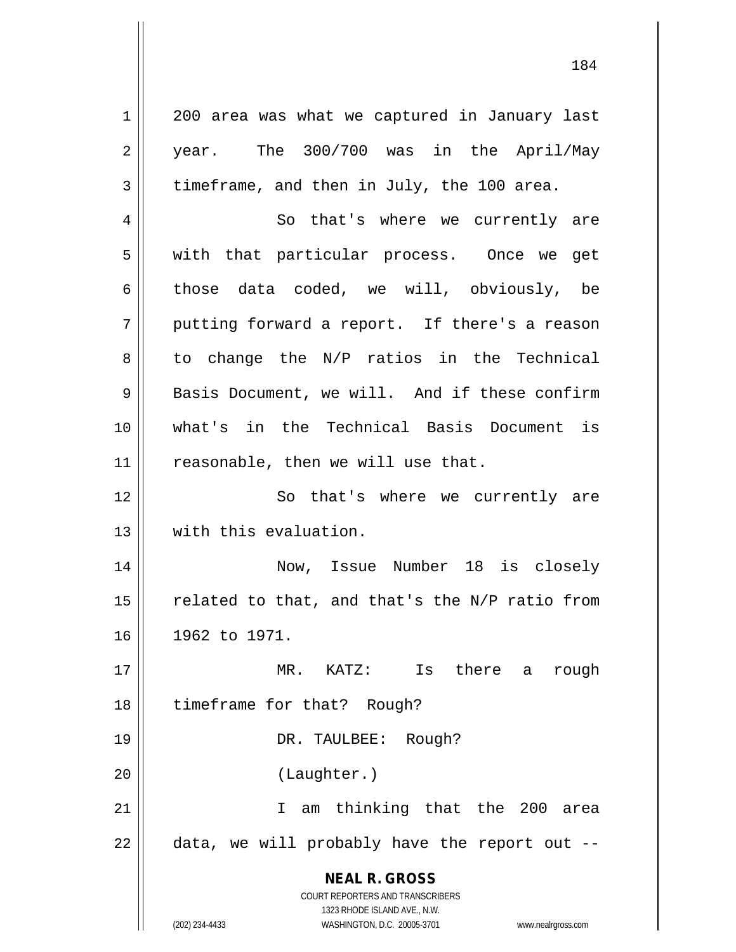**NEAL R. GROSS** COURT REPORTERS AND TRANSCRIBERS 1323 RHODE ISLAND AVE., N.W. 1 || 200 area was what we captured in January last 2 || year. The 300/700 was in the April/May  $3 \parallel$  timeframe, and then in July, the 100 area. 4 || So that's where we currently are 5 || with that particular process. Once we get 6 those data coded, we will, obviously, be  $7 \parallel$  putting forward a report. If there's a reason  $8 \parallel$  to change the N/P ratios in the Technical 9 Basis Document, we will. And if these confirm 10 what's in the Technical Basis Document is  $11$  | reasonable, then we will use that. 12 || So that's where we currently are 13 with this evaluation. 14 Now, Issue Number 18 is closely 15  $\parallel$  related to that, and that's the N/P ratio from 16 1962 to 1971. 17 MR. KATZ: Is there a rough 18 | timeframe for that? Rough? 19 || DR. TAULBEE: Rough? 20 (Laughter.) 21 I am thinking that the 200 area  $22$   $\parallel$  data, we will probably have the report out --

(202) 234-4433 WASHINGTON, D.C. 20005-3701 www.nealrgross.com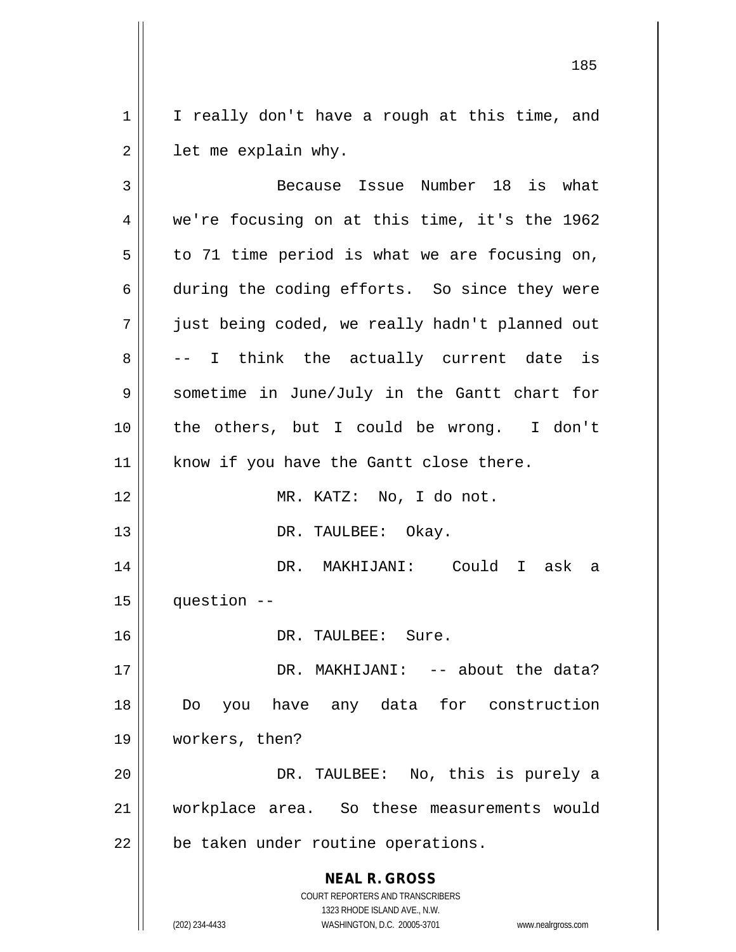$1 \parallel$  I really don't have a rough at this time, and  $2 \parallel$  let me explain why.

**NEAL R. GROSS** COURT REPORTERS AND TRANSCRIBERS 1323 RHODE ISLAND AVE., N.W. (202) 234-4433 WASHINGTON, D.C. 20005-3701 www.nealrgross.com 3 || Because Issue Number 18 is what 4 we're focusing on at this time, it's the 1962  $5 \parallel$  to 71 time period is what we are focusing on, 6 during the coding efforts. So since they were 7 just being coded, we really hadn't planned out  $8 \parallel$  -- I think the actually current date is 9 Sometime in June/July in the Gantt chart for 10 the others, but I could be wrong. I don't 11 || know if you have the Gantt close there. 12 MR. KATZ: No, I do not. 13 || DR. TAULBEE: Okay. 14 DR. MAKHIJANI: Could I ask a  $15$  | question  $-$ 16 DR. TAULBEE: Sure. 17 DR. MAKHIJANI: -- about the data? 18 Do you have any data for construction 19 workers, then? 20 DR. TAULBEE: No, this is purely a 21 workplace area. So these measurements would  $22$  | be taken under routine operations.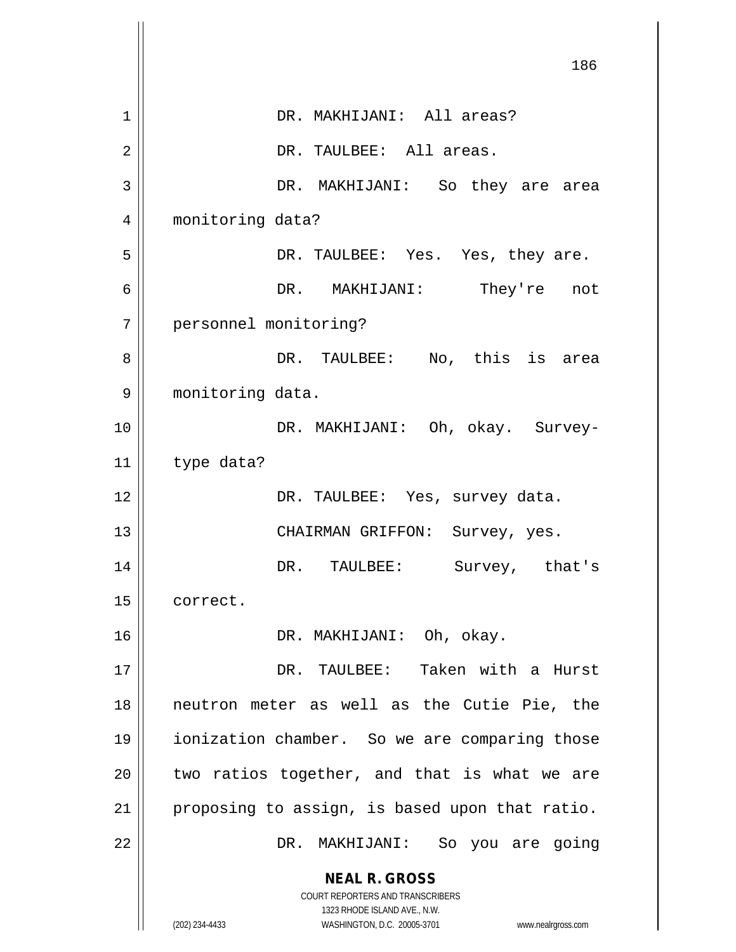|    | 186                                                                 |
|----|---------------------------------------------------------------------|
| 1  | DR. MAKHIJANI: All areas?                                           |
| 2  | DR. TAULBEE: All areas.                                             |
| 3  | DR. MAKHIJANI: So they are area                                     |
| 4  | monitoring data?                                                    |
| 5  | DR. TAULBEE: Yes. Yes, they are.                                    |
| 6  | DR. MAKHIJANI: They're not                                          |
| 7  | personnel monitoring?                                               |
| 8  | DR. TAULBEE: No, this is area                                       |
| 9  | monitoring data.                                                    |
| 10 | DR. MAKHIJANI: Oh, okay. Survey-                                    |
| 11 | type data?                                                          |
| 12 | DR. TAULBEE: Yes, survey data.                                      |
| 13 | CHAIRMAN GRIFFON: Survey, yes.                                      |
| 14 | DR.<br>TAULBEE: Survey, that's                                      |
| 15 | correct.                                                            |
| 16 | DR. MAKHIJANI: Oh, okay.                                            |
| 17 | Taken with a Hurst<br>DR. TAULBEE:                                  |
| 18 | neutron meter as well as the Cutie Pie, the                         |
| 19 | ionization chamber. So we are comparing those                       |
| 20 | two ratios together, and that is what we are                        |
| 21 | proposing to assign, is based upon that ratio.                      |
| 22 | DR. MAKHIJANI: So you are going                                     |
|    | <b>NEAL R. GROSS</b>                                                |
|    | COURT REPORTERS AND TRANSCRIBERS<br>1323 RHODE ISLAND AVE., N.W.    |
|    | (202) 234-4433<br>WASHINGTON, D.C. 20005-3701<br>www.nealrgross.com |

 $\overline{\phantom{a}}$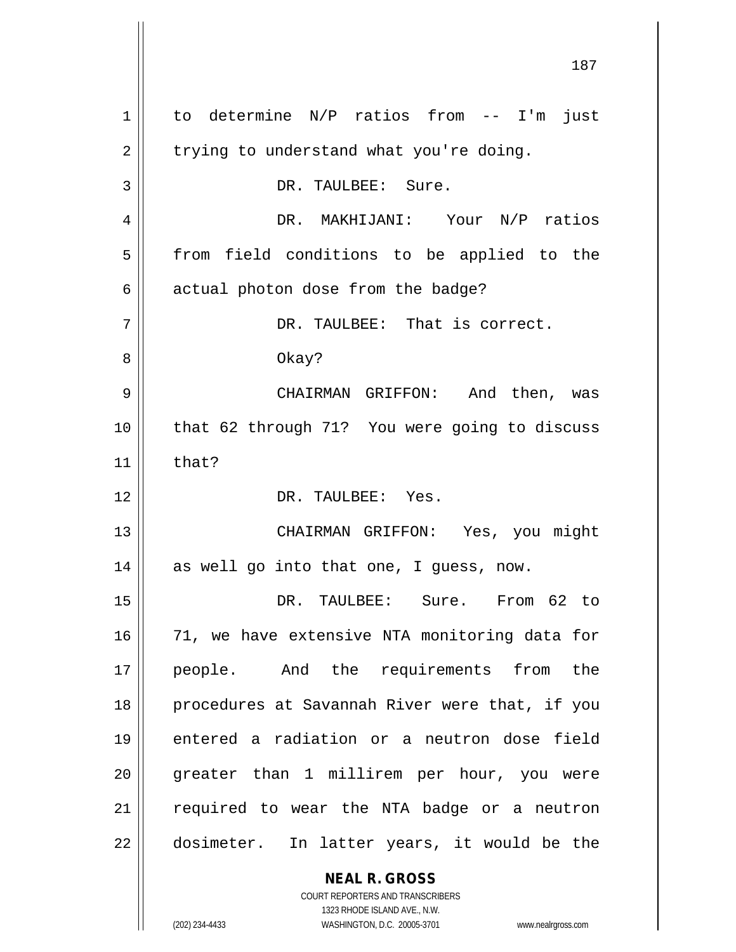**NEAL R. GROSS** 1 to determine N/P ratios from -- I'm just  $2 \parallel$  trying to understand what you're doing. 3 | DR. TAULBEE: Sure. 4 DR. MAKHIJANI: Your N/P ratios 5 || from field conditions to be applied to the  $6$  | actual photon dose from the badge? 7 DR. TAULBEE: That is correct. 8 || Okay? 9 CHAIRMAN GRIFFON: And then, was 10 that 62 through 71? You were going to discuss 11  $\parallel$  that? 12 DR. TAULBEE: Yes. 13 CHAIRMAN GRIFFON: Yes, you might  $14 \parallel$  as well go into that one, I guess, now. 15 DR. TAULBEE: Sure. From 62 to 16 || 71, we have extensive NTA monitoring data for 17 people. And the requirements from the 18 || procedures at Savannah River were that, if you 19 entered a radiation or a neutron dose field 20 || greater than 1 millirem per hour, you were 21 || required to wear the NTA badge or a neutron 22 || dosimeter. In latter years, it would be the

> COURT REPORTERS AND TRANSCRIBERS 1323 RHODE ISLAND AVE., N.W.

(202) 234-4433 WASHINGTON, D.C. 20005-3701 www.nealrgross.com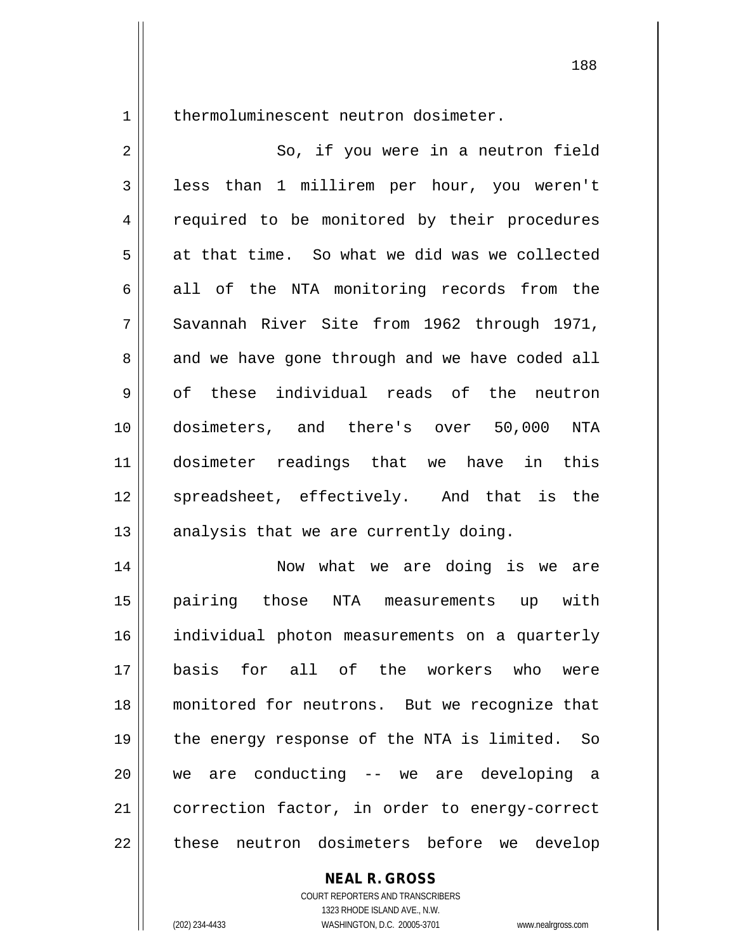1 | thermoluminescent neutron dosimeter.

2 || So, if you were in a neutron field 3 || less than 1 millirem per hour, you weren't 4 || required to be monitored by their procedures  $5 \parallel$  at that time. So what we did was we collected  $6 \parallel$  all of the NTA monitoring records from the 7 Savannah River Site from 1962 through 1971,  $8 \parallel$  and we have gone through and we have coded all  $9 \parallel$  of these individual reads of the neutron 10 dosimeters, and there's over 50,000 NTA 11 dosimeter readings that we have in this 12 || spreadsheet, effectively. And that is the  $13$  || analysis that we are currently doing. 14 Now what we are doing is we are 15 pairing those NTA measurements up with 16 individual photon measurements on a quarterly 17 basis for all of the workers who were 18 monitored for neutrons. But we recognize that 19 || the energy response of the NTA is limited. So 20 we are conducting -- we are developing a 21 | correction factor, in order to energy-correct

22 || these neutron dosimeters before we develop

**NEAL R. GROSS**

COURT REPORTERS AND TRANSCRIBERS 1323 RHODE ISLAND AVE., N.W. (202) 234-4433 WASHINGTON, D.C. 20005-3701 www.nealrgross.com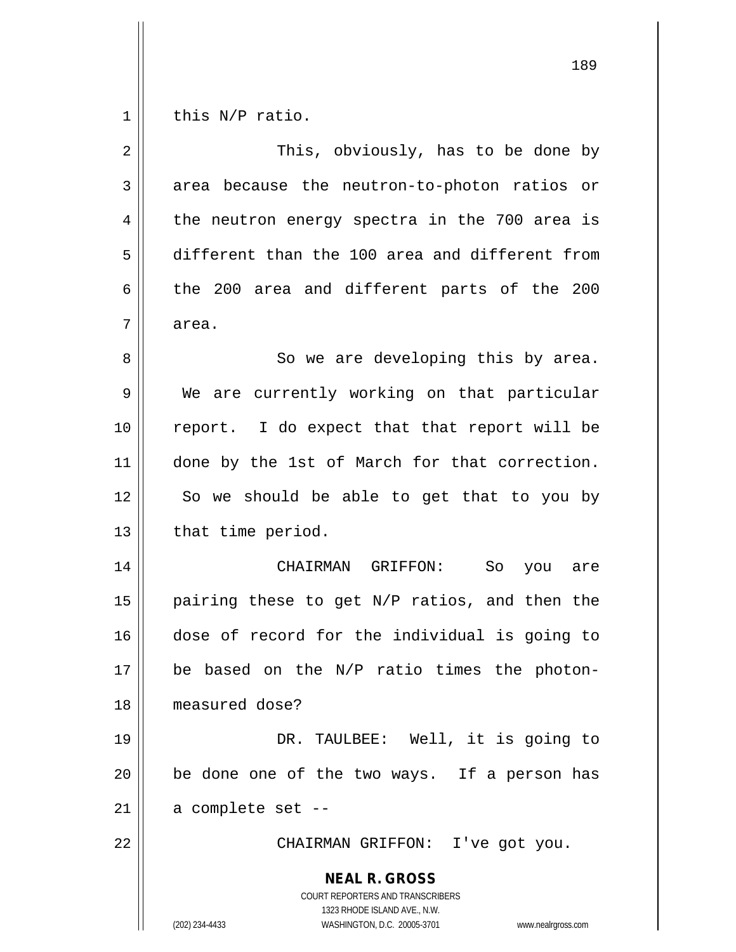$1 \parallel$  this N/P ratio.

| $\overline{2}$ | This, obviously, has to be done by                                                                                                                              |
|----------------|-----------------------------------------------------------------------------------------------------------------------------------------------------------------|
| 3              | area because the neutron-to-photon ratios or                                                                                                                    |
| $\overline{4}$ | the neutron energy spectra in the 700 area is                                                                                                                   |
| 5              | different than the 100 area and different from                                                                                                                  |
| $\epsilon$     | the 200 area and different parts of the 200                                                                                                                     |
| 7              | area.                                                                                                                                                           |
| 8              | So we are developing this by area.                                                                                                                              |
| 9              | We are currently working on that particular                                                                                                                     |
| 10             | report. I do expect that that report will be                                                                                                                    |
| 11             | done by the 1st of March for that correction.                                                                                                                   |
| 12             | So we should be able to get that to you by                                                                                                                      |
| 13             | that time period.                                                                                                                                               |
| 14             | CHAIRMAN GRIFFON:<br>So<br>you are                                                                                                                              |
| 15             | pairing these to get N/P ratios, and then the                                                                                                                   |
| 16             | dose of record for the individual is going to                                                                                                                   |
| 17             | be based on the N/P ratio times the photon-                                                                                                                     |
| 18             | measured dose?                                                                                                                                                  |
| 19             | DR. TAULBEE: Well, it is going to                                                                                                                               |
| 20             | be done one of the two ways. If a person has                                                                                                                    |
| 21             | a complete set --                                                                                                                                               |
| 22             | CHAIRMAN GRIFFON: I've got you.                                                                                                                                 |
|                | <b>NEAL R. GROSS</b><br>COURT REPORTERS AND TRANSCRIBERS<br>1323 RHODE ISLAND AVE., N.W.<br>(202) 234-4433<br>WASHINGTON, D.C. 20005-3701<br>www.nealrgross.com |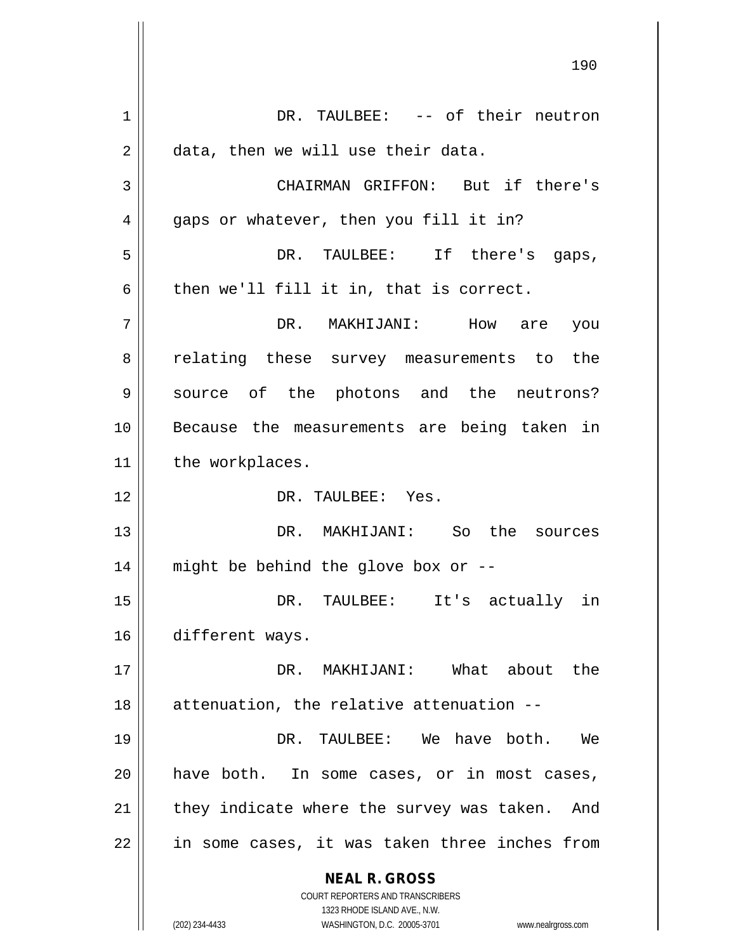**NEAL R. GROSS** COURT REPORTERS AND TRANSCRIBERS 1323 RHODE ISLAND AVE., N.W. (202) 234-4433 WASHINGTON, D.C. 20005-3701 www.nealrgross.com 1 DR. TAULBEE: -- of their neutron 2 | data, then we will use their data. 3 CHAIRMAN GRIFFON: But if there's 4 || gaps or whatever, then you fill it in? 5 DR. TAULBEE: If there's gaps,  $6 \parallel$  then we'll fill it in, that is correct. 7 DR. MAKHIJANI: How are you 8 || relating these survey measurements to the 9 Source of the photons and the neutrons? 10 Because the measurements are being taken in 11 | the workplaces. 12 DR. TAULBEE: Yes. 13 DR. MAKHIJANI: So the sources 14 might be behind the glove box or -- 15 DR. TAULBEE: It's actually in 16 different ways. 17 DR. MAKHIJANI: What about the  $18$  || attenuation, the relative attenuation  $-$ -19 DR. TAULBEE: We have both. We 20 || have both. In some cases, or in most cases,  $21$  | they indicate where the survey was taken. And 22 || in some cases, it was taken three inches from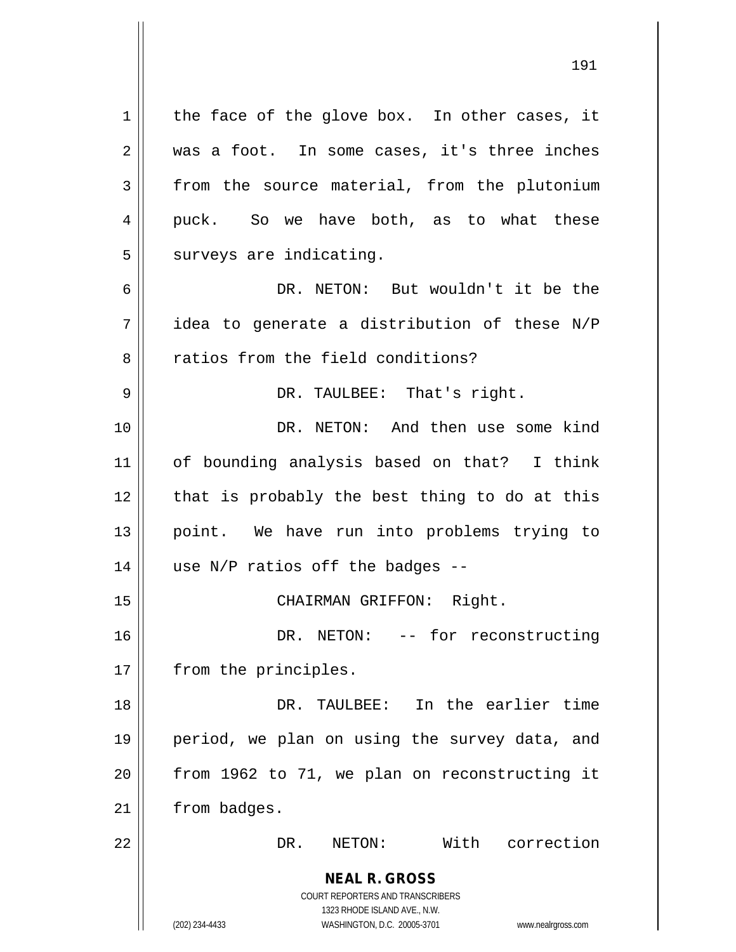**NEAL R. GROSS** COURT REPORTERS AND TRANSCRIBERS 1323 RHODE ISLAND AVE., N.W. (202) 234-4433 WASHINGTON, D.C. 20005-3701 www.nealrgross.com  $1 \parallel$  the face of the glove box. In other cases, it 2 || was a foot. In some cases, it's three inches  $3 \parallel$  from the source material, from the plutonium 4 puck. So we have both, as to what these  $5$  surveys are indicating. 6 DR. NETON: But wouldn't it be the  $7 \parallel$  idea to generate a distribution of these N/P 8 and ratios from the field conditions? 9 DR. TAULBEE: That's right. 10 DR. NETON: And then use some kind 11 of bounding analysis based on that? I think  $12$  | that is probably the best thing to do at this 13 point. We have run into problems trying to 14  $\parallel$  use N/P ratios off the badges --15 || CHAIRMAN GRIFFON: Right. 16 DR. NETON: -- for reconstructing 17 | from the principles. 18 DR. TAULBEE: In the earlier time 19 period, we plan on using the survey data, and  $20$  | from 1962 to 71, we plan on reconstructing it 21 | from badges. 22 DR. NETON: With correction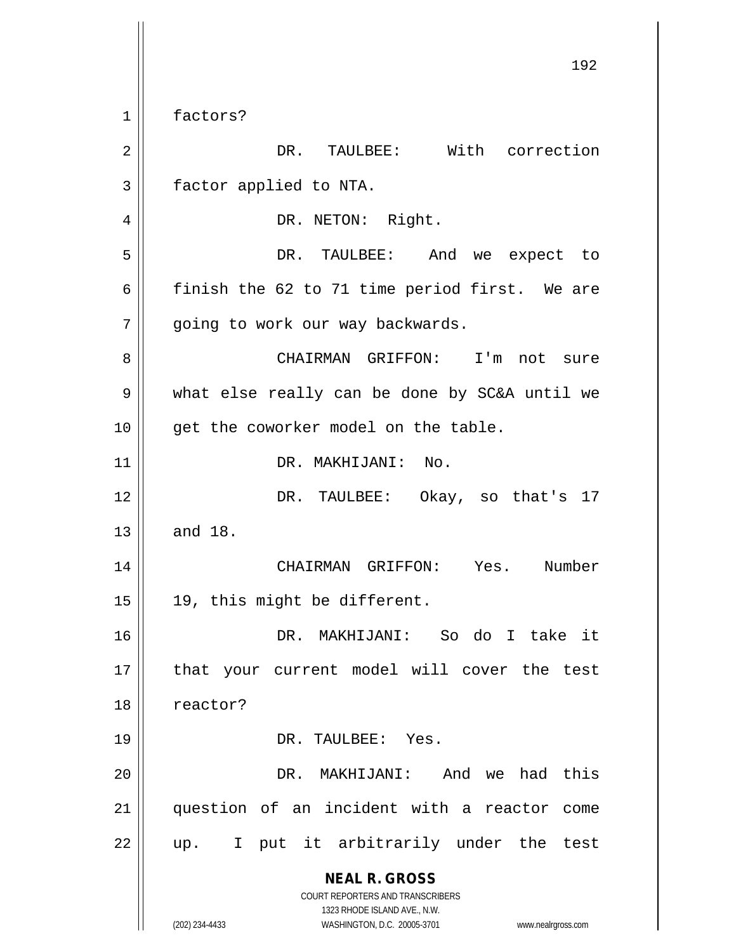**NEAL R. GROSS** COURT REPORTERS AND TRANSCRIBERS 1323 RHODE ISLAND AVE., N.W. (202) 234-4433 WASHINGTON, D.C. 20005-3701 www.nealrgross.com 192 1 factors? 2 DR. TAULBEE: With correction 3 | factor applied to NTA. 4 | DR. NETON: Right. 5 DR. TAULBEE: And we expect to 6  $\parallel$  finish the 62 to 71 time period first. We are 7 | going to work our way backwards. 8 CHAIRMAN GRIFFON: I'm not sure 9 what else really can be done by SC&A until we 10 || get the coworker model on the table. 11 | DR. MAKHIJANI: No. 12 DR. TAULBEE: Okay, so that's 17  $13 \parallel$  and 18. 14 CHAIRMAN GRIFFON: Yes. Number 15 || 19, this might be different. 16 DR. MAKHIJANI: So do I take it 17 || that your current model will cover the test 18 | reactor? 19 || DR. TAULBEE: Yes. 20 DR. MAKHIJANI: And we had this 21 question of an incident with a reactor come  $22$  || up. I put it arbitrarily under the test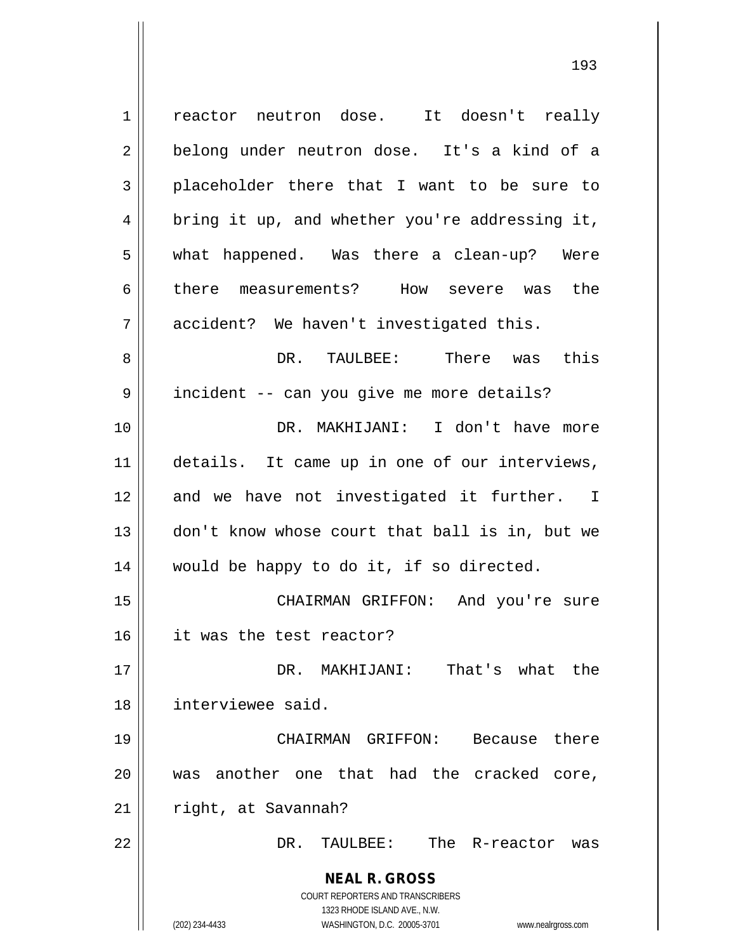**NEAL R. GROSS** COURT REPORTERS AND TRANSCRIBERS 1323 RHODE ISLAND AVE., N.W. (202) 234-4433 WASHINGTON, D.C. 20005-3701 www.nealrgross.com 1 | reactor neutron dose. It doesn't really 2 || belong under neutron dose. It's a kind of a 3 placeholder there that I want to be sure to 4 || bring it up, and whether you're addressing it, 5 what happened. Was there a clean-up? Were 6 there measurements? How severe was the 7 accident? We haven't investigated this. 8 DR. TAULBEE: There was this 9 || incident -- can you give me more details? 10 DR. MAKHIJANI: I don't have more 11 || details. It came up in one of our interviews, 12 and we have not investigated it further. I 13 don't know whose court that ball is in, but we 14 would be happy to do it, if so directed. 15 CHAIRMAN GRIFFON: And you're sure 16 it was the test reactor? 17 DR. MAKHIJANI: That's what the 18 interviewee said. 19 CHAIRMAN GRIFFON: Because there 20 was another one that had the cracked core, 21 | right, at Savannah? 22 DR. TAULBEE: The R-reactor was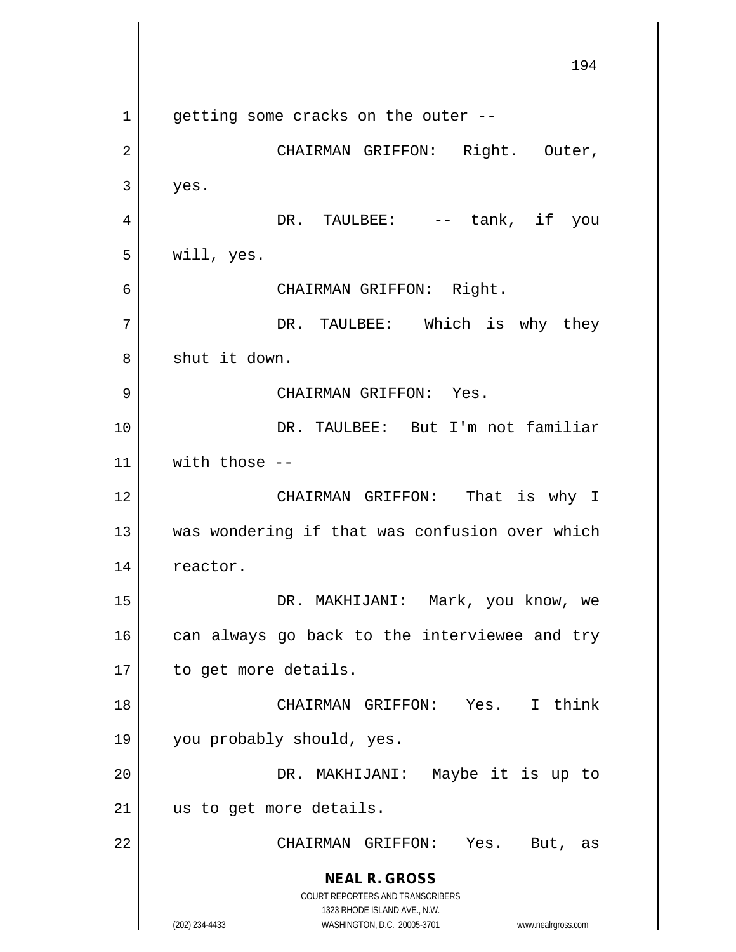**NEAL R. GROSS** COURT REPORTERS AND TRANSCRIBERS 1323 RHODE ISLAND AVE., N.W. (202) 234-4433 WASHINGTON, D.C. 20005-3701 www.nealrgross.com 194  $1 \parallel$  getting some cracks on the outer --2 CHAIRMAN GRIFFON: Right. Outer,  $3 \parallel$  yes. 4 DR. TAULBEE: -- tank, if you  $5 \parallel$  will, yes. 6 CHAIRMAN GRIFFON: Right. 7 DR. TAULBEE: Which is why they 8 || shut it down. 9 CHAIRMAN GRIFFON: Yes. 10 || DR. TAULBEE: But I'm not familiar  $11$  with those  $-$ 12 CHAIRMAN GRIFFON: That is why I 13 || was wondering if that was confusion over which 14 | reactor. 15 DR. MAKHIJANI: Mark, you know, we  $16$  can always go back to the interviewee and try 17 | to get more details. 18 || CHAIRMAN GRIFFON: Yes. I think 19 you probably should, yes. 20 DR. MAKHIJANI: Maybe it is up to 21 || us to get more details. 22 CHAIRMAN GRIFFON: Yes. But, as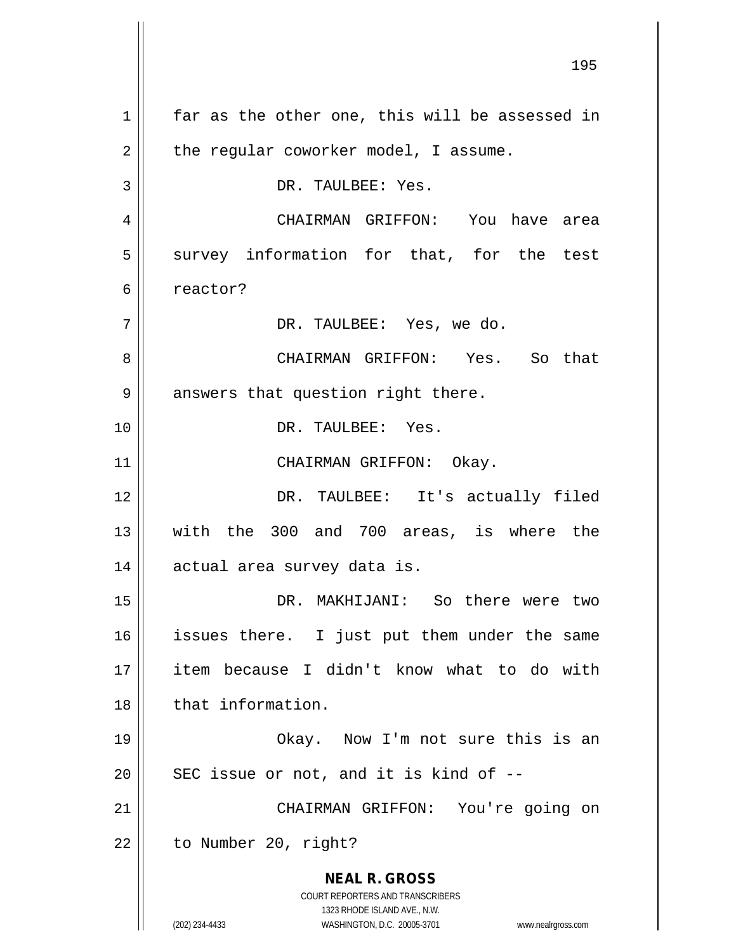**NEAL R. GROSS** COURT REPORTERS AND TRANSCRIBERS 1323 RHODE ISLAND AVE., N.W. (202) 234-4433 WASHINGTON, D.C. 20005-3701 www.nealrgross.com  $1 \parallel$  far as the other one, this will be assessed in  $2 \parallel$  the regular coworker model, I assume. 3 || DR. TAULBEE: Yes. 4 CHAIRMAN GRIFFON: You have area  $5$  survey information for that, for the test 6 c reactor? 7 DR. TAULBEE: Yes, we do. 8 CHAIRMAN GRIFFON: Yes. So that  $9 \parallel$  answers that question right there. 10 DR. TAULBEE: Yes. 11 || CHAIRMAN GRIFFON: Okay. 12 || DR. TAULBEE: It's actually filed 13 with the 300 and 700 areas, is where the 14 || actual area survey data is. 15 DR. MAKHIJANI: So there were two 16 || issues there. I just put them under the same 17 item because I didn't know what to do with 18 || that information. 19 Okay. Now I'm not sure this is an  $20$  || SEC issue or not, and it is kind of  $-$ -21 || CHAIRMAN GRIFFON: You're going on  $22$  | to Number 20, right?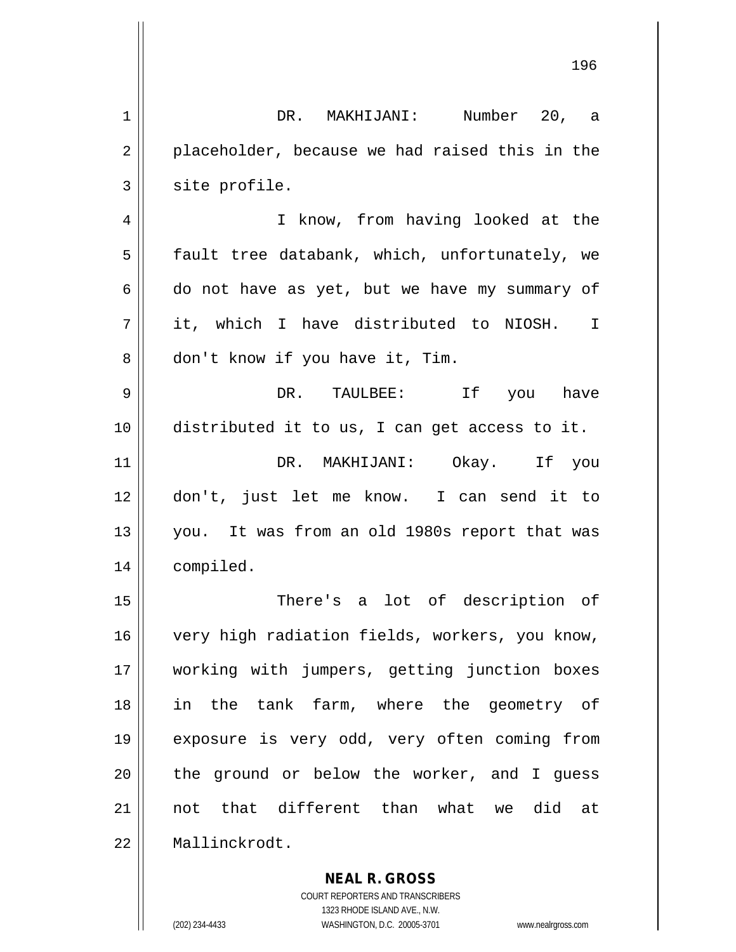|    | 196                                            |
|----|------------------------------------------------|
| 1  | DR. MAKHIJANI: Number 20, a                    |
| 2  | placeholder, because we had raised this in the |
| 3  | site profile.                                  |
| 4  | I know, from having looked at the              |
| 5  | fault tree databank, which, unfortunately, we  |
| 6  | do not have as yet, but we have my summary of  |
| 7  | it, which I have distributed to NIOSH. I       |
| 8  | don't know if you have it, Tim.                |
| 9  | DR. TAULBEE: If you have                       |
| 10 | distributed it to us, I can get access to it.  |
| 11 | DR. MAKHIJANI: Okay. If you                    |
| 12 | don't, just let me know. I can send it to      |
| 13 | you. It was from an old 1980s report that was  |
| 14 | compiled.                                      |
| 15 | There's a lot of description of                |
| 16 | very high radiation fields, workers, you know, |
| 17 | working with jumpers, getting junction boxes   |
| 18 | in the tank farm, where the geometry of        |
| 19 | exposure is very odd, very often coming from   |
| 20 | the ground or below the worker, and I guess    |
| 21 | not that different than what we did at         |
| 22 | Mallinckrodt.                                  |
|    | <b>NEAL R. GROSS</b>                           |

COURT REPORTERS AND TRANSCRIBERS 1323 RHODE ISLAND AVE., N.W.

 $\mathsf{II}$ 

(202) 234-4433 WASHINGTON, D.C. 20005-3701 www.nealrgross.com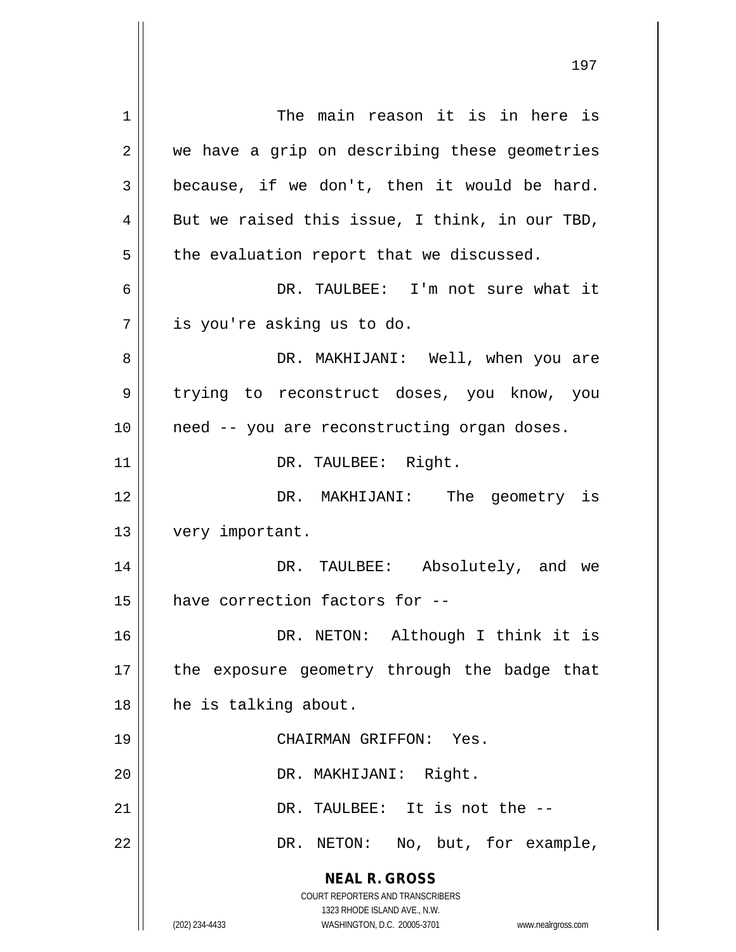**NEAL R. GROSS** COURT REPORTERS AND TRANSCRIBERS 1323 RHODE ISLAND AVE., N.W. (202) 234-4433 WASHINGTON, D.C. 20005-3701 www.nealrgross.com 1 | The main reason it is in here is  $2 \parallel$  we have a grip on describing these geometries  $3 \parallel$  because, if we don't, then it would be hard.  $4 \parallel$  But we raised this issue, I think, in our TBD,  $5$  | the evaluation report that we discussed. 6 DR. TAULBEE: I'm not sure what it  $7 \parallel$  is you're asking us to do. 8 DR. MAKHIJANI: Well, when you are 9 trying to reconstruct doses, you know, you 10 || need -- you are reconstructing organ doses. 11 || DR. TAULBEE: Right. 12 DR. MAKHIJANI: The geometry is 13 | very important. 14 DR. TAULBEE: Absolutely, and we 15 | have correction factors for --16 DR. NETON: Although I think it is 17 || the exposure geometry through the badge that 18 | he is talking about. 19 CHAIRMAN GRIFFON: Yes. 20 || DR. MAKHIJANI: Right. 21  $\parallel$  DR. TAULBEE: It is not the  $-$ 22 || DR. NETON: No, but, for example,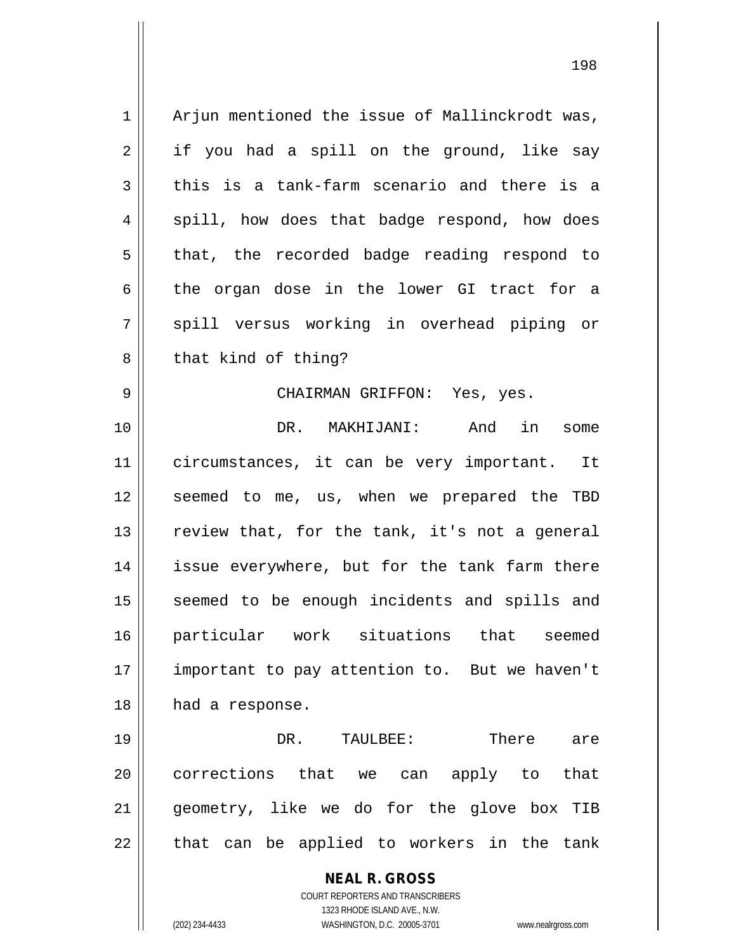1 || Arjun mentioned the issue of Mallinckrodt was,  $2 \parallel$  if you had a spill on the ground, like say  $3 \parallel$  this is a tank-farm scenario and there is a  $4 \parallel$  spill, how does that badge respond, how does  $5 \parallel$  that, the recorded badge reading respond to  $6 \parallel$  the organ dose in the lower GI tract for a 7 || spill versus working in overhead piping or  $8 \parallel$  that kind of thing? 9 CHAIRMAN GRIFFON: Yes, yes. 10 DR. MAKHIJANI: And in some 11 circumstances, it can be very important. It 12 || seemed to me, us, when we prepared the TBD 13  $\parallel$  review that, for the tank, it's not a general 14 || issue everywhere, but for the tank farm there 15 || seemed to be enough incidents and spills and 16 particular work situations that seemed 17 || important to pay attention to. But we haven't 18 || had a response. 19 DR. TAULBEE: There are 20 || corrections that we can apply to that 21 geometry, like we do for the glove box TIB

COURT REPORTERS AND TRANSCRIBERS 1323 RHODE ISLAND AVE., N.W. (202) 234-4433 WASHINGTON, D.C. 20005-3701 www.nealrgross.com

 $22$  || that can be applied to workers in the tank

**NEAL R. GROSS**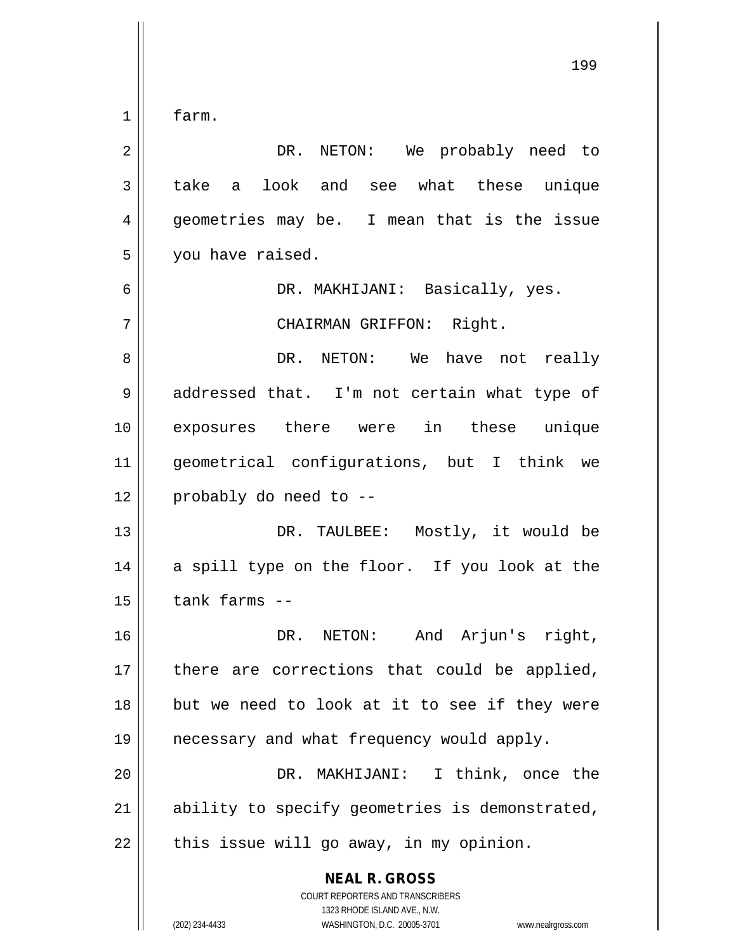$1 \parallel$  farm.

 DR. NETON: We probably need to 3 || take a look and see what these unique 4 geometries may be. I mean that is the issue you have raised. DR. MAKHIJANI: Basically, yes. CHAIRMAN GRIFFON: Right. DR. NETON: We have not really 9 || addressed that. I'm not certain what type of exposures there were in these unique geometrical configurations, but I think we | probably do need to -- DR. TAULBEE: Mostly, it would be 14 || a spill type on the floor. If you look at the | tank farms -- DR. NETON: And Arjun's right, 17 there are corrections that could be applied, 18 || but we need to look at it to see if they were necessary and what frequency would apply. DR. MAKHIJANI: I think, once the 21 || ability to specify geometries is demonstrated,

 $22$  | this issue will go away, in my opinion.

**NEAL R. GROSS** COURT REPORTERS AND TRANSCRIBERS 1323 RHODE ISLAND AVE., N.W. (202) 234-4433 WASHINGTON, D.C. 20005-3701 www.nealrgross.com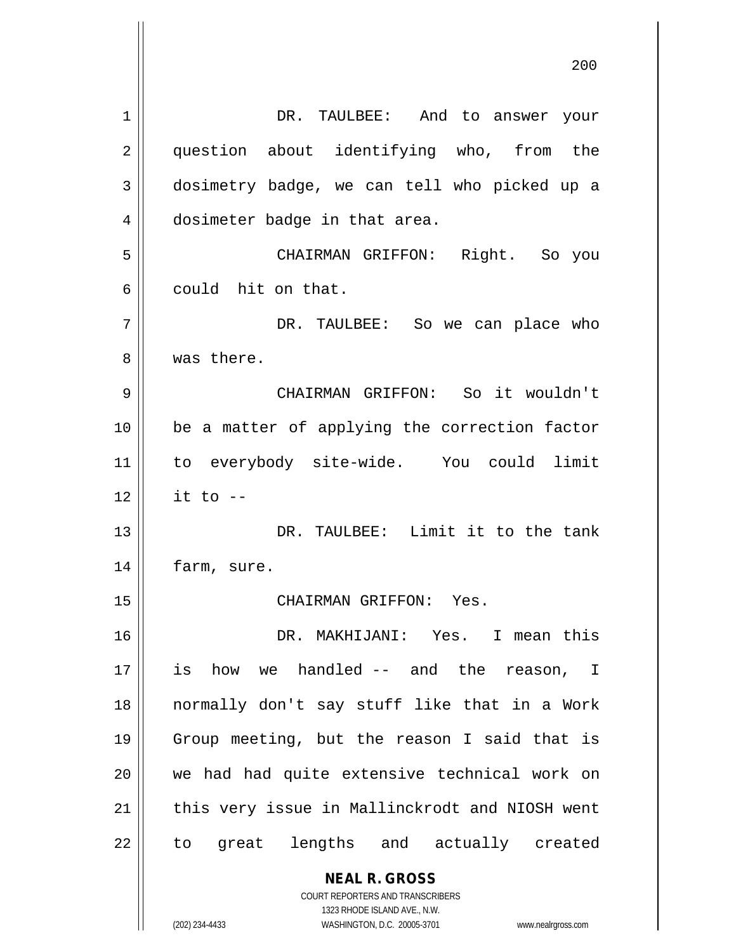| 1  | DR. TAULBEE: And to answer your                                                                     |
|----|-----------------------------------------------------------------------------------------------------|
| 2  | question about identifying who, from the                                                            |
| 3  | dosimetry badge, we can tell who picked up a                                                        |
| 4  | dosimeter badge in that area.                                                                       |
| 5  | CHAIRMAN GRIFFON: Right. So you                                                                     |
| 6  | could hit on that.                                                                                  |
| 7  | DR. TAULBEE: So we can place who                                                                    |
| 8  | was there.                                                                                          |
| 9  | CHAIRMAN GRIFFON: So it wouldn't                                                                    |
| 10 | be a matter of applying the correction factor                                                       |
| 11 | to everybody site-wide. You could limit                                                             |
| 12 | it to $-$                                                                                           |
| 13 | DR. TAULBEE: Limit it to the tank                                                                   |
| 14 | farm, sure.                                                                                         |
| 15 | CHAIRMAN GRIFFON: Yes.                                                                              |
| 16 | DR. MAKHIJANI: Yes. I mean this                                                                     |
| 17 | how we handled -- and the reason, I<br>is                                                           |
| 18 | normally don't say stuff like that in a Work                                                        |
| 19 | Group meeting, but the reason I said that is                                                        |
| 20 | we had had quite extensive technical work on                                                        |
| 21 | this very issue in Mallinckrodt and NIOSH went                                                      |
| 22 | great lengths and actually created<br>to                                                            |
|    | <b>NEAL R. GROSS</b>                                                                                |
|    | COURT REPORTERS AND TRANSCRIBERS                                                                    |
|    | 1323 RHODE ISLAND AVE., N.W.<br>(202) 234-4433<br>WASHINGTON, D.C. 20005-3701<br>www.nealrgross.com |
|    |                                                                                                     |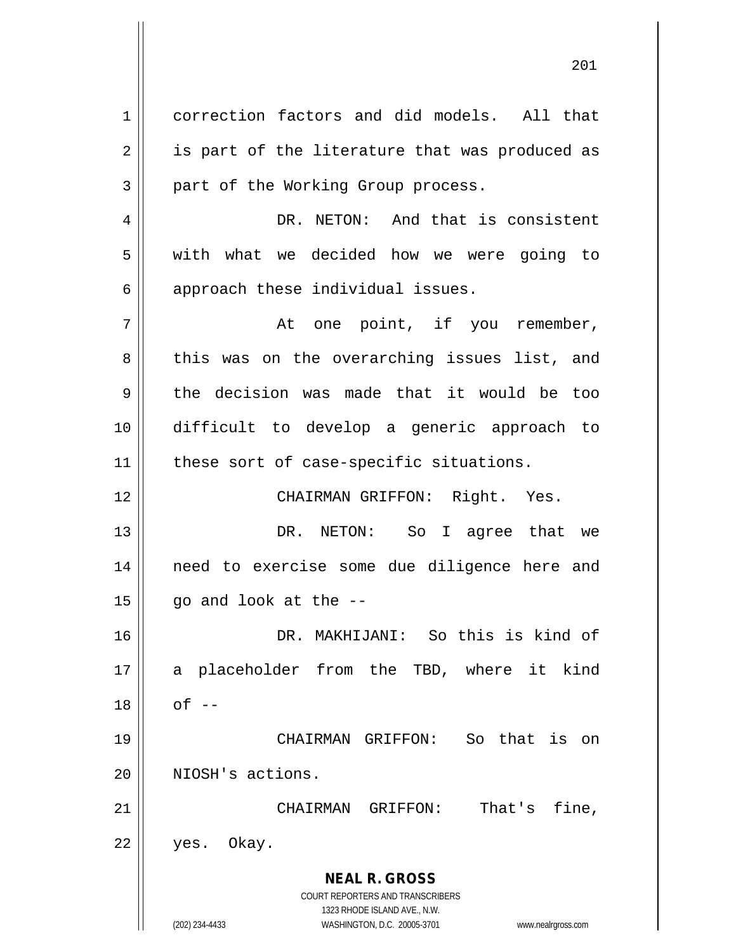**NEAL R. GROSS** COURT REPORTERS AND TRANSCRIBERS 1323 RHODE ISLAND AVE., N.W. 1 correction factors and did models. All that  $2 \parallel$  is part of the literature that was produced as  $3$  | part of the Working Group process. 4 | DR. NETON: And that is consistent 5 | with what we decided how we were going to  $6 \parallel$  approach these individual issues.  $7 \parallel$  at one point, if you remember, 8 || this was on the overarching issues list, and 9 the decision was made that it would be too 10 difficult to develop a generic approach to 11 || these sort of case-specific situations. 12 || CHAIRMAN GRIFFON: Right. Yes. 13 DR. NETON: So I agree that we 14 || need to exercise some due diligence here and  $15$  | go and look at the  $-$ 16 DR. MAKHIJANI: So this is kind of 17 a placeholder from the TBD, where it kind  $18 \parallel$  of  $-$ 19 CHAIRMAN GRIFFON: So that is on 20 || NIOSH's actions. 21 CHAIRMAN GRIFFON: That's fine, 22 yes. Okay.

(202) 234-4433 WASHINGTON, D.C. 20005-3701 www.nealrgross.com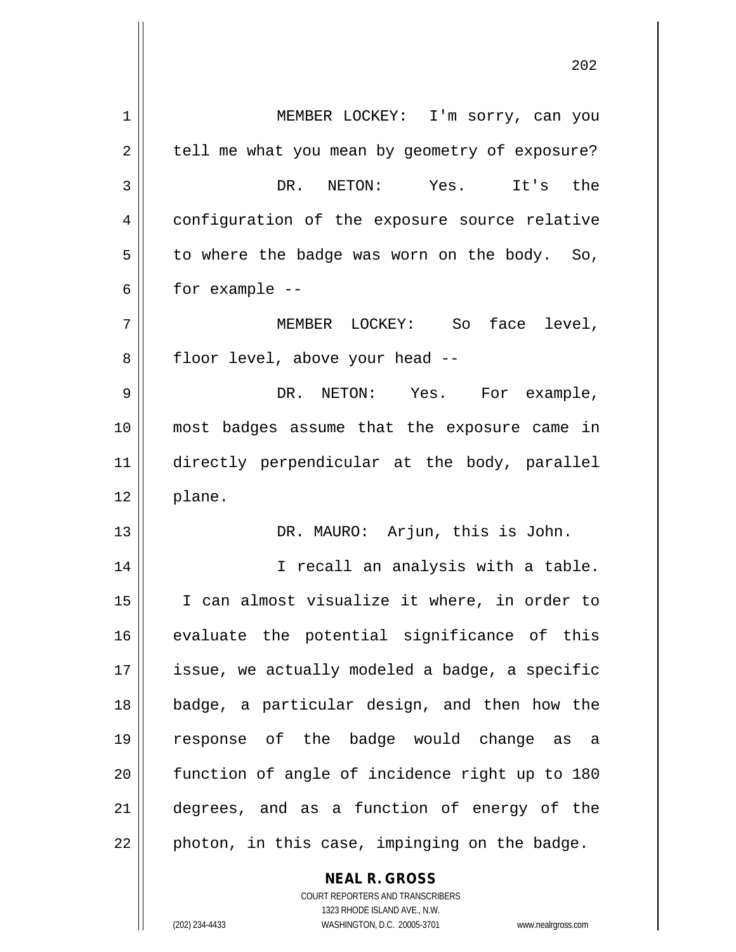| $\mathbf 1$ | MEMBER LOCKEY: I'm sorry, can you              |
|-------------|------------------------------------------------|
| 2           | tell me what you mean by geometry of exposure? |
| 3           | DR. NETON: Yes. It's the                       |
| 4           | configuration of the exposure source relative  |
| 5           | to where the badge was worn on the body. So,   |
| 6           | for example --                                 |
| 7           | MEMBER LOCKEY: So face level,                  |
| 8           | floor level, above your head --                |
| 9           | DR. NETON: Yes. For example,                   |
| 10          | most badges assume that the exposure came in   |
| 11          | directly perpendicular at the body, parallel   |
| 12          | plane.                                         |
| 13          | DR. MAURO: Arjun, this is John.                |
| 14          | I recall an analysis with a table.             |
| 15          | I can almost visualize it where, in order to   |
| 16          | evaluate the potential significance of this    |
| 17          | issue, we actually modeled a badge, a specific |
| 18          | badge, a particular design, and then how the   |
| 19          | response of the badge would change as a        |
| 20          | function of angle of incidence right up to 180 |
| 21          | degrees, and as a function of energy of the    |
| 22          | photon, in this case, impinging on the badge.  |
|             | <b>NEAL R. GROSS</b>                           |

 $\mathbf{I}$ 

1323 RHODE ISLAND AVE., N.W. (202) 234-4433 WASHINGTON, D.C. 20005-3701 www.nealrgross.com

COURT REPORTERS AND TRANSCRIBERS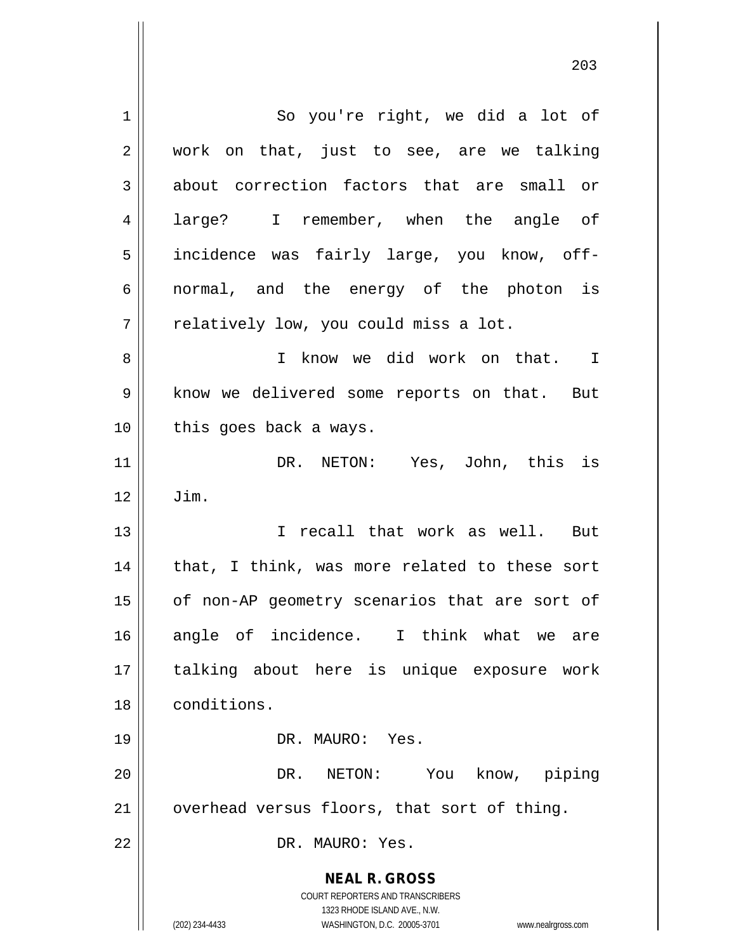**NEAL R. GROSS** COURT REPORTERS AND TRANSCRIBERS 1323 RHODE ISLAND AVE., N.W. (202) 234-4433 WASHINGTON, D.C. 20005-3701 www.nealrgross.com 1 || So you're right, we did a lot of 2 || work on that, just to see, are we talking 3 about correction factors that are small or 4 all large? I remember, when the angle of 5 || incidence was fairly large, you know, off-6 || normal, and the energy of the photon is  $7 \parallel$  relatively low, you could miss a lot. 8 I know we did work on that. I 9 | know we delivered some reports on that. But 10 || this goes back a ways. 11 DR. NETON: Yes, John, this is  $12 \parallel$  Jim. 13 I recall that work as well. But  $14$  | that, I think, was more related to these sort 15 | of non-AP geometry scenarios that are sort of 16 angle of incidence. I think what we are 17 talking about here is unique exposure work 18 conditions. 19 DR. MAURO: Yes. 20 DR. NETON: You know, piping  $21$  | overhead versus floors, that sort of thing. 22 DR. MAURO: Yes.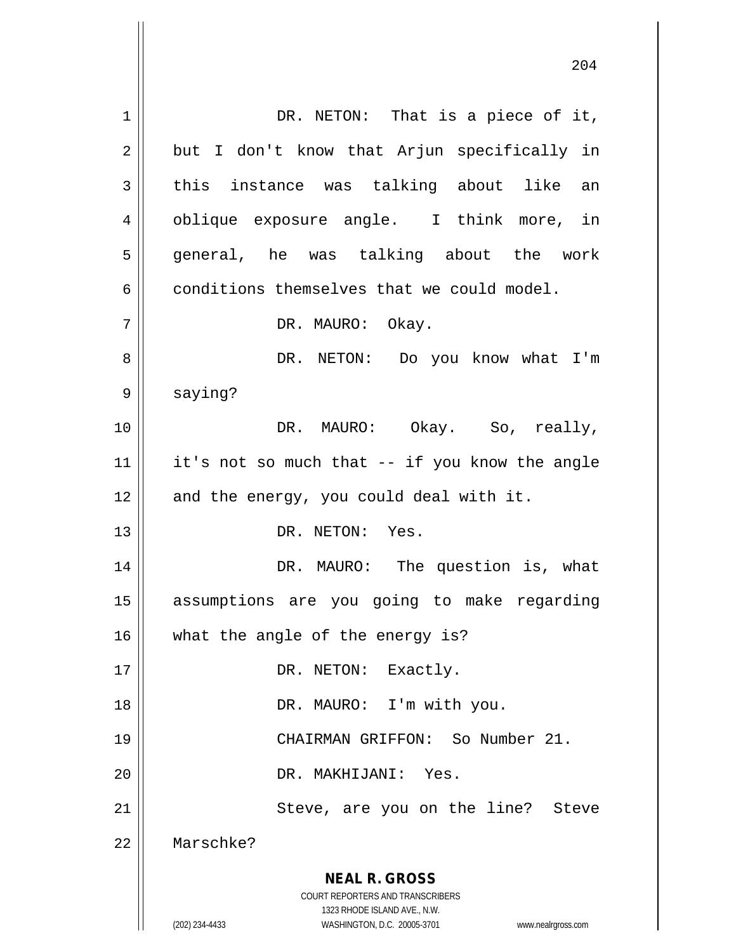**NEAL R. GROSS** COURT REPORTERS AND TRANSCRIBERS 1323 RHODE ISLAND AVE., N.W. (202) 234-4433 WASHINGTON, D.C. 20005-3701 www.nealrgross.com 1 || DR. NETON: That is a piece of it,  $2 \parallel$  but I don't know that Arjun specifically in  $3 \parallel$  this instance was talking about like an 4 || oblique exposure angle. I think more, in 5 || general, he was talking about the work  $6 \parallel$  conditions themselves that we could model. 7 DR. MAURO: Okay. 8 DR. NETON: Do you know what I'm 9 | saying? 10 DR. MAURO: Okay. So, really,  $11$  | it's not so much that -- if you know the angle  $12$  || and the energy, you could deal with it. 13 || DR. NETON: Yes. 14 DR. MAURO: The question is, what 15 assumptions are you going to make regarding 16 what the angle of the energy is? 17 || DR. NETON: Exactly. 18 || DR. MAURO: I'm with you. 19 CHAIRMAN GRIFFON: So Number 21. 20 DR. MAKHIJANI: Yes. 21 || Steve, are you on the line? Steve 22 Marschke?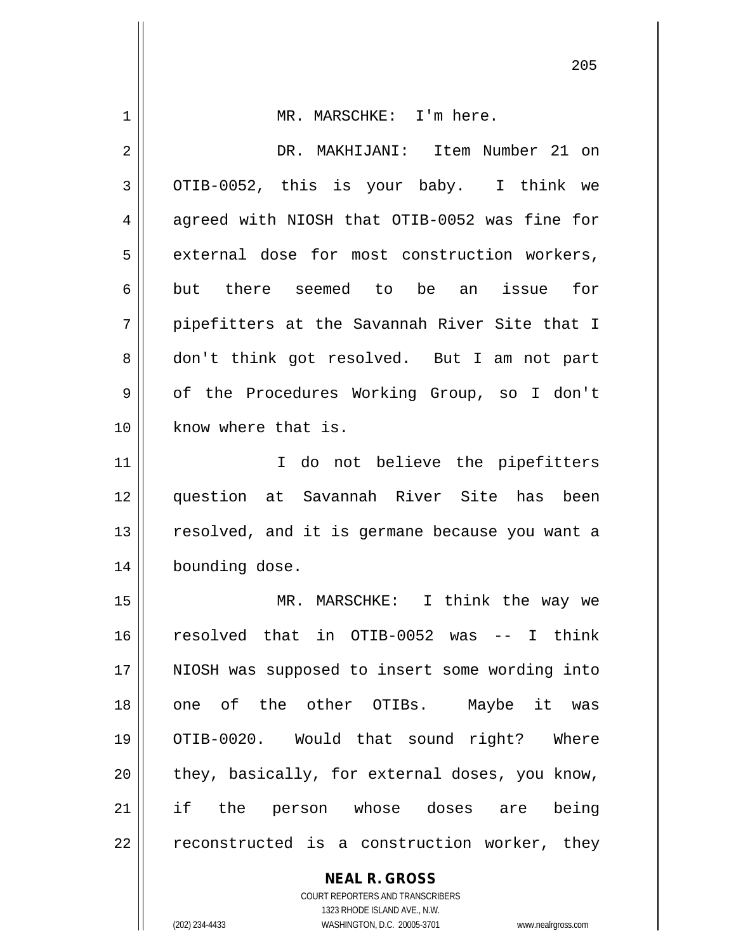| 1  | MR. MARSCHKE: I'm here.                                                                             |
|----|-----------------------------------------------------------------------------------------------------|
| 2  | DR. MAKHIJANI: Item Number 21 on                                                                    |
| 3  | OTIB-0052, this is your baby. I think we                                                            |
| 4  | agreed with NIOSH that OTIB-0052 was fine for                                                       |
| 5  | external dose for most construction workers,                                                        |
| 6  | but there seemed to be an issue<br>for                                                              |
| 7  | pipefitters at the Savannah River Site that I                                                       |
| 8  | don't think got resolved. But I am not part                                                         |
| 9  | of the Procedures Working Group, so I don't                                                         |
| 10 | know where that is.                                                                                 |
| 11 | I do not believe the pipefitters                                                                    |
| 12 | question at Savannah River Site has been                                                            |
| 13 | resolved, and it is germane because you want a                                                      |
| 14 | bounding dose.                                                                                      |
| 15 | MR. MARSCHKE: I think the way we                                                                    |
| 16 | resolved that in OTIB-0052 was -- I think                                                           |
| 17 | NIOSH was supposed to insert some wording into                                                      |
| 18 | one of the other OTIBs. Maybe it was                                                                |
| 19 | OTIB-0020. Would that sound right? Where                                                            |
| 20 | they, basically, for external doses, you know,                                                      |
| 21 | if the person whose doses are being                                                                 |
| 22 | reconstructed is a construction worker, they                                                        |
|    | <b>NEAL R. GROSS</b>                                                                                |
|    | COURT REPORTERS AND TRANSCRIBERS                                                                    |
|    | 1323 RHODE ISLAND AVE., N.W.<br>(202) 234-4433<br>WASHINGTON, D.C. 20005-3701<br>www.nealrgross.com |
|    |                                                                                                     |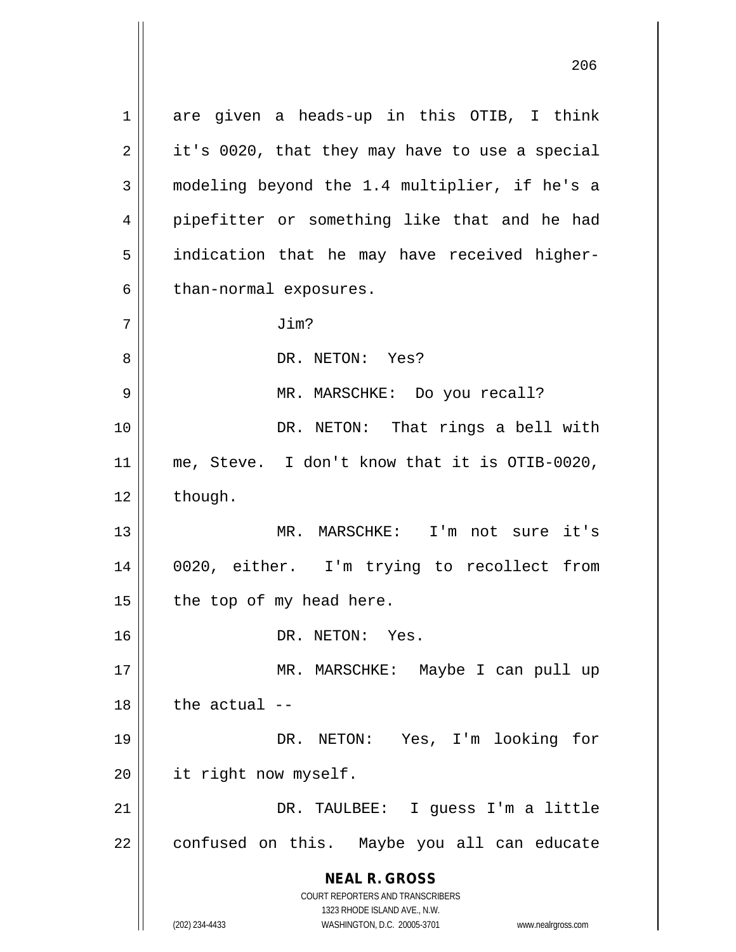**NEAL R. GROSS** COURT REPORTERS AND TRANSCRIBERS 1323 RHODE ISLAND AVE., N.W. 1 are given a heads-up in this OTIB, I think  $2 \parallel$  it's 0020, that they may have to use a special 3 modeling beyond the 1.4 multiplier, if he's a 4 || pipefitter or something like that and he had 5 | indication that he may have received higher- $6 \parallel$  than-normal exposures. 7 Jim? 8 DR. NETON: Yes? 9 || MR. MARSCHKE: Do you recall? 10 || DR. NETON: That rings a bell with 11 || me, Steve. I don't know that it is OTIB-0020,  $12 \parallel$  though. 13 MR. MARSCHKE: I'm not sure it's 14 0020, either. I'm trying to recollect from  $15$  | the top of my head here. 16 DR. NETON: Yes. 17 || MR. MARSCHKE: Maybe I can pull up  $18$  | the actual  $-$ 19 DR. NETON: Yes, I'm looking for 20 | it right now myself. 21 DR. TAULBEE: I guess I'm a little 22 | confused on this. Maybe you all can educate

(202) 234-4433 WASHINGTON, D.C. 20005-3701 www.nealrgross.com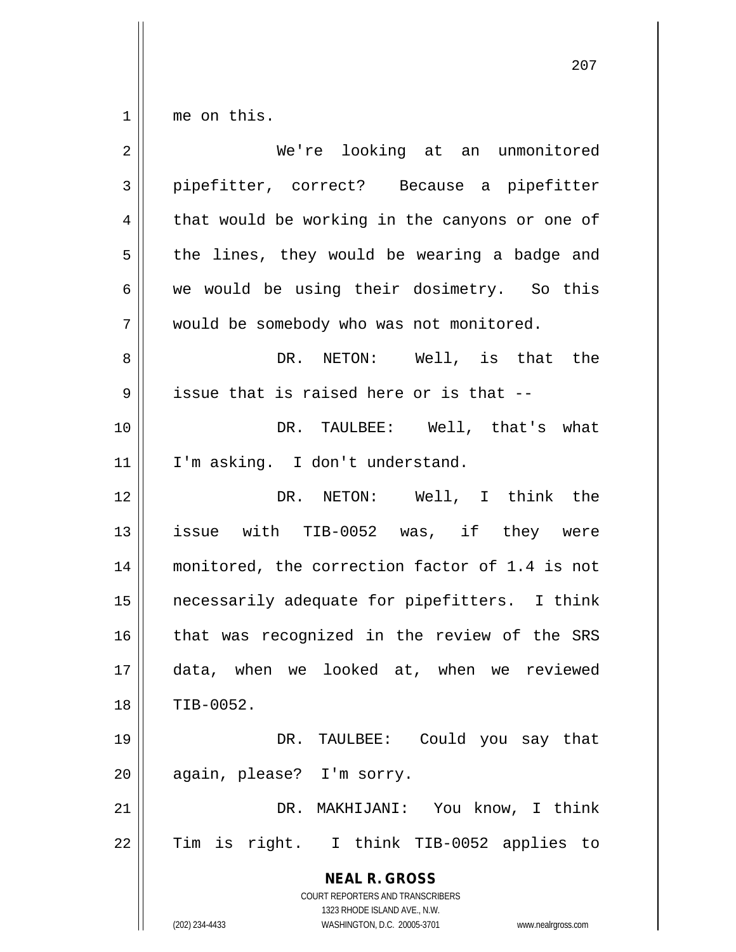$1 \parallel$  me on this.

| $\overline{2}$ | We're looking at an unmonitored                                                                     |
|----------------|-----------------------------------------------------------------------------------------------------|
| 3              | pipefitter, correct? Because a pipefitter                                                           |
| 4              | that would be working in the canyons or one of                                                      |
| 5              | the lines, they would be wearing a badge and                                                        |
| 6              | we would be using their dosimetry. So this                                                          |
| 7              | would be somebody who was not monitored.                                                            |
| 8              | DR. NETON: Well, is that the                                                                        |
| 9              | issue that is raised here or is that --                                                             |
| 10             | DR. TAULBEE: Well, that's what                                                                      |
| 11             | I'm asking. I don't understand.                                                                     |
| 12             | DR. NETON: Well, I think the                                                                        |
| 13             | issue with TIB-0052 was, if they were                                                               |
| 14             | monitored, the correction factor of 1.4 is not                                                      |
| 15             | necessarily adequate for pipefitters. I think                                                       |
| 16             | that was recognized in the review of the SRS                                                        |
| 17             | data, when we looked at, when we reviewed                                                           |
| 18             | TIB-0052.                                                                                           |
| 19             | DR. TAULBEE: Could you say that                                                                     |
| 20             | again, please? I'm sorry.                                                                           |
| 21             | DR. MAKHIJANI: You know, I think                                                                    |
| 22             | Tim is right. I think TIB-0052 applies to                                                           |
|                | <b>NEAL R. GROSS</b><br>COURT REPORTERS AND TRANSCRIBERS                                            |
|                | 1323 RHODE ISLAND AVE., N.W.<br>(202) 234-4433<br>WASHINGTON, D.C. 20005-3701<br>www.nealrgross.com |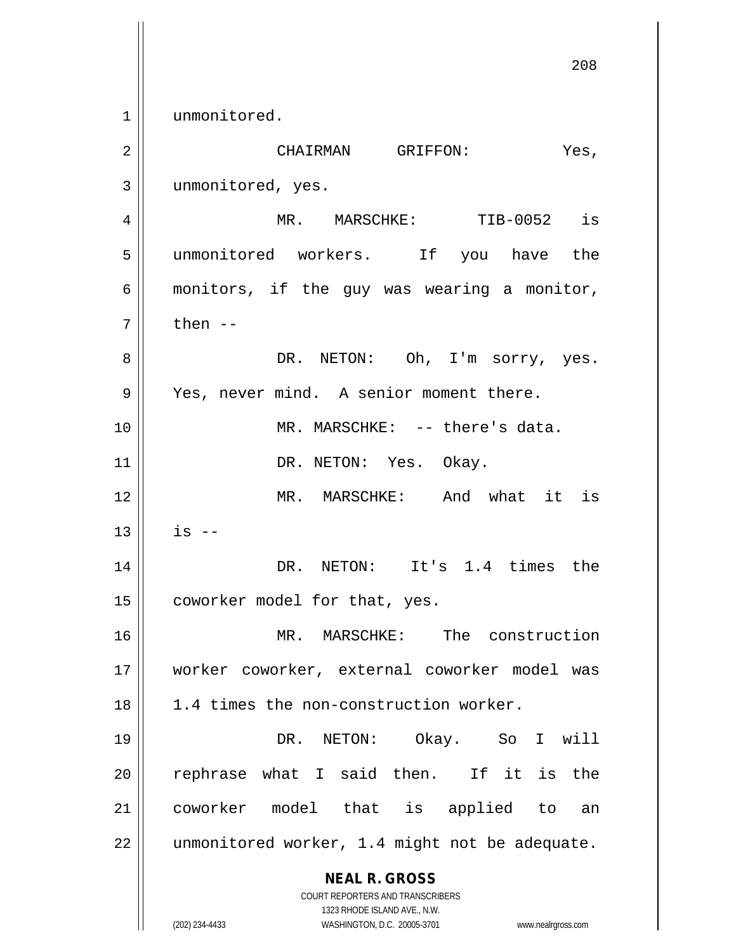1 | unmonitored.

| $\overline{2}$ | CHAIRMAN GRIFFON:<br>Yes,                                                                                                                                       |
|----------------|-----------------------------------------------------------------------------------------------------------------------------------------------------------------|
| 3              | unmonitored, yes.                                                                                                                                               |
| 4              | MR. MARSCHKE: TIB-0052 is                                                                                                                                       |
| 5              | unmonitored workers. If you have the                                                                                                                            |
| 6              | monitors, if the guy was wearing a monitor,                                                                                                                     |
| 7              | then $--$                                                                                                                                                       |
| 8              | DR. NETON: Oh, I'm sorry, yes.                                                                                                                                  |
| 9              | Yes, never mind. A senior moment there.                                                                                                                         |
| 10             | MR. MARSCHKE: -- there's data.                                                                                                                                  |
| 11             | DR. NETON: Yes. Okay.                                                                                                                                           |
| 12             | MR. MARSCHKE: And what it is                                                                                                                                    |
| 13             | $is$ $-$                                                                                                                                                        |
| 14             | DR. NETON: It's 1.4 times the                                                                                                                                   |
| 15             | coworker model for that, yes.                                                                                                                                   |
| 16             | MR. MARSCHKE: The construction                                                                                                                                  |
| 17             | worker coworker, external coworker model was                                                                                                                    |
| 18             | 1.4 times the non-construction worker.                                                                                                                          |
| 19             | Okay. So<br>DR. NETON:<br>I will                                                                                                                                |
| 20             | rephrase what I said then.<br>If it is the                                                                                                                      |
| 21             | coworker model that is applied to<br>an                                                                                                                         |
| 22             | unmonitored worker, 1.4 might not be adequate.                                                                                                                  |
|                | <b>NEAL R. GROSS</b><br>COURT REPORTERS AND TRANSCRIBERS<br>1323 RHODE ISLAND AVE., N.W.<br>(202) 234-4433<br>WASHINGTON, D.C. 20005-3701<br>www.nealrgross.com |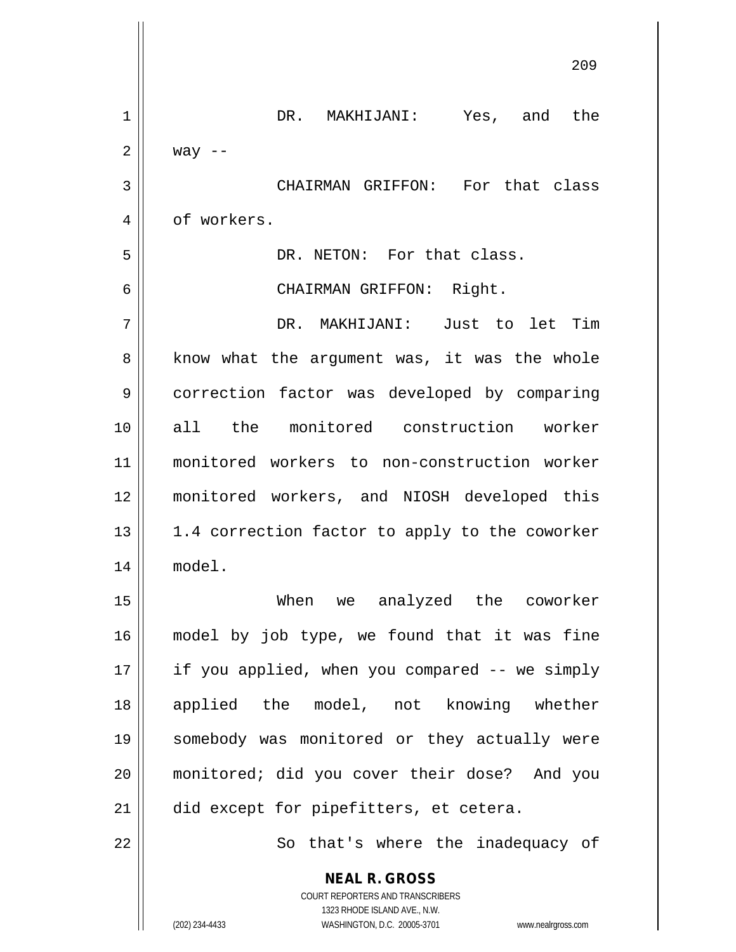|    | 209                                                                                                                                                             |
|----|-----------------------------------------------------------------------------------------------------------------------------------------------------------------|
| 1  | DR. MAKHIJANI: Yes, and the                                                                                                                                     |
| 2  | way $--$                                                                                                                                                        |
| 3  | CHAIRMAN GRIFFON: For that class                                                                                                                                |
| 4  | of workers.                                                                                                                                                     |
| 5  | DR. NETON: For that class.                                                                                                                                      |
| 6  | CHAIRMAN GRIFFON: Right.                                                                                                                                        |
| 7  | DR. MAKHIJANI: Just to let Tim                                                                                                                                  |
| 8  | know what the argument was, it was the whole                                                                                                                    |
| 9  | correction factor was developed by comparing                                                                                                                    |
| 10 | all the monitored construction worker                                                                                                                           |
| 11 | monitored workers to non-construction worker                                                                                                                    |
| 12 | monitored workers, and NIOSH developed this                                                                                                                     |
| 13 | 1.4 correction factor to apply to the coworker                                                                                                                  |
| 14 | model.                                                                                                                                                          |
| 15 | When we analyzed the coworker                                                                                                                                   |
| 16 | model by job type, we found that it was fine                                                                                                                    |
| 17 | if you applied, when you compared -- we simply                                                                                                                  |
| 18 | applied the model, not knowing whether                                                                                                                          |
| 19 | somebody was monitored or they actually were                                                                                                                    |
| 20 | monitored; did you cover their dose? And you                                                                                                                    |
| 21 | did except for pipefitters, et cetera.                                                                                                                          |
| 22 | So that's where the inadequacy of                                                                                                                               |
|    | <b>NEAL R. GROSS</b><br>COURT REPORTERS AND TRANSCRIBERS<br>1323 RHODE ISLAND AVE., N.W.<br>(202) 234-4433<br>WASHINGTON, D.C. 20005-3701<br>www.nealrgross.com |

 $\overline{\phantom{a}}$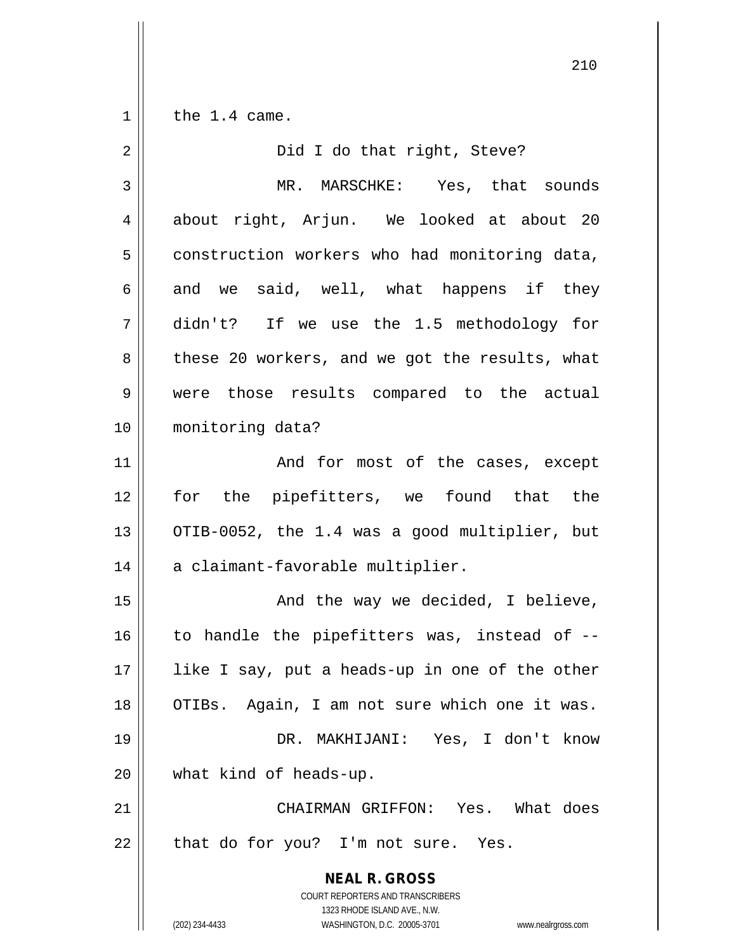$1 \parallel$  the 1.4 came.

| $\sqrt{2}$     | Did I do that right, Steve?                                                                                                                                     |
|----------------|-----------------------------------------------------------------------------------------------------------------------------------------------------------------|
| $\mathfrak{Z}$ | MR. MARSCHKE: Yes, that sounds                                                                                                                                  |
| $\overline{4}$ | about right, Arjun. We looked at about 20                                                                                                                       |
| 5              | construction workers who had monitoring data,                                                                                                                   |
| 6              | and we said, well, what happens if they                                                                                                                         |
| 7              | didn't? If we use the 1.5 methodology for                                                                                                                       |
| 8              | these 20 workers, and we got the results, what                                                                                                                  |
| 9              | were those results compared to the actual                                                                                                                       |
| 10             | monitoring data?                                                                                                                                                |
| 11             | And for most of the cases, except                                                                                                                               |
| 12             | for the pipefitters, we found that the                                                                                                                          |
| 13             | OTIB-0052, the 1.4 was a good multiplier, but                                                                                                                   |
| 14             | a claimant-favorable multiplier.                                                                                                                                |
| 15             | And the way we decided, I believe,                                                                                                                              |
| 16             | to handle the pipefitters was, instead of --                                                                                                                    |
| 17             | like I say, put a heads-up in one of the other                                                                                                                  |
| 18             | OTIBs. Again, I am not sure which one it was.                                                                                                                   |
| 19             | DR. MAKHIJANI: Yes, I don't know                                                                                                                                |
| 20             | what kind of heads-up.                                                                                                                                          |
| 21             | CHAIRMAN GRIFFON: Yes. What does                                                                                                                                |
| 22             | that do for you? I'm not sure. Yes.                                                                                                                             |
|                | <b>NEAL R. GROSS</b><br>COURT REPORTERS AND TRANSCRIBERS<br>1323 RHODE ISLAND AVE., N.W.<br>(202) 234-4433<br>WASHINGTON, D.C. 20005-3701<br>www.nealrgross.com |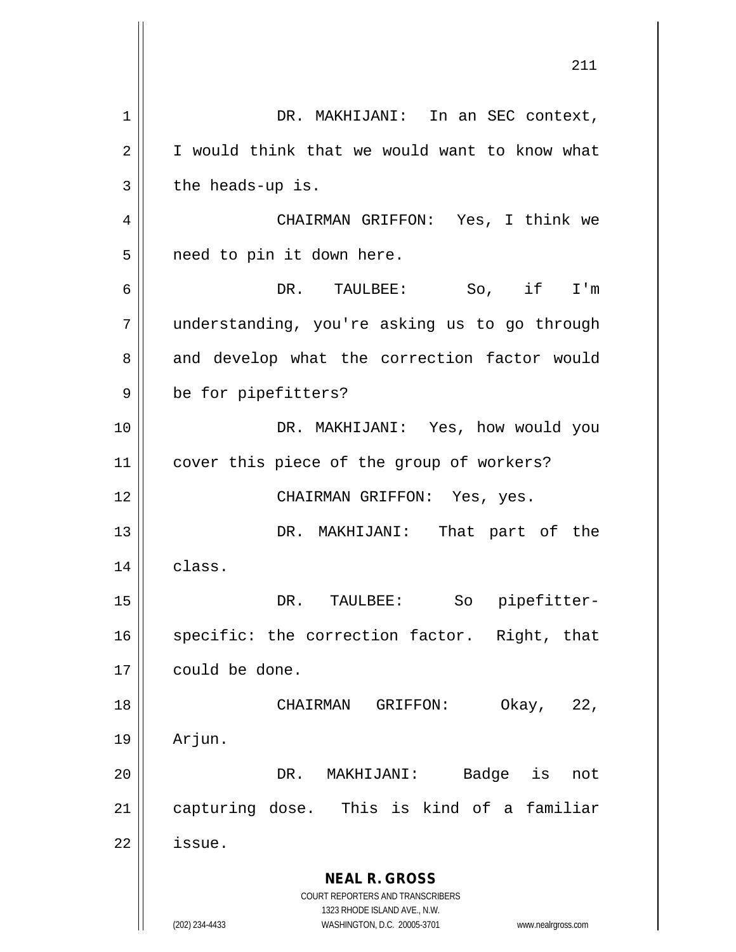**NEAL R. GROSS** COURT REPORTERS AND TRANSCRIBERS 1323 RHODE ISLAND AVE., N.W. (202) 234-4433 WASHINGTON, D.C. 20005-3701 www.nealrgross.com 1 | DR. MAKHIJANI: In an SEC context, 2 | I would think that we would want to know what  $3 \parallel$  the heads-up is. 4 CHAIRMAN GRIFFON: Yes, I think we 5 | need to pin it down here. 6 DR. TAULBEE: So, if I'm 7 understanding, you're asking us to go through 8 and develop what the correction factor would 9 | be for pipefitters? 10 DR. MAKHIJANI: Yes, how would you 11 || cover this piece of the group of workers? 12 || CHAIRMAN GRIFFON: Yes, yes. 13 DR. MAKHIJANI: That part of the  $14$  class. 15 DR. TAULBEE: So pipefitter-16 || specific: the correction factor. Right, that 17 could be done. 18 CHAIRMAN GRIFFON: Okay, 22, 19 Arjun. 20 DR. MAKHIJANI: Badge is not 21 capturing dose. This is kind of a familiar  $22$   $\parallel$  issue.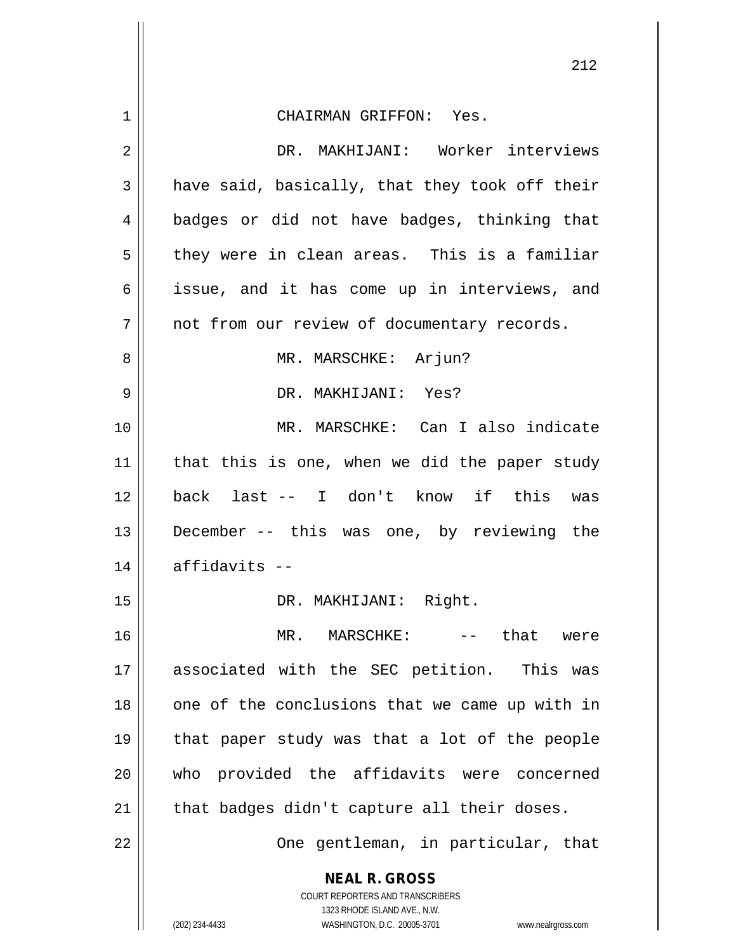|                | 212                                                                 |
|----------------|---------------------------------------------------------------------|
| $\mathbf 1$    | CHAIRMAN GRIFFON: Yes.                                              |
| $\overline{2}$ | DR. MAKHIJANI: Worker interviews                                    |
| $\mathfrak{Z}$ | have said, basically, that they took off their                      |
| 4              | badges or did not have badges, thinking that                        |
| 5              | they were in clean areas. This is a familiar                        |
| 6              | issue, and it has come up in interviews, and                        |
| 7              | not from our review of documentary records.                         |
| 8              | MR. MARSCHKE: Arjun?                                                |
| $\mathsf 9$    | DR. MAKHIJANI: Yes?                                                 |
| 10             | MR. MARSCHKE: Can I also indicate                                   |
| 11             | that this is one, when we did the paper study                       |
| 12             | back last -- I don't know if this was                               |
| 13             | December -- this was one, by reviewing the                          |
| 14             | $affidavits --$                                                     |
| 15             | DR. MAKHIJANI: Right.                                               |
| 16             | -- that were<br>MR. MARSCHKE:                                       |
| 17             | associated with the SEC petition. This was                          |
| 18             | one of the conclusions that we came up with in                      |
| 19             | that paper study was that a lot of the people                       |
| 20             | who provided the affidavits were concerned                          |
| 21             | that badges didn't capture all their doses.                         |
| 22             | One gentleman, in particular, that                                  |
|                | <b>NEAL R. GROSS</b><br>COURT REPORTERS AND TRANSCRIBERS            |
|                | 1323 RHODE ISLAND AVE., N.W.                                        |
|                | (202) 234-4433<br>WASHINGTON, D.C. 20005-3701<br>www.nealrgross.com |

 $\mathsf{I}$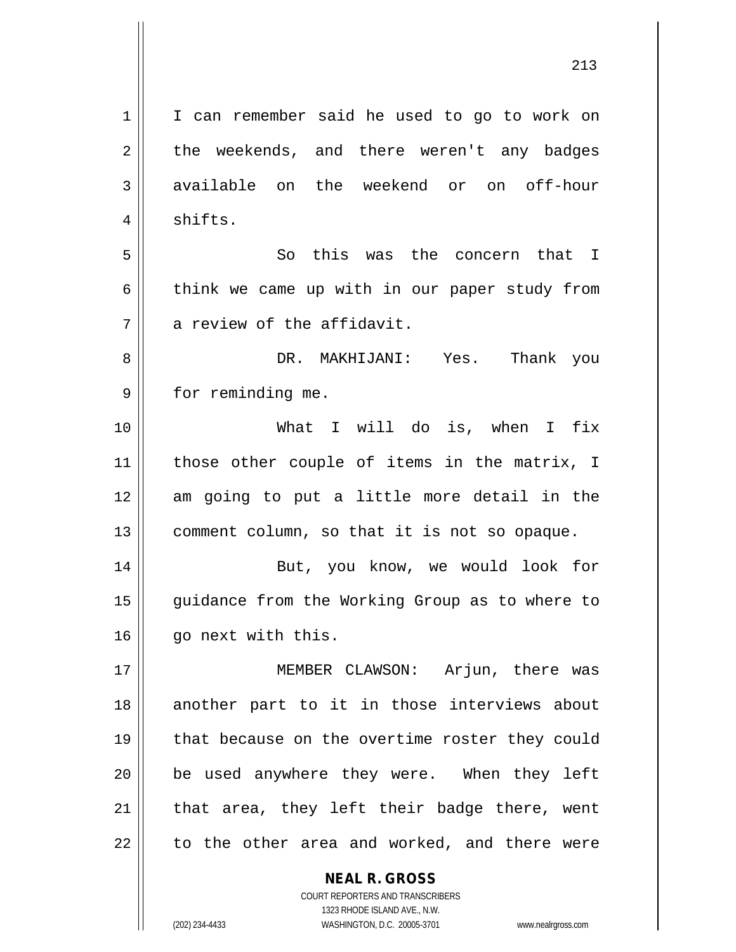**NEAL R. GROSS** 1 | I can remember said he used to go to work on  $2 \parallel$  the weekends, and there weren't any badges 3 available on the weekend or on off-hour 4 | shifts. 5 So this was the concern that I  $6 \parallel$  think we came up with in our paper study from  $7 \parallel$  a review of the affidavit. 8 DR. MAKHIJANI: Yes. Thank you 9 || for reminding me. 10 What I will do is, when I fix 11 || those other couple of items in the matrix, I 12 am going to put a little more detail in the  $13$  | comment column, so that it is not so opaque. 14 || But, you know, we would look for 15 || guidance from the Working Group as to where to 16 | qo next with this. 17 MEMBER CLAWSON: Arjun, there was 18 another part to it in those interviews about 19 || that because on the overtime roster they could  $20$  | be used anywhere they were. When they left  $21$  | that area, they left their badge there, went  $22$  to the other area and worked, and there were

1323 RHODE ISLAND AVE., N.W. (202) 234-4433 WASHINGTON, D.C. 20005-3701 www.nealrgross.com

COURT REPORTERS AND TRANSCRIBERS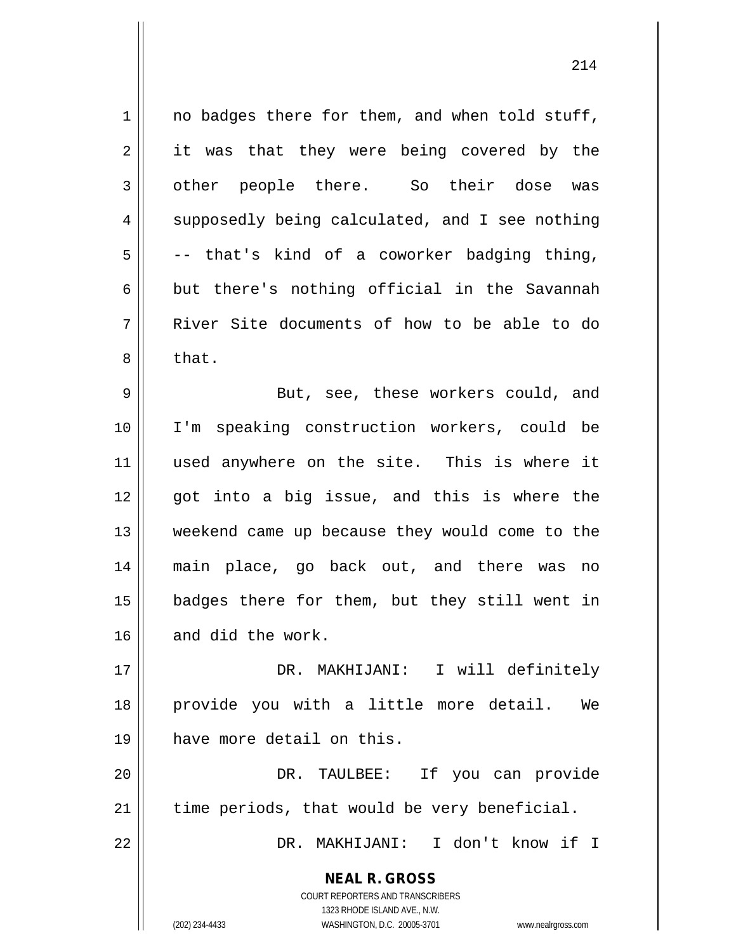**NEAL R. GROSS** COURT REPORTERS AND TRANSCRIBERS 1323 RHODE ISLAND AVE., N.W.  $1 \parallel$  no badges there for them, and when told stuff, 2 || it was that they were being covered by the 3 other people there. So their dose was  $4 \parallel$  supposedly being calculated, and I see nothing  $5 \parallel$  -- that's kind of a coworker badging thing,  $6 \parallel$  but there's nothing official in the Savannah 7 River Site documents of how to be able to do  $8 \parallel$  that. 9 || But, see, these workers could, and 10 I'm speaking construction workers, could be 11 || used anywhere on the site. This is where it 12 || qot into a biq issue, and this is where the 13 weekend came up because they would come to the 14 main place, go back out, and there was no 15 badges there for them, but they still went in 16 and did the work. 17 DR. MAKHIJANI: I will definitely 18 provide you with a little more detail. We 19 have more detail on this. 20 DR. TAULBEE: If you can provide  $21$  | time periods, that would be very beneficial. 22 DR. MAKHIJANI: I don't know if I

(202) 234-4433 WASHINGTON, D.C. 20005-3701 www.nealrgross.com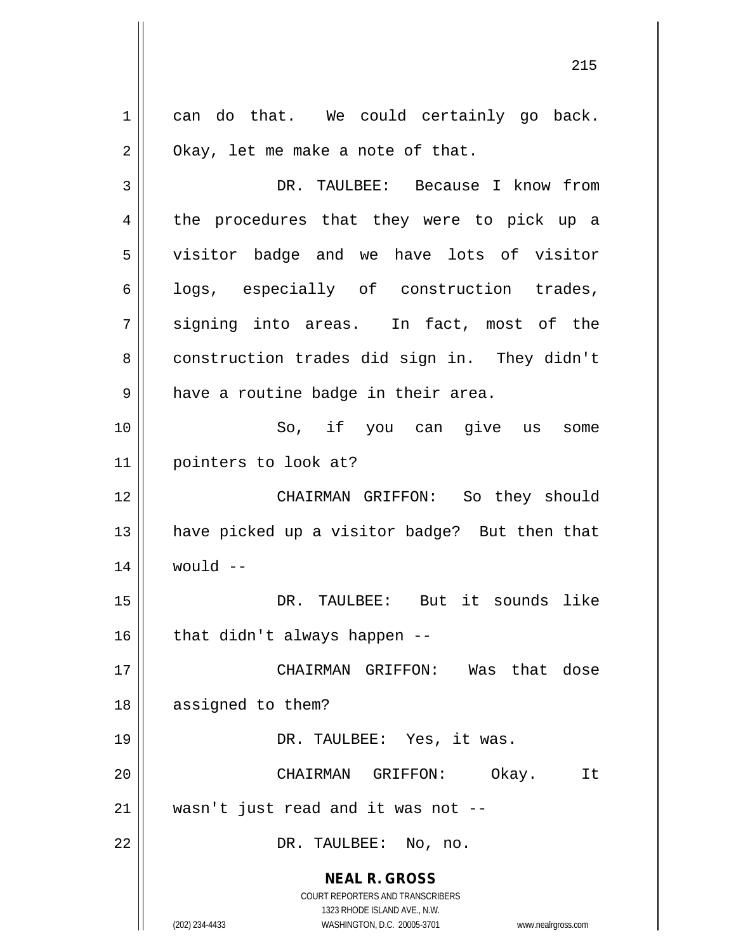**NEAL R. GROSS** COURT REPORTERS AND TRANSCRIBERS 1323 RHODE ISLAND AVE., N.W. (202) 234-4433 WASHINGTON, D.C. 20005-3701 www.nealrgross.com  $1 \parallel$  can do that. We could certainly go back.  $2 \parallel$  Okay, let me make a note of that. 3 DR. TAULBEE: Because I know from 4 || the procedures that they were to pick up a 5 || visitor badge and we have lots of visitor  $6 \parallel$  logs, especially of construction trades,  $7 \parallel$  signing into areas. In fact, most of the 8 construction trades did sign in. They didn't  $9 \parallel$  have a routine badge in their area. 10 || So, if you can give us some 11 pointers to look at? 12 CHAIRMAN GRIFFON: So they should 13 || have picked up a visitor badge? But then that  $14$  | would  $-$ 15 DR. TAULBEE: But it sounds like  $16$  | that didn't always happen --17 CHAIRMAN GRIFFON: Was that dose 18 || assigned to them? 19 DR. TAULBEE: Yes, it was. 20 CHAIRMAN GRIFFON: Okay. It 21 wasn't just read and it was not -- 22 || DR. TAULBEE: No, no.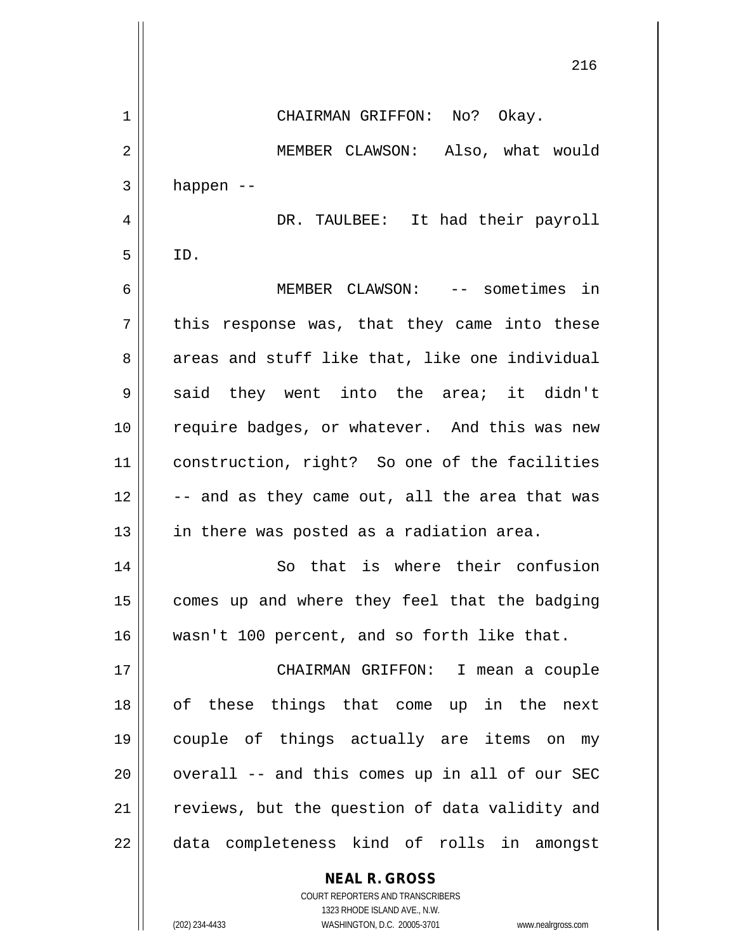216 1 CHAIRMAN GRIFFON: No? Okay. 2 | MEMBER CLAWSON: Also, what would  $3 \parallel$  happen --4 DR. TAULBEE: It had their payroll  $5$  ID. 6 MEMBER CLAWSON: -- sometimes in  $7 \parallel$  this response was, that they came into these  $8 \parallel$  areas and stuff like that, like one individual  $9 \parallel$  said they went into the area; it didn't 10 || require badges, or whatever. And this was new 11 construction, right? So one of the facilities  $12$   $\vert$  -- and as they came out, all the area that was  $13$  || in there was posted as a radiation area. 14 || So that is where their confusion 15 || comes up and where they feel that the badging 16 wasn't 100 percent, and so forth like that. 17 CHAIRMAN GRIFFON: I mean a couple 18 || of these things that come up in the next 19 couple of things actually are items on my  $20$  || overall -- and this comes up in all of our SEC 21 || reviews, but the question of data validity and 22 || data completeness kind of rolls in amongst

**NEAL R. GROSS**

COURT REPORTERS AND TRANSCRIBERS 1323 RHODE ISLAND AVE., N.W. (202) 234-4433 WASHINGTON, D.C. 20005-3701 www.nealrgross.com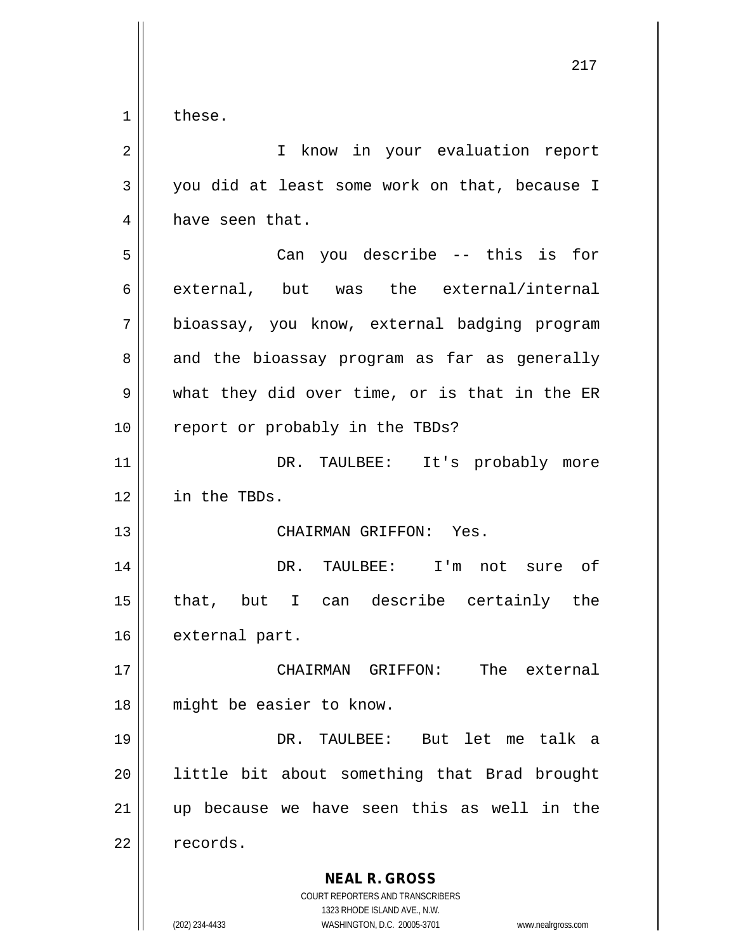$1 \parallel$  these.

| $\overline{2}$ | I know in your evaluation report                                                                                                                                |
|----------------|-----------------------------------------------------------------------------------------------------------------------------------------------------------------|
| 3              | you did at least some work on that, because I                                                                                                                   |
| 4              | have seen that.                                                                                                                                                 |
| 5              | Can you describe -- this is for                                                                                                                                 |
| 6              | external, but was the external/internal                                                                                                                         |
| 7              | bioassay, you know, external badging program                                                                                                                    |
| 8              | and the bioassay program as far as generally                                                                                                                    |
| $\mathsf 9$    | what they did over time, or is that in the ER                                                                                                                   |
| 10             | report or probably in the TBDs?                                                                                                                                 |
| 11             | DR. TAULBEE: It's probably more                                                                                                                                 |
| 12             | in the TBDs.                                                                                                                                                    |
| 13             | CHAIRMAN GRIFFON: Yes.                                                                                                                                          |
| 14             | DR. TAULBEE: I'm not sure of                                                                                                                                    |
| 15             | that, but I can describe certainly the                                                                                                                          |
| 16             | external part.                                                                                                                                                  |
| 17             | GRIFFON:<br>The external<br>CHAIRMAN                                                                                                                            |
| 18             | might be easier to know.                                                                                                                                        |
| 19             | DR.<br>TAULBEE: But let me talk a                                                                                                                               |
| 20             | little bit about something that Brad brought                                                                                                                    |
| 21             | up because we have seen this as well in the                                                                                                                     |
| 22             | records.                                                                                                                                                        |
|                | <b>NEAL R. GROSS</b><br>COURT REPORTERS AND TRANSCRIBERS<br>1323 RHODE ISLAND AVE., N.W.<br>WASHINGTON, D.C. 20005-3701<br>(202) 234-4433<br>www.nealrgross.com |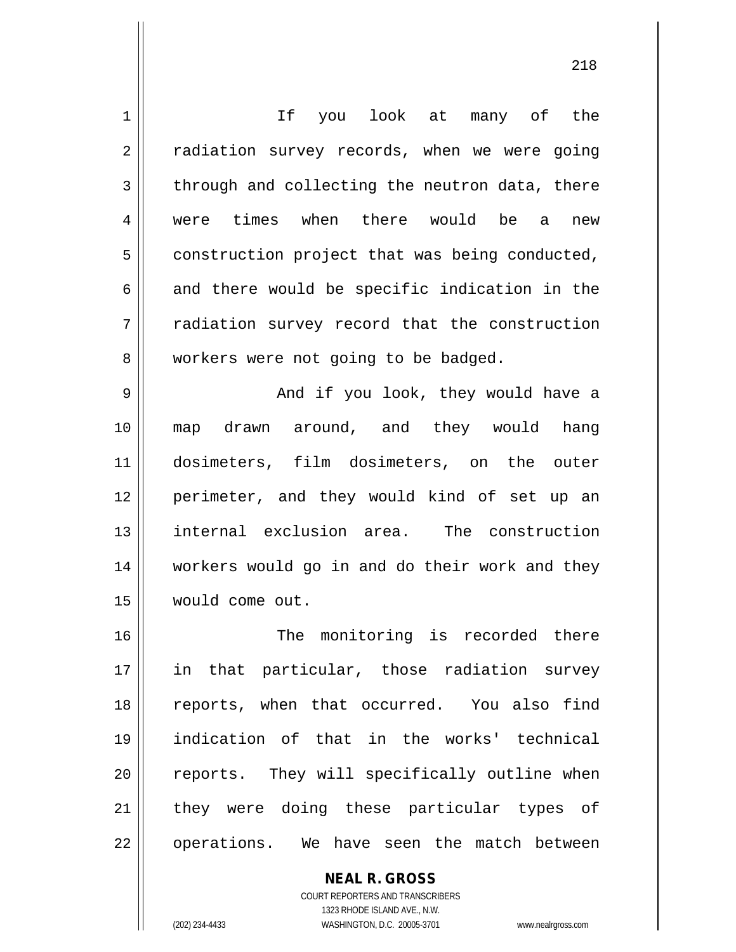| $\mathbf 1$ | If you look at many of the                     |
|-------------|------------------------------------------------|
| 2           | radiation survey records, when we were going   |
| 3           | through and collecting the neutron data, there |
| 4           | were times when there would be a<br>new        |
| 5           | construction project that was being conducted, |
| 6           | and there would be specific indication in the  |
| 7           | radiation survey record that the construction  |
| 8           | workers were not going to be badged.           |
| 9           | And if you look, they would have a             |
| 10          | map drawn around, and they would hang          |
| 11          | dosimeters, film dosimeters, on the outer      |
| 12          | perimeter, and they would kind of set up an    |
| 13          | internal exclusion area. The construction      |
| 14          | workers would go in and do their work and they |
| 15          | would come out.                                |
| 16          | monitoring is recorded there<br>The            |
| 17          | in that particular, those radiation survey     |
| 18          | reports, when that occurred. You also find     |
| 19          | indication of that in the works' technical     |
| 20          | reports. They will specifically outline when   |
| 21          | they were doing these particular types of      |
| 22          | operations. We have seen the match between     |

**NEAL R. GROSS** COURT REPORTERS AND TRANSCRIBERS

1323 RHODE ISLAND AVE., N.W.

(202) 234-4433 WASHINGTON, D.C. 20005-3701 www.nealrgross.com

 $\mathsf{II}$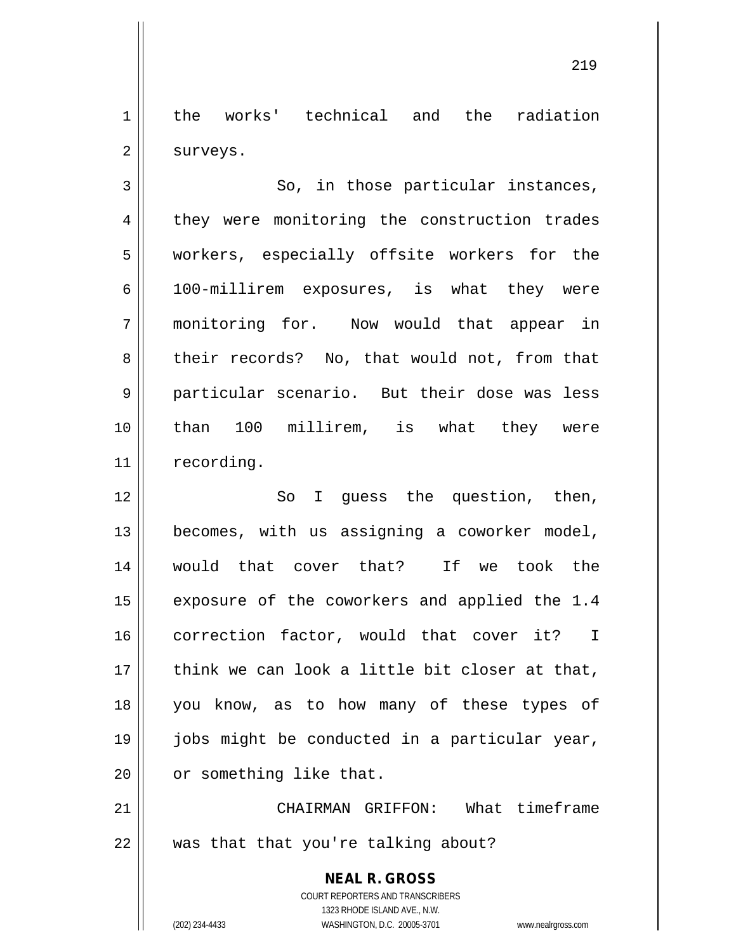1 | the works' technical and the radiation  $2 \parallel$  surveys.

 $3 \parallel$  So, in those particular instances, 4 they were monitoring the construction trades 5 workers, especially offsite workers for the 6 100-millirem exposures, is what they were 7 monitoring for. Now would that appear in 8 their records? No, that would not, from that 9 particular scenario. But their dose was less 10 than 100 millirem, is what they were 11 | recording.

12 || So I guess the question, then, 13 becomes, with us assigning a coworker model, 14 would that cover that? If we took the 15 || exposure of the coworkers and applied the 1.4 16 || correction factor, would that cover it? I  $17$  || think we can look a little bit closer at that, 18 you know, as to how many of these types of 19 jobs might be conducted in a particular year, 20 | or something like that.

21 CHAIRMAN GRIFFON: What timeframe  $22$  | was that that you're talking about?

> **NEAL R. GROSS** COURT REPORTERS AND TRANSCRIBERS 1323 RHODE ISLAND AVE., N.W. (202) 234-4433 WASHINGTON, D.C. 20005-3701 www.nealrgross.com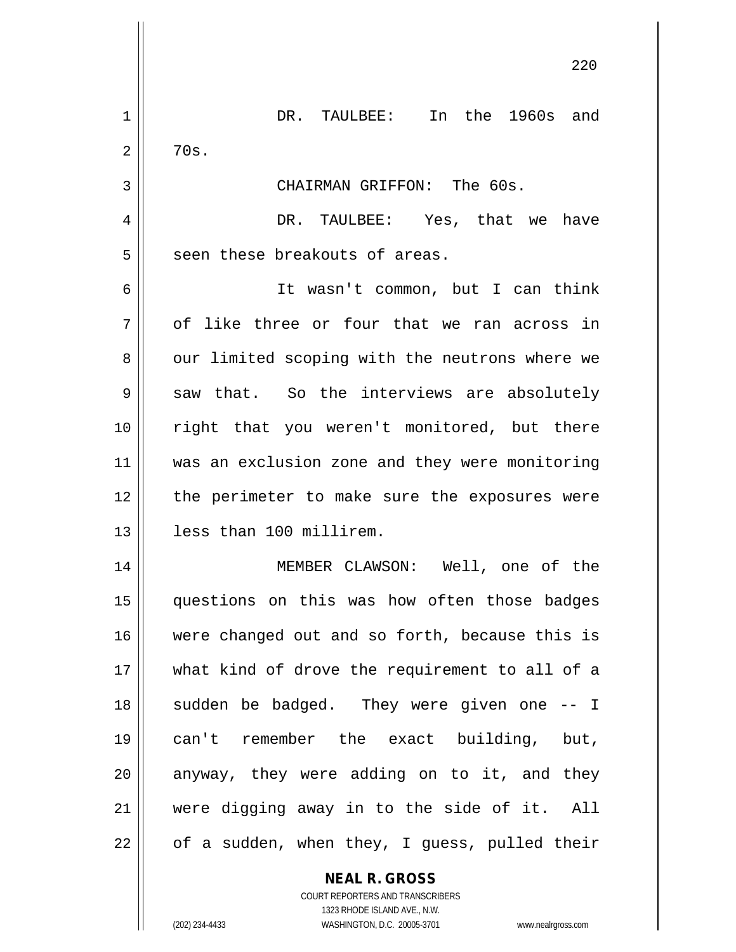|    | 220                                            |
|----|------------------------------------------------|
| 1  | In the 1960s and<br>DR. TAULBEE:               |
| 2  | 70s.                                           |
| 3  | CHAIRMAN GRIFFON: The 60s.                     |
| 4  | DR. TAULBEE: Yes, that we have                 |
| 5  | seen these breakouts of areas.                 |
| 6  | It wasn't common, but I can think              |
| 7  | of like three or four that we ran across in    |
| 8  | our limited scoping with the neutrons where we |
| 9  | saw that. So the interviews are absolutely     |
| 10 | right that you weren't monitored, but there    |
| 11 | was an exclusion zone and they were monitoring |
| 12 | the perimeter to make sure the exposures were  |
| 13 | less than 100 millirem.                        |
| 14 | MEMBER CLAWSON: Well, one of the               |
| 15 | questions on this was how often those badges   |
| 16 | were changed out and so forth, because this is |
| 17 | what kind of drove the requirement to all of a |
| 18 | sudden be badged. They were given one -- I     |
| 19 | can't remember the exact building, but,        |
| 20 | anyway, they were adding on to it, and they    |
| 21 | were digging away in to the side of it. All    |
| 22 | of a sudden, when they, I guess, pulled their  |
|    | <b>NEAL R. GROSS</b>                           |

COURT REPORTERS AND TRANSCRIBERS 1323 RHODE ISLAND AVE., N.W.

 $\mathsf{II}$ 

(202) 234-4433 WASHINGTON, D.C. 20005-3701 www.nealrgross.com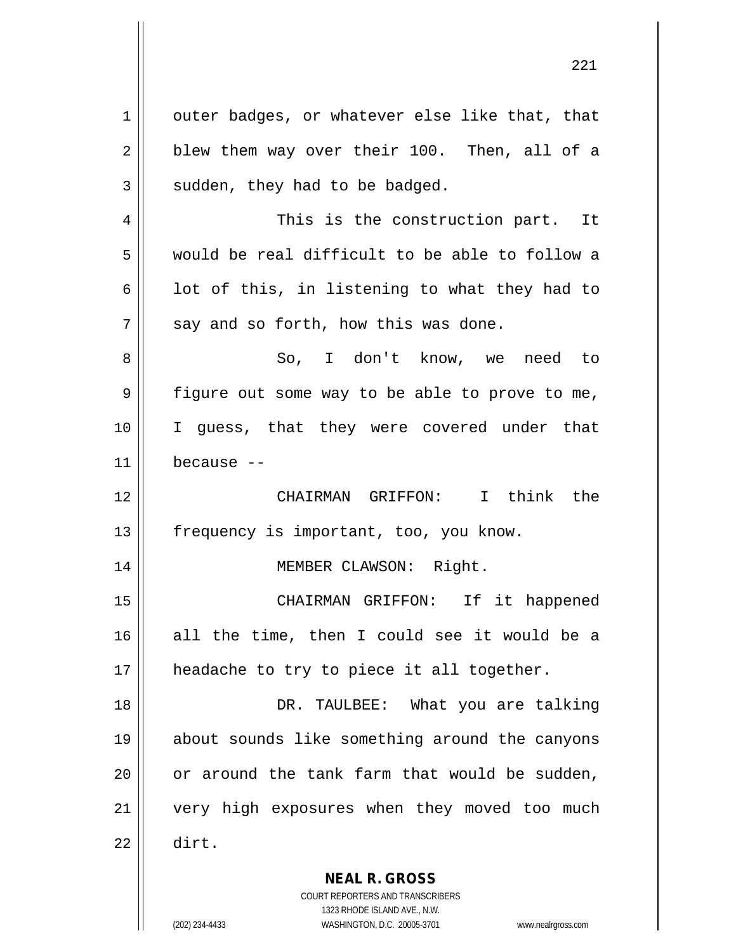$1 \parallel$  outer badges, or whatever else like that, that  $2 \parallel$  blew them way over their 100. Then, all of a  $3 \parallel$  sudden, they had to be badged. 4 This is the construction part. It 5 would be real difficult to be able to follow a 6  $\parallel$  1 ot of this, in listening to what they had to  $7 \parallel$  say and so forth, how this was done. 8 So, I don't know, we need to 9 || figure out some way to be able to prove to me, 10 I guess, that they were covered under that  $11$   $\parallel$  because --12 CHAIRMAN GRIFFON: I think the 13 || frequency is important, too, you know. 14 MEMBER CLAWSON: Right. 15 CHAIRMAN GRIFFON: If it happened 16 all the time, then I could see it would be a 17 || headache to try to piece it all together. 18 DR. TAULBEE: What you are talking 19 about sounds like something around the canyons 20  $\parallel$  or around the tank farm that would be sudden, 21 || very high exposures when they moved too much 22 dirt.

> **NEAL R. GROSS** COURT REPORTERS AND TRANSCRIBERS

> > 1323 RHODE ISLAND AVE., N.W.

(202) 234-4433 WASHINGTON, D.C. 20005-3701 www.nealrgross.com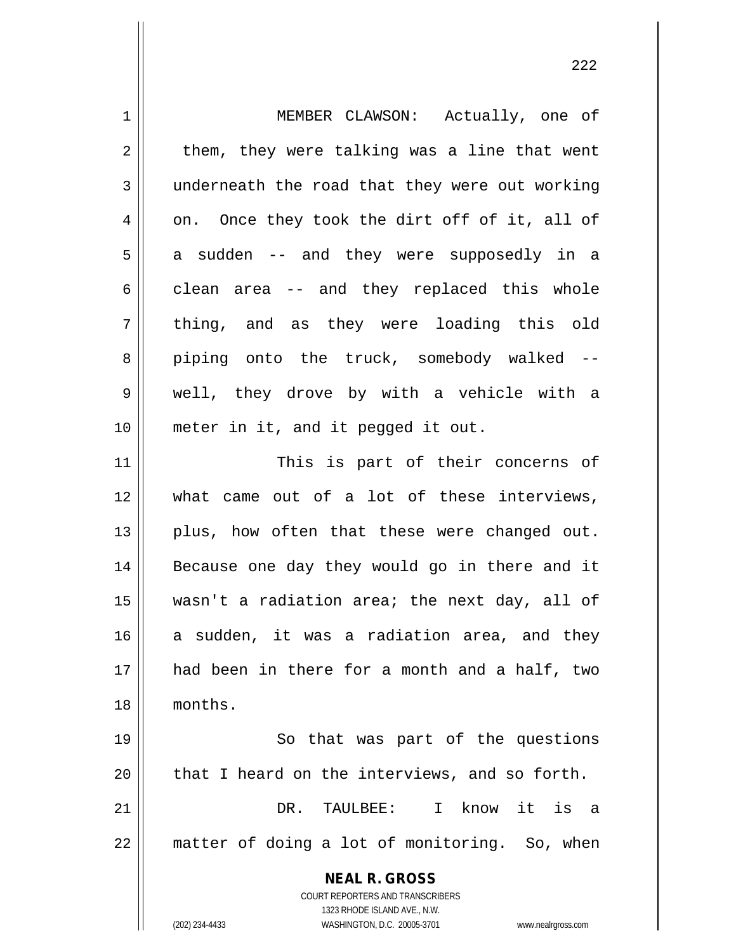| $\mathbf 1$ | MEMBER CLAWSON: Actually, one of                                    |
|-------------|---------------------------------------------------------------------|
| 2           | them, they were talking was a line that went                        |
| 3           | underneath the road that they were out working                      |
| 4           | on. Once they took the dirt off of it, all of                       |
| 5           | a sudden -- and they were supposedly in a                           |
| 6           | clean area -- and they replaced this whole                          |
| 7           | thing, and as they were loading this old                            |
| 8           | piping onto the truck, somebody walked --                           |
| 9           | well, they drove by with a vehicle with a                           |
| 10          | meter in it, and it pegged it out.                                  |
| 11          | This is part of their concerns of                                   |
| 12          | what came out of a lot of these interviews,                         |
| 13          | plus, how often that these were changed out.                        |
| 14          | Because one day they would go in there and it                       |
| 15          | wasn't a radiation area; the next day, all of                       |
| 16          | a sudden, it was a radiation area, and they                         |
| 17          | had been in there for a month and a half, two                       |
| 18          | months.                                                             |
| 19          | So that was part of the questions                                   |
| 20          | that I heard on the interviews, and so forth.                       |
| 21          | DR. TAULBEE: I know it is a                                         |
| 22          | matter of doing a lot of monitoring. So, when                       |
|             | <b>NEAL R. GROSS</b>                                                |
|             | COURT REPORTERS AND TRANSCRIBERS                                    |
|             | 1323 RHODE ISLAND AVE., N.W.                                        |
|             | (202) 234-4433<br>WASHINGTON, D.C. 20005-3701<br>www.nealrgross.com |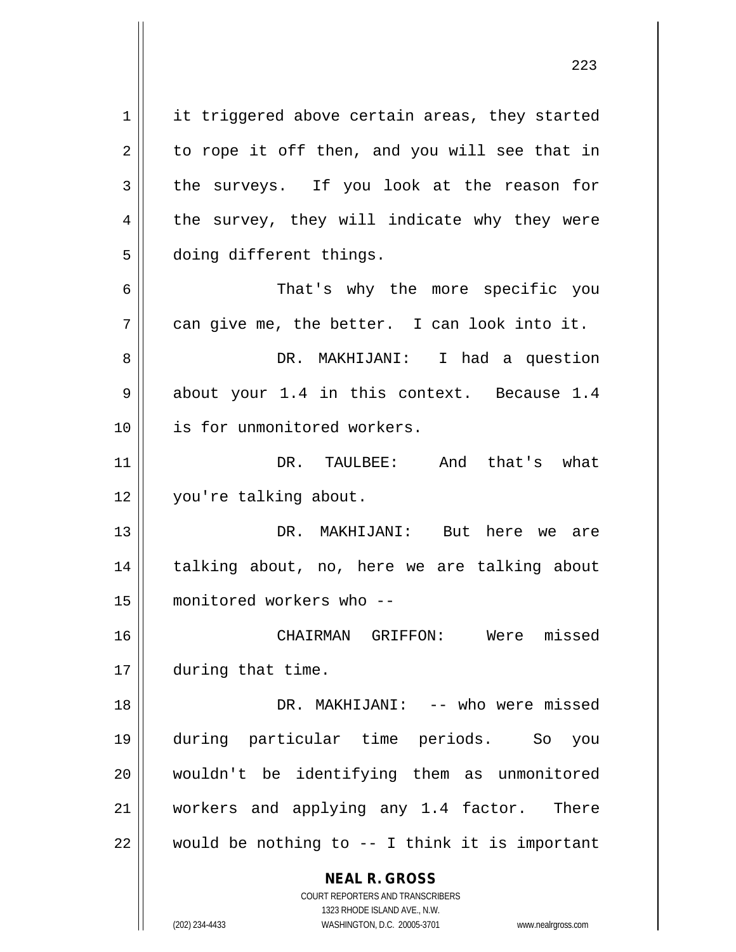**NEAL R. GROSS** COURT REPORTERS AND TRANSCRIBERS 1 | it triggered above certain areas, they started  $2 \parallel$  to rope it off then, and you will see that in  $3 \parallel$  the surveys. If you look at the reason for  $4 \parallel$  the survey, they will indicate why they were 5 | doing different things. 6 That's why the more specific you  $7 \parallel$  can give me, the better. I can look into it. 8 DR. MAKHIJANI: I had a question  $9 \parallel$  about your 1.4 in this context. Because 1.4 10 is for unmonitored workers. 11 DR. TAULBEE: And that's what 12 | you're talking about. 13 DR. MAKHIJANI: But here we are 14 || talking about, no, here we are talking about 15 monitored workers who -- 16 CHAIRMAN GRIFFON: Were missed 17 | during that time. 18 DR. MAKHIJANI: -- who were missed 19 during particular time periods. So you 20 wouldn't be identifying them as unmonitored 21 || workers and applying any 1.4 factor. There  $22$  | would be nothing to -- I think it is important

1323 RHODE ISLAND AVE., N.W.

(202) 234-4433 WASHINGTON, D.C. 20005-3701 www.nealrgross.com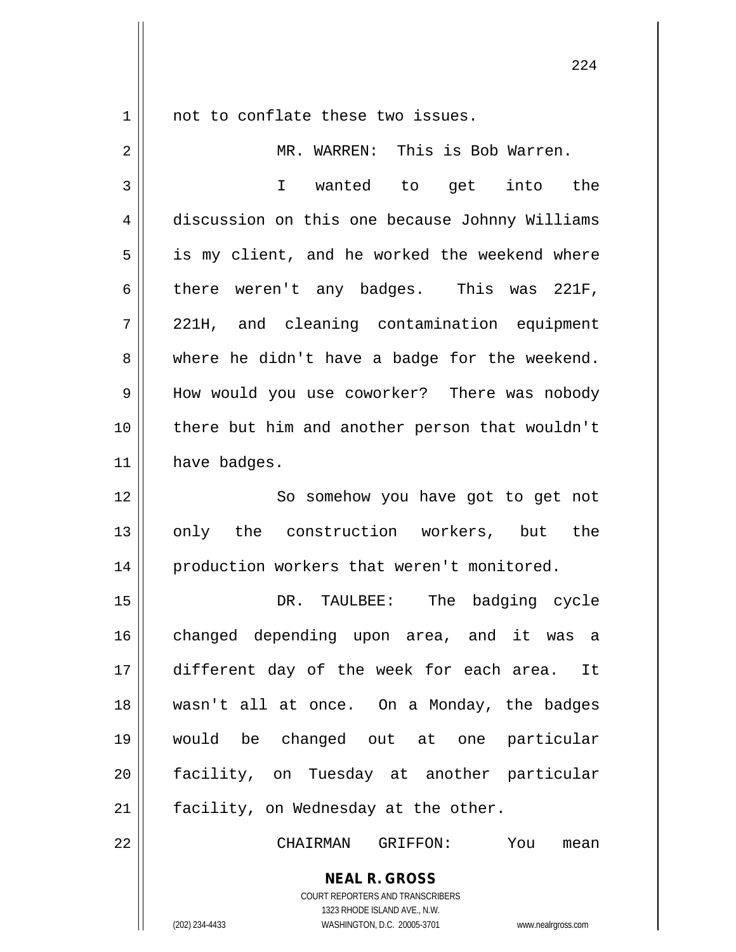1 || not to conflate these two issues.

**NEAL R. GROSS** 2 MR. WARREN: This is Bob Warren. 3 I wanted to get into the 4 discussion on this one because Johnny Williams  $5 \parallel$  is my client, and he worked the weekend where 6 there weren't any badges. This was 221F, 7 221H, and cleaning contamination equipment  $8 \parallel$  where he didn't have a badge for the weekend. 9 || How would you use coworker? There was nobody 10 || there but him and another person that wouldn't  $11$  have badges. 12 || So somehow you have got to get not 13 || only the construction workers, but the 14 | production workers that weren't monitored. 15 DR. TAULBEE: The badging cycle 16 || changed depending upon area, and it was a 17 different day of the week for each area. It 18 wasn't all at once. On a Monday, the badges 19 would be changed out at one particular 20 || facility, on Tuesday at another particular  $21$  | facility, on Wednesday at the other. 22 CHAIRMAN GRIFFON: You mean

> COURT REPORTERS AND TRANSCRIBERS 1323 RHODE ISLAND AVE., N.W.

(202) 234-4433 WASHINGTON, D.C. 20005-3701 www.nealrgross.com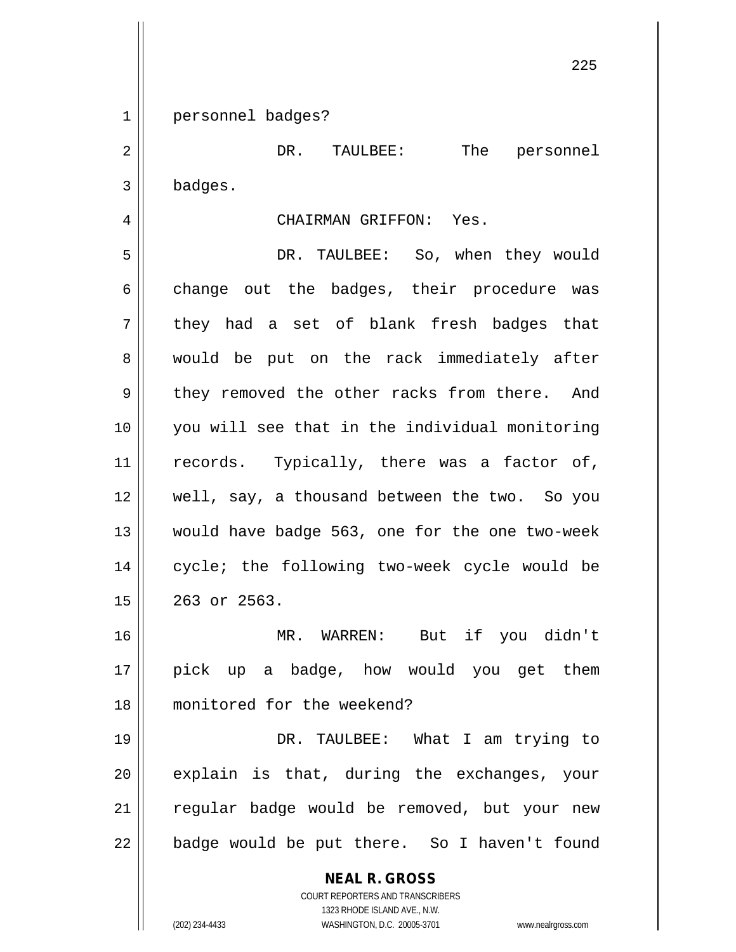1 personnel badges?

2 DR. TAULBEE: The personnel 3 badges.

## 4 CHAIRMAN GRIFFON: Yes.

5 DR. TAULBEE: So, when they would  $6 \parallel$  change out the badges, their procedure was  $7 \parallel$  they had a set of blank fresh badges that 8 would be put on the rack immediately after 9 they removed the other racks from there. And 10 you will see that in the individual monitoring 11 || records. Typically, there was a factor of, 12 || well, say, a thousand between the two. So you 13 would have badge 563, one for the one two-week 14 || cycle; the following two-week cycle would be 15 263 or 2563.

16 MR. WARREN: But if you didn't 17 || pick up a badge, how would you get them 18 monitored for the weekend?

 DR. TAULBEE: What I am trying to explain is that, during the exchanges, your 21 || regular badge would be removed, but your new | badge would be put there. So I haven't found

> **NEAL R. GROSS** COURT REPORTERS AND TRANSCRIBERS 1323 RHODE ISLAND AVE., N.W. (202) 234-4433 WASHINGTON, D.C. 20005-3701 www.nealrgross.com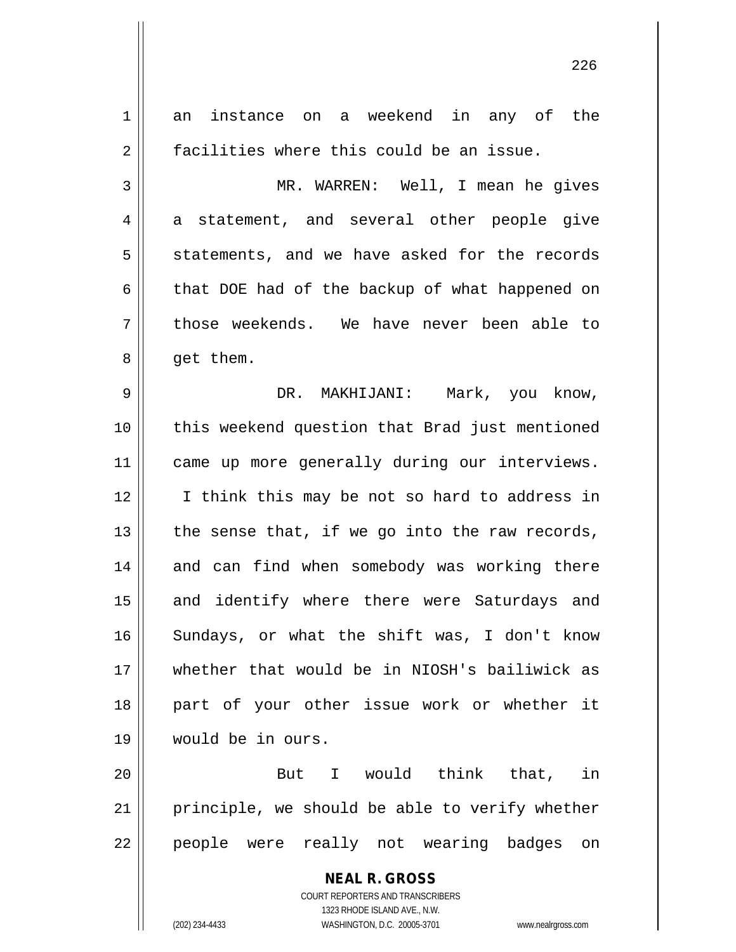**NEAL R. GROSS** COURT REPORTERS AND TRANSCRIBERS 1 an instance on a weekend in any of the 2 | facilities where this could be an issue. 3 MR. WARREN: Well, I mean he gives  $4 \parallel$  a statement, and several other people give  $5 \parallel$  statements, and we have asked for the records 6 that DOE had of the backup of what happened on 7 those weekends. We have never been able to 8 | get them. 9 DR. MAKHIJANI: Mark, you know, 10 this weekend question that Brad just mentioned 11 || came up more generally during our interviews. 12 || I think this may be not so hard to address in 13  $\parallel$  the sense that, if we go into the raw records, 14 and can find when somebody was working there 15 || and identify where there were Saturdays and 16 Sundays, or what the shift was, I don't know 17 whether that would be in NIOSH's bailiwick as 18 || part of your other issue work or whether it 19 would be in ours. 20 But I would think that, in 21 || principle, we should be able to verify whether 22 || people were really not wearing badges on

1323 RHODE ISLAND AVE., N.W.

(202) 234-4433 WASHINGTON, D.C. 20005-3701 www.nealrgross.com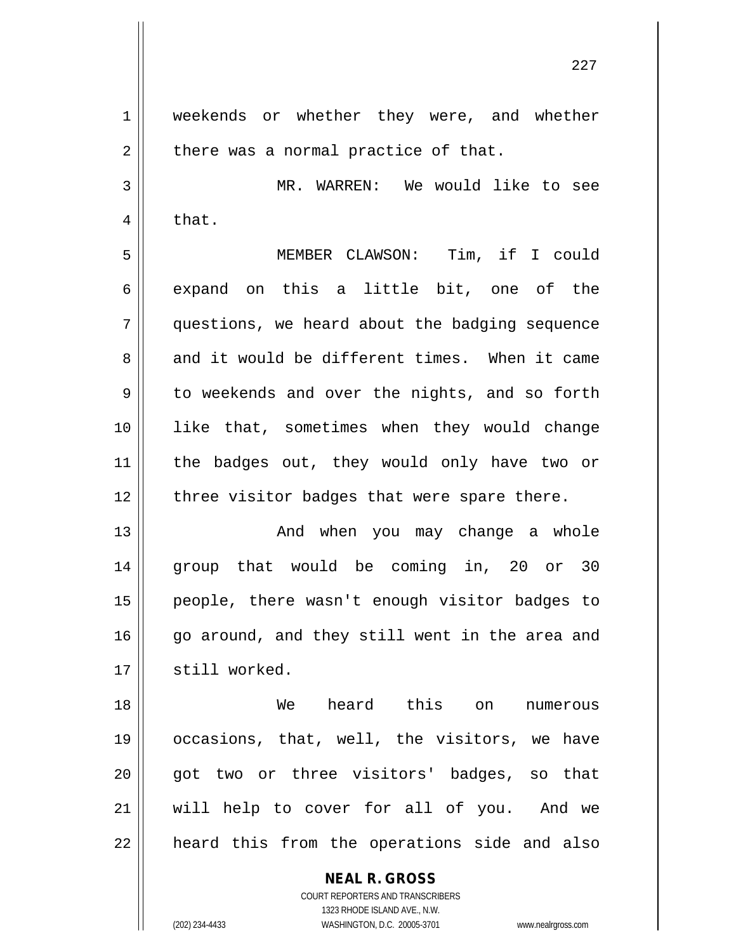1 | weekends or whether they were, and whether  $2 \parallel$  there was a normal practice of that. 3 MR. WARREN: We would like to see  $4 \parallel$  that. 5 MEMBER CLAWSON: Tim, if I could 6 expand on this a little bit, one of the 7 questions, we heard about the badging sequence 8 and it would be different times. When it came  $9 \parallel$  to weekends and over the nights, and so forth 10 like that, sometimes when they would change 11 the badges out, they would only have two or  $12$  | three visitor badges that were spare there. 13 And when you may change a whole 14 group that would be coming in, 20 or 30 15 people, there wasn't enough visitor badges to 16 go around, and they still went in the area and 17 | still worked. 18 We heard this on numerous 19 || occasions, that, well, the visitors, we have 20 || qot two or three visitors' badges, so that 21 will help to cover for all of you. And we

 $22$  || heard this from the operations side and also

**NEAL R. GROSS** COURT REPORTERS AND TRANSCRIBERS 1323 RHODE ISLAND AVE., N.W.

(202) 234-4433 WASHINGTON, D.C. 20005-3701 www.nealrgross.com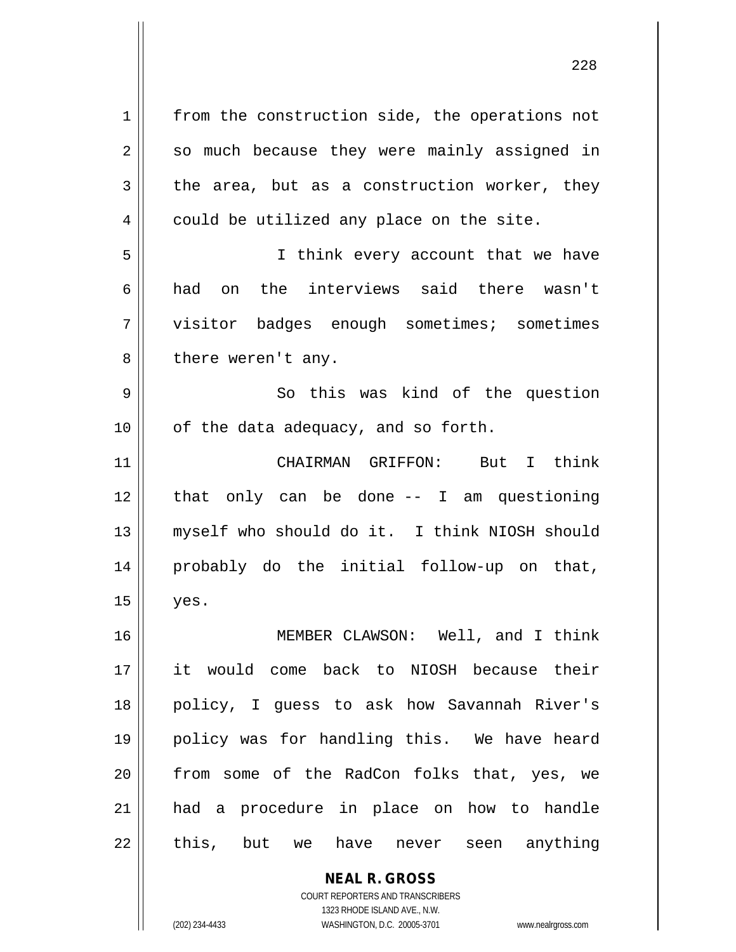**NEAL R. GROSS** 1 || from the construction side, the operations not  $2 \parallel$  so much because they were mainly assigned in  $3 \parallel$  the area, but as a construction worker, they 4 | could be utilized any place on the site. 5 || I think every account that we have 6 had on the interviews said there wasn't 7 || visitor badges enough sometimes; sometimes  $8$  || there weren't any. 9 So this was kind of the question  $10$  | of the data adequacy, and so forth. 11 CHAIRMAN GRIFFON: But I think 12 that only can be done -- I am questioning 13 || myself who should do it. I think NIOSH should 14 probably do the initial follow-up on that,  $15$  | yes. 16 MEMBER CLAWSON: Well, and I think 17 it would come back to NIOSH because their 18 policy, I guess to ask how Savannah River's 19 policy was for handling this. We have heard 20 || from some of the RadCon folks that, yes, we 21 had a procedure in place on how to handle 22 || this, but we have never seen anything

> COURT REPORTERS AND TRANSCRIBERS 1323 RHODE ISLAND AVE., N.W.

(202) 234-4433 WASHINGTON, D.C. 20005-3701 www.nealrgross.com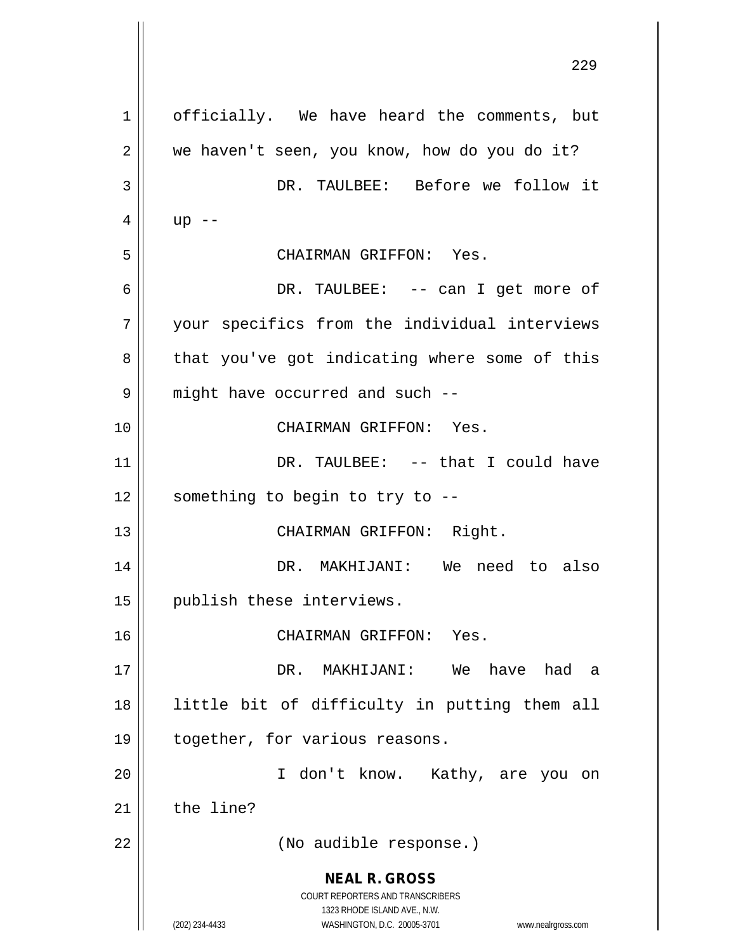**NEAL R. GROSS** COURT REPORTERS AND TRANSCRIBERS 1323 RHODE ISLAND AVE., N.W. (202) 234-4433 WASHINGTON, D.C. 20005-3701 www.nealrgross.com 1 | officially. We have heard the comments, but  $2 \parallel$  we haven't seen, you know, how do you do it? 3 DR. TAULBEE: Before we follow it  $4 \parallel$  up  $-$ 5 CHAIRMAN GRIFFON: Yes. 6 DR. TAULBEE: -- can I get more of 7 || your specifics from the individual interviews  $8 \parallel$  that you've got indicating where some of this  $9 \parallel$  might have occurred and such  $-$ 10 CHAIRMAN GRIFFON: Yes. 11 DR. TAULBEE: -- that I could have  $12$  | something to begin to try to --13 || CHAIRMAN GRIFFON: Right. 14 DR. MAKHIJANI: We need to also 15 || publish these interviews. 16 CHAIRMAN GRIFFON: Yes. 17 DR. MAKHIJANI: We have had a 18 little bit of difficulty in putting them all 19 | together, for various reasons. 20 I don't know. Kathy, are you on  $21$  the line? 22 || (No audible response.)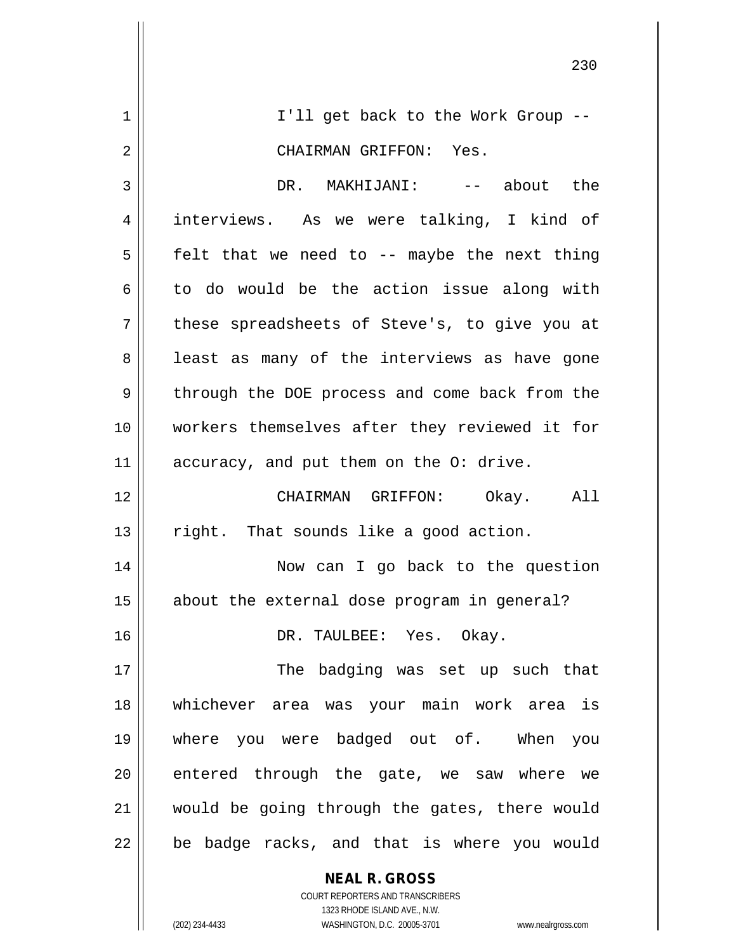|    | 230                                            |
|----|------------------------------------------------|
| 1  | I'll get back to the Work Group --             |
| 2  | CHAIRMAN GRIFFON: Yes.                         |
| 3  | DR. MAKHIJANI: -- about the                    |
| 4  | interviews. As we were talking, I kind of      |
| 5  | felt that we need to -- maybe the next thing   |
| 6  | to do would be the action issue along with     |
| 7  | these spreadsheets of Steve's, to give you at  |
| 8  | least as many of the interviews as have gone   |
| 9  | through the DOE process and come back from the |
| 10 | workers themselves after they reviewed it for  |
| 11 | accuracy, and put them on the O: drive.        |
| 12 | CHAIRMAN GRIFFON: Okay.<br>All                 |
| 13 | right. That sounds like a good action.         |
| 14 | Now can I go back to the question              |
| 15 | about the external dose program in general?    |
| 16 | DR. TAULBEE: Yes. Okay.                        |
| 17 | The badging was set up such that               |
| 18 | whichever area was your main work area is      |
| 19 | where you were badged out of. When you         |
| 20 | entered through the gate, we saw where we      |
| 21 | would be going through the gates, there would  |
| 22 | be badge racks, and that is where you would    |
|    | <b>NEAL R. GROSS</b>                           |

 $\mathsf{II}$ 

1323 RHODE ISLAND AVE., N.W. (202) 234-4433 WASHINGTON, D.C. 20005-3701 www.nealrgross.com

COURT REPORTERS AND TRANSCRIBERS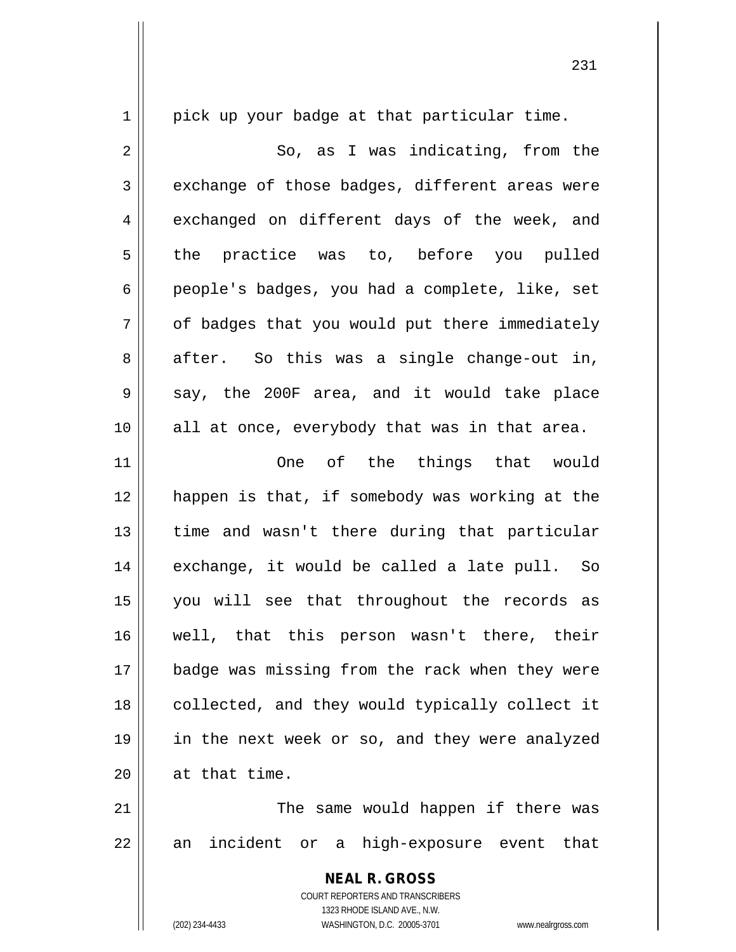**NEAL R. GROSS** COURT REPORTERS AND TRANSCRIBERS  $1 \parallel$  pick up your badge at that particular time. 2 || So, as I was indicating, from the  $3 \parallel$  exchange of those badges, different areas were  $4 \parallel$  exchanged on different days of the week, and 5 the practice was to, before you pulled 6 people's badges, you had a complete, like, set  $7 \parallel$  of badges that you would put there immediately  $8 \parallel$  after. So this was a single change-out in,  $9 \parallel$  say, the 200F area, and it would take place 10 || all at once, everybody that was in that area. 11 One of the things that would 12 happen is that, if somebody was working at the 13 || time and wasn't there during that particular 14 || exchange, it would be called a late pull. So 15 you will see that throughout the records as 16 well, that this person wasn't there, their 17 || badge was missing from the rack when they were 18 || collected, and they would typically collect it 19 in the next week or so, and they were analyzed 20 | at that time. 21 The same would happen if there was  $22 \parallel$  an incident or a high-exposure event that

1323 RHODE ISLAND AVE., N.W.

(202) 234-4433 WASHINGTON, D.C. 20005-3701 www.nealrgross.com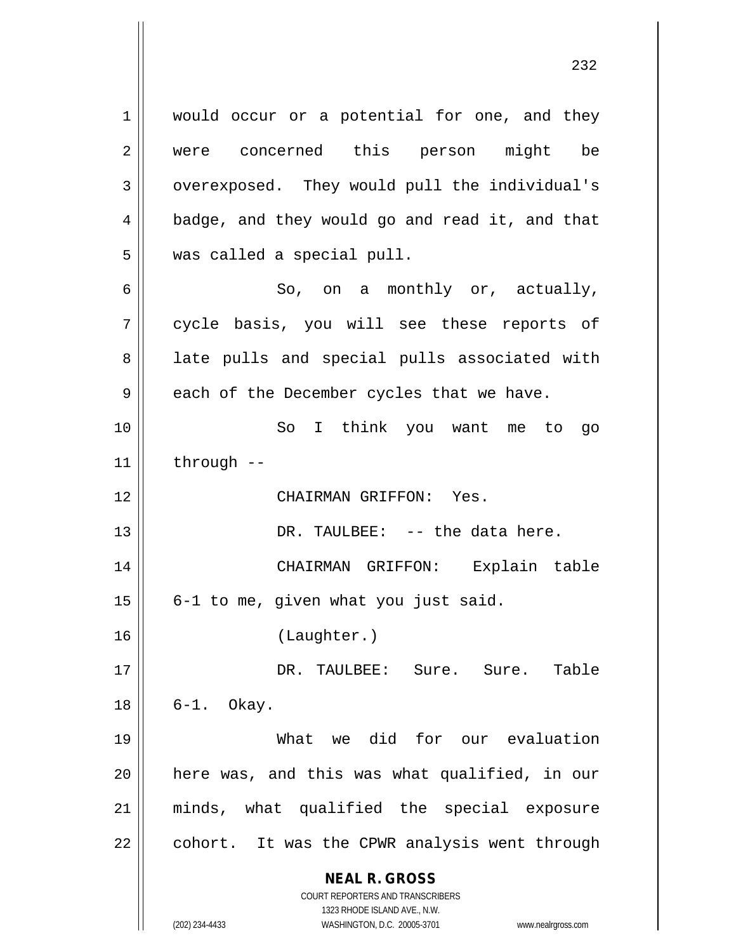**NEAL R. GROSS** 1 || would occur or a potential for one, and they 2 || were concerned this person might be 3 | overexposed. They would pull the individual's 4 badge, and they would go and read it, and that 5 || was called a special pull.  $6 \parallel$  So, on a monthly or, actually, cycle basis, you will see these reports of 8 || late pulls and special pulls associated with  $9 \parallel$  each of the December cycles that we have. So I think you want me to go | through  $-$  CHAIRMAN GRIFFON: Yes. DR. TAULBEE: -- the data here. CHAIRMAN GRIFFON: Explain table | 6-1 to me, given what you just said. (Laughter.) DR. TAULBEE: Sure. Sure. Table 6-1. Okay. What we did for our evaluation | here was, and this was what qualified, in our minds, what qualified the special exposure | cohort. It was the CPWR analysis went through

1323 RHODE ISLAND AVE., N.W. (202) 234-4433 WASHINGTON, D.C. 20005-3701 www.nealrgross.com

COURT REPORTERS AND TRANSCRIBERS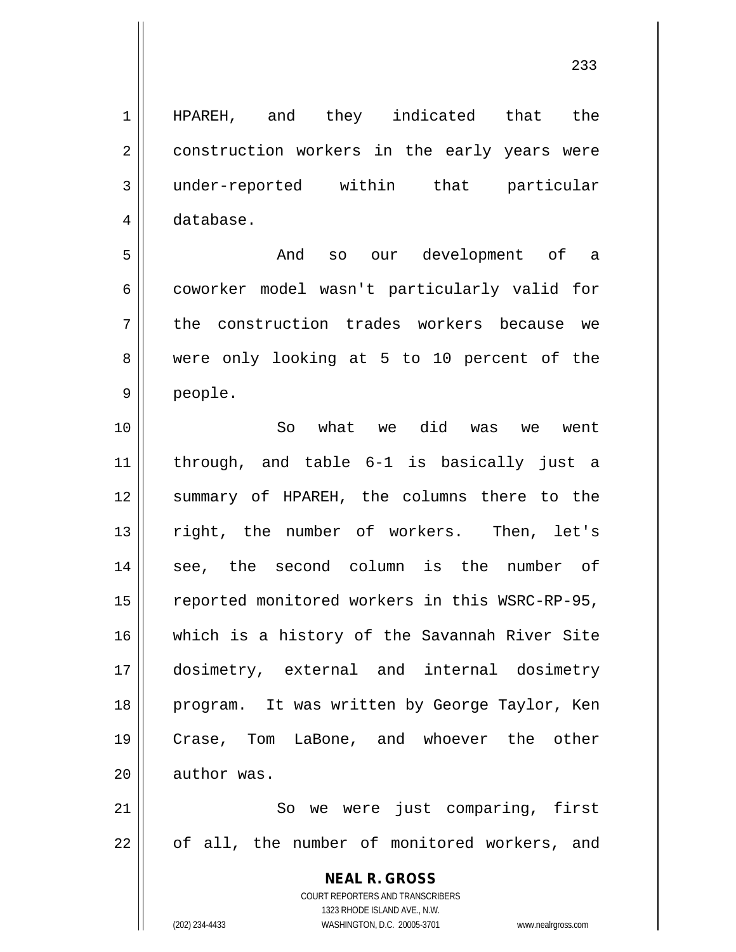1 || HPAREH, and they indicated that the 2 | construction workers in the early years were 3 under-reported within that particular 4 database.

5 And so our development of a 6 coworker model wasn't particularly valid for 7 || the construction trades workers because we 8 were only looking at 5 to 10 percent of the 9 people.

 So what we did was we went through, and table 6-1 is basically just a summary of HPAREH, the columns there to the 13 || right, the number of workers. Then, let's 14 || see, the second column is the number of 15 | reported monitored workers in this WSRC-RP-95, which is a history of the Savannah River Site dosimetry, external and internal dosimetry 18 || program. It was written by George Taylor, Ken Crase, Tom LaBone, and whoever the other  $\parallel$  author was.

21 || So we were just comparing, first  $22$  || of all, the number of monitored workers, and

> **NEAL R. GROSS** COURT REPORTERS AND TRANSCRIBERS 1323 RHODE ISLAND AVE., N.W. (202) 234-4433 WASHINGTON, D.C. 20005-3701 www.nealrgross.com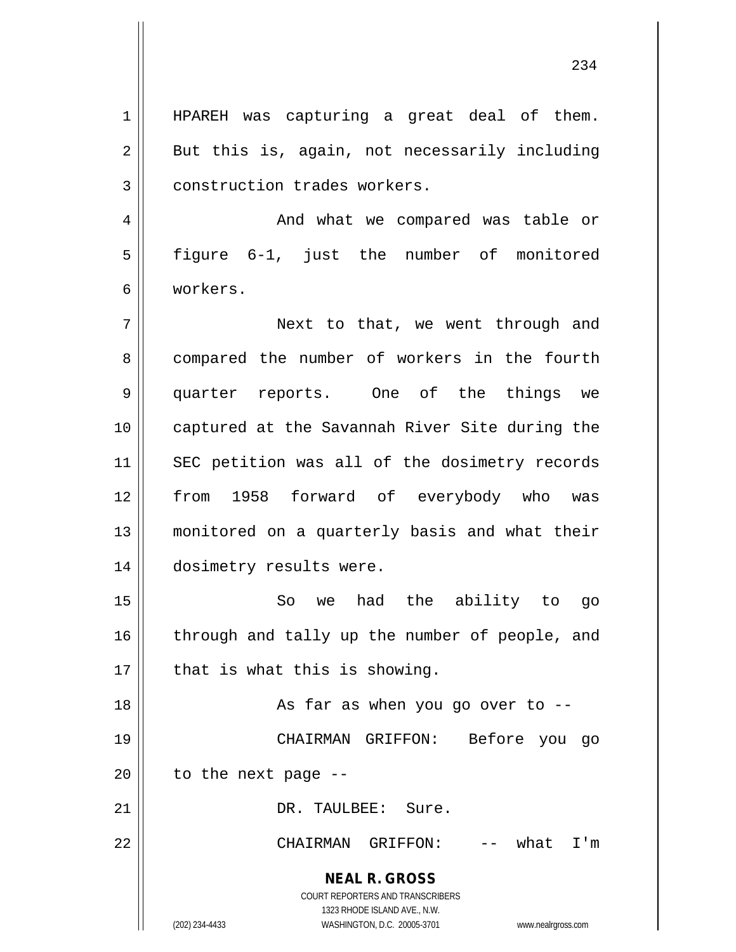1 || HPAREH was capturing a great deal of them.  $2 \parallel$  But this is, again, not necessarily including 3 | construction trades workers.

4 And what we compared was table or 5 || figure 6-1, just the number of monitored 6 workers.

7 Next to that, we went through and 8 compared the number of workers in the fourth 9 quarter reports. One of the things we 10 || captured at the Savannah River Site during the 11 || SEC petition was all of the dosimetry records 12 from 1958 forward of everybody who was 13 monitored on a quarterly basis and what their 14 | dosimetry results were.

15 || So we had the ability to go 16 || through and tally up the number of people, and  $17$  | that is what this is showing.

18 || As far as when you go over to --

19 CHAIRMAN GRIFFON: Before you go  $20$  | to the next page --

21 || DR. TAULBEE: Sure.

22 CHAIRMAN GRIFFON: -- what I'm

**NEAL R. GROSS**

COURT REPORTERS AND TRANSCRIBERS 1323 RHODE ISLAND AVE., N.W. (202) 234-4433 WASHINGTON, D.C. 20005-3701 www.nealrgross.com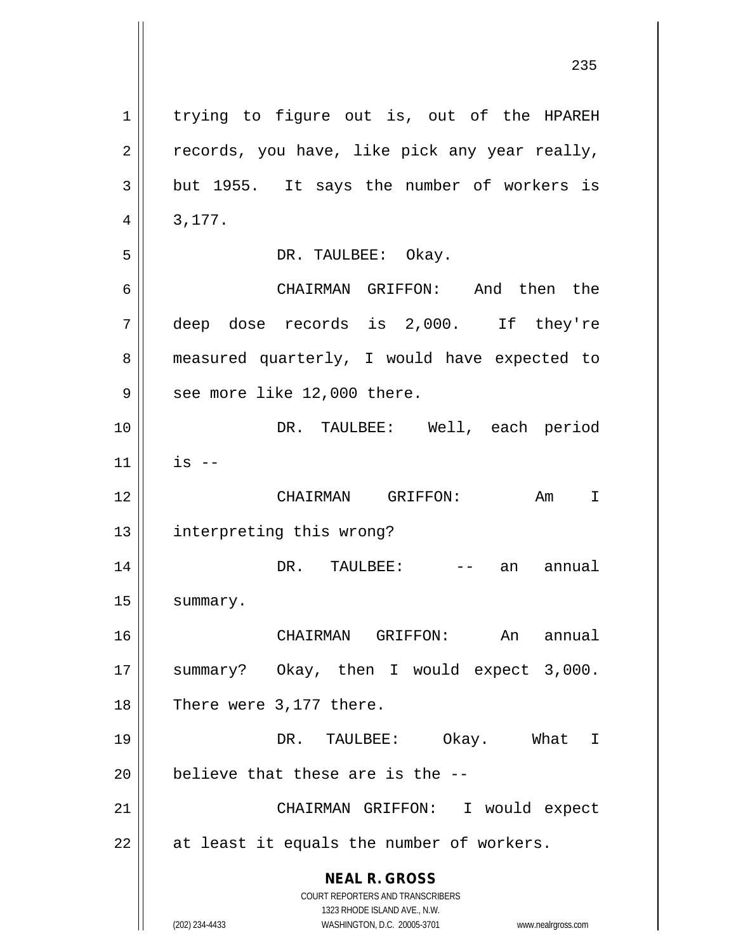**NEAL R. GROSS** COURT REPORTERS AND TRANSCRIBERS 1323 RHODE ISLAND AVE., N.W. (202) 234-4433 WASHINGTON, D.C. 20005-3701 www.nealrgross.com 1 | trying to figure out is, out of the HPAREH  $2 \parallel$  records, you have, like pick any year really,  $3 \parallel$  but 1955. It says the number of workers is  $4 \parallel 3,177.$ 5 | DR. TAULBEE: Okay. 6 CHAIRMAN GRIFFON: And then the 7 deep dose records is 2,000. If they're 8 || measured quarterly, I would have expected to  $9 \parallel$  see more like 12,000 there. 10 DR. TAULBEE: Well, each period  $11$   $\parallel$  is  $-$ 12 CHAIRMAN GRIFFON: Am I 13 || interpreting this wrong? 14 DR. TAULBEE: -- an annual 15 | summary. 16 || CHAIRMAN GRIFFON: An annual 17 || summary? Okay, then I would expect 3,000.  $18$  | There were 3,177 there. 19 DR. TAULBEE: Okay. What I  $20$  | believe that these are is the  $-$ -21 CHAIRMAN GRIFFON: I would expect  $22$  || at least it equals the number of workers.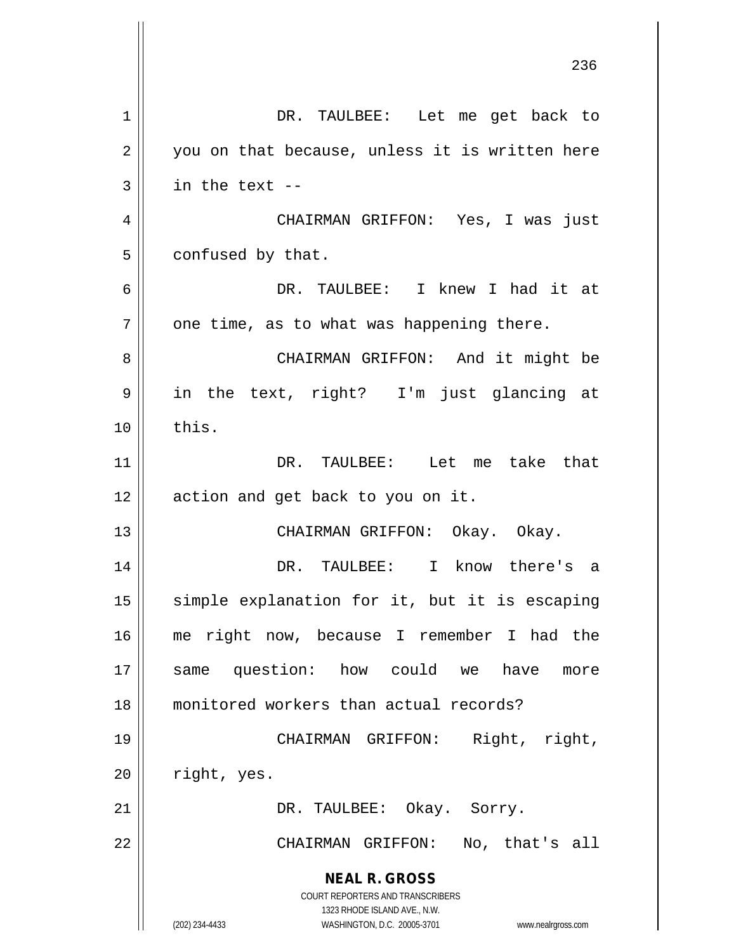| 1  | DR. TAULBEE: Let me get back to                                                                                                                                        |
|----|------------------------------------------------------------------------------------------------------------------------------------------------------------------------|
| 2  | you on that because, unless it is written here                                                                                                                         |
| 3  | in the text --                                                                                                                                                         |
| 4  | CHAIRMAN GRIFFON: Yes, I was just                                                                                                                                      |
| 5  | confused by that.                                                                                                                                                      |
| 6  | DR. TAULBEE: I knew I had it at                                                                                                                                        |
| 7  | one time, as to what was happening there.                                                                                                                              |
| 8  | CHAIRMAN GRIFFON: And it might be                                                                                                                                      |
| 9  | in the text, right? I'm just glancing at                                                                                                                               |
| 10 | this.                                                                                                                                                                  |
| 11 | DR. TAULBEE: Let me take that                                                                                                                                          |
| 12 | action and get back to you on it.                                                                                                                                      |
| 13 | CHAIRMAN GRIFFON: Okay. Okay.                                                                                                                                          |
| 14 | DR. TAULBEE: I know there's a                                                                                                                                          |
| 15 | simple explanation for it, but it is escaping                                                                                                                          |
| 16 | me right now, because I remember I had the                                                                                                                             |
| 17 | same question: how could we have<br>more                                                                                                                               |
| 18 | monitored workers than actual records?                                                                                                                                 |
| 19 | CHAIRMAN GRIFFON: Right, right,                                                                                                                                        |
| 20 | right, yes.                                                                                                                                                            |
| 21 | DR. TAULBEE: Okay. Sorry.                                                                                                                                              |
| 22 | CHAIRMAN GRIFFON: No, that's all                                                                                                                                       |
|    | <b>NEAL R. GROSS</b><br><b>COURT REPORTERS AND TRANSCRIBERS</b><br>1323 RHODE ISLAND AVE., N.W.<br>(202) 234-4433<br>WASHINGTON, D.C. 20005-3701<br>www.nealrgross.com |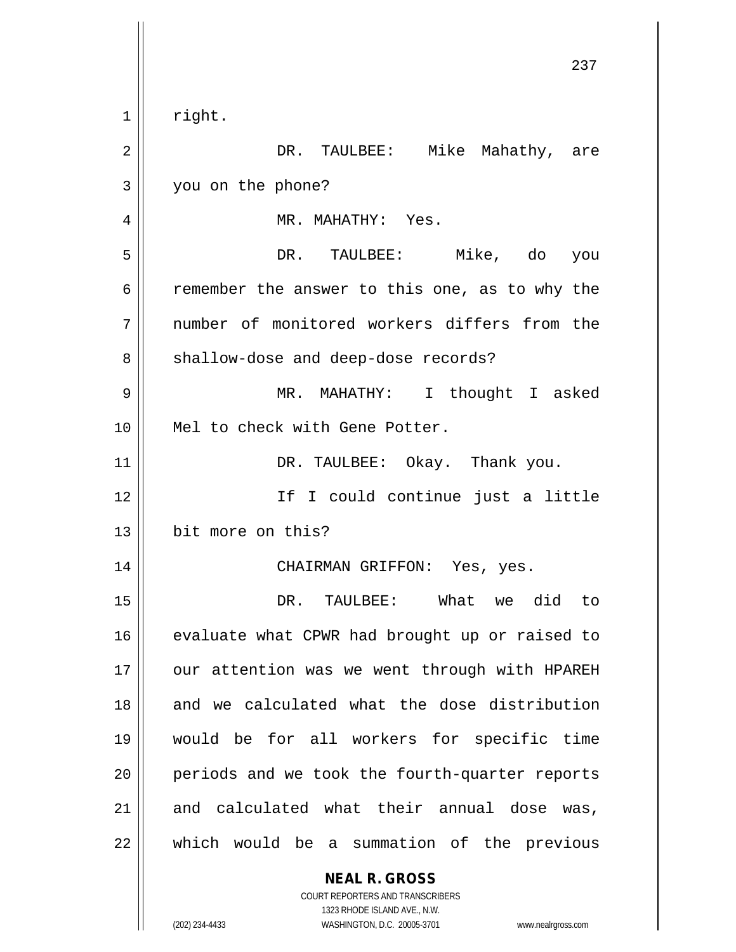|    | 237                                                      |
|----|----------------------------------------------------------|
| 1  | right.                                                   |
| 2  | DR. TAULBEE: Mike Mahathy, are                           |
| 3  | you on the phone?                                        |
| 4  | MR. MAHATHY: Yes.                                        |
| 5  | DR. TAULBEE: Mike, do<br>you                             |
| 6  | remember the answer to this one, as to why the           |
| 7  | number of monitored workers differs from the             |
| 8  | shallow-dose and deep-dose records?                      |
| 9  | MR. MAHATHY: I thought I asked                           |
| 10 | Mel to check with Gene Potter.                           |
| 11 | DR. TAULBEE: Okay. Thank you.                            |
| 12 | If I could continue just a little                        |
| 13 | bit more on this?                                        |
| 14 | CHAIRMAN GRIFFON: Yes, yes.                              |
| 15 | DR. TAULBEE: What we did to                              |
| 16 | evaluate what CPWR had brought up or raised to           |
| 17 | our attention was we went through with HPAREH            |
| 18 | and we calculated what the dose distribution             |
| 19 | would be for all workers for specific time               |
| 20 | periods and we took the fourth-quarter reports           |
| 21 | and calculated what their annual dose was,               |
| 22 | which would be a summation of the previous               |
|    | <b>NEAL R. GROSS</b><br>COURT REPORTERS AND TRANSCRIBERS |

1323 RHODE ISLAND AVE., N.W.

 $\prod$ 

 $\overline{\phantom{a}}$ 

(202) 234-4433 WASHINGTON, D.C. 20005-3701 www.nealrgross.com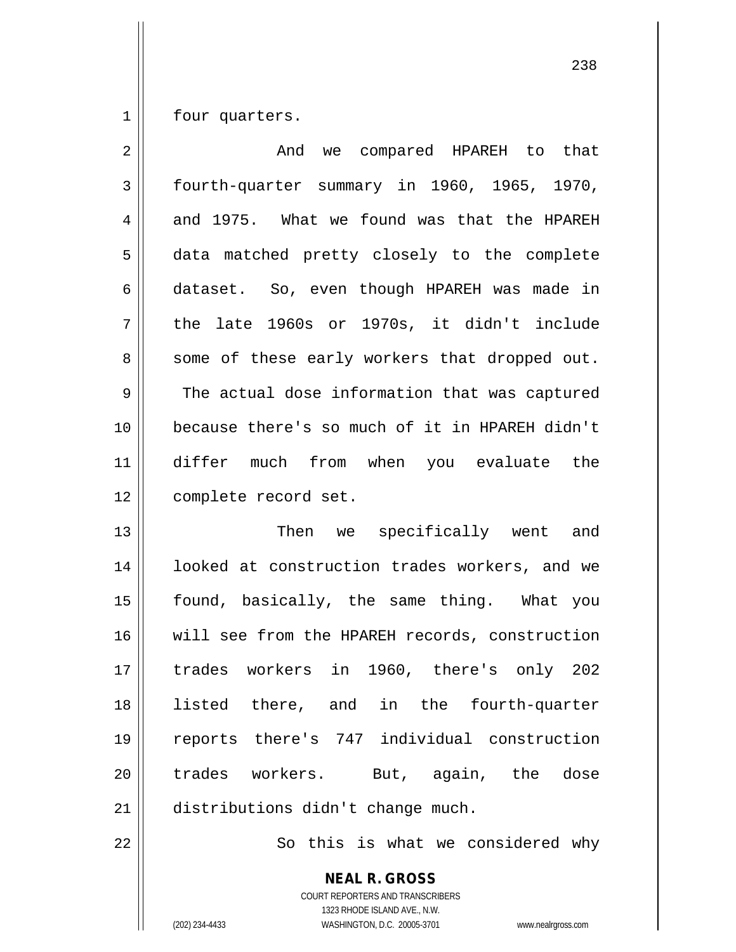1 | four quarters.

| $\overline{2}$ | And we compared HPAREH to that                 |
|----------------|------------------------------------------------|
| 3              | fourth-quarter summary in 1960, 1965, 1970,    |
| 4              | and 1975. What we found was that the HPAREH    |
| 5              | data matched pretty closely to the complete    |
| 6              | dataset. So, even though HPAREH was made in    |
| 7              | the late 1960s or 1970s, it didn't include     |
| 8              | some of these early workers that dropped out.  |
| 9              | The actual dose information that was captured  |
| 10             | because there's so much of it in HPAREH didn't |
| 11             | differ much from when you evaluate the         |
| 12             | complete record set.                           |
| 13             | Then we specifically went and                  |
| 14             | looked at construction trades workers, and we  |
| 15             | found, basically, the same thing. What you     |
| 16             | will see from the HPAREH records, construction |
| 17             | trades workers in 1960, there's only 202       |
| 18             | listed there, and in the fourth-quarter        |
| 19             | reports there's 747 individual construction    |
| 20             | trades workers. But, again, the<br>dose        |
|                |                                                |
| 21             | distributions didn't change much.              |

 $\parallel$  So this is what we considered why

**NEAL R. GROSS** COURT REPORTERS AND TRANSCRIBERS 1323 RHODE ISLAND AVE., N.W. (202) 234-4433 WASHINGTON, D.C. 20005-3701 www.nealrgross.com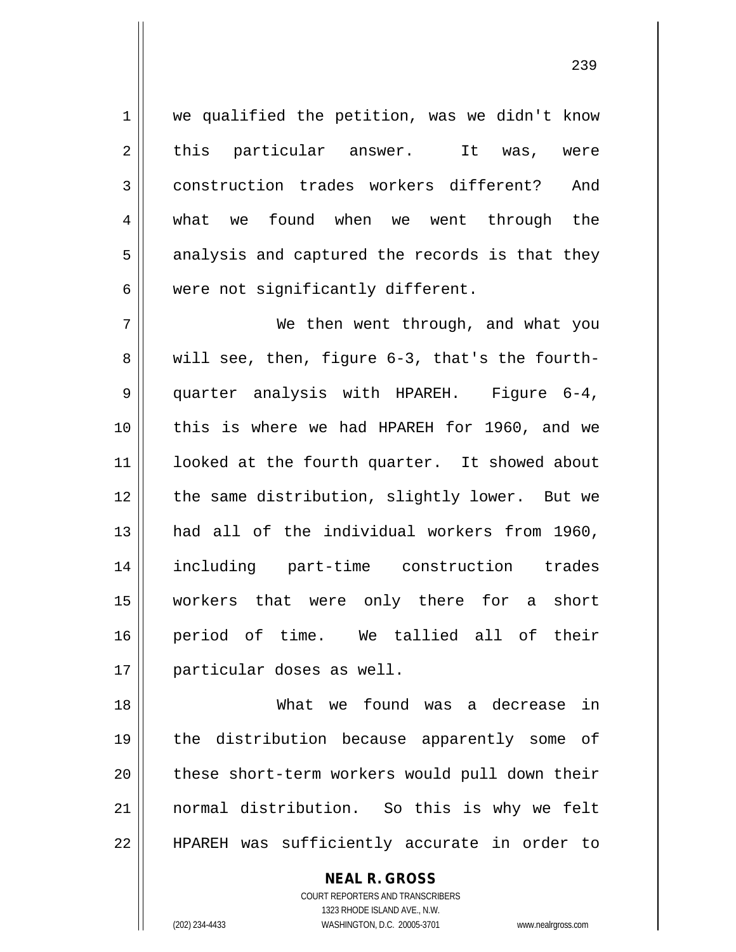1 || we qualified the petition, was we didn't know  $2 \parallel$  this particular answer. It was, were 3 construction trades workers different? And 4 what we found when we went through the  $5 \parallel$  analysis and captured the records is that they  $6$  | were not significantly different.

 We then went through, and what you  $8 \parallel$  will see, then, figure 6-3, that's the fourth- quarter analysis with HPAREH. Figure 6-4, this is where we had HPAREH for 1960, and we 11 || looked at the fourth quarter. It showed about 12 || the same distribution, slightly lower. But we had all of the individual workers from 1960, including part-time construction trades workers that were only there for a short period of time. We tallied all of their particular doses as well.

18 What we found was a decrease in 19 the distribution because apparently some of 20 || these short-term workers would pull down their 21 normal distribution. So this is why we felt 22 || HPAREH was sufficiently accurate in order to

> **NEAL R. GROSS** COURT REPORTERS AND TRANSCRIBERS

1323 RHODE ISLAND AVE., N.W. (202) 234-4433 WASHINGTON, D.C. 20005-3701 www.nealrgross.com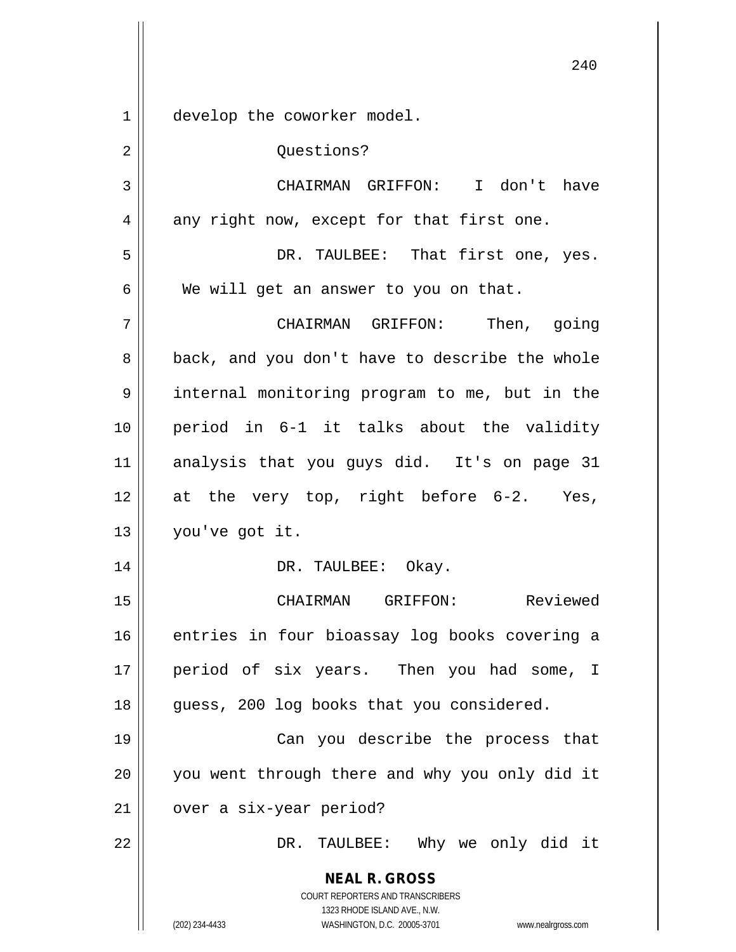**NEAL R. GROSS** COURT REPORTERS AND TRANSCRIBERS 1323 RHODE ISLAND AVE., N.W. (202) 234-4433 WASHINGTON, D.C. 20005-3701 www.nealrgross.com 1 | develop the coworker model. 2 | Questions? 3 CHAIRMAN GRIFFON: I don't have  $4 \parallel$  any right now, except for that first one. 5 DR. TAULBEE: That first one, yes.  $6 \parallel$  We will get an answer to you on that. 7 CHAIRMAN GRIFFON: Then, going 8 back, and you don't have to describe the whole 9 || internal monitoring program to me, but in the 10 period in 6-1 it talks about the validity 11 analysis that you guys did. It's on page 31 12 at the very top, right before 6-2. Yes, 13 you've got it. 14 DR. TAULBEE: Okay. 15 CHAIRMAN GRIFFON: Reviewed 16 || entries in four bioassay log books covering a 17 || period of six years. Then you had some, I 18 || guess, 200 log books that you considered. 19 Can you describe the process that 20 || you went through there and why you only did it 21 | over a six-year period? 22 DR. TAULBEE: Why we only did it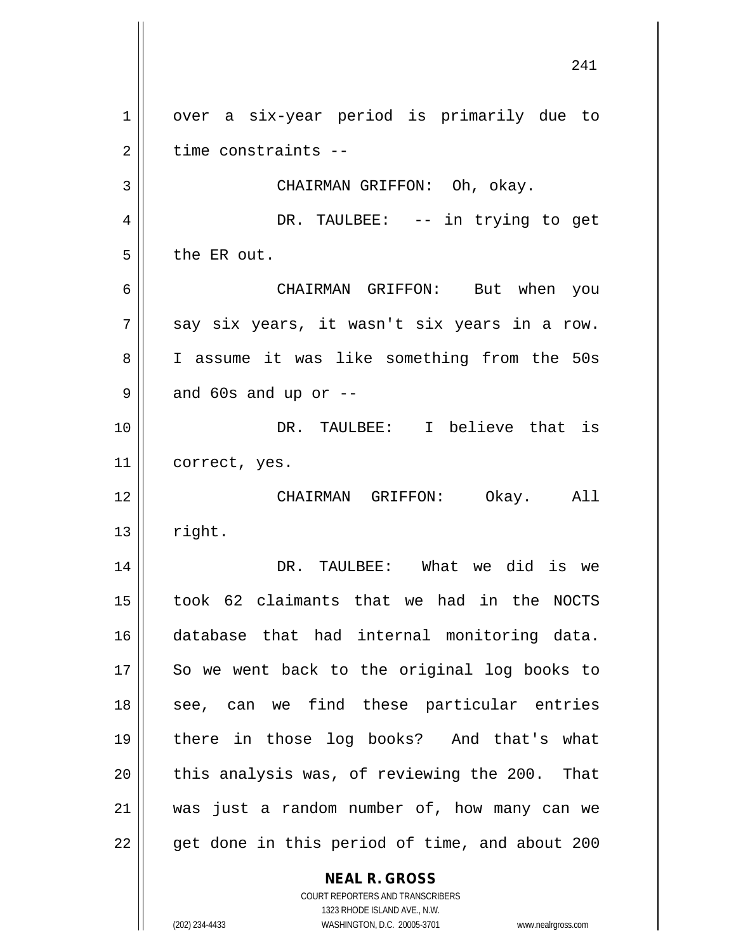**NEAL R. GROSS** 1 | over a six-year period is primarily due to  $2 \parallel$  time constraints --3 || CHAIRMAN GRIFFON: Oh, okay. 4 DR. TAULBEE: -- in trying to get  $5$  | the ER out. 6 CHAIRMAN GRIFFON: But when you  $7 \parallel$  say six years, it wasn't six years in a row. 8 || I assume it was like something from the 50s  $9 \parallel$  and 60s and up or  $-$ 10 DR. TAULBEE: I believe that is 11 | correct, yes. 12 CHAIRMAN GRIFFON: Okay. All  $13 \parallel$  right. 14 DR. TAULBEE: What we did is we 15 took 62 claimants that we had in the NOCTS 16 database that had internal monitoring data.  $17$  So we went back to the original log books to 18 || see, can we find these particular entries 19 there in those log books? And that's what  $20$  || this analysis was, of reviewing the 200. That 21 was just a random number of, how many can we  $22$  || get done in this period of time, and about 200

> COURT REPORTERS AND TRANSCRIBERS 1323 RHODE ISLAND AVE., N.W. (202) 234-4433 WASHINGTON, D.C. 20005-3701 www.nealrgross.com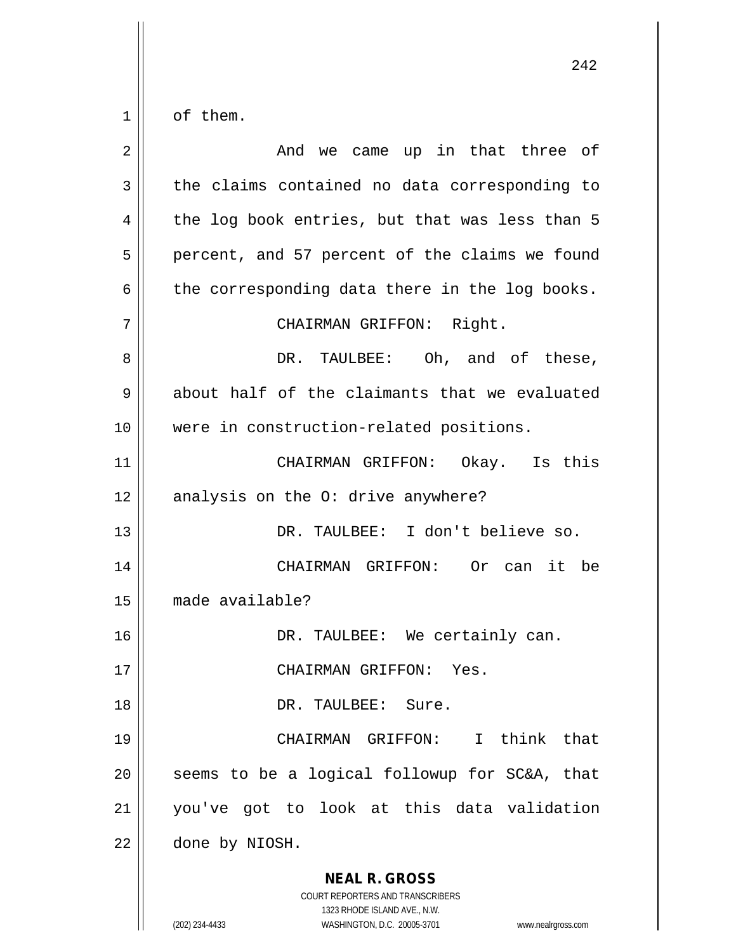| 2  | And we came up in that three of                                                                                                                                        |
|----|------------------------------------------------------------------------------------------------------------------------------------------------------------------------|
| 3  | the claims contained no data corresponding to                                                                                                                          |
| 4  | the log book entries, but that was less than 5                                                                                                                         |
| 5  | percent, and 57 percent of the claims we found                                                                                                                         |
| 6  | the corresponding data there in the log books.                                                                                                                         |
| 7  | CHAIRMAN GRIFFON: Right.                                                                                                                                               |
| 8  | DR. TAULBEE: Oh, and of these,                                                                                                                                         |
| 9  | about half of the claimants that we evaluated                                                                                                                          |
| 10 | were in construction-related positions.                                                                                                                                |
| 11 | CHAIRMAN GRIFFON: Okay. Is this                                                                                                                                        |
| 12 | analysis on the O: drive anywhere?                                                                                                                                     |
| 13 | DR. TAULBEE: I don't believe so.                                                                                                                                       |
| 14 | CHAIRMAN GRIFFON: Or can it be                                                                                                                                         |
| 15 | made available?                                                                                                                                                        |
| 16 | DR. TAULBEE: We certainly can.                                                                                                                                         |
| 17 | CHAIRMAN GRIFFON: Yes                                                                                                                                                  |
| 18 | DR. TAULBEE: Sure.                                                                                                                                                     |
| 19 | CHAIRMAN GRIFFON: I think that                                                                                                                                         |
| 20 | seems to be a logical followup for SC&A, that                                                                                                                          |
| 21 | you've got to look at this data validation                                                                                                                             |
| 22 | done by NIOSH.                                                                                                                                                         |
|    | <b>NEAL R. GROSS</b><br><b>COURT REPORTERS AND TRANSCRIBERS</b><br>1323 RHODE ISLAND AVE., N.W.<br>(202) 234-4433<br>WASHINGTON, D.C. 20005-3701<br>www.nealrgross.com |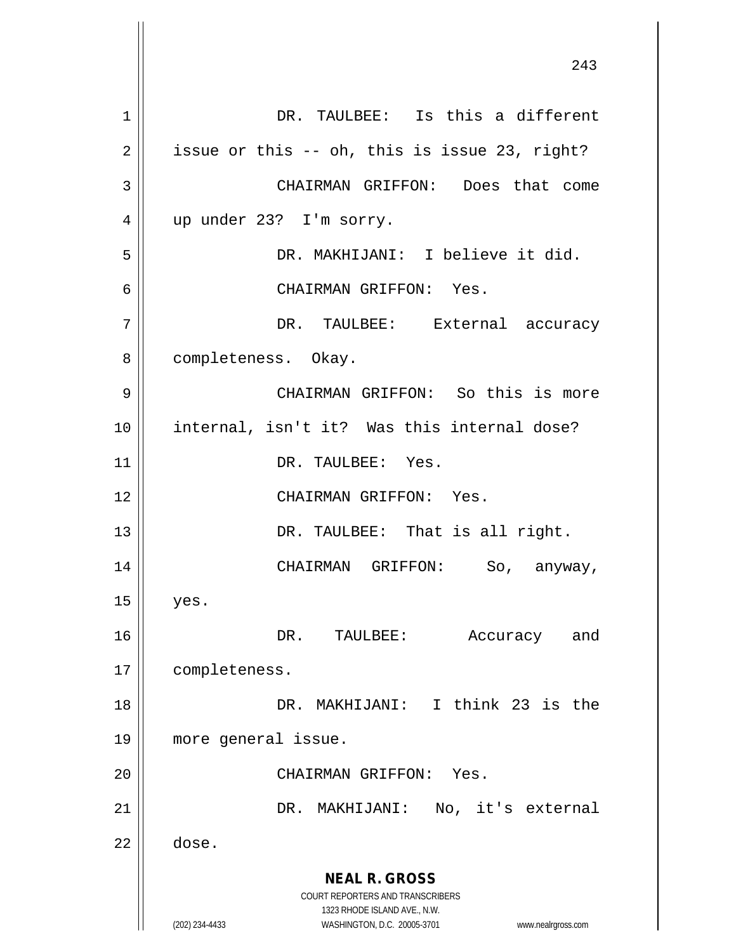**NEAL R. GROSS** COURT REPORTERS AND TRANSCRIBERS 1323 RHODE ISLAND AVE., N.W. (202) 234-4433 WASHINGTON, D.C. 20005-3701 www.nealrgross.com 1 DR. TAULBEE: Is this a different  $2 \parallel$  issue or this -- oh, this is issue 23, right? 3 || CHAIRMAN GRIFFON: Does that come 4 || up under 23? I'm sorry. 5 DR. MAKHIJANI: I believe it did. 6 CHAIRMAN GRIFFON: Yes. 7 DR. TAULBEE: External accuracy 8 | completeness. Okay. 9 CHAIRMAN GRIFFON: So this is more 10 internal, isn't it? Was this internal dose? 11 | DR. TAULBEE: Yes. 12 CHAIRMAN GRIFFON: Yes. 13 || DR. TAULBEE: That is all right. 14 CHAIRMAN GRIFFON: So, anyway,  $15 \parallel$  yes. 16 DR. TAULBEE: Accuracy and 17 | completeness. 18 DR. MAKHIJANI: I think 23 is the 19 more general issue. 20 CHAIRMAN GRIFFON: Yes. 21 DR. MAKHIJANI: No, it's external  $22 \parallel$  dose.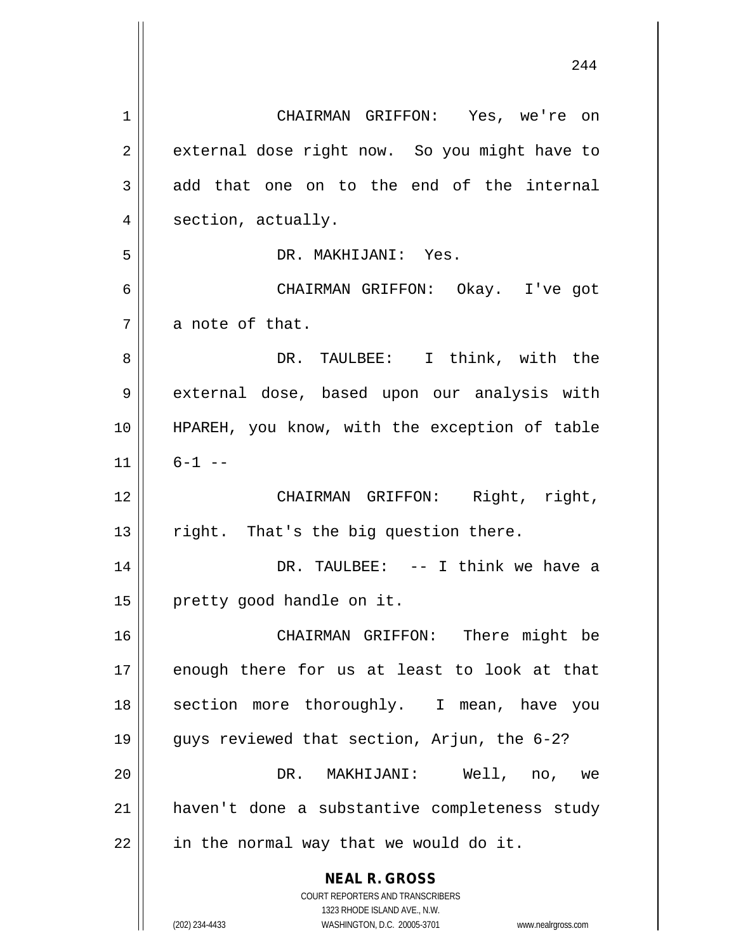**NEAL R. GROSS** COURT REPORTERS AND TRANSCRIBERS 1323 RHODE ISLAND AVE., N.W. 1 CHAIRMAN GRIFFON: Yes, we're on 2 | external dose right now. So you might have to  $3 \parallel$  add that one on to the end of the internal 4 | section, actually. 5 DR. MAKHIJANI: Yes. 6 CHAIRMAN GRIFFON: Okay. I've got 7 a note of that. 8 DR. TAULBEE: I think, with the 9 external dose, based upon our analysis with 10 HPAREH, you know, with the exception of table  $11 \parallel 6-1$  --12 CHAIRMAN GRIFFON: Right, right,  $13$  | right. That's the big question there. 14 DR. TAULBEE: -- I think we have a 15 | pretty good handle on it. 16 CHAIRMAN GRIFFON: There might be 17 || enough there for us at least to look at that 18 || section more thoroughly. I mean, have you 19 guys reviewed that section, Arjun, the 6-2? 20 DR. MAKHIJANI: Well, no, we 21 haven't done a substantive completeness study  $22$  || in the normal way that we would do it.

(202) 234-4433 WASHINGTON, D.C. 20005-3701 www.nealrgross.com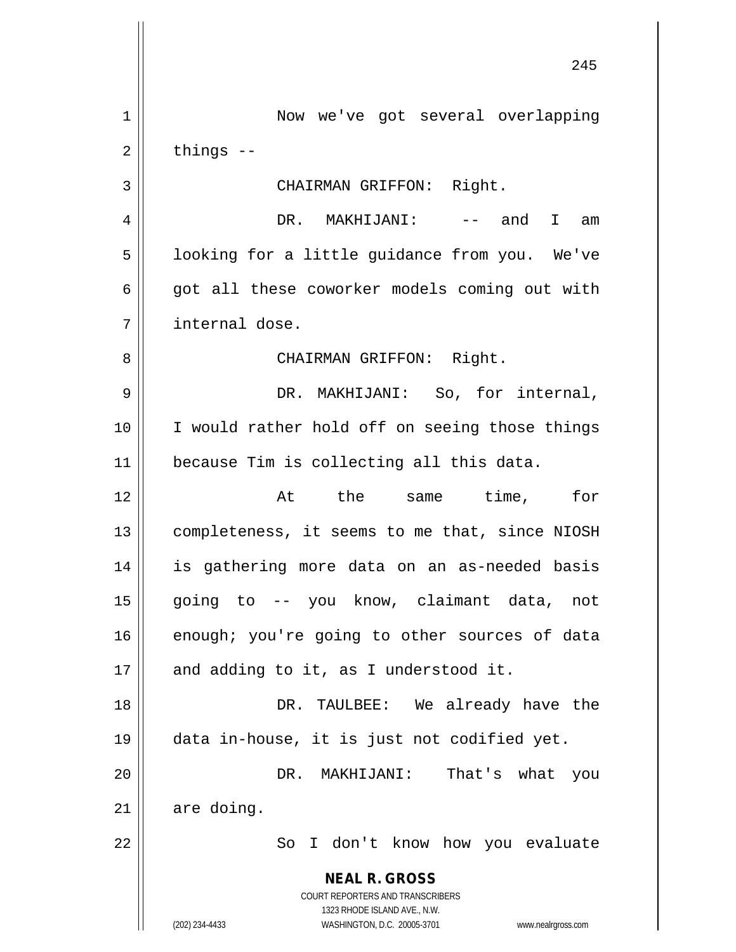**NEAL R. GROSS** COURT REPORTERS AND TRANSCRIBERS 1323 RHODE ISLAND AVE., N.W. (202) 234-4433 WASHINGTON, D.C. 20005-3701 www.nealrgross.com 1 | Now we've got several overlapping  $2 \parallel$  things  $-$ 3 || CHAIRMAN GRIFFON: Right. 4 DR. MAKHIJANI: -- and I am 5 | looking for a little guidance from you. We've  $6 \parallel$  got all these coworker models coming out with 7 internal dose. 8 CHAIRMAN GRIFFON: Right. 9 DR. MAKHIJANI: So, for internal, 10 || I would rather hold off on seeing those things 11 because Tim is collecting all this data. 12 At the same time, for 13 | completeness, it seems to me that, since NIOSH 14 is gathering more data on an as-needed basis 15 going to -- you know, claimant data, not  $16$  enough; you're going to other sources of data  $17$  || and adding to it, as I understood it. 18 DR. TAULBEE: We already have the 19 data in-house, it is just not codified yet. 20 DR. MAKHIJANI: That's what you  $21$  are doing. 22 || So I don't know how you evaluate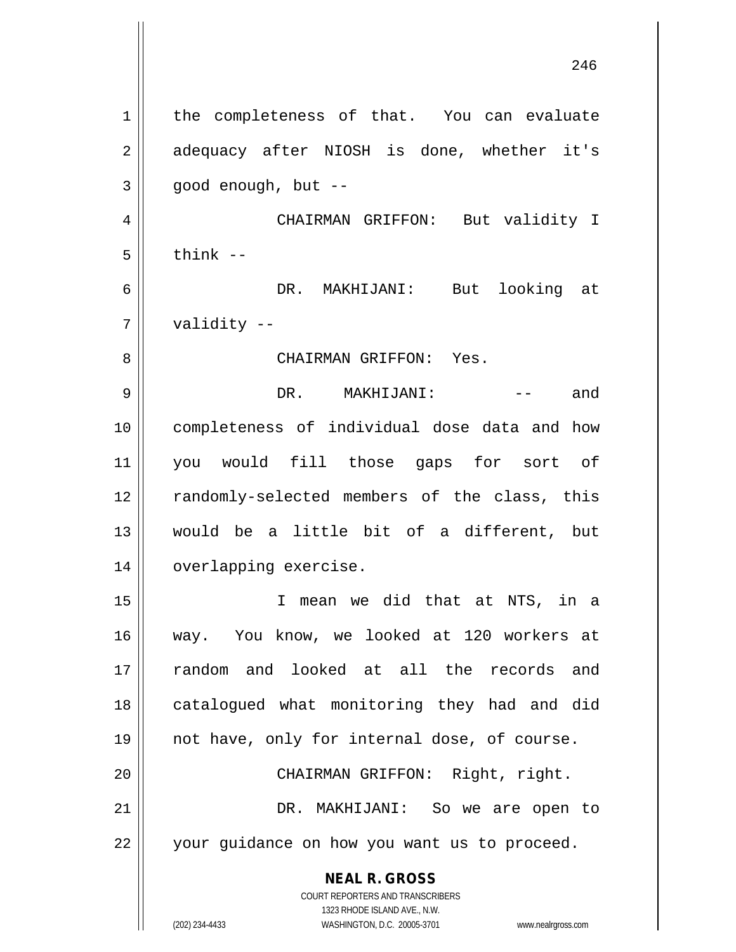**NEAL R. GROSS** COURT REPORTERS AND TRANSCRIBERS 1323 RHODE ISLAND AVE., N.W. 1 | the completeness of that. You can evaluate 2 adequacy after NIOSH is done, whether it's  $3 \parallel$  good enough, but --4 CHAIRMAN GRIFFON: But validity I  $5 \parallel$  think  $-$ 6 DR. MAKHIJANI: But looking at 7 validity -- 8 CHAIRMAN GRIFFON: Yes. 9 DR. MAKHIJANI: -- and 10 completeness of individual dose data and how 11 you would fill those gaps for sort of 12 || randomly-selected members of the class, this 13 would be a little bit of a different, but 14 | overlapping exercise. 15 I mean we did that at NTS, in a 16 way. You know, we looked at 120 workers at 17 random and looked at all the records and 18 || catalogued what monitoring they had and did 19 not have, only for internal dose, of course. 20 || CHAIRMAN GRIFFON: Right, right. 21 DR. MAKHIJANI: So we are open to 22 || your guidance on how you want us to proceed.

(202) 234-4433 WASHINGTON, D.C. 20005-3701 www.nealrgross.com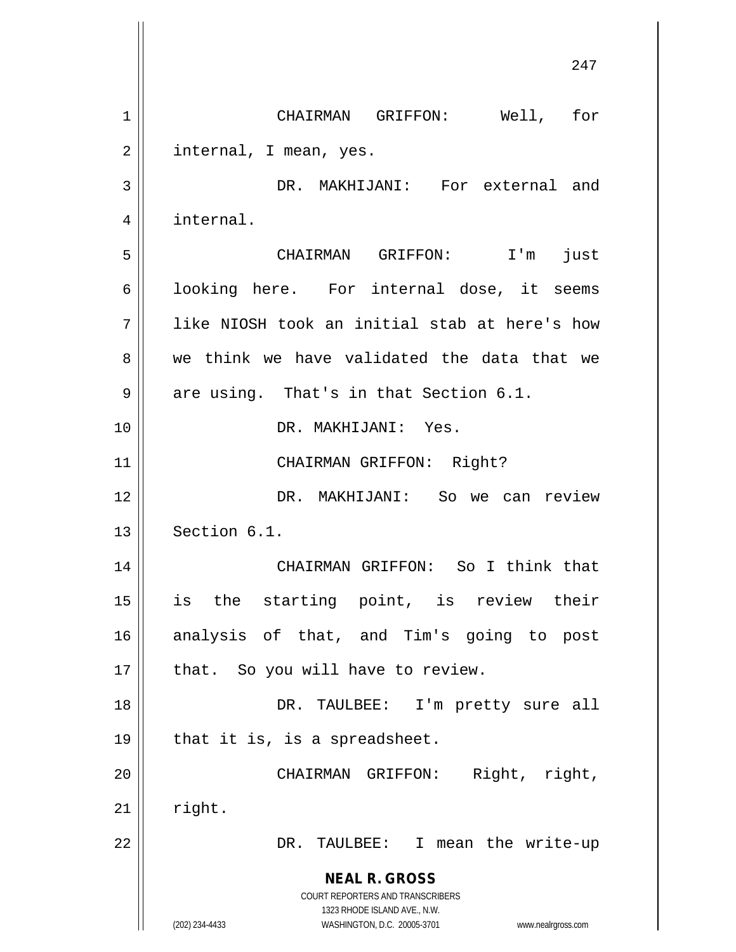**NEAL R. GROSS** COURT REPORTERS AND TRANSCRIBERS 1323 RHODE ISLAND AVE., N.W. (202) 234-4433 WASHINGTON, D.C. 20005-3701 www.nealrgross.com 247 1 | CHAIRMAN GRIFFON: Well, for  $2 \parallel$  internal, I mean, yes. 3 DR. MAKHIJANI: For external and 4 internal. 5 CHAIRMAN GRIFFON: I'm just 6 | looking here. For internal dose, it seems 7 like NIOSH took an initial stab at here's how 8 we think we have validated the data that we  $9 \parallel$  are using. That's in that Section 6.1. 10 DR. MAKHIJANI: Yes. 11 || CHAIRMAN GRIFFON: Right? 12 DR. MAKHIJANI: So we can review  $13$  Section 6.1. 14 CHAIRMAN GRIFFON: So I think that 15 is the starting point, is review their 16 analysis of that, and Tim's going to post  $17$  | that. So you will have to review. 18 || DR. TAULBEE: I'm pretty sure all  $19 \parallel$  that it is, is a spreadsheet. 20 CHAIRMAN GRIFFON: Right, right,  $21$   $\parallel$  right. 22 DR. TAULBEE: I mean the write-up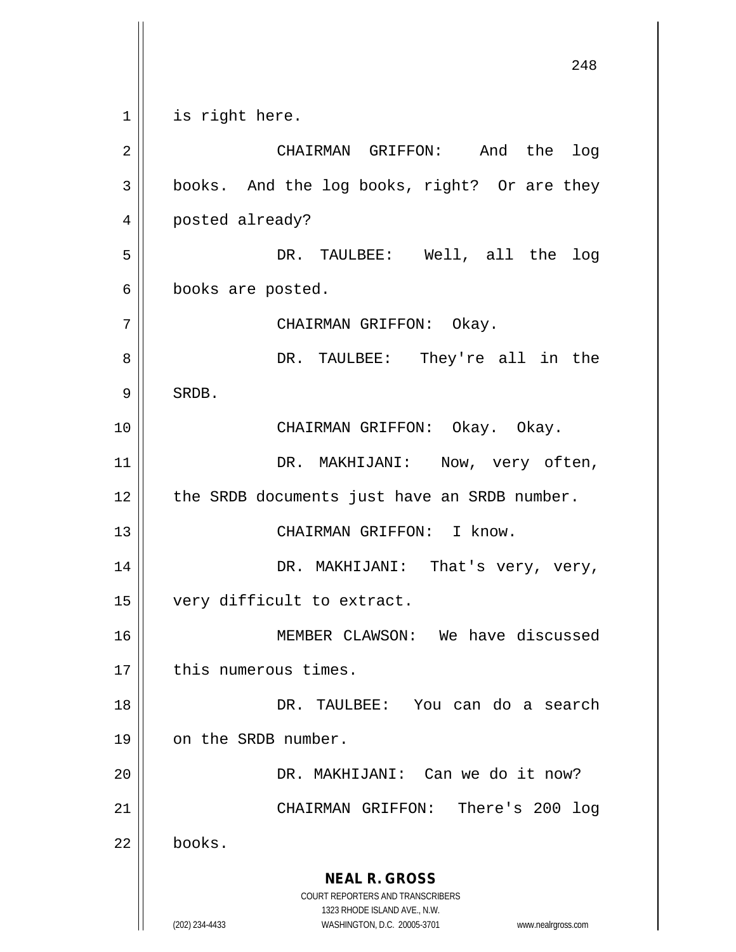**NEAL R. GROSS** COURT REPORTERS AND TRANSCRIBERS 1323 RHODE ISLAND AVE., N.W. (202) 234-4433 WASHINGTON, D.C. 20005-3701 www.nealrgross.com 248 1 || is right here. 2 CHAIRMAN GRIFFON: And the log 3 | books. And the log books, right? Or are they 4 | posted already? 5 DR. TAULBEE: Well, all the log 6 || books are posted. 7 || CHAIRMAN GRIFFON: Okay. 8 DR. TAULBEE: They're all in the  $9 \parallel$  SRDB. 10 CHAIRMAN GRIFFON: Okay. Okay. 11 || DR. MAKHIJANI: Now, very often, 12 | the SRDB documents just have an SRDB number. 13 || CHAIRMAN GRIFFON: I know. 14 DR. MAKHIJANI: That's very, very, 15 | very difficult to extract. 16 MEMBER CLAWSON: We have discussed 17 || this numerous times. 18 DR. TAULBEE: You can do a search 19 | on the SRDB number. 20 DR. MAKHIJANI: Can we do it now? 21 || CHAIRMAN GRIFFON: There's 200 log 22 books.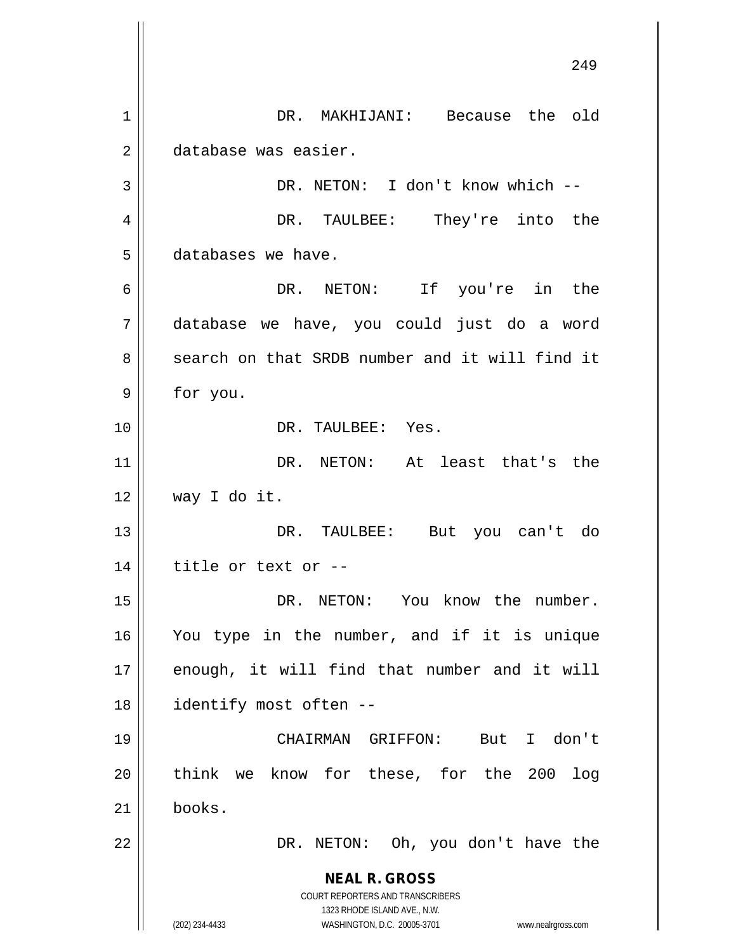**NEAL R. GROSS** COURT REPORTERS AND TRANSCRIBERS 1323 RHODE ISLAND AVE., N.W. (202) 234-4433 WASHINGTON, D.C. 20005-3701 www.nealrgross.com 249 1 || DR. MAKHIJANI: Because the old 2 database was easier. 3 || DR. NETON: I don't know which --4 DR. TAULBEE: They're into the 5 databases we have. 6 DR. NETON: If you're in the 7 database we have, you could just do a word 8 Search on that SRDB number and it will find it 9 | for you. 10 DR. TAULBEE: Yes. 11 DR. NETON: At least that's the 12 way I do it. 13 DR. TAULBEE: But you can't do  $14$  || title or text or --15 DR. NETON: You know the number. 16 You type in the number, and if it is unique  $17$  enough, it will find that number and it will 18 || identify most often --19 CHAIRMAN GRIFFON: But I don't 20 think we know for these, for the 200 log  $21$  books. 22 || DR. NETON: Oh, you don't have the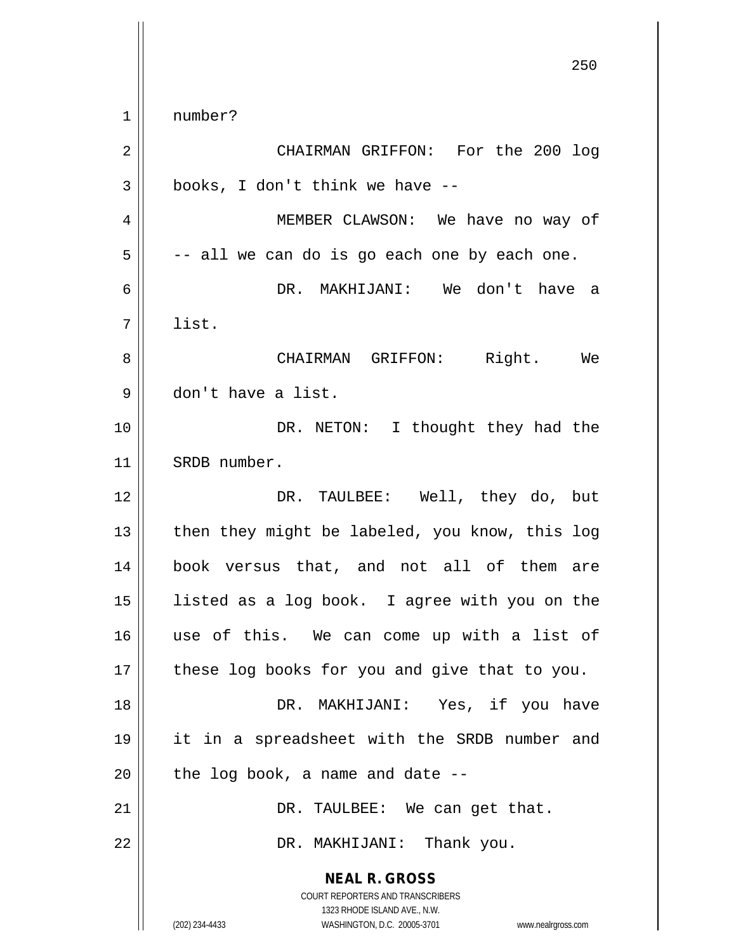$1 \parallel$  number?

| $\overline{2}$ | CHAIRMAN GRIFFON: For the 200 log                                                                                                                               |
|----------------|-----------------------------------------------------------------------------------------------------------------------------------------------------------------|
| $\mathbf{3}$   | books, I don't think we have --                                                                                                                                 |
| $\overline{4}$ | MEMBER CLAWSON: We have no way of                                                                                                                               |
| 5              | -- all we can do is go each one by each one.                                                                                                                    |
| 6              | DR. MAKHIJANI: We don't have a                                                                                                                                  |
| 7              | list.                                                                                                                                                           |
| 8              | Right. We<br>CHAIRMAN GRIFFON:                                                                                                                                  |
| 9              | don't have a list.                                                                                                                                              |
| 10             | DR. NETON: I thought they had the                                                                                                                               |
| 11             | SRDB number.                                                                                                                                                    |
| 12             | DR. TAULBEE: Well, they do, but                                                                                                                                 |
| 13             | then they might be labeled, you know, this log                                                                                                                  |
| 14             | book versus that, and not all of them are                                                                                                                       |
| 15             | listed as a log book. I agree with you on the                                                                                                                   |
| 16             | use of this. We can come up with a list of                                                                                                                      |
| 17             | these log books for you and give that to you.                                                                                                                   |
| 18             | DR. MAKHIJANI: Yes, if you have                                                                                                                                 |
| 19             | it in a spreadsheet with the SRDB number and                                                                                                                    |
| 20             | the log book, a name and date --                                                                                                                                |
| 21             | DR. TAULBEE: We can get that.                                                                                                                                   |
| 22             | DR. MAKHIJANI: Thank you.                                                                                                                                       |
|                | <b>NEAL R. GROSS</b><br>COURT REPORTERS AND TRANSCRIBERS<br>1323 RHODE ISLAND AVE., N.W.<br>(202) 234-4433<br>WASHINGTON, D.C. 20005-3701<br>www.nealrgross.com |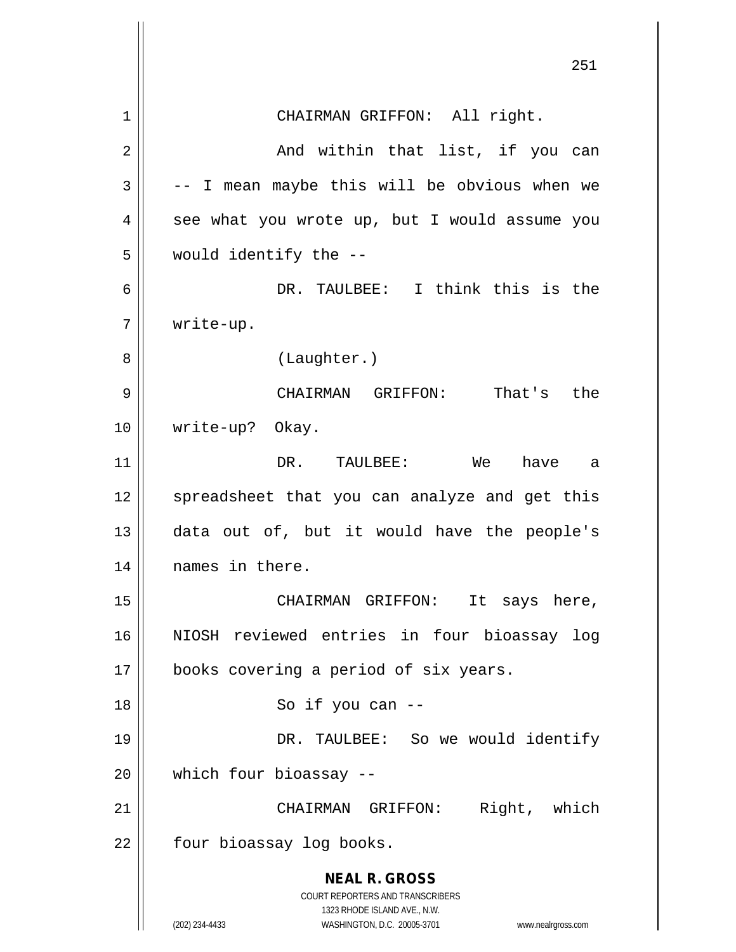**NEAL R. GROSS** COURT REPORTERS AND TRANSCRIBERS 1323 RHODE ISLAND AVE., N.W. (202) 234-4433 WASHINGTON, D.C. 20005-3701 www.nealrgross.com 251 1 || CHAIRMAN GRIFFON: All right. 2 And within that list, if you can  $3 \parallel$  -- I mean maybe this will be obvious when we  $4 \parallel$  see what you wrote up, but I would assume you 5 would identify the -- 6 DR. TAULBEE: I think this is the 7 write-up. 8 | (Laughter.) 9 CHAIRMAN GRIFFON: That's the 10 write-up? Okay. 11 DR. TAULBEE: We have a 12 || spreadsheet that you can analyze and get this 13 data out of, but it would have the people's 14 || names in there. 15 || CHAIRMAN GRIFFON: It says here, 16 NIOSH reviewed entries in four bioassay log 17 || books covering a period of six years. 18 || So if you can --19 DR. TAULBEE: So we would identify 20 which four bioassay -- 21 CHAIRMAN GRIFFON: Right, which 22 | four bioassay log books.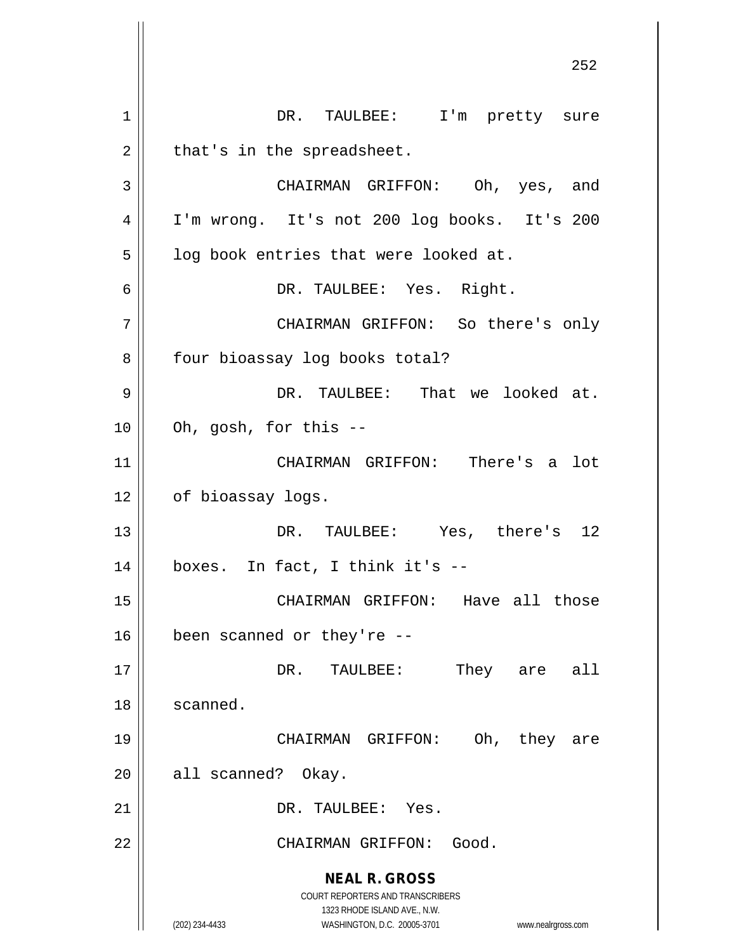**NEAL R. GROSS** COURT REPORTERS AND TRANSCRIBERS 1323 RHODE ISLAND AVE., N.W. (202) 234-4433 WASHINGTON, D.C. 20005-3701 www.nealrgross.com 1 || DR. TAULBEE: I'm pretty sure  $2 \parallel$  that's in the spreadsheet. 3 CHAIRMAN GRIFFON: Oh, yes, and 4 I'm wrong. It's not 200 log books. It's 200  $5 \parallel$  log book entries that were looked at. 6 DR. TAULBEE: Yes. Right. 7 CHAIRMAN GRIFFON: So there's only 8 | four bioassay log books total? 9 DR. TAULBEE: That we looked at.  $10$  | Oh, gosh, for this  $-$ 11 CHAIRMAN GRIFFON: There's a lot 12 | of bioassay logs. 13 DR. TAULBEE: Yes, there's 12  $14 \parallel$  boxes. In fact, I think it's --15 CHAIRMAN GRIFFON: Have all those  $16$  | been scanned or they're --17 DR. TAULBEE: They are all 18 | scanned. 19 CHAIRMAN GRIFFON: Oh, they are 20 || all scanned? Okay. 21 | DR. TAULBEE: Yes. 22 || CHAIRMAN GRIFFON: Good.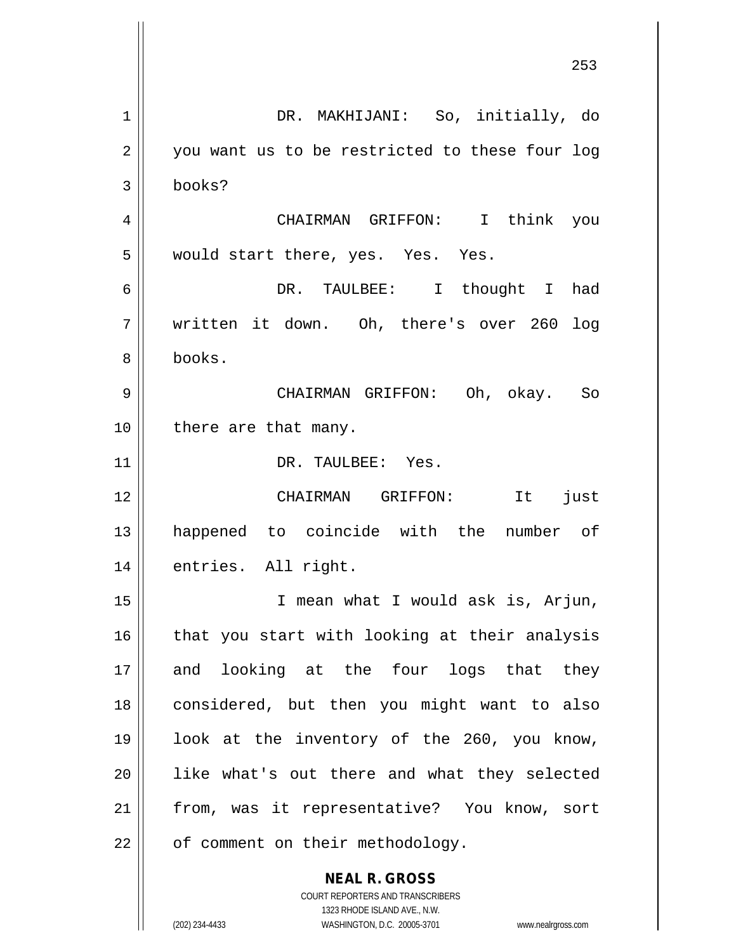**NEAL R. GROSS** 1 DR. MAKHIJANI: So, initially, do 2 || you want us to be restricted to these four log 3 books? 4 CHAIRMAN GRIFFON: I think you  $5 \parallel$  would start there, yes. Yes. Yes. 6 DR. TAULBEE: I thought I had 7 written it down. Oh, there's over 260 log 8 books. 9 CHAIRMAN GRIFFON: Oh, okay. So 10 || there are that many. 11 || DR. TAULBEE: Yes. 12 CHAIRMAN GRIFFON: It just 13 happened to coincide with the number of 14 | entries. All right. 15 I mean what I would ask is, Arjun,  $16$  | that you start with looking at their analysis 17 and looking at the four logs that they 18 considered, but then you might want to also 19 look at the inventory of the 260, you know, 20 || like what's out there and what they selected 21 || from, was it representative? You know, sort  $22$  |  $\sigma$  comment on their methodology.

> COURT REPORTERS AND TRANSCRIBERS 1323 RHODE ISLAND AVE., N.W.

(202) 234-4433 WASHINGTON, D.C. 20005-3701 www.nealrgross.com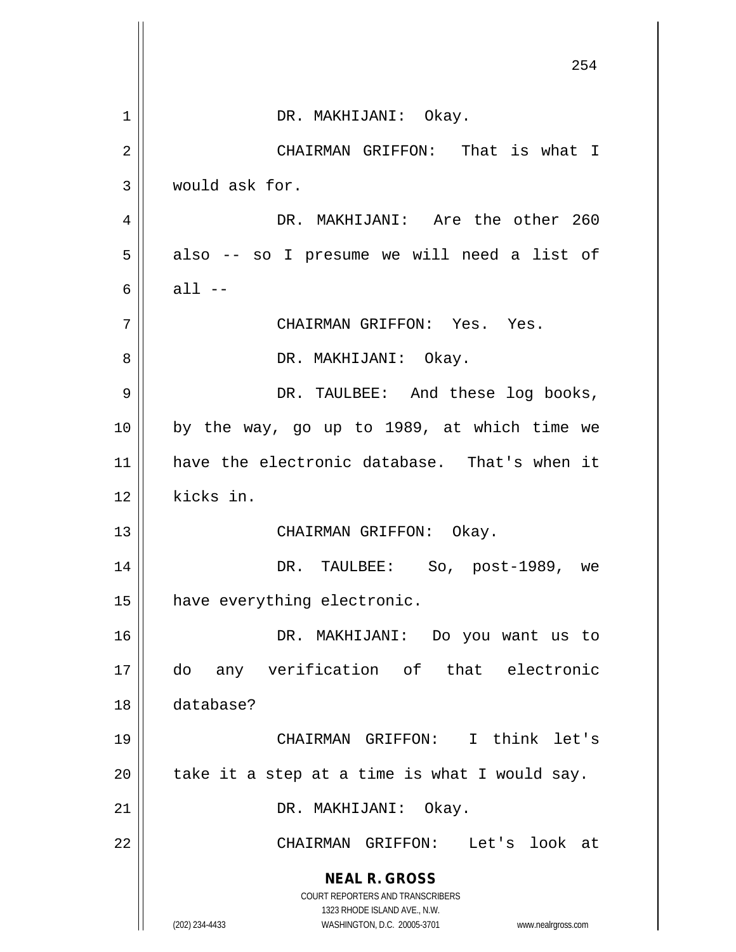|    | 254                                                                 |
|----|---------------------------------------------------------------------|
| 1  | DR. MAKHIJANI: Okay.                                                |
| 2  | CHAIRMAN GRIFFON: That is what I                                    |
| 3  | would ask for.                                                      |
| 4  | DR. MAKHIJANI: Are the other 260                                    |
| 5  | also -- so I presume we will need a list of                         |
| 6  | $all --$                                                            |
| 7  | CHAIRMAN GRIFFON: Yes. Yes.                                         |
| 8  | DR. MAKHIJANI: Okay.                                                |
| 9  | DR. TAULBEE: And these log books,                                   |
| 10 | by the way, go up to 1989, at which time we                         |
| 11 | have the electronic database. That's when it                        |
| 12 | kicks in.                                                           |
| 13 | CHAIRMAN GRIFFON: Okay.                                             |
| 14 | DR. TAULBEE: So, post-1989, we                                      |
| 15 | have everything electronic.                                         |
| 16 | DR. MAKHIJANI: Do you want us to                                    |
| 17 | any verification of that electronic<br>do                           |
| 18 | database?                                                           |
| 19 | CHAIRMAN GRIFFON: I think let's                                     |
| 20 | take it a step at a time is what I would say.                       |
| 21 | DR. MAKHIJANI: Okay.                                                |
| 22 | CHAIRMAN GRIFFON:<br>Let's look at                                  |
|    | <b>NEAL R. GROSS</b><br>COURT REPORTERS AND TRANSCRIBERS            |
|    | 1323 RHODE ISLAND AVE., N.W.                                        |
|    | (202) 234-4433<br>WASHINGTON, D.C. 20005-3701<br>www.nealrgross.com |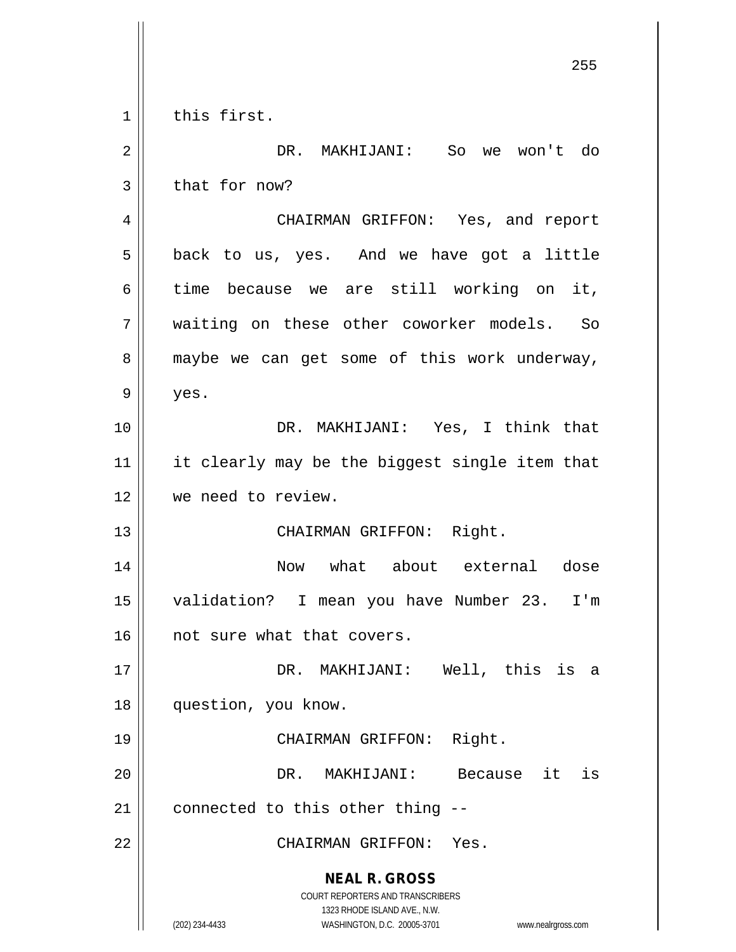**NEAL R. GROSS** COURT REPORTERS AND TRANSCRIBERS 1323 RHODE ISLAND AVE., N.W. (202) 234-4433 WASHINGTON, D.C. 20005-3701 www.nealrgross.com 255 1 | this first. 2 DR. MAKHIJANI: So we won't do  $3 \parallel$  that for now? 4 CHAIRMAN GRIFFON: Yes, and report  $5 \parallel$  back to us, yes. And we have got a little 6 time because we are still working on it, 7 waiting on these other coworker models. So 8 maybe we can get some of this work underway,  $9 \parallel$  yes. 10 DR. MAKHIJANI: Yes, I think that 11 || it clearly may be the biggest single item that 12 || we need to review. 13 || CHAIRMAN GRIFFON: Right. 14 Now what about external dose 15 validation? I mean you have Number 23. I'm 16 || not sure what that covers. 17 DR. MAKHIJANI: Well, this is a 18 question, you know. 19 CHAIRMAN GRIFFON: Right. 20 DR. MAKHIJANI: Because it is  $21$  | connected to this other thing  $-$ -22 CHAIRMAN GRIFFON: Yes.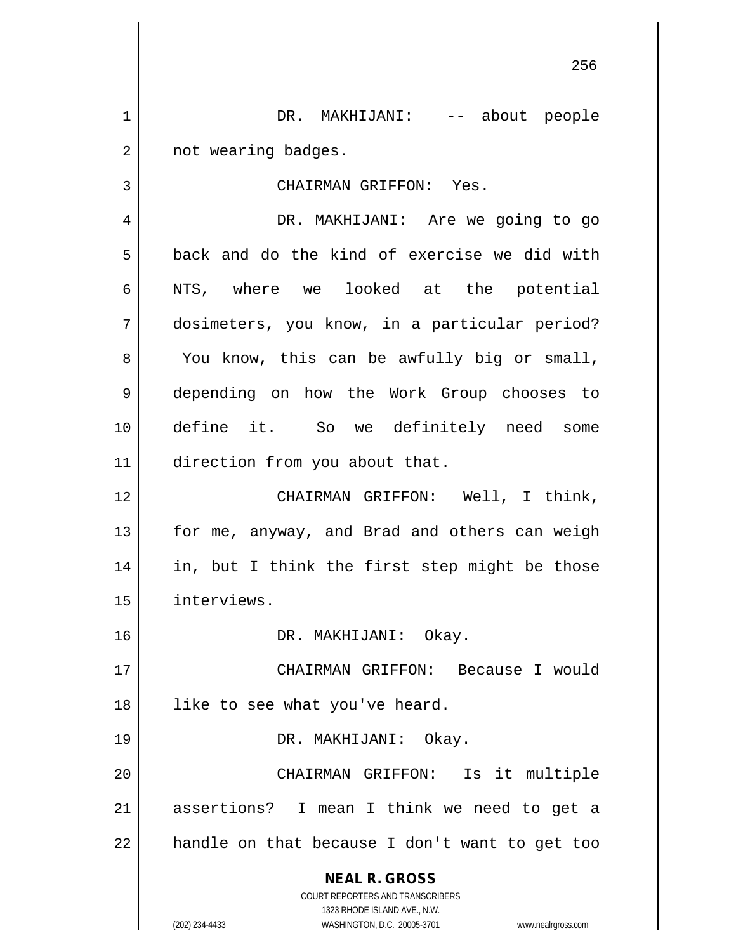1 DR. MAKHIJANI: -- about people 2 | not wearing badges.

3 CHAIRMAN GRIFFON: Yes.

4 DR. MAKHIJANI: Are we going to go  $5 \parallel$  back and do the kind of exercise we did with 6 || NTS, where we looked at the potential 7 dosimeters, you know, in a particular period? 8 || You know, this can be awfully big or small, 9 depending on how the Work Group chooses to 10 define it. So we definitely need some 11 | direction from you about that.

12 CHAIRMAN GRIFFON: Well, I think, 13 || for me, anyway, and Brad and others can weigh 14 || in, but I think the first step might be those 15 interviews.

16 DR. MAKHIJANI: Okay.

17 CHAIRMAN GRIFFON: Because I would 18 || like to see what you've heard. 19 DR. MAKHIJANI: Okay.

20 CHAIRMAN GRIFFON: Is it multiple 21 assertions? I mean I think we need to get a  $22$  | handle on that because I don't want to get too

> **NEAL R. GROSS** COURT REPORTERS AND TRANSCRIBERS 1323 RHODE ISLAND AVE., N.W.

(202) 234-4433 WASHINGTON, D.C. 20005-3701 www.nealrgross.com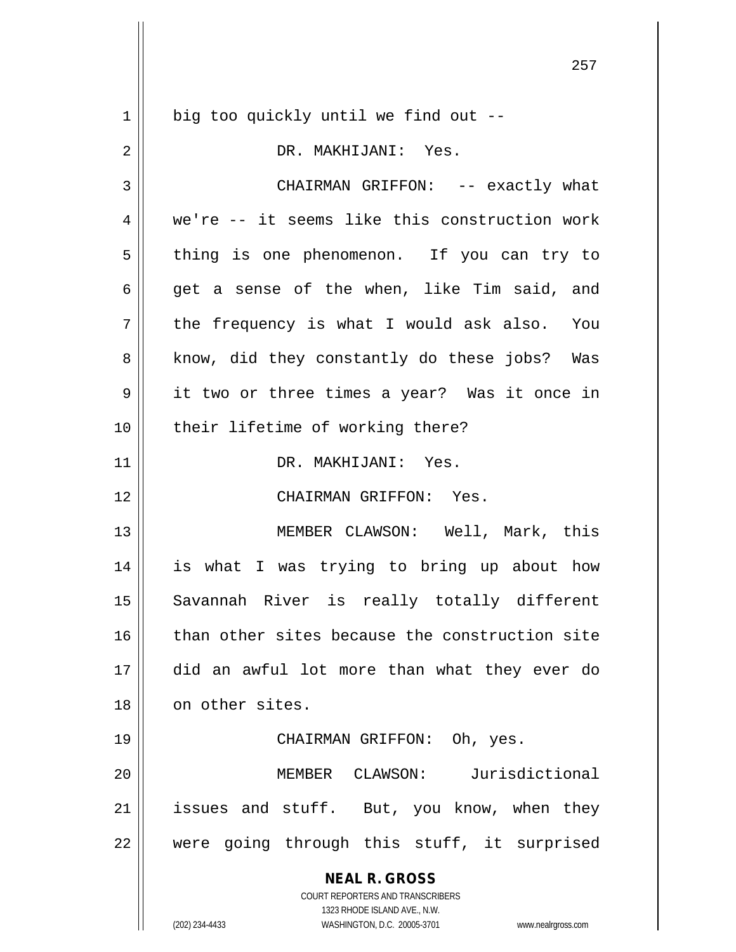**NEAL R. GROSS** COURT REPORTERS AND TRANSCRIBERS 1323 RHODE ISLAND AVE., N.W. (202) 234-4433 WASHINGTON, D.C. 20005-3701 www.nealrgross.com 1 || big too quickly until we find out --2 DR. MAKHIJANI: Yes. 3 CHAIRMAN GRIFFON: -- exactly what 4 We're -- it seems like this construction work 5 | thing is one phenomenon. If you can try to 6 get a sense of the when, like Tim said, and  $7 \parallel$  the frequency is what I would ask also. You 8 || know, did they constantly do these jobs? Was 9 it two or three times a year? Was it once in 10 || their lifetime of working there? 11 DR. MAKHIJANI: Yes. 12 CHAIRMAN GRIFFON: Yes. 13 || MEMBER CLAWSON: Well, Mark, this 14 is what I was trying to bring up about how 15 || Savannah River is really totally different 16 || than other sites because the construction site 17 did an awful lot more than what they ever do 18 || on other sites. 19 CHAIRMAN GRIFFON: Oh, yes. 20 MEMBER CLAWSON: Jurisdictional  $21$  issues and stuff. But, you know, when they 22 || were going through this stuff, it surprised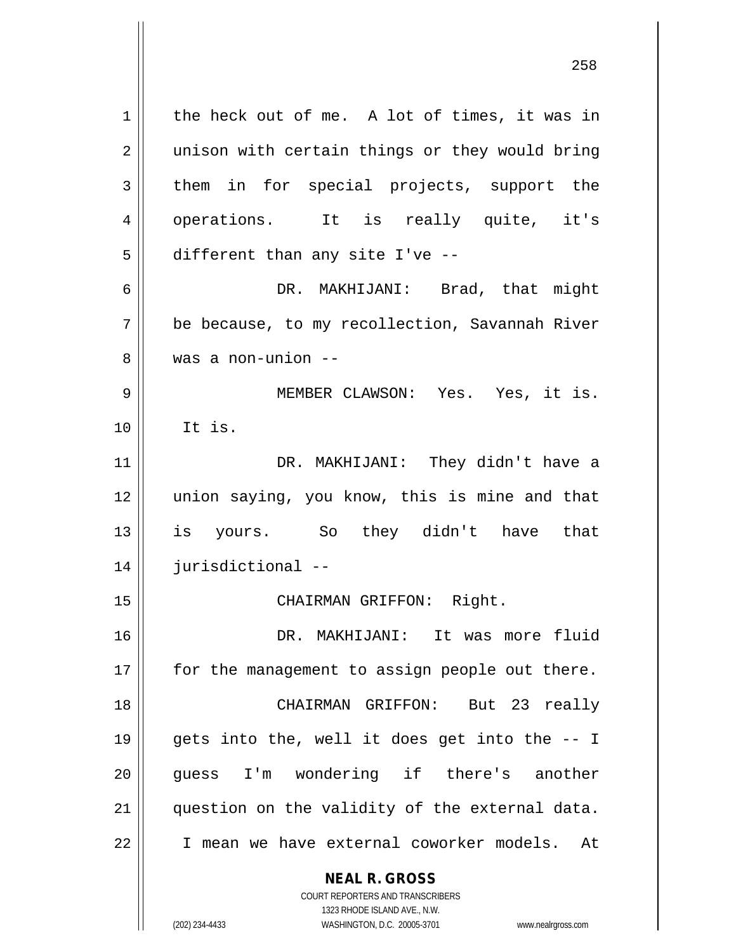**NEAL R. GROSS**  $1 \parallel$  the heck out of me. A lot of times, it was in 2 || unison with certain things or they would bring  $3 \parallel$  them in for special projects, support the 4 || operations. It is really quite, it's  $5$  different than any site I've --6 DR. MAKHIJANI: Brad, that might 7 be because, to my recollection, Savannah River 8 was a non-union -- 9 MEMBER CLAWSON: Yes. Yes, it is.  $10$   $\parallel$   $1$   $\pm$   $1$   $\pm$   $\pm$   $\pm$ 11 DR. MAKHIJANI: They didn't have a 12 || union saying, you know, this is mine and that 13 is yours. So they didn't have that 14 jurisdictional -- 15 || CHAIRMAN GRIFFON: Right. 16 DR. MAKHIJANI: It was more fluid 17 || for the management to assign people out there. 18 CHAIRMAN GRIFFON: But 23 really 19  $\parallel$  gets into the, well it does get into the  $-$ - I 20 || quess I'm wondering if there's another 21 || question on the validity of the external data. 22 I mean we have external coworker models. At

COURT REPORTERS AND TRANSCRIBERS

1323 RHODE ISLAND AVE., N.W. (202) 234-4433 WASHINGTON, D.C. 20005-3701 www.nealrgross.com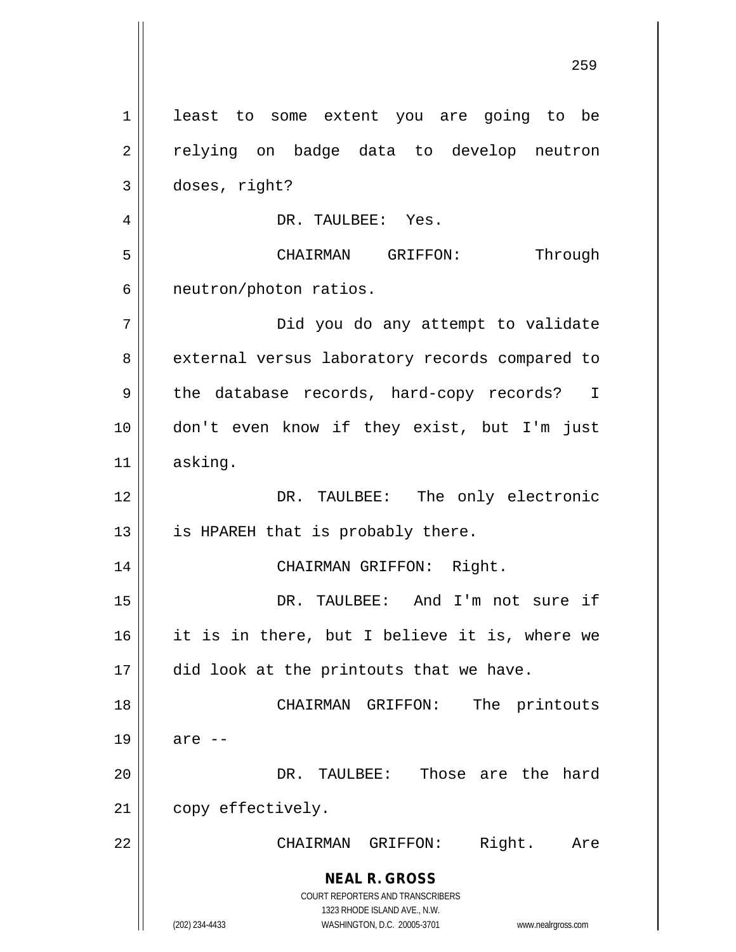**NEAL R. GROSS** COURT REPORTERS AND TRANSCRIBERS 1323 RHODE ISLAND AVE., N.W. (202) 234-4433 WASHINGTON, D.C. 20005-3701 www.nealrgross.com 1 | least to some extent you are going to be 2 || relying on badge data to develop neutron 3 doses, right? 4 DR. TAULBEE: Yes. 5 CHAIRMAN GRIFFON: Through  $6 \parallel$  neutron/photon ratios. 7 Did you do any attempt to validate 8 | external versus laboratory records compared to 9 || the database records, hard-copy records? I 10 don't even know if they exist, but I'm just 11 asking. 12 || DR. TAULBEE: The only electronic  $13$  || is HPAREH that is probably there. 14 CHAIRMAN GRIFFON: Right. 15 DR. TAULBEE: And I'm not sure if 16 it is in there, but I believe it is, where we 17 || did look at the printouts that we have. 18 || CHAIRMAN GRIFFON: The printouts  $19 \parallel$  are  $-$ 20 DR. TAULBEE: Those are the hard 21 | copy effectively. 22 CHAIRMAN GRIFFON: Right. Are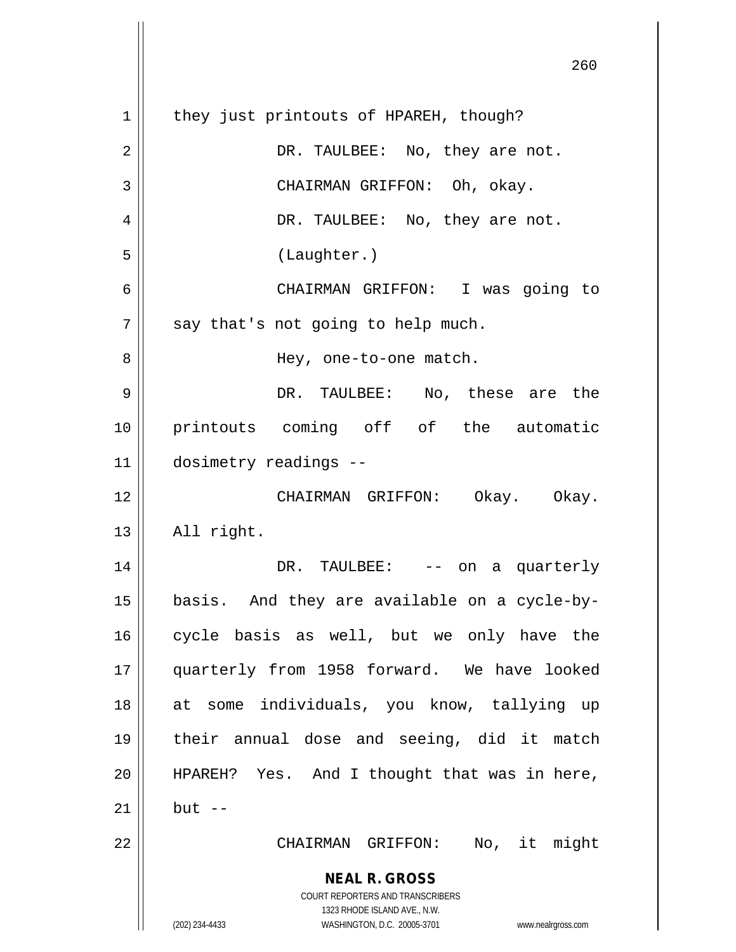| 260                                                                                                                                                                    |
|------------------------------------------------------------------------------------------------------------------------------------------------------------------------|
| they just printouts of HPAREH, though?                                                                                                                                 |
| DR. TAULBEE: No, they are not.                                                                                                                                         |
| CHAIRMAN GRIFFON: Oh, okay.                                                                                                                                            |
| DR. TAULBEE: No, they are not.                                                                                                                                         |
| (Laughter.)                                                                                                                                                            |
| CHAIRMAN GRIFFON: I was going to                                                                                                                                       |
| say that's not going to help much.                                                                                                                                     |
| Hey, one-to-one match.                                                                                                                                                 |
| DR. TAULBEE: No, these are the                                                                                                                                         |
| printouts coming off of the automatic                                                                                                                                  |
| dosimetry readings --                                                                                                                                                  |
| CHAIRMAN GRIFFON: Okay. Okay.                                                                                                                                          |
| All right.                                                                                                                                                             |
| DR. TAULBEE: -- on a quarterly                                                                                                                                         |
| basis. And they are available on a cycle-by-                                                                                                                           |
| cycle basis as well, but we only have the                                                                                                                              |
| quarterly from 1958 forward. We have looked                                                                                                                            |
| at some individuals, you know, tallying up                                                                                                                             |
| their annual dose and seeing, did it match                                                                                                                             |
| HPAREH? Yes. And I thought that was in here,                                                                                                                           |
| $but --$                                                                                                                                                               |
| No, it might<br>CHAIRMAN GRIFFON:                                                                                                                                      |
| <b>NEAL R. GROSS</b><br><b>COURT REPORTERS AND TRANSCRIBERS</b><br>1323 RHODE ISLAND AVE., N.W.<br>(202) 234-4433<br>WASHINGTON, D.C. 20005-3701<br>www.nealrgross.com |
|                                                                                                                                                                        |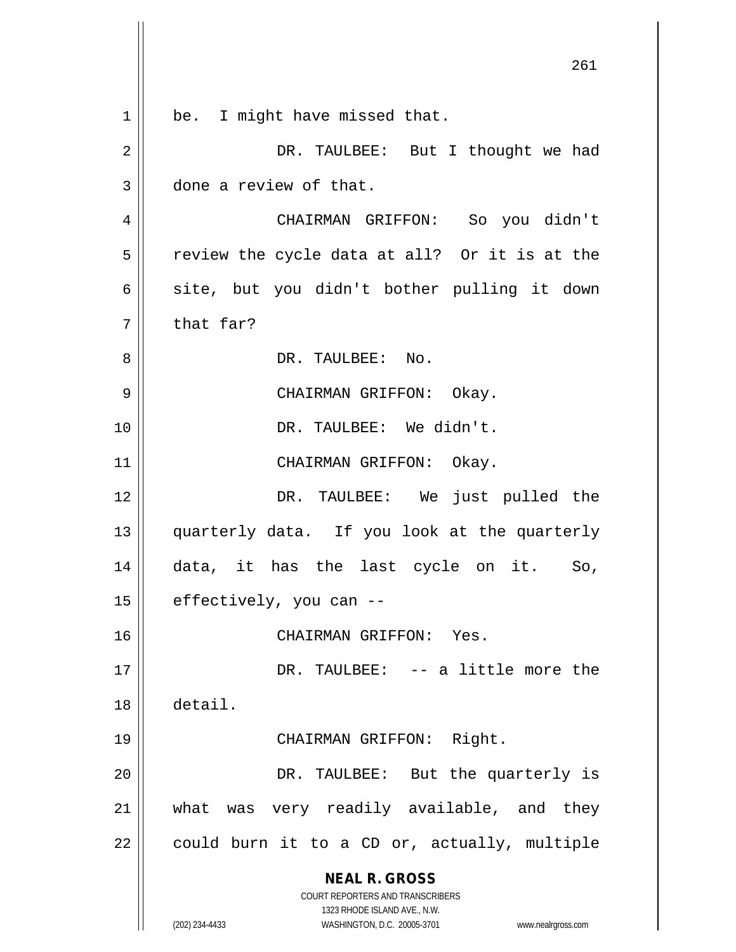|                | 261                                                                     |
|----------------|-------------------------------------------------------------------------|
| $\mathbf 1$    | be. I might have missed that.                                           |
| $\overline{2}$ | DR. TAULBEE: But I thought we had                                       |
| 3              | done a review of that.                                                  |
| 4              | CHAIRMAN GRIFFON: So you didn't                                         |
| 5              | review the cycle data at all? Or it is at the                           |
| 6              | site, but you didn't bother pulling it down                             |
| 7              | that far?                                                               |
| 8              | DR. TAULBEE: No.                                                        |
| 9              | CHAIRMAN GRIFFON: Okay.                                                 |
| 10             | DR. TAULBEE: We didn't.                                                 |
| 11             | CHAIRMAN GRIFFON: Okay.                                                 |
| 12             | DR. TAULBEE: We just pulled the                                         |
| 13             | quarterly data. If you look at the quarterly                            |
| 14             | data, it has the last cycle on it.<br>So,                               |
| 15             | effectively, you can --                                                 |
| 16             | CHAIRMAN GRIFFON: Yes.                                                  |
| 17             | DR. TAULBEE: -- a little more the                                       |
| 18             | detail.                                                                 |
| 19             | CHAIRMAN GRIFFON: Right.                                                |
| 20             | DR. TAULBEE: But the quarterly is                                       |
| 21             | was very readily available, and they<br>what                            |
| 22             | could burn it to a CD or, actually, multiple                            |
|                | <b>NEAL R. GROSS</b>                                                    |
|                | <b>COURT REPORTERS AND TRANSCRIBERS</b><br>1323 RHODE ISLAND AVE., N.W. |
|                | (202) 234-4433<br>WASHINGTON, D.C. 20005-3701<br>www.nealrgross.com     |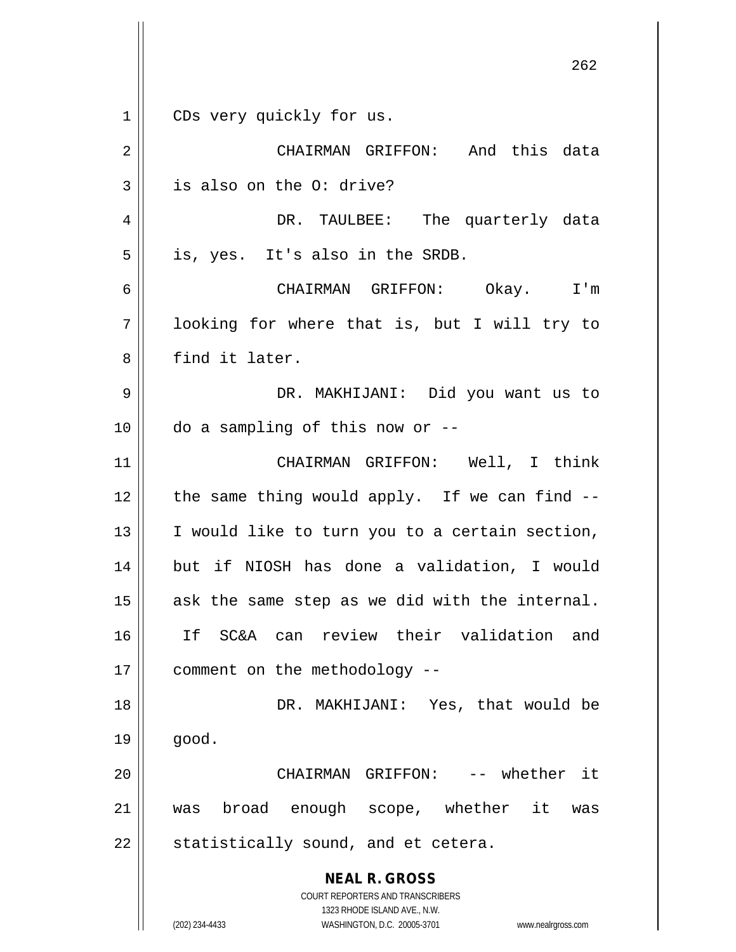**NEAL R. GROSS** COURT REPORTERS AND TRANSCRIBERS 1323 RHODE ISLAND AVE., N.W. 262 1 || CDs very quickly for us. 2 CHAIRMAN GRIFFON: And this data  $3 \parallel$  is also on the O: drive? 4 DR. TAULBEE: The quarterly data  $5 \parallel$  is, yes. It's also in the SRDB. 6 CHAIRMAN GRIFFON: Okay. I'm 7 || looking for where that is, but I will try to 8 find it later. 9 DR. MAKHIJANI: Did you want us to  $10$  | do a sampling of this now or --11 CHAIRMAN GRIFFON: Well, I think 12  $\parallel$  the same thing would apply. If we can find  $-$ 13  $\parallel$  I would like to turn you to a certain section, 14 but if NIOSH has done a validation, I would  $15$  ask the same step as we did with the internal. 16 If SC&A can review their validation and 17 | comment on the methodology --18 DR. MAKHIJANI: Yes, that would be  $19 \parallel$  good. 20 CHAIRMAN GRIFFON: -- whether it 21 was broad enough scope, whether it was  $22$  | statistically sound, and et cetera.

(202) 234-4433 WASHINGTON, D.C. 20005-3701 www.nealrgross.com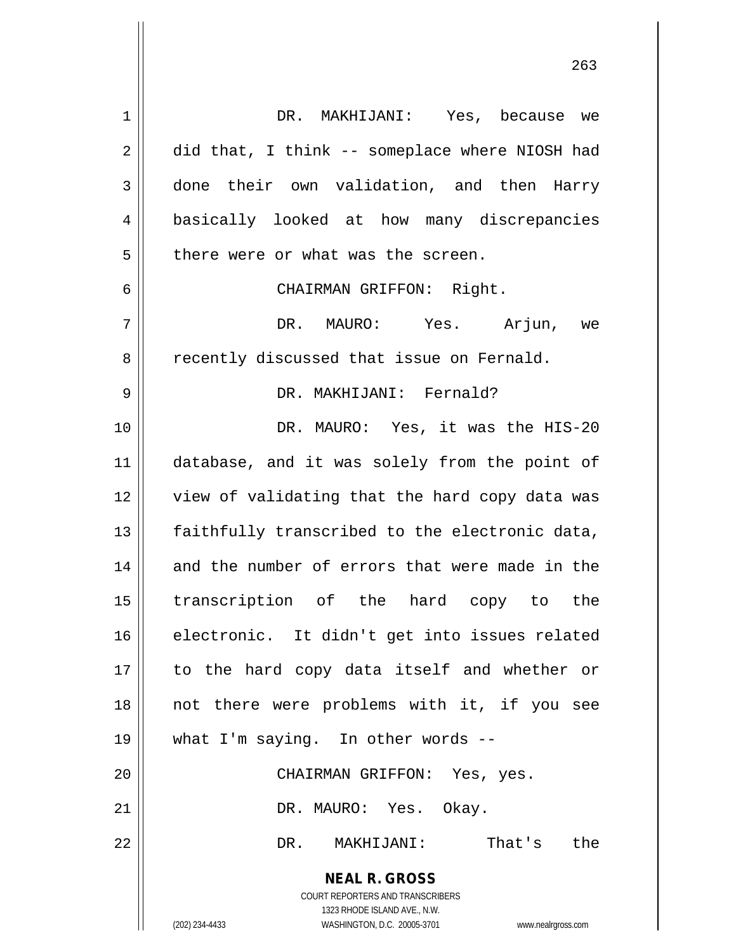**NEAL R. GROSS** COURT REPORTERS AND TRANSCRIBERS 1323 RHODE ISLAND AVE., N.W. (202) 234-4433 WASHINGTON, D.C. 20005-3701 www.nealrgross.com 1 DR. MAKHIJANI: Yes, because we  $2 \parallel$  did that, I think -- someplace where NIOSH had 3 done their own validation, and then Harry 4 basically looked at how many discrepancies  $5$  | there were or what was the screen. 6 CHAIRMAN GRIFFON: Right. 7 DR. MAURO: Yes. Arjun, we 8 || recently discussed that issue on Fernald. 9 DR. MAKHIJANI: Fernald? 10 DR. MAURO: Yes, it was the HIS-20 11 || database, and it was solely from the point of 12 || view of validating that the hard copy data was  $13$   $\parallel$  faithfully transcribed to the electronic data, 14 and the number of errors that were made in the 15 transcription of the hard copy to the 16 electronic. It didn't get into issues related 17 || to the hard copy data itself and whether or 18 not there were problems with it, if you see 19 || what I'm saying. In other words --20 CHAIRMAN GRIFFON: Yes, yes. 21 DR. MAURO: Yes. Okay. 22 DR. MAKHIJANI: That's the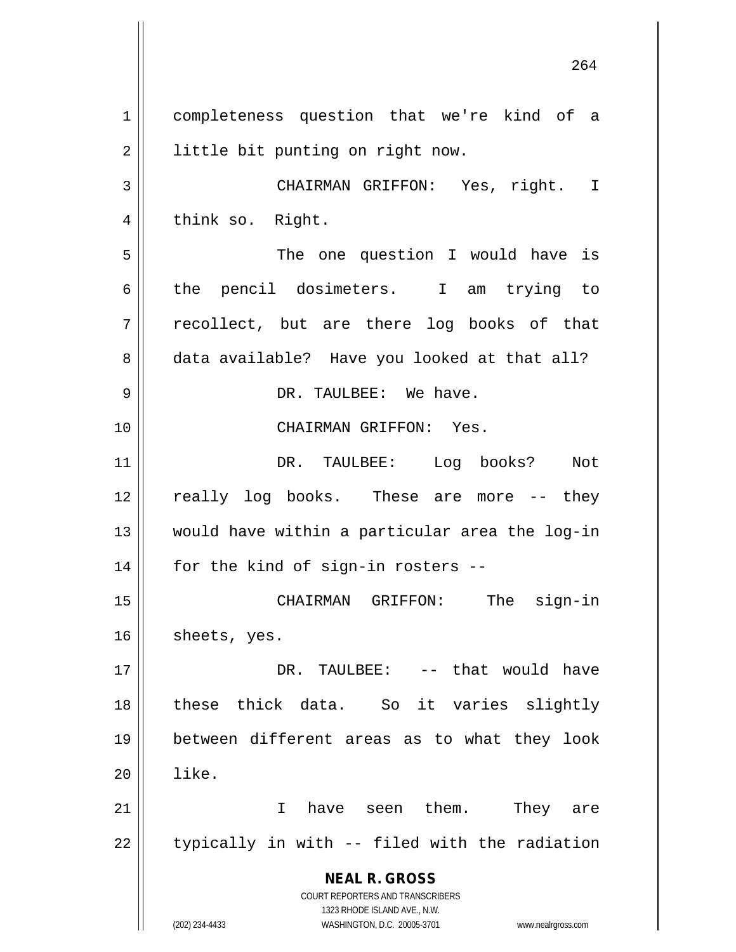**NEAL R. GROSS** COURT REPORTERS AND TRANSCRIBERS 1323 RHODE ISLAND AVE., N.W. (202) 234-4433 WASHINGTON, D.C. 20005-3701 www.nealrgross.com 1 completeness question that we're kind of a 2 | little bit punting on right now. 3 CHAIRMAN GRIFFON: Yes, right. I 4 || think so. Right. 5 The one question I would have is 6 the pencil dosimeters. I am trying to  $7 \parallel$  recollect, but are there log books of that 8 data available? Have you looked at that all? 9 DR. TAULBEE: We have. 10 CHAIRMAN GRIFFON: Yes. 11 DR. TAULBEE: Log books? Not 12 || really log books. These are more -- they 13 would have within a particular area the log-in  $14$  | for the kind of sign-in rosters --15 CHAIRMAN GRIFFON: The sign-in  $16$  | sheets, yes. 17 DR. TAULBEE: -- that would have 18 these thick data. So it varies slightly 19 between different areas as to what they look  $20$   $\parallel$   $1$   $\text{ike}$ . 21 || Thave seen them. They are  $22$  || typically in with -- filed with the radiation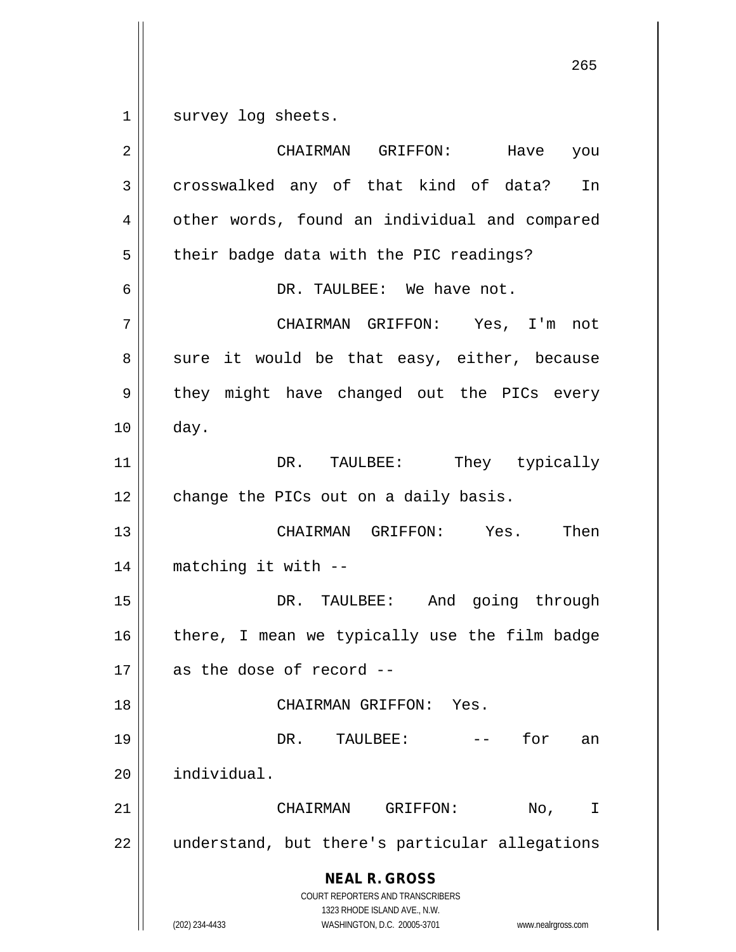1 || survey log sheets.

**NEAL R. GROSS** COURT REPORTERS AND TRANSCRIBERS 1323 RHODE ISLAND AVE., N.W. (202) 234-4433 WASHINGTON, D.C. 20005-3701 www.nealrgross.com 2 CHAIRMAN GRIFFON: Have you 3 crosswalked any of that kind of data? In 4 | other words, found an individual and compared  $5 \parallel$  their badge data with the PIC readings? 6 DR. TAULBEE: We have not. 7 CHAIRMAN GRIFFON: Yes, I'm not  $8 \parallel$  sure it would be that easy, either, because 9 || they might have changed out the PICs every 10 day. 11 || DR. TAULBEE: They typically 12 | change the PICs out on a daily basis. 13 CHAIRMAN GRIFFON: Yes. Then 14 matching it with -- 15 DR. TAULBEE: And going through 16  $\parallel$  there, I mean we typically use the film badge  $17$  || as the dose of record --18 CHAIRMAN GRIFFON: Yes. 19 DR. TAULBEE: -- for an 20 individual. 21 CHAIRMAN GRIFFON: No, I 22 | understand, but there's particular allegations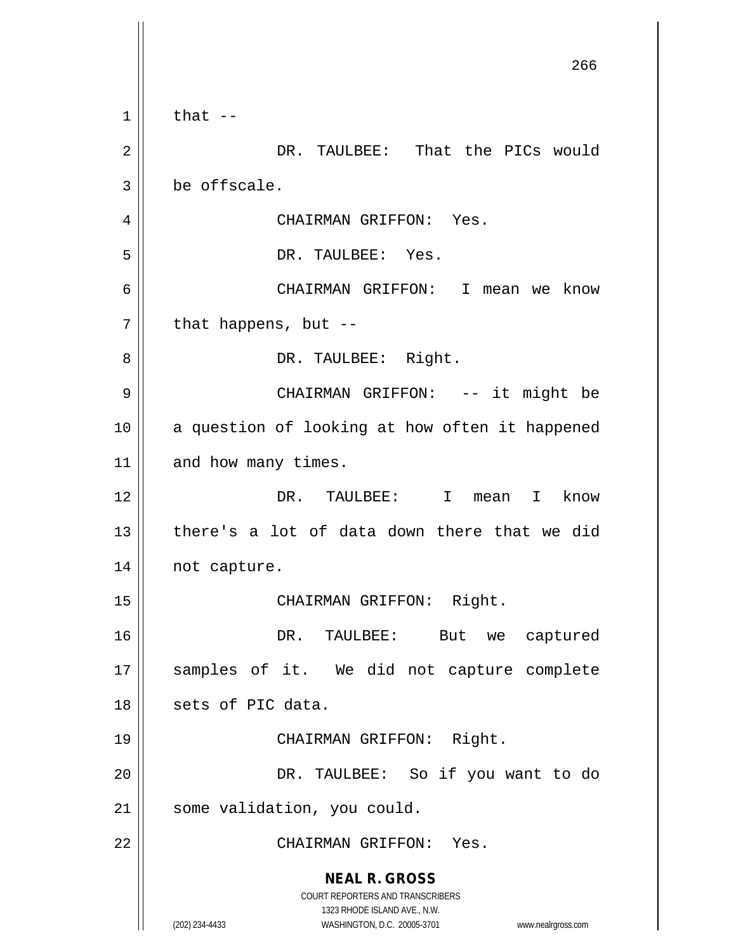**NEAL R. GROSS** COURT REPORTERS AND TRANSCRIBERS 1323 RHODE ISLAND AVE., N.W. (202) 234-4433 WASHINGTON, D.C. 20005-3701 www.nealrgross.com 266  $1 \parallel$  that  $-$ 2 DR. TAULBEE: That the PICs would  $3 \parallel$  be offscale. 4 | CHAIRMAN GRIFFON: Yes. 5 || DR. TAULBEE: Yes. 6 CHAIRMAN GRIFFON: I mean we know  $7 \parallel$  that happens, but --8 | R. TAULBEE: Right. 9 CHAIRMAN GRIFFON: -- it might be 10 || a question of looking at how often it happened 11 and how many times. 12 DR. TAULBEE: I mean I know 13  $\parallel$  there's a lot of data down there that we did 14 | not capture. 15 || CHAIRMAN GRIFFON: Right. 16 DR. TAULBEE: But we captured 17 || samples of it. We did not capture complete 18 || sets of PIC data. 19 CHAIRMAN GRIFFON: Right. 20 DR. TAULBEE: So if you want to do 21 | some validation, you could. 22 || CHAIRMAN GRIFFON: Yes.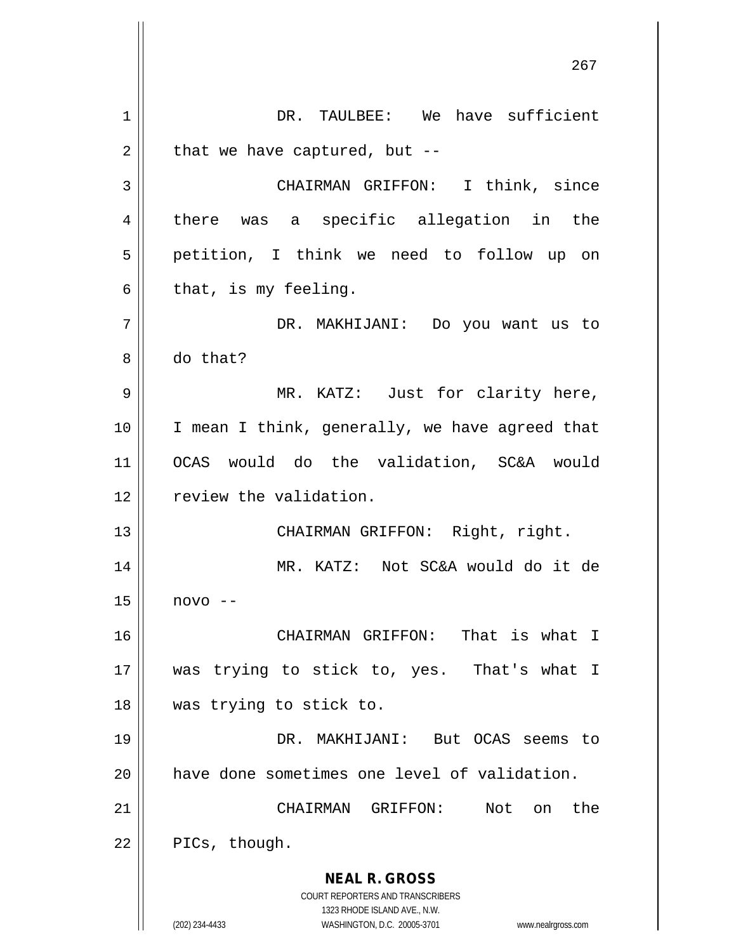**NEAL R. GROSS** COURT REPORTERS AND TRANSCRIBERS 1323 RHODE ISLAND AVE., N.W. (202) 234-4433 WASHINGTON, D.C. 20005-3701 www.nealrgross.com 1 DR. TAULBEE: We have sufficient  $2 \parallel$  that we have captured, but --3 CHAIRMAN GRIFFON: I think, since 4 || there was a specific allegation in the 5 petition, I think we need to follow up on  $6 \parallel$  that, is my feeling. 7 DR. MAKHIJANI: Do you want us to 8 do that? 9 MR. KATZ: Just for clarity here, 10 || I mean I think, generally, we have agreed that 11 OCAS would do the validation, SC&A would 12 | review the validation. 13 || CHAIRMAN GRIFFON: Right, right. 14 MR. KATZ: Not SC&A would do it de  $15$  novo  $-$ 16 CHAIRMAN GRIFFON: That is what I 17 was trying to stick to, yes. That's what I 18 was trying to stick to. 19 DR. MAKHIJANI: But OCAS seems to 20 have done sometimes one level of validation. 21 CHAIRMAN GRIFFON: Not on the  $22 \parallel$  PICs, though.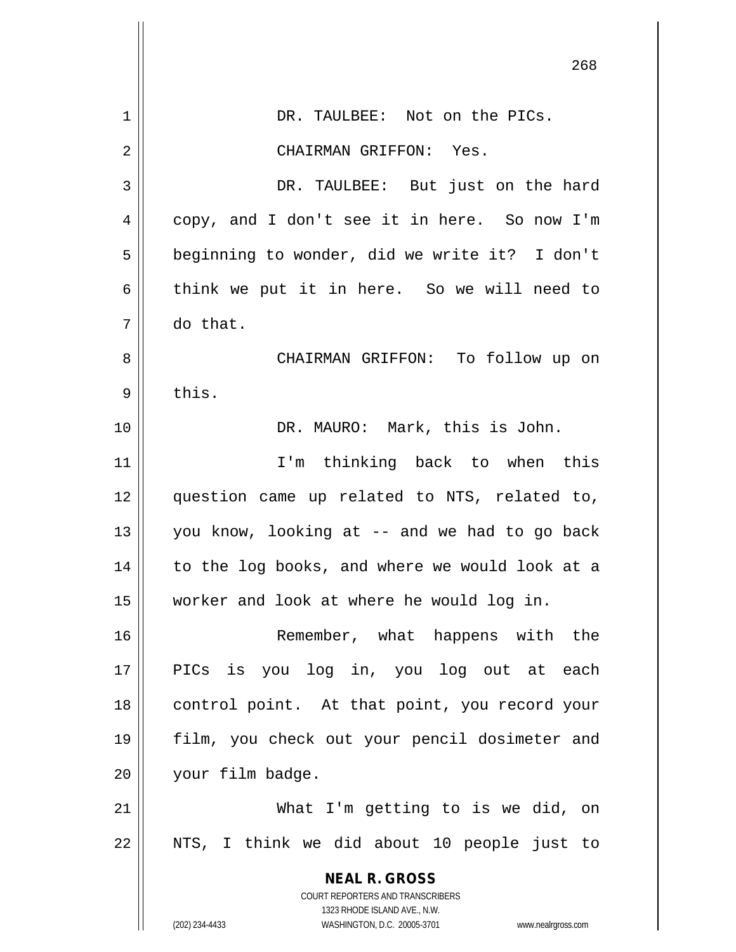|    | 268                                                                 |
|----|---------------------------------------------------------------------|
| 1  | DR. TAULBEE: Not on the PICs.                                       |
| 2  | CHAIRMAN GRIFFON: Yes.                                              |
| 3  | DR. TAULBEE: But just on the hard                                   |
| 4  | copy, and I don't see it in here. So now I'm                        |
| 5  | beginning to wonder, did we write it? I don't                       |
| 6  | think we put it in here. So we will need to                         |
| 7  | do that.                                                            |
| 8  | CHAIRMAN GRIFFON: To follow up on                                   |
| 9  | this.                                                               |
| 10 | DR. MAURO: Mark, this is John.                                      |
| 11 | I'm thinking back to when this                                      |
| 12 | question came up related to NTS, related to,                        |
| 13 | you know, looking at -- and we had to go back                       |
| 14 | to the log books, and where we would look at a                      |
| 15 | worker and look at where he would log in.                           |
| 16 | Remember, what happens with the                                     |
| 17 | PICs is you log in, you log out at each                             |
| 18 | control point. At that point, you record your                       |
| 19 | film, you check out your pencil dosimeter and                       |
| 20 | your film badge.                                                    |
| 21 | What I'm getting to is we did, on                                   |
| 22 | NTS, I think we did about 10 people just to                         |
|    | <b>NEAL R. GROSS</b><br>COURT REPORTERS AND TRANSCRIBERS            |
|    | 1323 RHODE ISLAND AVE., N.W.                                        |
|    | (202) 234-4433<br>WASHINGTON, D.C. 20005-3701<br>www.nealrgross.com |

 $\mathsf{I}$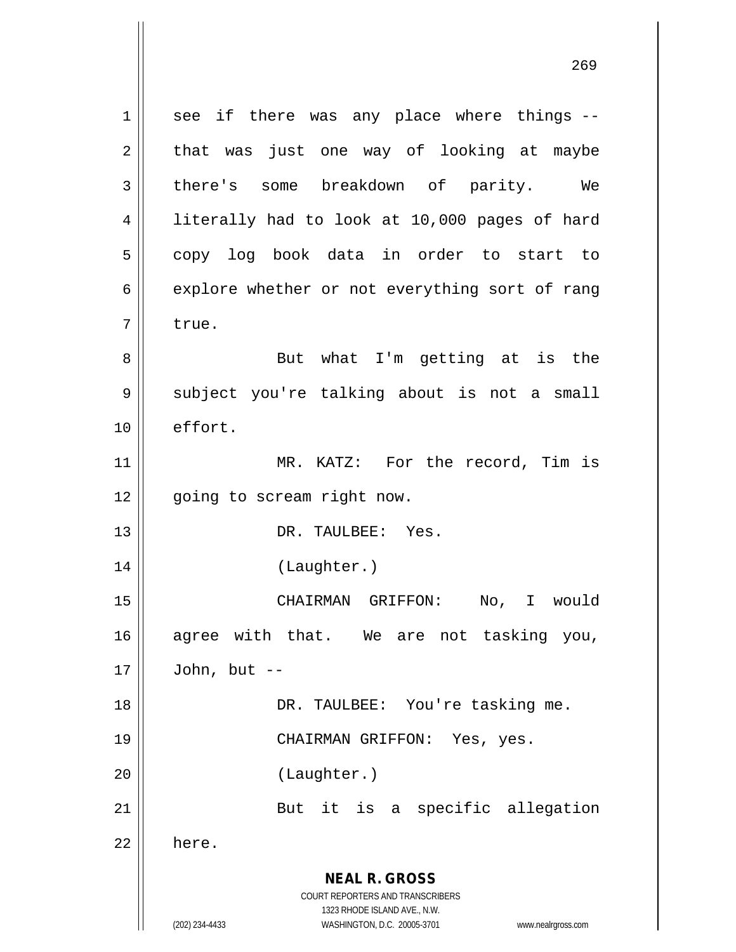**NEAL R. GROSS** COURT REPORTERS AND TRANSCRIBERS 1323 RHODE ISLAND AVE., N.W. (202) 234-4433 WASHINGTON, D.C. 20005-3701 www.nealrgross.com  $1 \parallel$  see if there was any place where things -- $2 \parallel$  that was just one way of looking at maybe 3 there's some breakdown of parity. We 4 || literally had to look at 10,000 pages of hard 5 || copy log book data in order to start to  $6 \parallel$  explore whether or not everything sort of rang 7 l true. 8 || But what I'm getting at is the 9 || subject you're talking about is not a small 10 | effort. 11 || MR. KATZ: For the record, Tim is 12 || going to scream right now. 13 || DR. TAULBEE: Yes. 14 (Laughter.) 15 CHAIRMAN GRIFFON: No, I would 16 agree with that. We are not tasking you,  $17$  | John, but --18 || DR. TAULBEE: You're tasking me. 19 CHAIRMAN GRIFFON: Yes, yes. 20 (Laughter.) 21 || But it is a specific allegation  $22 \parallel$  here.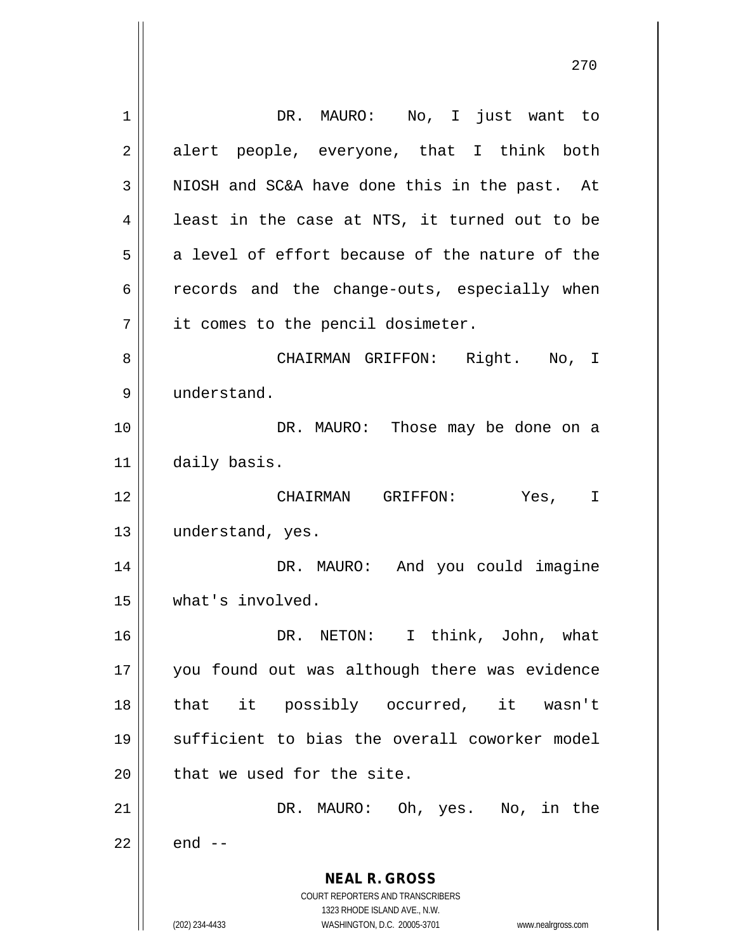**NEAL R. GROSS** COURT REPORTERS AND TRANSCRIBERS 1323 RHODE ISLAND AVE., N.W. (202) 234-4433 WASHINGTON, D.C. 20005-3701 www.nealrgross.com 1 || DR. MAURO: No, I just want to  $2 \parallel$  alert people, everyone, that I think both  $3 \parallel$  NIOSH and SC&A have done this in the past. At  $4 \parallel$  least in the case at NTS, it turned out to be  $5 \parallel$  a level of effort because of the nature of the  $6 \parallel$  records and the change-outs, especially when 7 || it comes to the pencil dosimeter. 8 CHAIRMAN GRIFFON: Right. No, I 9 understand. 10 DR. MAURO: Those may be done on a 11 daily basis. 12 CHAIRMAN GRIFFON: Yes, I 13 || understand, yes. 14 DR. MAURO: And you could imagine 15 what's involved. 16 DR. NETON: I think, John, what 17 || you found out was although there was evidence 18 that it possibly occurred, it wasn't 19 sufficient to bias the overall coworker model  $20$  || that we used for the site. 21 || DR. MAURO: Oh, yes. No, in the  $22 \parallel$  end  $-$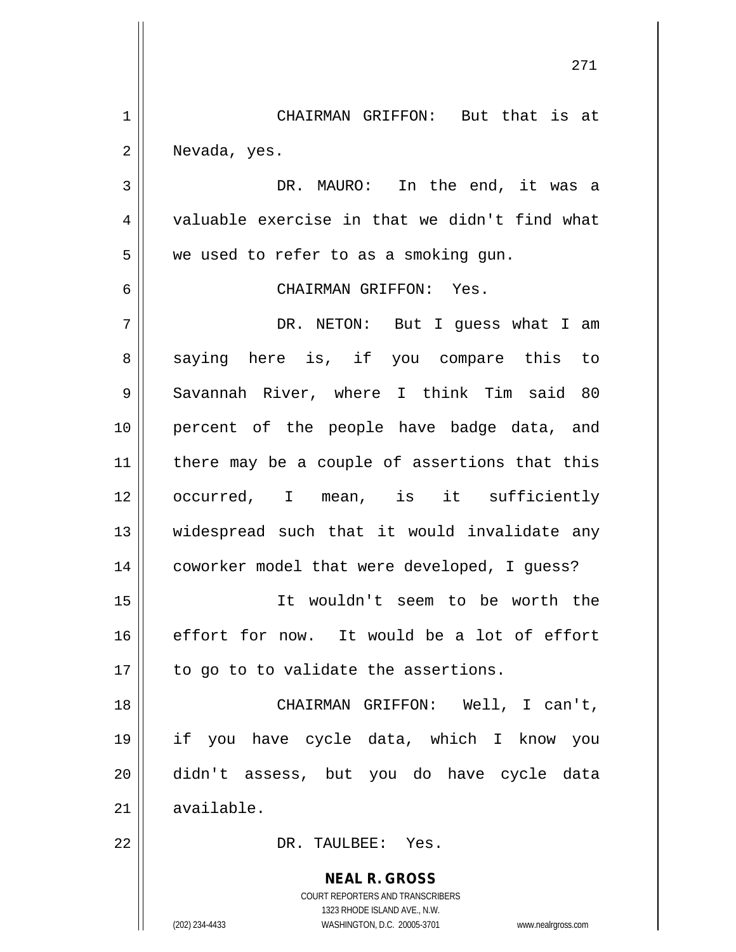1 || CHAIRMAN GRIFFON: But that is at 2 Nevada, yes.

3 DR. MAURO: In the end, it was a 4 valuable exercise in that we didn't find what  $5 \parallel$  we used to refer to as a smoking gun.

6 CHAIRMAN GRIFFON: Yes.

7 DR. NETON: But I guess what I am 8 || saying here is, if you compare this to 9 Savannah River, where I think Tim said 80 10 percent of the people have badge data, and 11 || there may be a couple of assertions that this 12 || occurred, I mean, is it sufficiently 13 || widespread such that it would invalidate any 14 | coworker model that were developed, I guess? 15 It wouldn't seem to be worth the  $16$  effort for now. It would be a lot of effort  $17$  | to go to to validate the assertions.

 CHAIRMAN GRIFFON: Well, I can't, if you have cycle data, which I know you didn't assess, but you do have cycle data  $\parallel$  available.

22 DR. TAULBEE: Yes.

**NEAL R. GROSS** COURT REPORTERS AND TRANSCRIBERS 1323 RHODE ISLAND AVE., N.W. (202) 234-4433 WASHINGTON, D.C. 20005-3701 www.nealrgross.com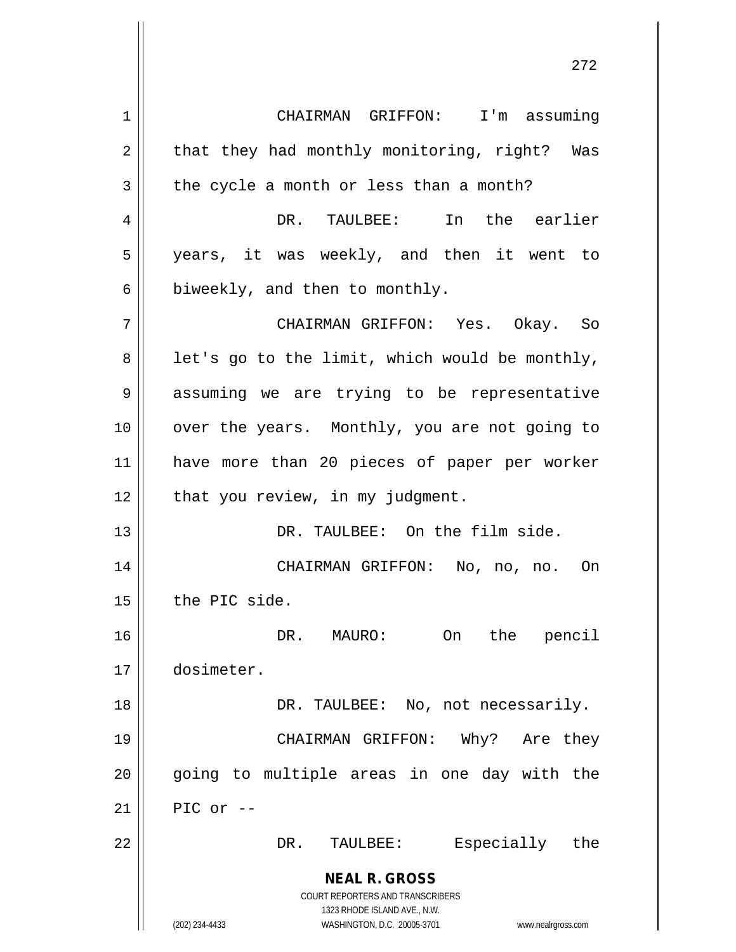**NEAL R. GROSS** COURT REPORTERS AND TRANSCRIBERS 1323 RHODE ISLAND AVE., N.W. (202) 234-4433 WASHINGTON, D.C. 20005-3701 www.nealrgross.com 1 CHAIRMAN GRIFFON: I'm assuming  $2 \parallel$  that they had monthly monitoring, right? Was  $3 \parallel$  the cycle a month or less than a month? 4 DR. TAULBEE: In the earlier 5 years, it was weekly, and then it went to  $6 \parallel$  biweekly, and then to monthly. 7 CHAIRMAN GRIFFON: Yes. Okay. So  $8 \parallel$  let's go to the limit, which would be monthly, 9 assuming we are trying to be representative 10 || over the years. Monthly, you are not going to 11 have more than 20 pieces of paper per worker  $12$  | that you review, in my judgment. 13 || DR. TAULBEE: On the film side. 14 CHAIRMAN GRIFFON: No, no, no. On  $15$  | the PIC side. 16 DR. MAURO: On the pencil 17 dosimeter. 18 DR. TAULBEE: No, not necessarily. 19 CHAIRMAN GRIFFON: Why? Are they 20 || going to multiple areas in one day with the  $21$  PIC or  $-$ 22 DR. TAULBEE: Especially the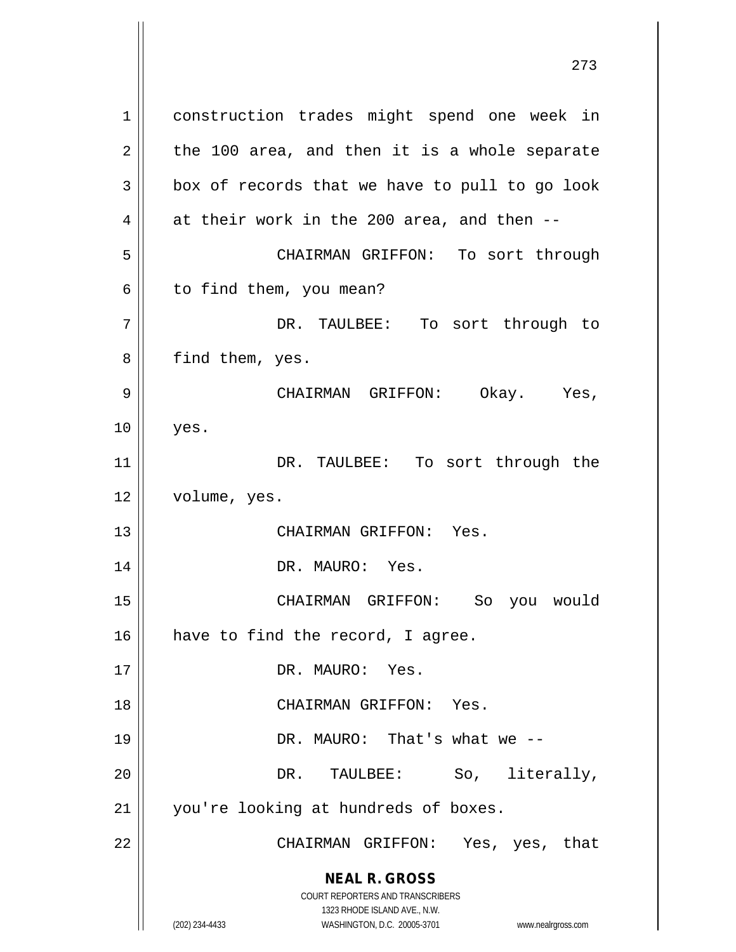**NEAL R. GROSS** COURT REPORTERS AND TRANSCRIBERS 1323 RHODE ISLAND AVE., N.W. (202) 234-4433 WASHINGTON, D.C. 20005-3701 www.nealrgross.com 1 | construction trades might spend one week in  $2 \parallel$  the 100 area, and then it is a whole separate  $3 \parallel$  box of records that we have to pull to go look 4  $\parallel$  at their work in the 200 area, and then --5 CHAIRMAN GRIFFON: To sort through  $6 \parallel$  to find them, you mean? 7 DR. TAULBEE: To sort through to 8 || find them, yes. 9 CHAIRMAN GRIFFON: Okay. Yes,  $10$  || yes. 11 || DR. TAULBEE: To sort through the 12 | volume, yes. 13 || CHAIRMAN GRIFFON: Yes. 14 || DR. MAURO: Yes. 15 CHAIRMAN GRIFFON: So you would 16 || have to find the record, I agree. 17 || DR. MAURO: Yes. 18 CHAIRMAN GRIFFON: Yes. 19 DR. MAURO: That's what we -- 20 DR. TAULBEE: So, literally, 21 || you're looking at hundreds of boxes. 22 CHAIRMAN GRIFFON: Yes, yes, that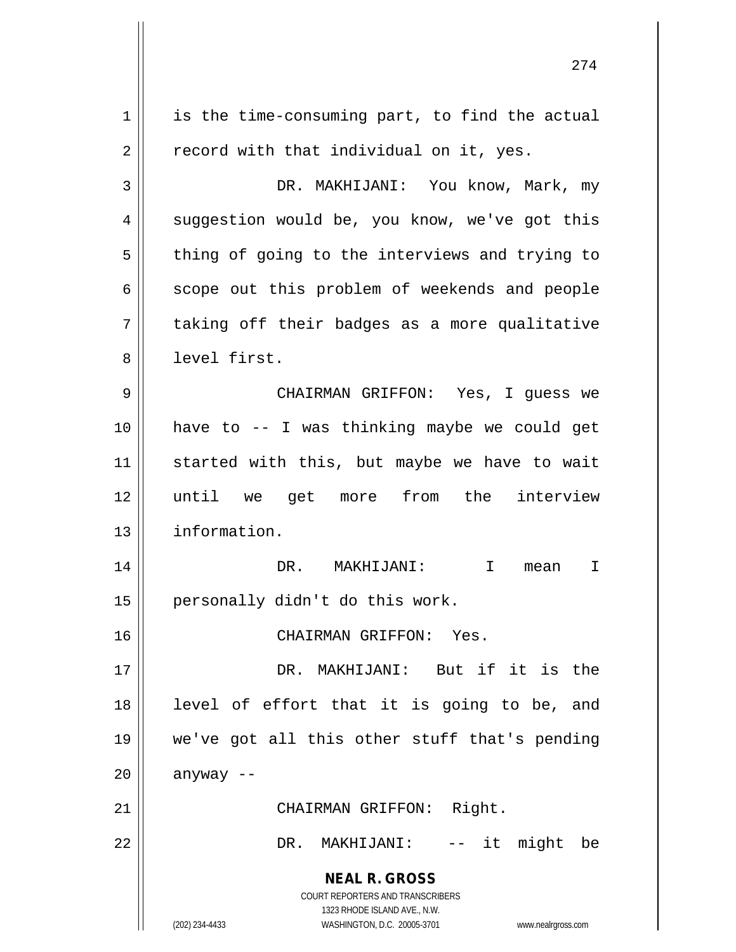**NEAL R. GROSS** COURT REPORTERS AND TRANSCRIBERS 1323 RHODE ISLAND AVE., N.W. (202) 234-4433 WASHINGTON, D.C. 20005-3701 www.nealrgross.com  $1 \parallel$  is the time-consuming part, to find the actual  $2 \parallel$  record with that individual on it, yes. 3 DR. MAKHIJANI: You know, Mark, my 4 || suggestion would be, you know, we've got this  $5 \parallel$  thing of going to the interviews and trying to 6 | scope out this problem of weekends and people  $7 \parallel$  taking off their badges as a more qualitative 8 level first. 9 CHAIRMAN GRIFFON: Yes, I guess we 10 have to -- I was thinking maybe we could get 11 || started with this, but maybe we have to wait 12 until we get more from the interview 13 | information. 14 DR. MAKHIJANI: I mean I  $15$  | personally didn't do this work. 16 CHAIRMAN GRIFFON: Yes. 17 DR. MAKHIJANI: But if it is the 18 || level of effort that it is going to be, and 19 we've got all this other stuff that's pending  $20$  anyway --21 || CHAIRMAN GRIFFON: Right. 22 DR. MAKHIJANI: -- it might be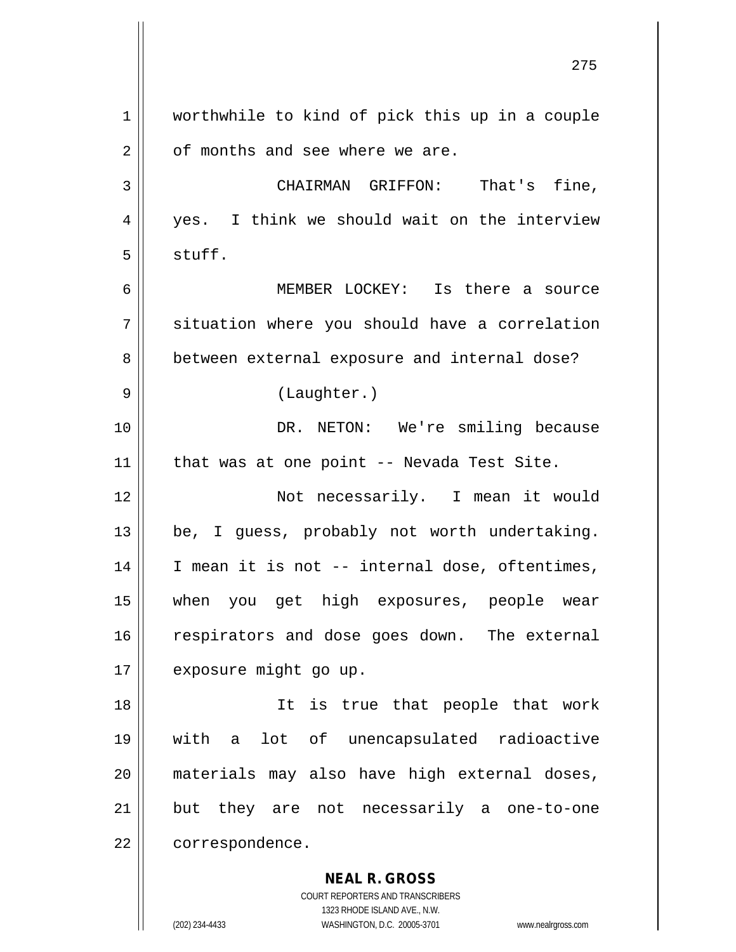**NEAL R. GROSS** 1 | worthwhile to kind of pick this up in a couple 2 || of months and see where we are. 3 | CHAIRMAN GRIFFON: That's fine, 4 yes. I think we should wait on the interview  $5 \parallel$  stuff. 6 MEMBER LOCKEY: Is there a source 7 | situation where you should have a correlation 8 **between external exposure and internal dose?** 9 || (Laughter.) 10 || DR. NETON: We're smiling because 11 || that was at one point -- Nevada Test Site. 12 Not necessarily. I mean it would  $13 \parallel$  be, I guess, probably not worth undertaking.  $14$  | I mean it is not -- internal dose, oftentimes, 15 when you get high exposures, people wear 16 | respirators and dose goes down. The external 17 | exposure might go up. 18 || It is true that people that work 19 with a lot of unencapsulated radioactive 20 materials may also have high external doses, 21 but they are not necessarily a one-to-one 22 | correspondence.

> COURT REPORTERS AND TRANSCRIBERS 1323 RHODE ISLAND AVE., N.W.

(202) 234-4433 WASHINGTON, D.C. 20005-3701 www.nealrgross.com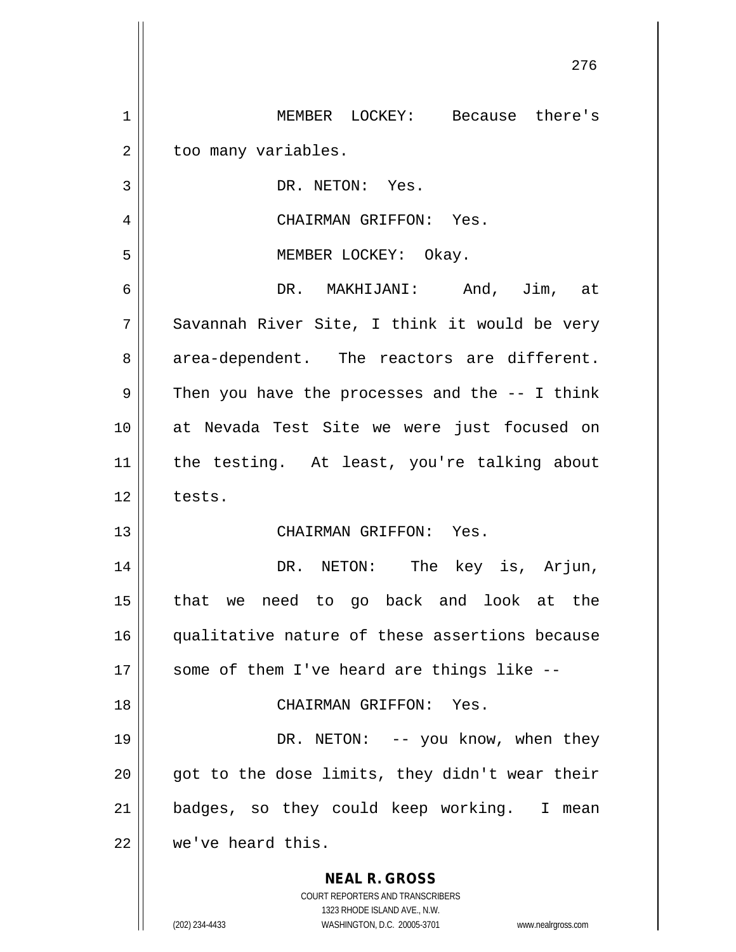|             | 276                                                                 |
|-------------|---------------------------------------------------------------------|
| $\mathbf 1$ | MEMBER LOCKEY: Because there's                                      |
| 2           | too many variables.                                                 |
| 3           | DR. NETON: Yes.                                                     |
| 4           | CHAIRMAN GRIFFON: Yes.                                              |
| 5           | MEMBER LOCKEY: Okay.                                                |
| 6           | DR. MAKHIJANI: And, Jim, at                                         |
| 7           | Savannah River Site, I think it would be very                       |
| 8           | area-dependent. The reactors are different.                         |
| 9           | Then you have the processes and the $-$ - I think                   |
| 10          | at Nevada Test Site we were just focused on                         |
| 11          | the testing. At least, you're talking about                         |
| 12          | tests.                                                              |
| 13          | CHAIRMAN GRIFFON: Yes.                                              |
| 14          | DR. NETON: The key is, Arjun,                                       |
| 15          | that we need to go back and look at the                             |
| 16          | qualitative nature of these assertions because                      |
| 17          | some of them I've heard are things like --                          |
| 18          | CHAIRMAN GRIFFON: Yes.                                              |
| 19          | DR. NETON: -- you know, when they                                   |
| 20          | got to the dose limits, they didn't wear their                      |
| 21          | badges, so they could keep working. I mean                          |
| 22          | we've heard this.                                                   |
|             | <b>NEAL R. GROSS</b>                                                |
|             | COURT REPORTERS AND TRANSCRIBERS<br>1323 RHODE ISLAND AVE., N.W.    |
|             | (202) 234-4433<br>WASHINGTON, D.C. 20005-3701<br>www.nealrgross.com |

 $\mathsf{I}$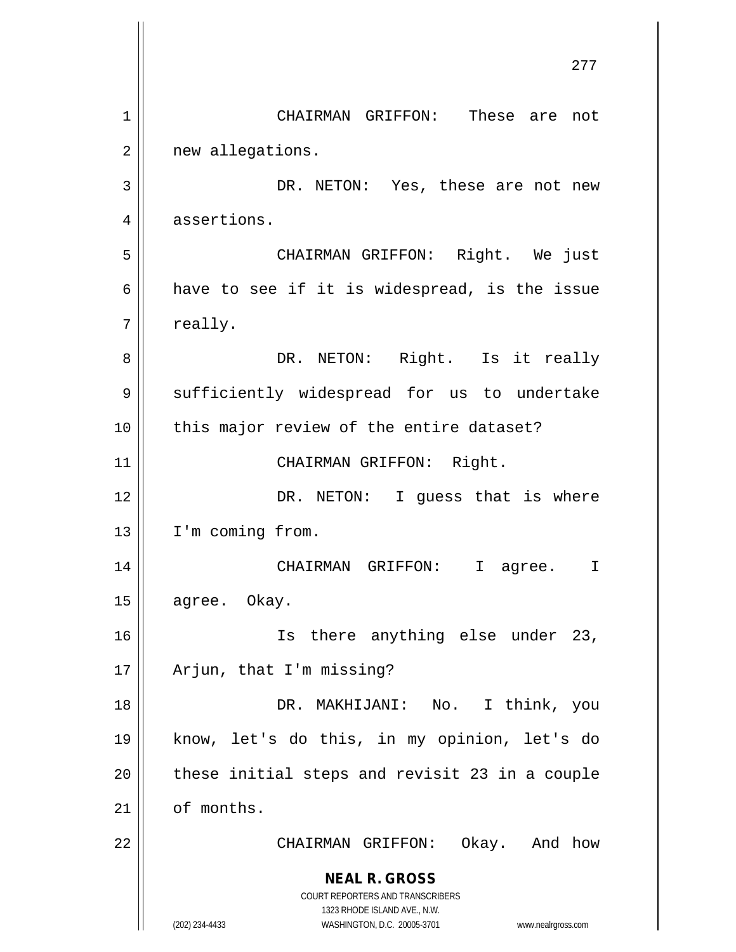**NEAL R. GROSS** COURT REPORTERS AND TRANSCRIBERS 1323 RHODE ISLAND AVE., N.W. (202) 234-4433 WASHINGTON, D.C. 20005-3701 www.nealrgross.com 277 1 CHAIRMAN GRIFFON: These are not 2 | new allegations. 3 DR. NETON: Yes, these are not new 4 | assertions. 5 CHAIRMAN GRIFFON: Right. We just 6 | have to see if it is widespread, is the issue  $7 \parallel$  really. 8 DR. NETON: Right. Is it really 9 || sufficiently widespread for us to undertake 10 || this major review of the entire dataset? 11 || CHAIRMAN GRIFFON: Right. 12 || DR. NETON: I quess that is where 13 | I'm coming from. 14 CHAIRMAN GRIFFON: I agree. I 15 | agree. Okay. 16 Is there anything else under 23, 17 || Arjun, that I'm missing? 18 DR. MAKHIJANI: No. I think, you 19 know, let's do this, in my opinion, let's do  $20$  || these initial steps and revisit 23 in a couple  $21$  | of months. 22 CHAIRMAN GRIFFON: Okay. And how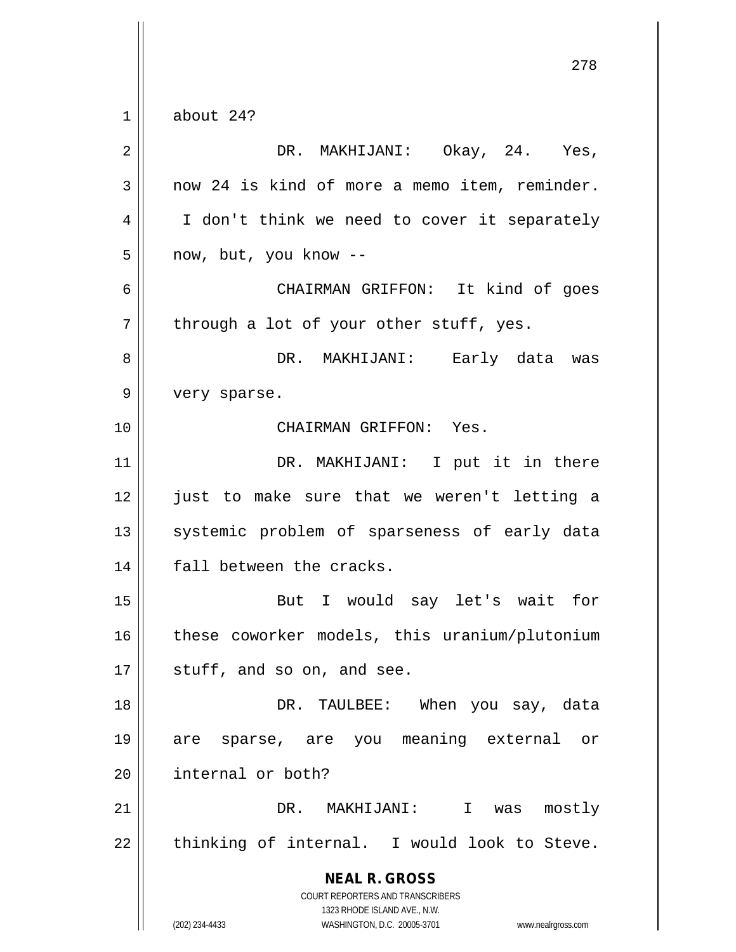**NEAL R. GROSS** COURT REPORTERS AND TRANSCRIBERS 1323 RHODE ISLAND AVE., N.W. 278  $1 \parallel$  about 24? 2 DR. MAKHIJANI: Okay, 24. Yes,  $3 \parallel$  now 24 is kind of more a memo item, reminder. 4 | I don't think we need to cover it separately  $5 \parallel$  now, but, you know --6 CHAIRMAN GRIFFON: It kind of goes  $7 \parallel$  through a lot of your other stuff, yes. 8 DR. MAKHIJANI: Early data was 9 || very sparse. 10 CHAIRMAN GRIFFON: Yes. 11 || DR. MAKHIJANI: I put it in there 12 just to make sure that we weren't letting a 13 || systemic problem of sparseness of early data 14 || fall between the cracks. 15 But I would say let's wait for 16 || these coworker models, this uranium/plutonium  $17 \parallel$  stuff, and so on, and see. 18 DR. TAULBEE: When you say, data 19 are sparse, are you meaning external or 20 | internal or both? 21 DR. MAKHIJANI: I was mostly  $22$  | thinking of internal. I would look to Steve.

(202) 234-4433 WASHINGTON, D.C. 20005-3701 www.nealrgross.com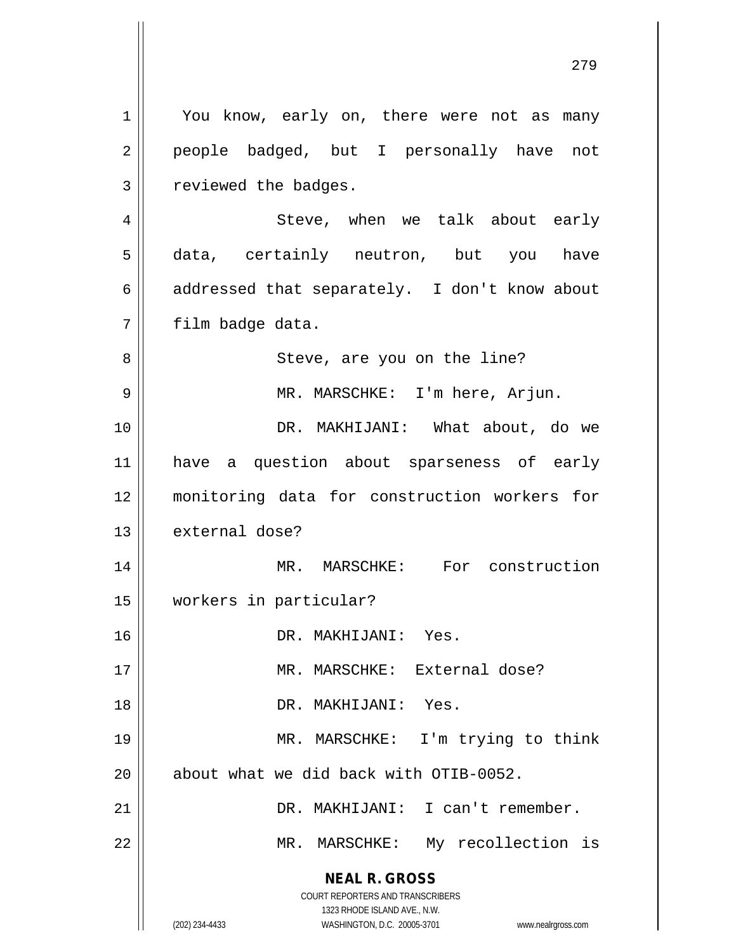**NEAL R. GROSS** COURT REPORTERS AND TRANSCRIBERS 1323 RHODE ISLAND AVE., N.W. (202) 234-4433 WASHINGTON, D.C. 20005-3701 www.nealrgross.com 1 || You know, early on, there were not as many 2 || people badged, but I personally have not 3 | reviewed the badges. 4 Steve, when we talk about early 5 data, certainly neutron, but you have 6 addressed that separately. I don't know about 7 | film badge data. 8 || Steve, are you on the line? 9 || MR. MARSCHKE: I'm here, Arjun. 10 DR. MAKHIJANI: What about, do we 11 have a question about sparseness of early 12 monitoring data for construction workers for 13 external dose? 14 || MR. MARSCHKE: For construction 15 workers in particular? 16 DR. MAKHIJANI: Yes. 17 MR. MARSCHKE: External dose? 18 DR. MAKHIJANI: Yes. 19 MR. MARSCHKE: I'm trying to think 20 || about what we did back with OTIB-0052. 21 DR. MAKHIJANI: I can't remember. 22 || MR. MARSCHKE: My recollection is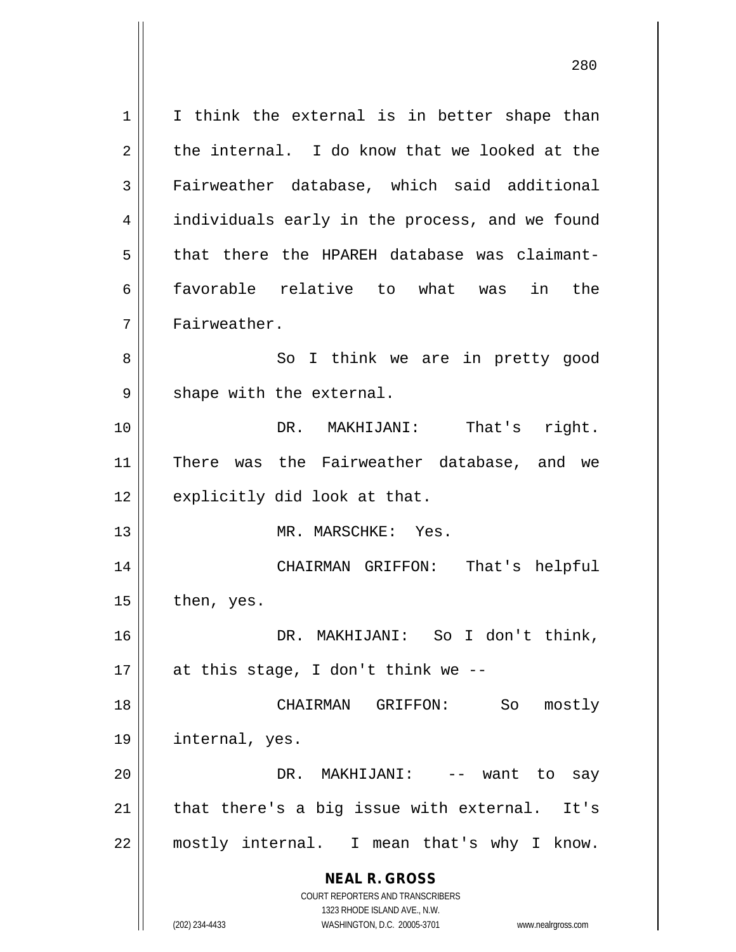**NEAL R. GROSS** COURT REPORTERS AND TRANSCRIBERS 1323 RHODE ISLAND AVE., N.W. (202) 234-4433 WASHINGTON, D.C. 20005-3701 www.nealrgross.com  $1 \parallel$  I think the external is in better shape than  $2 \parallel$  the internal. I do know that we looked at the 3 || Fairweather database, which said additional 4 | individuals early in the process, and we found 5 || that there the HPAREH database was claimant-6 favorable relative to what was in the 7 | Fairweather. 8 || So I think we are in pretty good  $9 \parallel$  shape with the external. 10 DR. MAKHIJANI: That's right. 11 || There was the Fairweather database, and we  $12 \parallel$  explicitly did look at that. 13 MR. MARSCHKE: Yes. 14 CHAIRMAN GRIFFON: That's helpful  $15$  | then, yes. 16 DR. MAKHIJANI: So I don't think, 17  $\parallel$  at this stage, I don't think we --18 CHAIRMAN GRIFFON: So mostly 19 internal, yes. 20 DR. MAKHIJANI: -- want to say  $21$  | that there's a big issue with external. It's 22 || mostly internal. I mean that's why I know.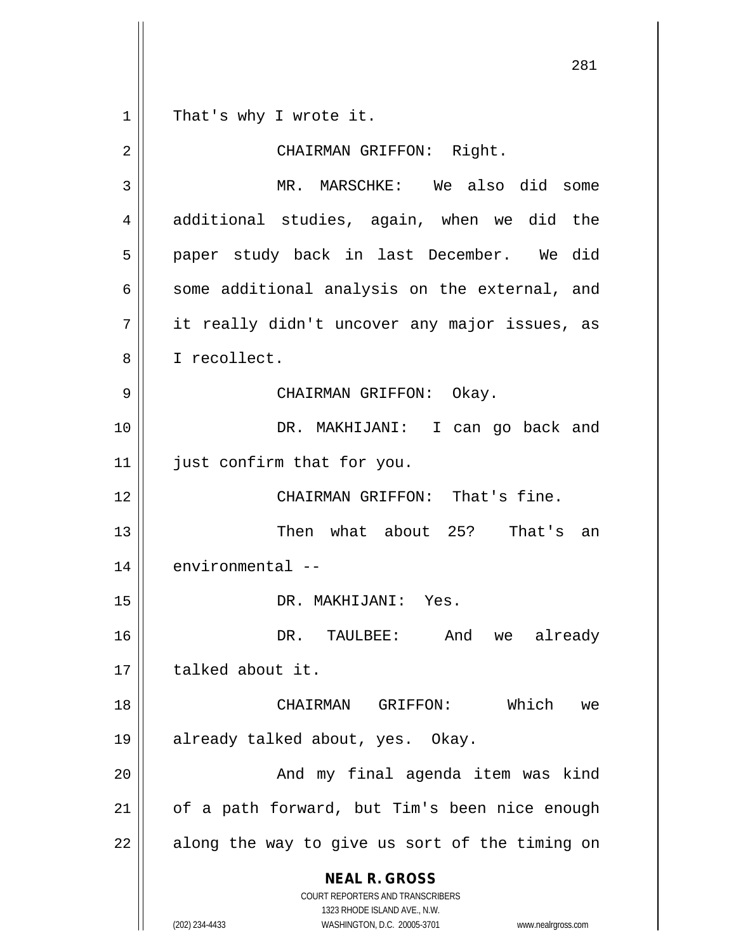That's why I wrote it.

| 2  | CHAIRMAN GRIFFON: Right.                                                                                                                                        |
|----|-----------------------------------------------------------------------------------------------------------------------------------------------------------------|
| 3  | MR. MARSCHKE: We also did some                                                                                                                                  |
| 4  | additional studies, again, when we did the                                                                                                                      |
| 5  | paper study back in last December. We did                                                                                                                       |
| 6  | some additional analysis on the external, and                                                                                                                   |
| 7  | it really didn't uncover any major issues, as                                                                                                                   |
| 8  | I recollect.                                                                                                                                                    |
| 9  | CHAIRMAN GRIFFON: Okay.                                                                                                                                         |
| 10 | DR. MAKHIJANI: I can go back and                                                                                                                                |
| 11 | just confirm that for you.                                                                                                                                      |
| 12 | CHAIRMAN GRIFFON: That's fine.                                                                                                                                  |
| 13 | Then what about 25? That's an                                                                                                                                   |
| 14 | environmental --                                                                                                                                                |
| 15 | DR. MAKHIJANI: Yes.                                                                                                                                             |
| 16 | DR. TAULBEE:<br>And<br>we already                                                                                                                               |
| 17 | talked about it.                                                                                                                                                |
| 18 | CHAIRMAN GRIFFON: Which<br>we                                                                                                                                   |
| 19 | already talked about, yes. Okay.                                                                                                                                |
| 20 | And my final agenda item was kind                                                                                                                               |
| 21 | of a path forward, but Tim's been nice enough                                                                                                                   |
| 22 | along the way to give us sort of the timing on                                                                                                                  |
|    | <b>NEAL R. GROSS</b><br>COURT REPORTERS AND TRANSCRIBERS<br>1323 RHODE ISLAND AVE., N.W.<br>(202) 234-4433<br>WASHINGTON, D.C. 20005-3701<br>www.nealrgross.com |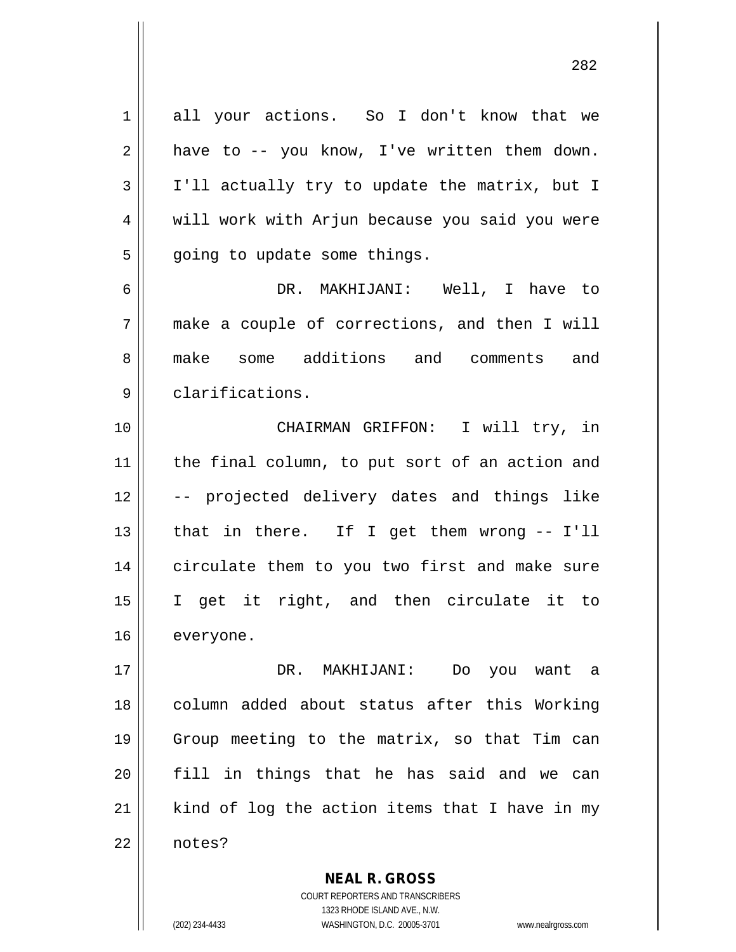| 1  | all your actions. So I don't know that we      |
|----|------------------------------------------------|
| 2  | have to -- you know, I've written them down.   |
| 3  | I'll actually try to update the matrix, but I  |
| 4  | will work with Arjun because you said you were |
| 5  | going to update some things.                   |
| 6  | DR. MAKHIJANI: Well, I have to                 |
| 7  | make a couple of corrections, and then I will  |
| 8  | make some additions and comments and           |
| 9  | clarifications.                                |
| 10 | CHAIRMAN GRIFFON: I will try, in               |
| 11 | the final column, to put sort of an action and |
| 12 | -- projected delivery dates and things like    |
| 13 | that in there. If I get them wrong -- I'll     |
| 14 | circulate them to you two first and make sure  |
| 15 | I get it right, and then circulate it to       |
| 16 | everyone.                                      |
| 17 | DR. MAKHIJANI: Do you want a                   |
| 18 | column added about status after this Working   |
| 19 | Group meeting to the matrix, so that Tim can   |
| 20 | fill in things that he has said and we can     |
| 21 | kind of log the action items that I have in my |
| 22 | notes?                                         |
|    | <b>NEAL R. GROSS</b>                           |

COURT REPORTERS AND TRANSCRIBERS 1323 RHODE ISLAND AVE., N.W. (202) 234-4433 WASHINGTON, D.C. 20005-3701 www.nealrgross.com

 $\mathbf{I}$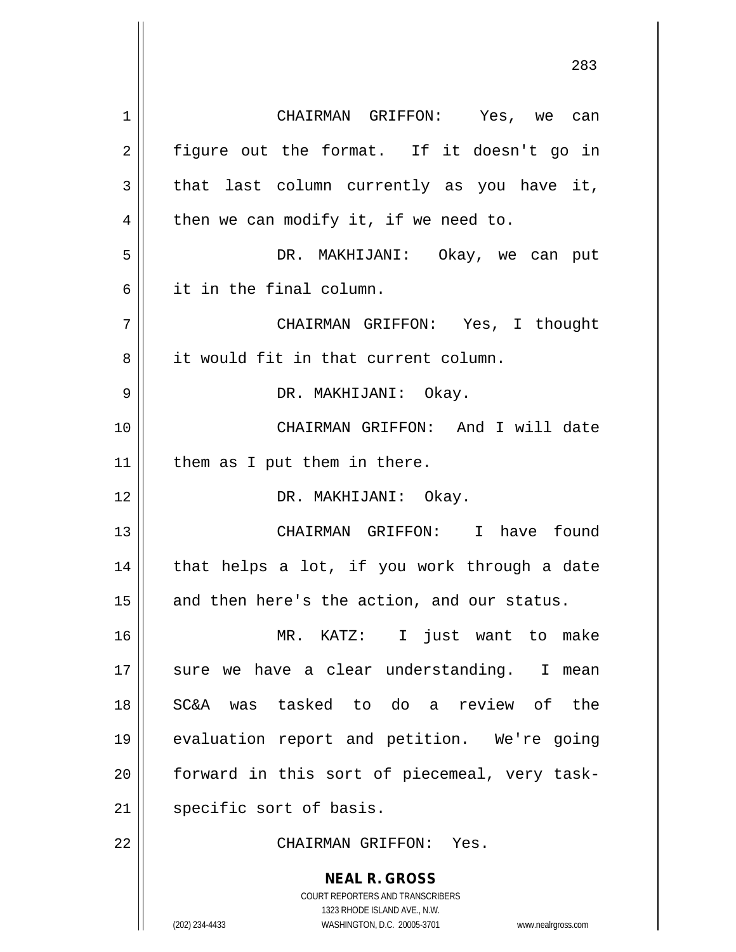**NEAL R. GROSS** COURT REPORTERS AND TRANSCRIBERS 1323 RHODE ISLAND AVE., N.W. (202) 234-4433 WASHINGTON, D.C. 20005-3701 www.nealrgross.com 1 CHAIRMAN GRIFFON: Yes, we can  $2 \parallel$  figure out the format. If it doesn't go in  $3 \parallel$  that last column currently as you have it,  $4 \parallel$  then we can modify it, if we need to. 5 DR. MAKHIJANI: Okay, we can put 6 it in the final column. 7 CHAIRMAN GRIFFON: Yes, I thought 8 || it would fit in that current column. 9 DR. MAKHIJANI: Okay. 10 CHAIRMAN GRIFFON: And I will date  $11$  | them as I put them in there. 12 || DR. MAKHIJANI: Okay. 13 || CHAIRMAN GRIFFON: I have found  $14$  | that helps a lot, if you work through a date 15 and then here's the action, and our status. 16 MR. KATZ: I just want to make 17 sure we have a clear understanding. I mean 18 SC&A was tasked to do a review of the 19 evaluation report and petition. We're going  $20$  || forward in this sort of piecemeal, very task-21 | specific sort of basis. 22 CHAIRMAN GRIFFON: Yes.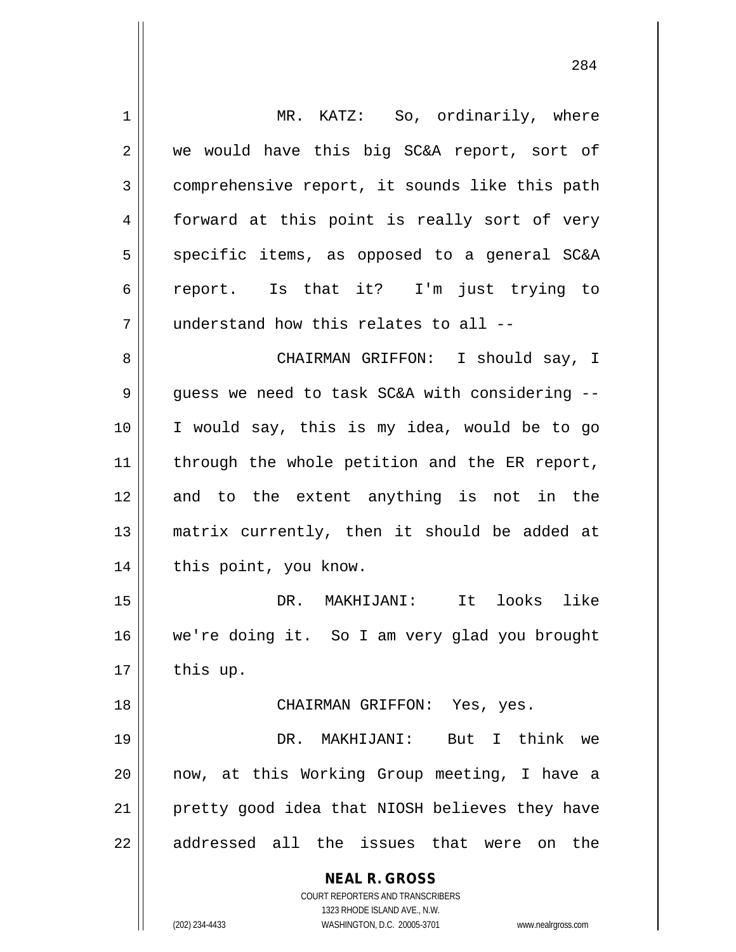| $\mathbf 1$ | MR. KATZ: So, ordinarily, where                                     |
|-------------|---------------------------------------------------------------------|
| 2           | we would have this big SC&A report, sort of                         |
| 3           | comprehensive report, it sounds like this path                      |
| 4           | forward at this point is really sort of very                        |
| 5           | specific items, as opposed to a general SC&A                        |
| 6           | report. Is that it? I'm just trying to                              |
| 7           | understand how this relates to all --                               |
| 8           | CHAIRMAN GRIFFON: I should say, I                                   |
| 9           | guess we need to task SC&A with considering --                      |
| 10          | I would say, this is my idea, would be to go                        |
| 11          | through the whole petition and the ER report,                       |
| 12          | and to the extent anything is not in the                            |
| 13          | matrix currently, then it should be added at                        |
| 14          | this point, you know.                                               |
| 15          | like<br>looks<br>DR. MAKHIJANI:<br>It                               |
| 16          | we're doing it. So I am very glad you brought                       |
| 17          | this up.                                                            |
| 18          | CHAIRMAN GRIFFON: Yes, yes.                                         |
| 19          | But I think we<br>DR. MAKHIJANI:                                    |
| 20          | now, at this Working Group meeting, I have a                        |
| 21          | pretty good idea that NIOSH believes they have                      |
| 22          | addressed all the issues that were on the                           |
|             | <b>NEAL R. GROSS</b>                                                |
|             | <b>COURT REPORTERS AND TRANSCRIBERS</b>                             |
|             | 1323 RHODE ISLAND AVE., N.W.                                        |
|             | (202) 234-4433<br>WASHINGTON, D.C. 20005-3701<br>www.nealrgross.com |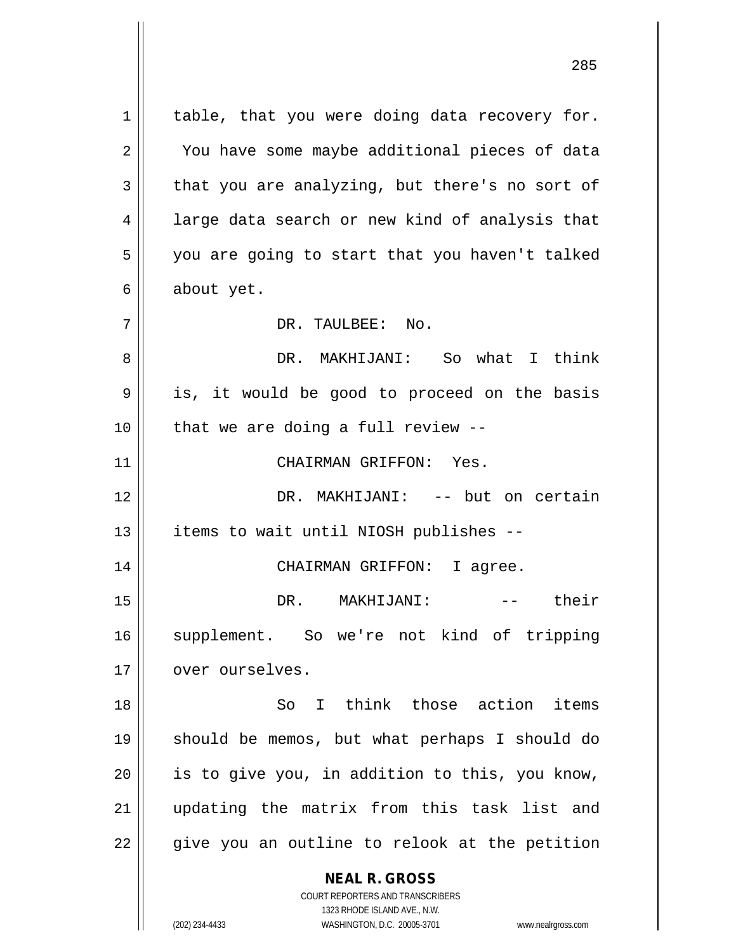**NEAL R. GROSS** COURT REPORTERS AND TRANSCRIBERS  $1 \parallel$  table, that you were doing data recovery for. 2 || You have some maybe additional pieces of data  $3 \parallel$  that you are analyzing, but there's no sort of 4 || large data search or new kind of analysis that 5 || you are going to start that you haven't talked  $6 \parallel$  about yet. 7 DR. TAULBEE: No. 8 DR. MAKHIJANI: So what I think  $9 \parallel$  is, it would be good to proceed on the basis  $10$  || that we are doing a full review --11 || CHAIRMAN GRIFFON: Yes. 12 DR. MAKHIJANI: -- but on certain 13 || items to wait until NIOSH publishes --14 CHAIRMAN GRIFFON: I agree. 15 DR. MAKHIJANI: -- their 16 supplement. So we're not kind of tripping 17 | over ourselves. 18 So I think those action items 19 should be memos, but what perhaps I should do  $20$  || is to give you, in addition to this, you know, 21 updating the matrix from this task list and  $22 \parallel$  give you an outline to relook at the petition

1323 RHODE ISLAND AVE., N.W.

(202) 234-4433 WASHINGTON, D.C. 20005-3701 www.nealrgross.com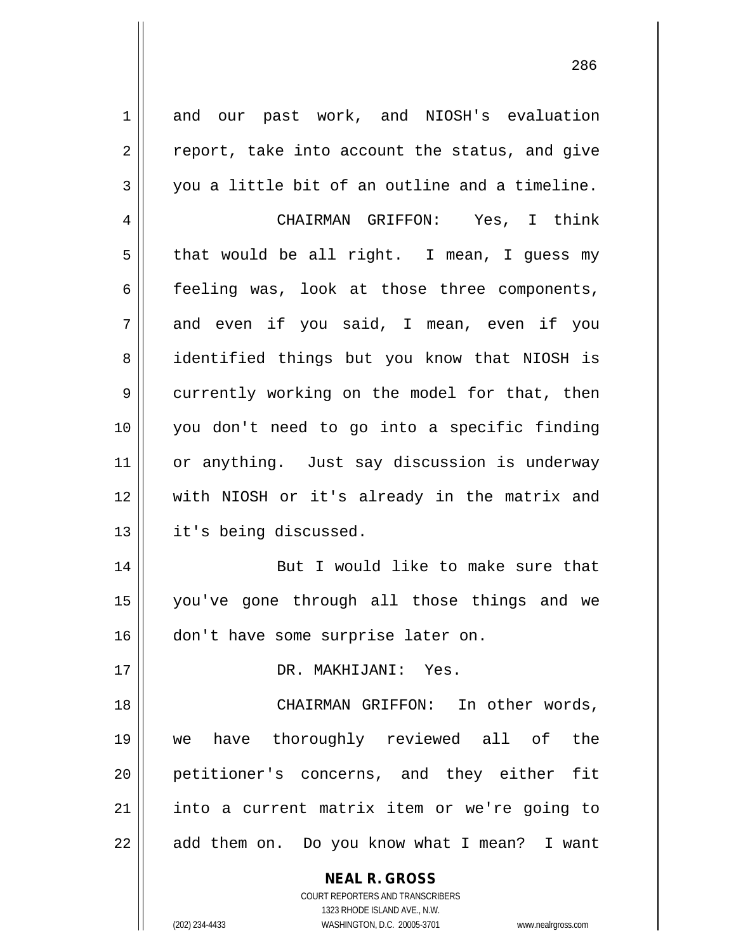**NEAL R. GROSS** COURT REPORTERS AND TRANSCRIBERS 1323 RHODE ISLAND AVE., N.W. 1 and our past work, and NIOSH's evaluation  $2 \parallel$  report, take into account the status, and give  $3 \parallel$  you a little bit of an outline and a timeline. 4 CHAIRMAN GRIFFON: Yes, I think  $5 \parallel$  that would be all right. I mean, I guess my  $6 \parallel$  feeling was, look at those three components, 7 and even if you said, I mean, even if you 8 || identified things but you know that NIOSH is 9 currently working on the model for that, then 10 you don't need to go into a specific finding 11 || or anything. Just say discussion is underway 12 with NIOSH or it's already in the matrix and 13 | it's being discussed. 14 || But I would like to make sure that 15 you've gone through all those things and we 16 don't have some surprise later on. 17 DR. MAKHIJANI: Yes. 18 || CHAIRMAN GRIFFON: In other words, 19 we have thoroughly reviewed all of the 20 petitioner's concerns, and they either fit 21 || into a current matrix item or we're going to  $22 \parallel$  add them on. Do you know what I mean? I want

(202) 234-4433 WASHINGTON, D.C. 20005-3701 www.nealrgross.com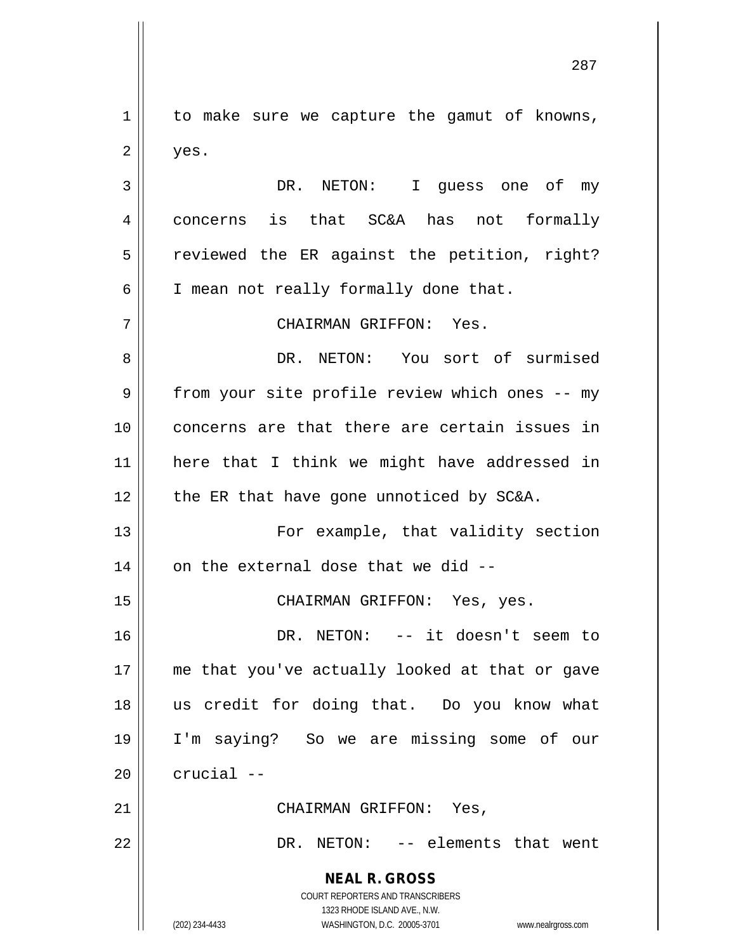1 | to make sure we capture the gamut of knowns,  $2 \parallel$  yes.

3 DR. NETON: I guess one of my 4 | concerns is that SC&A has not formally  $5 \parallel$  reviewed the ER against the petition, right? 6 | I mean not really formally done that.

7 CHAIRMAN GRIFFON: Yes.

 DR. NETON: You sort of surmised 9 | from your site profile review which ones -- my concerns are that there are certain issues in here that I think we might have addressed in || the ER that have gone unnoticed by SC&A.

13 || For example, that validity section  $14$  | on the external dose that we did  $-$ 

15 || CHAIRMAN GRIFFON: Yes, yes.

 DR. NETON: -- it doesn't seem to me that you've actually looked at that or gave us credit for doing that. Do you know what I'm saying? So we are missing some of our  $\parallel$  crucial  $-$ 

21 CHAIRMAN GRIFFON: Yes,

22 || DR. NETON: -- elements that went

**NEAL R. GROSS** COURT REPORTERS AND TRANSCRIBERS

1323 RHODE ISLAND AVE., N.W. (202) 234-4433 WASHINGTON, D.C. 20005-3701 www.nealrgross.com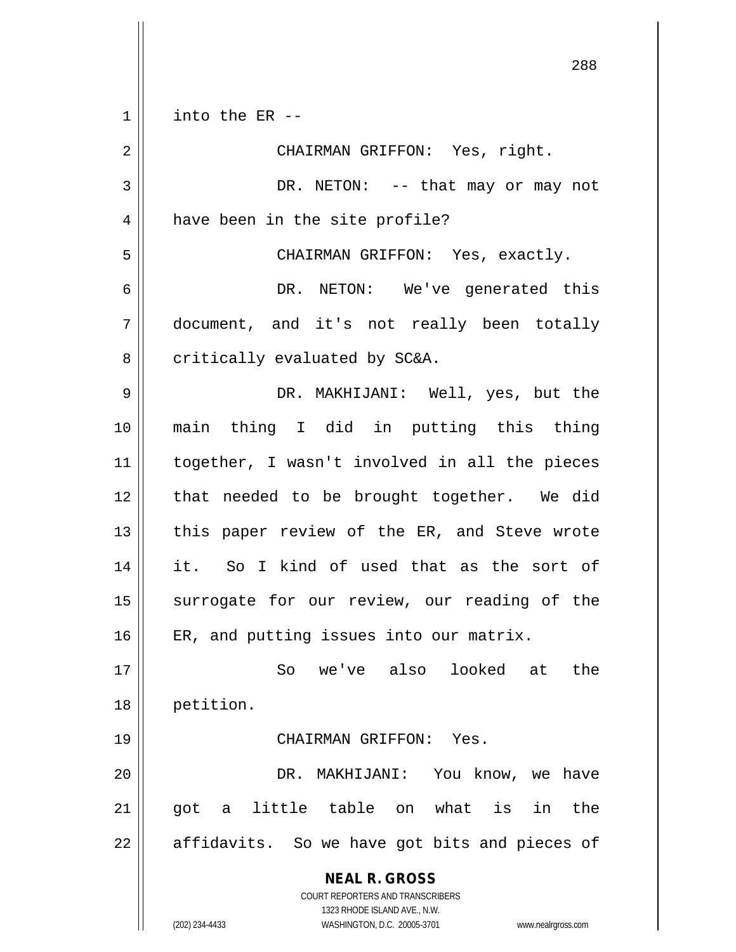$1 \parallel$  into the ER --

| $\overline{2}$ | CHAIRMAN GRIFFON: Yes, right.                                       |
|----------------|---------------------------------------------------------------------|
| 3              | DR. NETON: -- that may or may not                                   |
| 4              | have been in the site profile?                                      |
| 5              | CHAIRMAN GRIFFON: Yes, exactly.                                     |
| 6              | DR. NETON: We've generated this                                     |
| 7              | document, and it's not really been totally                          |
| 8              | critically evaluated by SC&A.                                       |
| 9              | DR. MAKHIJANI: Well, yes, but the                                   |
| 10             | main thing I did in putting this thing                              |
| 11             | together, I wasn't involved in all the pieces                       |
| 12             | that needed to be brought together. We did                          |
| 13             | this paper review of the ER, and Steve wrote                        |
| 14             | it. So I kind of used that as the sort of                           |
| 15             | surrogate for our review, our reading of the                        |
| 16             | ER, and putting issues into our matrix.                             |
| 17             | So we've also looked at the                                         |
| 18             | petition.                                                           |
| 19             | CHAIRMAN GRIFFON:<br>Yes.                                           |
| 20             | You know, we<br>DR.<br>MAKHIJANI:<br>have                           |
| 21             | what<br>the<br>little table<br>is<br>got<br>in<br>on<br>a           |
| 22             | affidavits. So we have got bits and pieces of                       |
|                | <b>NEAL R. GROSS</b>                                                |
|                | COURT REPORTERS AND TRANSCRIBERS<br>1323 RHODE ISLAND AVE., N.W.    |
|                | (202) 234-4433<br>WASHINGTON, D.C. 20005-3701<br>www.nealrgross.com |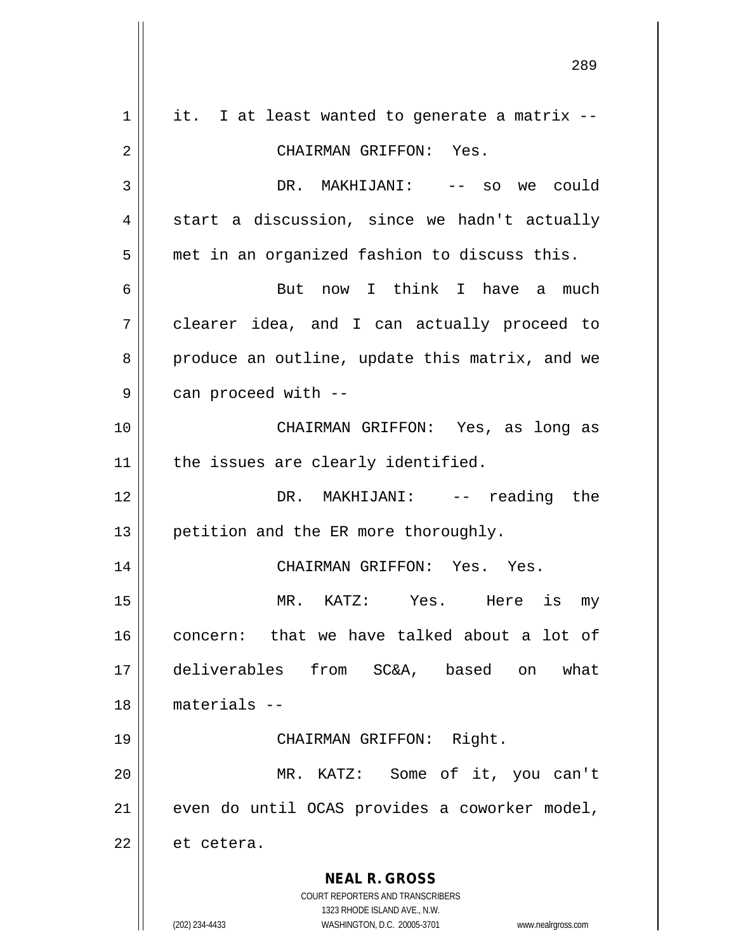| $\mathbf 1$ | it. I at least wanted to generate a matrix --                                                       |
|-------------|-----------------------------------------------------------------------------------------------------|
| 2           | CHAIRMAN GRIFFON: Yes.                                                                              |
| 3           | DR. MAKHIJANI: -- so we could                                                                       |
| 4           | start a discussion, since we hadn't actually                                                        |
| 5           | met in an organized fashion to discuss this.                                                        |
| 6           | But now I think I have a much                                                                       |
| 7           | clearer idea, and I can actually proceed to                                                         |
| 8           | produce an outline, update this matrix, and we                                                      |
| 9           | can proceed with --                                                                                 |
| 10          | CHAIRMAN GRIFFON: Yes, as long as                                                                   |
| 11          | the issues are clearly identified.                                                                  |
| 12          | DR. MAKHIJANI: -- reading the                                                                       |
| 13          | petition and the ER more thoroughly.                                                                |
| 14          | CHAIRMAN GRIFFON: Yes. Yes.                                                                         |
| 15          | MR. KATZ: Yes. Here is<br>my                                                                        |
| 16          | concern: that we have talked about a lot of                                                         |
| 17          | deliverables from SC&A,<br>based<br>what<br>on                                                      |
| 18          | $materials --$                                                                                      |
| 19          | CHAIRMAN GRIFFON: Right.                                                                            |
| 20          | MR. KATZ: Some of it, you can't                                                                     |
| 21          | even do until OCAS provides a coworker model,                                                       |
| 22          | et cetera.                                                                                          |
|             | <b>NEAL R. GROSS</b>                                                                                |
|             | COURT REPORTERS AND TRANSCRIBERS                                                                    |
|             | 1323 RHODE ISLAND AVE., N.W.<br>(202) 234-4433<br>WASHINGTON, D.C. 20005-3701<br>www.nealrgross.com |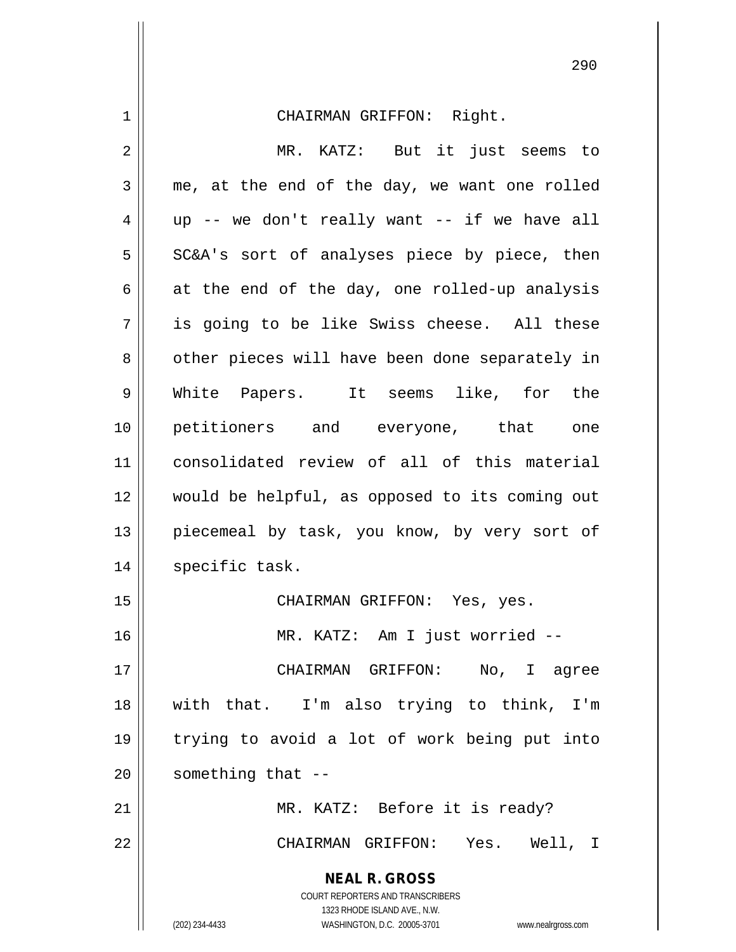**NEAL R. GROSS** COURT REPORTERS AND TRANSCRIBERS 1323 RHODE ISLAND AVE., N.W. (202) 234-4433 WASHINGTON, D.C. 20005-3701 www.nealrgross.com 1 CHAIRMAN GRIFFON: Right. 2 || MR. KATZ: But it just seems to  $3 \parallel$  me, at the end of the day, we want one rolled  $4 \parallel$  up -- we don't really want -- if we have all  $5 \parallel$  SC&A's sort of analyses piece by piece, then 6 at the end of the day, one rolled-up analysis  $7 \parallel$  is going to be like Swiss cheese. All these 8 || other pieces will have been done separately in 9 White Papers. It seems like, for the 10 petitioners and everyone, that one 11 consolidated review of all of this material 12 would be helpful, as opposed to its coming out 13 || piecemeal by task, you know, by very sort of 14 | specific task. 15 || CHAIRMAN GRIFFON: Yes, yes. 16 MR. KATZ: Am I just worried -- 17 CHAIRMAN GRIFFON: No, I agree 18 with that. I'm also trying to think, I'm 19 trying to avoid a lot of work being put into  $20$  | something that  $-$ 21 || MR. KATZ: Before it is ready? 22 CHAIRMAN GRIFFON: Yes. Well, I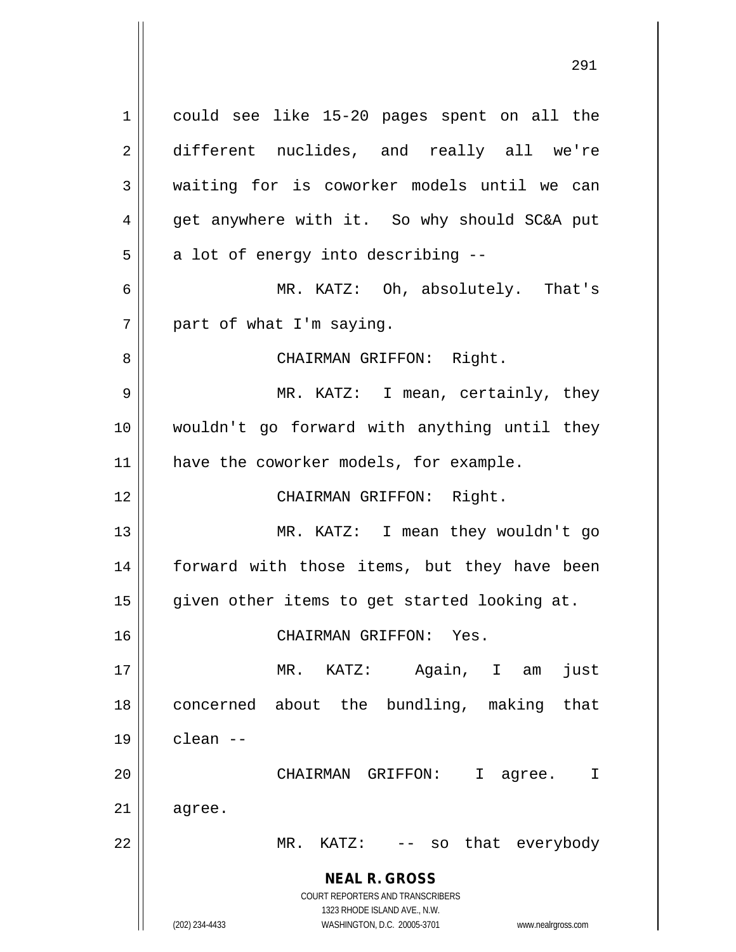**NEAL R. GROSS** COURT REPORTERS AND TRANSCRIBERS 1323 RHODE ISLAND AVE., N.W. (202) 234-4433 WASHINGTON, D.C. 20005-3701 www.nealrgross.com 1 || could see like 15-20 pages spent on all the 2 different nuclides, and really all we're 3 waiting for is coworker models until we can 4 || get anywhere with it. So why should SC&A put  $5 \parallel$  a lot of energy into describing --6 MR. KATZ: Oh, absolutely. That's  $7$  | part of what I'm saying. 8 || CHAIRMAN GRIFFON: Right. 9 MR. KATZ: I mean, certainly, they 10 wouldn't go forward with anything until they 11 || have the coworker models, for example. 12 || CHAIRMAN GRIFFON: Right. 13 MR. KATZ: I mean they wouldn't go 14 || forward with those items, but they have been 15 || given other items to get started looking at. 16 CHAIRMAN GRIFFON: Yes. 17 MR. KATZ: Again, I am just 18 || concerned about the bundling, making that  $19 \parallel$  clean  $-$ 20 CHAIRMAN GRIFFON: I agree. I  $21$  agree. 22 || MR. KATZ: -- so that everybody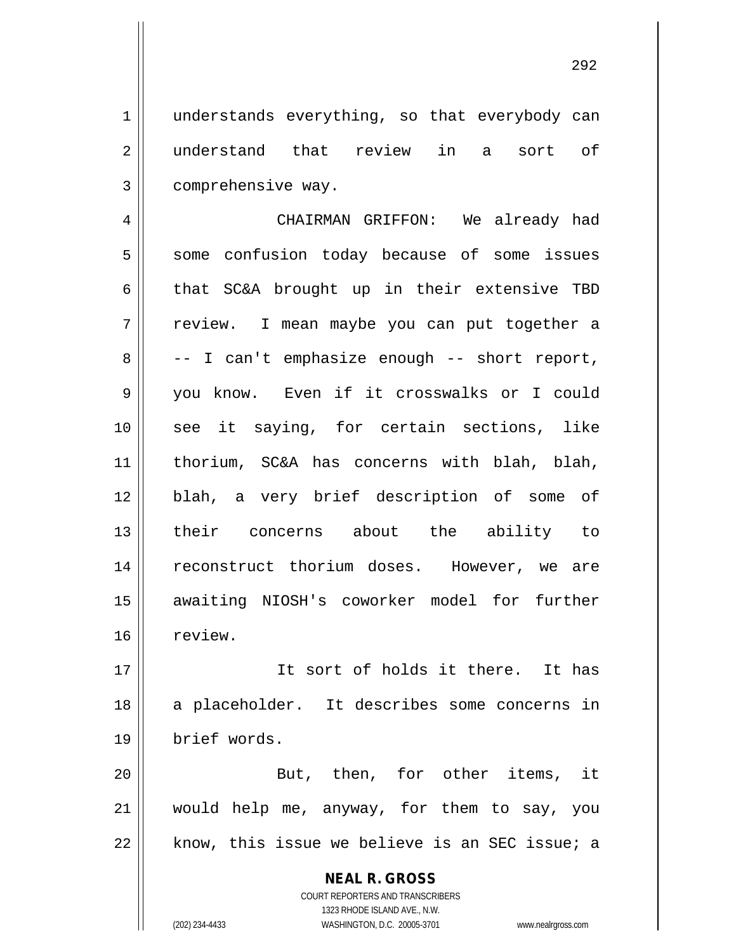1 || understands everything, so that everybody can 2 understand that review in a sort of 3 | comprehensive way.

 CHAIRMAN GRIFFON: We already had 5 || some confusion today because of some issues that SC&A brought up in their extensive TBD 7 || review. I mean maybe you can put together a  $8 \parallel -1$  can't emphasize enough -- short report, you know. Even if it crosswalks or I could see it saying, for certain sections, like thorium, SC&A has concerns with blah, blah, blah, a very brief description of some of their concerns about the ability to reconstruct thorium doses. However, we are 15 || awaiting NIOSH's coworker model for further 16 review.

17 It sort of holds it there. It has 18 || a placeholder. It describes some concerns in 19 brief words.

20 || But, then, for other items, it 21 would help me, anyway, for them to say, you  $22$  || know, this issue we believe is an SEC issue; a

> **NEAL R. GROSS** COURT REPORTERS AND TRANSCRIBERS 1323 RHODE ISLAND AVE., N.W. (202) 234-4433 WASHINGTON, D.C. 20005-3701 www.nealrgross.com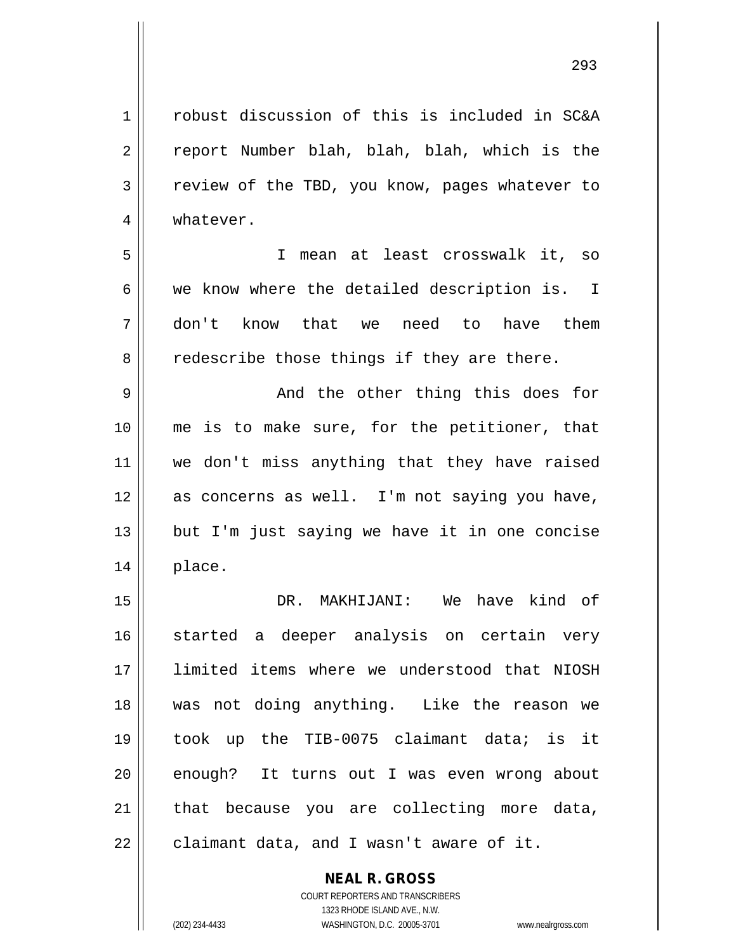1 | robust discussion of this is included in SC&A 2 || report Number blah, blah, blah, which is the 3 | review of the TBD, you know, pages whatever to 5 I mean at least crosswalk it, so  $6 \parallel$  we know where the detailed description is. I 7 don't know that we need to have them  $8 \parallel$  redescribe those things if they are there. 9 And the other thing this does for

10 || me is to make sure, for the petitioner, that 11 || we don't miss anything that they have raised 12 || as concerns as well. I'm not saying you have,  $13$  || but I'm just saying we have it in one concise 14 place.

 DR. MAKHIJANI: We have kind of started a deeper analysis on certain very limited items where we understood that NIOSH was not doing anything. Like the reason we 19 || took up the TIB-0075 claimant data; is it 20 || enough? It turns out I was even wrong about | that because you are collecting more data, | claimant data, and I wasn't aware of it.

> **NEAL R. GROSS** COURT REPORTERS AND TRANSCRIBERS

> > 1323 RHODE ISLAND AVE., N.W.

(202) 234-4433 WASHINGTON, D.C. 20005-3701 www.nealrgross.com

4 | whatever.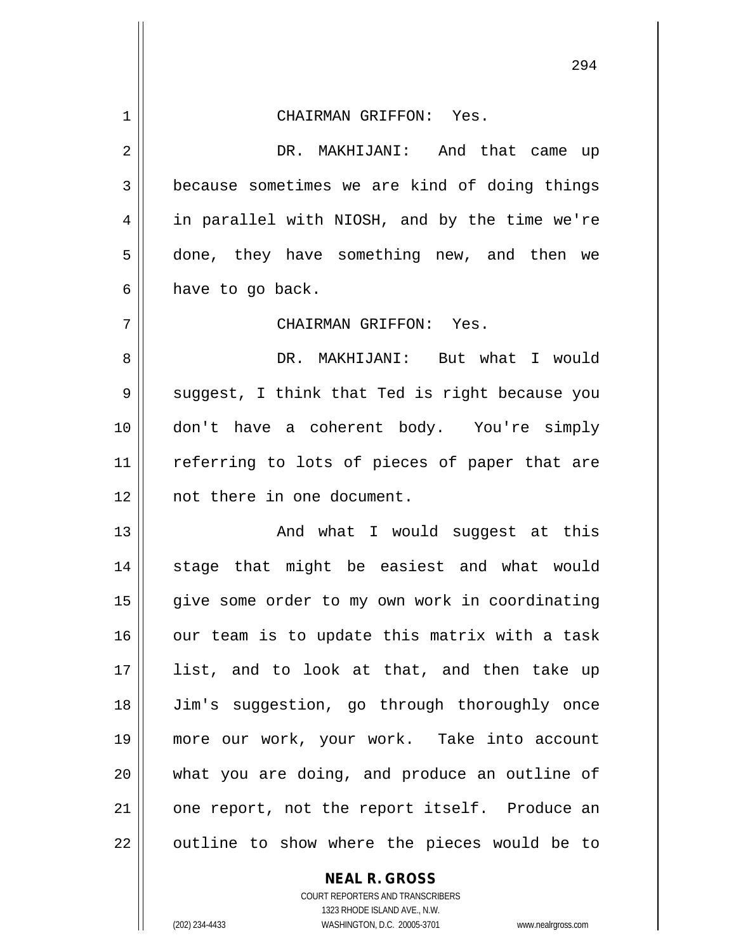| $\mathbf 1$ | CHAIRMAN GRIFFON: Yes.                         |
|-------------|------------------------------------------------|
| 2           | DR. MAKHIJANI: And that came up                |
| 3           | because sometimes we are kind of doing things  |
| 4           | in parallel with NIOSH, and by the time we're  |
| 5           | done, they have something new, and then we     |
| 6           | have to go back.                               |
| 7           | CHAIRMAN GRIFFON: Yes.                         |
| 8           | DR. MAKHIJANI: But what I would                |
| 9           | suggest, I think that Ted is right because you |
| 10          | don't have a coherent body. You're simply      |
| 11          | referring to lots of pieces of paper that are  |
| 12          | not there in one document.                     |
| 13          | And what I would suggest at this               |
| 14          | stage that might be easiest and what would     |
| 15          | give some order to my own work in coordinating |
| 16          | our team is to update this matrix with a task  |
| 17          | list, and to look at that, and then take up    |
| 18          | Jim's suggestion, go through thoroughly once   |
| 19          | more our work, your work. Take into account    |
| 20          | what you are doing, and produce an outline of  |
| 21          | one report, not the report itself. Produce an  |
| 22          | outline to show where the pieces would be to   |

**NEAL R. GROSS**

COURT REPORTERS AND TRANSCRIBERS 1323 RHODE ISLAND AVE., N.W. (202) 234-4433 WASHINGTON, D.C. 20005-3701 www.nealrgross.com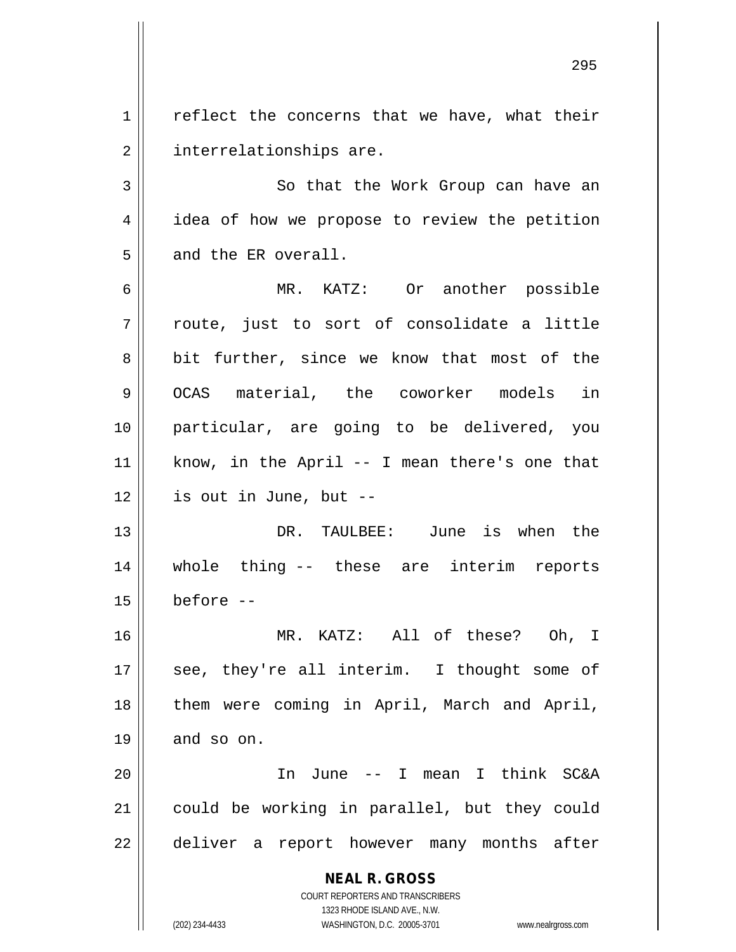$1 \parallel$  reflect the concerns that we have, what their 2 | interrelationships are.

3 So that the Work Group can have an 4 || idea of how we propose to review the petition 5 and the ER overall.

 MR. KATZ: Or another possible  $\parallel$  route, just to sort of consolidate a little 8 bit further, since we know that most of the 9 || OCAS material, the coworker models in particular, are going to be delivered, you know, in the April -- I mean there's one that | is out in June, but --

13 DR. TAULBEE: June is when the 14 whole thing -- these are interim reports  $15$  before  $-$ 

16 MR. KATZ: All of these? Oh, I 17 || see, they're all interim. I thought some of 18 || them were coming in April, March and April,  $19 \parallel$  and so on.

20 In June -- I mean I think SC&A 21 could be working in parallel, but they could 22 || deliver a report however many months after

> **NEAL R. GROSS** COURT REPORTERS AND TRANSCRIBERS

> > 1323 RHODE ISLAND AVE., N.W.

(202) 234-4433 WASHINGTON, D.C. 20005-3701 www.nealrgross.com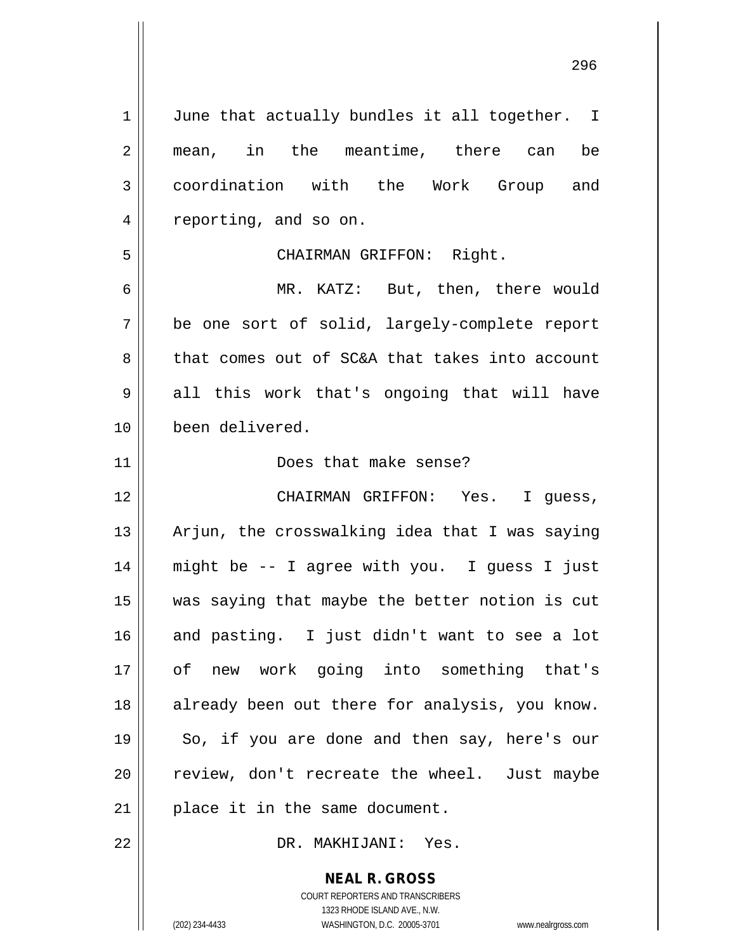$1 \parallel$  June that actually bundles it all together. I 2 || mean, in the meantime, there can be 3 coordination with the Work Group and 4 | reporting, and so on. 5 CHAIRMAN GRIFFON: Right. 6 MR. KATZ: But, then, there would 7 be one sort of solid, largely-complete report 8 that comes out of SC&A that takes into account  $9 \parallel$  all this work that's ongoing that will have 10 been delivered. 11 Does that make sense? 12 CHAIRMAN GRIFFON: Yes. I guess, 13  $\parallel$  Arjun, the crosswalking idea that I was saying 14 might be -- I agree with you. I guess I just 15 was saying that maybe the better notion is cut  $16$  and pasting. I just didn't want to see a lot 17 of new work going into something that's 18 || already been out there for analysis, you know. 19 || So, if you are done and then say, here's our 20 || review, don't recreate the wheel. Just maybe  $21$  | place it in the same document.

22 DR. MAKHIJANI: Yes.

**NEAL R. GROSS** COURT REPORTERS AND TRANSCRIBERS

1323 RHODE ISLAND AVE., N.W.

(202) 234-4433 WASHINGTON, D.C. 20005-3701 www.nealrgross.com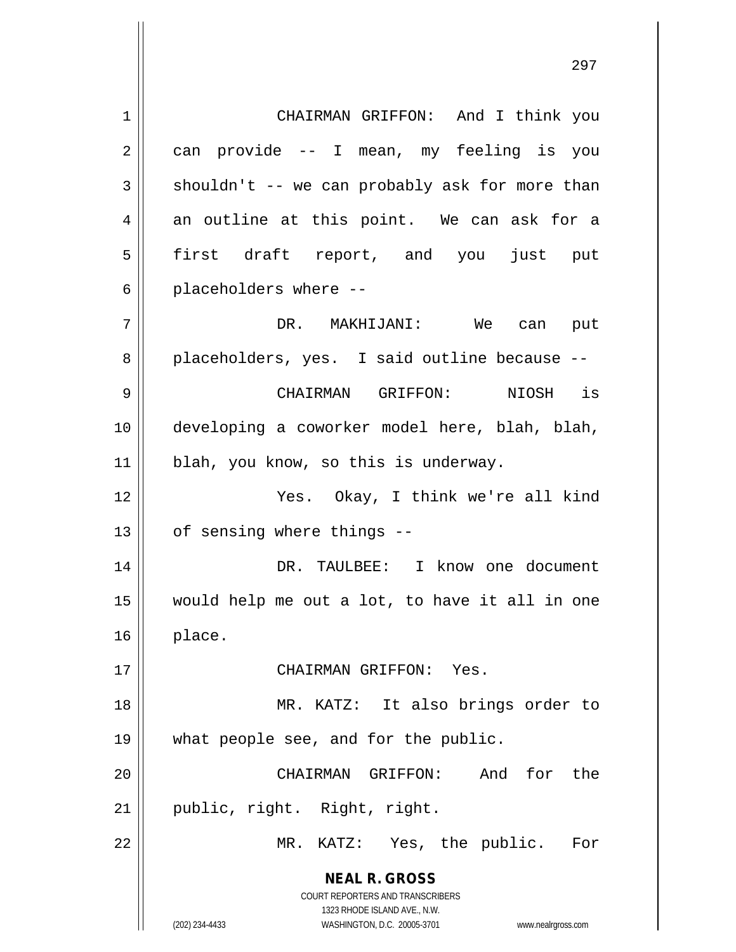**NEAL R. GROSS** COURT REPORTERS AND TRANSCRIBERS 1323 RHODE ISLAND AVE., N.W. 1 | CHAIRMAN GRIFFON: And I think you  $2 \parallel$  can provide -- I mean, my feeling is you  $3 \parallel$  shouldn't -- we can probably ask for more than  $4 \parallel$  an outline at this point. We can ask for a 5 first draft report, and you just put  $6 \parallel$  placeholders where --7 DR. MAKHIJANI: We can put 8 || placeholders, yes. I said outline because --9 CHAIRMAN GRIFFON: NIOSH is 10 developing a coworker model here, blah, blah, 11 || blah, you know, so this is underway. 12 Yes. Okay, I think we're all kind  $13 \parallel$  of sensing where things --14 DR. TAULBEE: I know one document 15 would help me out a lot, to have it all in one  $16$  || place. 17 CHAIRMAN GRIFFON: Yes. 18 || MR. KATZ: It also brings order to 19 what people see, and for the public. 20 CHAIRMAN GRIFFON: And for the 21 || public, right. Right, right. 22 MR. KATZ: Yes, the public. For

(202) 234-4433 WASHINGTON, D.C. 20005-3701 www.nealrgross.com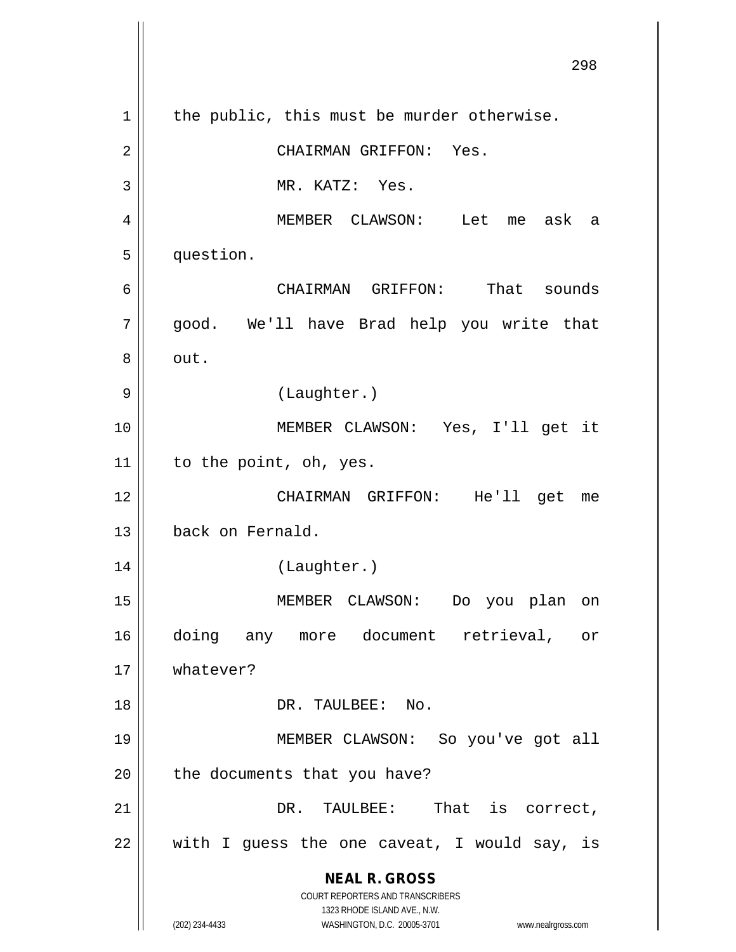**NEAL R. GROSS** COURT REPORTERS AND TRANSCRIBERS 1323 RHODE ISLAND AVE., N.W. (202) 234-4433 WASHINGTON, D.C. 20005-3701 www.nealrgross.com 298  $1 \parallel$  the public, this must be murder otherwise. 2 CHAIRMAN GRIFFON: Yes. 3 || MR. KATZ: Yes. 4 MEMBER CLAWSON: Let me ask a 5 question. 6 CHAIRMAN GRIFFON: That sounds 7 || good. We'll have Brad help you write that  $8 \parallel$  out. 9 || (Laughter.) 10 MEMBER CLAWSON: Yes, I'll get it 11 | to the point, oh, yes. 12 CHAIRMAN GRIFFON: He'll get me 13 back on Fernald. 14 (Laughter.) 15 MEMBER CLAWSON: Do you plan on 16 doing any more document retrieval, or 17 whatever? 18 DR. TAULBEE: No. 19 MEMBER CLAWSON: So you've got all  $20$  | the documents that you have? 21 DR. TAULBEE: That is correct,  $22$  || with I guess the one caveat, I would say, is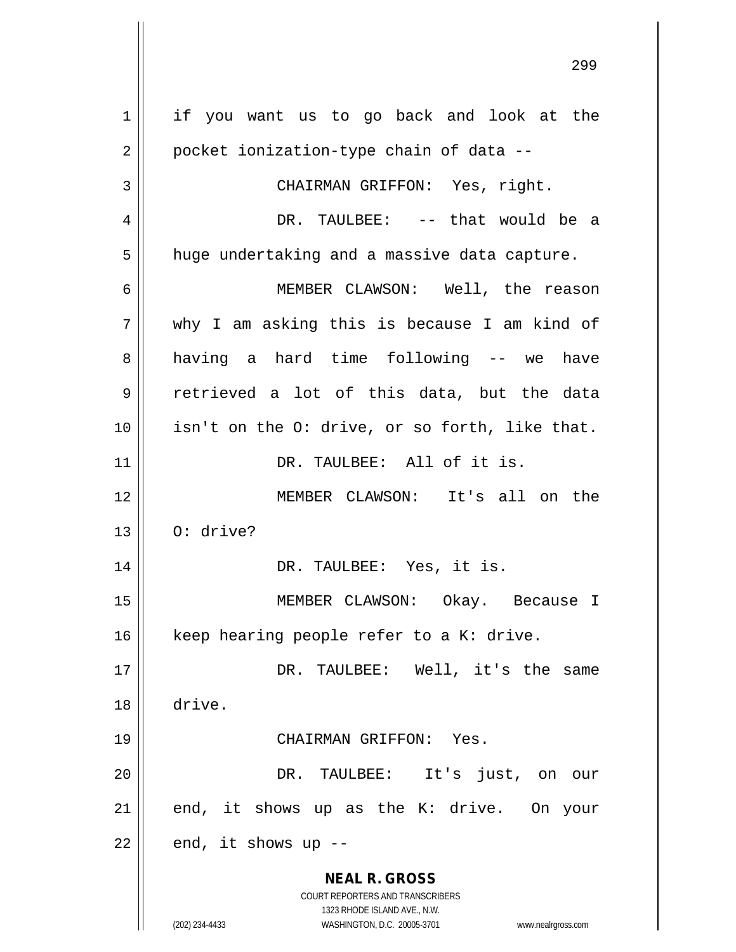**NEAL R. GROSS** COURT REPORTERS AND TRANSCRIBERS 1323 RHODE ISLAND AVE., N.W. (202) 234-4433 WASHINGTON, D.C. 20005-3701 www.nealrgross.com 1 | if you want us to go back and look at the  $2 \parallel$  pocket ionization-type chain of data --3 || CHAIRMAN GRIFFON: Yes, right. 4 DR. TAULBEE: -- that would be a  $5 \parallel$  huge undertaking and a massive data capture. 6 MEMBER CLAWSON: Well, the reason 7 why I am asking this is because I am kind of 8 || having a hard time following -- we have 9 retrieved a lot of this data, but the data  $10$  | isn't on the O: drive, or so forth, like that. 11 || DR. TAULBEE: All of it is. 12 MEMBER CLAWSON: It's all on the  $13 \parallel$  O: drive? 14 || DR. TAULBEE: Yes, it is. 15 MEMBER CLAWSON: Okay. Because I 16  $\parallel$  keep hearing people refer to a K: drive. 17 DR. TAULBEE: Well, it's the same 18 drive. 19 CHAIRMAN GRIFFON: Yes. 20 DR. TAULBEE: It's just, on our  $21$  end, it shows up as the K: drive. On your  $22$  | end, it shows up --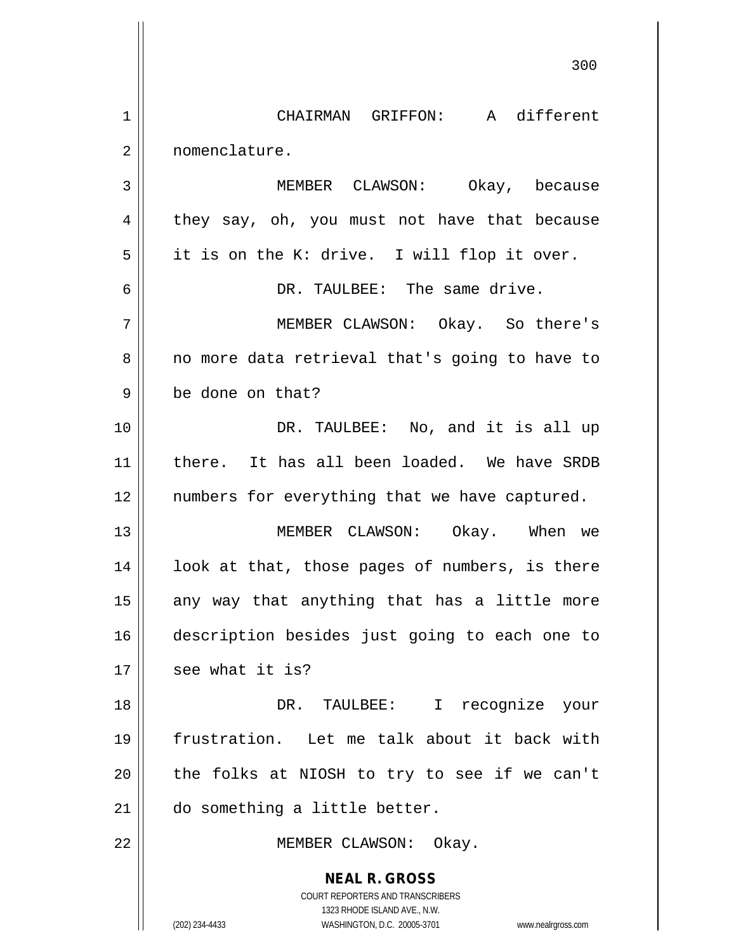**NEAL R. GROSS** COURT REPORTERS AND TRANSCRIBERS 1323 RHODE ISLAND AVE., N.W. (202) 234-4433 WASHINGTON, D.C. 20005-3701 www.nealrgross.com 300 1 CHAIRMAN GRIFFON: A different 2 nomenclature. 3 MEMBER CLAWSON: Okay, because  $4 \parallel$  they say, oh, you must not have that because  $5 \parallel$  it is on the K: drive. I will flop it over. 6 DR. TAULBEE: The same drive. 7 MEMBER CLAWSON: Okay. So there's 8 || no more data retrieval that's going to have to 9 | be done on that? 10 || DR. TAULBEE: No, and it is all up 11 || there. It has all been loaded. We have SRDB 12 || numbers for everything that we have captured. 13 MEMBER CLAWSON: Okay. When we  $14$  | look at that, those pages of numbers, is there  $15$  any way that anything that has a little more 16 description besides just going to each one to  $17 \parallel$  see what it is? 18 DR. TAULBEE: I recognize your 19 frustration. Let me talk about it back with 20 || the folks at NIOSH to try to see if we can't 21 do something a little better. 22 || MEMBER CLAWSON: Okay.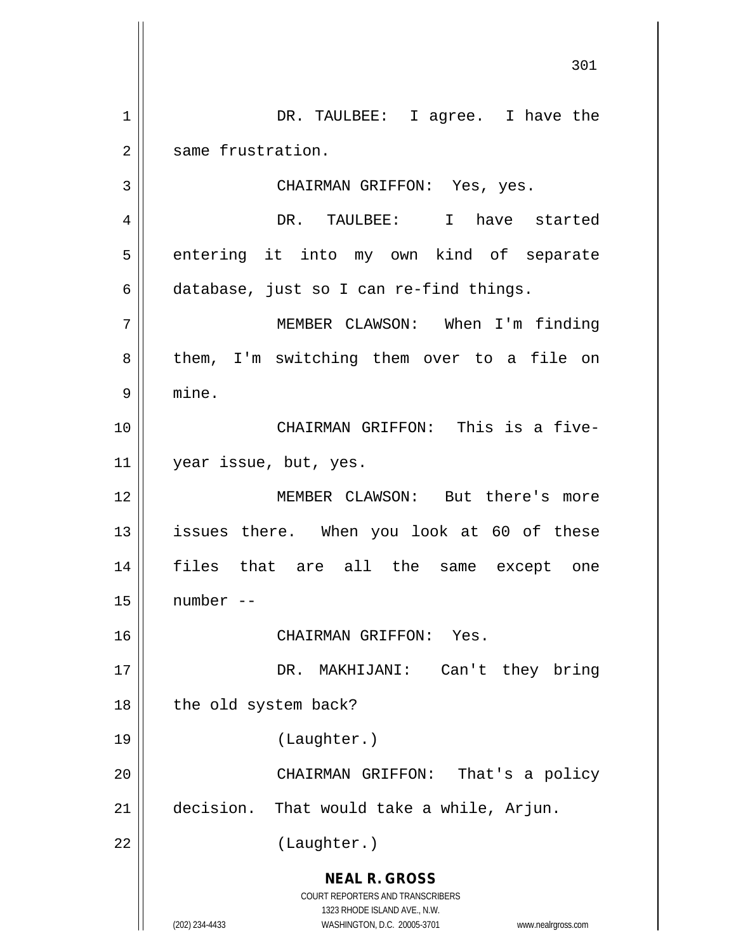**NEAL R. GROSS** COURT REPORTERS AND TRANSCRIBERS 1323 RHODE ISLAND AVE., N.W. (202) 234-4433 WASHINGTON, D.C. 20005-3701 www.nealrgross.com 1 || DR. TAULBEE: I agree. I have the 2 | same frustration. 3 || CHAIRMAN GRIFFON: Yes, yes. 4 DR. TAULBEE: I have started  $5 \parallel$  entering it into my own kind of separate  $6$  database, just so I can re-find things. 7 MEMBER CLAWSON: When I'm finding  $8 \parallel$  them, I'm switching them over to a file on 9 mine. 10 CHAIRMAN GRIFFON: This is a five-11 | year issue, but, yes. 12 MEMBER CLAWSON: But there's more 13 || issues there. When you look at 60 of these 14 files that are all the same except one  $15$   $\parallel$  number --16 CHAIRMAN GRIFFON: Yes. 17 || DR. MAKHIJANI: Can't they bring  $18$  | the old system back? 19 (Laughter.) 20 || CHAIRMAN GRIFFON: That's a policy 21 decision. That would take a while, Arjun. 22 || (Laughter.)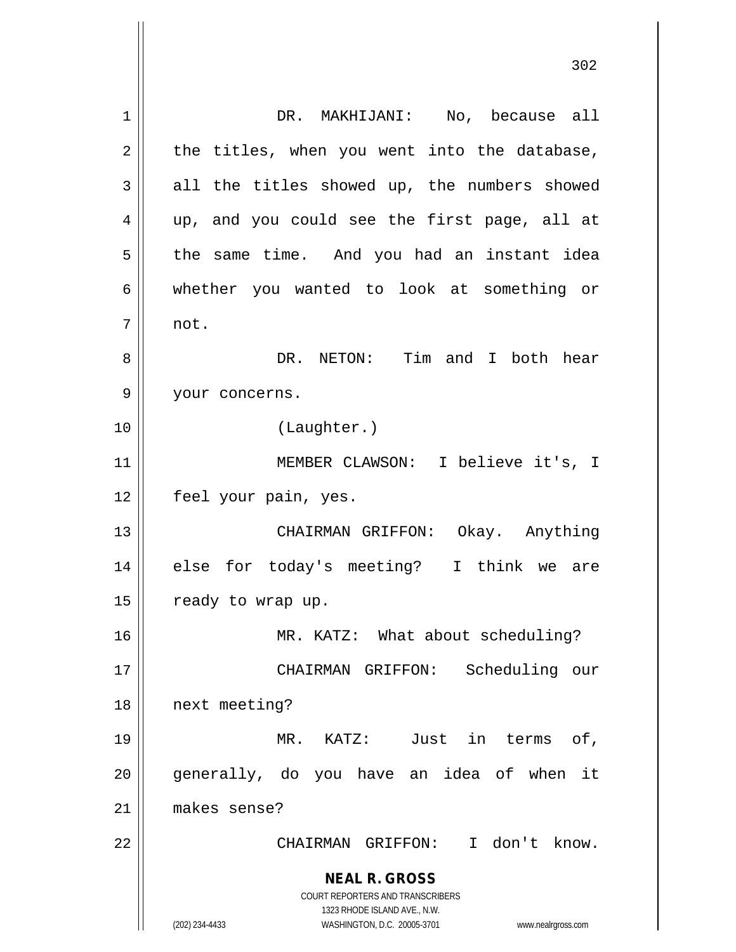**NEAL R. GROSS** COURT REPORTERS AND TRANSCRIBERS 1323 RHODE ISLAND AVE., N.W. (202) 234-4433 WASHINGTON, D.C. 20005-3701 www.nealrgross.com 1 DR. MAKHIJANI: No, because all  $2 \parallel$  the titles, when you went into the database,  $3 \parallel$  all the titles showed up, the numbers showed 4 up, and you could see the first page, all at 5 | the same time. And you had an instant idea 6 whether you wanted to look at something or 7 not. 8 DR. NETON: Tim and I both hear 9 || your concerns. 10 (Laughter.) 11 MEMBER CLAWSON: I believe it's, I 12 | feel your pain, yes. 13 CHAIRMAN GRIFFON: Okay. Anything 14 || else for today's meeting? I think we are  $15$  | ready to wrap up. 16 MR. KATZ: What about scheduling? 17 CHAIRMAN GRIFFON: Scheduling our 18 || next meeting? 19 MR. KATZ: Just in terms of, 20 || generally, do you have an idea of when it 21 makes sense? 22 CHAIRMAN GRIFFON: I don't know.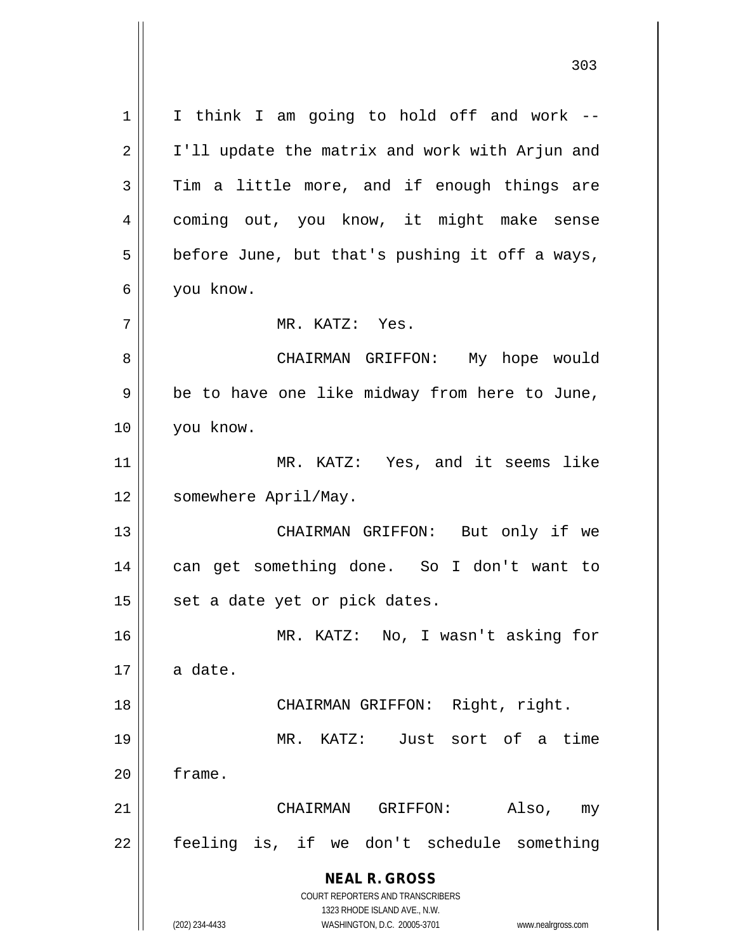**NEAL R. GROSS** COURT REPORTERS AND TRANSCRIBERS 1323 RHODE ISLAND AVE., N.W. (202) 234-4433 WASHINGTON, D.C. 20005-3701 www.nealrgross.com  $1 \parallel$  I think I am going to hold off and work --2 || I'll update the matrix and work with Arjun and  $3 \parallel$  Tim a little more, and if enough things are 4 || coming out, you know, it might make sense  $5 \parallel$  before June, but that's pushing it off a ways, 6 you know. 7 MR. KATZ: Yes. 8 CHAIRMAN GRIFFON: My hope would 9 || be to have one like midway from here to June, 10 you know. 11 MR. KATZ: Yes, and it seems like 12 | somewhere April/May. 13 CHAIRMAN GRIFFON: But only if we 14 || can get something done. So I don't want to  $15$  | set a date yet or pick dates. 16 MR. KATZ: No, I wasn't asking for  $17 \parallel$  a date. 18 || CHAIRMAN GRIFFON: Right, right. 19 MR. KATZ: Just sort of a time 20 | frame. 21 CHAIRMAN GRIFFON: Also, my 22 feeling is, if we don't schedule something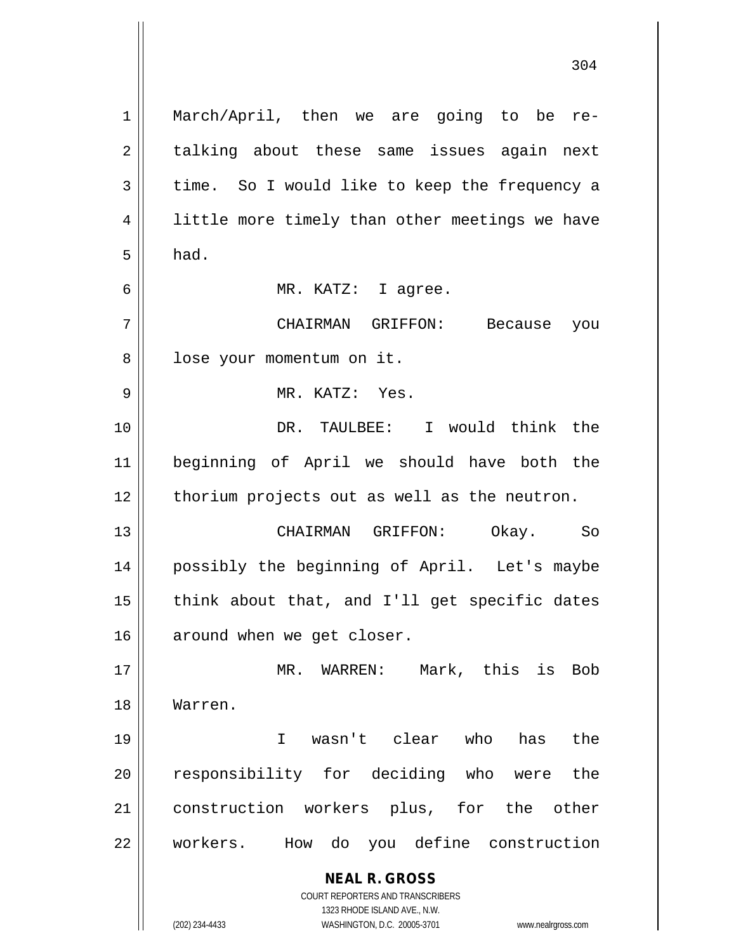**NEAL R. GROSS** COURT REPORTERS AND TRANSCRIBERS 1323 RHODE ISLAND AVE., N.W. (202) 234-4433 WASHINGTON, D.C. 20005-3701 www.nealrgross.com 1 || March/April, then we are going to be re-2 || talking about these same issues again next  $3 \parallel$  time. So I would like to keep the frequency a 4 || little more timely than other meetings we have  $5 \parallel$  had. 6 MR. KATZ: I agree. 7 CHAIRMAN GRIFFON: Because you 8 || lose your momentum on it. 9 MR. KATZ: Yes. 10 DR. TAULBEE: I would think the 11 beginning of April we should have both the  $12$  | thorium projects out as well as the neutron. 13 CHAIRMAN GRIFFON: Okay. So 14 possibly the beginning of April. Let's maybe  $15$  || think about that, and I'll get specific dates 16 | around when we get closer. 17 MR. WARREN: Mark, this is Bob 18 Warren. 19 I wasn't clear who has the 20 || responsibility for deciding who were the 21 || construction workers plus, for the other 22 workers. How do you define construction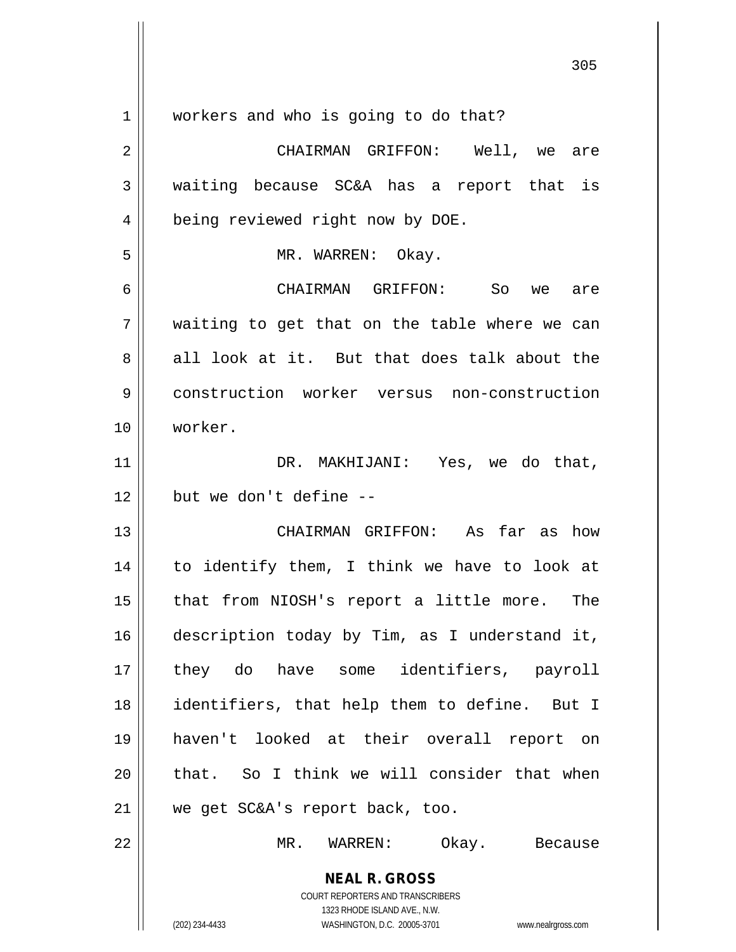| workers and who is going to do that?                                                                |
|-----------------------------------------------------------------------------------------------------|
| CHAIRMAN GRIFFON: Well, we are                                                                      |
| waiting because SC&A has a report that is                                                           |
| being reviewed right now by DOE.                                                                    |
| MR. WARREN: Okay.                                                                                   |
| CHAIRMAN GRIFFON: So we<br>are                                                                      |
| waiting to get that on the table where we can                                                       |
| all look at it. But that does talk about the                                                        |
| construction worker versus non-construction                                                         |
| worker.                                                                                             |
| DR. MAKHIJANI: Yes, we do that,                                                                     |
| but we don't define --                                                                              |
| CHAIRMAN GRIFFON: As far as how                                                                     |
| to identify them, I think we have to look at                                                        |
| that from NIOSH's report a little more. The                                                         |
| description today by Tim, as I understand it,                                                       |
| they do have some identifiers, payroll                                                              |
| identifiers, that help them to define. But I                                                        |
| haven't looked at their overall report on                                                           |
| that. So I think we will consider that when                                                         |
| we get SC&A's report back, too.                                                                     |
| MR. WARREN:<br>Okay. Because                                                                        |
| <b>NEAL R. GROSS</b>                                                                                |
| COURT REPORTERS AND TRANSCRIBERS                                                                    |
| 1323 RHODE ISLAND AVE., N.W.<br>(202) 234-4433<br>WASHINGTON, D.C. 20005-3701<br>www.nealrgross.com |
|                                                                                                     |

 $\mathsf{I}$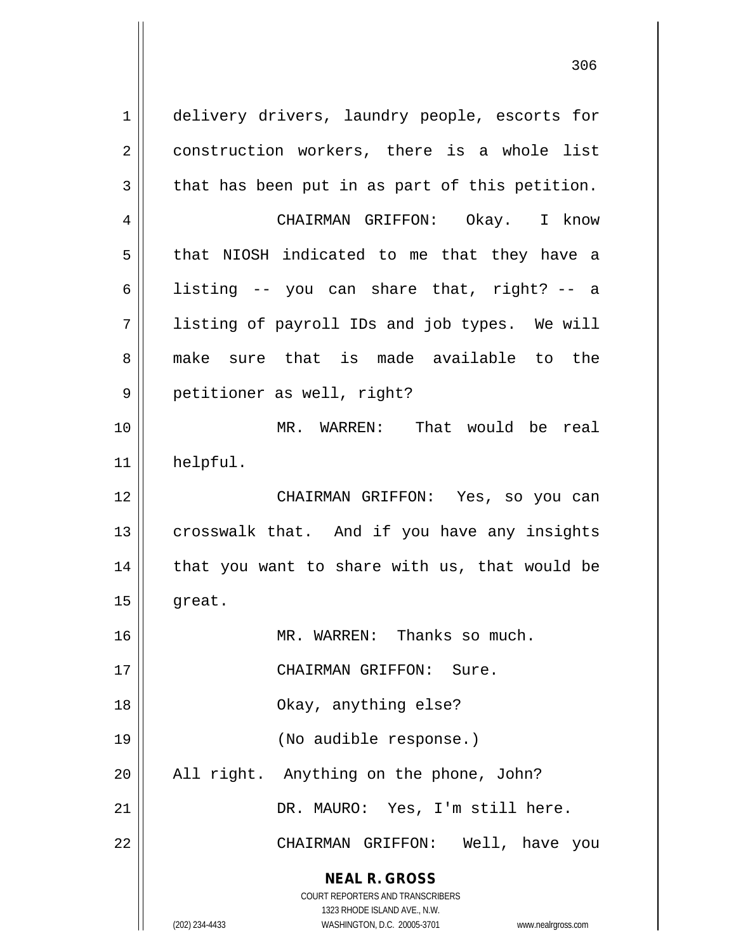**NEAL R. GROSS** COURT REPORTERS AND TRANSCRIBERS 1323 RHODE ISLAND AVE., N.W. (202) 234-4433 WASHINGTON, D.C. 20005-3701 www.nealrgross.com 1 delivery drivers, laundry people, escorts for 2 || construction workers, there is a whole list  $3 \parallel$  that has been put in as part of this petition. 4 CHAIRMAN GRIFFON: Okay. I know  $5 \parallel$  that NIOSH indicated to me that they have a 6 | listing  $-$  you can share that, right?  $-$  a 7 || listing of payroll IDs and job types. We will 8 make sure that is made available to the 9 || petitioner as well, right? 10 MR. WARREN: That would be real 11 helpful. 12 CHAIRMAN GRIFFON: Yes, so you can 13 || crosswalk that. And if you have any insights  $14$  | that you want to share with us, that would be  $15$  || great. 16 MR. WARREN: Thanks so much. 17 || CHAIRMAN GRIFFON: Sure. 18 || Chay, anything else? 19 || (No audible response.)  $20$  || All right. Anything on the phone, John? 21 DR. MAURO: Yes, I'm still here. 22 CHAIRMAN GRIFFON: Well, have you